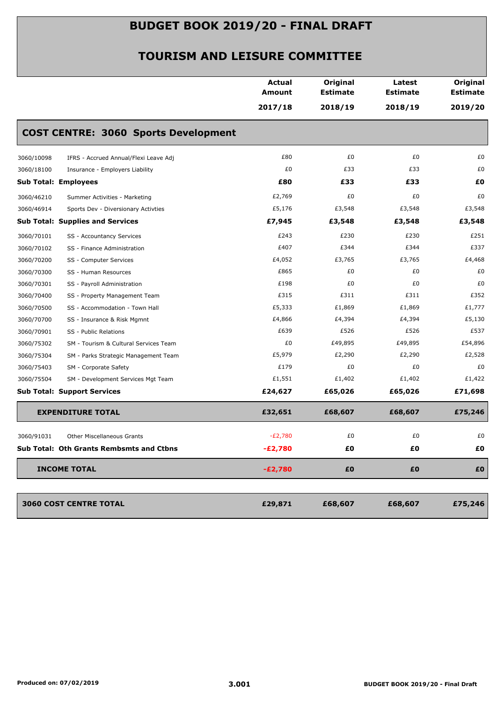|            |                                             | <b>Actual</b><br><b>Amount</b> | Original<br><b>Estimate</b> | Latest<br><b>Estimate</b> | Original<br><b>Estimate</b> |
|------------|---------------------------------------------|--------------------------------|-----------------------------|---------------------------|-----------------------------|
|            |                                             | 2017/18                        | 2018/19                     | 2018/19                   | 2019/20                     |
|            | <b>COST CENTRE: 3060 Sports Development</b> |                                |                             |                           |                             |
| 3060/10098 | IFRS - Accrued Annual/Flexi Leave Adj       | £80                            | £0                          | £0                        | £0                          |
| 3060/18100 | Insurance - Employers Liability             | £0                             | £33                         | £33                       | £0                          |
|            | <b>Sub Total: Employees</b>                 | £80                            | £33                         | £33                       | £0                          |
| 3060/46210 | Summer Activities - Marketing               | £2,769                         | £0                          | £0                        | £0                          |
| 3060/46914 | Sports Dev - Diversionary Activties         | £5,176                         | £3,548                      | £3,548                    | £3,548                      |
|            | <b>Sub Total: Supplies and Services</b>     | £7,945                         | £3,548                      | £3,548                    | £3,548                      |
| 3060/70101 | SS - Accountancy Services                   | £243                           | £230                        | £230                      | £251                        |
| 3060/70102 | SS - Finance Administration                 | £407                           | £344                        | £344                      | £337                        |
| 3060/70200 | SS - Computer Services                      | £4,052                         | £3,765                      | £3,765                    | £4,468                      |
| 3060/70300 | SS - Human Resources                        | £865                           | £0                          | £0                        | £0                          |
| 3060/70301 | SS - Payroll Administration                 | £198                           | £0                          | £0                        | £0                          |
| 3060/70400 | SS - Property Management Team               | £315                           | £311                        | £311                      | £352                        |
| 3060/70500 | SS - Accommodation - Town Hall              | £5,333                         | £1,869                      | £1,869                    | £1,777                      |
| 3060/70700 | SS - Insurance & Risk Mgmnt                 | £4,866                         | £4,394                      | £4,394                    | £5,130                      |
| 3060/70901 | SS - Public Relations                       | £639                           | £526                        | £526                      | £537                        |
| 3060/75302 | SM - Tourism & Cultural Services Team       | £0                             | £49,895                     | £49,895                   | £54,896                     |
| 3060/75304 | SM - Parks Strategic Management Team        | £5,979                         | £2,290                      | £2,290                    | £2,528                      |
| 3060/75403 | SM - Corporate Safety                       | £179                           | £0                          | £0                        | £0                          |
| 3060/75504 | SM - Development Services Mgt Team          | £1,551                         | £1,402                      | £1,402                    | £1,422                      |
|            | <b>Sub Total: Support Services</b>          | £24,627                        | £65,026                     | £65,026                   | £71,698                     |
|            | <b>EXPENDITURE TOTAL</b>                    | £32,651                        | £68,607                     | £68,607                   | £75,246                     |
| 3060/91031 | Other Miscellaneous Grants                  | $-E2,780$                      | £0                          | £0                        | £0                          |
|            | Sub Total: Oth Grants Rembsmts and Ctbns    | $-E2,780$                      | £Ο                          | £Ο                        | £Ο                          |
|            | <b>INCOME TOTAL</b>                         | $-E2,780$                      | £0                          | £0                        | £O                          |
|            |                                             |                                |                             |                           |                             |
|            | 3060 COST CENTRE TOTAL                      | £29,871                        | £68,607                     | £68,607                   | £75,246                     |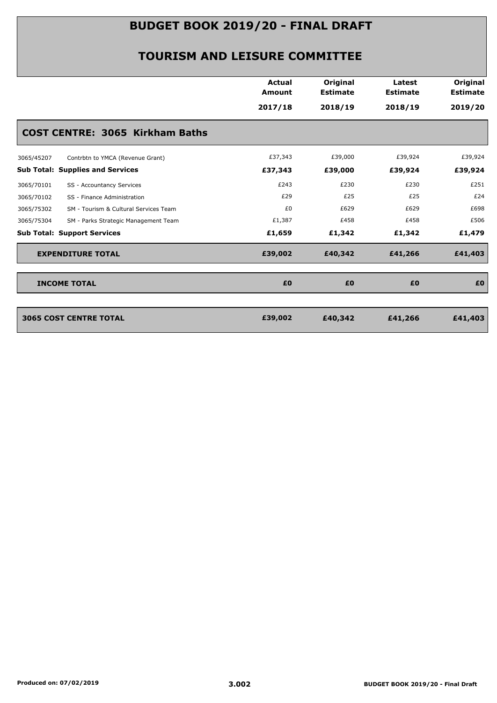|                                                     | <b>Actual</b><br>Amount<br>2017/18 | Original<br><b>Estimate</b><br>2018/19 | Latest<br><b>Estimate</b><br>2018/19 | Original<br><b>Estimate</b><br>2019/20 |
|-----------------------------------------------------|------------------------------------|----------------------------------------|--------------------------------------|----------------------------------------|
| <b>COST CENTRE: 3065 Kirkham Baths</b>              |                                    |                                        |                                      |                                        |
| 3065/45207<br>Contrbtn to YMCA (Revenue Grant)      | £37,343                            | £39,000                                | £39,924                              | £39,924                                |
| <b>Sub Total: Supplies and Services</b>             | £37,343                            | £39,000                                | £39,924                              | £39,924                                |
| 3065/70101<br>SS - Accountancy Services             | £243                               | £230                                   | £230                                 | £251                                   |
| 3065/70102<br>SS - Finance Administration           | £29                                | £25                                    | £25                                  | £24                                    |
| 3065/75302<br>SM - Tourism & Cultural Services Team | £0                                 | £629                                   | £629                                 | £698                                   |
| 3065/75304<br>SM - Parks Strategic Management Team  | £1,387                             | £458                                   | £458                                 | £506                                   |
| <b>Sub Total: Support Services</b>                  | £1,659                             | £1,342                                 | £1,342                               | £1,479                                 |
| <b>EXPENDITURE TOTAL</b>                            | £39,002                            | £40,342                                | £41,266                              | £41,403                                |
| <b>INCOME TOTAL</b>                                 | £0                                 | £0                                     | £0                                   | £0                                     |

| 3065 COST CENTRE TOTAL | £39,002 | £40,342 | £41,266 | £41,403 |
|------------------------|---------|---------|---------|---------|
|                        |         |         |         |         |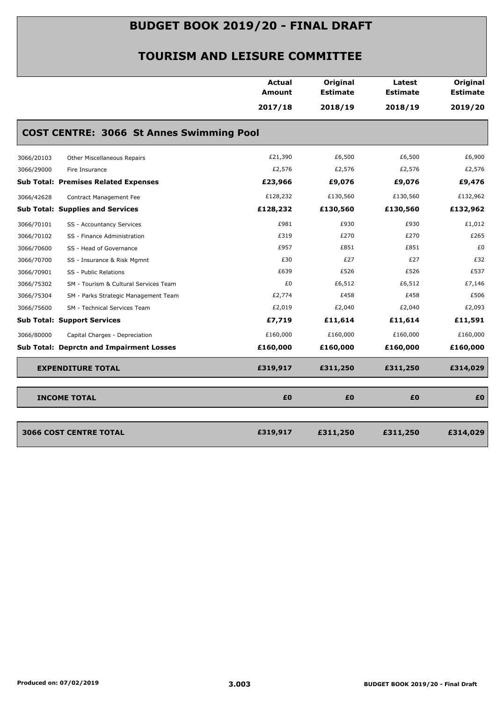|                                                     | Actual<br>Amount | Original<br><b>Estimate</b> | Latest<br><b>Estimate</b> | Original<br><b>Estimate</b> |
|-----------------------------------------------------|------------------|-----------------------------|---------------------------|-----------------------------|
|                                                     | 2017/18          | 2018/19                     | 2018/19                   | 2019/20                     |
| <b>COST CENTRE: 3066 St Annes Swimming Pool</b>     |                  |                             |                           |                             |
| 3066/20103<br>Other Miscellaneous Repairs           | £21,390          | £6,500                      | £6,500                    | £6,900                      |
| 3066/29000<br>Fire Insurance                        | £2,576           | £2,576                      | £2,576                    | £2,576                      |
| <b>Sub Total: Premises Related Expenses</b>         | £23,966          | £9,076                      | £9,076                    | £9,476                      |
| 3066/42628<br>Contract Management Fee               | £128,232         | £130,560                    | £130,560                  | £132,962                    |
| <b>Sub Total: Supplies and Services</b>             | £128,232         | £130,560                    | £130,560                  | £132,962                    |
| 3066/70101<br>SS - Accountancy Services             | £981             | £930                        | £930                      | £1,012                      |
| SS - Finance Administration<br>3066/70102           | £319             | £270                        | £270                      | £265                        |
| 3066/70600<br>SS - Head of Governance               | £957             | £851                        | £851                      | £0                          |
| 3066/70700<br>SS - Insurance & Risk Mgmnt           | £30              | £27                         | £27                       | £32                         |
| 3066/70901<br>SS - Public Relations                 | £639             | £526                        | £526                      | £537                        |
| 3066/75302<br>SM - Tourism & Cultural Services Team | £0               | £6,512                      | £6,512                    | £7,146                      |
| 3066/75304<br>SM - Parks Strategic Management Team  | £2,774           | £458                        | £458                      | £506                        |
| 3066/75600<br>SM - Technical Services Team          | £2,019           | £2,040                      | £2,040                    | £2,093                      |
| <b>Sub Total: Support Services</b>                  | £7,719           | £11,614                     | £11,614                   | £11,591                     |
| 3066/80000<br>Capital Charges - Depreciation        | £160,000         | £160,000                    | £160,000                  | £160,000                    |
| <b>Sub Total: Deprctn and Impairment Losses</b>     | £160,000         | £160,000                    | £160,000                  | £160,000                    |
| <b>EXPENDITURE TOTAL</b>                            | £319,917         | £311,250                    | £311,250                  | £314,029                    |
| <b>INCOME TOTAL</b>                                 | £0               | £0                          | £0                        | £O                          |
|                                                     | £319,917         | £311,250                    | £311,250                  | £314,029                    |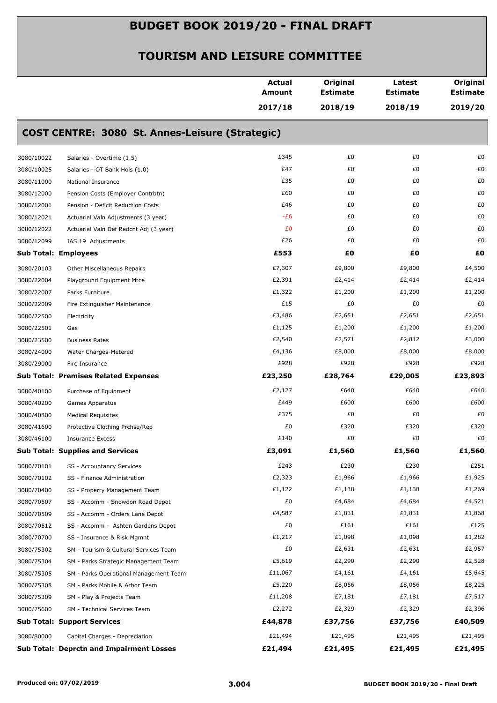|            |                                                 | <b>Actual</b><br>Amount | Original<br><b>Estimate</b> | Latest<br><b>Estimate</b> | Original<br><b>Estimate</b> |
|------------|-------------------------------------------------|-------------------------|-----------------------------|---------------------------|-----------------------------|
|            |                                                 | 2017/18                 | 2018/19                     | 2018/19                   | 2019/20                     |
|            | COST CENTRE: 3080 St. Annes-Leisure (Strategic) |                         |                             |                           |                             |
| 3080/10022 | Salaries - Overtime (1.5)                       | £345                    | £0                          | £0                        | £0                          |
| 3080/10025 | Salaries - OT Bank Hols (1.0)                   | £47                     | £0                          | £0                        | £0                          |
| 3080/11000 | National Insurance                              | £35                     | £0                          | £0                        | £0                          |
| 3080/12000 | Pension Costs (Employer Contrbtn)               | £60                     | £0                          | £0                        | £0                          |
| 3080/12001 | Pension - Deficit Reduction Costs               | £46                     | £0                          | £0                        | £0                          |
| 3080/12021 | Actuarial Valn Adjustments (3 year)             | -£6                     | £0                          | £0                        | £0                          |
| 3080/12022 | Actuarial Valn Def Redcnt Adj (3 year)          | £0                      | £0                          | £0                        | £0                          |
| 3080/12099 | IAS 19 Adjustments                              | £26                     | £0                          | £0                        | £0                          |
|            | <b>Sub Total: Employees</b>                     | £553                    | £0                          | £Ο                        | £Ο                          |
| 3080/20103 | <b>Other Miscellaneous Repairs</b>              | £7,307                  | £9,800                      | £9,800                    | £4,500                      |
| 3080/22004 | Playground Equipment Mtce                       | £2,391                  | £2,414                      | £2,414                    | £2,414                      |
| 3080/22007 | Parks Furniture                                 | £1,322                  | £1,200                      | £1,200                    | £1,200                      |
| 3080/22009 | Fire Extinguisher Maintenance                   | £15                     | £0                          | £0                        | £0                          |
| 3080/22500 | Electricity                                     | £3,486                  | £2,651                      | £2,651                    | £2,651                      |
| 3080/22501 | Gas                                             | £1,125                  | £1,200                      | £1,200                    | £1,200                      |
| 3080/23500 | <b>Business Rates</b>                           | £2,540                  | £2,571                      | £2,812                    | £3,000                      |
| 3080/24000 | Water Charges-Metered                           | £4,136                  | £8,000                      | £8,000                    | £8,000                      |
| 3080/29000 | Fire Insurance                                  | £928                    | £928                        | £928                      | £928                        |
|            | <b>Sub Total: Premises Related Expenses</b>     | £23,250                 | £28,764                     | £29,005                   | £23,893                     |
| 3080/40100 | Purchase of Equipment                           | £2,127                  | £640                        | £640                      | £640                        |
| 3080/40200 | Games Apparatus                                 | £449                    | £600                        | £600                      | £600                        |
| 3080/40800 | <b>Medical Requisites</b>                       | £375                    | £0                          | £0                        | £0                          |
| 3080/41600 | Protective Clothing Prchse/Rep                  | £0                      | £320                        | £320                      | £320                        |
| 3080/46100 | <b>Insurance Excess</b>                         | £140                    | £0                          | £0                        | £0                          |
|            | <b>Sub Total: Supplies and Services</b>         | £3,091                  | £1,560                      | £1,560                    | £1,560                      |
| 3080/70101 | SS - Accountancy Services                       | £243                    | £230                        | £230                      | £251                        |
| 3080/70102 | SS - Finance Administration                     | £2,323                  | £1,966                      | £1,966                    | £1,925                      |
| 3080/70400 | SS - Property Management Team                   | £1,122                  | £1,138                      | £1,138                    | £1,269                      |
| 3080/70507 | SS - Accomm - Snowdon Road Depot                | £0                      | £4,684                      | £4,684                    | £4,521                      |
| 3080/70509 | SS - Accomm - Orders Lane Depot                 | £4,587                  | £1,831                      | £1,831                    | £1,868                      |
| 3080/70512 | SS - Accomm - Ashton Gardens Depot              | £0                      | £161                        | £161                      | £125                        |
| 3080/70700 | SS - Insurance & Risk Mgmnt                     | £1,217                  | £1,098                      | £1,098                    | £1,282                      |
| 3080/75302 | SM - Tourism & Cultural Services Team           | £0                      | £2,631                      | £2,631                    | £2,957                      |
| 3080/75304 | SM - Parks Strategic Management Team            | £5,619                  | £2,290                      | £2,290                    | £2,528                      |
| 3080/75305 | SM - Parks Operational Management Team          | £11,067                 | £4,161                      | £4,161                    | £5,645                      |
| 3080/75308 | SM - Parks Mobile & Arbor Team                  | £5,220                  | £8,056                      | £8,056                    | £8,225                      |
| 3080/75309 | SM - Play & Projects Team                       | £11,208                 | £7,181                      | £7,181                    | £7,517                      |
| 3080/75600 | SM - Technical Services Team                    | £2,272                  | £2,329                      | £2,329                    | £2,396                      |
|            | <b>Sub Total: Support Services</b>              | £44,878                 | £37,756                     | £37,756                   | £40,509                     |
| 3080/80000 | Capital Charges - Depreciation                  | £21,494                 | £21,495                     | £21,495                   | £21,495                     |
|            | <b>Sub Total: Deprctn and Impairment Losses</b> | £21,494                 | £21,495                     | £21,495                   | £21,495                     |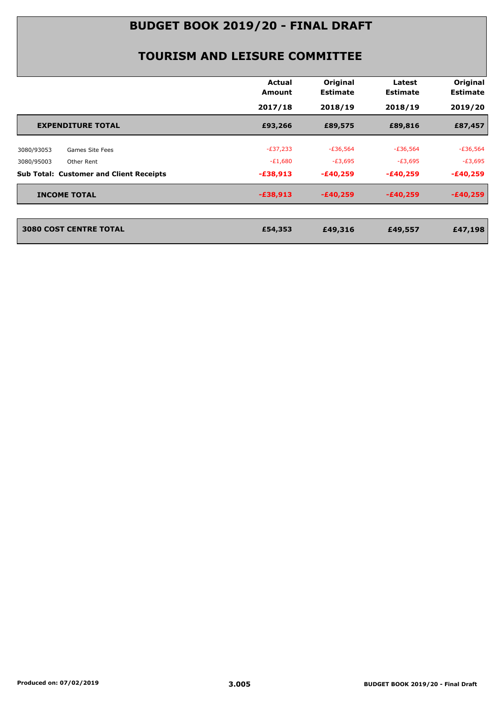|                                                | Actual<br>Amount | Original<br><b>Estimate</b> | Latest<br><b>Estimate</b> | Original<br><b>Estimate</b> |
|------------------------------------------------|------------------|-----------------------------|---------------------------|-----------------------------|
|                                                | 2017/18          | 2018/19                     | 2018/19                   | 2019/20                     |
| <b>EXPENDITURE TOTAL</b>                       | £93,266          | £89,575                     | £89,816                   | £87,457                     |
| 3080/93053<br>Games Site Fees                  | $-E37,233$       | $-£36,564$                  | $-£36,564$                | $-£36,564$                  |
| 3080/95003<br>Other Rent                       | $-E1,680$        | $-E3,695$                   | $-E3,695$                 | $-E3,695$                   |
| <b>Sub Total: Customer and Client Receipts</b> | $-£38,913$       | $-£40,259$                  | $-£40,259$                | $-£40,259$                  |
| <b>INCOME TOTAL</b>                            | $-£38,913$       | $-E40,259$                  | $-£40,259$                | $-£40,259$                  |
|                                                |                  |                             |                           |                             |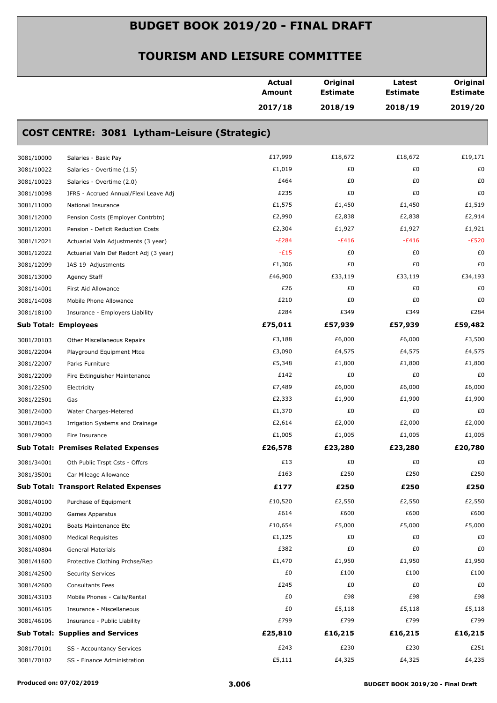|            |                                              | <b>Actual</b><br><b>Amount</b> | Original<br><b>Estimate</b> | Latest<br><b>Estimate</b> | Original<br><b>Estimate</b> |
|------------|----------------------------------------------|--------------------------------|-----------------------------|---------------------------|-----------------------------|
|            |                                              | 2017/18                        | 2018/19                     | 2018/19                   | 2019/20                     |
|            | COST CENTRE: 3081 Lytham-Leisure (Strategic) |                                |                             |                           |                             |
| 3081/10000 | Salaries - Basic Pay                         | £17,999                        | £18,672                     | £18,672                   | £19,171                     |
| 3081/10022 | Salaries - Overtime (1.5)                    | £1,019                         | £0                          | £0                        | £0                          |
| 3081/10023 | Salaries - Overtime (2.0)                    | £464                           | £0                          | £0                        | £0                          |
| 3081/10098 | IFRS - Accrued Annual/Flexi Leave Adj        | £235                           | £0                          | £0                        | £0                          |
| 3081/11000 | National Insurance                           | £1,575                         | £1,450                      | £1,450                    | £1,519                      |
| 3081/12000 | Pension Costs (Employer Contrbtn)            | £2,990                         | £2,838                      | £2,838                    | £2,914                      |
| 3081/12001 | Pension - Deficit Reduction Costs            | £2,304                         | £1,927                      | £1,927                    | £1,921                      |
| 3081/12021 | Actuarial Valn Adjustments (3 year)          | $-E284$                        | $-E416$                     | $-E416$                   | $-E520$                     |
| 3081/12022 | Actuarial Valn Def Redcnt Adj (3 year)       | $-E15$                         | £0                          | £0                        | £0                          |
| 3081/12099 | IAS 19 Adjustments                           | £1,306                         | £0                          | £0                        | £0                          |
| 3081/13000 | Agency Staff                                 | £46,900                        | £33,119                     | £33,119                   | £34,193                     |
| 3081/14001 | First Aid Allowance                          | £26                            | £0                          | £0                        | £0                          |
| 3081/14008 | Mobile Phone Allowance                       | £210                           | £0                          | £0                        | £0                          |
| 3081/18100 | Insurance - Employers Liability              | £284                           | £349                        | £349                      | £284                        |
|            | <b>Sub Total: Employees</b>                  | £75,011                        | £57,939                     | £57,939                   | £59,482                     |
| 3081/20103 | <b>Other Miscellaneous Repairs</b>           | £3,188                         | £6,000                      | £6,000                    | £3,500                      |
| 3081/22004 | Playground Equipment Mtce                    | £3,090                         | £4,575                      | £4,575                    | £4,575                      |
| 3081/22007 | Parks Furniture                              | £5,348                         | £1,800                      | £1,800                    | £1,800                      |
| 3081/22009 | Fire Extinguisher Maintenance                | £142                           | £0                          | £0                        | £0                          |
| 3081/22500 | Electricity                                  | £7,489                         | £6,000                      | £6,000                    | £6,000                      |
| 3081/22501 | Gas                                          | £2,333                         | £1,900                      | £1,900                    | £1,900                      |
| 3081/24000 | Water Charges-Metered                        | £1,370                         | £0                          | £0                        | £0                          |
| 3081/28043 | Irrigation Systems and Drainage              | £2,614                         | £2,000                      | £2,000                    | £2,000                      |
| 3081/29000 | Fire Insurance                               | £1,005                         | £1,005                      | £1,005                    | £1,005                      |
|            | <b>Sub Total: Premises Related Expenses</b>  | £26,578                        | £23,280                     | £23,280                   | £20,780                     |
| 3081/34001 | Oth Public Trspt Csts - Offcrs               | £13                            | £0                          | £0                        | £0                          |
| 3081/35001 | Car Mileage Allowance                        | £163                           | £250                        | £250                      | £250                        |
|            | <b>Sub Total: Transport Related Expenses</b> | £177                           | £250                        | £250                      | £250                        |
| 3081/40100 | Purchase of Equipment                        | £10,520                        | £2,550                      | £2,550                    | £2,550                      |
| 3081/40200 | Games Apparatus                              | £614                           | £600                        | £600                      | £600                        |
| 3081/40201 | Boats Maintenance Etc                        | £10,654                        | £5,000                      | £5,000                    | £5,000                      |
| 3081/40800 | <b>Medical Requisites</b>                    | £1,125                         | £0                          | £0                        | £0                          |
| 3081/40804 | <b>General Materials</b>                     | £382                           | £0                          | £0                        | £0                          |
| 3081/41600 | Protective Clothing Prchse/Rep               | £1,470                         | £1,950                      | £1,950                    | £1,950                      |
| 3081/42500 | <b>Security Services</b>                     | £0                             | £100                        | £100                      | £100                        |
| 3081/42600 | <b>Consultants Fees</b>                      | £245                           | £0                          | £0                        | £0                          |
| 3081/43103 | Mobile Phones - Calls/Rental                 | £0                             | £98                         | £98                       | £98                         |
| 3081/46105 | Insurance - Miscellaneous                    | £0                             | £5,118                      | £5,118                    | £5,118                      |
| 3081/46106 | Insurance - Public Liability                 | £799                           | £799                        | £799                      | £799                        |
|            | <b>Sub Total: Supplies and Services</b>      | £25,810                        | £16,215                     | £16,215                   | £16,215                     |
| 3081/70101 | SS - Accountancy Services                    | £243                           | £230                        | £230                      | £251                        |
| 3081/70102 | SS - Finance Administration                  | £5,111                         | £4,325                      | £4,325                    | £4,235                      |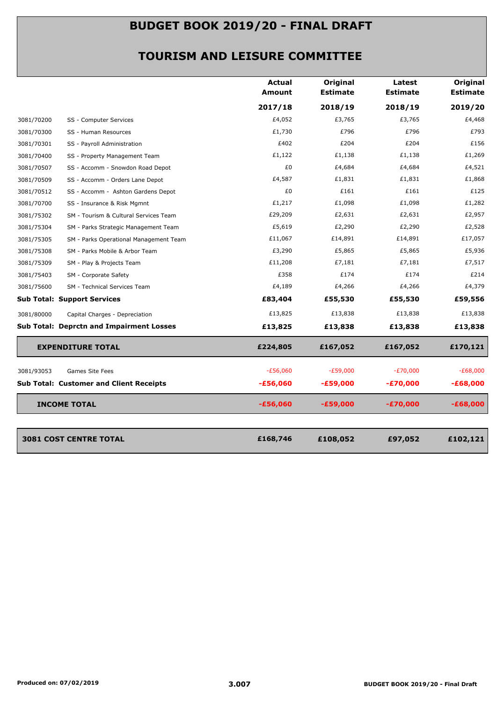|            |                                                 | <b>Actual</b> | Original        | Latest          | Original        |
|------------|-------------------------------------------------|---------------|-----------------|-----------------|-----------------|
|            |                                                 | Amount        | <b>Estimate</b> | <b>Estimate</b> | <b>Estimate</b> |
|            |                                                 | 2017/18       | 2018/19         | 2018/19         | 2019/20         |
| 3081/70200 | SS - Computer Services                          | £4,052        | £3,765          | £3,765          | £4,468          |
| 3081/70300 | SS - Human Resources                            | £1,730        | £796            | £796            | £793            |
| 3081/70301 | SS - Payroll Administration                     | £402          | £204            | £204            | £156            |
| 3081/70400 | SS - Property Management Team                   | £1,122        | £1,138          | £1,138          | £1,269          |
| 3081/70507 | SS - Accomm - Snowdon Road Depot                | £0            | £4,684          | £4,684          | £4,521          |
| 3081/70509 | SS - Accomm - Orders Lane Depot                 | £4,587        | £1,831          | £1,831          | £1,868          |
| 3081/70512 | SS - Accomm - Ashton Gardens Depot              | £0            | £161            | £161            | £125            |
| 3081/70700 | SS - Insurance & Risk Mgmnt                     | £1,217        | £1,098          | £1,098          | £1,282          |
| 3081/75302 | SM - Tourism & Cultural Services Team           | £29,209       | £2,631          | £2,631          | £2,957          |
| 3081/75304 | SM - Parks Strategic Management Team            | £5,619        | £2,290          | £2,290          | £2,528          |
| 3081/75305 | SM - Parks Operational Management Team          | £11,067       | £14,891         | £14,891         | £17,057         |
| 3081/75308 | SM - Parks Mobile & Arbor Team                  | £3,290        | £5,865          | £5,865          | £5,936          |
| 3081/75309 | SM - Play & Projects Team                       | £11,208       | £7,181          | £7,181          | £7,517          |
| 3081/75403 | SM - Corporate Safety                           | £358          | £174            | £174            | £214            |
| 3081/75600 | SM - Technical Services Team                    | £4,189        | £4,266          | £4,266          | £4,379          |
|            | <b>Sub Total: Support Services</b>              | £83,404       | £55,530         | £55,530         | £59,556         |
| 3081/80000 | Capital Charges - Depreciation                  | £13,825       | £13,838         | £13,838         | £13,838         |
|            | <b>Sub Total: Deprctn and Impairment Losses</b> | £13,825       | £13,838         | £13,838         | £13,838         |
|            | <b>EXPENDITURE TOTAL</b>                        | £224,805      | £167,052        | £167,052        | £170,121        |
| 3081/93053 | Games Site Fees                                 | $-£56,060$    | $-E59,000$      | $-E70,000$      | $-£68,000$      |
|            | <b>Sub Total: Customer and Client Receipts</b>  | $-£56,060$    | -£59,000        | -£70,000        | $-£68,000$      |
|            | <b>INCOME TOTAL</b>                             | $-£56,060$    | $-£59,000$      | $-£70,000$      | $-£68,000$      |
|            |                                                 |               |                 |                 |                 |
|            | 3081 COST CENTRE TOTAL                          | £168,746      | £108,052        | £97,052         | £102,121        |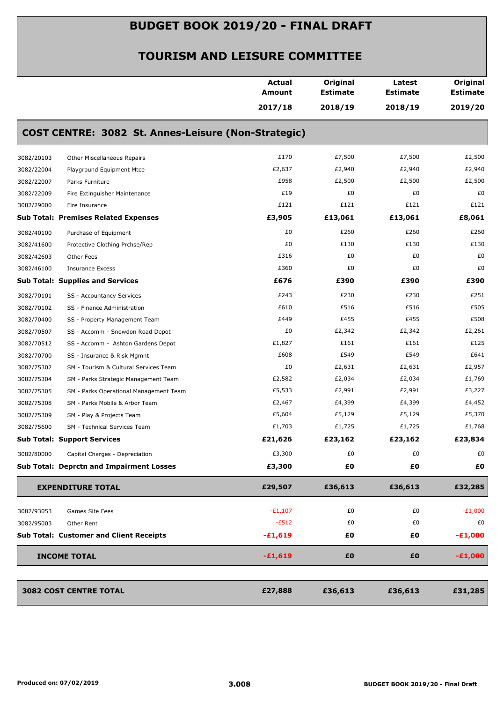|            |                                                     | <b>Actual</b><br>Amount | Original<br><b>Estimate</b> | Latest<br><b>Estimate</b> | Original<br><b>Estimate</b> |
|------------|-----------------------------------------------------|-------------------------|-----------------------------|---------------------------|-----------------------------|
|            |                                                     | 2017/18                 | 2018/19                     | 2018/19                   | 2019/20                     |
|            | COST CENTRE: 3082 St. Annes-Leisure (Non-Strategic) |                         |                             |                           |                             |
| 3082/20103 | Other Miscellaneous Repairs                         | £170                    | £7,500                      | £7,500                    | £2,500                      |
| 3082/22004 | Playground Equipment Mtce                           | £2,637                  | £2,940                      | £2,940                    | £2,940                      |
| 3082/22007 | Parks Furniture                                     | £958                    | £2,500                      | £2,500                    | £2,500                      |
| 3082/22009 | Fire Extinguisher Maintenance                       | £19                     | £0                          | £0                        | £0                          |
| 3082/29000 | Fire Insurance                                      | £121                    | £121                        | £121                      | £121                        |
|            | <b>Sub Total: Premises Related Expenses</b>         | £3,905                  | £13,061                     | £13,061                   | £8,061                      |
| 3082/40100 | Purchase of Equipment                               | £0                      | £260                        | £260                      | £260                        |
| 3082/41600 | Protective Clothing Prchse/Rep                      | £0                      | £130                        | £130                      | £130                        |
| 3082/42603 | Other Fees                                          | £316                    | £0                          | £0                        | £0                          |
| 3082/46100 | <b>Insurance Excess</b>                             | £360                    | £0                          | £0                        | £0                          |
|            | <b>Sub Total: Supplies and Services</b>             | £676                    | £390                        | £390                      | £390                        |
| 3082/70101 | SS - Accountancy Services                           | £243                    | £230                        | £230                      | £251                        |
| 3082/70102 | SS - Finance Administration                         | £610                    | £516                        | £516                      | £505                        |
| 3082/70400 | SS - Property Management Team                       | £449                    | £455                        | £455                      | £508                        |
| 3082/70507 | SS - Accomm - Snowdon Road Depot                    | £0                      | £2,342                      | £2,342                    | £2,261                      |
| 3082/70512 | SS - Accomm - Ashton Gardens Depot                  | £1,827                  | £161                        | £161                      | £125                        |
| 3082/70700 | SS - Insurance & Risk Mgmnt                         | £608                    | £549                        | £549                      | £641                        |
| 3082/75302 | SM - Tourism & Cultural Services Team               | £0                      | £2,631                      | £2,631                    | £2,957                      |
| 3082/75304 | SM - Parks Strategic Management Team                | £2,582                  | £2,034                      | £2,034                    | £1,769                      |
| 3082/75305 | SM - Parks Operational Management Team              | £5,533                  | £2,991                      | £2,991                    | £3,227                      |
| 3082/75308 | SM - Parks Mobile & Arbor Team                      | £2,467                  | £4,399                      | £4,399                    | £4,452                      |
| 3082/75309 | SM - Play & Projects Team                           | £5,604                  | £5,129                      | £5,129                    | £5,370                      |
| 3082/75600 | SM - Technical Services Team                        | £1,703                  | £1,725                      | £1,725                    | £1,768                      |
|            | <b>Sub Total: Support Services</b>                  | £21,626                 | £23,162                     | £23,162                   | £23,834                     |
| 3082/80000 | Capital Charges - Depreciation                      | £3,300                  | £0                          | £0                        | £0                          |
|            | <b>Sub Total: Deprctn and Impairment Losses</b>     | £3,300                  | £0                          | £0                        | £0                          |
|            | <b>EXPENDITURE TOTAL</b>                            | £29,507                 | £36,613                     | £36,613                   | £32,285                     |
| 3082/93053 | Games Site Fees                                     | $-E1,107$               | £0                          | £0                        | $-E1,000$                   |
| 3082/95003 | Other Rent                                          | $-E512$                 | £0                          | £0                        | £0                          |
|            | <b>Sub Total: Customer and Client Receipts</b>      | $-£1,619$               | £0                          | £Ο                        | $-E1,000$                   |
|            |                                                     |                         |                             |                           |                             |
|            | <b>INCOME TOTAL</b>                                 | $-£1,619$               | £0                          | £0                        | $-£1,000$                   |
|            | 3082 COST CENTRE TOTAL                              | £27,888                 | £36,613                     | £36,613                   | £31,285                     |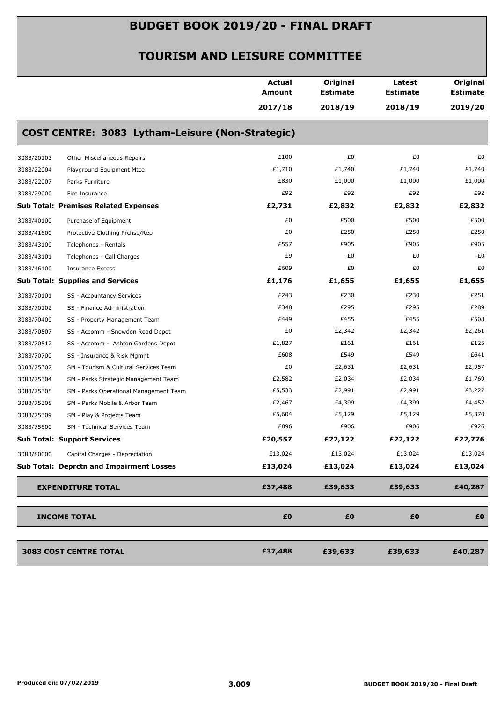|            |                                                  | <b>Actual</b><br>Amount | Original<br><b>Estimate</b> | Latest<br><b>Estimate</b> | Original<br><b>Estimate</b> |
|------------|--------------------------------------------------|-------------------------|-----------------------------|---------------------------|-----------------------------|
|            |                                                  | 2017/18                 | 2018/19                     | 2018/19                   | 2019/20                     |
|            | COST CENTRE: 3083 Lytham-Leisure (Non-Strategic) |                         |                             |                           |                             |
| 3083/20103 | Other Miscellaneous Repairs                      | £100                    | £0                          | £0                        | £0                          |
| 3083/22004 | Playground Equipment Mtce                        | £1,710                  | £1,740                      | £1,740                    | £1,740                      |
| 3083/22007 | Parks Furniture                                  | £830                    | £1,000                      | £1,000                    | £1,000                      |
| 3083/29000 | Fire Insurance                                   | £92                     | £92                         | £92                       | £92                         |
|            | <b>Sub Total: Premises Related Expenses</b>      | £2,731                  | £2,832                      | £2,832                    | £2,832                      |
| 3083/40100 | Purchase of Equipment                            | £0                      | £500                        | £500                      | £500                        |
| 3083/41600 | Protective Clothing Prchse/Rep                   | £0                      | £250                        | £250                      | £250                        |
| 3083/43100 | Telephones - Rentals                             | £557                    | £905                        | £905                      | £905                        |
| 3083/43101 | Telephones - Call Charges                        | £9                      | £0                          | £0                        | £0                          |
| 3083/46100 | <b>Insurance Excess</b>                          | £609                    | £0                          | £0                        | £0                          |
|            | <b>Sub Total: Supplies and Services</b>          | £1,176                  | £1,655                      | £1,655                    | £1,655                      |
| 3083/70101 | SS - Accountancy Services                        | £243                    | £230                        | £230                      | £251                        |
| 3083/70102 | SS - Finance Administration                      | £348                    | £295                        | £295                      | £289                        |
| 3083/70400 | SS - Property Management Team                    | £449                    | £455                        | £455                      | £508                        |
| 3083/70507 | SS - Accomm - Snowdon Road Depot                 | £0                      | £2,342                      | £2,342                    | £2,261                      |
| 3083/70512 | SS - Accomm - Ashton Gardens Depot               | £1,827                  | £161                        | £161                      | £125                        |
| 3083/70700 | SS - Insurance & Risk Mgmnt                      | £608                    | £549                        | £549                      | £641                        |
| 3083/75302 | SM - Tourism & Cultural Services Team            | £0                      | £2,631                      | £2,631                    | £2,957                      |
| 3083/75304 | SM - Parks Strategic Management Team             | £2,582                  | £2,034                      | £2,034                    | £1,769                      |
| 3083/75305 | SM - Parks Operational Management Team           | £5,533                  | £2,991                      | £2,991                    | £3,227                      |
| 3083/75308 | SM - Parks Mobile & Arbor Team                   | £2,467                  | £4,399                      | £4,399                    | £4,452                      |
| 3083/75309 | SM - Play & Projects Team                        | £5,604                  | £5,129                      | £5,129                    | £5,370                      |
| 3083/75600 | SM - Technical Services Team                     | £896                    | £906                        | £906                      | £926                        |
|            | <b>Sub Total: Support Services</b>               | £20,557                 | £22,122                     | £22,122                   | £22,776                     |
| 3083/80000 | Capital Charges - Depreciation                   | £13,024                 | £13,024                     | £13,024                   | £13,024                     |
|            | Sub Total: Deprctn and Impairment Losses         | £13,024                 | £13,024                     | £13,024                   | £13,024                     |
|            | <b>EXPENDITURE TOTAL</b>                         | £37,488                 | £39,633                     | £39,633                   | £40,287                     |
|            | <b>INCOME TOTAL</b>                              | £0                      | £0                          | £0                        | £0                          |
|            |                                                  |                         |                             |                           |                             |
|            | 3083 COST CENTRE TOTAL                           | £37,488                 | £39,633                     | £39,633                   | £40,287                     |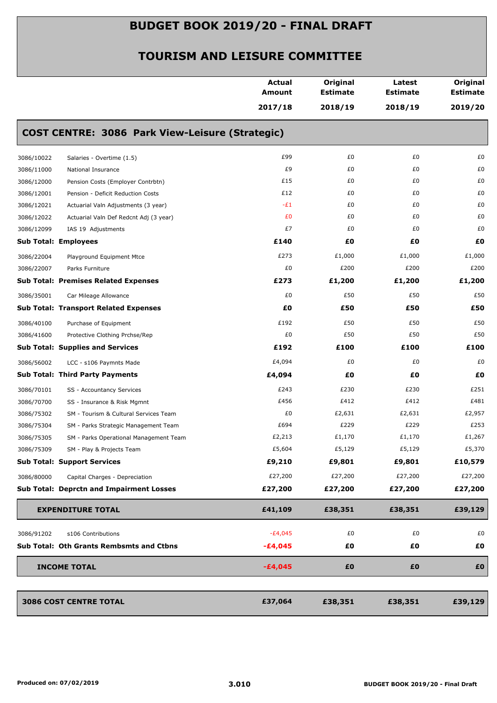|                                         |                                                        | <b>Actual</b><br>Amount | Original<br><b>Estimate</b> | Latest<br><b>Estimate</b> | Original<br><b>Estimate</b> |
|-----------------------------------------|--------------------------------------------------------|-------------------------|-----------------------------|---------------------------|-----------------------------|
|                                         |                                                        | 2017/18                 | 2018/19                     | 2018/19                   | 2019/20                     |
|                                         | <b>COST CENTRE: 3086 Park View-Leisure (Strategic)</b> |                         |                             |                           |                             |
| 3086/10022                              | Salaries - Overtime (1.5)                              | £99                     | £0                          | £0                        | £0                          |
| 3086/11000                              | National Insurance                                     | £9                      | £0                          | £0                        | £0                          |
| 3086/12000                              | Pension Costs (Employer Contrbtn)                      | £15                     | £0                          | £0                        | £0                          |
| 3086/12001                              | Pension - Deficit Reduction Costs                      | £12                     | £0                          | £0                        | £0                          |
| 3086/12021                              | Actuarial Valn Adjustments (3 year)                    | $-E1$                   | £0                          | £0                        | £0                          |
| 3086/12022                              | Actuarial Valn Def Redcnt Adj (3 year)                 | £0                      | £0                          | £0                        | £0                          |
| 3086/12099                              | IAS 19 Adjustments                                     | £7                      | £0                          | £0                        | £0                          |
| <b>Sub Total: Employees</b>             |                                                        | £140                    | £0                          | £Ο                        | £0                          |
| 3086/22004                              | Playground Equipment Mtce                              | £273                    | £1,000                      | £1,000                    | £1,000                      |
| 3086/22007                              | Parks Furniture                                        | £0                      | £200                        | £200                      | £200                        |
|                                         | <b>Sub Total: Premises Related Expenses</b>            | £273                    | £1,200                      | £1,200                    | £1,200                      |
| 3086/35001                              | Car Mileage Allowance                                  | £0                      | £50                         | £50                       | £50                         |
|                                         | <b>Sub Total: Transport Related Expenses</b>           | £0                      | £50                         | £50                       | £50                         |
| 3086/40100                              | Purchase of Equipment                                  | £192                    | £50                         | £50                       | £50                         |
| 3086/41600                              | Protective Clothing Prchse/Rep                         | £0                      | £50                         | £50                       | £50                         |
| <b>Sub Total: Supplies and Services</b> |                                                        | £192                    | £100                        | £100                      | £100                        |
| 3086/56002                              | LCC - s106 Paymnts Made                                | £4,094                  | £0                          | £0                        | £0                          |
| <b>Sub Total: Third Party Payments</b>  |                                                        | £4,094                  | £0                          | £Ο                        | £0                          |
| 3086/70101                              | SS - Accountancy Services                              | £243                    | £230                        | £230                      | £251                        |
| 3086/70700                              | SS - Insurance & Risk Mgmnt                            | £456                    | £412                        | £412                      | £481                        |
| 3086/75302                              | SM - Tourism & Cultural Services Team                  | £0                      | £2,631                      | £2,631                    | £2,957                      |
| 3086/75304                              | SM - Parks Strategic Management Team                   | £694                    | £229                        | £229                      | £253                        |
| 3086/75305                              | SM - Parks Operational Management Team                 | £2,213                  | £1,170                      | £1,170                    | £1,267                      |
| 3086/75309                              | SM - Play & Projects Team                              | £5,604                  | £5,129                      | £5,129                    | £5,370                      |
| <b>Sub Total: Support Services</b>      |                                                        | £9,210                  | £9,801                      | £9,801                    | £10,579                     |
| 3086/80000                              | Capital Charges - Depreciation                         | £27,200                 | £27,200                     | £27,200                   | £27,200                     |
|                                         | <b>Sub Total: Deprctn and Impairment Losses</b>        | £27,200                 | £27,200                     | £27,200                   | £27,200                     |
| <b>EXPENDITURE TOTAL</b>                |                                                        | £41,109                 | £38,351                     | £38,351                   | £39,129                     |
| 3086/91202                              | s106 Contributions                                     | $-E4,045$               | £0                          | £0                        | £0                          |
|                                         | Sub Total: Oth Grants Rembsmts and Ctbns               | $-£4,045$               | £0                          | £Ο                        | £0                          |
|                                         |                                                        |                         |                             |                           |                             |
| <b>INCOME TOTAL</b>                     |                                                        | $-£4,045$               | £0                          | £0                        | £0                          |
| 3086 COST CENTRE TOTAL                  |                                                        | £37,064                 | £38,351                     | £38,351                   | £39,129                     |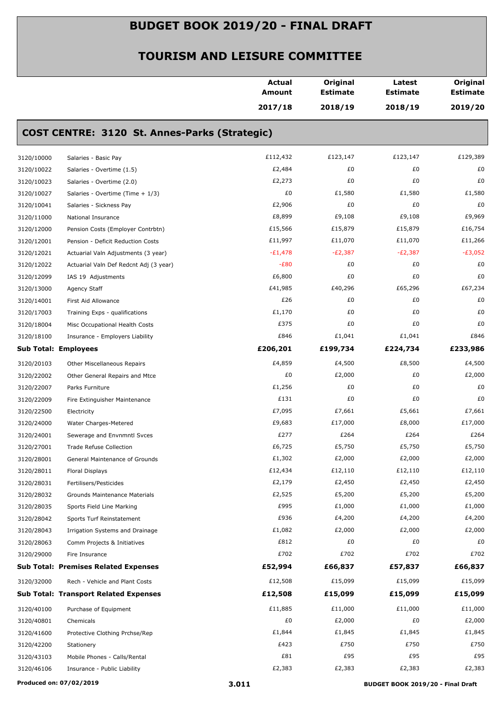|            |                                               | <b>Actual</b><br><b>Amount</b> | Original<br><b>Estimate</b> | Latest<br><b>Estimate</b> | Original<br><b>Estimate</b> |
|------------|-----------------------------------------------|--------------------------------|-----------------------------|---------------------------|-----------------------------|
|            |                                               | 2017/18                        | 2018/19                     | 2018/19                   | 2019/20                     |
|            | COST CENTRE: 3120 St. Annes-Parks (Strategic) |                                |                             |                           |                             |
| 3120/10000 | Salaries - Basic Pay                          | £112,432                       | £123,147                    | £123,147                  | £129,389                    |
| 3120/10022 | Salaries - Overtime (1.5)                     | £2,484                         | £0                          | £0                        | £0                          |
| 3120/10023 | Salaries - Overtime (2.0)                     | £2,273                         | £0                          | £0                        | £0                          |
| 3120/10027 | Salaries - Overtime (Time + 1/3)              | £0                             | £1,580                      | £1,580                    | £1,580                      |
| 3120/10041 | Salaries - Sickness Pay                       | £2,906                         | £0                          | £0                        | £0                          |
| 3120/11000 | National Insurance                            | £8,899                         | £9,108                      | £9,108                    | £9,969                      |
| 3120/12000 | Pension Costs (Employer Contrbtn)             | £15,566                        | £15,879                     | £15,879                   | £16,754                     |
| 3120/12001 | Pension - Deficit Reduction Costs             | £11,997                        | £11,070                     | £11,070                   | £11,266                     |
| 3120/12021 | Actuarial Valn Adjustments (3 year)           | $-E1,478$                      | $-E2,387$                   | $-E2,387$                 | $-E3,052$                   |
| 3120/12022 | Actuarial Valn Def Redcnt Adj (3 year)        | $-E80$                         | £0                          | £0                        | £0                          |
| 3120/12099 | IAS 19 Adjustments                            | £6,800                         | £0                          | £0                        | £0                          |
| 3120/13000 | Agency Staff                                  | £41,985                        | £40,296                     | £65,296                   | £67,234                     |
| 3120/14001 | First Aid Allowance                           | £26                            | £0                          | £0                        | £0                          |
| 3120/17003 | Training Exps - qualifications                | £1,170                         | £0                          | £0                        | £0                          |
| 3120/18004 | Misc Occupational Health Costs                | £375                           | £0                          | £0                        | £0                          |
| 3120/18100 | Insurance - Employers Liability               | £846                           | £1,041                      | £1,041                    | £846                        |
|            | <b>Sub Total: Employees</b>                   | £206,201                       | £199,734                    | £224,734                  | £233,986                    |
| 3120/20103 | Other Miscellaneous Repairs                   | £4,859                         | £4,500                      | £8,500                    | £4,500                      |
| 3120/22002 | Other General Repairs and Mtce                | £0                             | £2,000                      | £0                        | £2,000                      |
| 3120/22007 | Parks Furniture                               | £1,256                         | £0                          | £0                        | £0                          |
| 3120/22009 | Fire Extinguisher Maintenance                 | £131                           | £0                          | £0                        | £0                          |
| 3120/22500 | Electricity                                   | £7,095                         | £7,661                      | £5,661                    | £7,661                      |
| 3120/24000 | Water Charges-Metered                         | £9,683                         | £17,000                     | £8,000                    | £17,000                     |
| 3120/24001 | Sewerage and Envnmntl Svces                   | £277                           | £264                        | £264                      | £264                        |
| 3120/27001 | Trade Refuse Collection                       | £6,725                         | £5,750                      | £5,750                    | £5,750                      |
| 3120/28001 | General Maintenance of Grounds                | £1,302                         | £2,000                      | £2,000                    | £2,000                      |
| 3120/28011 | Floral Displays                               | £12,434                        | £12,110                     | £12,110                   | £12,110                     |
| 3120/28031 | Fertilisers/Pesticides                        | £2,179                         | £2,450                      | £2,450                    | £2,450                      |
| 3120/28032 | Grounds Maintenance Materials                 | £2,525                         | £5,200                      | £5,200                    | £5,200                      |
| 3120/28035 | Sports Field Line Marking                     | £995                           | £1,000                      | £1,000                    | £1,000                      |
| 3120/28042 | Sports Turf Reinstatement                     | £936                           | £4,200                      | £4,200                    | £4,200                      |
| 3120/28043 | Irrigation Systems and Drainage               | £1,082                         | £2,000                      | £2,000                    | £2,000                      |
| 3120/28063 | Comm Projects & Initiatives                   | £812                           | £0                          | £0                        | £0                          |
| 3120/29000 | Fire Insurance                                | £702                           | £702                        | £702                      | £702                        |
|            | <b>Sub Total: Premises Related Expenses</b>   | £52,994                        | £66,837                     | £57,837                   | £66,837                     |
| 3120/32000 | Rech - Vehicle and Plant Costs                | £12,508                        | £15,099                     | £15,099                   | £15,099                     |
|            | <b>Sub Total: Transport Related Expenses</b>  | £12,508                        | £15,099                     | £15,099                   | £15,099                     |
| 3120/40100 | Purchase of Equipment                         | £11,885                        | £11,000                     | £11,000                   | £11,000                     |
| 3120/40801 | Chemicals                                     | £0                             | £2,000                      | £0                        | £2,000                      |
| 3120/41600 | Protective Clothing Prchse/Rep                | £1,844                         | £1,845                      | £1,845                    | £1,845                      |
| 3120/42200 | Stationery                                    | £423                           | £750                        | £750                      | £750                        |
| 3120/43103 | Mobile Phones - Calls/Rental                  | £81                            | £95                         | £95                       | £95                         |
| 3120/46106 | Insurance - Public Liability                  | £2,383                         | £2,383                      | £2,383                    | £2,383                      |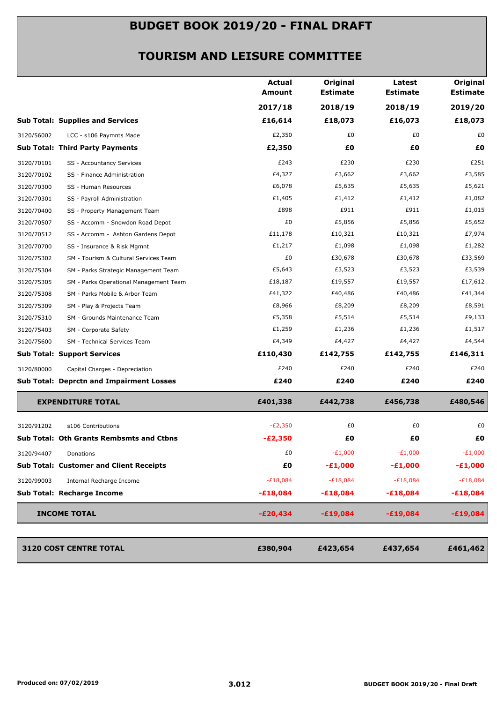|            |                                                 | <b>Actual</b><br>Amount | Original<br><b>Estimate</b> | Latest<br><b>Estimate</b> | Original<br><b>Estimate</b> |
|------------|-------------------------------------------------|-------------------------|-----------------------------|---------------------------|-----------------------------|
|            |                                                 | 2017/18                 | 2018/19                     | 2018/19                   | 2019/20                     |
|            | <b>Sub Total: Supplies and Services</b>         | £16,614                 | £18,073                     | £16,073                   | £18,073                     |
| 3120/56002 | LCC - s106 Paymnts Made                         | £2,350                  | £0                          | £0                        | £0                          |
|            | <b>Sub Total: Third Party Payments</b>          | £2,350                  | £O                          | £Ο                        | £0                          |
| 3120/70101 | SS - Accountancy Services                       | £243                    | £230                        | £230                      | £251                        |
| 3120/70102 | SS - Finance Administration                     | £4,327                  | £3,662                      | £3,662                    | £3,585                      |
| 3120/70300 | SS - Human Resources                            | £6,078                  | £5,635                      | £5,635                    | £5,621                      |
| 3120/70301 | SS - Payroll Administration                     | £1,405                  | £1,412                      | £1,412                    | £1,082                      |
| 3120/70400 | SS - Property Management Team                   | £898                    | £911                        | £911                      | £1,015                      |
| 3120/70507 | SS - Accomm - Snowdon Road Depot                | £0                      | £5,856                      | £5,856                    | £5,652                      |
| 3120/70512 | SS - Accomm - Ashton Gardens Depot              | £11,178                 | £10,321                     | £10,321                   | £7,974                      |
| 3120/70700 | SS - Insurance & Risk Mgmnt                     | £1,217                  | £1,098                      | £1,098                    | £1,282                      |
| 3120/75302 | SM - Tourism & Cultural Services Team           | £0                      | £30,678                     | £30,678                   | £33,569                     |
| 3120/75304 | SM - Parks Strategic Management Team            | £5,643                  | £3,523                      | £3,523                    | £3,539                      |
| 3120/75305 | SM - Parks Operational Management Team          | £18,187                 | £19,557                     | £19,557                   | £17,612                     |
| 3120/75308 | SM - Parks Mobile & Arbor Team                  | £41,322                 | £40,486                     | £40,486                   | £41,344                     |
| 3120/75309 | SM - Play & Projects Team                       | £8,966                  | £8,209                      | £8,209                    | £8,591                      |
| 3120/75310 | SM - Grounds Maintenance Team                   | £5,358                  | £5,514                      | £5,514                    | £9,133                      |
| 3120/75403 | SM - Corporate Safety                           | £1,259                  | £1,236                      | £1,236                    | £1,517                      |
| 3120/75600 | SM - Technical Services Team                    | £4,349                  | £4,427                      | £4,427                    | £4,544                      |
|            | <b>Sub Total: Support Services</b>              | £110,430                | £142,755                    | £142,755                  | £146,311                    |
| 3120/80000 | Capital Charges - Depreciation                  | £240                    | £240                        | £240                      | £240                        |
|            | <b>Sub Total: Deprctn and Impairment Losses</b> | £240                    | £240                        | £240                      | £240                        |
|            | <b>EXPENDITURE TOTAL</b>                        | £401,338                | £442,738                    | £456,738                  | £480,546                    |
| 3120/91202 | s106 Contributions                              | $-E2,350$               | £0                          | £0                        | £0                          |
|            | <b>Sub Total: Oth Grants Rembsmts and Ctbns</b> | $-E2,350$               | £Ο                          | £Ο                        | £0                          |
| 3120/94407 | Donations                                       | £0                      | $-E1,000$                   | -£1,000                   | $-E1,000$                   |
|            | <b>Sub Total: Customer and Client Receipts</b>  | £0                      | $-£1,000$                   | $-£1,000$                 | $-£1,000$                   |
| 3120/99003 | Internal Recharge Income                        | $-E18,084$              | $-E18,084$                  | $-E18,084$                | $-E18,084$                  |
|            | <b>Sub Total: Recharge Income</b>               | $-£18,084$              | $-£18,084$                  | $-£18,084$                | <b>-£18,084</b>             |
|            |                                                 |                         |                             |                           |                             |
|            | <b>INCOME TOTAL</b>                             | $-E20,434$              | $-£19,084$                  | $-£19,084$                | $-£19,084$                  |
|            | 3120 COST CENTRE TOTAL                          | £380,904                | £423,654                    | £437,654                  | £461,462                    |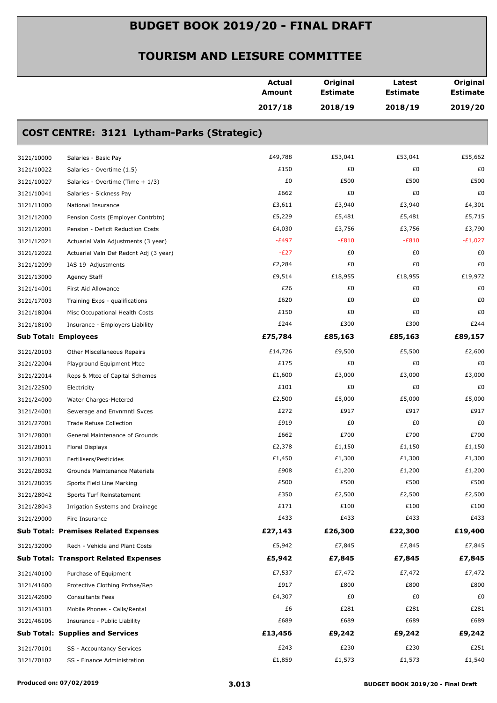|            |                                              | Actual<br>Amount | Original<br><b>Estimate</b> | Latest<br><b>Estimate</b> | Original<br><b>Estimate</b> |
|------------|----------------------------------------------|------------------|-----------------------------|---------------------------|-----------------------------|
|            |                                              | 2017/18          | 2018/19                     | 2018/19                   | 2019/20                     |
|            | COST CENTRE: 3121 Lytham-Parks (Strategic)   |                  |                             |                           |                             |
| 3121/10000 | Salaries - Basic Pay                         | £49,788          | £53,041                     | £53,041                   | £55,662                     |
| 3121/10022 | Salaries - Overtime (1.5)                    | £150             | £0                          | £0                        | £0                          |
| 3121/10027 | Salaries - Overtime (Time + 1/3)             | £0               | £500                        | £500                      | £500                        |
| 3121/10041 | Salaries - Sickness Pay                      | £662             | £0                          | £0                        | £0                          |
| 3121/11000 | National Insurance                           | £3,611           | £3,940                      | £3,940                    | £4,301                      |
| 3121/12000 | Pension Costs (Employer Contrbtn)            | £5,229           | £5,481                      | £5,481                    | £5,715                      |
| 3121/12001 | Pension - Deficit Reduction Costs            | £4,030           | £3,756                      | £3,756                    | £3,790                      |
| 3121/12021 | Actuarial Valn Adjustments (3 year)          | $-E497$          | $-E810$                     | $-E810$                   | $-E1,027$                   |
| 3121/12022 | Actuarial Valn Def Redcnt Adj (3 year)       | $-E27$           | £0                          | £0                        | £0                          |
| 3121/12099 | IAS 19 Adjustments                           | £2,284           | £0                          | £0                        | £0                          |
| 3121/13000 | Agency Staff                                 | £9,514           | £18,955                     | £18,955                   | £19,972                     |
| 3121/14001 | First Aid Allowance                          | £26              | £0                          | £0                        | £0                          |
| 3121/17003 | Training Exps - qualifications               | £620             | £0                          | £0                        | £0                          |
| 3121/18004 | Misc Occupational Health Costs               | £150             | £0                          | £0                        | £0                          |
| 3121/18100 | Insurance - Employers Liability              | £244             | £300                        | £300                      | £244                        |
|            | <b>Sub Total: Employees</b>                  | £75,784          | £85,163                     | £85,163                   | £89,157                     |
| 3121/20103 | Other Miscellaneous Repairs                  | £14,726          | £9,500                      | £5,500                    | £2,600                      |
| 3121/22004 | Playground Equipment Mtce                    | £175             | £0                          | £0                        | £0                          |
| 3121/22014 | Reps & Mtce of Capital Schemes               | £1,600           | £3,000                      | £3,000                    | £3,000                      |
| 3121/22500 | Electricity                                  | £101             | £0                          | £0                        | £0                          |
| 3121/24000 | Water Charges-Metered                        | £2,500           | £5,000                      | £5,000                    | £5,000                      |
| 3121/24001 | Sewerage and Envnmntl Svces                  | £272             | £917                        | £917                      | £917                        |
| 3121/27001 | <b>Trade Refuse Collection</b>               | £919             | £0                          | £0                        | £0                          |
| 3121/28001 | General Maintenance of Grounds               | £662             | £700                        | £700                      | £700                        |
| 3121/28011 | Floral Displays                              | £2,378           | £1,150                      | £1,150                    | £1,150                      |
| 3121/28031 | Fertilisers/Pesticides                       | £1,450           | £1,300                      | £1,300                    | £1,300                      |
| 3121/28032 | Grounds Maintenance Materials                | £908             | £1,200                      | £1,200                    | £1,200                      |
| 3121/28035 | Sports Field Line Marking                    | £500             | £500                        | £500                      | £500                        |
| 3121/28042 | Sports Turf Reinstatement                    | £350             | £2,500                      | £2,500                    | £2,500                      |
| 3121/28043 | Irrigation Systems and Drainage              | £171             | £100                        | £100                      | £100                        |
| 3121/29000 | Fire Insurance                               | £433             | £433                        | £433                      | £433                        |
|            | <b>Sub Total: Premises Related Expenses</b>  | £27,143          | £26,300                     | £22,300                   | £19,400                     |
| 3121/32000 | Rech - Vehicle and Plant Costs               | £5,942           | £7,845                      | £7,845                    | £7,845                      |
|            | <b>Sub Total: Transport Related Expenses</b> | £5,942           | £7,845                      | £7,845                    | £7,845                      |
| 3121/40100 | Purchase of Equipment                        | £7,537           | £7,472                      | £7,472                    | £7,472                      |
| 3121/41600 | Protective Clothing Prchse/Rep               | £917             | £800                        | £800                      | £800                        |
| 3121/42600 | <b>Consultants Fees</b>                      | £4,307           | £0                          | £0                        | £0                          |
| 3121/43103 | Mobile Phones - Calls/Rental                 | £6               | £281                        | £281                      | £281                        |
| 3121/46106 | Insurance - Public Liability                 | £689             | £689                        | £689                      | £689                        |
|            | <b>Sub Total: Supplies and Services</b>      | £13,456          | £9,242                      | £9,242                    | £9,242                      |
| 3121/70101 | SS - Accountancy Services                    | £243             | £230                        | £230                      | £251                        |
| 3121/70102 | SS - Finance Administration                  | £1,859           | £1,573                      | £1,573                    | £1,540                      |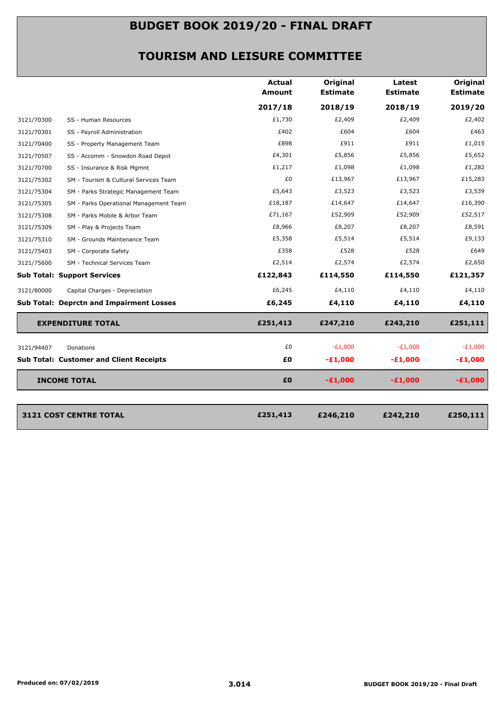|            |                                                 | <b>Actual</b><br>Amount | Original<br><b>Estimate</b> | Latest<br><b>Estimate</b> | <b>Original</b><br><b>Estimate</b> |
|------------|-------------------------------------------------|-------------------------|-----------------------------|---------------------------|------------------------------------|
|            |                                                 | 2017/18                 | 2018/19                     | 2018/19                   | 2019/20                            |
| 3121/70300 | SS - Human Resources                            | £1,730                  | £2,409                      | £2,409                    | £2,402                             |
| 3121/70301 | SS - Payroll Administration                     | £402                    | £604                        | £604                      | £463                               |
| 3121/70400 | SS - Property Management Team                   | £898                    | £911                        | £911                      | £1,015                             |
| 3121/70507 | SS - Accomm - Snowdon Road Depot                | £4,301                  | £5,856                      | £5,856                    | £5,652                             |
| 3121/70700 | SS - Insurance & Risk Mgmnt                     | £1,217                  | £1,098                      | £1,098                    | £1,282                             |
| 3121/75302 | SM - Tourism & Cultural Services Team           | £0                      | £13,967                     | £13,967                   | £15,283                            |
| 3121/75304 | SM - Parks Strategic Management Team            | £5,643                  | £3,523                      | £3,523                    | £3,539                             |
| 3121/75305 | SM - Parks Operational Management Team          | £18,187                 | £14,647                     | £14,647                   | £16,390                            |
| 3121/75308 | SM - Parks Mobile & Arbor Team                  | £71,167                 | £52,909                     | £52,909                   | £52,517                            |
| 3121/75309 | SM - Play & Projects Team                       | £8,966                  | £8,207                      | £8,207                    | £8,591                             |
| 3121/75310 | SM - Grounds Maintenance Team                   | £5,358                  | £5,514                      | £5,514                    | £9,133                             |
| 3121/75403 | SM - Corporate Safety                           | £358                    | £528                        | £528                      | £649                               |
| 3121/75600 | SM - Technical Services Team                    | £2,514                  | £2,574                      | £2,574                    | £2,650                             |
|            | <b>Sub Total: Support Services</b>              | £122,843                | £114,550                    | £114,550                  | £121,357                           |
| 3121/80000 | Capital Charges - Depreciation                  | £6,245                  | £4,110                      | £4,110                    | £4,110                             |
|            | <b>Sub Total: Deprctn and Impairment Losses</b> | £6,245                  | £4,110                      | £4,110                    | £4,110                             |
|            | <b>EXPENDITURE TOTAL</b>                        | £251,413                | £247,210                    | £243,210                  | £251,111                           |
| 3121/94407 | Donations                                       | £0                      | $-E1,000$                   | $-E1,000$                 | $-E1,000$                          |
|            | <b>Sub Total: Customer and Client Receipts</b>  | £0                      | $-E1,000$                   | $-E1,000$                 | $-£1,000$                          |
|            | <b>INCOME TOTAL</b>                             | £0                      | $-£1,000$                   | $-£1,000$                 | $-£1,000$                          |
|            |                                                 |                         |                             |                           |                                    |
|            |                                                 |                         |                             |                           | £250,111                           |
|            | 3121 COST CENTRE TOTAL                          | £251,413                | £246,210                    | £242,210                  |                                    |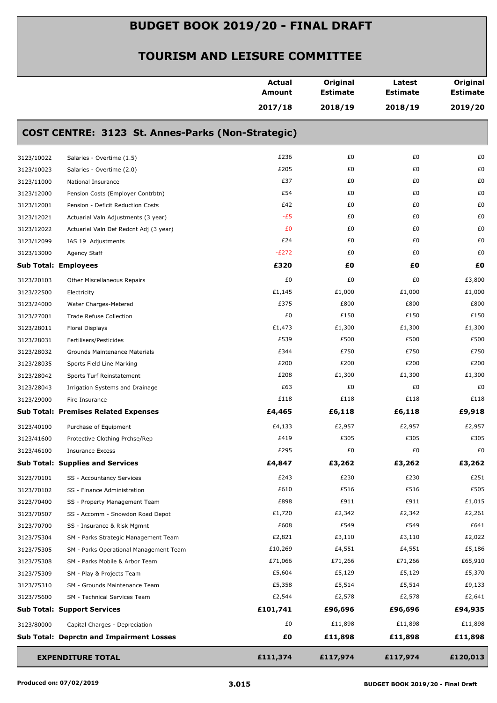|                             |                                                   | <b>Actual</b><br><b>Amount</b> | Original<br><b>Estimate</b> | Latest<br><b>Estimate</b> | Original<br><b>Estimate</b> |
|-----------------------------|---------------------------------------------------|--------------------------------|-----------------------------|---------------------------|-----------------------------|
|                             |                                                   | 2017/18                        | 2018/19                     | 2018/19                   | 2019/20                     |
|                             | COST CENTRE: 3123 St. Annes-Parks (Non-Strategic) |                                |                             |                           |                             |
| 3123/10022                  | Salaries - Overtime (1.5)                         | £236                           | £0                          | £0                        | £0                          |
| 3123/10023                  | Salaries - Overtime (2.0)                         | £205                           | £0                          | £0                        | £0                          |
| 3123/11000                  | National Insurance                                | £37                            | £0                          | £0                        | £0                          |
| 3123/12000                  | Pension Costs (Employer Contrbtn)                 | £54                            | £0                          | £0                        | £0                          |
| 3123/12001                  | Pension - Deficit Reduction Costs                 | £42                            | £0                          | £0                        | £0                          |
| 3123/12021                  | Actuarial Valn Adjustments (3 year)               | $-E5$                          | £0                          | £0                        | £0                          |
| 3123/12022                  | Actuarial Valn Def Redcnt Adj (3 year)            | £0                             | £0                          | £0                        | £0                          |
| 3123/12099                  | IAS 19 Adjustments                                | £24                            | £0                          | £0                        | £0                          |
| 3123/13000                  | Agency Staff                                      | $-E272$                        | £0                          | £0                        | £0                          |
| <b>Sub Total: Employees</b> |                                                   | £320                           | £O                          | £Ο                        | £0                          |
| 3123/20103                  | Other Miscellaneous Repairs                       | £0                             | £0                          | £0                        | £3,800                      |
| 3123/22500                  | Electricity                                       | £1,145                         | £1,000                      | £1,000                    | £1,000                      |
| 3123/24000                  | Water Charges-Metered                             | £375                           | £800                        | £800                      | £800                        |
| 3123/27001                  | Trade Refuse Collection                           | £0                             | £150                        | £150                      | £150                        |
| 3123/28011                  | Floral Displays                                   | £1,473                         | £1,300                      | £1,300                    | £1,300                      |
| 3123/28031                  | Fertilisers/Pesticides                            | £539                           | £500                        | £500                      | £500                        |
| 3123/28032                  | Grounds Maintenance Materials                     | £344                           | £750                        | £750                      | £750                        |
| 3123/28035                  | Sports Field Line Marking                         | £200                           | £200                        | £200                      | £200                        |
| 3123/28042                  | Sports Turf Reinstatement                         | £208                           | £1,300                      | £1,300                    | £1,300                      |
| 3123/28043                  | Irrigation Systems and Drainage                   | £63                            | £0                          | £0                        | £0                          |
| 3123/29000                  | Fire Insurance                                    | £118                           | £118                        | £118                      | £118                        |
|                             | <b>Sub Total: Premises Related Expenses</b>       | £4,465                         | £6,118                      | £6,118                    | £9,918                      |
| 3123/40100                  | Purchase of Equipment                             | £4,133                         | £2,957                      | £2,957                    | £2,957                      |
| 3123/41600                  | Protective Clothing Prchse/Rep                    | £419                           | £305                        | £305                      | £305                        |
| 3123/46100                  | <b>Insurance Excess</b>                           | £295                           | £0                          | £0                        | £0                          |
|                             | <b>Sub Total: Supplies and Services</b>           | £4,847                         | £3,262                      | £3,262                    | £3,262                      |
| 3123/70101                  | SS - Accountancy Services                         | £243                           | £230                        | £230                      | £251                        |
| 3123/70102                  | SS - Finance Administration                       | £610                           | £516                        | £516                      | £505                        |
| 3123/70400                  | SS - Property Management Team                     | £898                           | £911                        | £911                      | £1,015                      |
| 3123/70507                  | SS - Accomm - Snowdon Road Depot                  | £1,720                         | £2,342                      | £2,342                    | £2,261                      |
| 3123/70700                  | SS - Insurance & Risk Mgmnt                       | £608                           | £549                        | £549                      | £641                        |
| 3123/75304                  | SM - Parks Strategic Management Team              | £2,821                         | £3,110                      | £3,110                    | £2,022                      |
| 3123/75305                  | SM - Parks Operational Management Team            | £10,269                        | £4,551                      | £4,551                    | £5,186                      |
| 3123/75308                  | SM - Parks Mobile & Arbor Team                    | £71,066                        | £71,266                     | £71,266                   | £65,910                     |
| 3123/75309                  | SM - Play & Projects Team                         | £5,604                         | £5,129                      | £5,129                    | £5,370                      |
| 3123/75310                  | SM - Grounds Maintenance Team                     | £5,358                         | £5,514                      | £5,514                    | £9,133                      |
| 3123/75600                  | SM - Technical Services Team                      | £2,544                         | £2,578                      | £2,578                    | £2,641                      |
|                             | <b>Sub Total: Support Services</b>                | £101,741                       | £96,696                     | £96,696                   | £94,935                     |
| 3123/80000                  | Capital Charges - Depreciation                    | £0                             | £11,898                     | £11,898                   | £11,898                     |
|                             | <b>Sub Total: Deprctn and Impairment Losses</b>   | £0                             | £11,898                     | £11,898                   | £11,898                     |
|                             | <b>EXPENDITURE TOTAL</b>                          | £111,374                       | £117,974                    | £117,974                  | £120,013                    |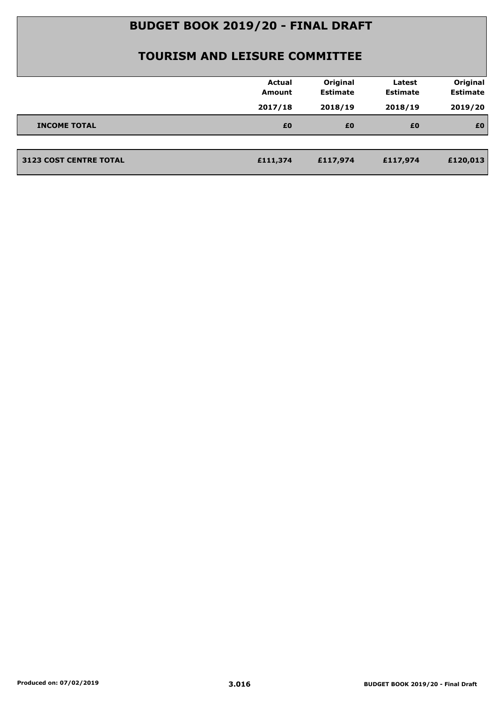|                               | <b>Actual</b><br><b>Amount</b> | Original<br><b>Estimate</b> | Latest<br><b>Estimate</b> | Original<br><b>Estimate</b> |
|-------------------------------|--------------------------------|-----------------------------|---------------------------|-----------------------------|
|                               | 2017/18                        | 2018/19                     | 2018/19                   | 2019/20                     |
| <b>INCOME TOTAL</b>           | £0                             | £0                          | £0                        | £0                          |
|                               |                                |                             |                           |                             |
| <b>3123 COST CENTRE TOTAL</b> | £111,374                       | £117,974                    | £117,974                  | £120,013                    |
|                               |                                |                             |                           |                             |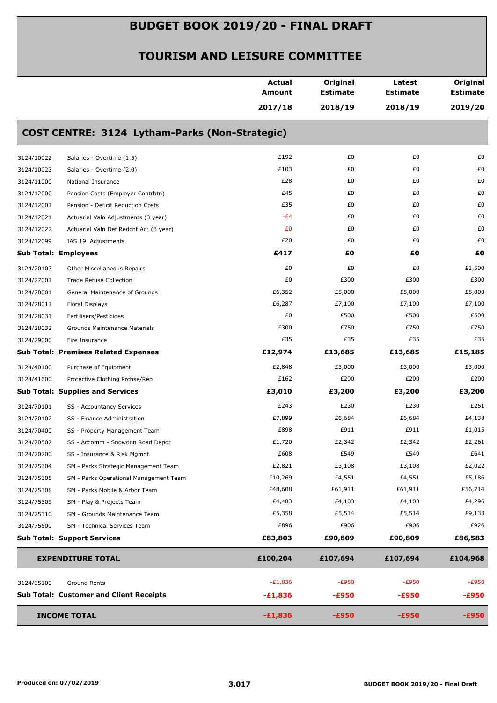|            |                                                | <b>Actual</b><br><b>Amount</b> | Original<br><b>Estimate</b> | Latest<br><b>Estimate</b> | Original<br><b>Estimate</b> |
|------------|------------------------------------------------|--------------------------------|-----------------------------|---------------------------|-----------------------------|
|            |                                                | 2017/18                        | 2018/19                     | 2018/19                   | 2019/20                     |
|            | COST CENTRE: 3124 Lytham-Parks (Non-Strategic) |                                |                             |                           |                             |
| 3124/10022 | Salaries - Overtime (1.5)                      | £192                           | £0                          | £0                        | £0                          |
| 3124/10023 | Salaries - Overtime (2.0)                      | £103                           | £0                          | £0                        | £0                          |
| 3124/11000 | National Insurance                             | £28                            | £0                          | £0                        | £0                          |
| 3124/12000 | Pension Costs (Employer Contrbtn)              | £45                            | £0                          | £0                        | £0                          |
| 3124/12001 | Pension - Deficit Reduction Costs              | £35                            | £0                          | £0                        | £0                          |
| 3124/12021 | Actuarial Valn Adjustments (3 year)            | -£4                            | £0                          | £0                        | £0                          |
| 3124/12022 | Actuarial Valn Def Redcnt Adj (3 year)         | £0                             | £0                          | £0                        | £0                          |
| 3124/12099 | IAS 19 Adjustments                             | £20                            | £0                          | £0                        | £0                          |
|            | <b>Sub Total: Employees</b>                    | £417                           | £0                          | £0                        | £O                          |
| 3124/20103 | Other Miscellaneous Repairs                    | £0                             | £0                          | £0                        | £1,500                      |
| 3124/27001 | <b>Trade Refuse Collection</b>                 | £0                             | £300                        | £300                      | £300                        |
| 3124/28001 | General Maintenance of Grounds                 | £6,352                         | £5,000                      | £5,000                    | £5,000                      |
| 3124/28011 | Floral Displays                                | £6,287                         | £7,100                      | £7,100                    | £7,100                      |
| 3124/28031 | Fertilisers/Pesticides                         | £0                             | £500                        | £500                      | £500                        |
| 3124/28032 | Grounds Maintenance Materials                  | £300                           | £750                        | £750                      | £750                        |
| 3124/29000 | Fire Insurance                                 | £35                            | £35                         | £35                       | £35                         |
|            | <b>Sub Total: Premises Related Expenses</b>    | £12,974                        | £13,685                     | £13,685                   | £15,185                     |
| 3124/40100 | Purchase of Equipment                          | £2,848                         | £3,000                      | £3,000                    | £3,000                      |
| 3124/41600 | Protective Clothing Prchse/Rep                 | £162                           | £200                        | £200                      | £200                        |
|            | <b>Sub Total: Supplies and Services</b>        | £3,010                         | £3,200                      | £3,200                    | £3,200                      |
| 3124/70101 | SS - Accountancy Services                      | £243                           | £230                        | £230                      | £251                        |
| 3124/70102 | SS - Finance Administration                    | £7,899                         | £6,684                      | £6,684                    | £4,138                      |
| 3124/70400 | SS - Property Management Team                  | £898                           | £911                        | £911                      | £1,015                      |
| 3124/70507 | SS - Accomm - Snowdon Road Depot               | £1,720                         | £2,342                      | £2,342                    | £2,261                      |
| 3124/70700 | SS - Insurance & Risk Mgmnt                    | £608                           | £549                        | £549                      | £641                        |
| 3124/75304 | SM - Parks Strategic Management Team           | £2,821                         | £3,108                      | £3,108                    | £2,022                      |
| 3124/75305 | SM - Parks Operational Management Team         | £10,269                        | £4,551                      | £4,551                    | £5,186                      |
| 3124/75308 | SM - Parks Mobile & Arbor Team                 | £48,608                        | £61,911                     | £61,911                   | £56,714                     |
| 3124/75309 | SM - Play & Projects Team                      | £4,483                         | £4,103                      | £4,103                    | £4,296                      |
| 3124/75310 | SM - Grounds Maintenance Team                  | £5,358                         | £5,514                      | £5,514                    | £9,133                      |
| 3124/75600 | SM - Technical Services Team                   | £896                           | £906                        | £906                      | £926                        |
|            | <b>Sub Total: Support Services</b>             | £83,803                        | £90,809                     | £90,809                   | £86,583                     |
|            | <b>EXPENDITURE TOTAL</b>                       | £100,204                       | £107,694                    | £107,694                  | £104,968                    |
| 3124/95100 | Ground Rents                                   | $-E1,836$                      | $-E950$                     | $-E950$                   | $-E950$                     |
|            | <b>Sub Total: Customer and Client Receipts</b> | $-£1,836$                      | $-£950$                     | $-£950$                   | $-£950$                     |
|            | <b>INCOME TOTAL</b>                            | $-£1,836$                      | $-£950$                     | $-£950$                   | $-£950$                     |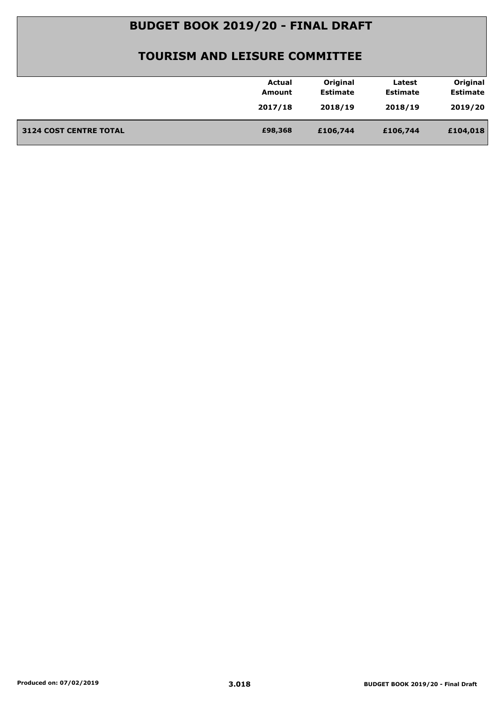|                               | Actual  | Original        | Latest          | Original        |
|-------------------------------|---------|-----------------|-----------------|-----------------|
|                               | Amount  | <b>Estimate</b> | <b>Estimate</b> | <b>Estimate</b> |
|                               | 2017/18 | 2018/19         | 2018/19         | 2019/20         |
| <b>3124 COST CENTRE TOTAL</b> | £98,368 | £106,744        | £106,744        | £104,018        |
|                               |         |                 |                 |                 |
|                               |         |                 |                 |                 |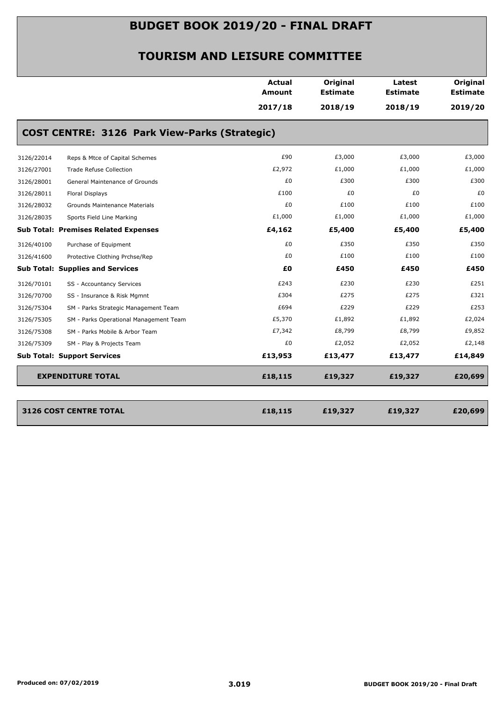|            |                                                      | <b>Actual</b><br>Amount | Original<br><b>Estimate</b> | Latest<br><b>Estimate</b> | Original<br><b>Estimate</b> |
|------------|------------------------------------------------------|-------------------------|-----------------------------|---------------------------|-----------------------------|
|            |                                                      | 2017/18                 | 2018/19                     | 2018/19                   | 2019/20                     |
|            | <b>COST CENTRE: 3126 Park View-Parks (Strategic)</b> |                         |                             |                           |                             |
| 3126/22014 | Reps & Mtce of Capital Schemes                       | £90                     | £3,000                      | £3,000                    | £3,000                      |
| 3126/27001 | Trade Refuse Collection                              | £2,972                  | £1,000                      | £1,000                    | £1,000                      |
| 3126/28001 | General Maintenance of Grounds                       | £0                      | £300                        | £300                      | £300                        |
| 3126/28011 | Floral Displays                                      | £100                    | £0                          | £0                        | £0                          |
| 3126/28032 | Grounds Maintenance Materials                        | £0                      | £100                        | £100                      | £100                        |
| 3126/28035 | Sports Field Line Marking                            | £1,000                  | £1,000                      | £1,000                    | £1,000                      |
|            | <b>Sub Total: Premises Related Expenses</b>          | £4,162                  | £5,400                      | £5,400                    | £5,400                      |
| 3126/40100 | Purchase of Equipment                                | £0                      | £350                        | £350                      | £350                        |
| 3126/41600 | Protective Clothing Prchse/Rep                       | £0                      | £100                        | £100                      | £100                        |
|            | <b>Sub Total: Supplies and Services</b>              | £0                      | £450                        | £450                      | £450                        |
| 3126/70101 | SS - Accountancy Services                            | £243                    | £230                        | £230                      | £251                        |
| 3126/70700 | SS - Insurance & Risk Mgmnt                          | £304                    | £275                        | £275                      | £321                        |
| 3126/75304 | SM - Parks Strategic Management Team                 | £694                    | £229                        | £229                      | £253                        |
| 3126/75305 | SM - Parks Operational Management Team               | £5,370                  | £1,892                      | £1,892                    | £2,024                      |
| 3126/75308 | SM - Parks Mobile & Arbor Team                       | £7,342                  | £8,799                      | £8,799                    | £9,852                      |
| 3126/75309 | SM - Play & Projects Team                            | £0                      | £2,052                      | £2,052                    | £2,148                      |
|            | <b>Sub Total: Support Services</b>                   | £13,953                 | £13,477                     | £13,477                   | £14,849                     |
|            | <b>EXPENDITURE TOTAL</b>                             | £18,115                 | £19,327                     | £19,327                   | £20,699                     |
|            | 3126 COST CENTRE TOTAL                               | £18,115                 | £19,327                     | £19,327                   | £20,699                     |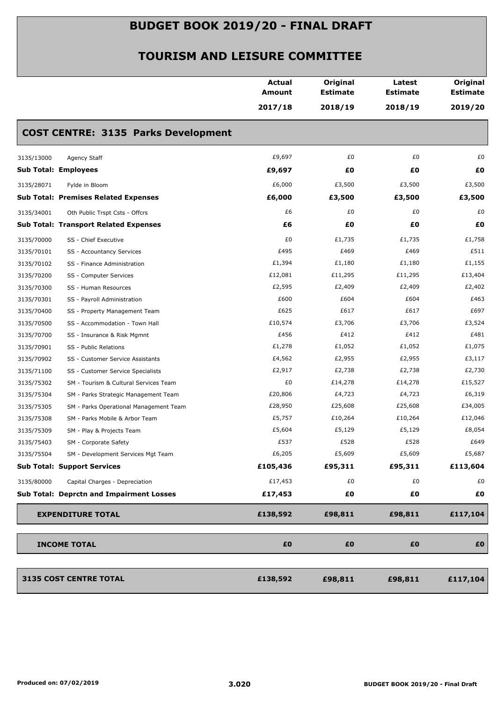|            |                                              | <b>Actual</b><br><b>Amount</b> | Original<br><b>Estimate</b> | Latest<br><b>Estimate</b> | Original<br><b>Estimate</b> |
|------------|----------------------------------------------|--------------------------------|-----------------------------|---------------------------|-----------------------------|
|            |                                              | 2017/18                        | 2018/19                     | 2018/19                   | 2019/20                     |
|            | <b>COST CENTRE: 3135 Parks Development</b>   |                                |                             |                           |                             |
| 3135/13000 | Agency Staff                                 | £9,697                         | £0                          | £0                        | £0                          |
|            | <b>Sub Total: Employees</b>                  | £9,697                         | £O                          | £0                        | £0                          |
| 3135/28071 | Fylde in Bloom                               | £6,000                         | £3,500                      | £3,500                    | £3,500                      |
|            | <b>Sub Total: Premises Related Expenses</b>  | £6,000                         | £3,500                      | £3,500                    | £3,500                      |
| 3135/34001 | Oth Public Trspt Csts - Offcrs               | £6                             | £0                          | £0                        | £0                          |
|            | <b>Sub Total: Transport Related Expenses</b> | £6                             | £O                          | £0                        | £0                          |
| 3135/70000 | SS - Chief Executive                         | £0                             | £1,735                      | £1,735                    | £1,758                      |
| 3135/70101 | SS - Accountancy Services                    | £495                           | £469                        | £469                      | £511                        |
| 3135/70102 | SS - Finance Administration                  | £1,394                         | £1,180                      | £1,180                    | £1,155                      |
| 3135/70200 | SS - Computer Services                       | £12,081                        | £11,295                     | £11,295                   | £13,404                     |
| 3135/70300 | SS - Human Resources                         | £2,595                         | £2,409                      | £2,409                    | £2,402                      |
| 3135/70301 | SS - Payroll Administration                  | £600                           | £604                        | £604                      | £463                        |
| 3135/70400 | SS - Property Management Team                | £625                           | £617                        | £617                      | £697                        |
| 3135/70500 | SS - Accommodation - Town Hall               | £10,574                        | £3,706                      | £3,706                    | £3,524                      |
| 3135/70700 | SS - Insurance & Risk Mgmnt                  | £456                           | £412                        | £412                      | £481                        |
| 3135/70901 | SS - Public Relations                        | £1,278                         | £1,052                      | £1,052                    | £1,075                      |
| 3135/70902 | SS - Customer Service Assistants             | £4,562                         | £2,955                      | £2,955                    | £3,117                      |
| 3135/71100 | SS - Customer Service Specialists            | £2,917                         | £2,738                      | £2,738                    | £2,730                      |
| 3135/75302 | SM - Tourism & Cultural Services Team        | £0                             | £14,278                     | £14,278                   | £15,527                     |
| 3135/75304 | SM - Parks Strategic Management Team         | £20,806                        | £4,723                      | £4,723                    | £6,319                      |
| 3135/75305 | SM - Parks Operational Management Team       | £28,950                        | £25,608                     | £25,608                   | £34,005                     |
| 3135/75308 | SM - Parks Mobile & Arbor Team               | £5,757                         | £10,264                     | £10,264                   | £12,046                     |
| 3135/75309 | SM - Play & Projects Team                    | £5,604                         | £5,129                      | £5,129                    | £8,054                      |
| 3135/75403 | SM - Corporate Safety                        | £537                           | £528                        | £528                      | £649                        |
| 3135/75504 | SM - Development Services Mgt Team           | £6,205                         | £5,609                      | £5,609                    | £5,687                      |
|            | <b>Sub Total: Support Services</b>           | £105,436                       | £95,311                     | £95,311                   | £113,604                    |
| 3135/80000 | Capital Charges - Depreciation               | £17,453                        | £0                          | £0                        | £0                          |
|            | Sub Total: Deprctn and Impairment Losses     | £17,453                        | £0                          | £Ο                        | £0                          |
|            | <b>EXPENDITURE TOTAL</b>                     | £138,592                       | £98,811                     | £98,811                   | £117,104                    |
|            | <b>INCOME TOTAL</b>                          | £0                             | £0                          | £0                        | £0                          |
|            | 3135 COST CENTRE TOTAL                       | £138,592                       | £98,811                     | £98,811                   | £117,104                    |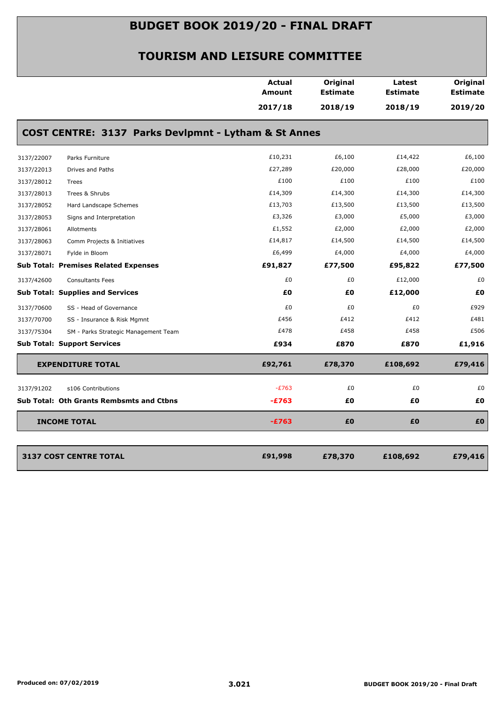|            |                                                      | <b>Actual</b><br><b>Amount</b> | Original<br><b>Estimate</b> | Latest<br><b>Estimate</b> | Original<br><b>Estimate</b> |
|------------|------------------------------------------------------|--------------------------------|-----------------------------|---------------------------|-----------------------------|
|            |                                                      | 2017/18                        | 2018/19                     | 2018/19                   | 2019/20                     |
|            | COST CENTRE: 3137 Parks Devlpmnt - Lytham & St Annes |                                |                             |                           |                             |
| 3137/22007 | Parks Furniture                                      | £10,231                        | £6,100                      | £14,422                   | £6,100                      |
| 3137/22013 | Drives and Paths                                     | £27,289                        | £20,000                     | £28,000                   | £20,000                     |
| 3137/28012 | Trees                                                | £100                           | £100                        | £100                      | £100                        |
| 3137/28013 | Trees & Shrubs                                       | £14,309                        | £14,300                     | £14,300                   | £14,300                     |
| 3137/28052 | Hard Landscape Schemes                               | £13,703                        | £13,500                     | £13,500                   | £13,500                     |
| 3137/28053 | Signs and Interpretation                             | £3,326                         | £3,000                      | £5,000                    | £3,000                      |
| 3137/28061 | Allotments                                           | £1,552                         | £2,000                      | £2,000                    | £2,000                      |
| 3137/28063 | Comm Projects & Initiatives                          | £14,817                        | £14,500                     | £14,500                   | £14,500                     |
| 3137/28071 | Fylde in Bloom                                       | £6,499                         | £4,000                      | £4,000                    | £4,000                      |
|            | <b>Sub Total: Premises Related Expenses</b>          | £91,827                        | £77,500                     | £95,822                   | £77,500                     |
| 3137/42600 | <b>Consultants Fees</b>                              | £0                             | £0                          | £12,000                   | £0                          |
|            | <b>Sub Total: Supplies and Services</b>              | £0                             | £0                          | £12,000                   | £0                          |
| 3137/70600 | SS - Head of Governance                              | £0                             | £0                          | £0                        | £929                        |
| 3137/70700 | SS - Insurance & Risk Mgmnt                          | £456                           | £412                        | £412                      | £481                        |
| 3137/75304 | SM - Parks Strategic Management Team                 | £478                           | £458                        | £458                      | £506                        |
|            | <b>Sub Total: Support Services</b>                   | £934                           | £870                        | £870                      | £1,916                      |
|            | <b>EXPENDITURE TOTAL</b>                             | £92,761                        | £78,370                     | £108,692                  | £79,416                     |
| 3137/91202 | s106 Contributions                                   | $-E763$                        | £0                          | £0                        | £0                          |
|            | <b>Sub Total: Oth Grants Rembsmts and Ctbns</b>      | $-E763$                        | £0                          | £Ο                        | £0                          |
|            | <b>INCOME TOTAL</b>                                  | $-E763$                        | £0                          | £0                        | £0                          |
|            |                                                      |                                |                             |                           |                             |
|            | <b>3137 COST CENTRE TOTAL</b>                        | £91,998                        | £78,370                     | £108,692                  | £79,416                     |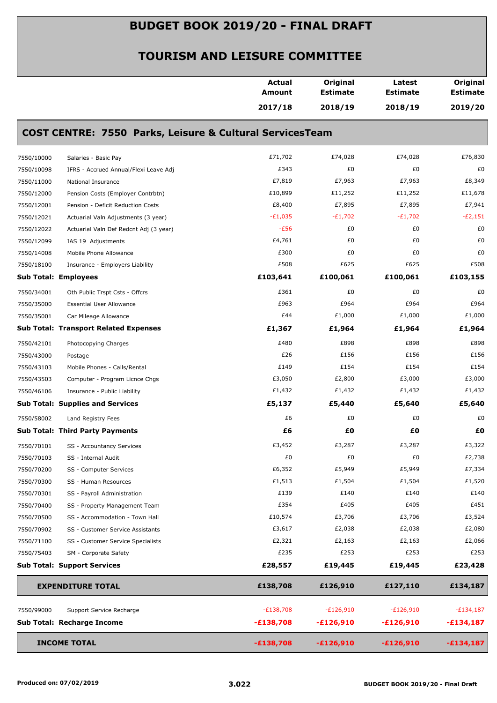|            |                                                                     | <b>Actual</b><br><b>Amount</b> | Original<br><b>Estimate</b> | Latest<br><b>Estimate</b> | Original<br><b>Estimate</b> |
|------------|---------------------------------------------------------------------|--------------------------------|-----------------------------|---------------------------|-----------------------------|
|            |                                                                     | 2017/18                        | 2018/19                     | 2018/19                   | 2019/20                     |
|            | <b>COST CENTRE: 7550 Parks, Leisure &amp; Cultural ServicesTeam</b> |                                |                             |                           |                             |
| 7550/10000 | Salaries - Basic Pay                                                | £71,702                        | £74,028                     | £74,028                   | £76,830                     |
| 7550/10098 | IFRS - Accrued Annual/Flexi Leave Adj                               | £343                           | £0                          | £0                        | £0                          |
| 7550/11000 | National Insurance                                                  | £7,819                         | £7,963                      | £7,963                    | £8,349                      |
| 7550/12000 | Pension Costs (Employer Contrbtn)                                   | £10,899                        | £11,252                     | £11,252                   | £11,678                     |
| 7550/12001 | Pension - Deficit Reduction Costs                                   | £8,400                         | £7,895                      | £7,895                    | £7,941                      |
| 7550/12021 | Actuarial Valn Adjustments (3 year)                                 | $-E1,035$                      | $-E1,702$                   | $-E1,702$                 | $-E2,151$                   |
| 7550/12022 | Actuarial Valn Def Redcnt Adj (3 year)                              | $-E56$                         | £0                          | £0                        | £0                          |
| 7550/12099 | IAS 19 Adjustments                                                  | £4,761                         | £0                          | £0                        | £0                          |
| 7550/14008 | Mobile Phone Allowance                                              | £300                           | £0                          | £0                        | £0                          |
| 7550/18100 | Insurance - Employers Liability                                     | £508                           | £625                        | £625                      | £508                        |
|            | Sub Total: Employees                                                | £103,641                       | £100,061                    | £100,061                  | £103,155                    |
| 7550/34001 | Oth Public Trspt Csts - Offcrs                                      | £361                           | £0                          | £0                        | £0                          |
| 7550/35000 | <b>Essential User Allowance</b>                                     | £963                           | £964                        | £964                      | £964                        |
| 7550/35001 | Car Mileage Allowance                                               | £44                            | £1,000                      | £1,000                    | £1,000                      |
|            | <b>Sub Total: Transport Related Expenses</b>                        | £1,367                         | £1,964                      | £1,964                    | £1,964                      |
| 7550/42101 | Photocopying Charges                                                | £480                           | £898                        | £898                      | £898                        |
| 7550/43000 | Postage                                                             | £26                            | £156                        | £156                      | £156                        |
| 7550/43103 | Mobile Phones - Calls/Rental                                        | £149                           | £154                        | £154                      | £154                        |
| 7550/43503 | Computer - Program Licnce Chgs                                      | £3,050                         | £2,800                      | £3,000                    | £3,000                      |
| 7550/46106 | Insurance - Public Liability                                        | £1,432                         | £1,432                      | £1,432                    | £1,432                      |
|            | <b>Sub Total: Supplies and Services</b>                             | £5,137                         | £5,440                      | £5,640                    | £5,640                      |
| 7550/58002 | Land Registry Fees                                                  | £6                             | £0                          | £0                        | £0                          |
|            | <b>Sub Total: Third Party Payments</b>                              | £6                             | £O                          | £0                        | £0                          |
| 7550/70101 | SS - Accountancy Services                                           | £3,452                         | £3,287                      | £3,287                    | £3,322                      |
| 7550/70103 | SS - Internal Audit                                                 | £0                             | £0                          | £0                        | £2,738                      |
| 7550/70200 | SS - Computer Services                                              | £6,352                         | £5,949                      | £5,949                    | £7,334                      |
| 7550/70300 | SS - Human Resources                                                | £1,513                         | £1,504                      | £1,504                    | £1,520                      |
| 7550/70301 | SS - Payroll Administration                                         | £139                           | £140                        | £140                      | £140                        |
| 7550/70400 | SS - Property Management Team                                       | £354                           | £405                        | £405                      | £451                        |
| 7550/70500 | SS - Accommodation - Town Hall                                      | £10,574                        | £3,706                      | £3,706                    | £3,524                      |
| 7550/70902 | SS - Customer Service Assistants                                    | £3,617                         | £2,038                      | £2,038                    | £2,080                      |
| 7550/71100 | SS - Customer Service Specialists                                   | £2,321                         | £2,163                      | £2,163                    | £2,066                      |
| 7550/75403 | SM - Corporate Safety                                               | £235                           | £253                        | £253                      | £253                        |
|            | <b>Sub Total: Support Services</b>                                  | £28,557                        | £19,445                     | £19,445                   | £23,428                     |
|            | <b>EXPENDITURE TOTAL</b>                                            | £138,708                       | £126,910                    | £127,110                  | £134,187                    |
| 7550/99000 | Support Service Recharge                                            | $-E138,708$                    | $-E126,910$                 | $-E126,910$               | $-E134,187$                 |
|            | Sub Total: Recharge Income                                          | $-£138,708$                    | $-£126,910$                 | $-£126,910$               | $-£134,187$                 |
|            |                                                                     |                                |                             |                           |                             |
|            | <b>INCOME TOTAL</b>                                                 | $-£138,708$                    | $-£126,910$                 | $-£126,910$               | $-£134,187$                 |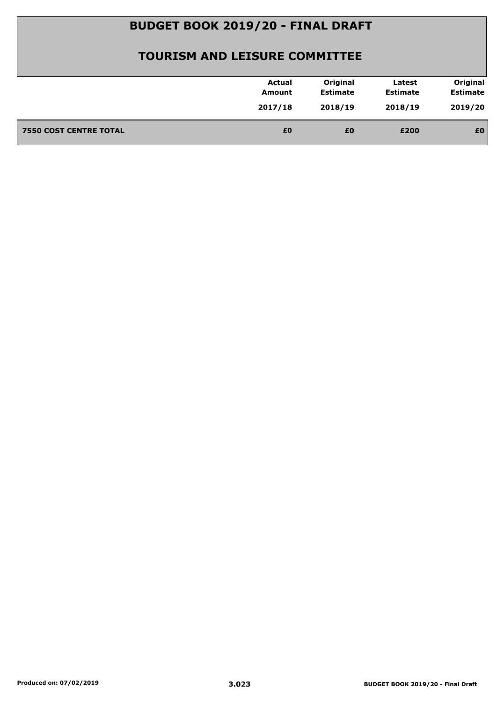| 2019/20<br>2017/18<br>2018/19<br>2018/19<br>£0<br><b>7550 COST CENTRE TOTAL</b><br>£0<br>£0<br>£200 | <b>Actual</b><br>Amount | Original<br><b>Estimate</b> | Latest<br><b>Estimate</b> | Original<br><b>Estimate</b> |
|-----------------------------------------------------------------------------------------------------|-------------------------|-----------------------------|---------------------------|-----------------------------|
|                                                                                                     |                         |                             |                           |                             |
|                                                                                                     |                         |                             |                           |                             |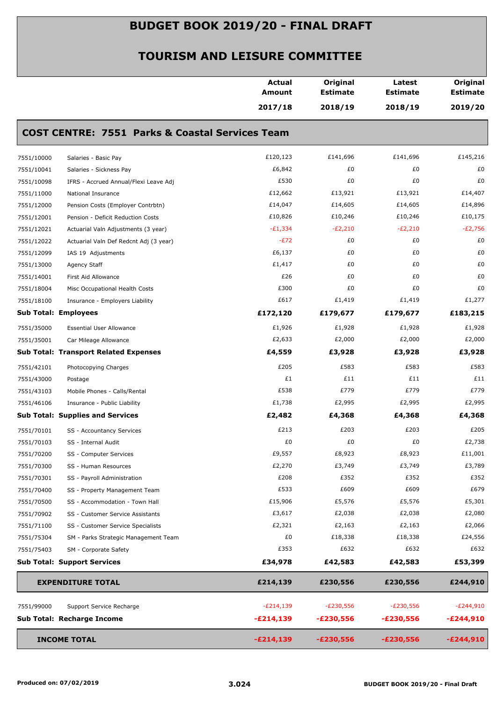|            |                                                            | <b>Actual</b><br>Amount | Original<br><b>Estimate</b> | Latest<br><b>Estimate</b> | Original<br><b>Estimate</b> |
|------------|------------------------------------------------------------|-------------------------|-----------------------------|---------------------------|-----------------------------|
|            |                                                            | 2017/18                 | 2018/19                     | 2018/19                   | 2019/20                     |
|            | <b>COST CENTRE: 7551 Parks &amp; Coastal Services Team</b> |                         |                             |                           |                             |
| 7551/10000 | Salaries - Basic Pay                                       | £120,123                | £141,696                    | £141,696                  | £145,216                    |
| 7551/10041 | Salaries - Sickness Pay                                    | £6,842                  | £0                          | £0                        | £0                          |
| 7551/10098 | IFRS - Accrued Annual/Flexi Leave Adj                      | £530                    | £0                          | £0                        | £0                          |
| 7551/11000 | National Insurance                                         | £12,662                 | £13,921                     | £13,921                   | £14,407                     |
| 7551/12000 | Pension Costs (Employer Contrbtn)                          | £14,047                 | £14,605                     | £14,605                   | £14,896                     |
| 7551/12001 | Pension - Deficit Reduction Costs                          | £10,826                 | £10,246                     | £10,246                   | £10,175                     |
| 7551/12021 | Actuarial Valn Adjustments (3 year)                        | $-E1,334$               | $-E2,210$                   | $-E2,210$                 | $-E2,756$                   |
| 7551/12022 | Actuarial Valn Def Redcnt Adj (3 year)                     | $-E72$                  | £0                          | £0                        | £0                          |
| 7551/12099 | IAS 19 Adjustments                                         | £6,137                  | £0                          | £0                        | £0                          |
| 7551/13000 | Agency Staff                                               | £1,417                  | £0                          | £0                        | £0                          |
| 7551/14001 | First Aid Allowance                                        | £26                     | £0                          | £0                        | £0                          |
| 7551/18004 | Misc Occupational Health Costs                             | £300                    | £0                          | £0                        | £0                          |
| 7551/18100 | Insurance - Employers Liability                            | £617                    | £1,419                      | £1,419                    | £1,277                      |
|            | <b>Sub Total: Employees</b>                                | £172,120                | £179,677                    | £179,677                  | £183,215                    |
| 7551/35000 | <b>Essential User Allowance</b>                            | £1,926                  | £1,928                      | £1,928                    | £1,928                      |
| 7551/35001 | Car Mileage Allowance                                      | £2,633                  | £2,000                      | £2,000                    | £2,000                      |
|            | <b>Sub Total: Transport Related Expenses</b>               | £4,559                  | £3,928                      | £3,928                    | £3,928                      |
| 7551/42101 | Photocopying Charges                                       | £205                    | £583                        | £583                      | £583                        |
| 7551/43000 | Postage                                                    | £1                      | £11                         | £11                       | £11                         |
| 7551/43103 | Mobile Phones - Calls/Rental                               | £538                    | £779                        | £779                      | £779                        |
| 7551/46106 | Insurance - Public Liability                               | £1,738                  | £2,995                      | £2,995                    | £2,995                      |
|            | <b>Sub Total: Supplies and Services</b>                    | £2,482                  | £4,368                      | £4,368                    | £4,368                      |
| 7551/70101 | SS - Accountancy Services                                  | £213                    | £203                        | £203                      | £205                        |
| 7551/70103 | SS - Internal Audit                                        | £0                      | £0                          | £0                        | £2,738                      |
| 7551/70200 | SS - Computer Services                                     | £9,557                  | £8,923                      | £8,923                    | £11,001                     |
| 7551/70300 | SS - Human Resources                                       | £2,270                  | £3,749                      | £3,749                    | £3,789                      |
| 7551/70301 | SS - Payroll Administration                                | £208                    | £352                        | £352                      | £352                        |
| 7551/70400 | SS - Property Management Team                              | £533                    | £609                        | £609                      | £679                        |
| 7551/70500 | SS - Accommodation - Town Hall                             | £15,906                 | £5,576                      | £5,576                    | £5,301                      |
| 7551/70902 | SS - Customer Service Assistants                           | £3,617                  | £2,038                      | £2,038                    | £2,080                      |
| 7551/71100 | SS - Customer Service Specialists                          | £2,321                  | £2,163                      | £2,163                    | £2,066                      |
| 7551/75304 | SM - Parks Strategic Management Team                       | £0                      | £18,338                     | £18,338                   | £24,556                     |
| 7551/75403 | SM - Corporate Safety                                      | £353                    | £632                        | £632                      | £632                        |
|            | <b>Sub Total: Support Services</b>                         | £34,978                 | £42,583                     | £42,583                   | £53,399                     |
|            | <b>EXPENDITURE TOTAL</b>                                   | £214,139                | £230,556                    | £230,556                  | £244,910                    |
| 7551/99000 | Support Service Recharge                                   | $-E214,139$             | $-E230,556$                 | $-E230,556$               | $-E244,910$                 |
|            | Sub Total: Recharge Income                                 | $-E214,139$             | $-£230,556$                 | $-E230,556$               | $-E244,910$                 |
|            | <b>INCOME TOTAL</b>                                        | $-E214,139$             | $-E230,556$                 | $-£230,556$               | $-E244,910$                 |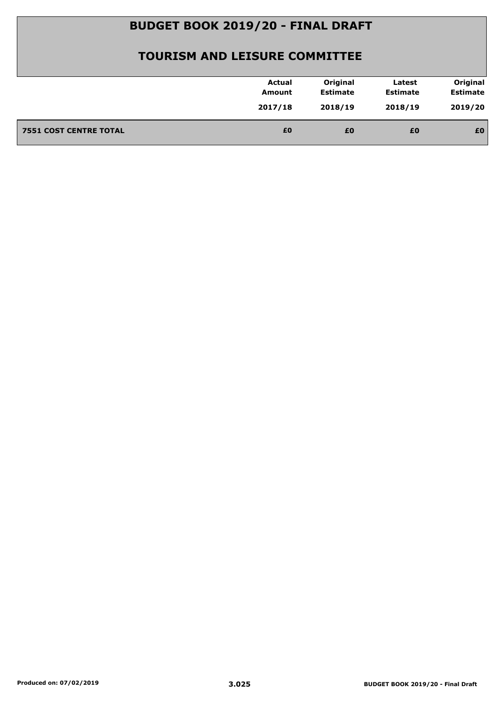| 2019/20<br>2017/18<br>2018/19<br>2018/19<br>£0<br><b>7551 COST CENTRE TOTAL</b><br>£0<br>£0<br>£0 | <b>Actual</b><br>Amount | Original<br><b>Estimate</b> | Latest<br><b>Estimate</b> | Original<br><b>Estimate</b> |
|---------------------------------------------------------------------------------------------------|-------------------------|-----------------------------|---------------------------|-----------------------------|
|                                                                                                   |                         |                             |                           |                             |
|                                                                                                   |                         |                             |                           |                             |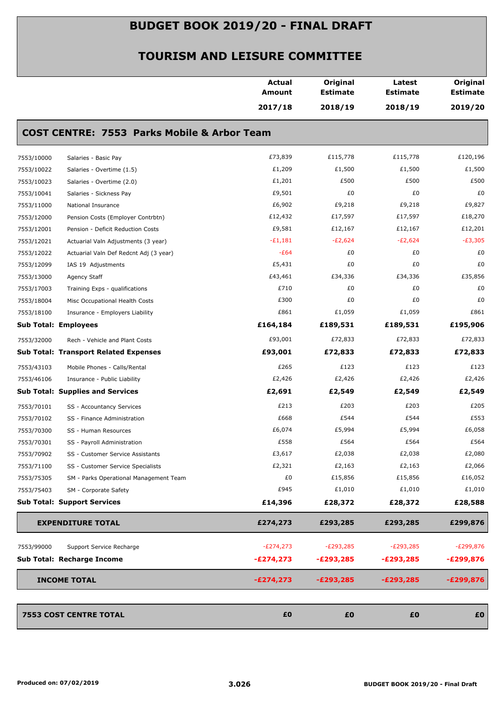|            |                                                        | <b>Actual</b><br><b>Amount</b> | Original<br><b>Estimate</b> | Latest<br><b>Estimate</b> | Original<br><b>Estimate</b> |
|------------|--------------------------------------------------------|--------------------------------|-----------------------------|---------------------------|-----------------------------|
|            |                                                        | 2017/18                        | 2018/19                     | 2018/19                   | 2019/20                     |
|            | <b>COST CENTRE: 7553 Parks Mobile &amp; Arbor Team</b> |                                |                             |                           |                             |
| 7553/10000 | Salaries - Basic Pay                                   | £73,839                        | £115,778                    | £115,778                  | £120,196                    |
| 7553/10022 | Salaries - Overtime (1.5)                              | £1,209                         | £1,500                      | £1,500                    | £1,500                      |
| 7553/10023 | Salaries - Overtime (2.0)                              | £1,201                         | £500                        | £500                      | £500                        |
| 7553/10041 | Salaries - Sickness Pay                                | £9,501                         | £0                          | £0                        | £0                          |
| 7553/11000 | National Insurance                                     | £6,902                         | £9,218                      | £9,218                    | £9,827                      |
| 7553/12000 | Pension Costs (Employer Contrbtn)                      | £12,432                        | £17,597                     | £17,597                   | £18,270                     |
| 7553/12001 | Pension - Deficit Reduction Costs                      | £9,581                         | £12,167                     | £12,167                   | £12,201                     |
| 7553/12021 | Actuarial Valn Adjustments (3 year)                    | $-E1,181$                      | $-E2,624$                   | $-E2,624$                 | $-E3,305$                   |
| 7553/12022 | Actuarial Valn Def Redcnt Adj (3 year)                 | $-E64$                         | £0                          | £0                        | £0                          |
| 7553/12099 | IAS 19 Adjustments                                     | £5,431                         | £0                          | £0                        | £0                          |
| 7553/13000 | Agency Staff                                           | £43,461                        | £34,336                     | £34,336                   | £35,856                     |
| 7553/17003 | Training Exps - qualifications                         | £710                           | £0                          | £0                        | £0                          |
| 7553/18004 | Misc Occupational Health Costs                         | £300                           | £0                          | £0                        | £0                          |
| 7553/18100 | Insurance - Employers Liability                        | £861                           | £1,059                      | £1,059                    | £861                        |
|            | <b>Sub Total: Employees</b>                            | £164,184                       | £189,531                    | £189,531                  | £195,906                    |
| 7553/32000 | Rech - Vehicle and Plant Costs                         | £93,001                        | £72,833                     | £72,833                   | £72,833                     |
|            | <b>Sub Total: Transport Related Expenses</b>           | £93,001                        | £72,833                     | £72,833                   | £72,833                     |
| 7553/43103 | Mobile Phones - Calls/Rental                           | £265                           | £123                        | £123                      | £123                        |
| 7553/46106 | Insurance - Public Liability                           | £2,426                         | £2,426                      | £2,426                    | £2,426                      |
|            | <b>Sub Total: Supplies and Services</b>                | £2,691                         | £2,549                      | £2,549                    | £2,549                      |
| 7553/70101 | SS - Accountancy Services                              | £213                           | £203                        | £203                      | £205                        |
| 7553/70102 | SS - Finance Administration                            | £668                           | £544                        | £544                      | £553                        |
| 7553/70300 | SS - Human Resources                                   | £6,074                         | £5,994                      | £5,994                    | £6,058                      |
| 7553/70301 | SS - Payroll Administration                            | £558                           | £564                        | £564                      | £564                        |
| 7553/70902 | SS - Customer Service Assistants                       | £3,617                         | £2,038                      | £2,038                    | £2,080                      |
| 7553/71100 | SS - Customer Service Specialists                      | £2,321                         | £2,163                      | £2,163                    | £2,066                      |
| 7553/75305 | SM - Parks Operational Management Team                 | £0                             | £15,856                     | £15,856                   | £16,052                     |
| 7553/75403 | SM - Corporate Safety                                  | £945                           | £1,010                      | £1,010                    | £1,010                      |
|            | <b>Sub Total: Support Services</b>                     | £14,396                        | £28,372                     | £28,372                   | £28,588                     |
|            | <b>EXPENDITURE TOTAL</b>                               | £274,273                       | £293,285                    | £293,285                  | £299,876                    |
| 7553/99000 | Support Service Recharge                               | $-E274,273$                    | $-E293,285$                 | $-E293,285$               | $-E299,876$                 |
|            | Sub Total: Recharge Income                             | $-E274,273$                    | -£293,285                   | $-E293,285$               | $-E299,876$                 |
|            | <b>INCOME TOTAL</b>                                    | $-E274,273$                    | $-E293,285$                 | $-E293,285$               | $-E299,876$                 |
|            |                                                        |                                |                             |                           |                             |
|            | <b>7553 COST CENTRE TOTAL</b>                          | £0                             | £0                          | £0                        | £0                          |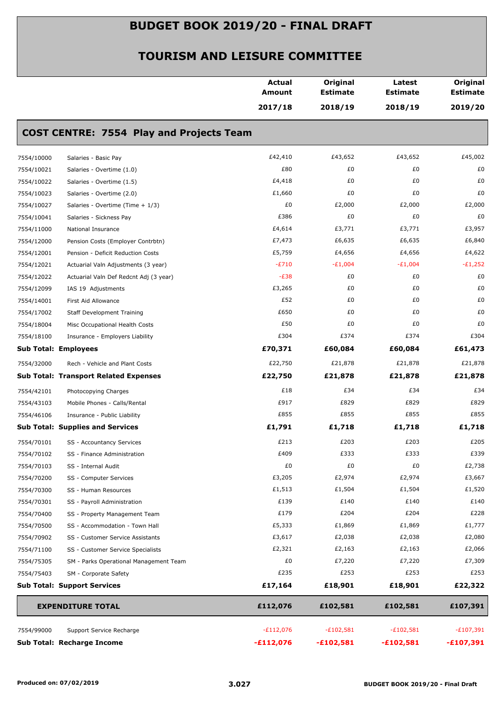|            |                                                 | Actual<br><b>Amount</b> | Original<br><b>Estimate</b> | Latest<br><b>Estimate</b> | Original<br><b>Estimate</b> |
|------------|-------------------------------------------------|-------------------------|-----------------------------|---------------------------|-----------------------------|
|            |                                                 | 2017/18                 | 2018/19                     | 2018/19                   | 2019/20                     |
|            | <b>COST CENTRE: 7554 Play and Projects Team</b> |                         |                             |                           |                             |
| 7554/10000 | Salaries - Basic Pay                            | £42,410                 | £43,652                     | £43,652                   | £45,002                     |
| 7554/10021 | Salaries - Overtime (1.0)                       | £80                     | £0                          | £0                        | £0                          |
| 7554/10022 | Salaries - Overtime (1.5)                       | £4,418                  | £0                          | £0                        | £0                          |
| 7554/10023 | Salaries - Overtime (2.0)                       | £1,660                  | £0                          | £0                        | £0                          |
| 7554/10027 | Salaries - Overtime (Time + 1/3)                | £0                      | £2,000                      | £2,000                    | £2,000                      |
| 7554/10041 | Salaries - Sickness Pay                         | £386                    | £0                          | £0                        | £0                          |
| 7554/11000 | National Insurance                              | £4,614                  | £3,771                      | £3,771                    | £3,957                      |
| 7554/12000 | Pension Costs (Employer Contrbtn)               | £7,473                  | £6,635                      | £6,635                    | £6,840                      |
| 7554/12001 | Pension - Deficit Reduction Costs               | £5,759                  | £4,656                      | £4,656                    | £4,622                      |
| 7554/12021 | Actuarial Valn Adjustments (3 year)             | $-E710$                 | $-E1,004$                   | $-E1,004$                 | $-E1,252$                   |
| 7554/12022 | Actuarial Valn Def Redcnt Adj (3 year)          | $-E38$                  | £0                          | £0                        | £0                          |
| 7554/12099 | IAS 19 Adjustments                              | £3,265                  | £0                          | £0                        | £0                          |
| 7554/14001 | First Aid Allowance                             | £52                     | £0                          | £0                        | £0                          |
| 7554/17002 | <b>Staff Development Training</b>               | £650                    | £0                          | £0                        | £0                          |
| 7554/18004 | Misc Occupational Health Costs                  | £50                     | £0                          | £0                        | £0                          |
| 7554/18100 | Insurance - Employers Liability                 | £304                    | £374                        | £374                      | £304                        |
|            | <b>Sub Total: Employees</b>                     | £70,371                 | £60,084                     | £60,084                   | £61,473                     |
| 7554/32000 | Rech - Vehicle and Plant Costs                  | £22,750                 | £21,878                     | £21,878                   | £21,878                     |
|            | <b>Sub Total: Transport Related Expenses</b>    | £22,750                 | £21,878                     | £21,878                   | £21,878                     |
| 7554/42101 | Photocopying Charges                            | £18                     | £34                         | £34                       | £34                         |
| 7554/43103 | Mobile Phones - Calls/Rental                    | £917                    | £829                        | £829                      | £829                        |
| 7554/46106 | Insurance - Public Liability                    | £855                    | £855                        | £855                      | £855                        |
|            | <b>Sub Total: Supplies and Services</b>         | £1,791                  | £1,718                      | £1,718                    | £1,718                      |
| 7554/70101 | SS - Accountancy Services                       | £213                    | £203                        | £203                      | £205                        |
| 7554/70102 | SS - Finance Administration                     | £409                    | £333                        | £333                      | £339                        |
| 7554/70103 | SS - Internal Audit                             | £0                      | £0                          | £0                        | £2,738                      |
| 7554/70200 | SS - Computer Services                          | £3,205                  | £2,974                      | £2,974                    | £3,667                      |
| 7554/70300 | SS - Human Resources                            | £1,513                  | £1,504                      | £1,504                    | £1,520                      |
| 7554/70301 | SS - Payroll Administration                     | £139                    | £140                        | £140                      | £140                        |
| 7554/70400 | SS - Property Management Team                   | £179                    | £204                        | £204                      | £228                        |
| 7554/70500 | SS - Accommodation - Town Hall                  | £5,333                  | £1,869                      | £1,869                    | £1,777                      |
| 7554/70902 | SS - Customer Service Assistants                | £3,617                  | £2,038                      | £2,038                    | £2,080                      |
| 7554/71100 | SS - Customer Service Specialists               | £2,321                  | £2,163                      | £2,163                    | £2,066                      |
| 7554/75305 | SM - Parks Operational Management Team          | £0                      | £7,220                      | £7,220                    | £7,309                      |
| 7554/75403 | SM - Corporate Safety                           | £235                    | £253                        | £253                      | £253                        |
|            | <b>Sub Total: Support Services</b>              | £17,164                 | £18,901                     | £18,901                   | £22,322                     |
|            | <b>EXPENDITURE TOTAL</b>                        | £112,076                | £102,581                    | £102,581                  | £107,391                    |
| 7554/99000 | Support Service Recharge                        | $-E112,076$             | $-£102,581$                 | $-£102,581$               | $-£107,391$                 |
|            | Sub Total: Recharge Income                      | $-£112,076$             | $-£102,581$                 | $-£102,581$               | $-£107,391$                 |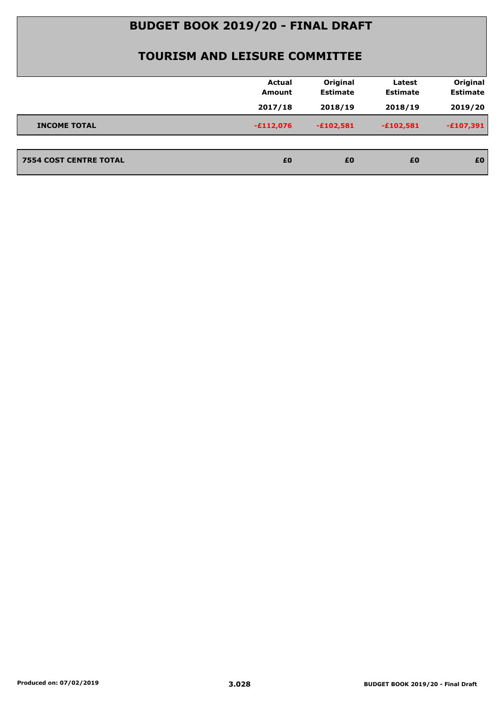|                               | <b>Actual</b><br>Amount | Original<br><b>Estimate</b> | Latest<br><b>Estimate</b> | Original<br><b>Estimate</b> |
|-------------------------------|-------------------------|-----------------------------|---------------------------|-----------------------------|
|                               | 2017/18                 | 2018/19                     | 2018/19                   | 2019/20                     |
| <b>INCOME TOTAL</b>           | $-£112,076$             | $-£102,581$                 | $-£102,581$               | $-£107,391$                 |
|                               |                         |                             |                           |                             |
| <b>7554 COST CENTRE TOTAL</b> | £0                      | £0                          | £0                        | £0                          |
|                               |                         |                             |                           |                             |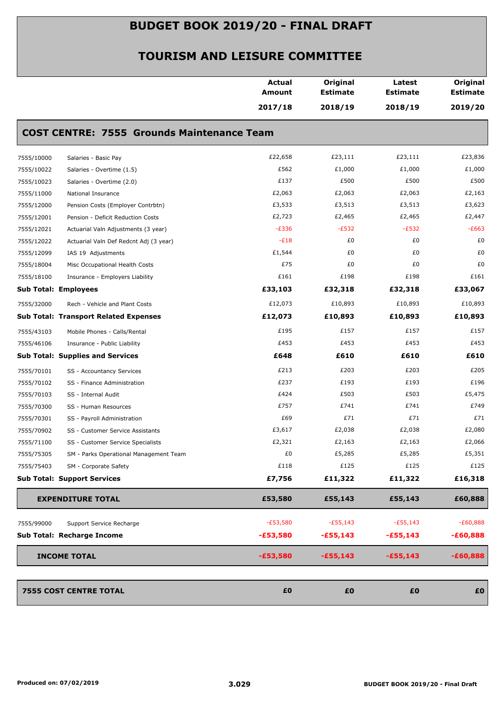| 2017/18<br>2018/19<br>2018/19<br><b>COST CENTRE: 7555 Grounds Maintenance Team</b><br>£22,658<br>£23,111<br>£23,111<br>7555/10000<br>Salaries - Basic Pay<br>£562<br>£1,000<br>£1,000<br>7555/10022<br>Salaries - Overtime (1.5)<br>£137<br>£500<br>£500<br>7555/10023<br>Salaries - Overtime (2.0)<br>£2,063<br>£2,063<br>£2,063<br>7555/11000<br>National Insurance<br>£3,533<br>£3,513<br>£3,513<br>7555/12000<br>Pension Costs (Employer Contrbtn)<br>£2,723<br>£2,465<br>£2,465<br>7555/12001<br>Pension - Deficit Reduction Costs<br>$-E336$<br>$-E532$<br>$-E532$<br>7555/12021<br>Actuarial Valn Adjustments (3 year)<br>$-E18$<br>£0<br>£0<br>7555/12022<br>Actuarial Valn Def Redcnt Adj (3 year)<br>£0<br>£1,544<br>£0<br>7555/12099<br>IAS 19 Adjustments<br>£75<br>£0<br>£0<br>7555/18004<br>Misc Occupational Health Costs<br>£161<br>£198<br>£198<br>7555/18100<br>Insurance - Employers Liability<br><b>Sub Total: Employees</b><br>£33,103<br>£32,318<br>£32,318<br>£12,073<br>£10,893<br>£10,893<br>7555/32000<br>Rech - Vehicle and Plant Costs<br><b>Sub Total: Transport Related Expenses</b><br>£12,073<br>£10,893<br>£10,893<br>£195<br>£157<br>£157<br>7555/43103<br>Mobile Phones - Calls/Rental<br>£453<br>£453<br>£453<br>7555/46106<br>Insurance - Public Liability<br><b>Sub Total: Supplies and Services</b><br>£610<br>£648<br>£610<br>£213<br>£203<br>£203<br>7555/70101<br>SS - Accountancy Services<br>£237<br>£193<br>£193<br>7555/70102<br>SS - Finance Administration<br>£503<br>£424<br>£503<br>7555/70103<br>SS - Internal Audit<br>£757<br>£741<br>£741<br>7555/70300<br>SS - Human Resources<br>£69<br>£71<br>£71<br>7555/70301<br>SS - Payroll Administration<br>£3,617<br>£2,038<br>£2,038<br>7555/70902<br>SS - Customer Service Assistants<br>£2,321<br>£2,163<br>£2,163<br>7555/71100<br>SS - Customer Service Specialists<br>£0<br>£5,285<br>£5,285<br>7555/75305<br>SM - Parks Operational Management Team<br>£125<br>£125<br>£118<br>7555/75403<br>SM - Corporate Safety<br>£7,756<br><b>Sub Total: Support Services</b><br>£11,322<br>£11,322<br>£53,580<br><b>EXPENDITURE TOTAL</b><br>£55,143<br>£55,143<br>$-E53,580$<br>$-E55,143$<br>$-E55,143$<br>Support Service Recharge<br>7555/99000<br>Sub Total: Recharge Income<br>$-£53,580$<br>$-£55,143$<br>$-£55,143$<br><b>INCOME TOTAL</b><br>$-£53,580$<br>$-£55,143$<br>$-£55,143$ |  | <b>Actual</b><br><b>Amount</b> | Original<br><b>Estimate</b> | Latest<br><b>Estimate</b> | Original<br><b>Estimate</b> |
|-------------------------------------------------------------------------------------------------------------------------------------------------------------------------------------------------------------------------------------------------------------------------------------------------------------------------------------------------------------------------------------------------------------------------------------------------------------------------------------------------------------------------------------------------------------------------------------------------------------------------------------------------------------------------------------------------------------------------------------------------------------------------------------------------------------------------------------------------------------------------------------------------------------------------------------------------------------------------------------------------------------------------------------------------------------------------------------------------------------------------------------------------------------------------------------------------------------------------------------------------------------------------------------------------------------------------------------------------------------------------------------------------------------------------------------------------------------------------------------------------------------------------------------------------------------------------------------------------------------------------------------------------------------------------------------------------------------------------------------------------------------------------------------------------------------------------------------------------------------------------------------------------------------------------------------------------------------------------------------------------------------------------------------------------------------------------------------------------------------------------------------------------------------------------------------------------------------------------------------------------------------------------------------------------------------------------------------------------------------------------------------------|--|--------------------------------|-----------------------------|---------------------------|-----------------------------|
|                                                                                                                                                                                                                                                                                                                                                                                                                                                                                                                                                                                                                                                                                                                                                                                                                                                                                                                                                                                                                                                                                                                                                                                                                                                                                                                                                                                                                                                                                                                                                                                                                                                                                                                                                                                                                                                                                                                                                                                                                                                                                                                                                                                                                                                                                                                                                                                           |  |                                |                             |                           | 2019/20                     |
|                                                                                                                                                                                                                                                                                                                                                                                                                                                                                                                                                                                                                                                                                                                                                                                                                                                                                                                                                                                                                                                                                                                                                                                                                                                                                                                                                                                                                                                                                                                                                                                                                                                                                                                                                                                                                                                                                                                                                                                                                                                                                                                                                                                                                                                                                                                                                                                           |  |                                |                             |                           |                             |
|                                                                                                                                                                                                                                                                                                                                                                                                                                                                                                                                                                                                                                                                                                                                                                                                                                                                                                                                                                                                                                                                                                                                                                                                                                                                                                                                                                                                                                                                                                                                                                                                                                                                                                                                                                                                                                                                                                                                                                                                                                                                                                                                                                                                                                                                                                                                                                                           |  |                                |                             |                           | £23,836                     |
|                                                                                                                                                                                                                                                                                                                                                                                                                                                                                                                                                                                                                                                                                                                                                                                                                                                                                                                                                                                                                                                                                                                                                                                                                                                                                                                                                                                                                                                                                                                                                                                                                                                                                                                                                                                                                                                                                                                                                                                                                                                                                                                                                                                                                                                                                                                                                                                           |  |                                |                             |                           | £1,000                      |
|                                                                                                                                                                                                                                                                                                                                                                                                                                                                                                                                                                                                                                                                                                                                                                                                                                                                                                                                                                                                                                                                                                                                                                                                                                                                                                                                                                                                                                                                                                                                                                                                                                                                                                                                                                                                                                                                                                                                                                                                                                                                                                                                                                                                                                                                                                                                                                                           |  |                                |                             |                           | £500                        |
|                                                                                                                                                                                                                                                                                                                                                                                                                                                                                                                                                                                                                                                                                                                                                                                                                                                                                                                                                                                                                                                                                                                                                                                                                                                                                                                                                                                                                                                                                                                                                                                                                                                                                                                                                                                                                                                                                                                                                                                                                                                                                                                                                                                                                                                                                                                                                                                           |  |                                |                             |                           | £2,163                      |
|                                                                                                                                                                                                                                                                                                                                                                                                                                                                                                                                                                                                                                                                                                                                                                                                                                                                                                                                                                                                                                                                                                                                                                                                                                                                                                                                                                                                                                                                                                                                                                                                                                                                                                                                                                                                                                                                                                                                                                                                                                                                                                                                                                                                                                                                                                                                                                                           |  |                                |                             |                           | £3,623                      |
|                                                                                                                                                                                                                                                                                                                                                                                                                                                                                                                                                                                                                                                                                                                                                                                                                                                                                                                                                                                                                                                                                                                                                                                                                                                                                                                                                                                                                                                                                                                                                                                                                                                                                                                                                                                                                                                                                                                                                                                                                                                                                                                                                                                                                                                                                                                                                                                           |  |                                |                             |                           | £2,447                      |
|                                                                                                                                                                                                                                                                                                                                                                                                                                                                                                                                                                                                                                                                                                                                                                                                                                                                                                                                                                                                                                                                                                                                                                                                                                                                                                                                                                                                                                                                                                                                                                                                                                                                                                                                                                                                                                                                                                                                                                                                                                                                                                                                                                                                                                                                                                                                                                                           |  |                                |                             |                           | $-E663$                     |
|                                                                                                                                                                                                                                                                                                                                                                                                                                                                                                                                                                                                                                                                                                                                                                                                                                                                                                                                                                                                                                                                                                                                                                                                                                                                                                                                                                                                                                                                                                                                                                                                                                                                                                                                                                                                                                                                                                                                                                                                                                                                                                                                                                                                                                                                                                                                                                                           |  |                                |                             |                           | £0                          |
|                                                                                                                                                                                                                                                                                                                                                                                                                                                                                                                                                                                                                                                                                                                                                                                                                                                                                                                                                                                                                                                                                                                                                                                                                                                                                                                                                                                                                                                                                                                                                                                                                                                                                                                                                                                                                                                                                                                                                                                                                                                                                                                                                                                                                                                                                                                                                                                           |  |                                |                             |                           | £0                          |
|                                                                                                                                                                                                                                                                                                                                                                                                                                                                                                                                                                                                                                                                                                                                                                                                                                                                                                                                                                                                                                                                                                                                                                                                                                                                                                                                                                                                                                                                                                                                                                                                                                                                                                                                                                                                                                                                                                                                                                                                                                                                                                                                                                                                                                                                                                                                                                                           |  |                                |                             |                           | £0                          |
|                                                                                                                                                                                                                                                                                                                                                                                                                                                                                                                                                                                                                                                                                                                                                                                                                                                                                                                                                                                                                                                                                                                                                                                                                                                                                                                                                                                                                                                                                                                                                                                                                                                                                                                                                                                                                                                                                                                                                                                                                                                                                                                                                                                                                                                                                                                                                                                           |  |                                |                             |                           | £161                        |
|                                                                                                                                                                                                                                                                                                                                                                                                                                                                                                                                                                                                                                                                                                                                                                                                                                                                                                                                                                                                                                                                                                                                                                                                                                                                                                                                                                                                                                                                                                                                                                                                                                                                                                                                                                                                                                                                                                                                                                                                                                                                                                                                                                                                                                                                                                                                                                                           |  |                                |                             |                           | £33,067                     |
|                                                                                                                                                                                                                                                                                                                                                                                                                                                                                                                                                                                                                                                                                                                                                                                                                                                                                                                                                                                                                                                                                                                                                                                                                                                                                                                                                                                                                                                                                                                                                                                                                                                                                                                                                                                                                                                                                                                                                                                                                                                                                                                                                                                                                                                                                                                                                                                           |  |                                |                             |                           | £10,893                     |
|                                                                                                                                                                                                                                                                                                                                                                                                                                                                                                                                                                                                                                                                                                                                                                                                                                                                                                                                                                                                                                                                                                                                                                                                                                                                                                                                                                                                                                                                                                                                                                                                                                                                                                                                                                                                                                                                                                                                                                                                                                                                                                                                                                                                                                                                                                                                                                                           |  |                                |                             |                           | £10,893                     |
|                                                                                                                                                                                                                                                                                                                                                                                                                                                                                                                                                                                                                                                                                                                                                                                                                                                                                                                                                                                                                                                                                                                                                                                                                                                                                                                                                                                                                                                                                                                                                                                                                                                                                                                                                                                                                                                                                                                                                                                                                                                                                                                                                                                                                                                                                                                                                                                           |  |                                |                             |                           | £157                        |
|                                                                                                                                                                                                                                                                                                                                                                                                                                                                                                                                                                                                                                                                                                                                                                                                                                                                                                                                                                                                                                                                                                                                                                                                                                                                                                                                                                                                                                                                                                                                                                                                                                                                                                                                                                                                                                                                                                                                                                                                                                                                                                                                                                                                                                                                                                                                                                                           |  |                                |                             |                           | £453                        |
|                                                                                                                                                                                                                                                                                                                                                                                                                                                                                                                                                                                                                                                                                                                                                                                                                                                                                                                                                                                                                                                                                                                                                                                                                                                                                                                                                                                                                                                                                                                                                                                                                                                                                                                                                                                                                                                                                                                                                                                                                                                                                                                                                                                                                                                                                                                                                                                           |  |                                |                             |                           | £610                        |
|                                                                                                                                                                                                                                                                                                                                                                                                                                                                                                                                                                                                                                                                                                                                                                                                                                                                                                                                                                                                                                                                                                                                                                                                                                                                                                                                                                                                                                                                                                                                                                                                                                                                                                                                                                                                                                                                                                                                                                                                                                                                                                                                                                                                                                                                                                                                                                                           |  |                                |                             |                           | £205                        |
|                                                                                                                                                                                                                                                                                                                                                                                                                                                                                                                                                                                                                                                                                                                                                                                                                                                                                                                                                                                                                                                                                                                                                                                                                                                                                                                                                                                                                                                                                                                                                                                                                                                                                                                                                                                                                                                                                                                                                                                                                                                                                                                                                                                                                                                                                                                                                                                           |  |                                |                             |                           | £196                        |
|                                                                                                                                                                                                                                                                                                                                                                                                                                                                                                                                                                                                                                                                                                                                                                                                                                                                                                                                                                                                                                                                                                                                                                                                                                                                                                                                                                                                                                                                                                                                                                                                                                                                                                                                                                                                                                                                                                                                                                                                                                                                                                                                                                                                                                                                                                                                                                                           |  |                                |                             |                           | £5,475                      |
|                                                                                                                                                                                                                                                                                                                                                                                                                                                                                                                                                                                                                                                                                                                                                                                                                                                                                                                                                                                                                                                                                                                                                                                                                                                                                                                                                                                                                                                                                                                                                                                                                                                                                                                                                                                                                                                                                                                                                                                                                                                                                                                                                                                                                                                                                                                                                                                           |  |                                |                             |                           | £749                        |
|                                                                                                                                                                                                                                                                                                                                                                                                                                                                                                                                                                                                                                                                                                                                                                                                                                                                                                                                                                                                                                                                                                                                                                                                                                                                                                                                                                                                                                                                                                                                                                                                                                                                                                                                                                                                                                                                                                                                                                                                                                                                                                                                                                                                                                                                                                                                                                                           |  |                                |                             |                           | £71                         |
|                                                                                                                                                                                                                                                                                                                                                                                                                                                                                                                                                                                                                                                                                                                                                                                                                                                                                                                                                                                                                                                                                                                                                                                                                                                                                                                                                                                                                                                                                                                                                                                                                                                                                                                                                                                                                                                                                                                                                                                                                                                                                                                                                                                                                                                                                                                                                                                           |  |                                |                             |                           | £2,080                      |
|                                                                                                                                                                                                                                                                                                                                                                                                                                                                                                                                                                                                                                                                                                                                                                                                                                                                                                                                                                                                                                                                                                                                                                                                                                                                                                                                                                                                                                                                                                                                                                                                                                                                                                                                                                                                                                                                                                                                                                                                                                                                                                                                                                                                                                                                                                                                                                                           |  |                                |                             |                           | £2,066                      |
|                                                                                                                                                                                                                                                                                                                                                                                                                                                                                                                                                                                                                                                                                                                                                                                                                                                                                                                                                                                                                                                                                                                                                                                                                                                                                                                                                                                                                                                                                                                                                                                                                                                                                                                                                                                                                                                                                                                                                                                                                                                                                                                                                                                                                                                                                                                                                                                           |  |                                |                             |                           | £5,351                      |
|                                                                                                                                                                                                                                                                                                                                                                                                                                                                                                                                                                                                                                                                                                                                                                                                                                                                                                                                                                                                                                                                                                                                                                                                                                                                                                                                                                                                                                                                                                                                                                                                                                                                                                                                                                                                                                                                                                                                                                                                                                                                                                                                                                                                                                                                                                                                                                                           |  |                                |                             |                           | £125                        |
|                                                                                                                                                                                                                                                                                                                                                                                                                                                                                                                                                                                                                                                                                                                                                                                                                                                                                                                                                                                                                                                                                                                                                                                                                                                                                                                                                                                                                                                                                                                                                                                                                                                                                                                                                                                                                                                                                                                                                                                                                                                                                                                                                                                                                                                                                                                                                                                           |  |                                |                             |                           | £16,318                     |
|                                                                                                                                                                                                                                                                                                                                                                                                                                                                                                                                                                                                                                                                                                                                                                                                                                                                                                                                                                                                                                                                                                                                                                                                                                                                                                                                                                                                                                                                                                                                                                                                                                                                                                                                                                                                                                                                                                                                                                                                                                                                                                                                                                                                                                                                                                                                                                                           |  |                                |                             |                           | £60,888                     |
|                                                                                                                                                                                                                                                                                                                                                                                                                                                                                                                                                                                                                                                                                                                                                                                                                                                                                                                                                                                                                                                                                                                                                                                                                                                                                                                                                                                                                                                                                                                                                                                                                                                                                                                                                                                                                                                                                                                                                                                                                                                                                                                                                                                                                                                                                                                                                                                           |  |                                |                             |                           | $-E60,888$                  |
|                                                                                                                                                                                                                                                                                                                                                                                                                                                                                                                                                                                                                                                                                                                                                                                                                                                                                                                                                                                                                                                                                                                                                                                                                                                                                                                                                                                                                                                                                                                                                                                                                                                                                                                                                                                                                                                                                                                                                                                                                                                                                                                                                                                                                                                                                                                                                                                           |  |                                |                             |                           | -£60,888                    |
|                                                                                                                                                                                                                                                                                                                                                                                                                                                                                                                                                                                                                                                                                                                                                                                                                                                                                                                                                                                                                                                                                                                                                                                                                                                                                                                                                                                                                                                                                                                                                                                                                                                                                                                                                                                                                                                                                                                                                                                                                                                                                                                                                                                                                                                                                                                                                                                           |  |                                |                             |                           | $-£60,888$                  |
| £0<br>£0<br><b>7555 COST CENTRE TOTAL</b><br>£0                                                                                                                                                                                                                                                                                                                                                                                                                                                                                                                                                                                                                                                                                                                                                                                                                                                                                                                                                                                                                                                                                                                                                                                                                                                                                                                                                                                                                                                                                                                                                                                                                                                                                                                                                                                                                                                                                                                                                                                                                                                                                                                                                                                                                                                                                                                                           |  |                                |                             |                           | £0                          |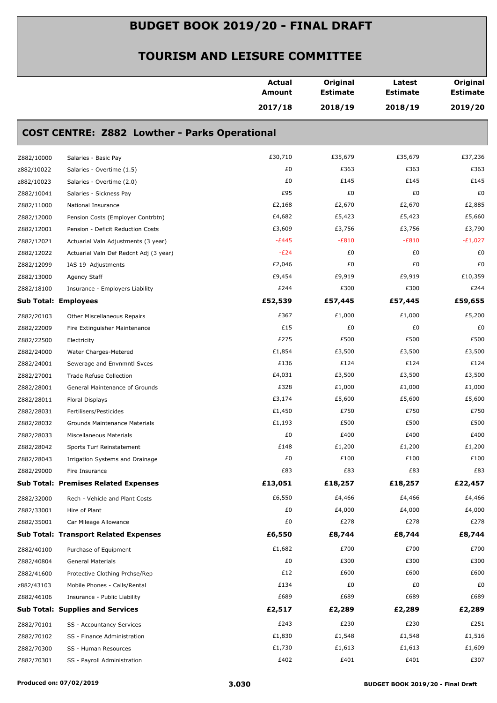|            |                                                      | Actual<br>Amount | Original<br><b>Estimate</b> | Latest<br><b>Estimate</b> | Original<br><b>Estimate</b> |
|------------|------------------------------------------------------|------------------|-----------------------------|---------------------------|-----------------------------|
|            |                                                      | 2017/18          | 2018/19                     | 2018/19                   | 2019/20                     |
|            | <b>COST CENTRE: Z882 Lowther - Parks Operational</b> |                  |                             |                           |                             |
| Z882/10000 | Salaries - Basic Pay                                 | £30,710          | £35,679                     | £35,679                   | £37,236                     |
| z882/10022 | Salaries - Overtime (1.5)                            | £0               | £363                        | £363                      | £363                        |
| z882/10023 | Salaries - Overtime (2.0)                            | £0               | £145                        | £145                      | £145                        |
| Z882/10041 | Salaries - Sickness Pay                              | £95              | £0                          | £0                        | £0                          |
| Z882/11000 | National Insurance                                   | £2,168           | £2,670                      | £2,670                    | £2,885                      |
| Z882/12000 | Pension Costs (Employer Contrbtn)                    | £4,682           | £5,423                      | £5,423                    | £5,660                      |
| Z882/12001 | Pension - Deficit Reduction Costs                    | £3,609           | £3,756                      | £3,756                    | £3,790                      |
| Z882/12021 | Actuarial Valn Adjustments (3 year)                  | $-E445$          | $-E810$                     | $-E810$                   | $-E1,027$                   |
| Z882/12022 | Actuarial Valn Def Redcnt Adj (3 year)               | $-E24$           | £0                          | £0                        | £0                          |
| Z882/12099 | IAS 19 Adjustments                                   | £2,046           | £0                          | £0                        | £0                          |
| Z882/13000 | Agency Staff                                         | £9,454           | £9,919                      | £9,919                    | £10,359                     |
| Z882/18100 | Insurance - Employers Liability                      | £244             | £300                        | £300                      | £244                        |
|            | <b>Sub Total: Employees</b>                          | £52,539          | £57,445                     | £57,445                   | £59,655                     |
| Z882/20103 | Other Miscellaneous Repairs                          | £367             | £1,000                      | £1,000                    | £5,200                      |
| Z882/22009 | Fire Extinguisher Maintenance                        | £15              | £0                          | £0                        | £0                          |
| Z882/22500 | Electricity                                          | £275             | £500                        | £500                      | £500                        |
| Z882/24000 | Water Charges-Metered                                | £1,854           | £3,500                      | £3,500                    | £3,500                      |
| Z882/24001 | Sewerage and Envnmntl Svces                          | £136             | £124                        | £124                      | £124                        |
| Z882/27001 | <b>Trade Refuse Collection</b>                       | £4,031           | £3,500                      | £3,500                    | £3,500                      |
| Z882/28001 | General Maintenance of Grounds                       | £328             | £1,000                      | £1,000                    | £1,000                      |
| Z882/28011 | Floral Displays                                      | £3,174           | £5,600                      | £5,600                    | £5,600                      |
| Z882/28031 | Fertilisers/Pesticides                               | £1,450           | £750                        | £750                      | £750                        |
| Z882/28032 | Grounds Maintenance Materials                        | £1,193           | £500                        | £500                      | £500                        |
| Z882/28033 | Miscellaneous Materials                              | £0               | £400                        | £400                      | £400                        |
| Z882/28042 | Sports Turf Reinstatement                            | £148             | £1,200                      | £1,200                    | £1,200                      |
| Z882/28043 | Irrigation Systems and Drainage                      | £0               | £100                        | £100                      | £100                        |
| Z882/29000 | Fire Insurance                                       | £83              | £83                         | £83                       | £83                         |
|            | <b>Sub Total: Premises Related Expenses</b>          | £13,051          | £18,257                     | £18,257                   | £22,457                     |
| Z882/32000 | Rech - Vehicle and Plant Costs                       | £6,550           | £4,466                      | £4,466                    | £4,466                      |
| Z882/33001 | Hire of Plant                                        | £0               | £4,000                      | £4,000                    | £4,000                      |
| Z882/35001 | Car Mileage Allowance                                | £0               | £278                        | £278                      | £278                        |
|            | <b>Sub Total: Transport Related Expenses</b>         | £6,550           | £8,744                      | £8,744                    | £8,744                      |
| Z882/40100 | Purchase of Equipment                                | £1,682           | £700                        | £700                      | £700                        |
| Z882/40804 | General Materials                                    | £0               | £300                        | £300                      | £300                        |
| Z882/41600 | Protective Clothing Prchse/Rep                       | £12              | £600                        | £600                      | £600                        |
| z882/43103 | Mobile Phones - Calls/Rental                         | £134             | £0                          | £0                        | £0                          |
| Z882/46106 | Insurance - Public Liability                         | £689             | £689                        | £689                      | £689                        |
|            | <b>Sub Total: Supplies and Services</b>              | £2,517           | £2,289                      | £2,289                    | £2,289                      |
| Z882/70101 | SS - Accountancy Services                            | £243             | £230                        | £230                      | £251                        |
| Z882/70102 | SS - Finance Administration                          | £1,830           | £1,548                      | £1,548                    | £1,516                      |
| Z882/70300 | SS - Human Resources                                 | £1,730           | £1,613                      | £1,613                    | £1,609                      |
| Z882/70301 | SS - Payroll Administration                          | £402             | £401                        | £401                      | £307                        |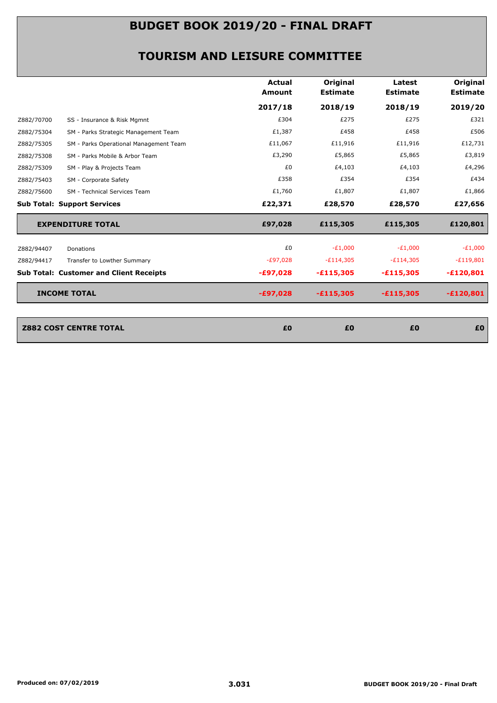|            |                                                | <b>Actual</b><br><b>Amount</b> | Original<br><b>Estimate</b> | Latest<br><b>Estimate</b> | Original<br><b>Estimate</b> |
|------------|------------------------------------------------|--------------------------------|-----------------------------|---------------------------|-----------------------------|
|            |                                                | 2017/18                        | 2018/19                     | 2018/19                   | 2019/20                     |
| Z882/70700 | SS - Insurance & Risk Mgmnt                    | £304                           | £275                        | £275                      | £321                        |
| Z882/75304 | SM - Parks Strategic Management Team           | £1,387                         | £458                        | £458                      | £506                        |
| Z882/75305 | SM - Parks Operational Management Team         | £11,067                        | £11,916                     | £11,916                   | £12,731                     |
| Z882/75308 | SM - Parks Mobile & Arbor Team                 | £3,290                         | £5,865                      | £5,865                    | £3,819                      |
| Z882/75309 | SM - Play & Projects Team                      | £0                             | £4,103                      | £4,103                    | £4,296                      |
| Z882/75403 | SM - Corporate Safety                          | £358                           | £354                        | £354                      | £434                        |
| Z882/75600 | SM - Technical Services Team                   | £1,760                         | £1,807                      | £1,807                    | £1,866                      |
|            | <b>Sub Total: Support Services</b>             | £22,371                        | £28,570                     | £28,570                   | £27,656                     |
|            | <b>EXPENDITURE TOTAL</b>                       | £97,028                        | £115,305                    | £115,305                  | £120,801                    |
| Z882/94407 | Donations                                      | £0                             | $-E1,000$                   | $-E1,000$                 | $-E1,000$                   |
| Z882/94417 | Transfer to Lowther Summary                    | $-E97,028$                     | $-E114,305$                 | $-E114,305$               | $-E119,801$                 |
|            | <b>Sub Total: Customer and Client Receipts</b> | $-£97,028$                     | $-£115,305$                 | $-£115,305$               | $-£120,801$                 |
|            | <b>INCOME TOTAL</b>                            | $-£97,028$                     | $-£115,305$                 | $-£115,305$               | $-£120,801$                 |
|            |                                                |                                |                             |                           |                             |
|            |                                                |                                |                             |                           |                             |

| <b>Z882 COST CENTRE TOTAL</b> | £0 | £0 | £0 | £0 |
|-------------------------------|----|----|----|----|
|                               |    |    |    |    |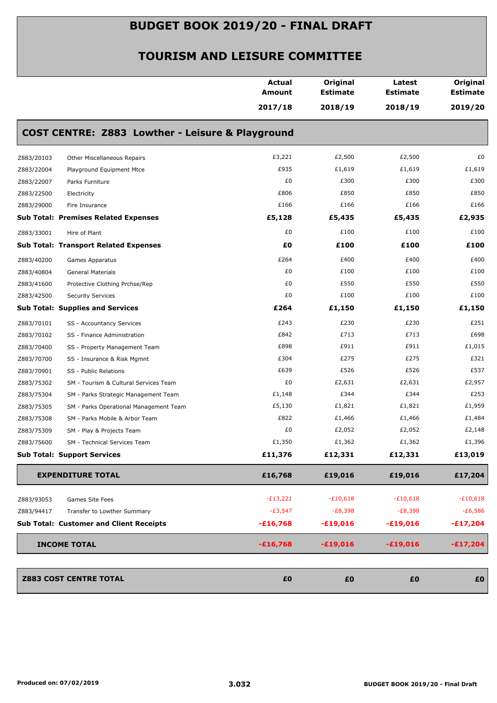|            |                                                  | <b>Actual</b><br><b>Amount</b> | Original<br><b>Estimate</b> | Latest<br><b>Estimate</b> | Original<br><b>Estimate</b> |
|------------|--------------------------------------------------|--------------------------------|-----------------------------|---------------------------|-----------------------------|
|            |                                                  | 2017/18                        | 2018/19                     | 2018/19                   | 2019/20                     |
|            | COST CENTRE: Z883 Lowther - Leisure & Playground |                                |                             |                           |                             |
| Z883/20103 | Other Miscellaneous Repairs                      | £3,221                         | £2,500                      | £2,500                    | £0                          |
| Z883/22004 | Playground Equipment Mtce                        | £935                           | £1,619                      | £1,619                    | £1,619                      |
| Z883/22007 | Parks Furniture                                  | £0                             | £300                        | £300                      | £300                        |
| Z883/22500 | Electricity                                      | £806                           | £850                        | £850                      | £850                        |
| Z883/29000 | Fire Insurance                                   | £166                           | £166                        | £166                      | £166                        |
|            | <b>Sub Total: Premises Related Expenses</b>      | £5,128                         | £5,435                      | £5,435                    | £2,935                      |
| Z883/33001 | Hire of Plant                                    | £0                             | £100                        | £100                      | £100                        |
|            | <b>Sub Total: Transport Related Expenses</b>     | £0                             | £100                        | £100                      | £100                        |
| Z883/40200 | Games Apparatus                                  | £264                           | £400                        | £400                      | £400                        |
| Z883/40804 | <b>General Materials</b>                         | £0                             | £100                        | £100                      | £100                        |
| Z883/41600 | Protective Clothing Prchse/Rep                   | £0                             | £550                        | £550                      | £550                        |
| Z883/42500 | <b>Security Services</b>                         | £0                             | £100                        | £100                      | £100                        |
|            | <b>Sub Total: Supplies and Services</b>          | £264                           | £1,150                      | £1,150                    | £1,150                      |
| Z883/70101 | SS - Accountancy Services                        | £243                           | £230                        | £230                      | £251                        |
| Z883/70102 | SS - Finance Administration                      | £842                           | £713                        | £713                      | £698                        |
| Z883/70400 | SS - Property Management Team                    | £898                           | £911                        | £911                      | £1,015                      |
| Z883/70700 | SS - Insurance & Risk Mgmnt                      | £304                           | £275                        | £275                      | £321                        |
| Z883/70901 | SS - Public Relations                            | £639                           | £526                        | £526                      | £537                        |
| Z883/75302 | SM - Tourism & Cultural Services Team            | £0                             | £2,631                      | £2,631                    | £2,957                      |
| Z883/75304 | SM - Parks Strategic Management Team             | £1,148                         | £344                        | £344                      | £253                        |
| Z883/75305 | SM - Parks Operational Management Team           | £5,130                         | £1,821                      | £1,821                    | £1,959                      |
| Z883/75308 | SM - Parks Mobile & Arbor Team                   | £822                           | £1,466                      | £1,466                    | £1,484                      |
| Z883/75309 | SM - Play & Projects Team                        | £0                             | £2,052                      | £2,052                    | £2,148                      |
| Z883/75600 | SM - Technical Services Team                     | £1,350                         | £1,362                      | £1,362                    | £1,396                      |
|            | <b>Sub Total: Support Services</b>               | £11,376                        | £12,331                     | £12,331                   | £13,019                     |
|            | <b>EXPENDITURE TOTAL</b>                         | £16,768                        | £19,016                     | £19,016                   | £17,204                     |
| Z883/93053 | Games Site Fees                                  | $-E13,221$                     | $-E10,618$                  | $-£10,618$                | $-£10,618$                  |
| Z883/94417 | Transfer to Lowther Summary                      | $-E3,547$                      | $-E8,398$                   | $-E8,398$                 | $-E6,586$                   |
|            | <b>Sub Total: Customer and Client Receipts</b>   | $-£16,768$                     | $-£19,016$                  | $-£19,016$                | $-£17,204$                  |
|            | <b>INCOME TOTAL</b>                              | $-£16,768$                     | $-£19,016$                  | $-£19,016$                | $-£17,204$                  |
|            |                                                  |                                |                             |                           |                             |
|            | <b>Z883 COST CENTRE TOTAL</b>                    | £0                             | £0                          | £0                        | £0                          |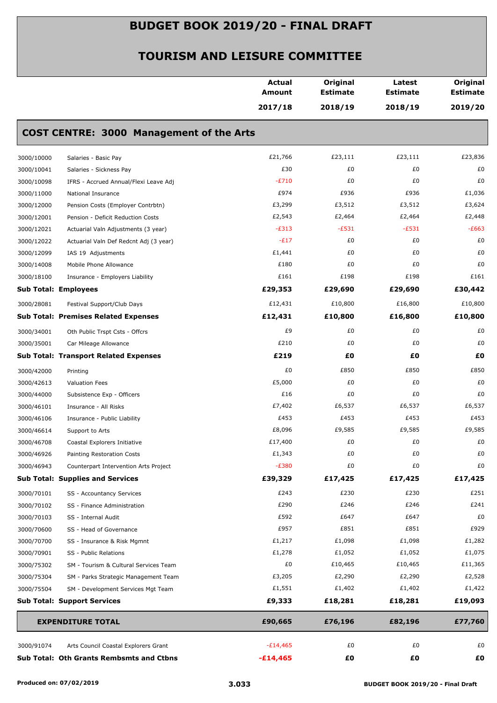|            |                                                 | <b>Actual</b><br>Amount | Original<br><b>Estimate</b> | Latest<br><b>Estimate</b> | Original<br><b>Estimate</b> |
|------------|-------------------------------------------------|-------------------------|-----------------------------|---------------------------|-----------------------------|
|            |                                                 | 2017/18                 | 2018/19                     | 2018/19                   | 2019/20                     |
|            | <b>COST CENTRE: 3000 Management of the Arts</b> |                         |                             |                           |                             |
| 3000/10000 | Salaries - Basic Pay                            | £21,766                 | £23,111                     | £23,111                   | £23,836                     |
| 3000/10041 | Salaries - Sickness Pay                         | £30                     | £0                          | £0                        | £0                          |
| 3000/10098 | IFRS - Accrued Annual/Flexi Leave Adj           | $-E710$                 | £0                          | £0                        | £0                          |
| 3000/11000 | National Insurance                              | £974                    | £936                        | £936                      | £1,036                      |
| 3000/12000 | Pension Costs (Employer Contrbtn)               | £3,299                  | £3,512                      | £3,512                    | £3,624                      |
| 3000/12001 | Pension - Deficit Reduction Costs               | £2,543                  | £2,464                      | £2,464                    | £2,448                      |
| 3000/12021 | Actuarial Valn Adjustments (3 year)             | $-E313$                 | $-E531$                     | $-E531$                   | $-E663$                     |
| 3000/12022 | Actuarial Valn Def Redcnt Adj (3 year)          | $-E17$                  | £0                          | £0                        | £0                          |
| 3000/12099 | IAS 19 Adjustments                              | £1,441                  | £0                          | £0                        | £0                          |
| 3000/14008 | Mobile Phone Allowance                          | £180                    | £0                          | £0                        | £0                          |
| 3000/18100 | Insurance - Employers Liability                 | £161                    | £198                        | £198                      | £161                        |
|            | <b>Sub Total: Employees</b>                     | £29,353                 | £29,690                     | £29,690                   | £30,442                     |
| 3000/28081 | Festival Support/Club Days                      | £12,431                 | £10,800                     | £16,800                   | £10,800                     |
|            | <b>Sub Total: Premises Related Expenses</b>     | £12,431                 | £10,800                     | £16,800                   | £10,800                     |
| 3000/34001 | Oth Public Trspt Csts - Offcrs                  | £9                      | £0                          | £0                        | £0                          |
| 3000/35001 | Car Mileage Allowance                           | £210                    | £0                          | £0                        | £0                          |
|            | <b>Sub Total: Transport Related Expenses</b>    | £219                    | £O                          | £0                        | £0                          |
| 3000/42000 | Printing                                        | £0                      | £850                        | £850                      | £850                        |
| 3000/42613 | <b>Valuation Fees</b>                           | £5,000                  | £0                          | £0                        | £0                          |
| 3000/44000 | Subsistence Exp - Officers                      | £16                     | £0                          | £0                        | £0                          |
| 3000/46101 | Insurance - All Risks                           | £7,402                  | £6,537                      | £6,537                    | £6,537                      |
| 3000/46106 | Insurance - Public Liability                    | £453                    | £453                        | £453                      | £453                        |
| 3000/46614 | Support to Arts                                 | £8,096                  | £9,585                      | £9,585                    | £9,585                      |
| 3000/46708 | Coastal Explorers Initiative                    | £17,400                 | £0                          | £0                        | £0                          |
| 3000/46926 | Painting Restoration Costs                      | £1,343                  | £0                          | £0                        | £0                          |
| 3000/46943 | Counterpart Intervention Arts Project           | $-E380$                 | £0                          | £0                        | £0                          |
|            | <b>Sub Total: Supplies and Services</b>         | £39,329                 | £17,425                     | £17,425                   | £17,425                     |
| 3000/70101 | SS - Accountancy Services                       | £243                    | £230                        | £230                      | £251                        |
| 3000/70102 | SS - Finance Administration                     | £290                    | £246                        | £246                      | £241                        |
| 3000/70103 | SS - Internal Audit                             | £592                    | £647                        | £647                      | £0                          |
| 3000/70600 | SS - Head of Governance                         | £957                    | £851                        | £851                      | £929                        |
| 3000/70700 | SS - Insurance & Risk Mgmnt                     | £1,217                  | £1,098                      | £1,098                    | £1,282                      |
| 3000/70901 | SS - Public Relations                           | £1,278                  | £1,052                      | £1,052                    | £1,075                      |
| 3000/75302 | SM - Tourism & Cultural Services Team           | £0                      | £10,465                     | £10,465                   | £11,365                     |
| 3000/75304 | SM - Parks Strategic Management Team            | £3,205                  | £2,290                      | £2,290                    | £2,528                      |
| 3000/75504 | SM - Development Services Mgt Team              | £1,551                  | £1,402                      | £1,402                    | £1,422                      |
|            | <b>Sub Total: Support Services</b>              | £9,333                  | £18,281                     | £18,281                   | £19,093                     |
|            | <b>EXPENDITURE TOTAL</b>                        | £90,665                 | £76,196                     | £82,196                   | £77,760                     |
| 3000/91074 | Arts Council Coastal Explorers Grant            | $-E14,465$              | £0                          | £0                        | £0                          |
|            | <b>Sub Total: Oth Grants Rembsmts and Ctbns</b> | $-£14,465$              | £0                          | £Ο                        | £0                          |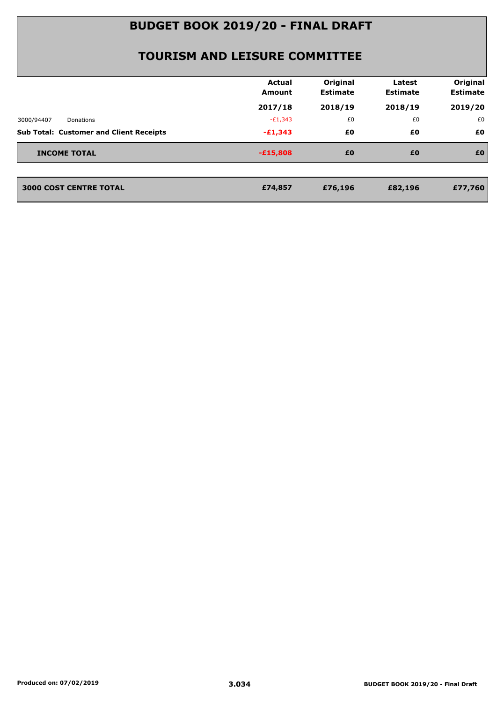|                                                | <b>Actual</b><br><b>Amount</b> | Original<br><b>Estimate</b> | Latest<br><b>Estimate</b> | Original<br><b>Estimate</b> |
|------------------------------------------------|--------------------------------|-----------------------------|---------------------------|-----------------------------|
|                                                | 2017/18                        | 2018/19                     | 2018/19                   | 2019/20                     |
| 3000/94407<br>Donations                        | $-E1,343$                      | £0                          | £0                        | £0                          |
| <b>Sub Total: Customer and Client Receipts</b> | $-£1,343$                      | £0                          | £0                        | £0                          |
| <b>INCOME TOTAL</b>                            | $-E15,808$                     | £0                          | £0                        | £0                          |
| <b>3000 COST CENTRE TOTAL</b>                  | £74,857                        | £76,196                     | £82,196                   | £77,760                     |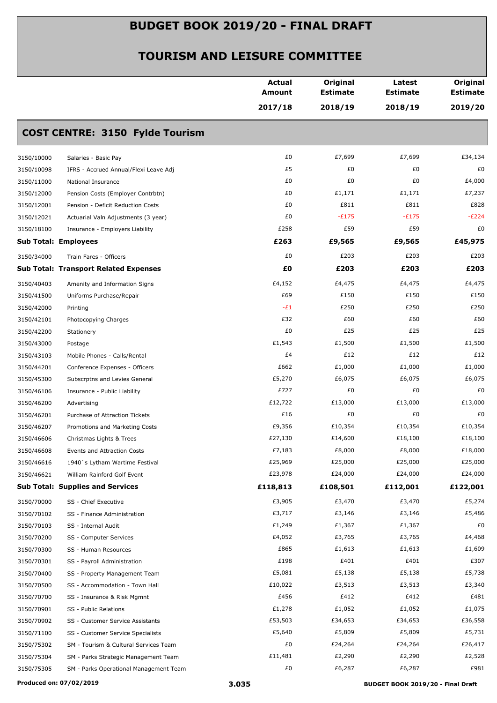|                                                      | <b>Actual</b><br>Amount<br>2017/18 | Original<br><b>Estimate</b><br>2018/19 | Latest<br><b>Estimate</b><br>2018/19 | Original<br><b>Estimate</b><br>2019/20 |
|------------------------------------------------------|------------------------------------|----------------------------------------|--------------------------------------|----------------------------------------|
|                                                      |                                    |                                        |                                      |                                        |
| <b>COST CENTRE: 3150 Fylde Tourism</b>               |                                    |                                        |                                      |                                        |
| 3150/10000<br>Salaries - Basic Pay                   | £0                                 | £7,699                                 | £7,699                               | £34,134                                |
| 3150/10098<br>IFRS - Accrued Annual/Flexi Leave Adj  | £5                                 | £0                                     | £0                                   | £0                                     |
| 3150/11000<br>National Insurance                     | £0                                 | £0                                     | £0                                   | £4,000                                 |
| 3150/12000<br>Pension Costs (Employer Contrbtn)      | £0                                 | £1,171                                 | £1,171                               | £7,237                                 |
| 3150/12001<br>Pension - Deficit Reduction Costs      | £0                                 | £811                                   | £811                                 | £828                                   |
| 3150/12021<br>Actuarial Valn Adjustments (3 year)    | £0                                 | $-E175$                                | $-E175$                              | $-E224$                                |
| 3150/18100<br>Insurance - Employers Liability        | £258                               | £59                                    | £59                                  | £0                                     |
| <b>Sub Total: Employees</b>                          | £263                               | £9,565                                 | £9,565                               | £45,975                                |
| 3150/34000<br>Train Fares - Officers                 | £0                                 | £203                                   | £203                                 | £203                                   |
| <b>Sub Total: Transport Related Expenses</b>         | £0                                 | £203                                   | £203                                 | £203                                   |
| 3150/40403<br>Amenity and Information Signs          | £4,152                             | £4,475                                 | £4,475                               | £4,475                                 |
| 3150/41500<br>Uniforms Purchase/Repair               | £69                                | £150                                   | £150                                 | £150                                   |
| 3150/42000<br>Printing                               | $-E1$                              | £250                                   | £250                                 | £250                                   |
| 3150/42101<br>Photocopying Charges                   | £32                                | £60                                    | £60                                  | £60                                    |
| 3150/42200<br>Stationery                             | £0                                 | £25                                    | £25                                  | £25                                    |
| 3150/43000<br>Postage                                | £1,543                             | £1,500                                 | £1,500                               | £1,500                                 |
| 3150/43103<br>Mobile Phones - Calls/Rental           | £4                                 | £12                                    | £12                                  | £12                                    |
| 3150/44201<br>Conference Expenses - Officers         | £662                               | £1,000                                 | £1,000                               | £1,000                                 |
| 3150/45300<br>Subscrptns and Levies General          | £5,270                             | £6,075                                 | £6,075                               | £6,075                                 |
| 3150/46106<br>Insurance - Public Liability           | £727                               | £0                                     | £0                                   | £0                                     |
| 3150/46200<br>Advertising                            | £12,722                            | £13,000                                | £13,000                              | £13,000                                |
| 3150/46201<br>Purchase of Attraction Tickets         | £16                                | £0                                     | £0                                   | £0                                     |
| 3150/46207<br>Promotions and Marketing Costs         | £9,356                             | £10,354                                | £10,354                              | £10,354                                |
| 3150/46606<br>Christmas Lights & Trees               | £27,130                            | £14,600                                | £18,100                              | £18,100                                |
| 3150/46608<br>Events and Attraction Costs            | £7,183                             | £8,000                                 | £8,000                               | £18,000                                |
| 3150/46616<br>1940's Lytham Wartime Festival         | £25,969                            | £25,000                                | £25,000                              | £25,000                                |
| 3150/46621<br>William Rainford Golf Event            | £23,978                            | £24,000                                | £24,000                              | £24,000                                |
| <b>Sub Total: Supplies and Services</b>              | £118,813                           | £108,501                               | £112,001                             | £122,001                               |
| 3150/70000<br>SS - Chief Executive                   | £3,905                             | £3,470                                 | £3,470                               | £5,274                                 |
| 3150/70102<br>SS - Finance Administration            | £3,717                             | £3,146                                 | £3,146                               | £5,486                                 |
| 3150/70103<br>SS - Internal Audit                    | £1,249                             | £1,367                                 | £1,367                               | £0                                     |
| 3150/70200<br>SS - Computer Services                 | £4,052                             | £3,765                                 | £3,765                               | £4,468                                 |
| 3150/70300<br>SS - Human Resources                   | £865                               | £1,613                                 | £1,613                               | £1,609                                 |
| 3150/70301<br>SS - Payroll Administration            | £198                               | £401                                   | £401                                 | £307                                   |
| 3150/70400<br>SS - Property Management Team          | £5,081                             | £5,138                                 | £5,138                               | £5,738                                 |
| 3150/70500<br>SS - Accommodation - Town Hall         | £10,022                            | £3,513                                 | £3,513                               | £3,340                                 |
| 3150/70700<br>SS - Insurance & Risk Mgmnt            | £456                               | £412                                   | £412                                 | £481                                   |
| 3150/70901<br>SS - Public Relations                  | £1,278                             | £1,052                                 | £1,052                               | £1,075                                 |
| 3150/70902<br>SS - Customer Service Assistants       | £53,503                            | £34,653                                | £34,653                              | £36,558                                |
| 3150/71100<br>SS - Customer Service Specialists      | £5,640                             | £5,809                                 | £5,809                               | £5,731                                 |
| 3150/75302<br>SM - Tourism & Cultural Services Team  | £0                                 | £24,264                                | £24,264                              | £26,417                                |
| 3150/75304<br>SM - Parks Strategic Management Team   | £11,481                            | £2,290                                 | £2,290                               | £2,528                                 |
| 3150/75305<br>SM - Parks Operational Management Team | £0                                 | £6,287                                 | £6,287                               | £981                                   |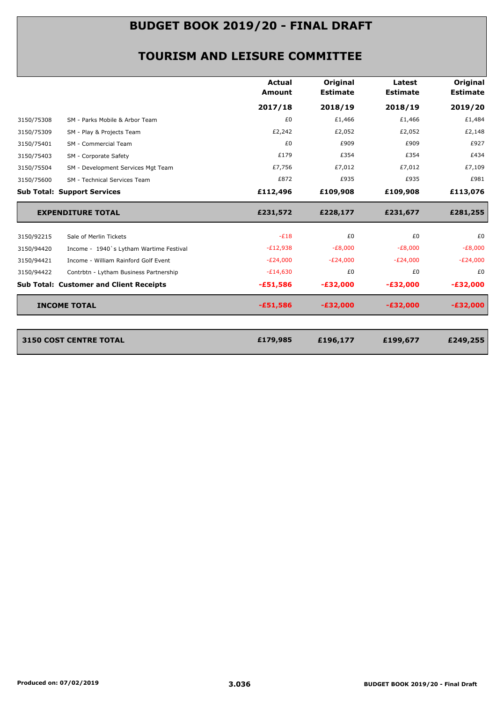|                                                       | <b>Actual</b><br>Amount | Original<br><b>Estimate</b> | Latest<br><b>Estimate</b> | <b>Original</b><br><b>Estimate</b> |
|-------------------------------------------------------|-------------------------|-----------------------------|---------------------------|------------------------------------|
|                                                       | 2017/18                 | 2018/19                     | 2018/19                   | 2019/20                            |
| 3150/75308<br>SM - Parks Mobile & Arbor Team          | £0                      | £1,466                      | £1,466                    | £1,484                             |
| 3150/75309<br>SM - Play & Projects Team               | £2,242                  | £2,052                      | £2,052                    | £2,148                             |
| 3150/75401<br>SM - Commercial Team                    | £0                      | £909                        | £909                      | £927                               |
| 3150/75403<br>SM - Corporate Safety                   | £179                    | £354                        | £354                      | £434                               |
| 3150/75504<br>SM - Development Services Mgt Team      | £7,756                  | £7,012                      | £7,012                    | £7,109                             |
| 3150/75600<br>SM - Technical Services Team            | £872                    | £935                        | £935                      | £981                               |
| <b>Sub Total: Support Services</b>                    | £112,496                | £109,908                    | £109,908                  | £113,076                           |
| <b>EXPENDITURE TOTAL</b>                              | £231,572                | £228,177                    | £231,677                  | £281,255                           |
| Sale of Merlin Tickets<br>3150/92215                  | $-E18$                  | £0                          | £0                        | £0                                 |
| 3150/94420<br>Income - 1940's Lytham Wartime Festival | $-E12,938$              | $-E8,000$                   | $-E8,000$                 | $-E8,000$                          |
| 3150/94421<br>Income - William Rainford Golf Event    | $-E24,000$              | $-E24,000$                  | $-E24,000$                | $-E24,000$                         |
| 3150/94422<br>Contrbtn - Lytham Business Partnership  | $-E14,630$              | £0                          | £0                        | £0                                 |
| <b>Sub Total: Customer and Client Receipts</b>        | $-£51,586$              | $-£32,000$                  | $-£32,000$                | $-£32,000$                         |
| <b>INCOME TOTAL</b>                                   | $-£51,586$              | $-E32,000$                  | $-£32,000$                | $-£32,000$                         |
|                                                       |                         |                             |                           |                                    |
|                                                       |                         | £196,177                    | £199,677                  | £249,255                           |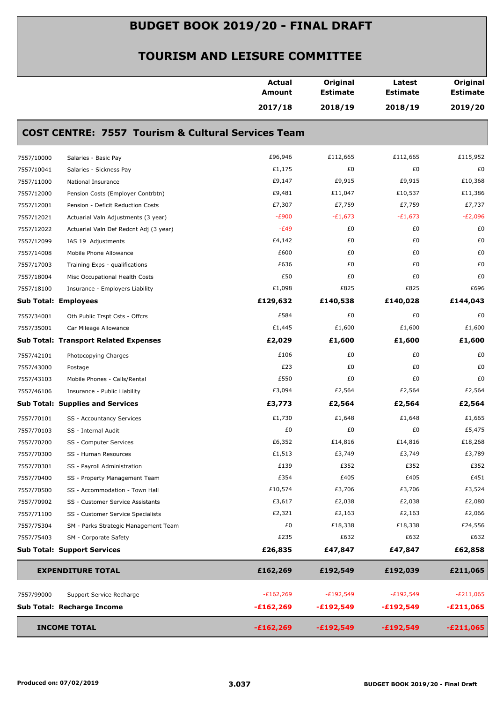| 2017/18<br>2018/19<br>2018/19<br><b>COST CENTRE: 7557 Tourism &amp; Cultural Services Team</b><br>£96,946<br>£112,665<br>£112,665<br>7557/10000<br>Salaries - Basic Pay<br>£1,175<br>£0<br>£0<br>7557/10041<br>Salaries - Sickness Pay<br>£9,147<br>£9,915<br>£9,915<br>7557/11000<br>National Insurance<br>£9,481<br>£11,047<br>£10,537<br>7557/12000<br>Pension Costs (Employer Contrbtn)<br>£7,307<br>£7,759<br>£7,759<br>7557/12001<br>Pension - Deficit Reduction Costs<br>$-E900$<br>$-E1,673$<br>$-E1,673$<br>7557/12021<br>Actuarial Valn Adjustments (3 year)<br>$-E49$<br>£0<br>£0<br>7557/12022<br>Actuarial Valn Def Redcnt Adj (3 year)<br>£0<br>£4,142<br>£0<br>7557/12099<br>IAS 19 Adjustments<br>£600<br>£0<br>£0<br>7557/14008<br>Mobile Phone Allowance<br>£636<br>£0<br>£0<br>7557/17003<br>Training Exps - qualifications<br>£50<br>£0<br>£0<br>7557/18004<br>Misc Occupational Health Costs<br>£825<br>£1,098<br>£825<br>7557/18100<br>Insurance - Employers Liability<br>£129,632<br>£140,538<br>£140,028<br><b>Sub Total: Employees</b><br>£584<br>£0<br>£0<br>7557/34001<br>Oth Public Trspt Csts - Offcrs<br>£1,445<br>£1,600<br>£1,600<br>7557/35001<br>Car Mileage Allowance<br>£2,029<br>£1,600<br>£1,600<br><b>Sub Total: Transport Related Expenses</b><br>£0<br>£106<br>£0<br>7557/42101<br>Photocopying Charges<br>£23<br>£0<br>£0<br>7557/43000<br>Postage<br>£550<br>£0<br>£0<br>7557/43103<br>Mobile Phones - Calls/Rental<br>£3,094<br>£2,564<br>£2,564<br>7557/46106<br>Insurance - Public Liability<br><b>Sub Total: Supplies and Services</b><br>£3,773<br>£2,564<br>£2,564<br>£1,730<br>£1,648<br>£1,648<br>7557/70101<br>SS - Accountancy Services<br>£0<br>£0<br>£0<br>7557/70103<br>SS - Internal Audit<br>£6,352<br>£14,816<br>£14,816<br>7557/70200<br>SS - Computer Services<br>£1,513<br>£3,749<br>£3,749<br>7557/70300<br>SS - Human Resources<br>£139<br>£352<br>£352<br>7557/70301<br>SS - Payroll Administration<br>£405<br>£354<br>£405<br>7557/70400<br>SS - Property Management Team<br>£10,574<br>£3,706<br>£3,706<br>7557/70500<br>SS - Accommodation - Town Hall<br>£3,617<br>£2,038<br>£2,038<br>7557/70902<br>SS - Customer Service Assistants<br>£2,321<br>£2,163<br>£2,163<br>7557/71100<br>SS - Customer Service Specialists<br>£0<br>£18,338<br>£18,338<br>7557/75304<br>SM - Parks Strategic Management Team<br>£235<br>£632<br>£632<br>7557/75403<br>SM - Corporate Safety<br><b>Sub Total: Support Services</b><br>£26,835<br>£47,847<br>£47,847<br>£162,269<br><b>EXPENDITURE TOTAL</b><br>£192,549<br>£192,039<br>$-£162,269$<br>$-E192,549$<br>$-E192,549$<br>7557/99000<br>Support Service Recharge<br>Sub Total: Recharge Income<br>$-£162,269$<br>-£192,549<br>$-£192,549$<br><b>INCOME TOTAL</b> |  | <b>Actual</b><br><b>Amount</b> | Original<br><b>Estimate</b> | Latest<br><b>Estimate</b> | Original<br><b>Estimate</b> |
|----------------------------------------------------------------------------------------------------------------------------------------------------------------------------------------------------------------------------------------------------------------------------------------------------------------------------------------------------------------------------------------------------------------------------------------------------------------------------------------------------------------------------------------------------------------------------------------------------------------------------------------------------------------------------------------------------------------------------------------------------------------------------------------------------------------------------------------------------------------------------------------------------------------------------------------------------------------------------------------------------------------------------------------------------------------------------------------------------------------------------------------------------------------------------------------------------------------------------------------------------------------------------------------------------------------------------------------------------------------------------------------------------------------------------------------------------------------------------------------------------------------------------------------------------------------------------------------------------------------------------------------------------------------------------------------------------------------------------------------------------------------------------------------------------------------------------------------------------------------------------------------------------------------------------------------------------------------------------------------------------------------------------------------------------------------------------------------------------------------------------------------------------------------------------------------------------------------------------------------------------------------------------------------------------------------------------------------------------------------------------------------------------------------------------------------------------------------------------------------------------------------------------------------------------------------------------------------------------------------------------------------------------------------------------------------------------------------------------------------------------------------------------|--|--------------------------------|-----------------------------|---------------------------|-----------------------------|
|                                                                                                                                                                                                                                                                                                                                                                                                                                                                                                                                                                                                                                                                                                                                                                                                                                                                                                                                                                                                                                                                                                                                                                                                                                                                                                                                                                                                                                                                                                                                                                                                                                                                                                                                                                                                                                                                                                                                                                                                                                                                                                                                                                                                                                                                                                                                                                                                                                                                                                                                                                                                                                                                                                                                                                            |  |                                |                             |                           | 2019/20                     |
| £0<br>$-E211,065$                                                                                                                                                                                                                                                                                                                                                                                                                                                                                                                                                                                                                                                                                                                                                                                                                                                                                                                                                                                                                                                                                                                                                                                                                                                                                                                                                                                                                                                                                                                                                                                                                                                                                                                                                                                                                                                                                                                                                                                                                                                                                                                                                                                                                                                                                                                                                                                                                                                                                                                                                                                                                                                                                                                                                          |  |                                |                             |                           |                             |
|                                                                                                                                                                                                                                                                                                                                                                                                                                                                                                                                                                                                                                                                                                                                                                                                                                                                                                                                                                                                                                                                                                                                                                                                                                                                                                                                                                                                                                                                                                                                                                                                                                                                                                                                                                                                                                                                                                                                                                                                                                                                                                                                                                                                                                                                                                                                                                                                                                                                                                                                                                                                                                                                                                                                                                            |  |                                |                             |                           | £115,952                    |
|                                                                                                                                                                                                                                                                                                                                                                                                                                                                                                                                                                                                                                                                                                                                                                                                                                                                                                                                                                                                                                                                                                                                                                                                                                                                                                                                                                                                                                                                                                                                                                                                                                                                                                                                                                                                                                                                                                                                                                                                                                                                                                                                                                                                                                                                                                                                                                                                                                                                                                                                                                                                                                                                                                                                                                            |  |                                |                             |                           |                             |
|                                                                                                                                                                                                                                                                                                                                                                                                                                                                                                                                                                                                                                                                                                                                                                                                                                                                                                                                                                                                                                                                                                                                                                                                                                                                                                                                                                                                                                                                                                                                                                                                                                                                                                                                                                                                                                                                                                                                                                                                                                                                                                                                                                                                                                                                                                                                                                                                                                                                                                                                                                                                                                                                                                                                                                            |  |                                |                             |                           | £10,368                     |
|                                                                                                                                                                                                                                                                                                                                                                                                                                                                                                                                                                                                                                                                                                                                                                                                                                                                                                                                                                                                                                                                                                                                                                                                                                                                                                                                                                                                                                                                                                                                                                                                                                                                                                                                                                                                                                                                                                                                                                                                                                                                                                                                                                                                                                                                                                                                                                                                                                                                                                                                                                                                                                                                                                                                                                            |  |                                |                             |                           | £11,386                     |
|                                                                                                                                                                                                                                                                                                                                                                                                                                                                                                                                                                                                                                                                                                                                                                                                                                                                                                                                                                                                                                                                                                                                                                                                                                                                                                                                                                                                                                                                                                                                                                                                                                                                                                                                                                                                                                                                                                                                                                                                                                                                                                                                                                                                                                                                                                                                                                                                                                                                                                                                                                                                                                                                                                                                                                            |  |                                |                             |                           | £7,737                      |
|                                                                                                                                                                                                                                                                                                                                                                                                                                                                                                                                                                                                                                                                                                                                                                                                                                                                                                                                                                                                                                                                                                                                                                                                                                                                                                                                                                                                                                                                                                                                                                                                                                                                                                                                                                                                                                                                                                                                                                                                                                                                                                                                                                                                                                                                                                                                                                                                                                                                                                                                                                                                                                                                                                                                                                            |  |                                |                             |                           | $-E2,096$                   |
|                                                                                                                                                                                                                                                                                                                                                                                                                                                                                                                                                                                                                                                                                                                                                                                                                                                                                                                                                                                                                                                                                                                                                                                                                                                                                                                                                                                                                                                                                                                                                                                                                                                                                                                                                                                                                                                                                                                                                                                                                                                                                                                                                                                                                                                                                                                                                                                                                                                                                                                                                                                                                                                                                                                                                                            |  |                                |                             |                           | £0                          |
|                                                                                                                                                                                                                                                                                                                                                                                                                                                                                                                                                                                                                                                                                                                                                                                                                                                                                                                                                                                                                                                                                                                                                                                                                                                                                                                                                                                                                                                                                                                                                                                                                                                                                                                                                                                                                                                                                                                                                                                                                                                                                                                                                                                                                                                                                                                                                                                                                                                                                                                                                                                                                                                                                                                                                                            |  |                                |                             |                           | £0                          |
|                                                                                                                                                                                                                                                                                                                                                                                                                                                                                                                                                                                                                                                                                                                                                                                                                                                                                                                                                                                                                                                                                                                                                                                                                                                                                                                                                                                                                                                                                                                                                                                                                                                                                                                                                                                                                                                                                                                                                                                                                                                                                                                                                                                                                                                                                                                                                                                                                                                                                                                                                                                                                                                                                                                                                                            |  |                                |                             |                           | £0                          |
|                                                                                                                                                                                                                                                                                                                                                                                                                                                                                                                                                                                                                                                                                                                                                                                                                                                                                                                                                                                                                                                                                                                                                                                                                                                                                                                                                                                                                                                                                                                                                                                                                                                                                                                                                                                                                                                                                                                                                                                                                                                                                                                                                                                                                                                                                                                                                                                                                                                                                                                                                                                                                                                                                                                                                                            |  |                                |                             |                           | £0                          |
|                                                                                                                                                                                                                                                                                                                                                                                                                                                                                                                                                                                                                                                                                                                                                                                                                                                                                                                                                                                                                                                                                                                                                                                                                                                                                                                                                                                                                                                                                                                                                                                                                                                                                                                                                                                                                                                                                                                                                                                                                                                                                                                                                                                                                                                                                                                                                                                                                                                                                                                                                                                                                                                                                                                                                                            |  |                                |                             |                           | £0                          |
|                                                                                                                                                                                                                                                                                                                                                                                                                                                                                                                                                                                                                                                                                                                                                                                                                                                                                                                                                                                                                                                                                                                                                                                                                                                                                                                                                                                                                                                                                                                                                                                                                                                                                                                                                                                                                                                                                                                                                                                                                                                                                                                                                                                                                                                                                                                                                                                                                                                                                                                                                                                                                                                                                                                                                                            |  |                                |                             |                           | £696                        |
|                                                                                                                                                                                                                                                                                                                                                                                                                                                                                                                                                                                                                                                                                                                                                                                                                                                                                                                                                                                                                                                                                                                                                                                                                                                                                                                                                                                                                                                                                                                                                                                                                                                                                                                                                                                                                                                                                                                                                                                                                                                                                                                                                                                                                                                                                                                                                                                                                                                                                                                                                                                                                                                                                                                                                                            |  |                                |                             |                           | £144,043                    |
|                                                                                                                                                                                                                                                                                                                                                                                                                                                                                                                                                                                                                                                                                                                                                                                                                                                                                                                                                                                                                                                                                                                                                                                                                                                                                                                                                                                                                                                                                                                                                                                                                                                                                                                                                                                                                                                                                                                                                                                                                                                                                                                                                                                                                                                                                                                                                                                                                                                                                                                                                                                                                                                                                                                                                                            |  |                                |                             |                           | £0                          |
|                                                                                                                                                                                                                                                                                                                                                                                                                                                                                                                                                                                                                                                                                                                                                                                                                                                                                                                                                                                                                                                                                                                                                                                                                                                                                                                                                                                                                                                                                                                                                                                                                                                                                                                                                                                                                                                                                                                                                                                                                                                                                                                                                                                                                                                                                                                                                                                                                                                                                                                                                                                                                                                                                                                                                                            |  |                                |                             |                           | £1,600                      |
|                                                                                                                                                                                                                                                                                                                                                                                                                                                                                                                                                                                                                                                                                                                                                                                                                                                                                                                                                                                                                                                                                                                                                                                                                                                                                                                                                                                                                                                                                                                                                                                                                                                                                                                                                                                                                                                                                                                                                                                                                                                                                                                                                                                                                                                                                                                                                                                                                                                                                                                                                                                                                                                                                                                                                                            |  |                                |                             |                           | £1,600                      |
|                                                                                                                                                                                                                                                                                                                                                                                                                                                                                                                                                                                                                                                                                                                                                                                                                                                                                                                                                                                                                                                                                                                                                                                                                                                                                                                                                                                                                                                                                                                                                                                                                                                                                                                                                                                                                                                                                                                                                                                                                                                                                                                                                                                                                                                                                                                                                                                                                                                                                                                                                                                                                                                                                                                                                                            |  |                                |                             |                           | £0                          |
|                                                                                                                                                                                                                                                                                                                                                                                                                                                                                                                                                                                                                                                                                                                                                                                                                                                                                                                                                                                                                                                                                                                                                                                                                                                                                                                                                                                                                                                                                                                                                                                                                                                                                                                                                                                                                                                                                                                                                                                                                                                                                                                                                                                                                                                                                                                                                                                                                                                                                                                                                                                                                                                                                                                                                                            |  |                                |                             |                           | £0                          |
|                                                                                                                                                                                                                                                                                                                                                                                                                                                                                                                                                                                                                                                                                                                                                                                                                                                                                                                                                                                                                                                                                                                                                                                                                                                                                                                                                                                                                                                                                                                                                                                                                                                                                                                                                                                                                                                                                                                                                                                                                                                                                                                                                                                                                                                                                                                                                                                                                                                                                                                                                                                                                                                                                                                                                                            |  |                                |                             |                           | £0                          |
|                                                                                                                                                                                                                                                                                                                                                                                                                                                                                                                                                                                                                                                                                                                                                                                                                                                                                                                                                                                                                                                                                                                                                                                                                                                                                                                                                                                                                                                                                                                                                                                                                                                                                                                                                                                                                                                                                                                                                                                                                                                                                                                                                                                                                                                                                                                                                                                                                                                                                                                                                                                                                                                                                                                                                                            |  |                                |                             |                           | £2,564                      |
|                                                                                                                                                                                                                                                                                                                                                                                                                                                                                                                                                                                                                                                                                                                                                                                                                                                                                                                                                                                                                                                                                                                                                                                                                                                                                                                                                                                                                                                                                                                                                                                                                                                                                                                                                                                                                                                                                                                                                                                                                                                                                                                                                                                                                                                                                                                                                                                                                                                                                                                                                                                                                                                                                                                                                                            |  |                                |                             |                           | £2,564                      |
|                                                                                                                                                                                                                                                                                                                                                                                                                                                                                                                                                                                                                                                                                                                                                                                                                                                                                                                                                                                                                                                                                                                                                                                                                                                                                                                                                                                                                                                                                                                                                                                                                                                                                                                                                                                                                                                                                                                                                                                                                                                                                                                                                                                                                                                                                                                                                                                                                                                                                                                                                                                                                                                                                                                                                                            |  |                                |                             |                           | £1,665                      |
|                                                                                                                                                                                                                                                                                                                                                                                                                                                                                                                                                                                                                                                                                                                                                                                                                                                                                                                                                                                                                                                                                                                                                                                                                                                                                                                                                                                                                                                                                                                                                                                                                                                                                                                                                                                                                                                                                                                                                                                                                                                                                                                                                                                                                                                                                                                                                                                                                                                                                                                                                                                                                                                                                                                                                                            |  |                                |                             |                           | £5,475                      |
|                                                                                                                                                                                                                                                                                                                                                                                                                                                                                                                                                                                                                                                                                                                                                                                                                                                                                                                                                                                                                                                                                                                                                                                                                                                                                                                                                                                                                                                                                                                                                                                                                                                                                                                                                                                                                                                                                                                                                                                                                                                                                                                                                                                                                                                                                                                                                                                                                                                                                                                                                                                                                                                                                                                                                                            |  |                                |                             |                           | £18,268                     |
|                                                                                                                                                                                                                                                                                                                                                                                                                                                                                                                                                                                                                                                                                                                                                                                                                                                                                                                                                                                                                                                                                                                                                                                                                                                                                                                                                                                                                                                                                                                                                                                                                                                                                                                                                                                                                                                                                                                                                                                                                                                                                                                                                                                                                                                                                                                                                                                                                                                                                                                                                                                                                                                                                                                                                                            |  |                                |                             |                           | £3,789                      |
|                                                                                                                                                                                                                                                                                                                                                                                                                                                                                                                                                                                                                                                                                                                                                                                                                                                                                                                                                                                                                                                                                                                                                                                                                                                                                                                                                                                                                                                                                                                                                                                                                                                                                                                                                                                                                                                                                                                                                                                                                                                                                                                                                                                                                                                                                                                                                                                                                                                                                                                                                                                                                                                                                                                                                                            |  |                                |                             |                           | £352                        |
|                                                                                                                                                                                                                                                                                                                                                                                                                                                                                                                                                                                                                                                                                                                                                                                                                                                                                                                                                                                                                                                                                                                                                                                                                                                                                                                                                                                                                                                                                                                                                                                                                                                                                                                                                                                                                                                                                                                                                                                                                                                                                                                                                                                                                                                                                                                                                                                                                                                                                                                                                                                                                                                                                                                                                                            |  |                                |                             |                           | £451                        |
|                                                                                                                                                                                                                                                                                                                                                                                                                                                                                                                                                                                                                                                                                                                                                                                                                                                                                                                                                                                                                                                                                                                                                                                                                                                                                                                                                                                                                                                                                                                                                                                                                                                                                                                                                                                                                                                                                                                                                                                                                                                                                                                                                                                                                                                                                                                                                                                                                                                                                                                                                                                                                                                                                                                                                                            |  |                                |                             |                           | £3,524                      |
|                                                                                                                                                                                                                                                                                                                                                                                                                                                                                                                                                                                                                                                                                                                                                                                                                                                                                                                                                                                                                                                                                                                                                                                                                                                                                                                                                                                                                                                                                                                                                                                                                                                                                                                                                                                                                                                                                                                                                                                                                                                                                                                                                                                                                                                                                                                                                                                                                                                                                                                                                                                                                                                                                                                                                                            |  |                                |                             |                           | £2,080                      |
|                                                                                                                                                                                                                                                                                                                                                                                                                                                                                                                                                                                                                                                                                                                                                                                                                                                                                                                                                                                                                                                                                                                                                                                                                                                                                                                                                                                                                                                                                                                                                                                                                                                                                                                                                                                                                                                                                                                                                                                                                                                                                                                                                                                                                                                                                                                                                                                                                                                                                                                                                                                                                                                                                                                                                                            |  |                                |                             |                           | £2,066                      |
|                                                                                                                                                                                                                                                                                                                                                                                                                                                                                                                                                                                                                                                                                                                                                                                                                                                                                                                                                                                                                                                                                                                                                                                                                                                                                                                                                                                                                                                                                                                                                                                                                                                                                                                                                                                                                                                                                                                                                                                                                                                                                                                                                                                                                                                                                                                                                                                                                                                                                                                                                                                                                                                                                                                                                                            |  |                                |                             |                           | £24,556                     |
|                                                                                                                                                                                                                                                                                                                                                                                                                                                                                                                                                                                                                                                                                                                                                                                                                                                                                                                                                                                                                                                                                                                                                                                                                                                                                                                                                                                                                                                                                                                                                                                                                                                                                                                                                                                                                                                                                                                                                                                                                                                                                                                                                                                                                                                                                                                                                                                                                                                                                                                                                                                                                                                                                                                                                                            |  |                                |                             |                           | £632                        |
|                                                                                                                                                                                                                                                                                                                                                                                                                                                                                                                                                                                                                                                                                                                                                                                                                                                                                                                                                                                                                                                                                                                                                                                                                                                                                                                                                                                                                                                                                                                                                                                                                                                                                                                                                                                                                                                                                                                                                                                                                                                                                                                                                                                                                                                                                                                                                                                                                                                                                                                                                                                                                                                                                                                                                                            |  |                                |                             |                           | £62,858                     |
|                                                                                                                                                                                                                                                                                                                                                                                                                                                                                                                                                                                                                                                                                                                                                                                                                                                                                                                                                                                                                                                                                                                                                                                                                                                                                                                                                                                                                                                                                                                                                                                                                                                                                                                                                                                                                                                                                                                                                                                                                                                                                                                                                                                                                                                                                                                                                                                                                                                                                                                                                                                                                                                                                                                                                                            |  |                                |                             |                           | £211,065                    |
|                                                                                                                                                                                                                                                                                                                                                                                                                                                                                                                                                                                                                                                                                                                                                                                                                                                                                                                                                                                                                                                                                                                                                                                                                                                                                                                                                                                                                                                                                                                                                                                                                                                                                                                                                                                                                                                                                                                                                                                                                                                                                                                                                                                                                                                                                                                                                                                                                                                                                                                                                                                                                                                                                                                                                                            |  |                                |                             |                           |                             |
|                                                                                                                                                                                                                                                                                                                                                                                                                                                                                                                                                                                                                                                                                                                                                                                                                                                                                                                                                                                                                                                                                                                                                                                                                                                                                                                                                                                                                                                                                                                                                                                                                                                                                                                                                                                                                                                                                                                                                                                                                                                                                                                                                                                                                                                                                                                                                                                                                                                                                                                                                                                                                                                                                                                                                                            |  |                                |                             |                           | $-E211,065$                 |
|                                                                                                                                                                                                                                                                                                                                                                                                                                                                                                                                                                                                                                                                                                                                                                                                                                                                                                                                                                                                                                                                                                                                                                                                                                                                                                                                                                                                                                                                                                                                                                                                                                                                                                                                                                                                                                                                                                                                                                                                                                                                                                                                                                                                                                                                                                                                                                                                                                                                                                                                                                                                                                                                                                                                                                            |  | $-£162,269$                    | $-£192,549$                 | $-£192,549$               | $-E211,065$                 |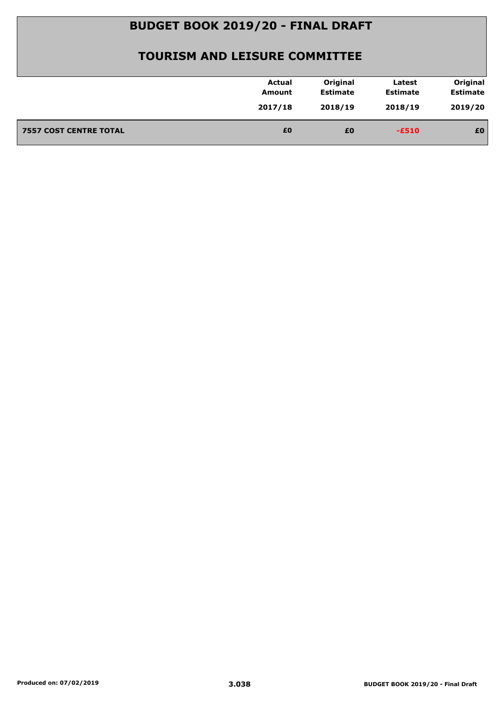| 2019/20<br>2017/18<br>2018/19<br>2018/19<br>£0<br><b>7557 COST CENTRE TOTAL</b><br>£0<br>£0<br>$-E510$ | <b>Actual</b><br>Amount | Original<br><b>Estimate</b> | Latest<br><b>Estimate</b> | Original<br><b>Estimate</b> |
|--------------------------------------------------------------------------------------------------------|-------------------------|-----------------------------|---------------------------|-----------------------------|
|                                                                                                        |                         |                             |                           |                             |
|                                                                                                        |                         |                             |                           |                             |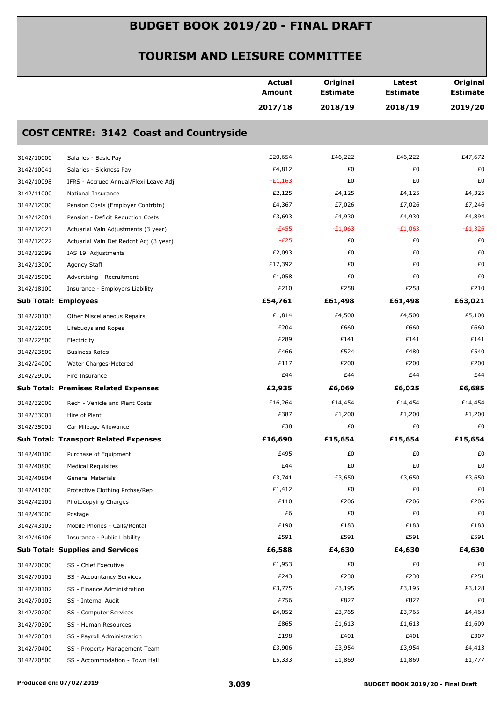|                             |                                                | Actual<br>Amount | Original<br><b>Estimate</b> | Latest<br><b>Estimate</b> | Original<br><b>Estimate</b> |
|-----------------------------|------------------------------------------------|------------------|-----------------------------|---------------------------|-----------------------------|
|                             |                                                | 2017/18          | 2018/19                     | 2018/19                   | 2019/20                     |
|                             | <b>COST CENTRE: 3142 Coast and Countryside</b> |                  |                             |                           |                             |
| 3142/10000                  | Salaries - Basic Pay                           | £20,654          | £46,222                     | £46,222                   | £47,672                     |
| 3142/10041                  | Salaries - Sickness Pay                        | £4,812           | £0                          | £0                        | £0                          |
| 3142/10098                  | IFRS - Accrued Annual/Flexi Leave Adj          | $-E1,163$        | £0                          | £0                        | £0                          |
| 3142/11000                  | National Insurance                             | £2,125           | £4,125                      | £4,125                    | £4,325                      |
| 3142/12000                  | Pension Costs (Employer Contrbtn)              | £4,367           | £7,026                      | £7,026                    | £7,246                      |
| 3142/12001                  | Pension - Deficit Reduction Costs              | £3,693           | £4,930                      | £4,930                    | £4,894                      |
| 3142/12021                  | Actuarial Valn Adjustments (3 year)            | $-E455$          | $-E1,063$                   | $-E1,063$                 | $-E1,326$                   |
| 3142/12022                  | Actuarial Valn Def Redcnt Adj (3 year)         | $-E25$           | £0                          | £0                        | £0                          |
| 3142/12099                  | IAS 19 Adjustments                             | £2,093           | £0                          | £0                        | £0                          |
| 3142/13000                  | Agency Staff                                   | £17,392          | £0                          | £0                        | £0                          |
| 3142/15000                  | Advertising - Recruitment                      | £1,058           | £0                          | £0                        | £0                          |
| 3142/18100                  | Insurance - Employers Liability                | £210             | £258                        | £258                      | £210                        |
| <b>Sub Total: Employees</b> |                                                | £54,761          | £61,498                     | £61,498                   | £63,021                     |
| 3142/20103                  | Other Miscellaneous Repairs                    | £1,814           | £4,500                      | £4,500                    | £5,100                      |
| 3142/22005                  | Lifebuoys and Ropes                            | £204             | £660                        | £660                      | £660                        |
| 3142/22500                  | Electricity                                    | £289             | £141                        | £141                      | £141                        |
| 3142/23500                  | <b>Business Rates</b>                          | £466             | £524                        | £480                      | £540                        |
| 3142/24000                  | Water Charges-Metered                          | £117             | £200                        | £200                      | £200                        |
| 3142/29000                  | Fire Insurance                                 | £44              | £44                         | £44                       | £44                         |
|                             | <b>Sub Total: Premises Related Expenses</b>    | £2,935           | £6,069                      | £6,025                    | £6,685                      |
| 3142/32000                  | Rech - Vehicle and Plant Costs                 | £16,264          | £14,454                     | £14,454                   | £14,454                     |
| 3142/33001                  | Hire of Plant                                  | £387             | £1,200                      | £1,200                    | £1,200                      |
| 3142/35001                  | Car Mileage Allowance                          | £38              | £0                          | £0                        | £0                          |
|                             | <b>Sub Total: Transport Related Expenses</b>   | £16,690          | £15,654                     | £15,654                   | £15,654                     |
| 3142/40100                  | Purchase of Equipment                          | £495             | £0                          | £0                        | £0                          |
| 3142/40800                  | <b>Medical Requisites</b>                      | £44              | £0                          | £0                        | £0                          |
| 3142/40804                  | General Materials                              | £3,741           | £3,650                      | £3,650                    | £3,650                      |
| 3142/41600                  | Protective Clothing Prchse/Rep                 | £1,412           | £0                          | £0                        | £0                          |
| 3142/42101                  | Photocopying Charges                           | £110             | £206                        | £206                      | £206                        |
| 3142/43000                  | Postage                                        | £6               | £0                          | £0                        | £0                          |
| 3142/43103                  | Mobile Phones - Calls/Rental                   | £190             | £183                        | £183                      | £183                        |
| 3142/46106                  | Insurance - Public Liability                   | £591             | £591                        | £591                      | £591                        |
|                             | <b>Sub Total: Supplies and Services</b>        | £6,588           | £4,630                      | £4,630                    | £4,630                      |
| 3142/70000                  | SS - Chief Executive                           | £1,953           | £0                          | £0                        | £0                          |
| 3142/70101                  | SS - Accountancy Services                      | £243             | £230                        | £230                      | £251                        |
| 3142/70102                  | SS - Finance Administration                    | £3,775           | £3,195                      | £3,195                    | £3,128                      |
| 3142/70103                  | SS - Internal Audit                            | £756             | £827                        | £827                      | £0                          |
| 3142/70200                  | SS - Computer Services                         | £4,052           | £3,765                      | £3,765                    | £4,468                      |
| 3142/70300                  | SS - Human Resources                           | £865             | £1,613                      | £1,613                    | £1,609                      |
| 3142/70301                  | SS - Payroll Administration                    | £198             | £401                        | £401                      | £307                        |
| 3142/70400                  | SS - Property Management Team                  | £3,906           | £3,954                      | £3,954                    | £4,413                      |
| 3142/70500                  | SS - Accommodation - Town Hall                 | £5,333           | £1,869                      | £1,869                    | £1,777                      |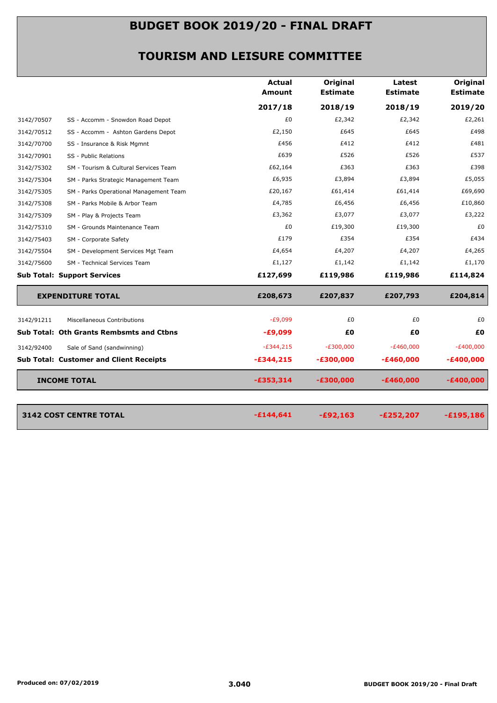|            |                                                | <b>Actual</b><br>Amount | Original<br><b>Estimate</b> | Latest<br><b>Estimate</b> | Original<br><b>Estimate</b> |
|------------|------------------------------------------------|-------------------------|-----------------------------|---------------------------|-----------------------------|
|            |                                                | 2017/18                 | 2018/19                     | 2018/19                   | 2019/20                     |
| 3142/70507 | SS - Accomm - Snowdon Road Depot               | £0                      | £2,342                      | £2,342                    | £2,261                      |
| 3142/70512 | SS - Accomm - Ashton Gardens Depot             | £2,150                  | £645                        | £645                      | £498                        |
| 3142/70700 | SS - Insurance & Risk Mgmnt                    | £456                    | £412                        | £412                      | £481                        |
| 3142/70901 | SS - Public Relations                          | £639                    | £526                        | £526                      | £537                        |
| 3142/75302 | SM - Tourism & Cultural Services Team          | £62,164                 | £363                        | £363                      | £398                        |
| 3142/75304 | SM - Parks Strategic Management Team           | £6,935                  | £3,894                      | £3,894                    | £5,055                      |
| 3142/75305 | SM - Parks Operational Management Team         | £20,167                 | £61,414                     | £61,414                   | £69,690                     |
| 3142/75308 | SM - Parks Mobile & Arbor Team                 | £4,785                  | £6,456                      | £6,456                    | £10,860                     |
| 3142/75309 | SM - Play & Projects Team                      | £3,362                  | £3,077                      | £3,077                    | £3,222                      |
| 3142/75310 | SM - Grounds Maintenance Team                  | £0                      | £19,300                     | £19,300                   | £0                          |
| 3142/75403 | SM - Corporate Safety                          | £179                    | £354                        | £354                      | £434                        |
| 3142/75504 | SM - Development Services Mgt Team             | £4,654                  | £4,207                      | £4,207                    | £4,265                      |
| 3142/75600 | SM - Technical Services Team                   | £1,127                  | £1,142                      | £1,142                    | £1,170                      |
|            | <b>Sub Total: Support Services</b>             | £127,699                | £119,986                    | £119,986                  | £114,824                    |
|            | <b>EXPENDITURE TOTAL</b>                       | £208,673                | £207,837                    | £207,793                  | £204,814                    |
| 3142/91211 | Miscellaneous Contributions                    | $-E9,099$               | £0                          | £0                        | £0                          |
|            | Sub Total: Oth Grants Rembsmts and Ctbns       | $-£9,099$               | £0                          | £Ο                        | £0                          |
| 3142/92400 | Sale of Sand (sandwinning)                     | $-E344,215$             | $-E300,000$                 | $-E460,000$               | $-E400,000$                 |
|            | <b>Sub Total: Customer and Client Receipts</b> | $-£344,215$             | $-£300,000$                 | $-£460,000$               | $-£400,000$                 |
|            |                                                |                         |                             |                           |                             |
|            |                                                |                         |                             |                           |                             |
|            | <b>INCOME TOTAL</b>                            | $-£353,314$             | $-£300,000$                 | $-£460,000$               | $-£400,000$                 |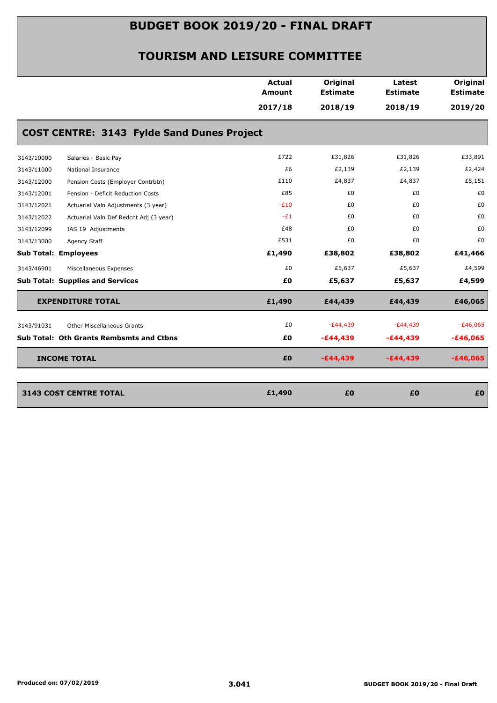|            |                                                   | <b>Actual</b><br>Amount | Original<br><b>Estimate</b> | Latest<br><b>Estimate</b> | Original<br><b>Estimate</b> |
|------------|---------------------------------------------------|-------------------------|-----------------------------|---------------------------|-----------------------------|
|            |                                                   | 2017/18                 | 2018/19                     | 2018/19                   | 2019/20                     |
|            | <b>COST CENTRE: 3143 Fylde Sand Dunes Project</b> |                         |                             |                           |                             |
| 3143/10000 | Salaries - Basic Pay                              | £722                    | £31,826                     | £31,826                   | £33,891                     |
| 3143/11000 | National Insurance                                | £6                      | £2,139                      | £2,139                    | £2,424                      |
| 3143/12000 | Pension Costs (Employer Contrbtn)                 | £110                    | £4,837                      | £4,837                    | £5,151                      |
| 3143/12001 | Pension - Deficit Reduction Costs                 | £85                     | £0                          | £0                        | £0                          |
| 3143/12021 | Actuarial Valn Adjustments (3 year)               | $-E10$                  | £0                          | £0                        | £0                          |
| 3143/12022 | Actuarial Valn Def Redcnt Adj (3 year)            | $-E1$                   | £0                          | £0                        | £0                          |
| 3143/12099 | IAS 19 Adjustments                                | £48                     | £0                          | £0                        | £0                          |
| 3143/13000 | Agency Staff                                      | £531                    | £0                          | £0                        | £0                          |
|            | <b>Sub Total: Employees</b>                       | £1,490                  | £38,802                     | £38,802                   | £41,466                     |
| 3143/46901 | Miscellaneous Expenses                            | £0                      | £5,637                      | £5,637                    | £4,599                      |
|            | <b>Sub Total: Supplies and Services</b>           | £0                      | £5,637                      | £5,637                    | £4,599                      |
|            | <b>EXPENDITURE TOTAL</b>                          | £1,490                  | £44,439                     | £44,439                   | £46,065                     |
| 3143/91031 | <b>Other Miscellaneous Grants</b>                 | £0                      | $-E44,439$                  | $-E44,439$                | $-£46,065$                  |
|            | <b>Sub Total: Oth Grants Rembsmts and Ctbns</b>   | £0                      | $-£44,439$                  | $-£44,439$                | $-£46,065$                  |
|            | <b>INCOME TOTAL</b>                               | £0                      | $-£44,439$                  | $-£44,439$                | $-£46,065$                  |
|            | <b>3143 COST CENTRE TOTAL</b>                     | £1,490                  | £0                          | £0                        | £0                          |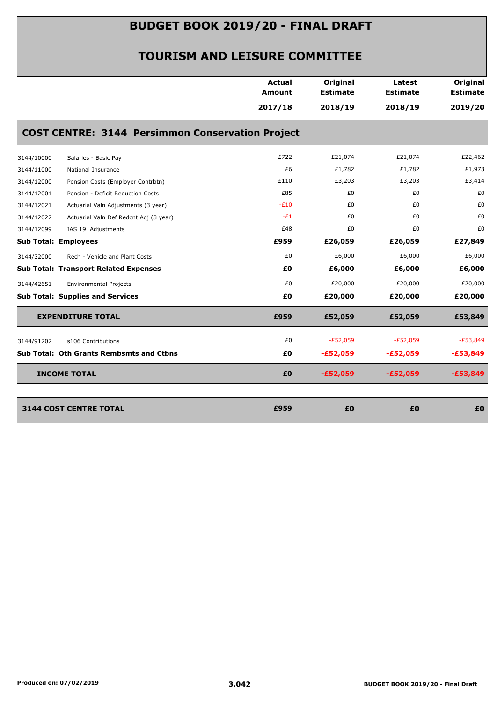|            |                                                         | Actual<br>Amount | Original<br><b>Estimate</b> | Latest<br><b>Estimate</b> | Original<br><b>Estimate</b> |
|------------|---------------------------------------------------------|------------------|-----------------------------|---------------------------|-----------------------------|
|            |                                                         | 2017/18          | 2018/19                     | 2018/19                   | 2019/20                     |
|            | <b>COST CENTRE: 3144 Persimmon Conservation Project</b> |                  |                             |                           |                             |
| 3144/10000 | Salaries - Basic Pay                                    | £722             | £21,074                     | £21,074                   | £22,462                     |
| 3144/11000 | National Insurance                                      | £6               | £1,782                      | £1,782                    | £1,973                      |
| 3144/12000 | Pension Costs (Employer Contrbtn)                       | £110             | £3,203                      | £3,203                    | £3,414                      |
| 3144/12001 | Pension - Deficit Reduction Costs                       | £85              | £0                          | £0                        | £0                          |
| 3144/12021 | Actuarial Valn Adjustments (3 year)                     | $-E10$           | £0                          | £0                        | £0                          |
| 3144/12022 | Actuarial Valn Def Redcnt Adj (3 year)                  | $-E1$            | £0                          | £0                        | £0                          |
| 3144/12099 | IAS 19 Adjustments                                      | £48              | £0                          | £0                        | £0                          |
|            | <b>Sub Total: Employees</b>                             | £959             | £26,059                     | £26,059                   | £27,849                     |
| 3144/32000 | Rech - Vehicle and Plant Costs                          | £0               | £6,000                      | £6,000                    | £6,000                      |
|            | <b>Sub Total: Transport Related Expenses</b>            | £0               | £6,000                      | £6,000                    | £6,000                      |
| 3144/42651 | <b>Environmental Projects</b>                           | £0               | £20,000                     | £20,000                   | £20,000                     |
|            | <b>Sub Total: Supplies and Services</b>                 | £0               | £20,000                     | £20,000                   | £20,000                     |
|            | <b>EXPENDITURE TOTAL</b>                                | £959             | £52,059                     | £52,059                   | £53,849                     |
| 3144/91202 | s106 Contributions                                      | £0               | $-E52,059$                  | $-E52,059$                | $-E53,849$                  |
|            | Sub Total: Oth Grants Rembsmts and Ctbns                | £0               | $-£52,059$                  | $-£52,059$                | $-£53,849$                  |
|            | <b>INCOME TOTAL</b>                                     | £0               | $-£52,059$                  | $-£52,059$                | $-£53,849$                  |
|            |                                                         |                  |                             |                           |                             |
|            | <b>3144 COST CENTRE TOTAL</b>                           | £959             | £0                          | £0                        | £0                          |
|            |                                                         |                  |                             |                           |                             |
|            |                                                         |                  |                             |                           |                             |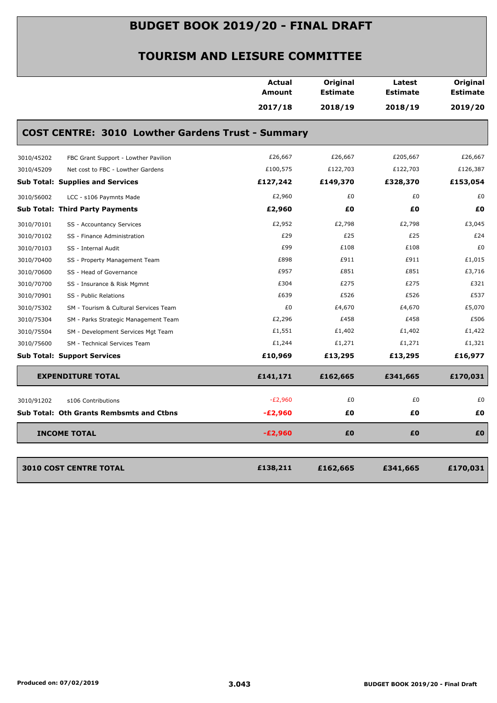|                                                          | <b>Actual</b><br><b>Amount</b> | Original<br><b>Estimate</b> | Latest<br><b>Estimate</b> | <b>Original</b><br><b>Estimate</b> |
|----------------------------------------------------------|--------------------------------|-----------------------------|---------------------------|------------------------------------|
|                                                          | 2017/18                        | 2018/19                     | 2018/19                   | 2019/20                            |
| <b>COST CENTRE: 3010 Lowther Gardens Trust - Summary</b> |                                |                             |                           |                                    |
| 3010/45202<br>FBC Grant Support - Lowther Pavilion       | £26,667                        | £26,667                     | £205,667                  | £26,667                            |
| 3010/45209<br>Net cost to FBC - Lowther Gardens          | £100,575                       | £122,703                    | £122,703                  | £126,387                           |
| <b>Sub Total: Supplies and Services</b>                  | £127,242                       | £149,370                    | £328,370                  | £153,054                           |
| 3010/56002<br>LCC - s106 Paymnts Made                    | £2,960                         | £0                          | £0                        | £0                                 |
| <b>Sub Total: Third Party Payments</b>                   | £2,960                         | £0                          | £0                        | £0                                 |
| 3010/70101<br>SS - Accountancy Services                  | £2,952                         | £2,798                      | £2,798                    | £3,045                             |
| SS - Finance Administration<br>3010/70102                | £29                            | £25                         | £25                       | £24                                |
| 3010/70103<br>SS - Internal Audit                        | £99                            | £108                        | £108                      | £0                                 |
| 3010/70400<br>SS - Property Management Team              | £898                           | £911                        | £911                      | £1,015                             |
| 3010/70600<br>SS - Head of Governance                    | £957                           | £851                        | £851                      | £3,716                             |
| 3010/70700<br>SS - Insurance & Risk Mgmnt                | £304                           | £275                        | £275                      | £321                               |
| 3010/70901<br>SS - Public Relations                      | £639                           | £526                        | £526                      | £537                               |
| 3010/75302<br>SM - Tourism & Cultural Services Team      | £0                             | £4,670                      | £4,670                    | £5,070                             |
| 3010/75304<br>SM - Parks Strategic Management Team       | £2,296                         | £458                        | £458                      | £506                               |
| 3010/75504<br>SM - Development Services Mgt Team         | £1,551                         | £1,402                      | £1,402                    | £1,422                             |
| 3010/75600<br>SM - Technical Services Team               | £1,244                         | £1,271                      | £1,271                    | £1,321                             |
| <b>Sub Total: Support Services</b>                       | £10,969                        | £13,295                     | £13,295                   | £16,977                            |
| <b>EXPENDITURE TOTAL</b>                                 | £141,171                       | £162,665                    | £341,665                  | £170,031                           |
| 3010/91202<br>s106 Contributions                         | $-E2,960$                      | £0                          | £0                        | £0                                 |
| <b>Sub Total: Oth Grants Rembsmts and Ctbns</b>          | $-E2,960$                      | £0                          | £0                        | £0                                 |
| <b>INCOME TOTAL</b>                                      | $-E2,960$                      | £0                          | £0                        | £0                                 |
|                                                          |                                |                             |                           |                                    |
| <b>3010 COST CENTRE TOTAL</b>                            | £138,211                       | £162,665                    | £341,665                  | £170,031                           |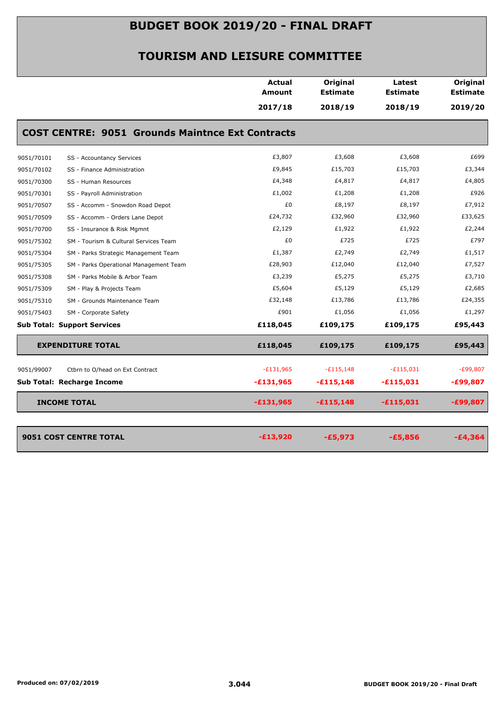|            |                                                         | Actual<br>Amount | Original<br><b>Estimate</b> | Latest<br><b>Estimate</b> | Original<br><b>Estimate</b> |
|------------|---------------------------------------------------------|------------------|-----------------------------|---------------------------|-----------------------------|
|            |                                                         | 2017/18          | 2018/19                     | 2018/19                   | 2019/20                     |
|            | <b>COST CENTRE: 9051 Grounds Maintnce Ext Contracts</b> |                  |                             |                           |                             |
| 9051/70101 | SS - Accountancy Services                               | £3,807           | £3,608                      | £3,608                    | £699                        |
| 9051/70102 | SS - Finance Administration                             | £9,845           | £15,703                     | £15,703                   | £3,344                      |
| 9051/70300 | SS - Human Resources                                    | £4,348           | £4,817                      | £4,817                    | £4,805                      |
| 9051/70301 | SS - Payroll Administration                             | £1,002           | £1,208                      | £1,208                    | £926                        |
| 9051/70507 | SS - Accomm - Snowdon Road Depot                        | £0               | £8,197                      | £8,197                    | £7,912                      |
| 9051/70509 | SS - Accomm - Orders Lane Depot                         | £24,732          | £32,960                     | £32,960                   | £33,625                     |
| 9051/70700 | SS - Insurance & Risk Mgmnt                             | £2,129           | £1,922                      | £1,922                    | £2,244                      |
| 9051/75302 | SM - Tourism & Cultural Services Team                   | £0               | £725                        | £725                      | £797                        |
| 9051/75304 | SM - Parks Strategic Management Team                    | £1,387           | £2,749                      | £2,749                    | £1,517                      |
| 9051/75305 | SM - Parks Operational Management Team                  | £28,903          | £12,040                     | £12,040                   | £7,527                      |
| 9051/75308 | SM - Parks Mobile & Arbor Team                          | £3,239           | £5,275                      | £5,275                    | £3,710                      |
| 9051/75309 | SM - Play & Projects Team                               | £5,604           | £5,129                      | £5,129                    | £2,685                      |
| 9051/75310 | SM - Grounds Maintenance Team                           | £32,148          | £13,786                     | £13,786                   | £24,355                     |
| 9051/75403 | SM - Corporate Safety                                   | £901             | £1,056                      | £1,056                    | £1,297                      |
|            | <b>Sub Total: Support Services</b>                      | £118,045         | £109,175                    | £109,175                  | £95,443                     |
|            | <b>EXPENDITURE TOTAL</b>                                | £118,045         | £109,175                    | £109,175                  | £95,443                     |
| 9051/99007 | Ctbrn to O/head on Ext Contract                         | $-E131,965$      | $-E115,148$                 | $-E115,031$               | $-E99,807$                  |
|            | Sub Total: Recharge Income                              | $-£131,965$      | $-£115,148$                 | $-£115,031$               | $-£99,807$                  |
|            | <b>INCOME TOTAL</b>                                     | $-£131,965$      | $-£115,148$                 | $-£115,031$               | $-£99,807$                  |
|            | 9051 COST CENTRE TOTAL                                  | $-£13,920$       | $-£5,973$                   | $-£5,856$                 | $-£4,364$                   |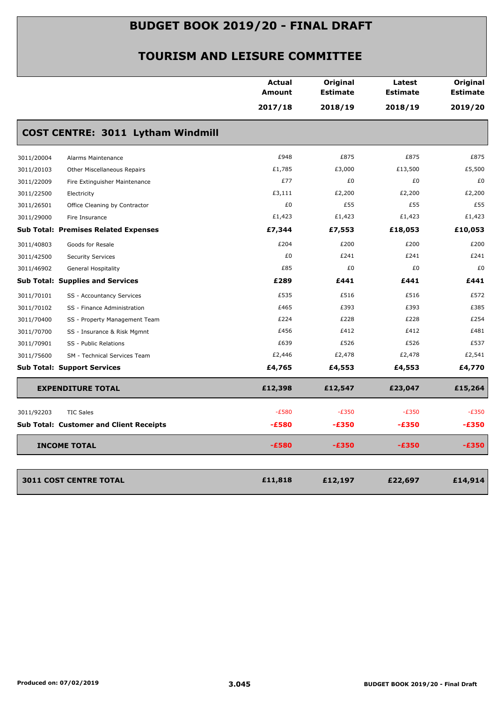|            |                                                | <b>Actual</b><br><b>Amount</b> | Original<br><b>Estimate</b> | Latest<br><b>Estimate</b> | Original<br><b>Estimate</b> |
|------------|------------------------------------------------|--------------------------------|-----------------------------|---------------------------|-----------------------------|
|            |                                                | 2017/18                        | 2018/19                     | 2018/19                   | 2019/20                     |
|            | COST CENTRE: 3011 Lytham Windmill              |                                |                             |                           |                             |
| 3011/20004 | Alarms Maintenance                             | £948                           | £875                        | £875                      | £875                        |
| 3011/20103 | Other Miscellaneous Repairs                    | £1,785                         | £3,000                      | £13,500                   | £5,500                      |
| 3011/22009 | Fire Extinguisher Maintenance                  | £77                            | £0                          | £0                        | £0                          |
| 3011/22500 | Electricity                                    | £3,111                         | £2,200                      | £2,200                    | £2,200                      |
| 3011/26501 | Office Cleaning by Contractor                  | £0                             | £55                         | £55                       | £55                         |
| 3011/29000 | Fire Insurance                                 | £1,423                         | £1,423                      | £1,423                    | £1,423                      |
|            | <b>Sub Total: Premises Related Expenses</b>    | £7,344                         | £7,553                      | £18,053                   | £10,053                     |
| 3011/40803 | Goods for Resale                               | £204                           | £200                        | £200                      | £200                        |
| 3011/42500 | <b>Security Services</b>                       | £0                             | £241                        | £241                      | £241                        |
| 3011/46902 | General Hospitality                            | £85                            | £0                          | £0                        | £0                          |
|            | <b>Sub Total: Supplies and Services</b>        | £289                           | £441                        | £441                      | £441                        |
| 3011/70101 | SS - Accountancy Services                      | £535                           | £516                        | £516                      | £572                        |
| 3011/70102 | SS - Finance Administration                    | £465                           | £393                        | £393                      | £385                        |
| 3011/70400 | SS - Property Management Team                  | £224                           | £228                        | £228                      | £254                        |
| 3011/70700 | SS - Insurance & Risk Mgmnt                    | £456                           | £412                        | £412                      | £481                        |
| 3011/70901 | SS - Public Relations                          | £639                           | £526                        | £526                      | £537                        |
| 3011/75600 | SM - Technical Services Team                   | £2,446                         | £2,478                      | £2,478                    | £2,541                      |
|            | <b>Sub Total: Support Services</b>             | £4,765                         | £4,553                      | £4,553                    | £4,770                      |
|            | <b>EXPENDITURE TOTAL</b>                       | £12,398                        | £12,547                     | £23,047                   | £15,264                     |
| 3011/92203 | <b>TIC Sales</b>                               | $-E580$                        | $-E350$                     | $-E350$                   | $-E350$                     |
|            | <b>Sub Total: Customer and Client Receipts</b> | $-£580$                        | $-£350$                     | $-£350$                   | $-£350$                     |
|            | <b>INCOME TOTAL</b>                            | $-£580$                        | $-£350$                     | $-E350$                   | $-£350$                     |
|            |                                                |                                |                             |                           |                             |
|            | <b>3011 COST CENTRE TOTAL</b>                  | £11,818                        | £12,197                     | £22,697                   | £14,914                     |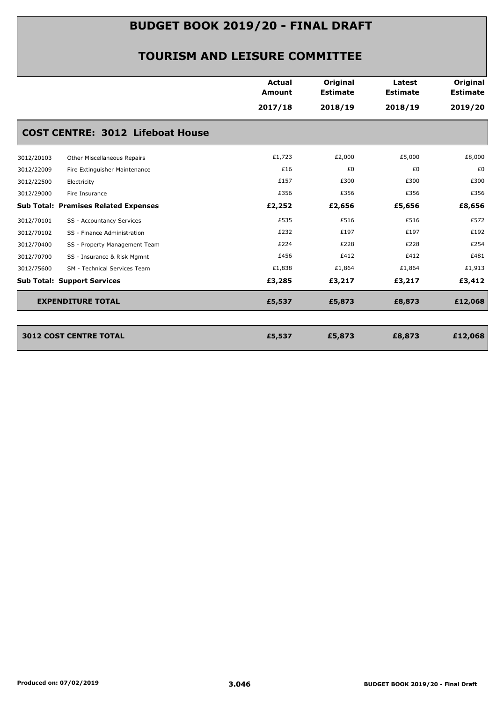|            |                                             | <b>Actual</b><br>Amount | Original<br><b>Estimate</b> | Latest<br><b>Estimate</b> | Original<br><b>Estimate</b> |
|------------|---------------------------------------------|-------------------------|-----------------------------|---------------------------|-----------------------------|
|            |                                             | 2017/18                 | 2018/19                     | 2018/19                   | 2019/20                     |
|            | <b>COST CENTRE: 3012 Lifeboat House</b>     |                         |                             |                           |                             |
| 3012/20103 | Other Miscellaneous Repairs                 | £1,723                  | £2,000                      | £5,000                    | £8,000                      |
| 3012/22009 | Fire Extinguisher Maintenance               | £16                     | £0                          | £0                        | £0                          |
| 3012/22500 | Electricity                                 | £157                    | £300                        | £300                      | £300                        |
| 3012/29000 | Fire Insurance                              | £356                    | £356                        | £356                      | £356                        |
|            | <b>Sub Total: Premises Related Expenses</b> | £2,252                  | £2,656                      | £5,656                    | £8,656                      |
| 3012/70101 | SS - Accountancy Services                   | £535                    | £516                        | £516                      | £572                        |
| 3012/70102 | SS - Finance Administration                 | £232                    | £197                        | £197                      | £192                        |
| 3012/70400 | SS - Property Management Team               | £224                    | £228                        | £228                      | £254                        |
| 3012/70700 | SS - Insurance & Risk Mgmnt                 | £456                    | £412                        | £412                      | £481                        |
| 3012/75600 | SM - Technical Services Team                | £1,838                  | £1,864                      | £1,864                    | £1,913                      |
|            | <b>Sub Total: Support Services</b>          | £3,285                  | £3,217                      | £3,217                    | £3,412                      |
|            | <b>EXPENDITURE TOTAL</b>                    | £5,537                  | £5,873                      | £8,873                    | £12,068                     |
|            |                                             |                         |                             |                           |                             |
|            | <b>3012 COST CENTRE TOTAL</b>               | £5,537                  | £5,873                      | £8,873                    | £12,068                     |
|            |                                             |                         |                             |                           |                             |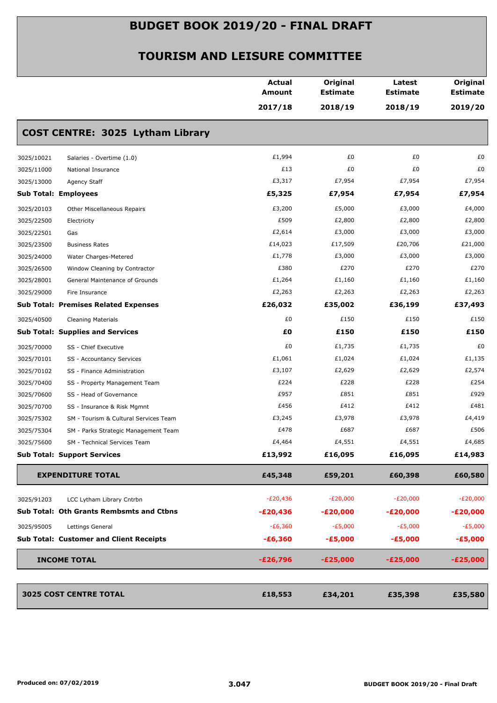|            |                                                | <b>Actual</b><br>Amount | Original<br><b>Estimate</b> | Latest<br><b>Estimate</b> | Original<br><b>Estimate</b> |
|------------|------------------------------------------------|-------------------------|-----------------------------|---------------------------|-----------------------------|
|            |                                                | 2017/18                 | 2018/19                     | 2018/19                   | 2019/20                     |
|            | COST CENTRE: 3025 Lytham Library               |                         |                             |                           |                             |
| 3025/10021 | Salaries - Overtime (1.0)                      | £1,994                  | £0                          | £0                        | £0                          |
| 3025/11000 | National Insurance                             | £13                     | £0                          | £0                        | £0                          |
| 3025/13000 | Agency Staff                                   | £3,317                  | £7,954                      | £7,954                    | £7,954                      |
|            | <b>Sub Total: Employees</b>                    | £5,325                  | £7,954                      | £7,954                    | £7,954                      |
| 3025/20103 | Other Miscellaneous Repairs                    | £3,200                  | £5,000                      | £3,000                    | £4,000                      |
| 3025/22500 | Electricity                                    | £509                    | £2,800                      | £2,800                    | £2,800                      |
| 3025/22501 | Gas                                            | £2,614                  | £3,000                      | £3,000                    | £3,000                      |
| 3025/23500 | <b>Business Rates</b>                          | £14,023                 | £17,509                     | £20,706                   | £21,000                     |
| 3025/24000 | Water Charges-Metered                          | £1,778                  | £3,000                      | £3,000                    | £3,000                      |
| 3025/26500 | Window Cleaning by Contractor                  | £380                    | £270                        | £270                      | £270                        |
| 3025/28001 | General Maintenance of Grounds                 | £1,264                  | £1,160                      | £1,160                    | £1,160                      |
| 3025/29000 | Fire Insurance                                 | £2,263                  | £2,263                      | £2,263                    | £2,263                      |
|            | <b>Sub Total: Premises Related Expenses</b>    | £26,032                 | £35,002                     | £36,199                   | £37,493                     |
| 3025/40500 | <b>Cleaning Materials</b>                      | £0                      | £150                        | £150                      | £150                        |
|            | <b>Sub Total: Supplies and Services</b>        | £Ο                      | £150                        | £150                      | £150                        |
| 3025/70000 | SS - Chief Executive                           | £0                      | £1,735                      | £1,735                    | £0                          |
| 3025/70101 | SS - Accountancy Services                      | £1,061                  | £1,024                      | £1,024                    | £1,135                      |
| 3025/70102 | SS - Finance Administration                    | £3,107                  | £2,629                      | £2,629                    | £2,574                      |
| 3025/70400 | SS - Property Management Team                  | £224                    | £228                        | £228                      | £254                        |
| 3025/70600 | SS - Head of Governance                        | £957                    | £851                        | £851                      | £929                        |
| 3025/70700 | SS - Insurance & Risk Mgmnt                    | £456                    | £412                        | £412                      | £481                        |
| 3025/75302 | SM - Tourism & Cultural Services Team          | £3,245                  | £3,978                      | £3,978                    | £4,419                      |
| 3025/75304 | SM - Parks Strategic Management Team           | £478                    | £687                        | £687                      | £506                        |
| 3025/75600 | SM - Technical Services Team                   | £4,464                  | £4,551                      | £4,551                    | £4,685                      |
|            | <b>Sub Total: Support Services</b>             | £13,992                 | £16,095                     | £16,095                   | £14,983                     |
|            | <b>EXPENDITURE TOTAL</b>                       | £45,348                 | £59,201                     | £60,398                   | £60,580                     |
| 3025/91203 | LCC Lytham Library Cntrbn                      | $-E20,436$              | $-E20,000$                  | $-E20,000$                | $-E20,000$                  |
|            | Sub Total: Oth Grants Rembsmts and Ctbns       | $-E20,436$              | $-E20,000$                  | $-E20,000$                | $-E20,000$                  |
| 3025/95005 | Lettings General                               | $-E6,360$               | $-E5,000$                   | $-E5,000$                 | $-E5,000$                   |
|            | <b>Sub Total: Customer and Client Receipts</b> | -£6,360                 | $-£5,000$                   | $-E5,000$                 | $-£5,000$                   |
|            | <b>INCOME TOTAL</b>                            | $-E26,796$              | $-E25,000$                  | $-E25,000$                | $-E25,000$                  |
|            | <b>3025 COST CENTRE TOTAL</b>                  | £18,553                 | £34,201                     | £35,398                   | £35,580                     |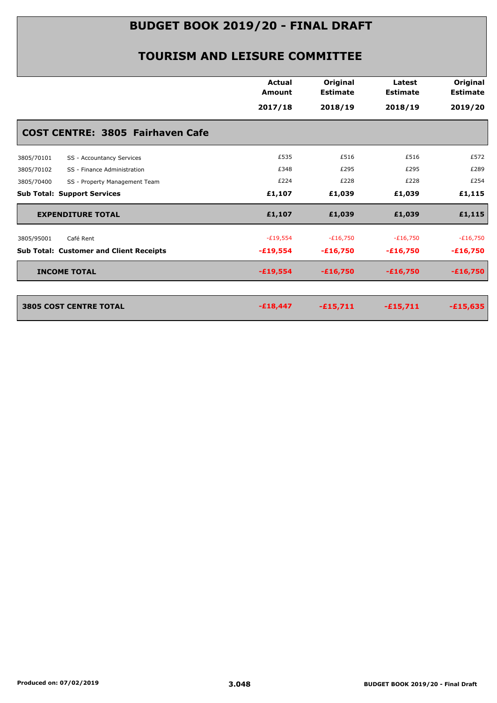|                                                | <b>Actual</b><br><b>Amount</b> | Original<br><b>Estimate</b> | Latest<br><b>Estimate</b> | Original<br><b>Estimate</b> |
|------------------------------------------------|--------------------------------|-----------------------------|---------------------------|-----------------------------|
|                                                | 2017/18                        | 2018/19                     | 2018/19                   | 2019/20                     |
| <b>COST CENTRE: 3805 Fairhaven Cafe</b>        |                                |                             |                           |                             |
| 3805/70101<br>SS - Accountancy Services        | £535                           | £516                        | £516                      | £572                        |
| 3805/70102<br>SS - Finance Administration      | £348                           | £295                        | £295                      | £289                        |
| 3805/70400<br>SS - Property Management Team    | £224                           | £228                        | £228                      | £254                        |
| <b>Sub Total: Support Services</b>             | £1,107                         | £1,039                      | £1,039                    | £1,115                      |
| <b>EXPENDITURE TOTAL</b>                       | £1,107                         | £1,039                      | £1,039                    | £1,115                      |
| Café Rent<br>3805/95001                        | $-E19,554$                     | $-E16,750$                  | $-£16,750$                | $-£16,750$                  |
| <b>Sub Total: Customer and Client Receipts</b> | $-£19,554$                     | $-£16,750$                  | $-£16,750$                | $-£16,750$                  |
| <b>INCOME TOTAL</b>                            | $-£19,554$                     | $-£16,750$                  | $-£16,750$                | $-£16,750$                  |
|                                                |                                |                             |                           |                             |
| <b>3805 COST CENTRE TOTAL</b>                  | $-£18,447$                     | $-£15,711$                  | $-£15,711$                | $-£15,635$                  |
|                                                |                                |                             |                           |                             |
|                                                |                                |                             |                           |                             |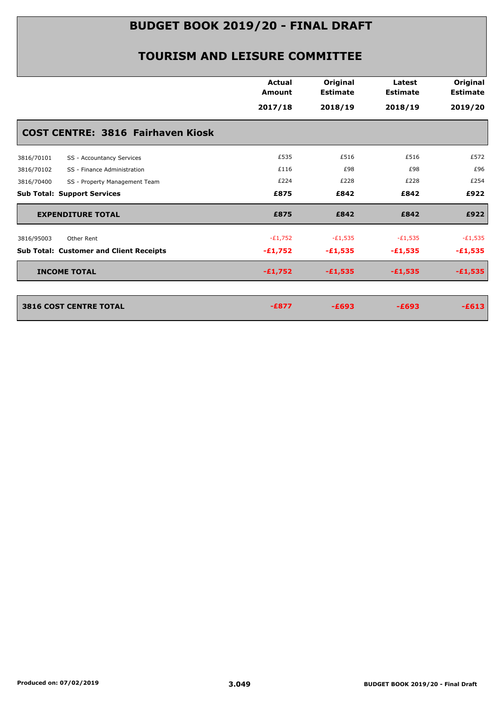|                                                | <b>Actual</b><br><b>Amount</b> | Original<br><b>Estimate</b> | Latest<br><b>Estimate</b> | Original<br><b>Estimate</b> |
|------------------------------------------------|--------------------------------|-----------------------------|---------------------------|-----------------------------|
|                                                | 2017/18                        | 2018/19                     | 2018/19                   | 2019/20                     |
| <b>COST CENTRE: 3816 Fairhaven Kiosk</b>       |                                |                             |                           |                             |
| SS - Accountancy Services<br>3816/70101        | £535                           | £516                        | £516                      | £572                        |
| 3816/70102<br>SS - Finance Administration      | £116                           | £98                         | £98                       | £96                         |
| 3816/70400<br>SS - Property Management Team    | £224                           | £228                        | £228                      | £254                        |
| <b>Sub Total: Support Services</b>             | £875                           | £842                        | £842                      | £922                        |
| <b>EXPENDITURE TOTAL</b>                       | £875                           | £842                        | £842                      | £922                        |
| 3816/95003<br>Other Rent                       | $-E1,752$                      | $-E1,535$                   | $-E1,535$                 | $-E1,535$                   |
| <b>Sub Total: Customer and Client Receipts</b> | $-£1,752$                      | $-£1,535$                   | $-£1,535$                 | $-£1,535$                   |
| <b>INCOME TOTAL</b>                            | $-£1,752$                      | $-£1,535$                   | $-£1,535$                 | $-£1,535$                   |
|                                                |                                |                             |                           |                             |
| <b>3816 COST CENTRE TOTAL</b>                  | $-E877$                        | $-E693$                     | $-E693$                   | $-E613$                     |
|                                                |                                |                             |                           |                             |
|                                                |                                |                             |                           |                             |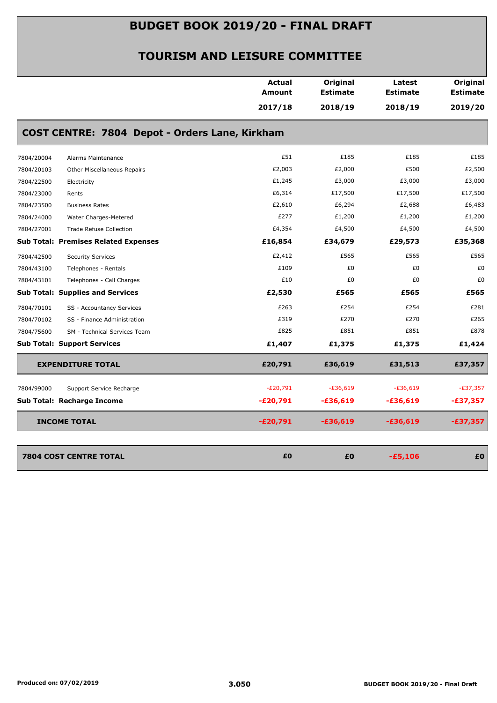|            |                                                | Actual        | Original        | Latest          | Original        |
|------------|------------------------------------------------|---------------|-----------------|-----------------|-----------------|
|            |                                                | <b>Amount</b> | <b>Estimate</b> | <b>Estimate</b> | <b>Estimate</b> |
|            |                                                | 2017/18       | 2018/19         | 2018/19         | 2019/20         |
|            | COST CENTRE: 7804 Depot - Orders Lane, Kirkham |               |                 |                 |                 |
| 7804/20004 | Alarms Maintenance                             | £51           | £185            | £185            | £185            |
| 7804/20103 | Other Miscellaneous Repairs                    | £2,003        | £2,000          | £500            | £2,500          |
| 7804/22500 | Electricity                                    | £1,245        | £3,000          | £3,000          | £3,000          |
| 7804/23000 | Rents                                          | £6,314        | £17,500         | £17,500         | £17,500         |
| 7804/23500 | <b>Business Rates</b>                          | £2,610        | £6,294          | £2,688          | £6,483          |
| 7804/24000 | Water Charges-Metered                          | £277          | £1,200          | £1,200          | £1,200          |
| 7804/27001 | <b>Trade Refuse Collection</b>                 | £4,354        | £4,500          | £4,500          | £4,500          |
|            | <b>Sub Total: Premises Related Expenses</b>    | £16,854       | £34,679         | £29,573         | £35,368         |
| 7804/42500 | <b>Security Services</b>                       | £2,412        | £565            | £565            | £565            |
| 7804/43100 | Telephones - Rentals                           | £109          | £0              | £0              | £0              |
| 7804/43101 | Telephones - Call Charges                      | £10           | £0              | £0              | £0              |
|            | <b>Sub Total: Supplies and Services</b>        | £2,530        | £565            | £565            | £565            |
| 7804/70101 | SS - Accountancy Services                      | £263          | £254            | £254            | £281            |
| 7804/70102 | SS - Finance Administration                    | £319          | £270            | £270            | £265            |
| 7804/75600 | SM - Technical Services Team                   | £825          | £851            | £851            | £878            |
|            | <b>Sub Total: Support Services</b>             | £1,407        | £1,375          | £1,375          | £1,424          |
|            | <b>EXPENDITURE TOTAL</b>                       | £20,791       | £36,619         | £31,513         | £37,357         |
| 7804/99000 | Support Service Recharge                       | $-E20,791$    | $-£36,619$      | $-E36,619$      | $-E37,357$      |
|            | Sub Total: Recharge Income                     | $-E20,791$    | -£36,619        | -£36,619        | $-£37,357$      |
|            | <b>INCOME TOTAL</b>                            | $-£20,791$    | $-£36,619$      | $-£36,619$      | $-£37,357$      |
|            |                                                |               |                 |                 |                 |
|            | <b>7804 COST CENTRE TOTAL</b>                  | £0            | £0              | $-£5,106$       | £0              |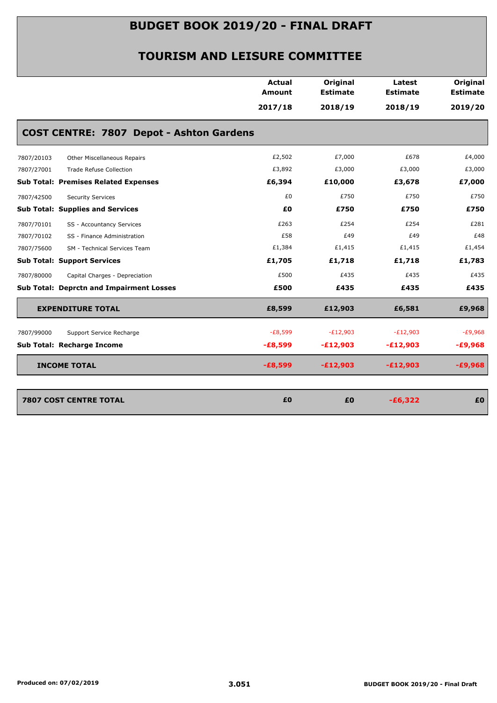|                                                 | <b>Actual</b><br><b>Amount</b> | Original<br><b>Estimate</b> | Latest<br><b>Estimate</b> | Original<br><b>Estimate</b> |
|-------------------------------------------------|--------------------------------|-----------------------------|---------------------------|-----------------------------|
|                                                 | 2017/18                        | 2018/19                     | 2018/19                   | 2019/20                     |
| <b>COST CENTRE: 7807 Depot - Ashton Gardens</b> |                                |                             |                           |                             |
| Other Miscellaneous Repairs<br>7807/20103       | £2,502                         | £7,000                      | £678                      | £4,000                      |
| 7807/27001<br><b>Trade Refuse Collection</b>    | £3,892                         | £3,000                      | £3,000                    | £3,000                      |
| <b>Sub Total: Premises Related Expenses</b>     | £6,394                         | £10,000                     | £3,678                    | £7,000                      |
| 7807/42500<br><b>Security Services</b>          | £0                             | £750                        | £750                      | £750                        |
| <b>Sub Total: Supplies and Services</b>         | £0                             | £750                        | £750                      | £750                        |
| 7807/70101<br>SS - Accountancy Services         | £263                           | £254                        | £254                      | £281                        |
| 7807/70102<br>SS - Finance Administration       | £58                            | £49                         | £49                       | £48                         |
| SM - Technical Services Team<br>7807/75600      | £1,384                         | £1,415                      | £1,415                    | £1,454                      |
| <b>Sub Total: Support Services</b>              | £1,705                         | £1,718                      | £1,718                    | £1,783                      |
| 7807/80000<br>Capital Charges - Depreciation    | £500                           | £435                        | £435                      | £435                        |
| <b>Sub Total: Deprctn and Impairment Losses</b> | £500                           | £435                        | £435                      | £435                        |
| <b>EXPENDITURE TOTAL</b>                        | £8,599                         | £12,903                     | £6,581                    | £9,968                      |
| 7807/99000<br>Support Service Recharge          | $-E8,599$                      | $-E12,903$                  | $-E12,903$                | $-E9,968$                   |
| Sub Total: Recharge Income                      | $-£8,599$                      | $-E12,903$                  | $-E12,903$                | $-£9,968$                   |
| <b>INCOME TOTAL</b>                             | $-£8,599$                      | $-£12,903$                  | $-E12,903$                | $-£9,968$                   |
| <b>7807 COST CENTRE TOTAL</b>                   | £0                             | £0                          | $-£6,322$                 | £0                          |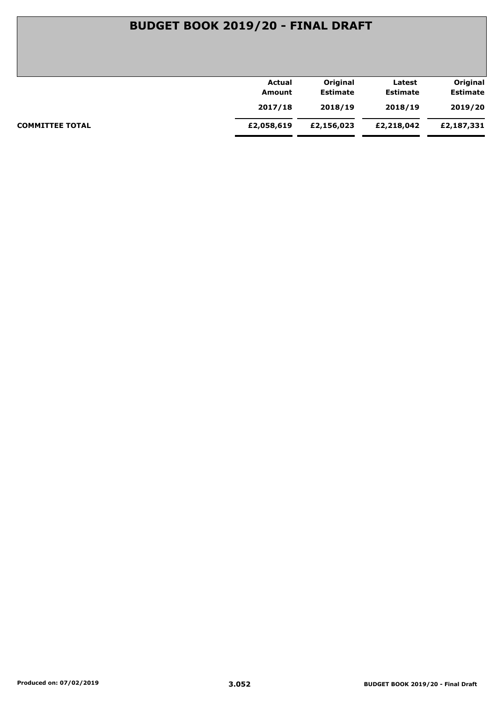|                        | Actual     | Original        | Latest          | Original        |
|------------------------|------------|-----------------|-----------------|-----------------|
|                        | Amount     | <b>Estimate</b> | <b>Estimate</b> | <b>Estimate</b> |
|                        | 2017/18    | 2018/19         | 2018/19         | 2019/20         |
| <b>COMMITTEE TOTAL</b> | £2,058,619 | £2,156,023      | £2,218,042      | £2,187,331      |
|                        |            |                 |                 |                 |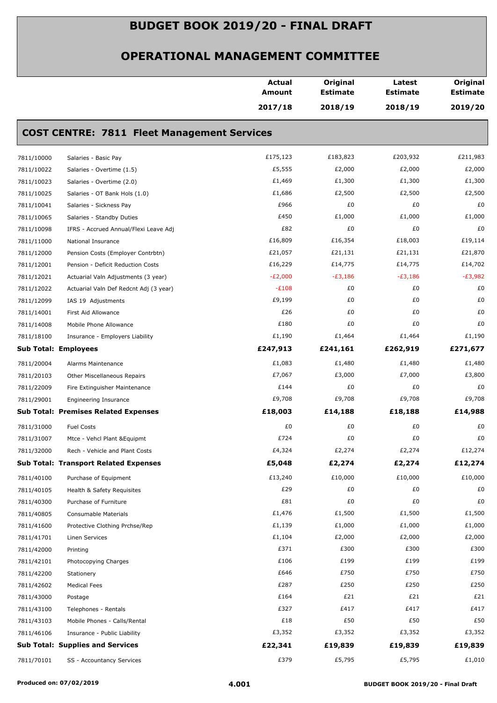|            |                                                    | <b>Actual</b><br>Amount | Original<br><b>Estimate</b> | Latest<br><b>Estimate</b> | Original<br><b>Estimate</b> |
|------------|----------------------------------------------------|-------------------------|-----------------------------|---------------------------|-----------------------------|
|            |                                                    | 2017/18                 | 2018/19                     | 2018/19                   | 2019/20                     |
|            | <b>COST CENTRE: 7811 Fleet Management Services</b> |                         |                             |                           |                             |
| 7811/10000 | Salaries - Basic Pay                               | £175,123                | £183,823                    | £203,932                  | £211,983                    |
| 7811/10022 | Salaries - Overtime (1.5)                          | £5,555                  | £2,000                      | £2,000                    | £2,000                      |
| 7811/10023 | Salaries - Overtime (2.0)                          | £1,469                  | £1,300                      | £1,300                    | £1,300                      |
| 7811/10025 | Salaries - OT Bank Hols (1.0)                      | £1,686                  | £2,500                      | £2,500                    | £2,500                      |
| 7811/10041 | Salaries - Sickness Pay                            | £966                    | £0                          | £0                        | £0                          |
| 7811/10065 | Salaries - Standby Duties                          | £450                    | £1,000                      | £1,000                    | £1,000                      |
| 7811/10098 | IFRS - Accrued Annual/Flexi Leave Adj              | £82                     | £0                          | £0                        | £0                          |
| 7811/11000 | National Insurance                                 | £16,809                 | £16,354                     | £18,003                   | £19,114                     |
| 7811/12000 | Pension Costs (Employer Contrbtn)                  | £21,057                 | £21,131                     | £21,131                   | £21,870                     |
| 7811/12001 | Pension - Deficit Reduction Costs                  | £16,229                 | £14,775                     | £14,775                   | £14,702                     |
| 7811/12021 | Actuarial Valn Adjustments (3 year)                | $-E2,000$               | $-E3,186$                   | $-E3,186$                 | -£3,982                     |
| 7811/12022 | Actuarial Valn Def Redcnt Adj (3 year)             | $-E108$                 | £0                          | £0                        | £0                          |
| 7811/12099 | IAS 19 Adjustments                                 | £9,199                  | £0                          | £0                        | £0                          |
| 7811/14001 | First Aid Allowance                                | £26                     | £0                          | £0                        | £0                          |
| 7811/14008 | Mobile Phone Allowance                             | £180                    | £0                          | £0                        | £0                          |
| 7811/18100 | Insurance - Employers Liability                    | £1,190                  | £1,464                      | £1,464                    | £1,190                      |
|            | <b>Sub Total: Employees</b>                        | £247,913                | £241,161                    | £262,919                  | £271,677                    |
| 7811/20004 | Alarms Maintenance                                 | £1,083                  | £1,480                      | £1,480                    | £1,480                      |
| 7811/20103 | Other Miscellaneous Repairs                        | £7,067                  | £3,000                      | £7,000                    | £3,800                      |
| 7811/22009 | Fire Extinguisher Maintenance                      | £144                    | £0                          | £0                        | £0                          |
| 7811/29001 | <b>Engineering Insurance</b>                       | £9,708                  | £9,708                      | £9,708                    | £9,708                      |
|            | <b>Sub Total: Premises Related Expenses</b>        | £18,003                 | £14,188                     | £18,188                   | £14,988                     |
| 7811/31000 | <b>Fuel Costs</b>                                  | £0                      | £0                          | £0                        | £0                          |
| 7811/31007 | Mtce - Vehcl Plant & Equipmt                       | £724                    | £0                          | £0                        | £0                          |
| 7811/32000 | Rech - Vehicle and Plant Costs                     | £4,324                  | £2,274                      | £2,274                    | £12,274                     |
|            | <b>Sub Total: Transport Related Expenses</b>       | £5,048                  | £2,274                      | £2,274                    | £12,274                     |
| 7811/40100 | Purchase of Equipment                              | £13,240                 | £10,000                     | £10,000                   | £10,000                     |
| 7811/40105 | Health & Safety Requisites                         | £29                     | £0                          | £0                        | £0                          |
| 7811/40300 | Purchase of Furniture                              | £81                     | £0                          | £0                        | £0                          |
| 7811/40805 | Consumable Materials                               | £1,476                  | £1,500                      | £1,500                    | £1,500                      |
| 7811/41600 | Protective Clothing Prchse/Rep                     | £1,139                  | £1,000                      | £1,000                    | £1,000                      |
| 7811/41701 | Linen Services                                     | £1,104                  | £2,000                      | £2,000                    | £2,000                      |
| 7811/42000 | Printing                                           | £371                    | £300                        | £300                      | £300                        |
| 7811/42101 | Photocopying Charges                               | £106                    | £199                        | £199                      | £199                        |
| 7811/42200 | Stationery                                         | £646                    | £750                        | £750                      | £750                        |
| 7811/42602 | <b>Medical Fees</b>                                | £287                    | £250                        | £250                      | £250                        |
| 7811/43000 | Postage                                            | £164                    | £21                         | £21                       | £21                         |
| 7811/43100 | Telephones - Rentals                               | £327                    | £417                        | £417                      | £417                        |
| 7811/43103 | Mobile Phones - Calls/Rental                       | £18                     | £50                         | £50                       | £50                         |
| 7811/46106 | Insurance - Public Liability                       | £3,352                  | £3,352                      | £3,352                    | £3,352                      |
|            | <b>Sub Total: Supplies and Services</b>            | £22,341                 | £19,839                     | £19,839                   | £19,839                     |
| 7811/70101 | SS - Accountancy Services                          | £379                    | £5,795                      | £5,795                    | £1,010                      |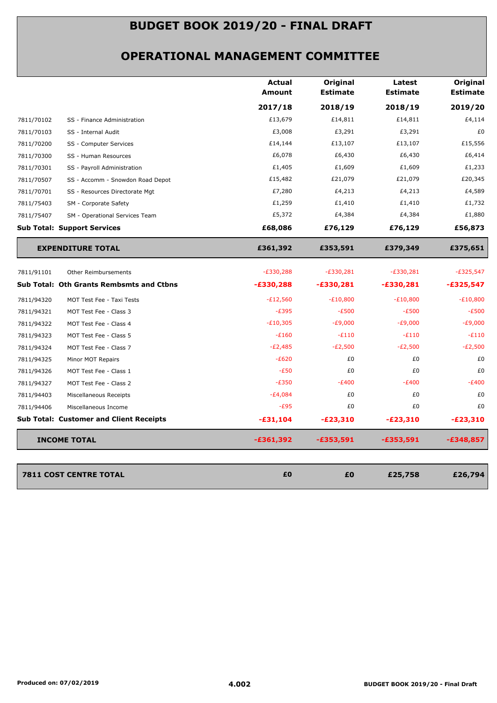|            |                                                 | <b>Actual</b><br><b>Amount</b> | Original<br><b>Estimate</b> | Latest<br><b>Estimate</b> | <b>Original</b><br><b>Estimate</b> |
|------------|-------------------------------------------------|--------------------------------|-----------------------------|---------------------------|------------------------------------|
|            |                                                 | 2017/18                        | 2018/19                     | 2018/19                   | 2019/20                            |
| 7811/70102 | SS - Finance Administration                     | £13,679                        | £14,811                     | £14,811                   | £4,114                             |
| 7811/70103 | SS - Internal Audit                             | £3,008                         | £3,291                      | £3,291                    | £0                                 |
| 7811/70200 | SS - Computer Services                          | £14,144                        | £13,107                     | £13,107                   | £15,556                            |
| 7811/70300 | SS - Human Resources                            | £6,078                         | £6,430                      | £6,430                    | £6,414                             |
| 7811/70301 | SS - Payroll Administration                     | £1,405                         | £1,609                      | £1,609                    | £1,233                             |
| 7811/70507 | SS - Accomm - Snowdon Road Depot                | £15,482                        | £21,079                     | £21,079                   | £20,345                            |
| 7811/70701 | SS - Resources Directorate Mgt                  | £7,280                         | £4,213                      | £4,213                    | £4,589                             |
| 7811/75403 | SM - Corporate Safety                           | £1,259                         | £1,410                      | £1,410                    | £1,732                             |
| 7811/75407 | SM - Operational Services Team                  | £5,372                         | £4,384                      | £4,384                    | £1,880                             |
|            | <b>Sub Total: Support Services</b>              | £68,086                        | £76,129                     | £76,129                   | £56,873                            |
|            | <b>EXPENDITURE TOTAL</b>                        | £361,392                       | £353,591                    | £379,349                  | £375,651                           |
| 7811/91101 | Other Reimbursements                            | $-E330,288$                    | $-E330,281$                 | $-E330,281$               | $-E325,547$                        |
|            | <b>Sub Total: Oth Grants Rembsmts and Ctbns</b> | $-£330,288$                    | $-£330,281$                 | $-£330,281$               | $-£325,547$                        |
| 7811/94320 | MOT Test Fee - Taxi Tests                       | $-E12,560$                     | $-E10,800$                  | $-E10,800$                | $-E10,800$                         |
| 7811/94321 | MOT Test Fee - Class 3                          | $-E395$                        | $-E500$                     | $-E500$                   | $-E500$                            |
| 7811/94322 | MOT Test Fee - Class 4                          | $-E10,305$                     | $-£9,000$                   | $-E9,000$                 | $-E9,000$                          |
| 7811/94323 | MOT Test Fee - Class 5                          | $-E160$                        | $-E110$                     | $-E110$                   | $-E110$                            |
| 7811/94324 | MOT Test Fee - Class 7                          | $-E2,485$                      | $-E2,500$                   | $-E2,500$                 | $-E2,500$                          |
| 7811/94325 | Minor MOT Repairs                               | $-E620$                        | £0                          | £0                        | £0                                 |
| 7811/94326 | MOT Test Fee - Class 1                          | $-E50$                         | £0                          | £0                        | £0                                 |
| 7811/94327 | MOT Test Fee - Class 2                          | $-E350$                        | $-E400$                     | $-E400$                   | $-E400$                            |
| 7811/94403 | Miscellaneous Receipts                          | $-E4,084$                      | £0                          | £0                        | £0                                 |
| 7811/94406 | Miscellaneous Income                            | $-E95$                         | £0                          | £0                        | £0                                 |
|            | <b>Sub Total: Customer and Client Receipts</b>  | $-£31,104$                     | $-E23,310$                  | $-E23,310$                | $-E23,310$                         |
|            | <b>INCOME TOTAL</b>                             | $-£361,392$                    | $-£353,591$                 | $-£353,591$               | $-£348,857$                        |
|            |                                                 |                                |                             |                           |                                    |
|            | <b>7811 COST CENTRE TOTAL</b>                   | £0                             | £0                          | £25,758                   | £26,794                            |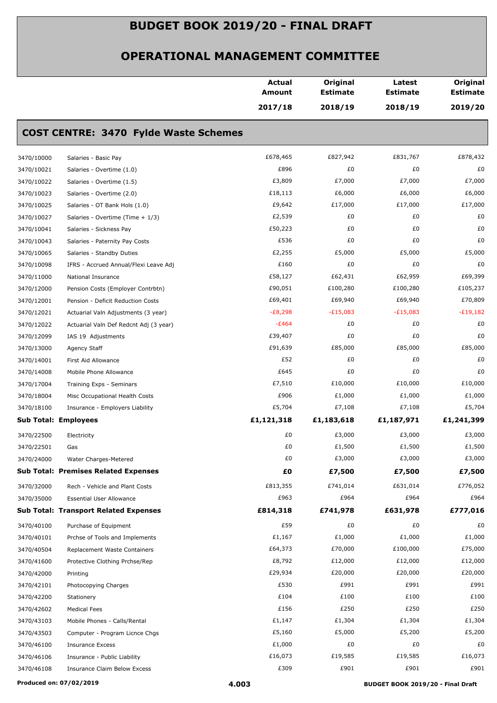|            |                                              | Actual<br><b>Amount</b> | Original<br><b>Estimate</b> | Latest<br><b>Estimate</b> | Original<br><b>Estimate</b> |
|------------|----------------------------------------------|-------------------------|-----------------------------|---------------------------|-----------------------------|
|            |                                              | 2017/18                 | 2018/19                     | 2018/19                   | 2019/20                     |
|            | <b>COST CENTRE: 3470 Fylde Waste Schemes</b> |                         |                             |                           |                             |
| 3470/10000 | Salaries - Basic Pay                         | £678,465                | £827,942                    | £831,767                  | £878,432                    |
| 3470/10021 | Salaries - Overtime (1.0)                    | £896                    | £0                          | £0                        | £0                          |
| 3470/10022 | Salaries - Overtime (1.5)                    | £3,809                  | £7,000                      | £7,000                    | £7,000                      |
| 3470/10023 | Salaries - Overtime (2.0)                    | £18,113                 | £6,000                      | £6,000                    | £6,000                      |
| 3470/10025 | Salaries - OT Bank Hols (1.0)                | £9,642                  | £17,000                     | £17,000                   | £17,000                     |
| 3470/10027 | Salaries - Overtime (Time + 1/3)             | £2,539                  | £0                          | £0                        | £0                          |
| 3470/10041 | Salaries - Sickness Pay                      | £50,223                 | £0                          | £0                        | £0                          |
| 3470/10043 | Salaries - Paternity Pay Costs               | £536                    | £0                          | £0                        | £0                          |
| 3470/10065 | Salaries - Standby Duties                    | £2,255                  | £5,000                      | £5,000                    | £5,000                      |
| 3470/10098 | IFRS - Accrued Annual/Flexi Leave Adj        | £160                    | £0                          | £0                        | £0                          |
| 3470/11000 | National Insurance                           | £58,127                 | £62,431                     | £62,959                   | £69,399                     |
| 3470/12000 | Pension Costs (Employer Contrbtn)            | £90,051                 | £100,280                    | £100,280                  | £105,237                    |
| 3470/12001 | Pension - Deficit Reduction Costs            | £69,401                 | £69,940                     | £69,940                   | £70,809                     |
| 3470/12021 | Actuarial Valn Adjustments (3 year)          | $-E8,298$               | $-E15,083$                  | $-E15,083$                | $-E19,182$                  |
| 3470/12022 | Actuarial Valn Def Redcnt Adj (3 year)       | $-E464$                 | £0                          | £0                        | £0                          |
| 3470/12099 | IAS 19 Adjustments                           | £39,407                 | £0                          | £0                        | £0                          |
| 3470/13000 | Agency Staff                                 | £91,639                 | £85,000                     | £85,000                   | £85,000                     |
| 3470/14001 | First Aid Allowance                          | £52                     | £0                          | £0                        | £0                          |
| 3470/14008 | Mobile Phone Allowance                       | £645                    | £0                          | £0                        | £0                          |
| 3470/17004 | Training Exps - Seminars                     | £7,510                  | £10,000                     | £10,000                   | £10,000                     |
| 3470/18004 | Misc Occupational Health Costs               | £906                    | £1,000                      | £1,000                    | £1,000                      |
| 3470/18100 | Insurance - Employers Liability              | £5,704                  | £7,108                      | £7,108                    | £5,704                      |
|            | <b>Sub Total: Employees</b>                  | £1,121,318              | £1,183,618                  | £1,187,971                | £1,241,399                  |
|            |                                              |                         |                             |                           |                             |
| 3470/22500 | Electricity                                  | £0                      | £3,000                      | £3,000                    | £3,000                      |
| 3470/22501 | Gas                                          | £0                      | £1,500                      | £1,500                    | £1,500                      |
| 3470/24000 | Water Charges-Metered                        | £0                      | £3,000                      | £3,000                    | £3,000                      |
|            | <b>Sub Total: Premises Related Expenses</b>  | £0                      | £7,500                      | £7,500                    | £7,500                      |
| 3470/32000 | Rech - Vehicle and Plant Costs               | £813,355                | £741,014                    | £631,014                  | £776,052                    |
| 3470/35000 | <b>Essential User Allowance</b>              | £963                    | £964                        | £964                      | £964                        |
|            | <b>Sub Total: Transport Related Expenses</b> | £814,318                | £741,978                    | £631,978                  | £777,016                    |
| 3470/40100 | Purchase of Equipment                        | £59                     | £0                          | £0                        | £0                          |
| 3470/40101 | Prchse of Tools and Implements               | £1,167                  | £1,000                      | £1,000                    | £1,000                      |
| 3470/40504 | Replacement Waste Containers                 | £64,373                 | £70,000                     | £100,000                  | £75,000                     |
| 3470/41600 | Protective Clothing Prchse/Rep               | £8,792                  | £12,000                     | £12,000                   | £12,000                     |
| 3470/42000 | Printing                                     | £29,934                 | £20,000                     | £20,000                   | £20,000                     |
| 3470/42101 | Photocopying Charges                         | £530                    | £991                        | £991                      | £991                        |
| 3470/42200 | Stationery                                   | £104                    | £100                        | £100                      | £100                        |
| 3470/42602 | <b>Medical Fees</b>                          | £156                    | £250                        | £250                      | £250                        |
| 3470/43103 | Mobile Phones - Calls/Rental                 | £1,147                  | £1,304                      | £1,304                    | £1,304                      |
| 3470/43503 | Computer - Program Licnce Chgs               | £5,160                  | £5,000                      | £5,200                    | £5,200                      |
| 3470/46100 | <b>Insurance Excess</b>                      | £1,000                  | £0                          | £0                        | £0                          |
| 3470/46106 | Insurance - Public Liability                 | £16,073                 | £19,585                     | £19,585                   | £16,073                     |
| 3470/46108 | Insurance Claim Below Excess                 | £309                    | £901                        | £901                      | £901                        |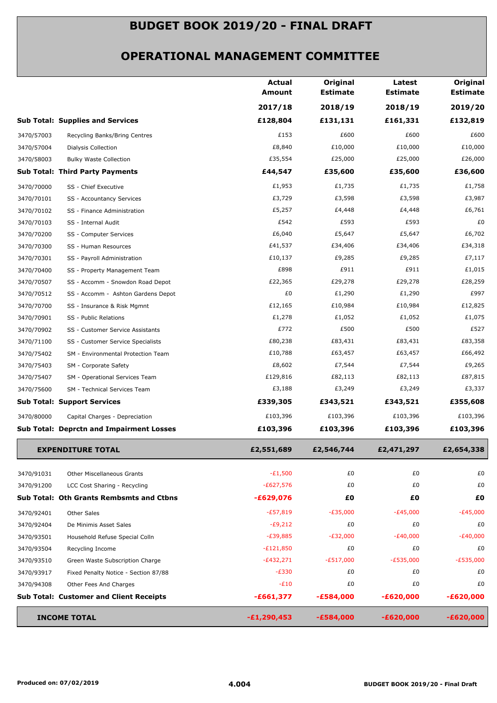|                                                    | <b>Actual</b><br><b>Amount</b> | Original<br><b>Estimate</b> | Latest<br><b>Estimate</b> | Original<br><b>Estimate</b> |
|----------------------------------------------------|--------------------------------|-----------------------------|---------------------------|-----------------------------|
|                                                    | 2017/18                        | 2018/19                     | 2018/19                   | 2019/20                     |
| <b>Sub Total: Supplies and Services</b>            | £128,804                       | £131,131                    | £161,331                  | £132,819                    |
| 3470/57003<br>Recycling Banks/Bring Centres        | £153                           | £600                        | £600                      | £600                        |
| 3470/57004<br>Dialysis Collection                  | £8,840                         | £10,000                     | £10,000                   | £10,000                     |
| 3470/58003<br><b>Bulky Waste Collection</b>        | £35,554                        | £25,000                     | £25,000                   | £26,000                     |
| Sub Total: Third Party Payments                    | £44,547                        | £35,600                     | £35,600                   | £36,600                     |
| 3470/70000<br>SS - Chief Executive                 | £1,953                         | £1,735                      | £1,735                    | £1,758                      |
| 3470/70101<br>SS - Accountancy Services            | £3,729                         | £3,598                      | £3,598                    | £3,987                      |
| 3470/70102<br>SS - Finance Administration          | £5,257                         | £4,448                      | £4,448                    | £6,761                      |
| 3470/70103<br>SS - Internal Audit                  | £542                           | £593                        | £593                      | £0                          |
| 3470/70200<br>SS - Computer Services               | £6,040                         | £5,647                      | £5,647                    | £6,702                      |
| 3470/70300<br>SS - Human Resources                 | £41,537                        | £34,406                     | £34,406                   | £34,318                     |
| 3470/70301<br>SS - Payroll Administration          | £10,137                        | £9,285                      | £9,285                    | £7,117                      |
| 3470/70400<br>SS - Property Management Team        | £898                           | £911                        | £911                      | £1,015                      |
| 3470/70507<br>SS - Accomm - Snowdon Road Depot     | £22,365                        | £29,278                     | £29,278                   | £28,259                     |
| 3470/70512<br>SS - Accomm - Ashton Gardens Depot   | £0                             | £1,290                      | £1,290                    | £997                        |
| 3470/70700<br>SS - Insurance & Risk Mgmnt          | £12,165                        | £10,984                     | £10,984                   | £12,825                     |
| 3470/70901<br>SS - Public Relations                | £1,278                         | £1,052                      | £1,052                    | £1,075                      |
| 3470/70902<br>SS - Customer Service Assistants     | £772                           | £500                        | £500                      | £527                        |
| 3470/71100<br>SS - Customer Service Specialists    | £80,238                        | £83,431                     | £83,431                   | £83,358                     |
| 3470/75402<br>SM - Environmental Protection Team   | £10,788                        | £63,457                     | £63,457                   | £66,492                     |
| 3470/75403<br>SM - Corporate Safety                | £8,602                         | £7,544                      | £7,544                    | £9,265                      |
| 3470/75407<br>SM - Operational Services Team       | £129,816                       | £82,113                     | £82,113                   | £87,815                     |
| 3470/75600<br>SM - Technical Services Team         | £3,188                         | £3,249                      | £3,249                    | £3,337                      |
| <b>Sub Total: Support Services</b>                 | £339,305                       | £343,521                    | £343,521                  | £355,608                    |
| 3470/80000<br>Capital Charges - Depreciation       | £103,396                       | £103,396                    | £103,396                  | £103,396                    |
| <b>Sub Total: Deprctn and Impairment Losses</b>    | £103,396                       | £103,396                    | £103,396                  | £103,396                    |
| <b>EXPENDITURE TOTAL</b>                           | £2,551,689                     | £2,546,744                  | £2,471,297                | £2,654,338                  |
| 3470/91031<br><b>Other Miscellaneous Grants</b>    | $-E1,500$                      | £0                          | £0                        | £0                          |
| 3470/91200<br>LCC Cost Sharing - Recycling         | $-E627,576$                    | £0                          | £0                        | £0                          |
| Sub Total: Oth Grants Rembsmts and Ctbns           | $-£629,076$                    | £O                          | £0                        | £0                          |
| 3470/92401<br>Other Sales                          | $-£57,819$                     | $-E35,000$                  | $-E45,000$                | $-E45,000$                  |
| 3470/92404<br>De Minimis Asset Sales               | $-E9,212$                      | £0                          | £0                        | £0                          |
| 3470/93501<br>Household Refuse Special Colln       | $-E39,885$                     | $-E32,000$                  | $-E40,000$                | $-E40,000$                  |
| 3470/93504<br>Recycling Income                     | $-E121,850$                    | £0                          | £0                        | £0                          |
| 3470/93510<br>Green Waste Subscription Charge      | $-E432,271$                    | $-E517,000$                 | $-E535,000$               | $-E535,000$                 |
| 3470/93917<br>Fixed Penalty Notice - Section 87/88 | $-E330$                        | £0                          | £0                        | £0                          |
| 3470/94308<br>Other Fees And Charges               | $-E10$                         | £0                          | £0                        | £0                          |
| <b>Sub Total: Customer and Client Receipts</b>     | $-£661,377$                    | $-£584,000$                 | $-£620,000$               | $-£620,000$                 |
| <b>INCOME TOTAL</b>                                | $-£1,290,453$                  | $-£584,000$                 | $-£620,000$               | $-£620,000$                 |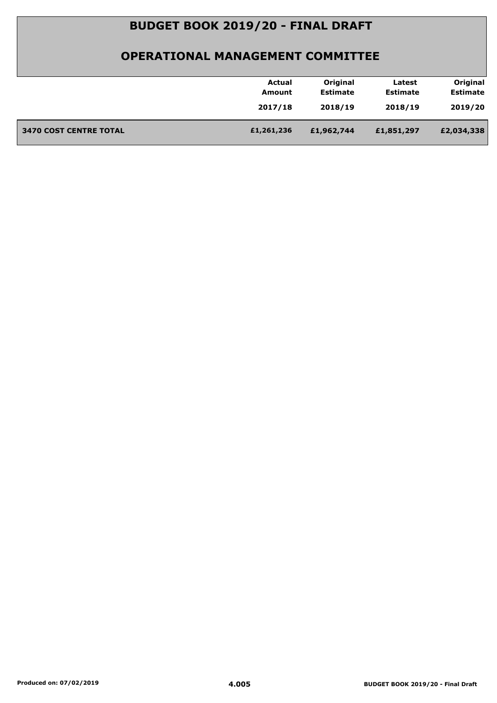| Original<br>Original<br>Actual<br>Latest<br><b>Estimate</b><br><b>Estimate</b><br><b>Estimate</b><br>Amount<br>2018/19<br>2019/20<br>2017/18<br>2018/19<br><b>3470 COST CENTRE TOTAL</b><br>£1,261,236<br>£2,034,338<br>£1,962,744<br>£1,851,297 |  |
|--------------------------------------------------------------------------------------------------------------------------------------------------------------------------------------------------------------------------------------------------|--|
|                                                                                                                                                                                                                                                  |  |
|                                                                                                                                                                                                                                                  |  |
|                                                                                                                                                                                                                                                  |  |
|                                                                                                                                                                                                                                                  |  |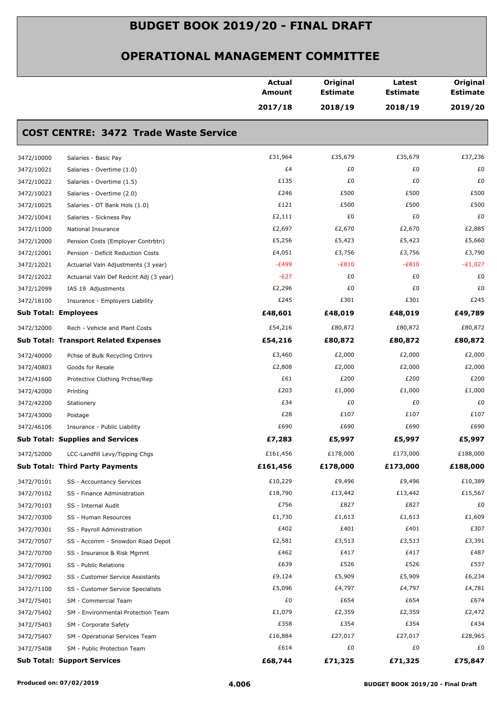|            |                                              | <b>Actual</b><br><b>Amount</b> | Original<br><b>Estimate</b> | Latest<br><b>Estimate</b> | Original<br><b>Estimate</b> |
|------------|----------------------------------------------|--------------------------------|-----------------------------|---------------------------|-----------------------------|
|            |                                              | 2017/18                        | 2018/19                     | 2018/19                   | 2019/20                     |
|            | <b>COST CENTRE: 3472 Trade Waste Service</b> |                                |                             |                           |                             |
| 3472/10000 | Salaries - Basic Pay                         | £31,964                        | £35,679                     | £35,679                   | £37,236                     |
| 3472/10021 | Salaries - Overtime (1.0)                    | £4                             | £0                          | £0                        | £0                          |
| 3472/10022 | Salaries - Overtime (1.5)                    | £135                           | £0                          | £0                        | £0                          |
| 3472/10023 | Salaries - Overtime (2.0)                    | £246                           | £500                        | £500                      | £500                        |
| 3472/10025 | Salaries - OT Bank Hols (1.0)                | £121                           | £500                        | £500                      | £500                        |
| 3472/10041 | Salaries - Sickness Pay                      | £2,111                         | £0                          | £0                        | £0                          |
| 3472/11000 | National Insurance                           | £2,697                         | £2,670                      | £2,670                    | £2,885                      |
| 3472/12000 | Pension Costs (Employer Contrbtn)            | £5,256                         | £5,423                      | £5,423                    | £5,660                      |
| 3472/12001 | Pension - Deficit Reduction Costs            | £4,051                         | £3,756                      | £3,756                    | £3,790                      |
| 3472/12021 | Actuarial Valn Adjustments (3 year)          | $-E499$                        | $-E810$                     | $-E810$                   | $-E1,027$                   |
| 3472/12022 | Actuarial Valn Def Redcnt Adj (3 year)       | $-E27$                         | £0                          | £0                        | £0                          |
| 3472/12099 | IAS 19 Adjustments                           | £2,296                         | £0                          | £0                        | £0                          |
| 3472/18100 | Insurance - Employers Liability              | £245                           | £301                        | £301                      | £245                        |
|            | <b>Sub Total: Employees</b>                  | £48,601                        | £48,019                     | £48,019                   | £49,789                     |
| 3472/32000 | Rech - Vehicle and Plant Costs               | £54,216                        | £80,872                     | £80,872                   | £80,872                     |
|            | <b>Sub Total: Transport Related Expenses</b> | £54,216                        | £80,872                     | £80,872                   | £80,872                     |
| 3472/40000 | Pchse of Bulk Recycling Cntnrs               | £3,460                         | £2,000                      | £2,000                    | £2,000                      |
| 3472/40803 | Goods for Resale                             | £2,808                         | £2,000                      | £2,000                    | £2,000                      |
| 3472/41600 | Protective Clothing Prchse/Rep               | £61                            | £200                        | £200                      | £200                        |
| 3472/42000 | Printing                                     | £203                           | £1,000                      | £1,000                    | £1,000                      |
| 3472/42200 | Stationery                                   | £34                            | £0                          | £0                        | £0                          |
| 3472/43000 | Postage                                      | £28                            | £107                        | £107                      | £107                        |
| 3472/46106 | Insurance - Public Liability                 | £690                           | £690                        | £690                      | £690                        |
|            | <b>Sub Total: Supplies and Services</b>      | £7,283                         | £5,997                      | £5,997                    | £5,997                      |
| 3472/52000 | LCC-Landfill Levy/Tipping Chgs               | £161,456                       | £178,000                    | £173,000                  | £188,000                    |
|            | <b>Sub Total: Third Party Payments</b>       | £161,456                       | £178,000                    | £173,000                  | £188,000                    |
| 3472/70101 | SS - Accountancy Services                    | £10,229                        | £9,496                      | £9,496                    | £10,389                     |
| 3472/70102 | SS - Finance Administration                  | £18,790                        | £13,442                     | £13,442                   | £15,567                     |
| 3472/70103 | SS - Internal Audit                          | £756                           | £827                        | £827                      | £0                          |
| 3472/70300 | SS - Human Resources                         | £1,730                         | £1,613                      | £1,613                    | £1,609                      |
| 3472/70301 | SS - Payroll Administration                  | £402                           | £401                        | £401                      | £307                        |
| 3472/70507 | SS - Accomm - Snowdon Road Depot             | £2,581                         | £3,513                      | £3,513                    | £3,391                      |
| 3472/70700 | SS - Insurance & Risk Mgmnt                  | £462                           | £417                        | £417                      | £487                        |
| 3472/70901 | SS - Public Relations                        | £639                           | £526                        | £526                      | £537                        |
| 3472/70902 | SS - Customer Service Assistants             | £9,124                         | £5,909                      | £5,909                    | £6,234                      |
| 3472/71100 | SS - Customer Service Specialists            | £5,096                         | £4,797                      | £4,797                    | £4,781                      |
| 3472/75401 | SM - Commercial Team                         | £0                             | £654                        | £654                      | £674                        |
| 3472/75402 | SM - Environmental Protection Team           | £1,079                         | £2,359                      | £2,359                    | £2,472                      |
| 3472/75403 | SM - Corporate Safety                        | £358                           | £354                        | £354                      | £434                        |
| 3472/75407 | SM - Operational Services Team               | £16,884                        | £27,017                     | £27,017                   | £28,965                     |
| 3472/75408 | SM - Public Protection Team                  | £614                           | £0                          | £0                        | £0                          |
|            | <b>Sub Total: Support Services</b>           | £68,744                        | £71,325                     | £71,325                   | £75,847                     |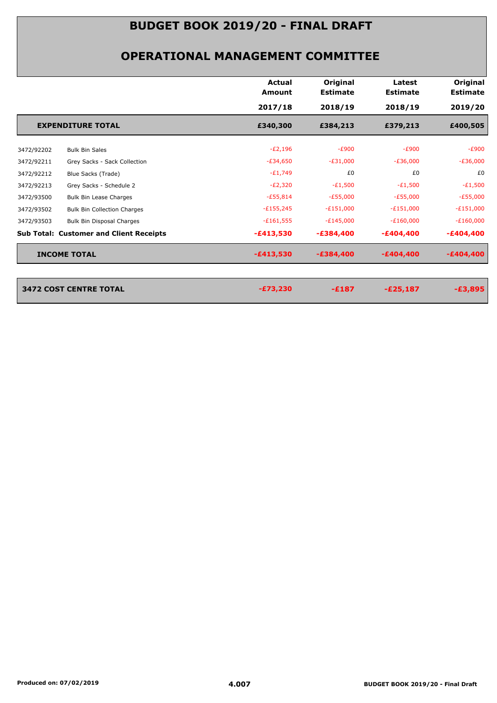|            |                                                | <b>Actual</b><br>Amount | Original<br><b>Estimate</b> | Latest<br><b>Estimate</b> | Original<br><b>Estimate</b> |
|------------|------------------------------------------------|-------------------------|-----------------------------|---------------------------|-----------------------------|
|            |                                                | 2017/18                 | 2018/19                     | 2018/19                   | 2019/20                     |
|            | <b>EXPENDITURE TOTAL</b>                       | £340,300                | £384,213                    | £379,213                  | £400,505                    |
| 3472/92202 | <b>Bulk Bin Sales</b>                          | $-E2,196$               | $-E900$                     | $-E900$                   | $-E900$                     |
| 3472/92211 | Grey Sacks - Sack Collection                   | $-E34,650$              | $-E31,000$                  | $-E36,000$                | $-E36,000$                  |
| 3472/92212 | Blue Sacks (Trade)                             | $-E1,749$               | £0                          | £0                        | £0                          |
| 3472/92213 | Grey Sacks - Schedule 2                        | $-E2,320$               | $-E1,500$                   | $-E1,500$                 | $-E1,500$                   |
| 3472/93500 | Bulk Bin Lease Charges                         | $-£55,814$              | $-E55,000$                  | $-E55,000$                | $-E55,000$                  |
| 3472/93502 | <b>Bulk Bin Collection Charges</b>             | $-E155,245$             | $-E151,000$                 | $-E151,000$               | $-E151,000$                 |
| 3472/93503 | Bulk Bin Disposal Charges                      | $-£161,555$             | $-E145,000$                 | $-E160,000$               | $-E160,000$                 |
|            | <b>Sub Total: Customer and Client Receipts</b> | $-£413,530$             | $-£384,400$                 | $-£404,400$               | $-£404,400$                 |
|            | <b>INCOME TOTAL</b>                            | $-£413,530$             | $-£384,400$                 | $-£404,400$               | $-£404,400$                 |
|            |                                                |                         |                             |                           |                             |
|            | 3472 COST CENTRE TOTAL                         | $-£73,230$              | $-£187$                     | $-E25,187$                | $-E3,895$                   |
|            |                                                |                         |                             |                           |                             |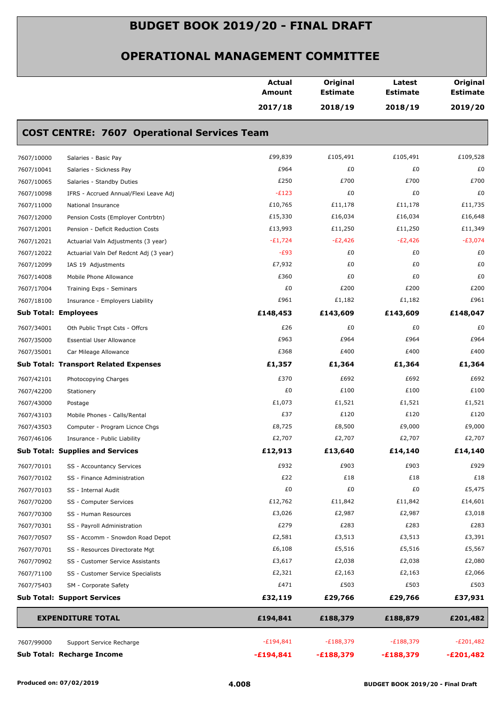|            |                                                    | <b>Actual</b><br>Amount | Original<br><b>Estimate</b> | Latest<br><b>Estimate</b> | Original<br><b>Estimate</b> |
|------------|----------------------------------------------------|-------------------------|-----------------------------|---------------------------|-----------------------------|
|            |                                                    | 2017/18                 | 2018/19                     | 2018/19                   | 2019/20                     |
|            | <b>COST CENTRE: 7607 Operational Services Team</b> |                         |                             |                           |                             |
| 7607/10000 | Salaries - Basic Pay                               | £99,839                 | £105,491                    | £105,491                  | £109,528                    |
| 7607/10041 | Salaries - Sickness Pay                            | £964                    | £0                          | £0                        | £0                          |
| 7607/10065 | Salaries - Standby Duties                          | £250                    | £700                        | £700                      | £700                        |
| 7607/10098 | IFRS - Accrued Annual/Flexi Leave Adj              | $-E123$                 | £0                          | £0                        | £0                          |
| 7607/11000 | National Insurance                                 | £10,765                 | £11,178                     | £11,178                   | £11,735                     |
| 7607/12000 | Pension Costs (Employer Contrbtn)                  | £15,330                 | £16,034                     | £16,034                   | £16,648                     |
| 7607/12001 | Pension - Deficit Reduction Costs                  | £13,993                 | £11,250                     | £11,250                   | £11,349                     |
| 7607/12021 | Actuarial Valn Adjustments (3 year)                | $-E1,724$               | $-E2,426$                   | $-E2,426$                 | $-E3,074$                   |
| 7607/12022 | Actuarial Valn Def Redcnt Adj (3 year)             | $-E93$                  | £0                          | £0                        | £0                          |
| 7607/12099 | IAS 19 Adjustments                                 | £7,932                  | £0                          | £0                        | £0                          |
| 7607/14008 | Mobile Phone Allowance                             | £360                    | £0                          | £0                        | £0                          |
| 7607/17004 | Training Exps - Seminars                           | £0                      | £200                        | £200                      | £200                        |
| 7607/18100 | Insurance - Employers Liability                    | £961                    | £1,182                      | £1,182                    | £961                        |
|            | <b>Sub Total: Employees</b>                        | £148,453                | £143,609                    | £143,609                  | £148,047                    |
| 7607/34001 | Oth Public Trspt Csts - Offcrs                     | £26                     | £0                          | £0                        | £0                          |
| 7607/35000 | <b>Essential User Allowance</b>                    | £963                    | £964                        | £964                      | £964                        |
| 7607/35001 | Car Mileage Allowance                              | £368                    | £400                        | £400                      | £400                        |
|            | <b>Sub Total: Transport Related Expenses</b>       | £1,357                  | £1,364                      | £1,364                    | £1,364                      |
| 7607/42101 | Photocopying Charges                               | £370                    | £692                        | £692                      | £692                        |
| 7607/42200 | Stationery                                         | £0                      | £100                        | £100                      | £100                        |
| 7607/43000 | Postage                                            | £1,073                  | £1,521                      | £1,521                    | £1,521                      |
| 7607/43103 | Mobile Phones - Calls/Rental                       | £37                     | £120                        | £120                      | £120                        |
| 7607/43503 | Computer - Program Licnce Chgs                     | £8,725                  | £8,500                      | £9,000                    | £9,000                      |
| 7607/46106 | Insurance - Public Liability                       | £2,707                  | £2,707                      | £2,707                    | £2,707                      |
|            | <b>Sub Total: Supplies and Services</b>            | £12,913                 | £13,640                     | £14,140                   | £14,140                     |
| 7607/70101 | SS - Accountancy Services                          | £932                    | £903                        | £903                      | £929                        |
| 7607/70102 | SS - Finance Administration                        | £22                     | £18                         | £18                       | £18                         |
| 7607/70103 | SS - Internal Audit                                | £0                      | £0                          | £0                        | £5,475                      |
| 7607/70200 | SS - Computer Services                             | £12,762                 | £11,842                     | £11,842                   | £14,601                     |
| 7607/70300 | SS - Human Resources                               | £3,026                  | £2,987                      | £2,987                    | £3,018                      |
| 7607/70301 | SS - Payroll Administration                        | £279                    | £283                        | £283                      | £283                        |
| 7607/70507 | SS - Accomm - Snowdon Road Depot                   | £2,581                  | £3,513                      | £3,513                    | £3,391                      |
| 7607/70701 | SS - Resources Directorate Mgt                     | £6,108                  | £5,516                      | £5,516                    | £5,567                      |
| 7607/70902 | SS - Customer Service Assistants                   | £3,617                  | £2,038                      | £2,038                    | £2,080                      |
| 7607/71100 | SS - Customer Service Specialists                  | £2,321                  | £2,163                      | £2,163                    | £2,066                      |
| 7607/75403 | SM - Corporate Safety                              | £471                    | £503                        | £503                      | £503                        |
|            | <b>Sub Total: Support Services</b>                 | £32,119                 | £29,766                     | £29,766                   | £37,931                     |
|            | <b>EXPENDITURE TOTAL</b>                           | £194,841                | £188,379                    | £188,879                  | £201,482                    |
| 7607/99000 | Support Service Recharge                           | $-E194,841$             | $-E188,379$                 | $-E188,379$               | $-E201,482$                 |
|            | Sub Total: Recharge Income                         | $-£194,841$             | $-£188,379$                 | $-£188,379$               | $-E201,482$                 |
|            |                                                    |                         |                             |                           |                             |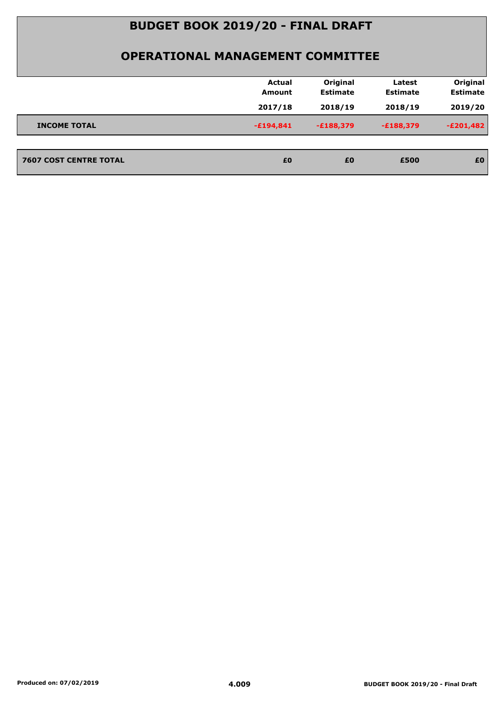|                               | <b>Actual</b><br><b>Amount</b> | Original<br><b>Estimate</b> | Latest<br><b>Estimate</b> | Original<br><b>Estimate</b> |
|-------------------------------|--------------------------------|-----------------------------|---------------------------|-----------------------------|
|                               | 2017/18                        | 2018/19                     | 2018/19                   | 2019/20                     |
| <b>INCOME TOTAL</b>           | $-£194,841$                    | $-£188,379$                 | $-E188,379$               | $-E201,482$                 |
|                               |                                |                             |                           |                             |
| <b>7607 COST CENTRE TOTAL</b> | £0                             | £0                          | £500                      | £0                          |
|                               |                                |                             |                           |                             |
|                               |                                |                             |                           |                             |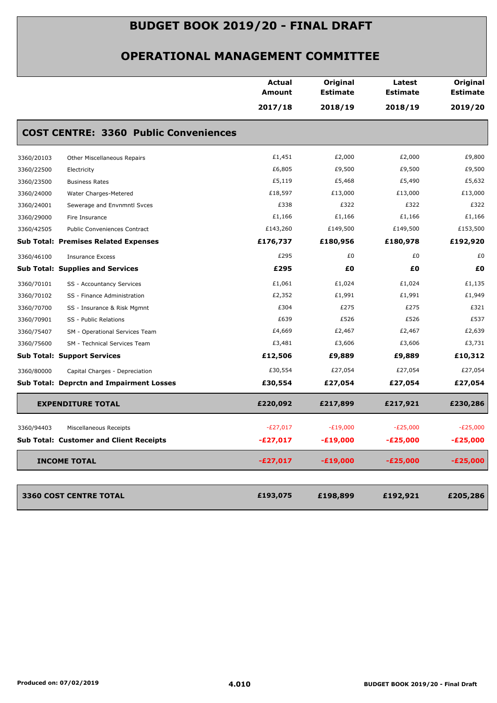|            |                                                 | <b>Actual</b><br>Amount | Original<br><b>Estimate</b> | Latest<br><b>Estimate</b> | Original<br><b>Estimate</b> |
|------------|-------------------------------------------------|-------------------------|-----------------------------|---------------------------|-----------------------------|
|            |                                                 | 2017/18                 | 2018/19                     | 2018/19                   | 2019/20                     |
|            | <b>COST CENTRE: 3360 Public Conveniences</b>    |                         |                             |                           |                             |
| 3360/20103 | Other Miscellaneous Repairs                     | £1,451                  | £2,000                      | £2,000                    | £9,800                      |
| 3360/22500 | Electricity                                     | £6,805                  | £9,500                      | £9,500                    | £9,500                      |
| 3360/23500 | <b>Business Rates</b>                           | £5,119                  | £5,468                      | £5,490                    | £5,632                      |
| 3360/24000 | Water Charges-Metered                           | £18,597                 | £13,000                     | £13,000                   | £13,000                     |
| 3360/24001 | Sewerage and Envnmntl Svces                     | £338                    | £322                        | £322                      | £322                        |
| 3360/29000 | Fire Insurance                                  | £1,166                  | £1,166                      | £1,166                    | £1,166                      |
| 3360/42505 | Public Conveniences Contract                    | £143,260                | £149,500                    | £149,500                  | £153,500                    |
|            | <b>Sub Total: Premises Related Expenses</b>     | £176,737                | £180,956                    | £180,978                  | £192,920                    |
| 3360/46100 | <b>Insurance Excess</b>                         | £295                    | £0                          | £0                        | £0                          |
|            | <b>Sub Total: Supplies and Services</b>         | £295                    | £0                          | £0                        | £0                          |
| 3360/70101 | SS - Accountancy Services                       | £1,061                  | £1,024                      | £1,024                    | £1,135                      |
| 3360/70102 | SS - Finance Administration                     | £2,352                  | £1,991                      | £1,991                    | £1,949                      |
| 3360/70700 | SS - Insurance & Risk Mgmnt                     | £304                    | £275                        | £275                      | £321                        |
| 3360/70901 | SS - Public Relations                           | £639                    | £526                        | £526                      | £537                        |
| 3360/75407 | SM - Operational Services Team                  | £4,669                  | £2,467                      | £2,467                    | £2,639                      |
| 3360/75600 | SM - Technical Services Team                    | £3,481                  | £3,606                      | £3,606                    | £3,731                      |
|            | <b>Sub Total: Support Services</b>              | £12,506                 | £9,889                      | £9,889                    | £10,312                     |
| 3360/80000 | Capital Charges - Depreciation                  | £30,554                 | £27,054                     | £27,054                   | £27,054                     |
|            | <b>Sub Total: Deprctn and Impairment Losses</b> | £30,554                 | £27,054                     | £27,054                   | £27,054                     |
|            | <b>EXPENDITURE TOTAL</b>                        | £220,092                | £217,899                    | £217,921                  | £230,286                    |
| 3360/94403 | Miscellaneous Receipts                          | $-E27,017$              | $-E19,000$                  | $-E25,000$                | $-E25,000$                  |
|            | <b>Sub Total: Customer and Client Receipts</b>  | $-E27,017$              | $-£19,000$                  | $-E25,000$                | $-E25,000$                  |
|            | <b>INCOME TOTAL</b>                             | $-E27,017$              | $-£19,000$                  | $-E25,000$                | $-E25,000$                  |
|            | <b>3360 COST CENTRE TOTAL</b>                   | £193,075                | £198,899                    | £192,921                  | £205,286                    |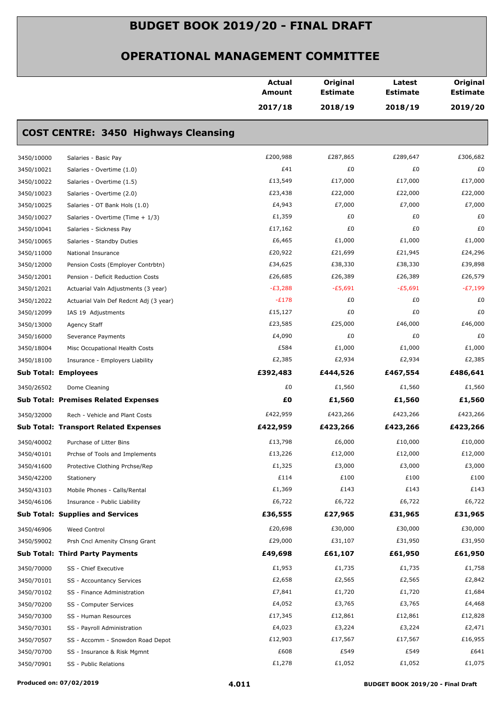|                             |                                              | <b>Actual</b><br>Amount | Original<br><b>Estimate</b> | Latest<br><b>Estimate</b><br>2018/19 | Original<br><b>Estimate</b><br>2019/20 |
|-----------------------------|----------------------------------------------|-------------------------|-----------------------------|--------------------------------------|----------------------------------------|
|                             |                                              | 2017/18                 | 2018/19                     |                                      |                                        |
|                             | <b>COST CENTRE: 3450 Highways Cleansing</b>  |                         |                             |                                      |                                        |
| 3450/10000                  | Salaries - Basic Pay                         | £200,988                | £287,865                    | £289,647                             | £306,682                               |
| 3450/10021                  | Salaries - Overtime (1.0)                    | £41                     | £0                          | £0                                   | £0                                     |
| 3450/10022                  | Salaries - Overtime (1.5)                    | £13,549                 | £17,000                     | £17,000                              | £17,000                                |
| 3450/10023                  | Salaries - Overtime (2.0)                    | £23,438                 | £22,000                     | £22,000                              | £22,000                                |
| 3450/10025                  | Salaries - OT Bank Hols (1.0)                | £4,943                  | £7,000                      | £7,000                               | £7,000                                 |
| 3450/10027                  | Salaries - Overtime (Time + 1/3)             | £1,359                  | £0                          | £0                                   | £0                                     |
| 3450/10041                  | Salaries - Sickness Pay                      | £17,162                 | £0                          | £0                                   | £0                                     |
| 3450/10065                  | Salaries - Standby Duties                    | £6,465                  | £1,000                      | £1,000                               | £1,000                                 |
| 3450/11000                  | National Insurance                           | £20,922                 | £21,699                     | £21,945                              | £24,296                                |
| 3450/12000                  | Pension Costs (Employer Contrbtn)            | £34,625                 | £38,330                     | £38,330                              | £39,898                                |
| 3450/12001                  | Pension - Deficit Reduction Costs            | £26,685                 | £26,389                     | £26,389                              | £26,579                                |
| 3450/12021                  | Actuarial Valn Adjustments (3 year)          | $-E3,288$               | $-E5,691$                   | $-E5,691$                            | $-E7,199$                              |
| 3450/12022                  | Actuarial Valn Def Redcnt Adj (3 year)       | $-E178$                 | £0                          | £0                                   | £0                                     |
| 3450/12099                  | IAS 19 Adjustments                           | £15,127                 | £0                          | £0                                   | £0                                     |
| 3450/13000                  | Agency Staff                                 | £23,585                 | £25,000                     | £46,000                              | £46,000                                |
| 3450/16000                  | Severance Payments                           | £4,090                  | £0                          | £0                                   | £0                                     |
| 3450/18004                  | Misc Occupational Health Costs               | £584                    | £1,000                      | £1,000                               | £1,000                                 |
| 3450/18100                  | Insurance - Employers Liability              | £2,385                  | £2,934                      | £2,934                               | £2,385                                 |
| <b>Sub Total: Employees</b> |                                              | £392,483                | £444,526                    | £467,554                             | £486,641                               |
| 3450/26502                  | Dome Cleaning                                | £0                      | £1,560                      | £1,560                               | £1,560                                 |
|                             | <b>Sub Total: Premises Related Expenses</b>  | £O                      | £1,560                      | £1,560                               | £1,560                                 |
| 3450/32000                  | Rech - Vehicle and Plant Costs               | £422,959                | £423,266                    | £423,266                             | £423,266                               |
|                             | <b>Sub Total: Transport Related Expenses</b> | £422,959                | £423,266                    | £423,266                             | £423,266                               |
| 3450/40002                  | Purchase of Litter Bins                      | £13,798                 | £6,000                      | £10,000                              | £10,000                                |
| 3450/40101                  | Prchse of Tools and Implements               | £13,226                 | £12,000                     | £12,000                              | £12,000                                |
| 3450/41600                  | Protective Clothing Prchse/Rep               | £1,325                  | £3,000                      | £3,000                               | £3,000                                 |
| 3450/42200                  | Stationery                                   | £114                    | £100                        | £100                                 | £100                                   |
| 3450/43103                  | Mobile Phones - Calls/Rental                 | £1,369                  | £143                        | £143                                 | £143                                   |
| 3450/46106                  | Insurance - Public Liability                 | £6,722                  | £6,722                      | £6,722                               | £6,722                                 |
|                             | <b>Sub Total: Supplies and Services</b>      | £36,555                 | £27,965                     | £31,965                              | £31,965                                |
| 3450/46906                  | Weed Control                                 | £20,698                 | £30,000                     | £30,000                              | £30,000                                |
| 3450/59002                  | Prsh Cncl Amenity Clnsng Grant               | £29,000                 | £31,107                     | £31,950                              | £31,950                                |
|                             | <b>Sub Total: Third Party Payments</b>       | £49,698                 | £61,107                     | £61,950                              | £61,950                                |
| 3450/70000                  | SS - Chief Executive                         | £1,953                  | £1,735                      | £1,735                               | £1,758                                 |
| 3450/70101                  | SS - Accountancy Services                    | £2,658                  | £2,565                      | £2,565                               | £2,842                                 |
| 3450/70102                  | SS - Finance Administration                  | £7,841                  | £1,720                      | £1,720                               | £1,684                                 |
| 3450/70200                  | SS - Computer Services                       | £4,052                  | £3,765                      | £3,765                               | £4,468                                 |
| 3450/70300                  | SS - Human Resources                         | £17,345                 | £12,861                     | £12,861                              | £12,828                                |
| 3450/70301                  | SS - Payroll Administration                  | £4,023                  | £3,224                      | £3,224                               | £2,471                                 |
| 3450/70507                  | SS - Accomm - Snowdon Road Depot             | £12,903                 | £17,567                     | £17,567                              | £16,955                                |
| 3450/70700                  | SS - Insurance & Risk Mgmnt                  | £608                    | £549                        | £549                                 | £641                                   |
| 3450/70901                  | SS - Public Relations                        | £1,278                  | £1,052                      | £1,052                               | £1,075                                 |
|                             |                                              |                         |                             |                                      |                                        |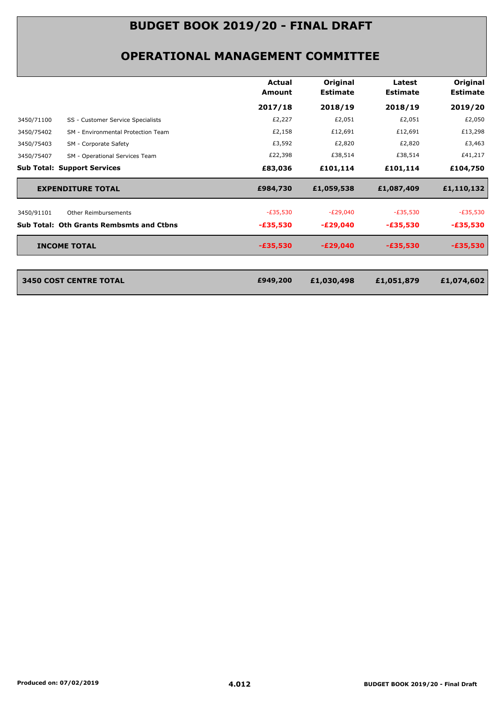|                                                  | <b>Actual</b><br>Amount | Original<br><b>Estimate</b> | Latest<br><b>Estimate</b> | Original<br><b>Estimate</b> |
|--------------------------------------------------|-------------------------|-----------------------------|---------------------------|-----------------------------|
|                                                  | 2017/18                 | 2018/19                     | 2018/19                   | 2019/20                     |
| 3450/71100<br>SS - Customer Service Specialists  | £2,227                  | £2,051                      | £2,051                    | £2,050                      |
| SM - Environmental Protection Team<br>3450/75402 | £2,158                  | £12,691                     | £12,691                   | £13,298                     |
| 3450/75403<br>SM - Corporate Safety              | £3,592                  | £2,820                      | £2,820                    | £3,463                      |
| 3450/75407<br>SM - Operational Services Team     | £22,398                 | £38,514                     | £38,514                   | £41,217                     |
| <b>Sub Total: Support Services</b>               | £83,036                 | £101,114                    | £101,114                  | £104,750                    |
| <b>EXPENDITURE TOTAL</b>                         | £984,730                | £1,059,538                  | £1,087,409                | £1,110,132                  |
| 3450/91101<br>Other Reimbursements               | $-E35,530$              | $-E29,040$                  | $-E35,530$                | $-E35,530$                  |
| <b>Sub Total: Oth Grants Rembsmts and Ctbns</b>  | $-£35,530$              | $-E29,040$                  | $-£35,530$                | -£35,530                    |
| <b>INCOME TOTAL</b>                              | $-£35,530$              | $-E29,040$                  | $-£35,530$                | $-£35,530$                  |
|                                                  |                         |                             |                           |                             |
| <b>3450 COST CENTRE TOTAL</b>                    | £949,200                | £1,030,498                  | £1,051,879                | £1,074,602                  |
|                                                  |                         |                             |                           |                             |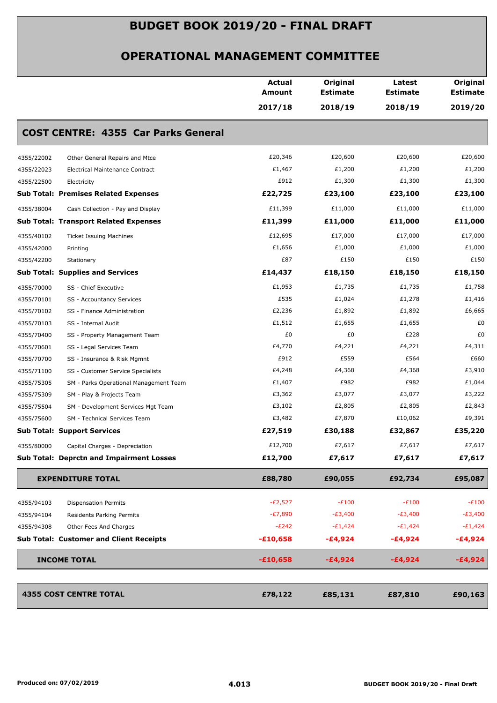|            |                                                 | <b>Actual</b><br><b>Amount</b> | Original<br><b>Estimate</b> | Latest<br><b>Estimate</b> | Original<br><b>Estimate</b> |
|------------|-------------------------------------------------|--------------------------------|-----------------------------|---------------------------|-----------------------------|
|            |                                                 | 2017/18                        | 2018/19                     | 2018/19                   | 2019/20                     |
|            | <b>COST CENTRE: 4355 Car Parks General</b>      |                                |                             |                           |                             |
| 4355/22002 | Other General Repairs and Mtce                  | £20,346                        | £20,600                     | £20,600                   | £20,600                     |
| 4355/22023 | Electrical Maintenance Contract                 | £1,467                         | £1,200                      | £1,200                    | £1,200                      |
| 4355/22500 | Electricity                                     | £912                           | £1,300                      | £1,300                    | £1,300                      |
|            | <b>Sub Total: Premises Related Expenses</b>     | £22,725                        | £23,100                     | £23,100                   | £23,100                     |
| 4355/38004 | Cash Collection - Pay and Display               | £11,399                        | £11,000                     | £11,000                   | £11,000                     |
|            | <b>Sub Total: Transport Related Expenses</b>    | £11,399                        | £11,000                     | £11,000                   | £11,000                     |
| 4355/40102 | <b>Ticket Issuing Machines</b>                  | £12,695                        | £17,000                     | £17,000                   | £17,000                     |
| 4355/42000 | Printing                                        | £1,656                         | £1,000                      | £1,000                    | £1,000                      |
| 4355/42200 | Stationery                                      | £87                            | £150                        | £150                      | £150                        |
|            | <b>Sub Total: Supplies and Services</b>         | £14,437                        | £18,150                     | £18,150                   | £18,150                     |
| 4355/70000 | SS - Chief Executive                            | £1,953                         | £1,735                      | £1,735                    | £1,758                      |
| 4355/70101 | SS - Accountancy Services                       | £535                           | £1,024                      | £1,278                    | £1,416                      |
| 4355/70102 | SS - Finance Administration                     | £2,236                         | £1,892                      | £1,892                    | £6,665                      |
| 4355/70103 | SS - Internal Audit                             | £1,512                         | £1,655                      | £1,655                    | £0                          |
| 4355/70400 | SS - Property Management Team                   | £0                             | £0                          | £228                      | £0                          |
| 4355/70601 | SS - Legal Services Team                        | £4,770                         | £4,221                      | £4,221                    | £4,311                      |
| 4355/70700 | SS - Insurance & Risk Mgmnt                     | £912                           | £559                        | £564                      | £660                        |
| 4355/71100 | SS - Customer Service Specialists               | £4,248                         | £4,368                      | £4,368                    | £3,910                      |
| 4355/75305 | SM - Parks Operational Management Team          | £1,407                         | £982                        | £982                      | £1,044                      |
| 4355/75309 | SM - Play & Projects Team                       | £3,362                         | £3,077                      | £3,077                    | £3,222                      |
| 4355/75504 | SM - Development Services Mgt Team              | £3,102                         | £2,805                      | £2,805                    | £2,843                      |
| 4355/75600 | SM - Technical Services Team                    | £3,482                         | £7,870                      | £10,062                   | £9,391                      |
|            | <b>Sub Total: Support Services</b>              | £27,519                        | £30,188                     | £32,867                   | £35,220                     |
| 4355/80000 | Capital Charges - Depreciation                  | £12,700                        | £7,617                      | £7,617                    | £7,617                      |
|            | <b>Sub Total: Deprctn and Impairment Losses</b> | £12,700                        | £7,617                      | £7,617                    | £7,617                      |
|            | <b>EXPENDITURE TOTAL</b>                        | £88,780                        | £90,055                     | £92,734                   | £95,087                     |
| 4355/94103 | <b>Dispensation Permits</b>                     | $-E2,527$                      | $-E100$                     | $-E100$                   | $-E100$                     |
| 4355/94104 | Residents Parking Permits                       | $-E7,890$                      | $-E3,400$                   | $-E3,400$                 | $-E3,400$                   |
| 4355/94308 | Other Fees And Charges                          | $-E242$                        | $-E1,424$                   | $-E1,424$                 | $-E1,424$                   |
|            | <b>Sub Total: Customer and Client Receipts</b>  | $-£10,658$                     | -£4,924                     | $-E4,924$                 | $-£4,924$                   |
|            | <b>INCOME TOTAL</b>                             | $-£10,658$                     | -£4,924                     | $-£4,924$                 | $-£4,924$                   |
|            |                                                 |                                |                             |                           |                             |
|            | <b>4355 COST CENTRE TOTAL</b>                   | £78,122                        | £85,131                     | £87,810                   | £90,163                     |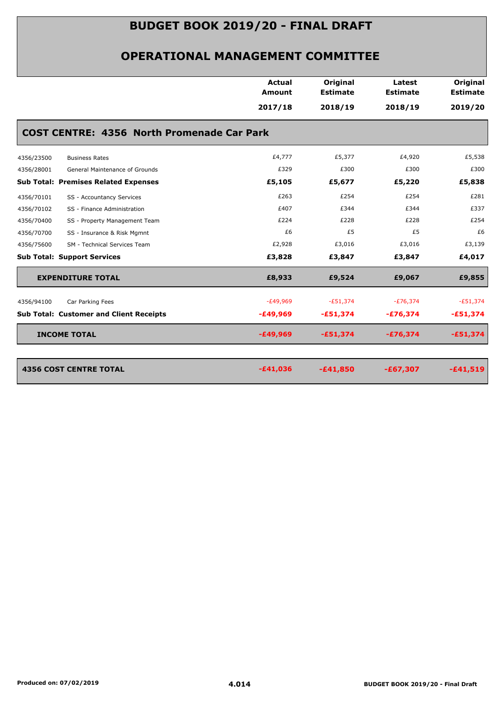|                                                   | Actual<br><b>Amount</b> | Original<br><b>Estimate</b> | Latest<br><b>Estimate</b> | Original<br><b>Estimate</b> |
|---------------------------------------------------|-------------------------|-----------------------------|---------------------------|-----------------------------|
|                                                   | 2017/18                 | 2018/19                     | 2018/19                   | 2019/20                     |
| <b>COST CENTRE: 4356 North Promenade Car Park</b> |                         |                             |                           |                             |
| 4356/23500<br><b>Business Rates</b>               | £4,777                  | £5,377                      | £4,920                    | £5,538                      |
| 4356/28001<br>General Maintenance of Grounds      | £329                    | £300                        | £300                      | £300                        |
| <b>Sub Total: Premises Related Expenses</b>       | £5,105                  | £5,677                      | £5,220                    | £5,838                      |
| 4356/70101<br>SS - Accountancy Services           | £263                    | £254                        | £254                      | £281                        |
| 4356/70102<br>SS - Finance Administration         | £407                    | £344                        | £344                      | £337                        |
| 4356/70400<br>SS - Property Management Team       | £224                    | £228                        | £228                      | £254                        |
| SS - Insurance & Risk Mgmnt<br>4356/70700         | £6                      | £5                          | £5                        | £6                          |
| 4356/75600<br>SM - Technical Services Team        | £2,928                  | £3,016                      | £3,016                    | £3,139                      |
| <b>Sub Total: Support Services</b>                | £3,828                  | £3,847                      | £3,847                    | £4,017                      |
| <b>EXPENDITURE TOTAL</b>                          | £8,933                  | £9,524                      | £9,067                    | £9,855                      |
| Car Parking Fees<br>4356/94100                    | $-E49,969$              | $-£51,374$                  | $-E76,374$                | $-E51,374$                  |
| <b>Sub Total: Customer and Client Receipts</b>    | $-£49,969$              | $-£51,374$                  | $-£76,374$                | $-£51,374$                  |
| <b>INCOME TOTAL</b>                               | $-£49,969$              | $-£51,374$                  | $-£76,374$                | $-£51,374$                  |
|                                                   |                         |                             |                           |                             |
| <b>4356 COST CENTRE TOTAL</b>                     | $-£41,036$              | $-£41,850$                  | $-£67,307$                | $-£41,519$                  |
|                                                   |                         |                             |                           |                             |
|                                                   |                         |                             |                           |                             |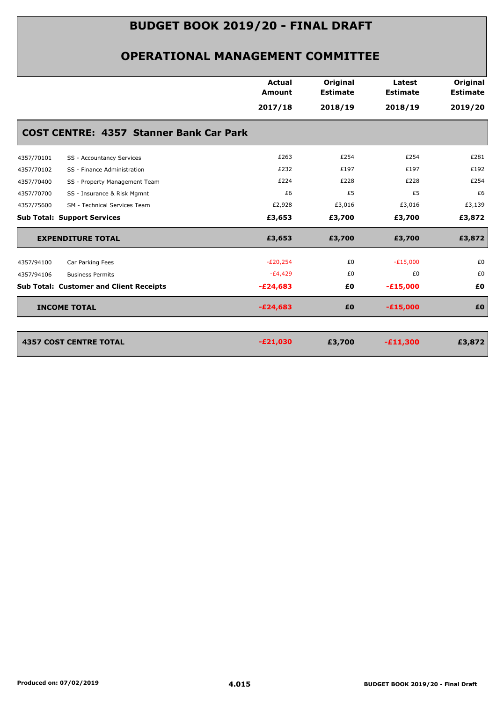|            |                                                | <b>Actual</b><br>Amount | Original<br><b>Estimate</b> | Latest<br><b>Estimate</b> | Original<br><b>Estimate</b> |
|------------|------------------------------------------------|-------------------------|-----------------------------|---------------------------|-----------------------------|
|            |                                                | 2017/18                 | 2018/19                     | 2018/19                   | 2019/20                     |
|            | <b>COST CENTRE: 4357 Stanner Bank Car Park</b> |                         |                             |                           |                             |
| 4357/70101 | SS - Accountancy Services                      | £263                    | £254                        | £254                      | £281                        |
| 4357/70102 | SS - Finance Administration                    | £232                    | £197                        | £197                      | £192                        |
| 4357/70400 | SS - Property Management Team                  | £224                    | £228                        | £228                      | £254                        |
| 4357/70700 | SS - Insurance & Risk Mgmnt                    | £6                      | £5                          | £5                        | £6                          |
| 4357/75600 | SM - Technical Services Team                   | £2,928                  | £3,016                      | £3,016                    | £3,139                      |
|            | <b>Sub Total: Support Services</b>             | £3,653                  | £3,700                      | £3,700                    | £3,872                      |
|            | <b>EXPENDITURE TOTAL</b>                       | £3,653                  | £3,700                      | £3,700                    | £3,872                      |
| 4357/94100 | Car Parking Fees                               | $-E20,254$              | £0                          | $-E15,000$                | £0                          |
| 4357/94106 | <b>Business Permits</b>                        | $-E4,429$               | £0                          | £0                        | £0                          |
|            | <b>Sub Total: Customer and Client Receipts</b> | $-E24,683$              | £0                          | $-£15,000$                | £0                          |
|            | <b>INCOME TOTAL</b>                            | $-E24,683$              | £0                          | $-£15,000$                | £0                          |
|            |                                                |                         |                             |                           |                             |
|            | <b>4357 COST CENTRE TOTAL</b>                  | $-E21,030$              | £3,700                      | $-£11,300$                | £3,872                      |
|            |                                                |                         |                             |                           |                             |
|            |                                                |                         |                             |                           |                             |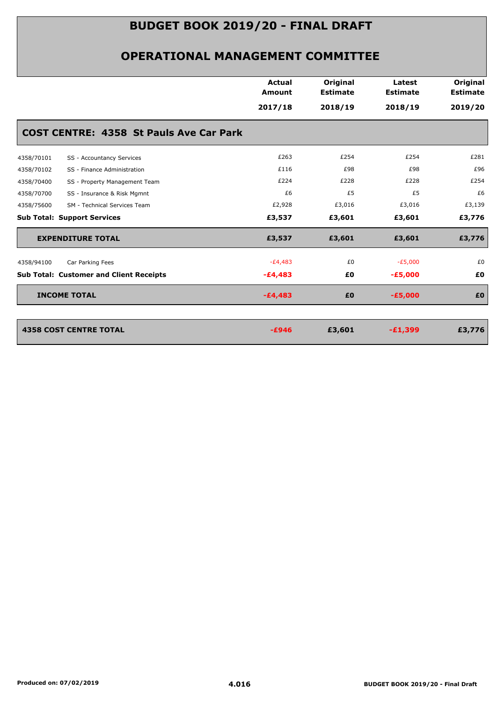|            |                                                | <b>Actual</b><br><b>Amount</b> | Original<br><b>Estimate</b> | Latest<br><b>Estimate</b> | Original<br><b>Estimate</b> |
|------------|------------------------------------------------|--------------------------------|-----------------------------|---------------------------|-----------------------------|
|            |                                                | 2017/18                        | 2018/19                     | 2018/19                   | 2019/20                     |
|            | <b>COST CENTRE: 4358 St Pauls Ave Car Park</b> |                                |                             |                           |                             |
| 4358/70101 | SS - Accountancy Services                      | £263                           | £254                        | £254                      | £281                        |
| 4358/70102 | SS - Finance Administration                    | £116                           | £98                         | £98                       | £96                         |
| 4358/70400 | SS - Property Management Team                  | £224                           | £228                        | £228                      | £254                        |
| 4358/70700 | SS - Insurance & Risk Mgmnt                    | £6                             | £5                          | £5                        | £6                          |
| 4358/75600 | SM - Technical Services Team                   | £2,928                         | £3,016                      | £3,016                    | £3,139                      |
|            | <b>Sub Total: Support Services</b>             | £3,537                         | £3,601                      | £3,601                    | £3,776                      |
|            | <b>EXPENDITURE TOTAL</b>                       | £3,537                         | £3,601                      | £3,601                    | £3,776                      |
| 4358/94100 | Car Parking Fees                               | $-E4,483$                      | £0                          | $-E5,000$                 | £0                          |
|            | <b>Sub Total: Customer and Client Receipts</b> | $-E4,483$                      | £0                          | $-£5,000$                 | £0                          |
|            | <b>INCOME TOTAL</b>                            | $-£4,483$                      | £0                          | $-E5,000$                 | £Ο                          |
|            | <b>4358 COST CENTRE TOTAL</b>                  | $-E946$                        | £3,601                      | $-£1,399$                 | £3,776                      |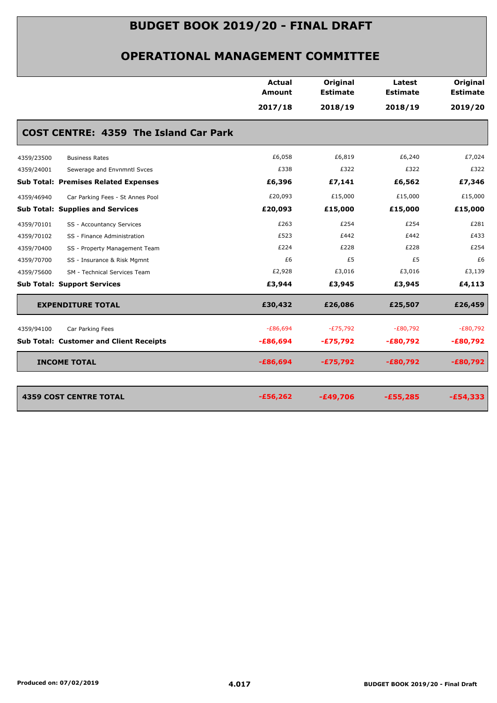|            |                                                | <b>Actual</b><br><b>Amount</b> | Original<br><b>Estimate</b> | Latest<br><b>Estimate</b> | Original<br><b>Estimate</b> |
|------------|------------------------------------------------|--------------------------------|-----------------------------|---------------------------|-----------------------------|
|            |                                                | 2017/18                        | 2018/19                     | 2018/19                   | 2019/20                     |
|            | <b>COST CENTRE: 4359 The Island Car Park</b>   |                                |                             |                           |                             |
| 4359/23500 | <b>Business Rates</b>                          | £6,058                         | £6,819                      | £6,240                    | £7,024                      |
| 4359/24001 | Sewerage and Envnmntl Svces                    | £338                           | £322                        | £322                      | £322                        |
|            | <b>Sub Total: Premises Related Expenses</b>    | £6,396                         | £7,141                      | £6,562                    | £7,346                      |
| 4359/46940 | Car Parking Fees - St Annes Pool               | £20,093                        | £15,000                     | £15,000                   | £15,000                     |
|            | <b>Sub Total: Supplies and Services</b>        | £20,093                        | £15,000                     | £15,000                   | £15,000                     |
| 4359/70101 | SS - Accountancy Services                      | £263                           | £254                        | £254                      | £281                        |
| 4359/70102 | SS - Finance Administration                    | £523                           | £442                        | £442                      | £433                        |
| 4359/70400 | SS - Property Management Team                  | £224                           | £228                        | £228                      | £254                        |
| 4359/70700 | SS - Insurance & Risk Mgmnt                    | £6                             | £5                          | £5                        | £6                          |
| 4359/75600 | SM - Technical Services Team                   | £2,928                         | £3,016                      | £3,016                    | £3,139                      |
|            | <b>Sub Total: Support Services</b>             | £3,944                         | £3,945                      | £3,945                    | £4,113                      |
|            | <b>EXPENDITURE TOTAL</b>                       | £30,432                        | £26,086                     | £25,507                   | £26,459                     |
| 4359/94100 | Car Parking Fees                               | $-E86,694$                     | $-E75,792$                  | $-E80,792$                | $-E80,792$                  |
|            | <b>Sub Total: Customer and Client Receipts</b> | $-£86,694$                     | $-£75,792$                  | $-E80,792$                | $-£80,792$                  |
|            | <b>INCOME TOTAL</b>                            | $-£86,694$                     | $-£75,792$                  | $-£80,792$                | $-£80,792$                  |
|            |                                                |                                |                             |                           |                             |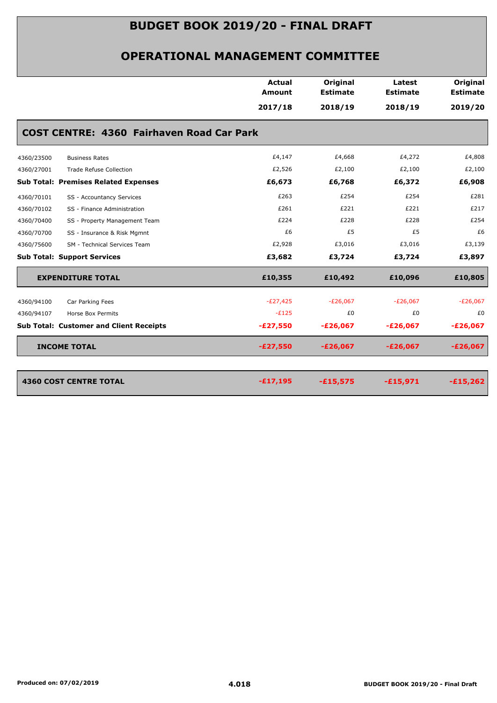| 2017/18<br>2018/19<br>2018/19<br>2019/20                                                               |
|--------------------------------------------------------------------------------------------------------|
|                                                                                                        |
| <b>COST CENTRE: 4360 Fairhaven Road Car Park</b>                                                       |
| £4,147<br>£4,668<br>£4,272<br>£4,808<br>4360/23500<br><b>Business Rates</b>                            |
| £2,526<br>£2,100<br>£2,100<br>£2,100<br>4360/27001<br><b>Trade Refuse Collection</b>                   |
| <b>Sub Total: Premises Related Expenses</b><br>£6,673<br>£6,768<br>£6,372<br>£6,908                    |
| £263<br>£254<br>£254<br>£281<br>4360/70101<br>SS - Accountancy Services                                |
| £261<br>£221<br>£221<br>£217<br>4360/70102<br>SS - Finance Administration                              |
| £224<br>£228<br>£228<br>£254<br>SS - Property Management Team<br>4360/70400                            |
| £5<br>£6<br>£5<br>SS - Insurance & Risk Mgmnt<br>4360/70700                                            |
| £2,928<br>£3,016<br>£3,016<br>£3,139<br>4360/75600<br>SM - Technical Services Team                     |
| £3,682<br>£3,724<br>£3,724<br>£3,897<br><b>Sub Total: Support Services</b>                             |
| £10,355<br>£10,492<br>£10,096<br>£10,805<br><b>EXPENDITURE TOTAL</b>                                   |
| $-E27,425$<br>$-E26,067$<br>$-E26,067$<br>$-E26,067$<br>4360/94100<br>Car Parking Fees                 |
| $-E125$<br>£0<br>£0<br>4360/94107<br>Horse Box Permits                                                 |
| $-E27,550$<br><b>Sub Total: Customer and Client Receipts</b><br>$-E26,067$<br>$-E26,067$<br>$-E26,067$ |
| <b>INCOME TOTAL</b><br>$-E27,550$<br>$-E26,067$<br>$-E26,067$<br>$-E26,067$                            |
|                                                                                                        |
| <b>4360 COST CENTRE TOTAL</b><br>$-£17,195$<br>$-£15,575$<br>$-£15,971$<br>$-£15,262$                  |
|                                                                                                        |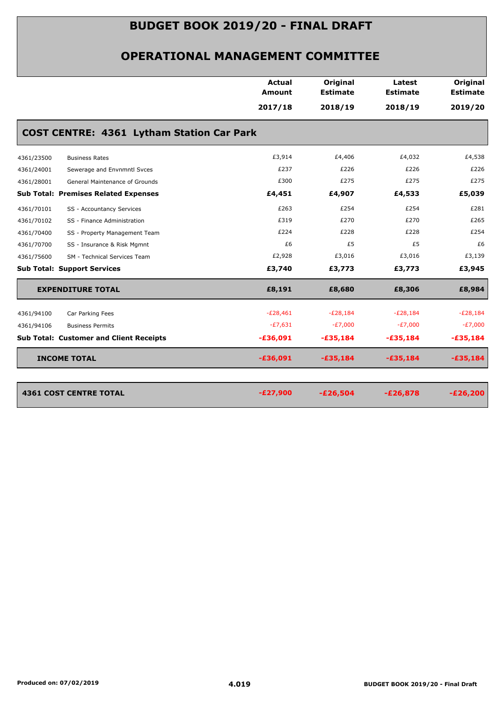|            |                                                  | <b>Actual</b> | Original        | Latest          | Original        |
|------------|--------------------------------------------------|---------------|-----------------|-----------------|-----------------|
|            |                                                  | <b>Amount</b> | <b>Estimate</b> | <b>Estimate</b> | <b>Estimate</b> |
|            |                                                  | 2017/18       | 2018/19         | 2018/19         | 2019/20         |
|            | <b>COST CENTRE: 4361 Lytham Station Car Park</b> |               |                 |                 |                 |
| 4361/23500 | <b>Business Rates</b>                            | £3,914        | £4,406          | £4,032          | £4,538          |
| 4361/24001 | Sewerage and Envnmntl Svces                      | £237          | £226            | £226            | £226            |
| 4361/28001 | General Maintenance of Grounds                   | £300          | £275            | £275            | £275            |
|            | <b>Sub Total: Premises Related Expenses</b>      | £4,451        | £4,907          | £4,533          | £5,039          |
| 4361/70101 | SS - Accountancy Services                        | £263          | £254            | £254            | £281            |
| 4361/70102 | SS - Finance Administration                      | £319          | £270            | £270            | £265            |
| 4361/70400 | SS - Property Management Team                    | £224          | £228            | £228            | £254            |
| 4361/70700 | SS - Insurance & Risk Mgmnt                      | £6            | £5              | £5              | £6              |
| 4361/75600 | SM - Technical Services Team                     | £2,928        | £3,016          | £3,016          | £3,139          |
|            | <b>Sub Total: Support Services</b>               | £3,740        | £3,773          | £3,773          | £3,945          |
|            | <b>EXPENDITURE TOTAL</b>                         | £8,191        | £8,680          | £8,306          | £8,984          |
| 4361/94100 | Car Parking Fees                                 | $-E28,461$    | $-E28,184$      | $-E28,184$      | $-E28,184$      |
| 4361/94106 | <b>Business Permits</b>                          | $-E7,631$     | $-E7,000$       | $-E7,000$       | $-E7,000$       |
|            | <b>Sub Total: Customer and Client Receipts</b>   | $-£36,091$    | $-£35,184$      | $-£35,184$      | $-£35,184$      |
|            | <b>INCOME TOTAL</b>                              | $-£36,091$    | $-£35,184$      | $-£35,184$      | $-£35,184$      |
|            | <b>4361 COST CENTRE TOTAL</b>                    | $-E27,900$    | $-E26,504$      | $-E26,878$      | $-E26,200$      |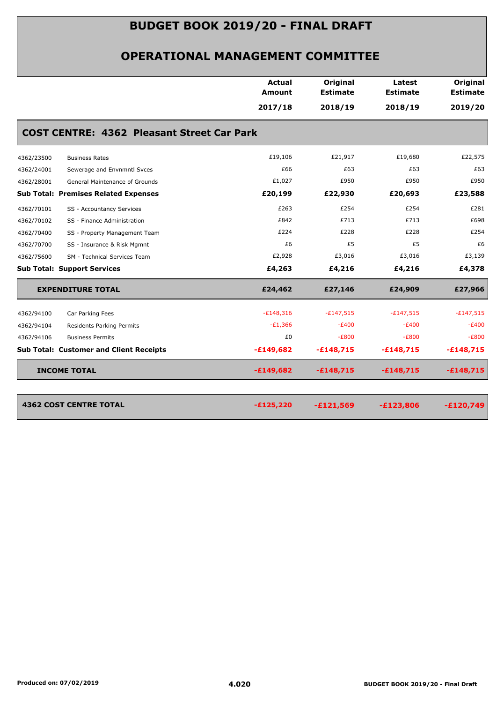#### **OPERATIONAL MANAGEMENT COMMITTEE**

|                                                   | <b>Actual</b><br>Amount | Original<br><b>Estimate</b> | Latest<br><b>Estimate</b> | Original<br><b>Estimate</b> |
|---------------------------------------------------|-------------------------|-----------------------------|---------------------------|-----------------------------|
|                                                   | 2017/18                 | 2018/19                     | 2018/19                   | 2019/20                     |
| <b>COST CENTRE: 4362 Pleasant Street Car Park</b> |                         |                             |                           |                             |
| 4362/23500<br><b>Business Rates</b>               | £19,106                 | £21,917                     | £19,680                   | £22,575                     |
| 4362/24001<br>Sewerage and Envnmntl Svces         | £66                     | £63                         | £63                       | £63                         |
| 4362/28001<br>General Maintenance of Grounds      | £1,027                  | £950                        | £950                      | £950                        |
| <b>Sub Total: Premises Related Expenses</b>       | £20,199                 | £22,930                     | £20,693                   | £23,588                     |
| 4362/70101<br>SS - Accountancy Services           | £263                    | £254                        | £254                      | £281                        |
| 4362/70102<br>SS - Finance Administration         | £842                    | £713                        | £713                      | £698                        |
| 4362/70400<br>SS - Property Management Team       | £224                    | £228                        | £228                      | £254                        |
| 4362/70700<br>SS - Insurance & Risk Mgmnt         | £6                      | £5                          | £5                        | £6                          |
| 4362/75600<br>SM - Technical Services Team        | £2,928                  | £3,016                      | £3,016                    | £3,139                      |
| <b>Sub Total: Support Services</b>                | £4,263                  | £4,216                      | £4,216                    | £4,378                      |
| <b>EXPENDITURE TOTAL</b>                          | £24,462                 | £27,146                     | £24,909                   | £27,966                     |
| 4362/94100<br>Car Parking Fees                    | $-E148,316$             | $-£147,515$                 | $-E147,515$               | $-£147,515$                 |
| 4362/94104<br>Residents Parking Permits           | $-E1,366$               | $-E400$                     | $-E400$                   | $-E400$                     |
| 4362/94106<br><b>Business Permits</b>             | £0                      | $-E800$                     | $-E800$                   | $-E800$                     |
| <b>Sub Total: Customer and Client Receipts</b>    | $-£149,682$             | $-£148,715$                 | $-£148,715$               | $-£148,715$                 |
| <b>INCOME TOTAL</b>                               | $-£149,682$             | $-£148,715$                 | $-£148,715$               | $-£148,715$                 |
| <b>4362 COST CENTRE TOTAL</b>                     | $-£125,220$             | $-£121,569$                 | $-£123,806$               | $-£120,749$                 |

4362 COST CENTRE TOTAL *PHOTOLS PHOTOLS PHOTOLS PHOTOLS* **<b>***PHOTOLS PHOTOLS PHOTOLS PHOTOLS* **<b>***PHOTOLS PHOTOLS PHOTOLS PHOTOLS PHOTOLS***</del> <b>***PHOTOLS PHOTOLS PHOTOLS***</del> <b>***PHOTOLS*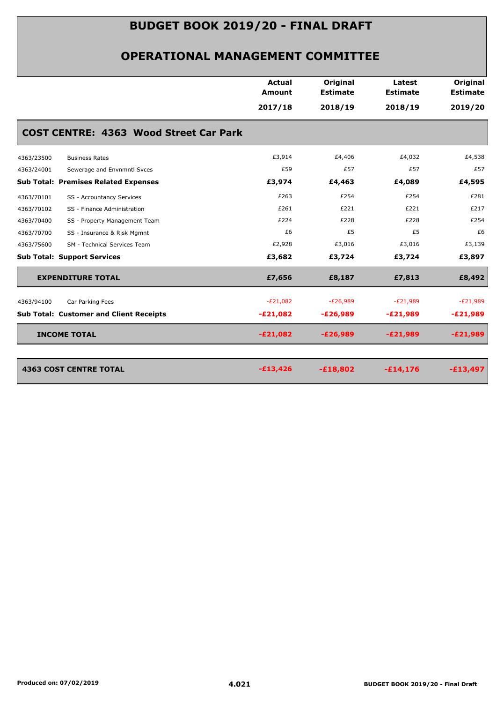|            |                                                | <b>Actual</b><br><b>Amount</b> | Original<br><b>Estimate</b> | Latest<br><b>Estimate</b> | Original<br><b>Estimate</b> |
|------------|------------------------------------------------|--------------------------------|-----------------------------|---------------------------|-----------------------------|
|            |                                                | 2017/18                        | 2018/19                     | 2018/19                   | 2019/20                     |
|            | <b>COST CENTRE: 4363 Wood Street Car Park</b>  |                                |                             |                           |                             |
| 4363/23500 | <b>Business Rates</b>                          | £3,914                         | £4,406                      | £4,032                    | £4,538                      |
| 4363/24001 | Sewerage and Envnmntl Svces                    | £59                            | £57                         | £57                       | £57                         |
|            | <b>Sub Total: Premises Related Expenses</b>    | £3,974                         | £4,463                      | £4,089                    | £4,595                      |
| 4363/70101 | SS - Accountancy Services                      | £263                           | £254                        | £254                      | £281                        |
| 4363/70102 | SS - Finance Administration                    | £261                           | £221                        | £221                      | £217                        |
| 4363/70400 | SS - Property Management Team                  | £224                           | £228                        | £228                      | £254                        |
| 4363/70700 | SS - Insurance & Risk Mgmnt                    | £6                             | £5                          | £5                        | £6                          |
| 4363/75600 | SM - Technical Services Team                   | £2,928                         | £3,016                      | £3,016                    | £3,139                      |
|            | <b>Sub Total: Support Services</b>             | £3,682                         | £3,724                      | £3,724                    | £3,897                      |
|            | <b>EXPENDITURE TOTAL</b>                       | £7,656                         | £8,187                      | £7,813                    | £8,492                      |
| 4363/94100 | Car Parking Fees                               | $-E21,082$                     | $-E26,989$                  | $-E21,989$                | $-E21,989$                  |
|            | <b>Sub Total: Customer and Client Receipts</b> | $-E21,082$                     | $-E26,989$                  | $-E21,989$                | $-E21,989$                  |
|            | <b>INCOME TOTAL</b>                            | $-E21,082$                     | $-E26,989$                  | $-E21,989$                | $-E21,989$                  |
|            | <b>4363 COST CENTRE TOTAL</b>                  | $-£13,426$                     | $-£18,802$                  | $-£14,176$                | $-£13,497$                  |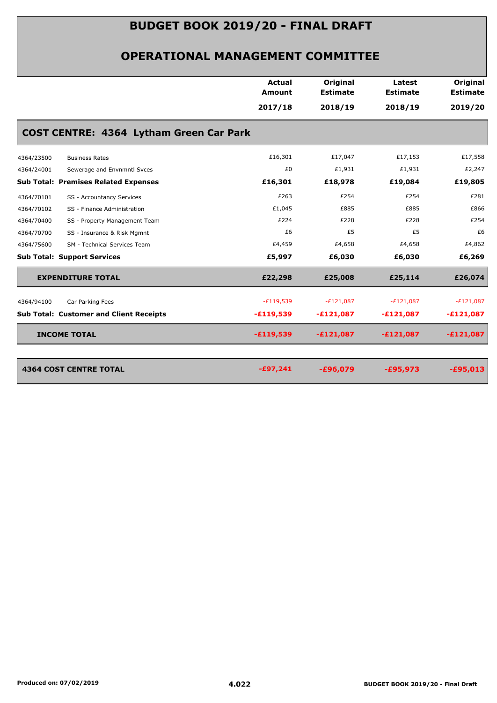| Original<br><b>Actual</b><br>Latest<br>Amount<br><b>Estimate</b><br><b>Estimate</b><br>2017/18<br>2018/19<br>2018/19<br>COST CENTRE: 4364 Lytham Green Car Park<br>£16,301<br>£17,047<br>£17,153<br>4364/23500<br><b>Business Rates</b><br>£0<br>£1,931<br>£1,931<br>Sewerage and Envnmntl Svces<br>£16,301<br>£18,978<br>£19,084<br>£263<br>£254<br>£254<br>4364/70101<br>SS - Accountancy Services<br>£885<br>£1,045<br>£885<br>4364/70102<br>SS - Finance Administration<br>£224<br>£228<br>£228<br>4364/70400<br>SS - Property Management Team<br>£5<br>£6<br>£5<br>SS - Insurance & Risk Mgmnt<br>4364/70700<br>£4,459<br>£4,658<br>£4,658<br>4364/75600<br>SM - Technical Services Team<br>£5,997<br>£6,030<br>£6,030<br>£22,298<br><b>EXPENDITURE TOTAL</b><br>£25,008<br>£25,114<br>$-E119,539$<br>$-E121,087$<br>$-E121,087$<br>Car Parking Fees<br>4364/94100<br>$-£119,539$<br>$-£121,087$<br>$-£121,087$<br><b>INCOME TOTAL</b><br>$-£119,539$<br>$-£121,087$<br>$-£121,087$<br><b>4364 COST CENTRE TOTAL</b><br>$-£97,241$<br>$-£96,079$<br>$-£95,973$ |  |  |                             |
|---------------------------------------------------------------------------------------------------------------------------------------------------------------------------------------------------------------------------------------------------------------------------------------------------------------------------------------------------------------------------------------------------------------------------------------------------------------------------------------------------------------------------------------------------------------------------------------------------------------------------------------------------------------------------------------------------------------------------------------------------------------------------------------------------------------------------------------------------------------------------------------------------------------------------------------------------------------------------------------------------------------------------------------------------------------------|--|--|-----------------------------|
|                                                                                                                                                                                                                                                                                                                                                                                                                                                                                                                                                                                                                                                                                                                                                                                                                                                                                                                                                                                                                                                                     |  |  | Original<br><b>Estimate</b> |
| 4364/24001<br><b>Sub Total: Premises Related Expenses</b><br><b>Sub Total: Support Services</b><br><b>Sub Total: Customer and Client Receipts</b>                                                                                                                                                                                                                                                                                                                                                                                                                                                                                                                                                                                                                                                                                                                                                                                                                                                                                                                   |  |  | 2019/20                     |
|                                                                                                                                                                                                                                                                                                                                                                                                                                                                                                                                                                                                                                                                                                                                                                                                                                                                                                                                                                                                                                                                     |  |  |                             |
|                                                                                                                                                                                                                                                                                                                                                                                                                                                                                                                                                                                                                                                                                                                                                                                                                                                                                                                                                                                                                                                                     |  |  | £17,558                     |
|                                                                                                                                                                                                                                                                                                                                                                                                                                                                                                                                                                                                                                                                                                                                                                                                                                                                                                                                                                                                                                                                     |  |  | £2,247                      |
|                                                                                                                                                                                                                                                                                                                                                                                                                                                                                                                                                                                                                                                                                                                                                                                                                                                                                                                                                                                                                                                                     |  |  | £19,805                     |
|                                                                                                                                                                                                                                                                                                                                                                                                                                                                                                                                                                                                                                                                                                                                                                                                                                                                                                                                                                                                                                                                     |  |  | £281                        |
|                                                                                                                                                                                                                                                                                                                                                                                                                                                                                                                                                                                                                                                                                                                                                                                                                                                                                                                                                                                                                                                                     |  |  | £866                        |
|                                                                                                                                                                                                                                                                                                                                                                                                                                                                                                                                                                                                                                                                                                                                                                                                                                                                                                                                                                                                                                                                     |  |  | £254                        |
|                                                                                                                                                                                                                                                                                                                                                                                                                                                                                                                                                                                                                                                                                                                                                                                                                                                                                                                                                                                                                                                                     |  |  | £6                          |
|                                                                                                                                                                                                                                                                                                                                                                                                                                                                                                                                                                                                                                                                                                                                                                                                                                                                                                                                                                                                                                                                     |  |  | £4,862                      |
|                                                                                                                                                                                                                                                                                                                                                                                                                                                                                                                                                                                                                                                                                                                                                                                                                                                                                                                                                                                                                                                                     |  |  | £6,269                      |
|                                                                                                                                                                                                                                                                                                                                                                                                                                                                                                                                                                                                                                                                                                                                                                                                                                                                                                                                                                                                                                                                     |  |  | £26,074                     |
|                                                                                                                                                                                                                                                                                                                                                                                                                                                                                                                                                                                                                                                                                                                                                                                                                                                                                                                                                                                                                                                                     |  |  | $-E121,087$                 |
|                                                                                                                                                                                                                                                                                                                                                                                                                                                                                                                                                                                                                                                                                                                                                                                                                                                                                                                                                                                                                                                                     |  |  | $-E121,087$                 |
|                                                                                                                                                                                                                                                                                                                                                                                                                                                                                                                                                                                                                                                                                                                                                                                                                                                                                                                                                                                                                                                                     |  |  | $-£121,087$                 |
|                                                                                                                                                                                                                                                                                                                                                                                                                                                                                                                                                                                                                                                                                                                                                                                                                                                                                                                                                                                                                                                                     |  |  |                             |
|                                                                                                                                                                                                                                                                                                                                                                                                                                                                                                                                                                                                                                                                                                                                                                                                                                                                                                                                                                                                                                                                     |  |  | $-£95,013$                  |
|                                                                                                                                                                                                                                                                                                                                                                                                                                                                                                                                                                                                                                                                                                                                                                                                                                                                                                                                                                                                                                                                     |  |  |                             |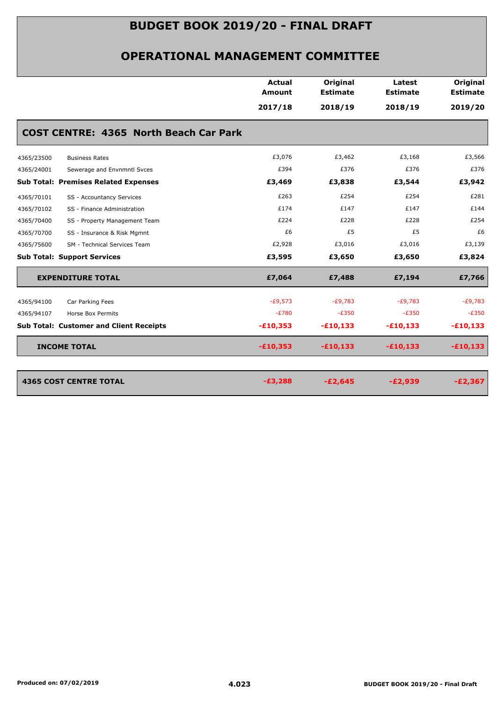|                                                | <b>Actual</b><br><b>Amount</b> | Original<br><b>Estimate</b> | Latest<br><b>Estimate</b> | Original<br><b>Estimate</b> |
|------------------------------------------------|--------------------------------|-----------------------------|---------------------------|-----------------------------|
|                                                | 2017/18                        | 2018/19                     | 2018/19                   | 2019/20                     |
| <b>COST CENTRE: 4365 North Beach Car Park</b>  |                                |                             |                           |                             |
| 4365/23500<br><b>Business Rates</b>            | £3,076                         | £3,462                      | £3,168                    | £3,566                      |
| 4365/24001<br>Sewerage and Envnmntl Svces      | £394                           | £376                        | £376                      | £376                        |
| <b>Sub Total: Premises Related Expenses</b>    | £3,469                         | £3,838                      | £3,544                    | £3,942                      |
| 4365/70101<br>SS - Accountancy Services        | £263                           | £254                        | £254                      | £281                        |
| 4365/70102<br>SS - Finance Administration      | £174                           | £147                        | £147                      | £144                        |
| 4365/70400<br>SS - Property Management Team    | £224                           | £228                        | £228                      | £254                        |
| 4365/70700<br>SS - Insurance & Risk Mgmnt      | £6                             | £5                          | £5                        | £6                          |
| 4365/75600<br>SM - Technical Services Team     | £2,928                         | £3,016                      | £3,016                    | £3,139                      |
| <b>Sub Total: Support Services</b>             | £3,595                         | £3,650                      | £3,650                    | £3,824                      |
| <b>EXPENDITURE TOTAL</b>                       | £7,064                         | £7,488                      | £7,194                    | £7,766                      |
| 4365/94100<br>Car Parking Fees                 | $-E9,573$                      | $-E9,783$                   | $-E9,783$                 | $-E9,783$                   |
| 4365/94107<br>Horse Box Permits                | $-E780$                        | $-E350$                     | $-E350$                   | $-E350$                     |
| <b>Sub Total: Customer and Client Receipts</b> | $-£10,353$                     | $-£10,133$                  | $-£10,133$                | $-£10,133$                  |
| <b>INCOME TOTAL</b>                            | $-£10,353$                     | $-£10,133$                  | $-£10,133$                | $-£10,133$                  |
|                                                |                                |                             |                           |                             |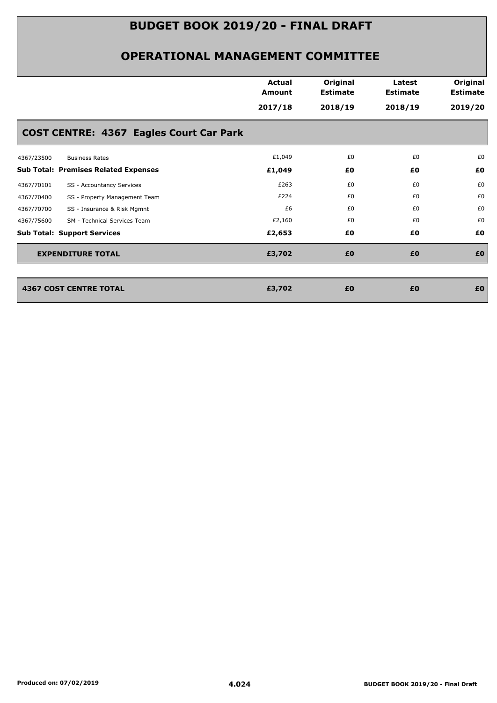|            |                                                | <b>Actual</b><br><b>Amount</b><br>2017/18 | Original<br><b>Estimate</b><br>2018/19 | Latest<br><b>Estimate</b><br>2018/19 | Original<br><b>Estimate</b><br>2019/20 |
|------------|------------------------------------------------|-------------------------------------------|----------------------------------------|--------------------------------------|----------------------------------------|
|            | <b>COST CENTRE: 4367 Eagles Court Car Park</b> |                                           |                                        |                                      |                                        |
| 4367/23500 | <b>Business Rates</b>                          | £1,049                                    | £0                                     | £0                                   | £0                                     |
|            | <b>Sub Total: Premises Related Expenses</b>    | £1,049                                    | £0                                     | £0                                   | £0                                     |
| 4367/70101 | SS - Accountancy Services                      | £263                                      | £0                                     | £0                                   | £0                                     |
| 4367/70400 | SS - Property Management Team                  | £224                                      | £0                                     | £0                                   | £0                                     |
| 4367/70700 | SS - Insurance & Risk Mgmnt                    | £6                                        | £0                                     | £0                                   | £0                                     |
| 4367/75600 | SM - Technical Services Team                   | £2,160                                    | £0                                     | £0                                   | £0                                     |
|            | <b>Sub Total: Support Services</b>             | £2,653                                    | £0                                     | £0                                   | £0                                     |
|            | <b>EXPENDITURE TOTAL</b>                       | £3,702                                    | £0                                     | £0                                   | £0                                     |
|            |                                                |                                           |                                        |                                      |                                        |
|            | <b>4367 COST CENTRE TOTAL</b>                  | £3,702                                    | £0                                     | £0                                   | £0                                     |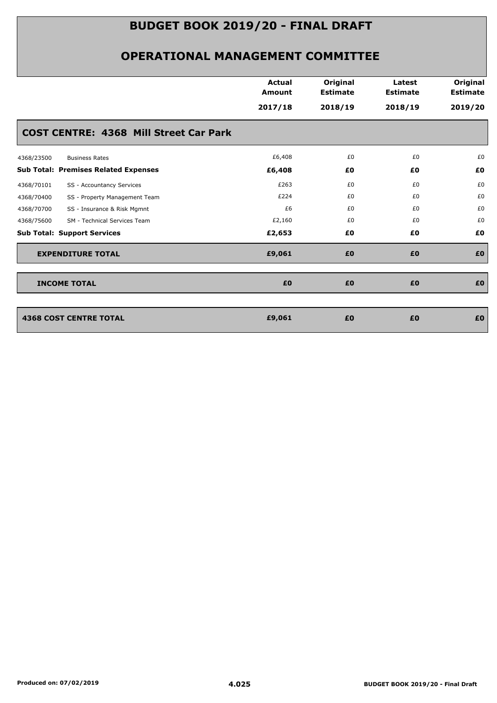|                                               | <b>Actual</b><br><b>Amount</b> | Original<br><b>Estimate</b> | Latest<br><b>Estimate</b> | Original<br><b>Estimate</b> |
|-----------------------------------------------|--------------------------------|-----------------------------|---------------------------|-----------------------------|
|                                               | 2017/18                        | 2018/19                     | 2018/19                   | 2019/20                     |
| <b>COST CENTRE: 4368 Mill Street Car Park</b> |                                |                             |                           |                             |
| 4368/23500<br><b>Business Rates</b>           | £6,408                         | £0                          | £0                        | £0                          |
| <b>Sub Total: Premises Related Expenses</b>   | £6,408                         | £0                          | £0                        | £0                          |
| SS - Accountancy Services<br>4368/70101       | £263                           | £0                          | £0                        | £0                          |
| 4368/70400<br>SS - Property Management Team   | £224                           | £0                          | £0                        | £0                          |
| 4368/70700<br>SS - Insurance & Risk Mgmnt     | £6                             | £0                          | £0                        | £0                          |
| 4368/75600<br>SM - Technical Services Team    | £2,160                         | £0                          | £0                        | £0                          |
| <b>Sub Total: Support Services</b>            | £2,653                         | £0                          | £0                        | £0                          |
| <b>EXPENDITURE TOTAL</b>                      | £9,061                         | £0                          | £0                        | £0                          |
| <b>INCOME TOTAL</b>                           | £0                             | £0                          | £0                        | £0                          |
|                                               |                                |                             |                           |                             |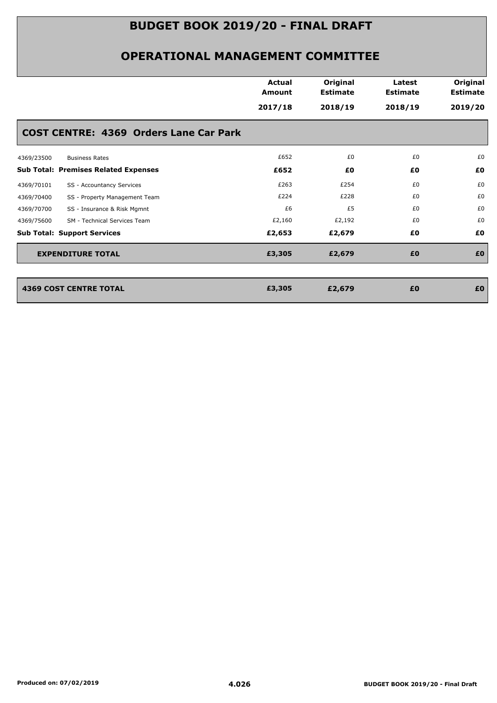|                          |                                               |               | Original        |                 | Original        |
|--------------------------|-----------------------------------------------|---------------|-----------------|-----------------|-----------------|
|                          |                                               | <b>Amount</b> | <b>Estimate</b> | <b>Estimate</b> | <b>Estimate</b> |
|                          |                                               | 2017/18       | 2018/19         | 2018/19         | 2019/20         |
|                          | <b>COST CENTRE: 4369 Orders Lane Car Park</b> |               |                 |                 |                 |
| 4369/23500               | <b>Business Rates</b>                         | £652          | £0              | £0              | £0              |
|                          | <b>Sub Total: Premises Related Expenses</b>   | £652          | £0              | £0              | £0              |
| 4369/70101               | SS - Accountancy Services                     | £263          | £254            | £0              | £0              |
| 4369/70400               | SS - Property Management Team                 | £224          | £228            | £0              | £0              |
| 4369/70700               | SS - Insurance & Risk Mgmnt                   | £6            | £5              | £0              | £0              |
| 4369/75600               | SM - Technical Services Team                  | £2,160        | £2,192          | £0              | £0              |
|                          | <b>Sub Total: Support Services</b>            | £2,653        | £2,679          | £0              | £0              |
| <b>EXPENDITURE TOTAL</b> |                                               | £3,305        | £2,679          | £0              | £0              |
|                          |                                               |               |                 |                 |                 |
|                          | <b>4369 COST CENTRE TOTAL</b>                 | £3,305        | £2,679          | £0              | £0              |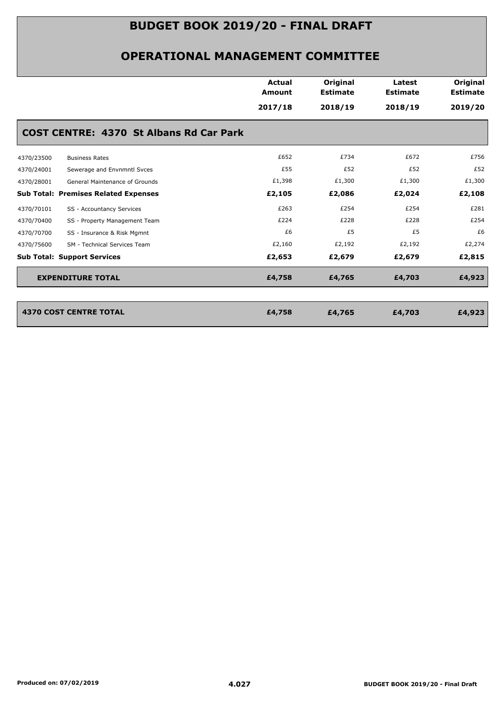### **OPERATIONAL MANAGEMENT COMMITTEE**

|                                                | <b>Actual</b><br>Amount | Original<br><b>Estimate</b> | Latest<br><b>Estimate</b> | Original<br><b>Estimate</b> |  |  |
|------------------------------------------------|-------------------------|-----------------------------|---------------------------|-----------------------------|--|--|
|                                                | 2017/18                 | 2018/19                     | 2018/19                   | 2019/20                     |  |  |
| <b>COST CENTRE: 4370 St Albans Rd Car Park</b> |                         |                             |                           |                             |  |  |
| 4370/23500<br><b>Business Rates</b>            | £652                    | £734                        | £672                      | £756                        |  |  |
| Sewerage and Envnmntl Svces<br>4370/24001      | £55                     | £52                         | £52                       | £52                         |  |  |
| 4370/28001<br>General Maintenance of Grounds   | £1,398                  | £1,300                      | £1,300                    | £1,300                      |  |  |
| <b>Sub Total: Premises Related Expenses</b>    | £2,105                  | £2,086                      | £2,024                    | £2,108                      |  |  |
| 4370/70101<br>SS - Accountancy Services        | £263                    | £254                        | £254                      | £281                        |  |  |
| 4370/70400<br>SS - Property Management Team    | £224                    | £228                        | £228                      | £254                        |  |  |
| 4370/70700<br>SS - Insurance & Risk Mgmnt      | £6                      | £5                          | £5                        | £6                          |  |  |
| SM - Technical Services Team<br>4370/75600     | £2,160                  | £2,192                      | £2,192                    | £2,274                      |  |  |
| <b>Sub Total: Support Services</b>             | £2,653                  | £2,679                      | £2,679                    | £2,815                      |  |  |
| <b>EXPENDITURE TOTAL</b>                       | £4,758                  | £4,765                      | £4,703                    | £4,923                      |  |  |
|                                                |                         |                             |                           |                             |  |  |
| <b>4370 COST CENTRE TOTAL</b>                  | £4,758                  | £4,765                      | £4,703                    | £4,923                      |  |  |

4370 COST CENTRE TOTAL **1999 EXECUTE 2018**<br> **EA,758** E4,765<br> **EA,758** E4,765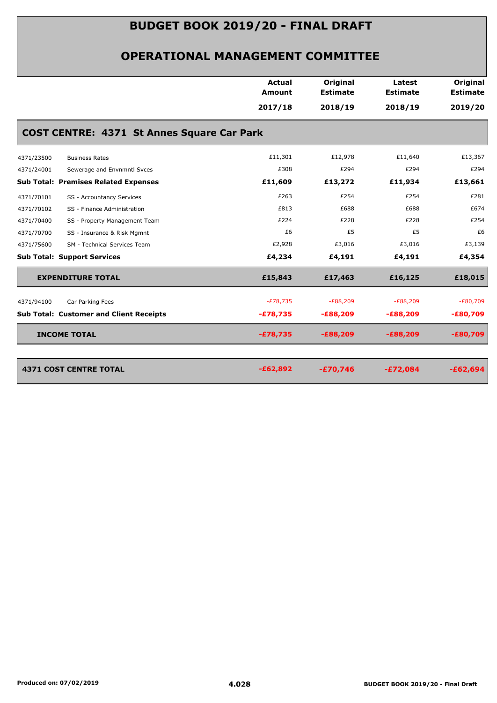|            |                                                   | Actual<br>Amount | Original<br><b>Estimate</b> | Latest<br><b>Estimate</b> | Original<br><b>Estimate</b> |
|------------|---------------------------------------------------|------------------|-----------------------------|---------------------------|-----------------------------|
|            |                                                   | 2017/18          | 2018/19                     | 2018/19                   | 2019/20                     |
|            | <b>COST CENTRE: 4371 St Annes Square Car Park</b> |                  |                             |                           |                             |
| 4371/23500 | <b>Business Rates</b>                             | £11,301          | £12,978                     | £11,640                   | £13,367                     |
| 4371/24001 | Sewerage and Envnmntl Svces                       | £308             | £294                        | £294                      | £294                        |
|            | <b>Sub Total: Premises Related Expenses</b>       | £11,609          | £13,272                     | £11,934                   | £13,661                     |
| 4371/70101 | SS - Accountancy Services                         | £263             | £254                        | £254                      | £281                        |
| 4371/70102 | SS - Finance Administration                       | £813             | £688                        | £688                      | £674                        |
| 4371/70400 | SS - Property Management Team                     | £224             | £228                        | £228                      | £254                        |
| 4371/70700 | SS - Insurance & Risk Mgmnt                       | £6               | £5                          | £5                        | £6                          |
| 4371/75600 | SM - Technical Services Team                      | £2,928           | £3,016                      | £3,016                    | £3,139                      |
|            | <b>Sub Total: Support Services</b>                | £4,234           | £4,191                      | £4,191                    | £4,354                      |
|            | <b>EXPENDITURE TOTAL</b>                          | £15,843          | £17,463                     | £16,125                   | £18,015                     |
| 4371/94100 | Car Parking Fees                                  | $-E78,735$       | $-E88,209$                  | $-E88,209$                | $-E80,709$                  |
|            | <b>Sub Total: Customer and Client Receipts</b>    | $-£78,735$       | $-E88,209$                  | $-E88,209$                | $-£80,709$                  |
|            | <b>INCOME TOTAL</b>                               | $-£78,735$       | $-E88,209$                  | $-E88,209$                | $-£80,709$                  |
|            |                                                   |                  |                             |                           |                             |
|            | <b>4371 COST CENTRE TOTAL</b>                     | $-£62,892$       | $-£70,746$                  | $-£72,084$                | $-£62,694$                  |
|            |                                                   |                  |                             |                           |                             |
|            |                                                   |                  |                             |                           |                             |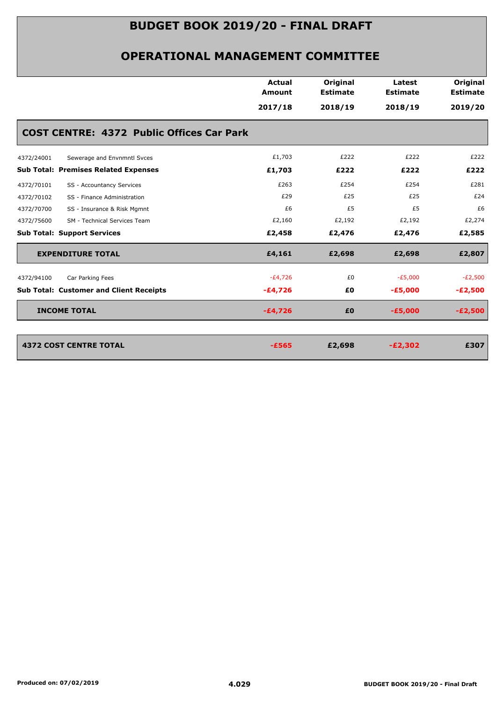|                                                  | Actual<br><b>Amount</b> | Original<br><b>Estimate</b> | Latest<br><b>Estimate</b> | Original<br><b>Estimate</b> |
|--------------------------------------------------|-------------------------|-----------------------------|---------------------------|-----------------------------|
|                                                  | 2017/18                 | 2018/19                     | 2018/19                   | 2019/20                     |
| <b>COST CENTRE: 4372 Public Offices Car Park</b> |                         |                             |                           |                             |
| 4372/24001<br>Sewerage and Envnmntl Svces        | £1,703                  | £222                        | £222                      | £222                        |
| <b>Sub Total: Premises Related Expenses</b>      | £1,703                  | £222                        | £222                      | £222                        |
| SS - Accountancy Services<br>4372/70101          | £263                    | £254                        | £254                      | £281                        |
| SS - Finance Administration<br>4372/70102        | £29                     | £25                         | £25                       | £24                         |
| 4372/70700<br>SS - Insurance & Risk Mgmnt        | £6                      | £5                          | £5                        | £6                          |
| SM - Technical Services Team<br>4372/75600       | £2,160                  | £2,192                      | £2,192                    | £2,274                      |
| <b>Sub Total: Support Services</b>               | £2,458                  | £2,476                      | £2,476                    | £2,585                      |
| <b>EXPENDITURE TOTAL</b>                         | £4,161                  | £2,698                      | £2,698                    | £2,807                      |
| Car Parking Fees<br>4372/94100                   | $-E4,726$               | £0                          | $-E5,000$                 | $-E2,500$                   |
| <b>Sub Total: Customer and Client Receipts</b>   | $-E4,726$               | £0                          | $-E5,000$                 | $-E2,500$                   |
| <b>INCOME TOTAL</b>                              | $-£4,726$               | £0                          | $-£5,000$                 | $-E2,500$                   |
|                                                  |                         |                             |                           |                             |
| <b>4372 COST CENTRE TOTAL</b>                    | $-E565$                 | £2,698                      | $-E2,302$                 | £307                        |
|                                                  |                         |                             |                           |                             |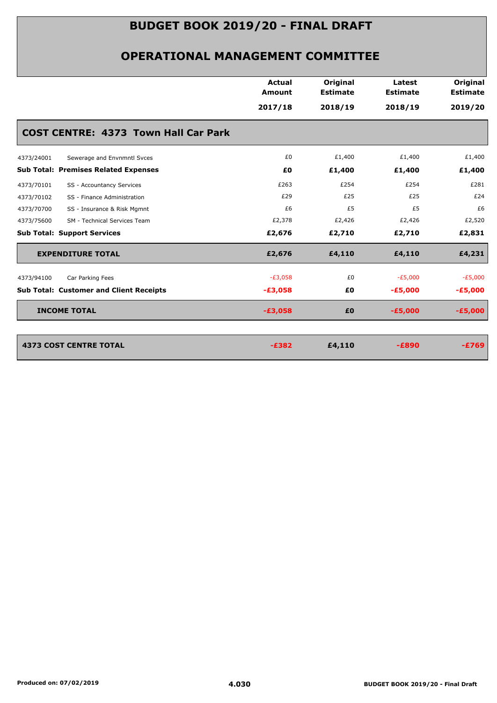| Actual<br>Original<br><b>Amount</b><br><b>Estimate</b><br>2017/18<br>2018/19<br>£0<br>£1,400<br>£0<br>£1,400<br>£254<br>£263<br>£29<br>£25<br>£6<br>£2,378<br>£2,426<br>£2,676<br>£2,710 | Latest<br><b>Estimate</b><br>2018/19<br>£1,400<br>£1,400<br>£254<br>£25<br>£5<br>£5<br>£2,426<br>£2,710 | Original<br><b>Estimate</b><br>2019/20<br>£1,400<br>£1,400<br>£281<br>£24<br>£6<br>£2,520<br>£2,831 |
|------------------------------------------------------------------------------------------------------------------------------------------------------------------------------------------|---------------------------------------------------------------------------------------------------------|-----------------------------------------------------------------------------------------------------|
|                                                                                                                                                                                          |                                                                                                         |                                                                                                     |
|                                                                                                                                                                                          |                                                                                                         |                                                                                                     |
|                                                                                                                                                                                          |                                                                                                         |                                                                                                     |
|                                                                                                                                                                                          |                                                                                                         |                                                                                                     |
|                                                                                                                                                                                          |                                                                                                         |                                                                                                     |
|                                                                                                                                                                                          |                                                                                                         |                                                                                                     |
|                                                                                                                                                                                          |                                                                                                         |                                                                                                     |
|                                                                                                                                                                                          |                                                                                                         |                                                                                                     |
|                                                                                                                                                                                          |                                                                                                         |                                                                                                     |
|                                                                                                                                                                                          |                                                                                                         |                                                                                                     |
| £2,676<br>£4,110                                                                                                                                                                         | £4,110                                                                                                  | £4,231                                                                                              |
|                                                                                                                                                                                          | $-E5,000$                                                                                               | $-E5,000$                                                                                           |
|                                                                                                                                                                                          | $-E5,000$                                                                                               | $-£5,000$                                                                                           |
|                                                                                                                                                                                          | $-£5,000$                                                                                               | $-£5,000$                                                                                           |
|                                                                                                                                                                                          |                                                                                                         | $-E769$                                                                                             |
|                                                                                                                                                                                          | $-E3,058$<br>$-£3,058$<br>$-£3,058$<br>$-E382$                                                          | £0<br>£0<br>£0<br>£4,110<br>$-E890$                                                                 |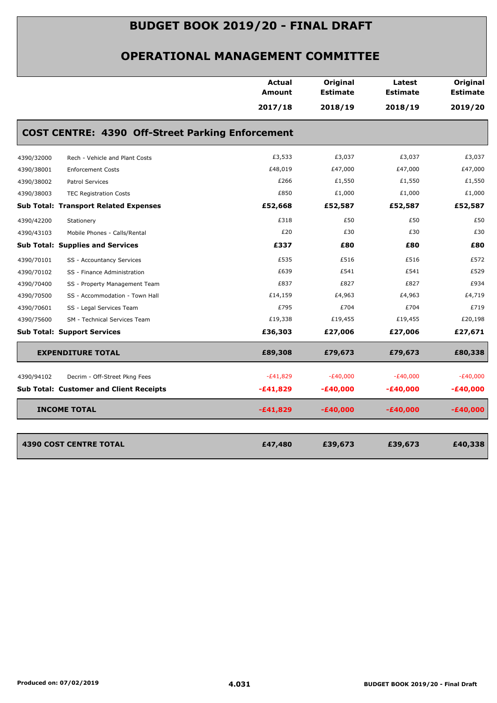|            |                                                         | Actual<br><b>Amount</b> | Original<br><b>Estimate</b> | Latest<br><b>Estimate</b> | Original<br><b>Estimate</b> |
|------------|---------------------------------------------------------|-------------------------|-----------------------------|---------------------------|-----------------------------|
|            |                                                         | 2017/18                 | 2018/19                     | 2018/19                   | 2019/20                     |
|            | <b>COST CENTRE: 4390 Off-Street Parking Enforcement</b> |                         |                             |                           |                             |
| 4390/32000 | Rech - Vehicle and Plant Costs                          | £3,533                  | £3,037                      | £3,037                    | £3,037                      |
| 4390/38001 | <b>Enforcement Costs</b>                                | £48,019                 | £47,000                     | £47,000                   | £47,000                     |
| 4390/38002 | <b>Patrol Services</b>                                  | £266                    | £1,550                      | £1,550                    | £1,550                      |
| 4390/38003 | <b>TEC Registration Costs</b>                           | £850                    | £1,000                      | £1,000                    | £1,000                      |
|            | <b>Sub Total: Transport Related Expenses</b>            | £52,668                 | £52,587                     | £52,587                   | £52,587                     |
| 4390/42200 | Stationery                                              | £318                    | £50                         | £50                       | £50                         |
| 4390/43103 | Mobile Phones - Calls/Rental                            | £20                     | £30                         | £30                       | £30                         |
|            | <b>Sub Total: Supplies and Services</b>                 | £337                    | £80                         | £80                       | £80                         |
| 4390/70101 | SS - Accountancy Services                               | £535                    | £516                        | £516                      | £572                        |
| 4390/70102 | SS - Finance Administration                             | £639                    | £541                        | £541                      | £529                        |
| 4390/70400 | SS - Property Management Team                           | £837                    | £827                        | £827                      | £934                        |
| 4390/70500 | SS - Accommodation - Town Hall                          | £14,159                 | £4,963                      | £4,963                    | £4,719                      |
| 4390/70601 | SS - Legal Services Team                                | £795                    | £704                        | £704                      | £719                        |
| 4390/75600 | SM - Technical Services Team                            | £19,338                 | £19,455                     | £19,455                   | £20,198                     |
|            | <b>Sub Total: Support Services</b>                      | £36,303                 | £27,006                     | £27,006                   | £27,671                     |
|            | <b>EXPENDITURE TOTAL</b>                                | £89,308                 | £79,673                     | £79,673                   | £80,338                     |
| 4390/94102 | Decrim - Off-Street Pkng Fees                           | $-E41,829$              | $-E40,000$                  | $-E40,000$                | $-E40,000$                  |
|            | <b>Sub Total: Customer and Client Receipts</b>          | $-£41,829$              | $-£40,000$                  | -£40,000                  | -£40,000                    |
|            | <b>INCOME TOTAL</b>                                     | -£41,829                | $-£40,000$                  | -£40,000                  | -£40,000                    |
|            |                                                         |                         |                             |                           |                             |
|            | <b>4390 COST CENTRE TOTAL</b>                           | £47,480                 | £39,673                     | £39,673                   | £40,338                     |
|            |                                                         |                         |                             |                           |                             |
|            |                                                         |                         |                             |                           |                             |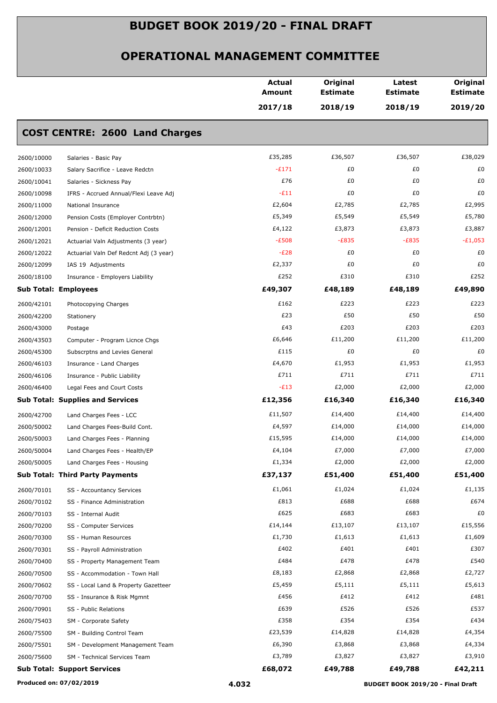|                                                      | <b>Actual</b><br>Amount | Original<br><b>Estimate</b> | Latest<br><b>Estimate</b> | Original<br><b>Estimate</b> |
|------------------------------------------------------|-------------------------|-----------------------------|---------------------------|-----------------------------|
|                                                      | 2017/18                 | 2018/19                     | 2018/19                   | 2019/20                     |
| <b>COST CENTRE: 2600 Land Charges</b>                |                         |                             |                           |                             |
| 2600/10000<br>Salaries - Basic Pay                   | £35,285                 | £36,507                     | £36,507                   | £38,029                     |
| 2600/10033<br>Salary Sacrifice - Leave Redctn        | $-E171$                 | £0                          | £0                        | £0                          |
| 2600/10041<br>Salaries - Sickness Pay                | £76                     | £0                          | £0                        | £0                          |
| 2600/10098<br>IFRS - Accrued Annual/Flexi Leave Adj  | $-E11$                  | £0                          | £0                        | £0                          |
| 2600/11000<br>National Insurance                     | £2,604                  | £2,785                      | £2,785                    | £2,995                      |
| 2600/12000<br>Pension Costs (Employer Contrbtn)      | £5,349                  | £5,549                      | £5,549                    | £5,780                      |
| 2600/12001<br>Pension - Deficit Reduction Costs      | £4,122                  | £3,873                      | £3,873                    | £3,887                      |
| 2600/12021<br>Actuarial Valn Adjustments (3 year)    | $-E508$                 | $-E835$                     | $-E835$                   | $-E1,053$                   |
| 2600/12022<br>Actuarial Valn Def Redcnt Adj (3 year) | $-E28$                  | £0                          | £0                        | £0                          |
| 2600/12099<br>IAS 19 Adjustments                     | £2,337                  | £0                          | £0                        | £0                          |
| 2600/18100<br>Insurance - Employers Liability        | £252                    | £310                        | £310                      | £252                        |
| <b>Sub Total: Employees</b>                          | £49,307                 | £48,189                     | £48,189                   | £49,890                     |
| 2600/42101<br>Photocopying Charges                   | £162                    | £223                        | £223                      | £223                        |
| 2600/42200<br>Stationery                             | £23                     | £50                         | £50                       | £50                         |
| 2600/43000<br>Postage                                | £43                     | £203                        | £203                      | £203                        |
| 2600/43503<br>Computer - Program Licnce Chgs         | £6,646                  | £11,200                     | £11,200                   | £11,200                     |
| 2600/45300<br>Subscrptns and Levies General          | £115                    | £0                          | £0                        | £0                          |
| 2600/46103<br>Insurance - Land Charges               | £4,670                  | £1,953                      | £1,953                    | £1,953                      |
| 2600/46106<br>Insurance - Public Liability           | £711                    | £711                        | £711                      | £711                        |
| 2600/46400<br>Legal Fees and Court Costs             | $-E13$                  | £2,000                      | £2,000                    | £2,000                      |
| <b>Sub Total: Supplies and Services</b>              | £12,356                 | £16,340                     | £16,340                   | £16,340                     |
| 2600/42700<br>Land Charges Fees - LCC                | £11,507                 | £14,400                     | £14,400                   | £14,400                     |
| 2600/50002<br>Land Charges Fees-Build Cont.          | £4,597                  | £14,000                     | £14,000                   | £14,000                     |
| 2600/50003<br>Land Charges Fees - Planning           | £15,595                 | £14,000                     | £14,000                   | £14,000                     |
| 2600/50004<br>Land Charges Fees - Health/EP          | £4,104                  | £7,000                      | £7,000                    | £7,000                      |
| 2600/50005<br>Land Charges Fees - Housing            | £1,334                  | £2,000                      | £2,000                    | £2,000                      |
| <b>Sub Total: Third Party Payments</b>               | £37,137                 | £51,400                     | £51,400                   | £51,400                     |
| 2600/70101<br>SS - Accountancy Services              | £1,061                  | £1,024                      | £1,024                    | £1,135                      |
| 2600/70102<br>SS - Finance Administration            | £813                    | £688                        | £688                      | £674                        |
| 2600/70103<br>SS - Internal Audit                    | £625                    | £683                        | £683                      | £0                          |
| 2600/70200<br>SS - Computer Services                 | £14,144                 | £13,107                     | £13,107                   | £15,556                     |
| 2600/70300<br>SS - Human Resources                   | £1,730                  | £1,613                      | £1,613                    | £1,609                      |
| 2600/70301<br>SS - Payroll Administration            | £402                    | £401                        | £401                      | £307                        |
| 2600/70400<br>SS - Property Management Team          | £484                    | £478                        | £478                      | £540                        |
| 2600/70500<br>SS - Accommodation - Town Hall         | £8,183                  | £2,868                      | £2,868                    | £2,727                      |
| 2600/70602<br>SS - Local Land & Property Gazetteer   | £5,459                  | £5,111                      | £5,111                    | £5,613                      |
| 2600/70700<br>SS - Insurance & Risk Mgmnt            | £456                    | £412                        | £412                      | £481                        |
| 2600/70901<br>SS - Public Relations                  | £639                    | £526                        | £526                      | £537                        |
| 2600/75403<br>SM - Corporate Safety                  | £358                    | £354                        | £354                      | £434                        |
| 2600/75500<br>SM - Building Control Team             | £23,539                 | £14,828                     | £14,828                   | £4,354                      |
| 2600/75501<br>SM - Development Management Team       | £6,390                  | £3,868                      | £3,868                    | £4,334                      |
| 2600/75600<br>SM - Technical Services Team           | £3,789                  | £3,827                      | £3,827                    | £3,910                      |
| <b>Sub Total: Support Services</b>                   | £68,072                 | £49,788                     | £49,788                   | £42,211                     |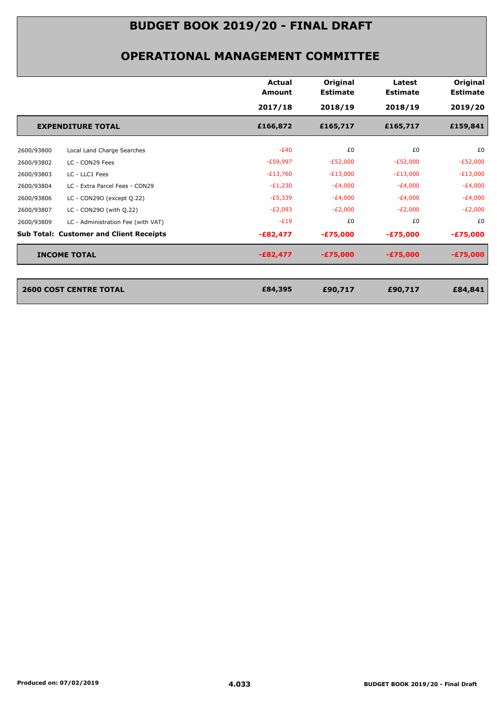| 2017/18    |                                                |            | <b>Estimate</b> |
|------------|------------------------------------------------|------------|-----------------|
|            | 2018/19                                        | 2018/19    | 2019/20         |
| £166,872   | £165,717                                       | £165,717   | £159,841        |
| $-E40$     | £0                                             | £0         | £0              |
| $-E59,997$ | $-E52,000$                                     | $-E52,000$ | $-E52,000$      |
| $-E13,760$ | $-E13,000$                                     | $-E13,000$ | $-E13,000$      |
| $-E1,230$  | $-E4,000$                                      | $-E4,000$  | $-E4,000$       |
| $-E5,339$  | $-E4,000$                                      | $-E4,000$  | $-E4,000$       |
| $-E2,093$  | $-E2,000$                                      | $-E2,000$  | $-E2,000$       |
| $-E19$     | £0                                             | £0         | £0              |
| $-E82,477$ | $-£75,000$                                     | $-£75,000$ | $-£75,000$      |
| $-E82,477$ | $-£75,000$                                     | $-£75,000$ | $-£75,000$      |
|            |                                                |            |                 |
| £84,395    | £90,717                                        | £90,717    | £84,841         |
|            | <b>Sub Total: Customer and Client Receipts</b> |            |                 |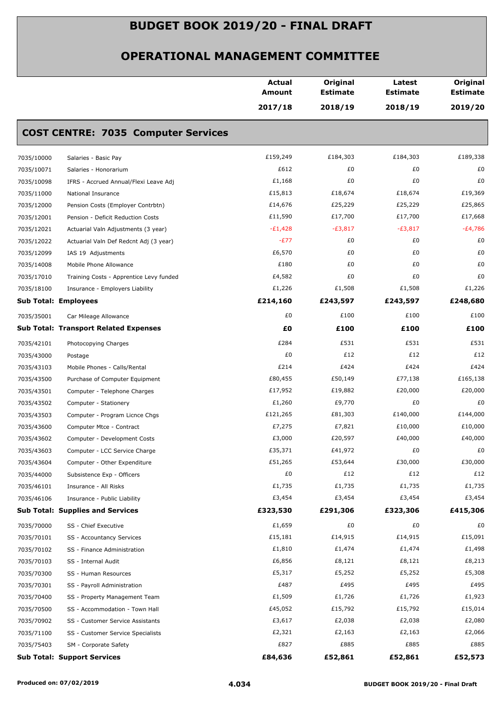|                             |                                              | <b>Actual</b><br><b>Amount</b> | Original<br><b>Estimate</b> | Latest<br><b>Estimate</b> | Original<br><b>Estimate</b> |
|-----------------------------|----------------------------------------------|--------------------------------|-----------------------------|---------------------------|-----------------------------|
|                             |                                              | 2017/18                        | 2018/19                     | 2018/19                   | 2019/20                     |
|                             | <b>COST CENTRE: 7035 Computer Services</b>   |                                |                             |                           |                             |
| 7035/10000                  | Salaries - Basic Pay                         | £159,249                       | £184,303                    | £184,303                  | £189,338                    |
| 7035/10071                  | Salaries - Honorarium                        | £612                           | £0                          | £0                        | £0                          |
| 7035/10098                  | IFRS - Accrued Annual/Flexi Leave Adj        | £1,168                         | £0                          | £0                        | £0                          |
| 7035/11000                  | National Insurance                           | £15,813                        | £18,674                     | £18,674                   | £19,369                     |
| 7035/12000                  | Pension Costs (Employer Contrbtn)            | £14,676                        | £25,229                     | £25,229                   | £25,865                     |
| 7035/12001                  | Pension - Deficit Reduction Costs            | £11,590                        | £17,700                     | £17,700                   | £17,668                     |
| 7035/12021                  | Actuarial Valn Adjustments (3 year)          | $-E1,428$                      | $-E3,817$                   | $-E3,817$                 | -£4,786                     |
| 7035/12022                  | Actuarial Valn Def Redcnt Adj (3 year)       | $-E77$                         | £0                          | £0                        | £0                          |
| 7035/12099                  | IAS 19 Adjustments                           | £6,570                         | £0                          | £0                        | £0                          |
| 7035/14008                  | Mobile Phone Allowance                       | £180                           | £0                          | £0                        | £0                          |
| 7035/17010                  | Training Costs - Apprentice Levy funded      | £4,582                         | £0                          | £0                        | £0                          |
| 7035/18100                  | Insurance - Employers Liability              | £1,226                         | £1,508                      | £1,508                    | £1,226                      |
| <b>Sub Total: Employees</b> |                                              | £214,160                       | £243,597                    | £243,597                  | £248,680                    |
| 7035/35001                  | Car Mileage Allowance                        | £0                             | £100                        | £100                      | £100                        |
|                             | <b>Sub Total: Transport Related Expenses</b> | £Ο                             | £100                        | £100                      | £100                        |
| 7035/42101                  | Photocopying Charges                         | £284                           | £531                        | £531                      | £531                        |
| 7035/43000                  | Postage                                      | £0                             | £12                         | £12                       | £12                         |
| 7035/43103                  | Mobile Phones - Calls/Rental                 | £214                           | £424                        | £424                      | £424                        |
| 7035/43500                  | Purchase of Computer Equipment               | £80,455                        | £50,149                     | £77,138                   | £165,138                    |
| 7035/43501                  | Computer - Telephone Charges                 | £17,952                        | £19,882                     | £20,000                   | £20,000                     |
| 7035/43502                  | Computer - Stationery                        | £1,260                         | £9,770                      | £0                        | £0                          |
| 7035/43503                  | Computer - Program Licnce Chgs               | £121,265                       | £81,303                     | £140,000                  | £144,000                    |
| 7035/43600                  | Computer Mtce - Contract                     | £7,275                         | £7,821                      | £10,000                   | £10,000                     |
| 7035/43602                  | Computer - Development Costs                 | £3,000                         | £20,597                     | £40,000                   | £40,000                     |
| 7035/43603                  | Computer - LCC Service Charge                | £35,371                        | £41,972                     | £0                        | £0                          |
| 7035/43604                  | Computer - Other Expenditure                 | £51,265                        | £53,644                     | £30,000                   | £30,000                     |
| 7035/44000                  | Subsistence Exp - Officers                   | £0                             | £12                         | £12                       | £12                         |
| 7035/46101                  | Insurance - All Risks                        | £1,735                         | £1,735                      | £1,735                    | £1,735                      |
| 7035/46106                  | Insurance - Public Liability                 | £3,454                         | £3,454                      | £3,454                    | £3,454                      |
|                             | <b>Sub Total: Supplies and Services</b>      | £323,530                       | £291,306                    | £323,306                  | £415,306                    |
| 7035/70000                  | SS - Chief Executive                         | £1,659                         | £0                          | £0                        | £0                          |
| 7035/70101                  | SS - Accountancy Services                    | £15,181                        | £14,915                     | £14,915                   | £15,091                     |
| 7035/70102                  | SS - Finance Administration                  | £1,810                         | £1,474                      | £1,474                    | £1,498                      |
| 7035/70103                  | SS - Internal Audit                          | £6,856                         | £8,121                      | £8,121                    | £8,213                      |
| 7035/70300                  | SS - Human Resources                         | £5,317                         | £5,252                      | £5,252                    | £5,308                      |
| 7035/70301                  | SS - Payroll Administration                  | £487                           | £495                        | £495                      | £495                        |
| 7035/70400                  | SS - Property Management Team                | £1,509                         | £1,726                      | £1,726                    | £1,923                      |
| 7035/70500                  | SS - Accommodation - Town Hall               | £45,052                        | £15,792                     | £15,792                   | £15,014                     |
| 7035/70902                  | SS - Customer Service Assistants             | £3,617                         | £2,038                      | £2,038                    | £2,080                      |
| 7035/71100                  | SS - Customer Service Specialists            | £2,321                         | £2,163                      | £2,163                    | £2,066                      |
| 7035/75403                  | SM - Corporate Safety                        | £827                           | £885                        | £885                      | £885                        |
|                             | <b>Sub Total: Support Services</b>           | £84,636                        | £52,861                     | £52,861                   | £52,573                     |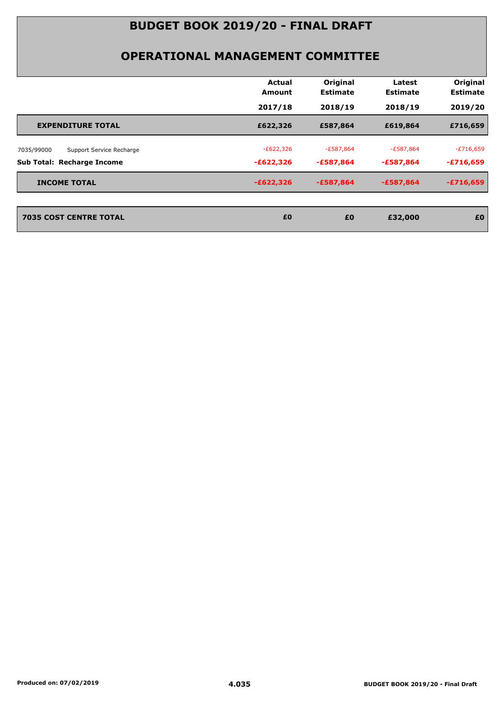| Original<br>Actual<br>Latest<br><b>Estimate</b><br><b>Estimate</b><br>Amount<br>2017/18<br>2018/19<br>2018/19<br>£622,326<br>£587,864<br>£619,864<br><b>EXPENDITURE TOTAL</b><br>$-E622,326$<br>$-£587,864$<br>-£587,864<br>Support Service Recharge<br>$-£622,326$<br>-£587,864<br>-£587,864<br>$-E622,326$<br>$-£587,864$<br>$-£587,864$<br><b>INCOME TOTAL</b><br><b>7035 COST CENTRE TOTAL</b><br>£0<br>£0<br>£32,000 |  |  |                             |
|---------------------------------------------------------------------------------------------------------------------------------------------------------------------------------------------------------------------------------------------------------------------------------------------------------------------------------------------------------------------------------------------------------------------------|--|--|-----------------------------|
|                                                                                                                                                                                                                                                                                                                                                                                                                           |  |  | Original<br><b>Estimate</b> |
| 7035/99000                                                                                                                                                                                                                                                                                                                                                                                                                |  |  | 2019/20                     |
|                                                                                                                                                                                                                                                                                                                                                                                                                           |  |  | £716,659                    |
| Sub Total: Recharge Income                                                                                                                                                                                                                                                                                                                                                                                                |  |  | $-E716,659$                 |
|                                                                                                                                                                                                                                                                                                                                                                                                                           |  |  | $-£716,659$                 |
|                                                                                                                                                                                                                                                                                                                                                                                                                           |  |  | $-£716,659$                 |
|                                                                                                                                                                                                                                                                                                                                                                                                                           |  |  | £0                          |
|                                                                                                                                                                                                                                                                                                                                                                                                                           |  |  |                             |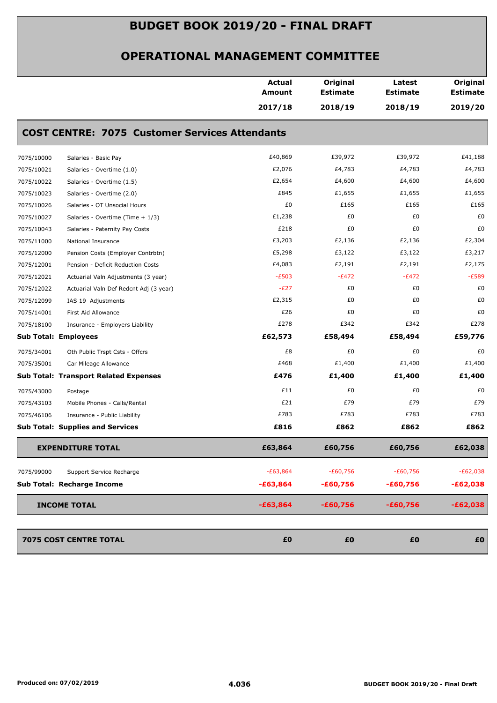|            |                                                       | <b>Actual</b><br>Amount | Original<br><b>Estimate</b> | Latest<br><b>Estimate</b> | Original<br><b>Estimate</b> |
|------------|-------------------------------------------------------|-------------------------|-----------------------------|---------------------------|-----------------------------|
|            |                                                       | 2017/18                 | 2018/19                     | 2018/19                   | 2019/20                     |
|            | <b>COST CENTRE: 7075 Customer Services Attendants</b> |                         |                             |                           |                             |
| 7075/10000 | Salaries - Basic Pay                                  | £40,869                 | £39,972                     | £39,972                   | £41,188                     |
| 7075/10021 | Salaries - Overtime (1.0)                             | £2,076                  | £4,783                      | £4,783                    | £4,783                      |
| 7075/10022 | Salaries - Overtime (1.5)                             | £2,654                  | £4,600                      | £4,600                    | £4,600                      |
| 7075/10023 | Salaries - Overtime (2.0)                             | £845                    | £1,655                      | £1,655                    | £1,655                      |
| 7075/10026 | Salaries - OT Unsocial Hours                          | £0                      | £165                        | £165                      | £165                        |
| 7075/10027 | Salaries - Overtime (Time + 1/3)                      | £1,238                  | £0                          | £0                        | £0                          |
| 7075/10043 | Salaries - Paternity Pay Costs                        | £218                    | £0                          | £0                        | £0                          |
| 7075/11000 | National Insurance                                    | £3,203                  | £2,136                      | £2,136                    | £2,304                      |
| 7075/12000 | Pension Costs (Employer Contrbtn)                     | £5,298                  | £3,122                      | £3,122                    | £3,217                      |
| 7075/12001 | Pension - Deficit Reduction Costs                     | £4,083                  | £2,191                      | £2,191                    | £2,175                      |
| 7075/12021 | Actuarial Valn Adjustments (3 year)                   | $-E503$                 | $-E472$                     | $-E472$                   | $-E589$                     |
| 7075/12022 | Actuarial Valn Def Redcnt Adj (3 year)                | $-E27$                  | £0                          | £0                        | £0                          |
| 7075/12099 | IAS 19 Adjustments                                    | £2,315                  | £0                          | £0                        | £0                          |
| 7075/14001 | First Aid Allowance                                   | £26                     | £0                          | £0                        | £0                          |
| 7075/18100 | Insurance - Employers Liability                       | £278                    | £342                        | £342                      | £278                        |
|            | <b>Sub Total: Employees</b>                           | £62,573                 | £58,494                     | £58,494                   | £59,776                     |
| 7075/34001 | Oth Public Trspt Csts - Offcrs                        | £8                      | £0                          | £0                        | £0                          |
| 7075/35001 | Car Mileage Allowance                                 | £468                    | £1,400                      | £1,400                    | £1,400                      |
|            | <b>Sub Total: Transport Related Expenses</b>          | £476                    | £1,400                      | £1,400                    | £1,400                      |
| 7075/43000 | Postage                                               | £11                     | £0                          | £0                        | £0                          |
| 7075/43103 | Mobile Phones - Calls/Rental                          | £21                     | £79                         | £79                       | £79                         |
| 7075/46106 | Insurance - Public Liability                          | £783                    | £783                        | £783                      | £783                        |
|            | <b>Sub Total: Supplies and Services</b>               | £816                    | £862                        | £862                      | £862                        |
|            | <b>EXPENDITURE TOTAL</b>                              | £63,864                 | £60,756                     | £60,756                   | £62,038                     |
| 7075/99000 | Support Service Recharge                              | $-E63,864$              | $-£60,756$                  | $-E60,756$                | $-E62,038$                  |
|            | Sub Total: Recharge Income                            | $-£63,864$              | $-£60,756$                  | $-£60,756$                | $-£62,038$                  |
|            |                                                       |                         |                             |                           |                             |
|            | <b>INCOME TOTAL</b>                                   | $-£63,864$              | $-£60,756$                  | $-£60,756$                | $-£62,038$                  |
|            | 7075 COST CENTRE TOTAL                                | £0                      | £0                          | £0                        | £0                          |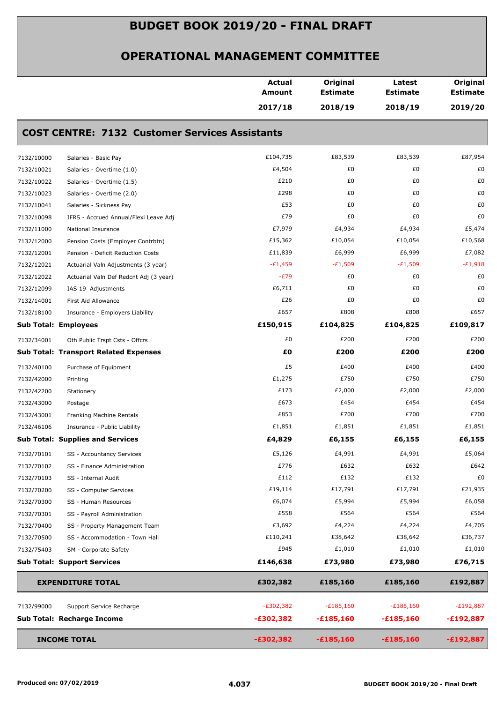|            |                                                       | <b>Actual</b><br><b>Amount</b> | Original<br><b>Estimate</b> | Latest<br><b>Estimate</b> | Original<br><b>Estimate</b> |
|------------|-------------------------------------------------------|--------------------------------|-----------------------------|---------------------------|-----------------------------|
|            |                                                       | 2017/18                        | 2018/19                     | 2018/19                   | 2019/20                     |
|            | <b>COST CENTRE: 7132 Customer Services Assistants</b> |                                |                             |                           |                             |
| 7132/10000 | Salaries - Basic Pay                                  | £104,735                       | £83,539                     | £83,539                   | £87,954                     |
| 7132/10021 | Salaries - Overtime (1.0)                             | £4,504                         | £0                          | £0                        | £0                          |
| 7132/10022 | Salaries - Overtime (1.5)                             | £210                           | £0                          | £0                        | £0                          |
| 7132/10023 | Salaries - Overtime (2.0)                             | £298                           | £0                          | £0                        | £0                          |
| 7132/10041 | Salaries - Sickness Pay                               | £53                            | £0                          | £0                        | £0                          |
| 7132/10098 | IFRS - Accrued Annual/Flexi Leave Adj                 | £79                            | £0                          | £0                        | £0                          |
| 7132/11000 | National Insurance                                    | £7,979                         | £4,934                      | £4,934                    | £5,474                      |
| 7132/12000 | Pension Costs (Employer Contrbtn)                     | £15,362                        | £10,054                     | £10,054                   | £10,568                     |
| 7132/12001 | Pension - Deficit Reduction Costs                     | £11,839                        | £6,999                      | £6,999                    | £7,082                      |
| 7132/12021 | Actuarial Valn Adjustments (3 year)                   | $-E1,459$                      | $-E1,509$                   | $-E1,509$                 | $-E1,918$                   |
| 7132/12022 | Actuarial Valn Def Redcnt Adj (3 year)                | $-E79$                         | £0                          | £0                        | £0                          |
| 7132/12099 | IAS 19 Adjustments                                    | £6,711                         | £0                          | £0                        | £0                          |
| 7132/14001 | First Aid Allowance                                   | £26                            | £0                          | £0                        | £0                          |
| 7132/18100 | Insurance - Employers Liability                       | £657                           | £808                        | £808                      | £657                        |
|            | <b>Sub Total: Employees</b>                           | £150,915                       | £104,825                    | £104,825                  | £109,817                    |
| 7132/34001 | Oth Public Trspt Csts - Offcrs                        | £0                             | £200                        | £200                      | £200                        |
|            | <b>Sub Total: Transport Related Expenses</b>          | £0                             | £200                        | £200                      | £200                        |
| 7132/40100 | Purchase of Equipment                                 | £5                             | £400                        | £400                      | £400                        |
| 7132/42000 | Printing                                              | £1,275                         | £750                        | £750                      | £750                        |
| 7132/42200 | Stationery                                            | £173                           | £2,000                      | £2,000                    | £2,000                      |
| 7132/43000 | Postage                                               | £673                           | £454                        | £454                      | £454                        |
| 7132/43001 | Franking Machine Rentals                              | £853                           | £700                        | £700                      | £700                        |
| 7132/46106 | Insurance - Public Liability                          | £1,851                         | £1,851                      | £1,851                    | £1,851                      |
|            | <b>Sub Total: Supplies and Services</b>               | £4,829                         | £6,155                      | £6,155                    | £6,155                      |
| 7132/70101 | SS - Accountancy Services                             | £5,126                         | £4,991                      | £4,991                    | £5,064                      |
| 7132/70102 | SS - Finance Administration                           | £776                           | £632                        | £632                      | £642                        |
| 7132/70103 | SS - Internal Audit                                   | £112                           | £132                        | £132                      | £0                          |
| 7132/70200 | SS - Computer Services                                | £19,114                        | £17,791                     | £17,791                   | £21,935                     |
| 7132/70300 | SS - Human Resources                                  | £6,074                         | £5,994                      | £5,994                    | £6,058                      |
| 7132/70301 | SS - Payroll Administration                           | £558                           | £564                        | £564                      | £564                        |
| 7132/70400 | SS - Property Management Team                         | £3,692                         | £4,224                      | £4,224                    | £4,705                      |
| 7132/70500 | SS - Accommodation - Town Hall                        | £110,241                       | £38,642                     | £38,642                   | £36,737                     |
| 7132/75403 | SM - Corporate Safety                                 | £945                           | £1,010                      | £1,010                    | £1,010                      |
|            | <b>Sub Total: Support Services</b>                    | £146,638                       | £73,980                     | £73,980                   | £76,715                     |
|            | <b>EXPENDITURE TOTAL</b>                              | £302,382                       | £185,160                    | £185,160                  | £192,887                    |
| 7132/99000 | Support Service Recharge                              | $-E302,382$                    | $-£185,160$                 | $-£185,160$               | $-E192,887$                 |
|            | Sub Total: Recharge Income                            | $-£302,382$                    | $-£185,160$                 | $-£185,160$               | $-£192,887$                 |
|            | <b>INCOME TOTAL</b>                                   | $-£302,382$                    | $-£185,160$                 | $-£185,160$               | $-£192,887$                 |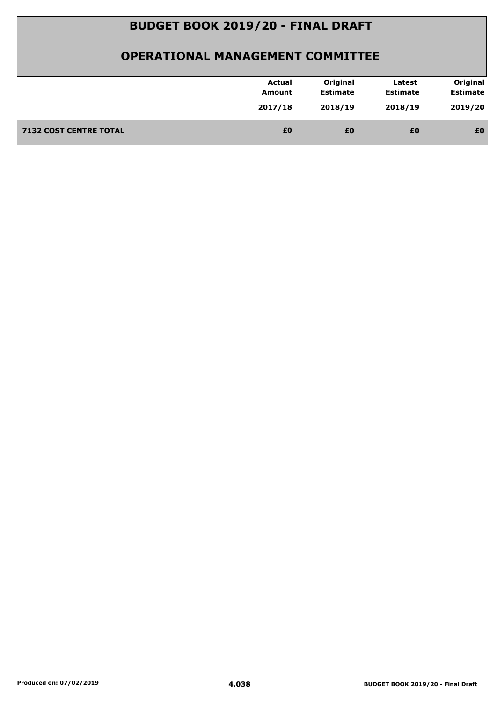|                               | <b>Actual</b><br>Amount | Original<br><b>Estimate</b> | Latest<br><b>Estimate</b> | Original<br><b>Estimate</b> |
|-------------------------------|-------------------------|-----------------------------|---------------------------|-----------------------------|
|                               | 2017/18                 | 2018/19                     | 2018/19                   | 2019/20                     |
| <b>7132 COST CENTRE TOTAL</b> | £0                      | £0                          | £0                        | £0                          |
|                               |                         |                             |                           |                             |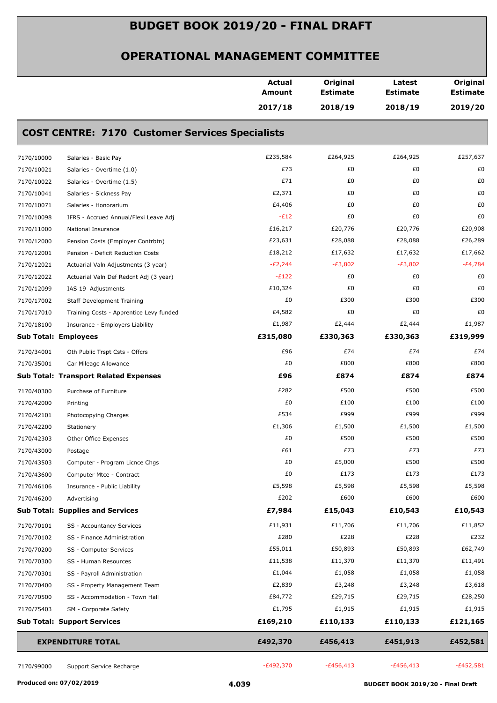|            |                                                        | <b>Actual</b><br><b>Amount</b> | Original<br><b>Estimate</b> | Latest<br><b>Estimate</b> | Original<br><b>Estimate</b> |
|------------|--------------------------------------------------------|--------------------------------|-----------------------------|---------------------------|-----------------------------|
|            |                                                        | 2017/18                        | 2018/19                     | 2018/19                   | 2019/20                     |
|            | <b>COST CENTRE: 7170 Customer Services Specialists</b> |                                |                             |                           |                             |
| 7170/10000 | Salaries - Basic Pay                                   | £235,584                       | £264,925                    | £264,925                  | £257,637                    |
| 7170/10021 | Salaries - Overtime (1.0)                              | £73                            | £0                          | £0                        | £0                          |
| 7170/10022 | Salaries - Overtime (1.5)                              | £71                            | £0                          | £0                        | £0                          |
| 7170/10041 | Salaries - Sickness Pay                                | £2,371                         | £0                          | £0                        | £0                          |
| 7170/10071 | Salaries - Honorarium                                  | £4,406                         | £0                          | £0                        | £0                          |
| 7170/10098 | IFRS - Accrued Annual/Flexi Leave Adj                  | $-E12$                         | £0                          | £0                        | £0                          |
| 7170/11000 | National Insurance                                     | £16,217                        | £20,776                     | £20,776                   | £20,908                     |
| 7170/12000 | Pension Costs (Employer Contrbtn)                      | £23,631                        | £28,088                     | £28,088                   | £26,289                     |
| 7170/12001 | Pension - Deficit Reduction Costs                      | £18,212                        | £17,632                     | £17,632                   | £17,662                     |
| 7170/12021 | Actuarial Valn Adjustments (3 year)                    | $-E2,244$                      | $-E3,802$                   | $-E3,802$                 | $-E4,784$                   |
| 7170/12022 | Actuarial Valn Def Redcnt Adj (3 year)                 | $-E122$                        | £0                          | £0                        | £0                          |
| 7170/12099 | IAS 19 Adjustments                                     | £10,324                        | £0                          | £0                        | £0                          |
| 7170/17002 | <b>Staff Development Training</b>                      | £0                             | £300                        | £300                      | £300                        |
| 7170/17010 | Training Costs - Apprentice Levy funded                | £4,582                         | £0                          | £0                        | £0                          |
| 7170/18100 | Insurance - Employers Liability                        | £1,987                         | £2,444                      | £2,444                    | £1,987                      |
|            | <b>Sub Total: Employees</b>                            | £315,080                       | £330,363                    | £330,363                  | £319,999                    |
| 7170/34001 | Oth Public Trspt Csts - Offcrs                         | £96                            | £74                         | £74                       | £74                         |
| 7170/35001 | Car Mileage Allowance                                  | £0                             | £800                        | £800                      | £800                        |
|            | <b>Sub Total: Transport Related Expenses</b>           | £96                            | £874                        | £874                      | £874                        |
| 7170/40300 | Purchase of Furniture                                  | £282                           | £500                        | £500                      | £500                        |
| 7170/42000 | Printing                                               | £0                             | £100                        | £100                      | £100                        |
| 7170/42101 | Photocopying Charges                                   | £534                           | £999                        | £999                      | £999                        |
| 7170/42200 | Stationery                                             | £1,306                         | £1,500                      | £1,500                    | £1,500                      |
| 7170/42303 | Other Office Expenses                                  | £0                             | £500                        | £500                      | £500                        |
| 7170/43000 | Postage                                                | £61                            | £73                         | £73                       | £73                         |
| 7170/43503 | Computer - Program Licnce Chgs                         | £0                             | £5,000                      | £500                      | £500                        |
| 7170/43600 | Computer Mtce - Contract                               | £0                             | £173                        | £173                      | £173                        |
| 7170/46106 | Insurance - Public Liability                           | £5,598                         | £5,598                      | £5,598                    | £5,598                      |
| 7170/46200 | Advertising                                            | £202                           | £600                        | £600                      | £600                        |
|            | <b>Sub Total: Supplies and Services</b>                | £7,984                         | £15,043                     | £10,543                   | £10,543                     |
| 7170/70101 | SS - Accountancy Services                              | £11,931                        | £11,706                     | £11,706                   | £11,852                     |
| 7170/70102 | SS - Finance Administration                            | £280                           | £228                        | £228                      | £232                        |
| 7170/70200 | SS - Computer Services                                 | £55,011                        | £50,893                     | £50,893                   | £62,749                     |
| 7170/70300 | SS - Human Resources                                   | £11,538                        | £11,370                     | £11,370                   | £11,491                     |
| 7170/70301 | SS - Payroll Administration                            | £1,044                         | £1,058                      | £1,058                    | £1,058                      |
| 7170/70400 | SS - Property Management Team                          | £2,839                         | £3,248                      | £3,248                    | £3,618                      |
| 7170/70500 | SS - Accommodation - Town Hall                         | £84,772                        | £29,715                     | £29,715                   | £28,250                     |
| 7170/75403 | SM - Corporate Safety                                  | £1,795                         | £1,915                      | £1,915                    | £1,915                      |
|            | <b>Sub Total: Support Services</b>                     | £169,210                       | £110,133                    | £110,133                  | £121,165                    |
|            | <b>EXPENDITURE TOTAL</b>                               | £492,370                       | £456,413                    | £451,913                  | £452,581                    |
| 7170/99000 | Support Service Recharge                               | $-E492,370$                    | $-£456,413$                 | $-£456,413$               | $-E452,581$                 |
|            |                                                        |                                |                             |                           |                             |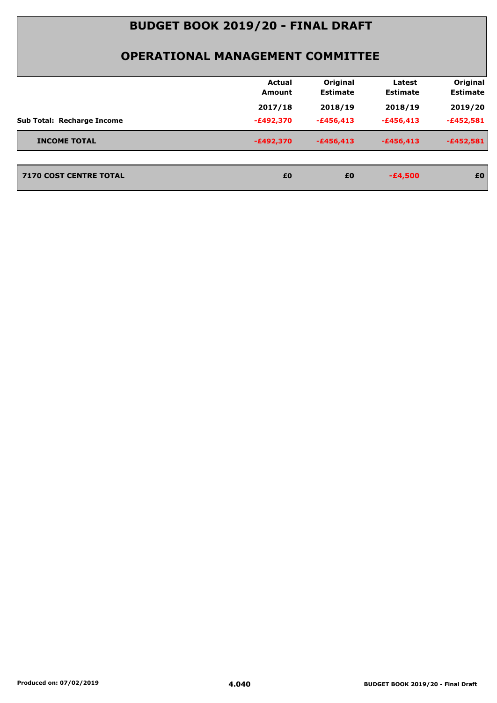|                                   | <b>Actual</b><br>Amount | Original<br><b>Estimate</b> | Latest<br><b>Estimate</b> | Original<br><b>Estimate</b> |
|-----------------------------------|-------------------------|-----------------------------|---------------------------|-----------------------------|
|                                   | 2017/18                 | 2018/19                     | 2018/19                   | 2019/20                     |
| <b>Sub Total: Recharge Income</b> | $-E492,370$             | $-£456,413$                 | $-£456,413$               | $-£452,581$                 |
| <b>INCOME TOTAL</b>               | $-E492,370$             | $-£456,413$                 | $-£456,413$               | $-£452,581$                 |
| <b>7170 COST CENTRE TOTAL</b>     | £0                      | £0                          | $-£4,500$                 | £0                          |
|                                   |                         |                             |                           |                             |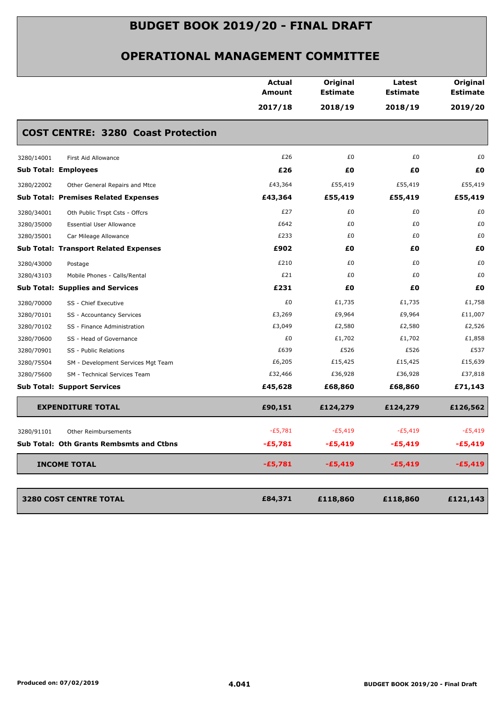|            |                                              | <b>Actual</b><br>Amount<br>2017/18 | Original<br><b>Estimate</b><br>2018/19 | Latest<br><b>Estimate</b><br>2018/19 | Original<br><b>Estimate</b><br>2019/20 |
|------------|----------------------------------------------|------------------------------------|----------------------------------------|--------------------------------------|----------------------------------------|
|            | <b>COST CENTRE: 3280 Coast Protection</b>    |                                    |                                        |                                      |                                        |
| 3280/14001 | First Aid Allowance                          | £26                                | £0                                     | £0                                   | £0                                     |
|            | <b>Sub Total: Employees</b>                  | £26                                | £0                                     | £0                                   | £0                                     |
| 3280/22002 | Other General Repairs and Mtce               | £43,364                            | £55,419                                | £55,419                              | £55,419                                |
|            | <b>Sub Total: Premises Related Expenses</b>  | £43,364                            | £55,419                                | £55,419                              | £55,419                                |
| 3280/34001 | Oth Public Trspt Csts - Offcrs               | £27                                | £0                                     | £0                                   | £0                                     |
| 3280/35000 | <b>Essential User Allowance</b>              | £642                               | £0                                     | £0                                   | £0                                     |
| 3280/35001 | Car Mileage Allowance                        | £233                               | £0                                     | £0                                   | £0                                     |
|            | <b>Sub Total: Transport Related Expenses</b> | £902                               | £0                                     | £Ο                                   | £Ο                                     |
| 3280/43000 | Postage                                      | £210                               | £0                                     | £0                                   | £0                                     |
| 3280/43103 | Mobile Phones - Calls/Rental                 | £21                                | £0                                     | £0                                   | £0                                     |
|            | <b>Sub Total: Supplies and Services</b>      | £231                               | £0                                     | £0                                   | £O                                     |
| 3280/70000 | SS - Chief Executive                         | £0                                 | £1,735                                 | £1,735                               | £1,758                                 |
| 3280/70101 | SS - Accountancy Services                    | £3,269                             | £9,964                                 | £9,964                               | £11,007                                |
| 3280/70102 | SS - Finance Administration                  | £3,049                             | £2,580                                 | £2,580                               | £2,526                                 |
| 3280/70600 | SS - Head of Governance                      | £0                                 | £1,702                                 | £1,702                               | £1,858                                 |
| 3280/70901 | SS - Public Relations                        | £639                               | £526                                   | £526                                 | £537                                   |
| 3280/75504 | SM - Development Services Mgt Team           | £6,205                             | £15,425                                | £15,425                              | £15,639                                |
| 3280/75600 | SM - Technical Services Team                 | £32,466                            | £36,928                                | £36,928                              | £37,818                                |
|            | <b>Sub Total: Support Services</b>           | £45,628                            | £68,860                                | £68,860                              | £71,143                                |
|            | <b>EXPENDITURE TOTAL</b>                     | £90,151                            | £124,279                               | £124,279                             | £126,562                               |
| 3280/91101 | <b>Other Reimbursements</b>                  | $-E5,781$                          | $-E5,419$                              | $-E5,419$                            | $-E5,419$                              |
|            | Sub Total: Oth Grants Rembsmts and Ctbns     | $-£5,781$                          | -£5,419                                | $-£5,419$                            | $-£5,419$                              |
|            | <b>INCOME TOTAL</b>                          | $-£5,781$                          | $-£5,419$                              | $-£5,419$                            | $-£5,419$                              |
|            | 3280 COST CENTRE TOTAL                       | £84,371                            | £118,860                               | £118,860                             | £121,143                               |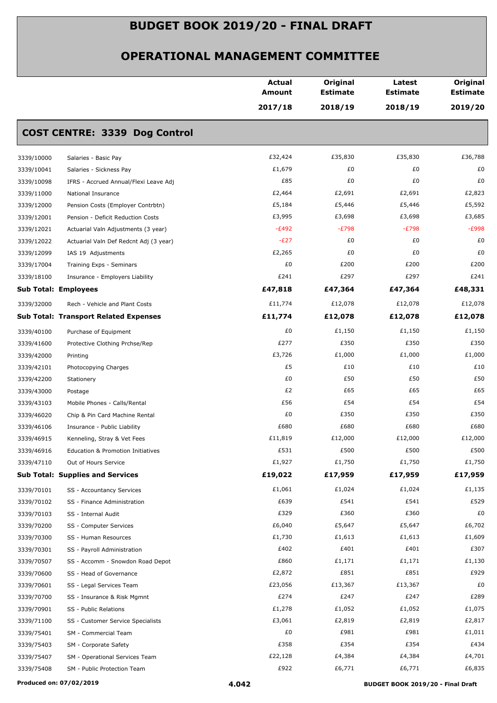|                             |                                              | <b>Actual</b><br><b>Amount</b> | Original<br><b>Estimate</b> | Latest<br><b>Estimate</b> | Original<br><b>Estimate</b> |
|-----------------------------|----------------------------------------------|--------------------------------|-----------------------------|---------------------------|-----------------------------|
|                             |                                              | 2017/18                        | 2018/19                     | 2018/19                   | 2019/20                     |
|                             | <b>COST CENTRE: 3339 Dog Control</b>         |                                |                             |                           |                             |
| 3339/10000                  | Salaries - Basic Pay                         | £32,424                        | £35,830                     | £35,830                   | £36,788                     |
| 3339/10041                  | Salaries - Sickness Pay                      | £1,679                         | £0                          | £0                        | £0                          |
| 3339/10098                  | IFRS - Accrued Annual/Flexi Leave Adj        | £85                            | £0                          | £0                        | £0                          |
| 3339/11000                  | National Insurance                           | £2,464                         | £2,691                      | £2,691                    | £2,823                      |
| 3339/12000                  | Pension Costs (Employer Contrbtn)            | £5,184                         | £5,446                      | £5,446                    | £5,592                      |
| 3339/12001                  | Pension - Deficit Reduction Costs            | £3,995                         | £3,698                      | £3,698                    | £3,685                      |
| 3339/12021                  | Actuarial Valn Adjustments (3 year)          | $-E492$                        | $-E798$                     | $-E798$                   | $-E998$                     |
| 3339/12022                  | Actuarial Valn Def Redcnt Adj (3 year)       | $-E27$                         | £0                          | £0                        | £0                          |
| 3339/12099                  | IAS 19 Adjustments                           | £2,265                         | £0                          | £0                        | £0                          |
| 3339/17004                  | Training Exps - Seminars                     | £0                             | £200                        | £200                      | £200                        |
| 3339/18100                  | Insurance - Employers Liability              | £241                           | £297                        | £297                      | £241                        |
| <b>Sub Total: Employees</b> |                                              | £47,818                        | £47,364                     | £47,364                   | £48,331                     |
| 3339/32000                  | Rech - Vehicle and Plant Costs               | £11,774                        | £12,078                     | £12,078                   | £12,078                     |
|                             | <b>Sub Total: Transport Related Expenses</b> | £11,774                        | £12,078                     | £12,078                   | £12,078                     |
| 3339/40100                  | Purchase of Equipment                        | £0                             | £1,150                      | £1,150                    | £1,150                      |
| 3339/41600                  | Protective Clothing Prchse/Rep               | £277                           | £350                        | £350                      | £350                        |
| 3339/42000                  | Printing                                     | £3,726                         | £1,000                      | £1,000                    | £1,000                      |
| 3339/42101                  | Photocopying Charges                         | £5                             | £10                         | £10                       | £10                         |
| 3339/42200                  | Stationery                                   | £0                             | £50                         | £50                       | £50                         |
| 3339/43000                  | Postage                                      | £2                             | £65                         | £65                       | £65                         |
| 3339/43103                  | Mobile Phones - Calls/Rental                 | £56                            | £54                         | £54                       | £54                         |
| 3339/46020                  | Chip & Pin Card Machine Rental               | £0                             | £350                        | £350                      | £350                        |
| 3339/46106                  | Insurance - Public Liability                 | £680                           | £680                        | £680                      | £680                        |
| 3339/46915                  | Kenneling, Stray & Vet Fees                  | £11,819                        | £12,000                     | £12,000                   | £12,000                     |
| 3339/46916                  | Education & Promotion Initiatives            | £531                           | £500                        | £500                      | £500                        |
| 3339/47110                  | Out of Hours Service                         | £1,927                         | £1,750                      | £1,750                    | £1,750                      |
|                             | <b>Sub Total: Supplies and Services</b>      | £19,022                        | £17,959                     | £17,959                   | £17,959                     |
| 3339/70101                  | SS - Accountancy Services                    | £1,061                         | £1,024                      | £1,024                    | £1,135                      |
| 3339/70102                  | SS - Finance Administration                  | £639                           | £541                        | £541                      | £529                        |
| 3339/70103                  | SS - Internal Audit                          | £329                           | £360                        | £360                      | £0                          |
| 3339/70200                  | SS - Computer Services                       | £6,040                         | £5,647                      | £5,647                    | £6,702                      |
| 3339/70300                  | SS - Human Resources                         | £1,730                         | £1,613                      | £1,613                    | £1,609                      |
| 3339/70301                  | SS - Payroll Administration                  | £402                           | £401                        | £401                      | £307                        |
| 3339/70507                  | SS - Accomm - Snowdon Road Depot             | £860                           | £1,171                      | £1,171                    | £1,130                      |
| 3339/70600                  | SS - Head of Governance                      | £2,872                         | £851                        | £851                      | £929                        |
| 3339/70601                  | SS - Legal Services Team                     | £23,056                        | £13,367                     | £13,367                   | £0                          |
| 3339/70700                  | SS - Insurance & Risk Mgmnt                  | £274                           | £247                        | £247                      | £289                        |
| 3339/70901                  | SS - Public Relations                        | £1,278                         | £1,052                      | £1,052                    | £1,075                      |
| 3339/71100                  | SS - Customer Service Specialists            | £3,061                         | £2,819                      | £2,819                    | £2,817                      |
| 3339/75401                  | SM - Commercial Team                         | £0                             | £981                        | £981                      | £1,011                      |
| 3339/75403                  | SM - Corporate Safety                        | £358                           | £354                        | £354                      | £434                        |
| 3339/75407                  | SM - Operational Services Team               | £22,128                        | £4,384                      | £4,384                    | £4,701                      |
| 3339/75408                  | SM - Public Protection Team                  | £922                           | £6,771                      | £6,771                    | £6,835                      |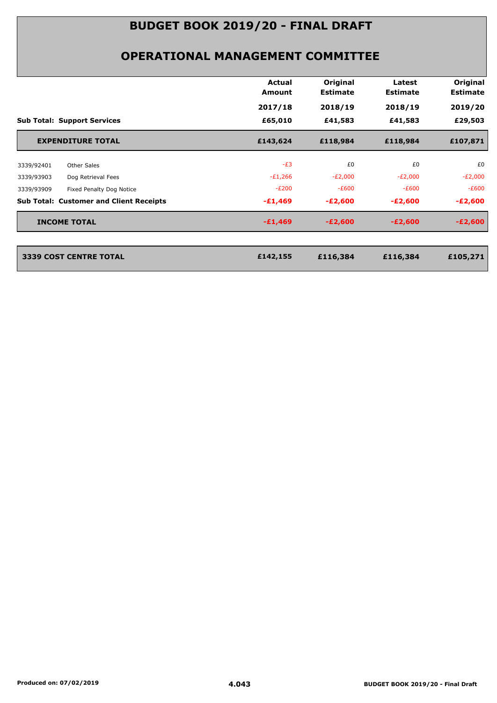|                                                | Actual<br>Amount | Original<br><b>Estimate</b> | Latest<br><b>Estimate</b> | Original<br><b>Estimate</b> |
|------------------------------------------------|------------------|-----------------------------|---------------------------|-----------------------------|
|                                                | 2017/18          | 2018/19                     | 2018/19                   | 2019/20                     |
| <b>Sub Total: Support Services</b>             | £65,010          | £41,583                     | £41,583                   | £29,503                     |
| <b>EXPENDITURE TOTAL</b>                       | £143,624         | £118,984                    | £118,984                  | £107,871                    |
| 3339/92401<br>Other Sales                      | $-E3$            | £0                          | £0                        | £0                          |
| Dog Retrieval Fees<br>3339/93903               | $-E1,266$        | $-E2,000$                   | $-E2,000$                 | $-E2,000$                   |
| Fixed Penalty Dog Notice<br>3339/93909         | $-E200$          | $-E600$                     | $-E600$                   | $-E600$                     |
| <b>Sub Total: Customer and Client Receipts</b> | $-£1,469$        | $-E2,600$                   | $-E2,600$                 | $-E2,600$                   |
| <b>INCOME TOTAL</b>                            | $-£1,469$        | $-E2,600$                   | $-E2,600$                 | $-E2,600$                   |
| 3339 COST CENTRE TOTAL                         | £142,155         | £116,384                    | £116,384                  | £105,271                    |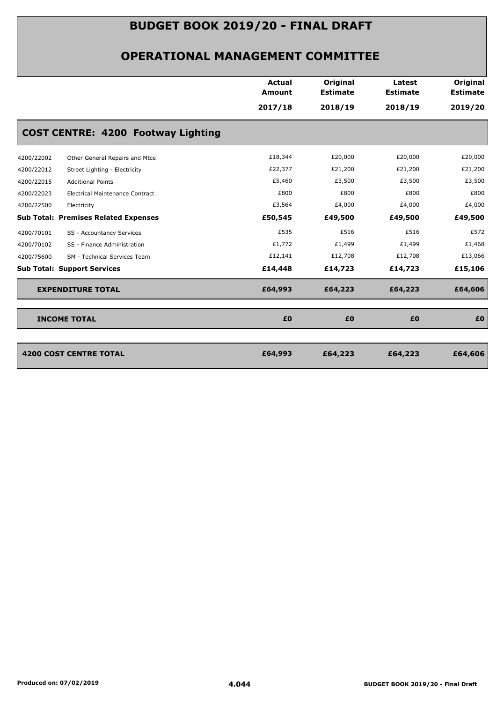|                                                      | <b>Actual</b><br><b>Amount</b> | Original<br><b>Estimate</b> | Latest<br><b>Estimate</b> | Original<br><b>Estimate</b> |
|------------------------------------------------------|--------------------------------|-----------------------------|---------------------------|-----------------------------|
|                                                      | 2017/18                        | 2018/19                     | 2018/19                   | 2019/20                     |
| <b>COST CENTRE: 4200 Footway Lighting</b>            |                                |                             |                           |                             |
| 4200/22002<br>Other General Repairs and Mtce         | £18,344                        | £20,000                     | £20,000                   | £20,000                     |
| 4200/22012<br>Street Lighting - Electricity          | £22,377                        | £21,200                     | £21,200                   | £21,200                     |
| 4200/22015<br><b>Additional Points</b>               | £5,460                         | £3,500                      | £3,500                    | £3,500                      |
| 4200/22023<br><b>Electrical Maintenance Contract</b> | £800                           | £800                        | £800                      | £800                        |
| 4200/22500<br>Electricity                            | £3,564                         | £4,000                      | £4,000                    | £4,000                      |
| <b>Sub Total: Premises Related Expenses</b>          | £50,545                        | £49,500                     | £49,500                   | £49,500                     |
| SS - Accountancy Services<br>4200/70101              | £535                           | £516                        | £516                      | £572                        |
| 4200/70102<br>SS - Finance Administration            | £1,772                         | £1,499                      | £1,499                    | £1,468                      |
| 4200/75600<br>SM - Technical Services Team           | £12,141                        | £12,708                     | £12,708                   | £13,066                     |
| <b>Sub Total: Support Services</b>                   | £14,448                        | £14,723                     | £14,723                   | £15,106                     |
| <b>EXPENDITURE TOTAL</b>                             | £64,993                        | £64,223                     | £64,223                   | £64,606                     |
| <b>INCOME TOTAL</b>                                  | £0                             | £0                          | £0                        | £0                          |
|                                                      |                                |                             |                           |                             |
| <b>4200 COST CENTRE TOTAL</b>                        | £64,993                        | £64,223                     | £64,223                   | £64,606                     |
|                                                      |                                |                             |                           |                             |
|                                                      |                                |                             |                           |                             |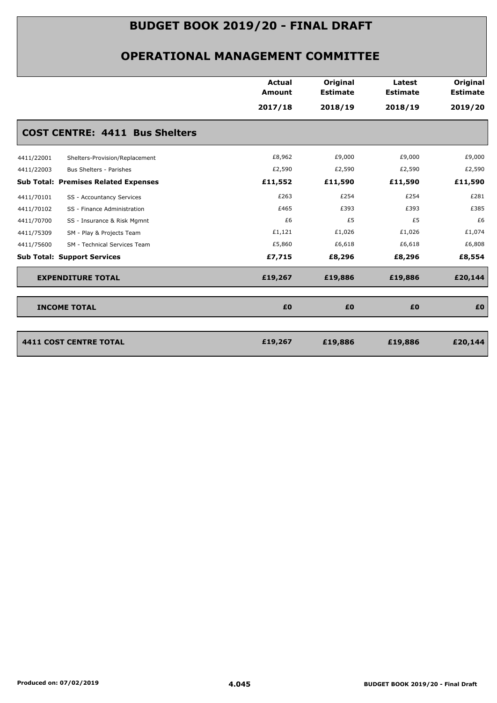|                                              | <b>Actual</b><br><b>Amount</b> | Original<br><b>Estimate</b> | Latest<br><b>Estimate</b> | Original<br><b>Estimate</b> |
|----------------------------------------------|--------------------------------|-----------------------------|---------------------------|-----------------------------|
|                                              | 2017/18                        | 2018/19                     | 2018/19                   | 2019/20                     |
| <b>COST CENTRE: 4411 Bus Shelters</b>        |                                |                             |                           |                             |
| 4411/22001<br>Shelters-Provision/Replacement | £8,962                         | £9,000                      | £9,000                    | £9,000                      |
| 4411/22003<br>Bus Shelters - Parishes        | £2,590                         | £2,590                      | £2,590                    | £2,590                      |
| <b>Sub Total: Premises Related Expenses</b>  | £11,552                        | £11,590                     | £11,590                   | £11,590                     |
| 4411/70101<br>SS - Accountancy Services      | £263                           | £254                        | £254                      | £281                        |
| 4411/70102<br>SS - Finance Administration    | £465                           | £393                        | £393                      | £385                        |
| 4411/70700<br>SS - Insurance & Risk Mgmnt    | £6                             | £5                          | £5                        | £6                          |
| 4411/75309<br>SM - Play & Projects Team      | £1,121                         | £1,026                      | £1,026                    | £1,074                      |
| 4411/75600<br>SM - Technical Services Team   | £5,860                         | £6,618                      | £6,618                    | £6,808                      |
| <b>Sub Total: Support Services</b>           | £7,715                         | £8,296                      | £8,296                    | £8,554                      |
| <b>EXPENDITURE TOTAL</b>                     | £19,267                        | £19,886                     | £19,886                   | £20,144                     |
| <b>INCOME TOTAL</b>                          | £0                             | £0                          | £0                        | £0                          |
| <b>4411 COST CENTRE TOTAL</b>                |                                |                             |                           |                             |
|                                              | £19,267                        | £19,886                     | £19,886                   | £20,144                     |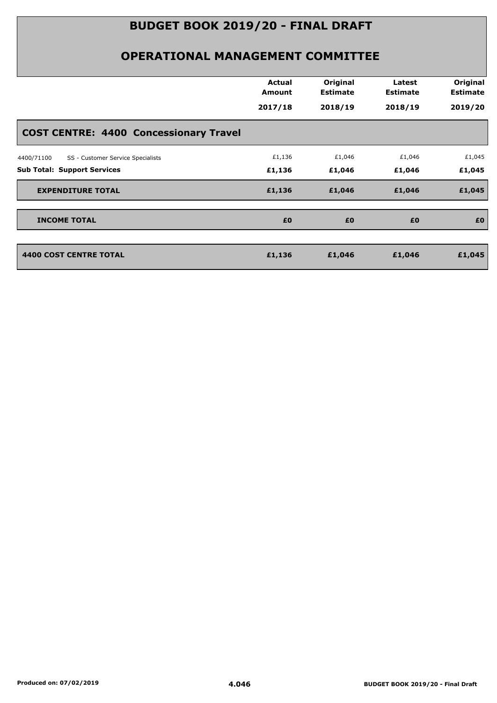|                                                 | <b>Actual</b><br>Amount | Original<br><b>Estimate</b> | Latest<br><b>Estimate</b> | Original<br><b>Estimate</b> |
|-------------------------------------------------|-------------------------|-----------------------------|---------------------------|-----------------------------|
|                                                 | 2017/18                 | 2018/19                     | 2018/19                   | 2019/20                     |
| <b>COST CENTRE: 4400 Concessionary Travel</b>   |                         |                             |                           |                             |
| 4400/71100<br>SS - Customer Service Specialists | £1,136                  | £1,046                      | £1,046                    | £1,045                      |
| <b>Sub Total: Support Services</b>              | £1,136                  | £1,046                      | £1,046                    | £1,045                      |
| <b>EXPENDITURE TOTAL</b>                        | £1,136                  | £1,046                      | £1,046                    | £1,045                      |
| <b>INCOME TOTAL</b>                             | £0                      | £0                          | £0                        | £0                          |
| <b>4400 COST CENTRE TOTAL</b>                   | £1,136                  | £1,046                      | £1,046                    | £1,045                      |
|                                                 |                         |                             |                           |                             |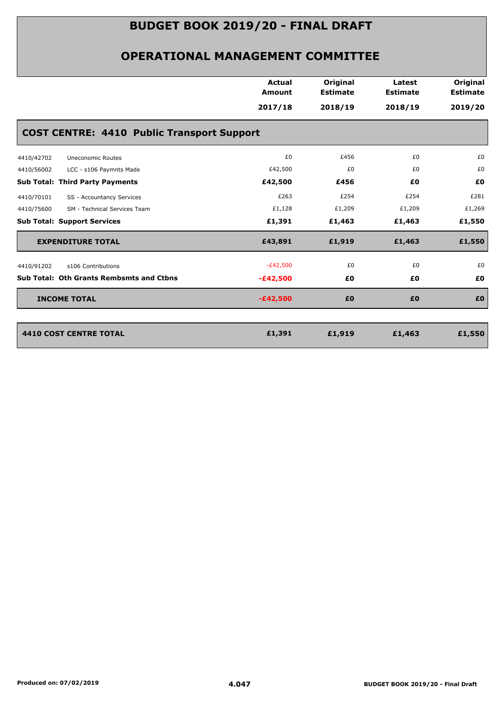| <b>Actual</b>                                     |                             |                           |                             |
|---------------------------------------------------|-----------------------------|---------------------------|-----------------------------|
| <b>Amount</b>                                     | Original<br><b>Estimate</b> | Latest<br><b>Estimate</b> | Original<br><b>Estimate</b> |
| 2017/18                                           | 2018/19                     | 2018/19                   | 2019/20                     |
| <b>COST CENTRE: 4410 Public Transport Support</b> |                             |                           |                             |
| £0                                                | £456                        | £0                        | £0                          |
| £42,500                                           | £0                          | £0                        | £0                          |
| £42,500                                           | £456                        | £0                        | £0                          |
| £263                                              | £254                        | £254                      | £281                        |
| £1,128                                            | £1,209                      | £1,209                    | £1,269                      |
| £1,391                                            | £1,463                      | £1,463                    | £1,550                      |
| £43,891                                           | £1,919                      | £1,463                    | £1,550                      |
| $-E42,500$                                        | £0                          | £0                        | £0                          |
| $-£42,500$                                        | £0                          | £0                        | £0                          |
| $-£42,500$                                        | £0                          | £0                        | £0                          |
| £1,391                                            | £1,919                      | £1,463                    | £1,550                      |
|                                                   |                             |                           |                             |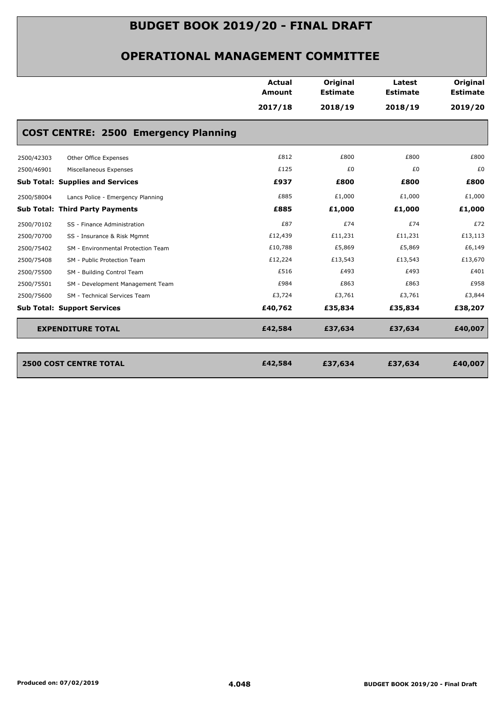|            |                                             | Actual<br>Amount | Original<br><b>Estimate</b> | Latest<br><b>Estimate</b> | Original<br><b>Estimate</b> |
|------------|---------------------------------------------|------------------|-----------------------------|---------------------------|-----------------------------|
|            |                                             | 2017/18          | 2018/19                     | 2018/19                   | 2019/20                     |
|            | <b>COST CENTRE: 2500 Emergency Planning</b> |                  |                             |                           |                             |
| 2500/42303 | Other Office Expenses                       | £812             | £800                        | £800                      | £800                        |
| 2500/46901 | Miscellaneous Expenses                      | £125             | £0                          | £0                        | £0                          |
|            | <b>Sub Total: Supplies and Services</b>     | £937             | £800                        | £800                      | £800                        |
| 2500/58004 | Lancs Police - Emergency Planning           | £885             | £1,000                      | £1,000                    | £1,000                      |
|            | <b>Sub Total: Third Party Payments</b>      | £885             | £1,000                      | £1,000                    | £1,000                      |
| 2500/70102 | SS - Finance Administration                 | £87              | £74                         | £74                       | £72                         |
| 2500/70700 | SS - Insurance & Risk Mgmnt                 | £12,439          | £11,231                     | £11,231                   | £13,113                     |
| 2500/75402 | SM - Environmental Protection Team          | £10,788          | £5,869                      | £5,869                    | £6,149                      |
| 2500/75408 | SM - Public Protection Team                 | £12,224          | £13,543                     | £13,543                   | £13,670                     |
| 2500/75500 | SM - Building Control Team                  | £516             | £493                        | £493                      | £401                        |
| 2500/75501 | SM - Development Management Team            | £984             | £863                        | £863                      | £958                        |
| 2500/75600 | SM - Technical Services Team                | £3,724           | £3,761                      | £3,761                    | £3,844                      |
|            | <b>Sub Total: Support Services</b>          | £40,762          | £35,834                     | £35,834                   | £38,207                     |
|            | <b>EXPENDITURE TOTAL</b>                    | £42,584          | £37,634                     | £37,634                   | £40,007                     |
|            |                                             |                  |                             |                           |                             |
|            | <b>2500 COST CENTRE TOTAL</b>               | £42,584          | £37,634                     | £37,634                   | £40,007                     |
|            |                                             |                  |                             |                           |                             |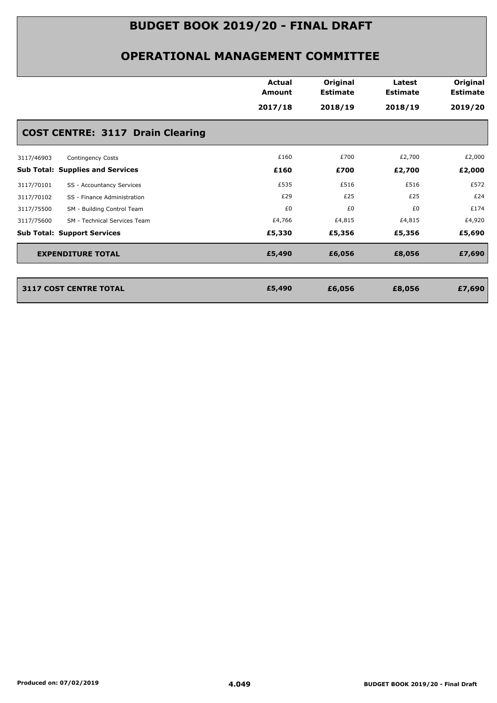|            |                                         | <b>Actual</b><br><b>Amount</b> | Original<br><b>Estimate</b> | Latest<br><b>Estimate</b> | Original<br><b>Estimate</b> |
|------------|-----------------------------------------|--------------------------------|-----------------------------|---------------------------|-----------------------------|
|            |                                         | 2017/18                        | 2018/19                     | 2018/19                   | 2019/20                     |
|            | <b>COST CENTRE: 3117 Drain Clearing</b> |                                |                             |                           |                             |
| 3117/46903 | <b>Contingency Costs</b>                | £160                           | £700                        | £2,700                    | £2,000                      |
|            | <b>Sub Total: Supplies and Services</b> | £160                           | £700                        | £2,700                    | £2,000                      |
| 3117/70101 | SS - Accountancy Services               | £535                           | £516                        | £516                      | £572                        |
| 3117/70102 | SS - Finance Administration             | £29                            | £25                         | £25                       | £24                         |
| 3117/75500 | SM - Building Control Team              | £0                             | £0                          | £0                        | £174                        |
| 3117/75600 | SM - Technical Services Team            | £4,766                         | £4,815                      | £4,815                    | £4,920                      |
|            | <b>Sub Total: Support Services</b>      | £5,330                         | £5,356                      | £5,356                    | £5,690                      |
|            | <b>EXPENDITURE TOTAL</b>                | £5,490                         | £6,056                      | £8,056                    | £7,690                      |
|            |                                         |                                |                             |                           |                             |
|            | 3117 COST CENTRE TOTAL                  | £5,490                         | £6,056                      | £8,056                    | £7,690                      |
|            |                                         |                                |                             |                           |                             |
|            |                                         |                                |                             |                           |                             |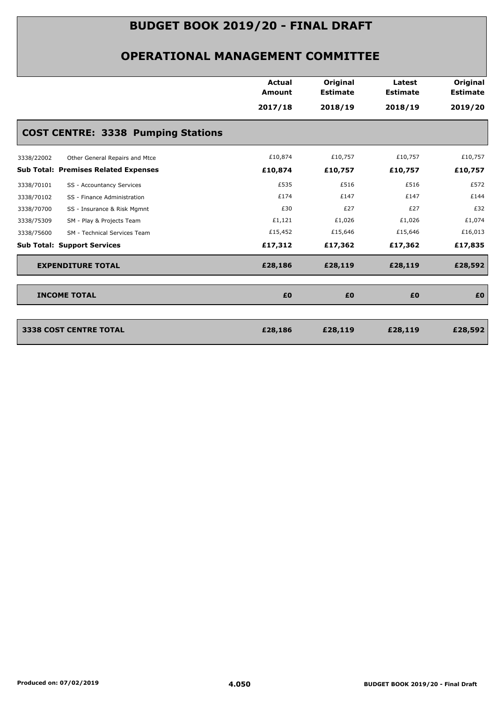|                                              | <b>Actual</b><br><b>Amount</b> | Original<br><b>Estimate</b> | Latest<br><b>Estimate</b> | Original<br><b>Estimate</b> |
|----------------------------------------------|--------------------------------|-----------------------------|---------------------------|-----------------------------|
|                                              | 2017/18                        | 2018/19                     | 2018/19                   | 2019/20                     |
| <b>COST CENTRE: 3338 Pumping Stations</b>    |                                |                             |                           |                             |
| 3338/22002<br>Other General Repairs and Mtce | £10,874                        | £10,757                     | £10,757                   | £10,757                     |
| <b>Sub Total: Premises Related Expenses</b>  | £10,874                        | £10,757                     | £10,757                   | £10,757                     |
| 3338/70101<br>SS - Accountancy Services      | £535                           | £516                        | £516                      | £572                        |
| 3338/70102<br>SS - Finance Administration    | £174                           | £147                        | £147                      | £144                        |
| SS - Insurance & Risk Mgmnt<br>3338/70700    | £30                            | £27                         | £27                       | £32                         |
| SM - Play & Projects Team<br>3338/75309      | £1,121                         | £1,026                      | £1,026                    | £1,074                      |
| 3338/75600<br>SM - Technical Services Team   | £15,452                        | £15,646                     | £15,646                   | £16,013                     |
| <b>Sub Total: Support Services</b>           | £17,312                        | £17,362                     | £17,362                   | £17,835                     |
| <b>EXPENDITURE TOTAL</b>                     | £28,186                        | £28,119                     | £28,119                   | £28,592                     |
| <b>INCOME TOTAL</b>                          | £0                             | £0                          | £0                        | £0                          |
|                                              |                                |                             |                           |                             |
| <b>3338 COST CENTRE TOTAL</b>                | £28,186                        | £28,119                     | £28,119                   | £28,592                     |
|                                              |                                |                             |                           |                             |
|                                              |                                |                             |                           |                             |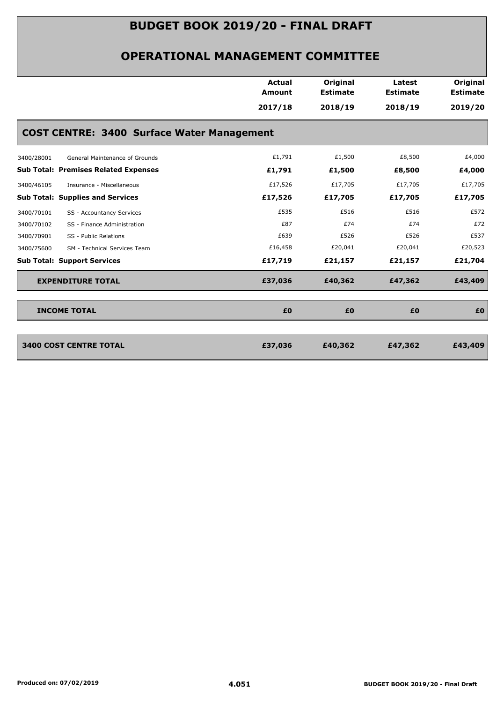|                                             |                                                   | Actual<br><b>Amount</b> | Original<br><b>Estimate</b> | Latest<br><b>Estimate</b> | Original<br><b>Estimate</b> |
|---------------------------------------------|---------------------------------------------------|-------------------------|-----------------------------|---------------------------|-----------------------------|
|                                             |                                                   | 2017/18                 | 2018/19                     | 2018/19                   | 2019/20                     |
|                                             | <b>COST CENTRE: 3400 Surface Water Management</b> |                         |                             |                           |                             |
| 3400/28001                                  | General Maintenance of Grounds                    | £1,791                  | £1,500                      | £8,500                    | £4,000                      |
| <b>Sub Total: Premises Related Expenses</b> |                                                   | £1,791                  | £1,500                      | £8,500                    | £4,000                      |
| 3400/46105                                  | Insurance - Miscellaneous                         | £17,526                 | £17,705                     | £17,705                   | £17,705                     |
| <b>Sub Total: Supplies and Services</b>     |                                                   | £17,526                 | £17,705                     | £17,705                   | £17,705                     |
| 3400/70101                                  | SS - Accountancy Services                         | £535                    | £516                        | £516                      | £572                        |
| 3400/70102                                  | SS - Finance Administration                       | £87                     | £74                         | £74                       | £72                         |
| 3400/70901<br>SS - Public Relations         |                                                   | £639                    | £526                        | £526                      | £537                        |
| 3400/75600                                  | SM - Technical Services Team                      | £16,458                 | £20,041                     | £20,041                   | £20,523                     |
| <b>Sub Total: Support Services</b>          |                                                   | £17,719                 | £21,157                     | £21,157                   | £21,704                     |
| <b>EXPENDITURE TOTAL</b>                    |                                                   | £37,036                 | £40,362                     | £47,362                   | £43,409                     |
| <b>INCOME TOTAL</b>                         |                                                   | £0                      | £0                          | £0                        | £0                          |
| <b>3400 COST CENTRE TOTAL</b>               |                                                   | £37,036                 | £40,362                     | £47,362                   | £43,409                     |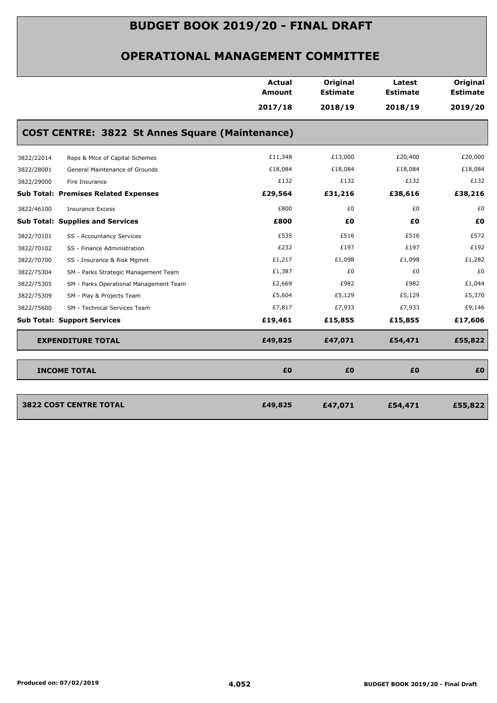| <b>COST CENTRE: 3822 St Annes Square (Maintenance)</b> | <b>Amount</b><br>2017/18<br>£11,348 | <b>Estimate</b><br>2018/19 | <b>Estimate</b><br>2018/19 | <b>Estimate</b> |
|--------------------------------------------------------|-------------------------------------|----------------------------|----------------------------|-----------------|
|                                                        |                                     |                            |                            | 2019/20         |
|                                                        |                                     |                            |                            |                 |
|                                                        |                                     |                            |                            |                 |
| 3822/22014<br>Reps & Mtce of Capital Schemes           |                                     | £13,000                    | £20,400                    | £20,000         |
| 3822/28001<br>General Maintenance of Grounds           | £18,084                             | £18,084                    | £18,084                    | £18,084         |
| 3822/29000<br>Fire Insurance                           | £132                                | £132                       | £132                       | £132            |
| <b>Sub Total: Premises Related Expenses</b>            | £29,564                             | £31,216                    | £38,616                    | £38,216         |
| 3822/46100<br><b>Insurance Excess</b>                  | £800                                | £0                         | £0                         | £0              |
| <b>Sub Total: Supplies and Services</b>                | £800                                | £Ο                         | £0                         | £0              |
| 3822/70101<br>SS - Accountancy Services                | £535                                | £516                       | £516                       | £572            |
| 3822/70102<br>SS - Finance Administration              | £232                                | £197                       | £197                       | £192            |
| 3822/70700<br>SS - Insurance & Risk Mgmnt              | £1,217                              | £1,098                     | £1,098                     | £1,282          |
| 3822/75304<br>SM - Parks Strategic Management Team     | £1,387                              | £0                         | £0                         | £0              |
| 3822/75305<br>SM - Parks Operational Management Team   | £2,669                              | £982                       | £982                       | £1,044          |
| 3822/75309<br>SM - Play & Projects Team                | £5,604                              | £5,129                     | £5,129                     | £5,370          |
| 3822/75600<br>SM - Technical Services Team             | £7,817                              | £7,933                     | £7,933                     | £9,146          |
| <b>Sub Total: Support Services</b>                     | £19,461                             | £15,855                    | £15,855                    | £17,606         |
| <b>EXPENDITURE TOTAL</b>                               | £49,825                             | £47,071                    | £54,471                    | £55,822         |
| <b>INCOME TOTAL</b>                                    | £0                                  | £0                         | £0                         | £0              |
|                                                        |                                     |                            |                            |                 |
| <b>3822 COST CENTRE TOTAL</b>                          | £49,825                             | £47,071                    | £54,471                    | £55,822         |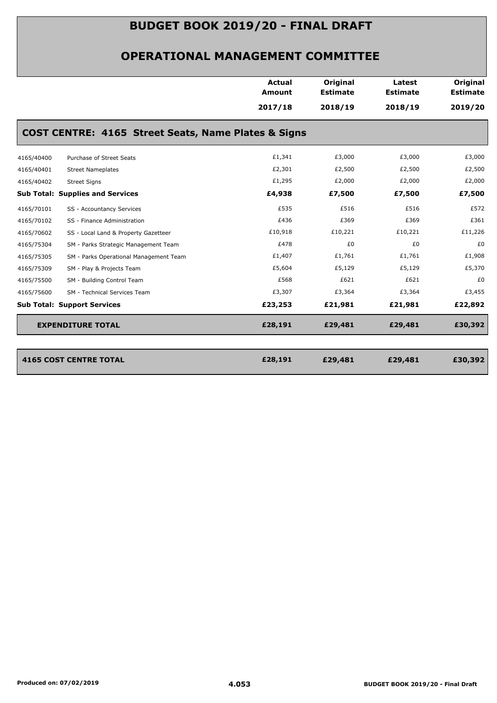|            |                                                     | <b>Actual</b><br><b>Amount</b> | Original<br><b>Estimate</b> | Latest<br><b>Estimate</b> | Original<br><b>Estimate</b> |
|------------|-----------------------------------------------------|--------------------------------|-----------------------------|---------------------------|-----------------------------|
|            |                                                     | 2017/18                        | 2018/19                     | 2018/19                   | 2019/20                     |
|            | COST CENTRE: 4165 Street Seats, Name Plates & Signs |                                |                             |                           |                             |
| 4165/40400 | Purchase of Street Seats                            | £1,341                         | £3,000                      | £3,000                    | £3,000                      |
| 4165/40401 | <b>Street Nameplates</b>                            | £2,301                         | £2,500                      | £2,500                    | £2,500                      |
| 4165/40402 | <b>Street Signs</b>                                 | £1,295                         | £2,000                      | £2,000                    | £2,000                      |
|            | <b>Sub Total: Supplies and Services</b>             | £4,938                         | £7,500                      | £7,500                    | £7,500                      |
| 4165/70101 | SS - Accountancy Services                           | £535                           | £516                        | £516                      | £572                        |
| 4165/70102 | SS - Finance Administration                         | £436                           | £369                        | £369                      | £361                        |
| 4165/70602 | SS - Local Land & Property Gazetteer                | £10,918                        | £10,221                     | £10,221                   | £11,226                     |
| 4165/75304 | SM - Parks Strategic Management Team                | £478                           | £0                          | £0                        | £0                          |
| 4165/75305 | SM - Parks Operational Management Team              | £1,407                         | £1,761                      | £1,761                    | £1,908                      |
| 4165/75309 | SM - Play & Projects Team                           | £5,604                         | £5,129                      | £5,129                    | £5,370                      |
| 4165/75500 | SM - Building Control Team                          | £568                           | £621                        | £621                      | £0                          |
| 4165/75600 | SM - Technical Services Team                        | £3,307                         | £3,364                      | £3,364                    | £3,455                      |
|            | <b>Sub Total: Support Services</b>                  | £23,253                        | £21,981                     | £21,981                   | £22,892                     |
|            | <b>EXPENDITURE TOTAL</b>                            | £28,191                        | £29,481                     | £29,481                   | £30,392                     |
|            |                                                     |                                |                             |                           |                             |
|            | <b>4165 COST CENTRE TOTAL</b>                       | £28,191                        | £29,481                     | £29,481                   | £30,392                     |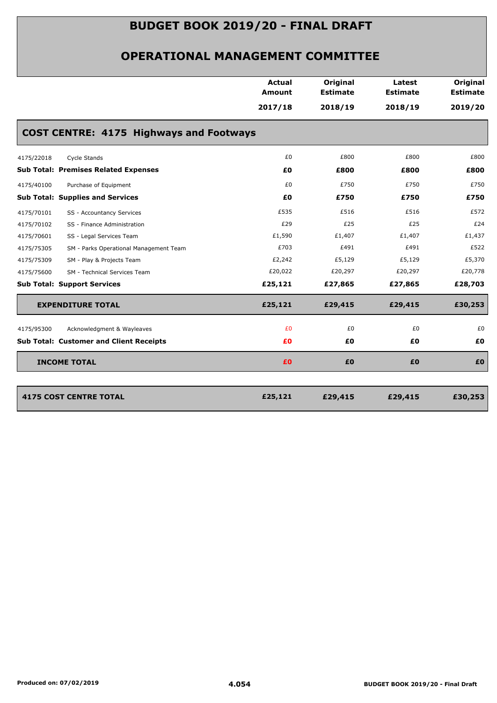|                                                      | <b>Actual</b><br><b>Amount</b> | Original<br><b>Estimate</b> | Latest<br><b>Estimate</b> | Original<br><b>Estimate</b> |
|------------------------------------------------------|--------------------------------|-----------------------------|---------------------------|-----------------------------|
|                                                      | 2017/18                        | 2018/19                     | 2018/19                   | 2019/20                     |
| <b>COST CENTRE: 4175 Highways and Footways</b>       |                                |                             |                           |                             |
| 4175/22018<br>Cycle Stands                           | £0                             | £800                        | £800                      | £800                        |
| <b>Sub Total: Premises Related Expenses</b>          | £Ο                             | £800                        | £800                      | £800                        |
| 4175/40100<br>Purchase of Equipment                  | £0                             | £750                        | £750                      | £750                        |
| <b>Sub Total: Supplies and Services</b>              | £0                             | £750                        | £750                      | £750                        |
| SS - Accountancy Services<br>4175/70101              | £535                           | £516                        | £516                      | £572                        |
| 4175/70102<br>SS - Finance Administration            | £29                            | £25                         | £25                       | £24                         |
| 4175/70601<br>SS - Legal Services Team               | £1,590                         | £1,407                      | £1,407                    | £1,437                      |
| 4175/75305<br>SM - Parks Operational Management Team | £703                           | £491                        | £491                      | £522                        |
| 4175/75309<br>SM - Play & Projects Team              | £2,242                         | £5,129                      | £5,129                    | £5,370                      |
| SM - Technical Services Team<br>4175/75600           | £20,022                        | £20,297                     | £20,297                   | £20,778                     |
| <b>Sub Total: Support Services</b>                   | £25,121                        | £27,865                     | £27,865                   | £28,703                     |
| <b>EXPENDITURE TOTAL</b>                             | £25,121                        | £29,415                     | £29,415                   | £30,253                     |
| Acknowledgment & Wayleaves<br>4175/95300             | £0                             | £0                          | £0                        | £0                          |
| <b>Sub Total: Customer and Client Receipts</b>       | £0                             | £0                          | £0                        | £0                          |
| <b>INCOME TOTAL</b>                                  | £0                             | £0                          | £0                        | £0                          |
|                                                      |                                |                             |                           |                             |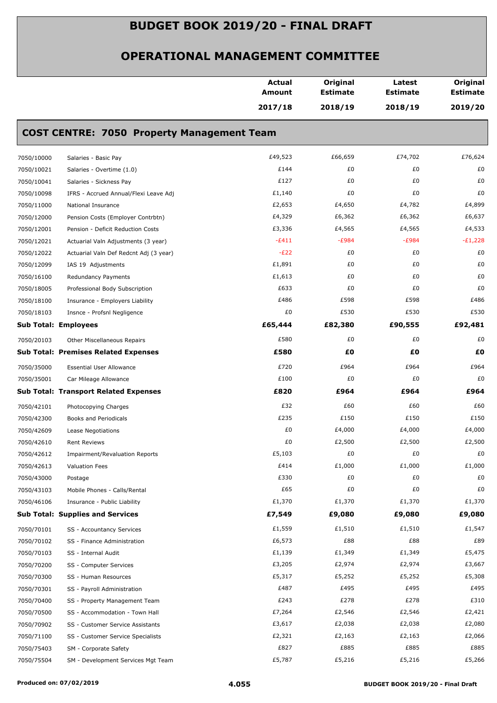|            |                                                   | <b>Actual</b><br>Amount | Original<br><b>Estimate</b> | Latest<br><b>Estimate</b> | Original<br><b>Estimate</b> |
|------------|---------------------------------------------------|-------------------------|-----------------------------|---------------------------|-----------------------------|
|            |                                                   | 2017/18                 | 2018/19                     | 2018/19                   | 2019/20                     |
|            | <b>COST CENTRE: 7050 Property Management Team</b> |                         |                             |                           |                             |
| 7050/10000 | Salaries - Basic Pay                              | £49,523                 | £66,659                     | £74,702                   | £76,624                     |
| 7050/10021 | Salaries - Overtime (1.0)                         | £144                    | £0                          | £0                        | £0                          |
| 7050/10041 | Salaries - Sickness Pay                           | £127                    | £0                          | £0                        | £0                          |
| 7050/10098 | IFRS - Accrued Annual/Flexi Leave Adj             | £1,140                  | £0                          | £0                        | £0                          |
| 7050/11000 | National Insurance                                | £2,653                  | £4,650                      | £4,782                    | £4,899                      |
| 7050/12000 | Pension Costs (Employer Contrbtn)                 | £4,329                  | £6,362                      | £6,362                    | £6,637                      |
| 7050/12001 | Pension - Deficit Reduction Costs                 | £3,336                  | £4,565                      | £4,565                    | £4,533                      |
| 7050/12021 | Actuarial Valn Adjustments (3 year)               | $-E411$                 | $-E984$                     | $-E984$                   | $-E1,228$                   |
| 7050/12022 | Actuarial Valn Def Redcnt Adj (3 year)            | $-E22$                  | £0                          | £0                        | £0                          |
| 7050/12099 | IAS 19 Adjustments                                | £1,891                  | £0                          | £0                        | £0                          |
| 7050/16100 | Redundancy Payments                               | £1,613                  | £0                          | £0                        | £0                          |
| 7050/18005 | Professional Body Subscription                    | £633                    | £0                          | £0                        | £0                          |
| 7050/18100 | Insurance - Employers Liability                   | £486                    | £598                        | £598                      | £486                        |
| 7050/18103 | Insnce - Profsnl Negligence                       | £0                      | £530                        | £530                      | £530                        |
|            | <b>Sub Total: Employees</b>                       | £65,444                 | £82,380                     | £90,555                   | £92,481                     |
| 7050/20103 | <b>Other Miscellaneous Repairs</b>                | £580                    | £0                          | £0                        | £0                          |
|            | <b>Sub Total: Premises Related Expenses</b>       | £580                    | £0                          | £Ο                        | £Ο                          |
| 7050/35000 | <b>Essential User Allowance</b>                   | £720                    | £964                        | £964                      | £964                        |
| 7050/35001 | Car Mileage Allowance                             | £100                    | £0                          | £0                        | £0                          |
|            | <b>Sub Total: Transport Related Expenses</b>      | £820                    | £964                        | £964                      | £964                        |
| 7050/42101 | Photocopying Charges                              | £32                     | £60                         | £60                       | £60                         |
| 7050/42300 | Books and Periodicals                             | £235                    | £150                        | £150                      | £150                        |
| 7050/42609 | Lease Negotiations                                | £0                      | £4,000                      | £4,000                    | £4,000                      |
| 7050/42610 | <b>Rent Reviews</b>                               | £0                      | £2,500                      | £2,500                    | £2,500                      |
| 7050/42612 | Impairment/Revaluation Reports                    | £5,103                  | £0                          | £0                        | £0                          |
| 7050/42613 | <b>Valuation Fees</b>                             | £414                    | £1,000                      | £1,000                    | £1,000                      |
| 7050/43000 | Postage                                           | £330                    | £0                          | £0                        | £0                          |
| 7050/43103 | Mobile Phones - Calls/Rental                      | £65                     | £0                          | £0                        | £0                          |
| 7050/46106 | Insurance - Public Liability                      | £1,370                  | £1,370                      | £1,370                    | £1,370                      |
|            | <b>Sub Total: Supplies and Services</b>           | £7,549                  | £9,080                      | £9,080                    | £9,080                      |
| 7050/70101 | SS - Accountancy Services                         | £1,559                  | £1,510                      | £1,510                    | £1,547                      |
| 7050/70102 | SS - Finance Administration                       | £6,573                  | £88                         | £88                       | £89                         |
| 7050/70103 | SS - Internal Audit                               | £1,139                  | £1,349                      | £1,349                    | £5,475                      |
| 7050/70200 | SS - Computer Services                            | £3,205                  | £2,974                      | £2,974                    | £3,667                      |
| 7050/70300 | SS - Human Resources                              | £5,317                  | £5,252                      | £5,252                    | £5,308                      |
| 7050/70301 | SS - Payroll Administration                       | £487                    | £495                        | £495                      | £495                        |
| 7050/70400 | SS - Property Management Team                     | £243                    | £278                        | £278                      | £310                        |
| 7050/70500 | SS - Accommodation - Town Hall                    | £7,264                  | £2,546                      | £2,546                    | £2,421                      |
| 7050/70902 | SS - Customer Service Assistants                  | £3,617                  | £2,038                      | £2,038                    | £2,080                      |
| 7050/71100 | SS - Customer Service Specialists                 | £2,321                  | £2,163                      | £2,163                    | £2,066                      |
| 7050/75403 | SM - Corporate Safety                             | £827                    | £885                        | £885                      | £885                        |
| 7050/75504 | SM - Development Services Mgt Team                | £5,787                  | £5,216                      | £5,216                    | £5,266                      |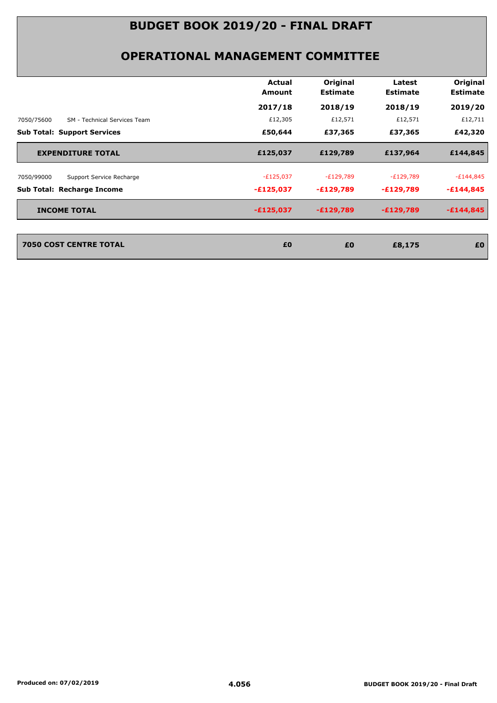|                                            | Actual      | Original        | Latest          | Original        |
|--------------------------------------------|-------------|-----------------|-----------------|-----------------|
|                                            | Amount      | <b>Estimate</b> | <b>Estimate</b> | <b>Estimate</b> |
|                                            | 2017/18     | 2018/19         | 2018/19         | 2019/20         |
| 7050/75600<br>SM - Technical Services Team | £12,305     | £12,571         | £12,571         | £12,711         |
| <b>Sub Total: Support Services</b>         | £50,644     | £37,365         | £37,365         | £42,320         |
| <b>EXPENDITURE TOTAL</b>                   | £125,037    | £129,789        | £137,964        | £144,845        |
| 7050/99000<br>Support Service Recharge     | $-E125,037$ | $-E129,789$     | $-E129,789$     | $-E144,845$     |
| <b>Sub Total: Recharge Income</b>          | $-£125,037$ | $-E129,789$     | -£129,789       | $-£144,845$     |
| <b>INCOME TOTAL</b>                        | $-£125,037$ | $-E129,789$     | $-£129,789$     | $-£144,845$     |
| <b>7050 COST CENTRE TOTAL</b>              | £0          | £0              | £8,175          | £0              |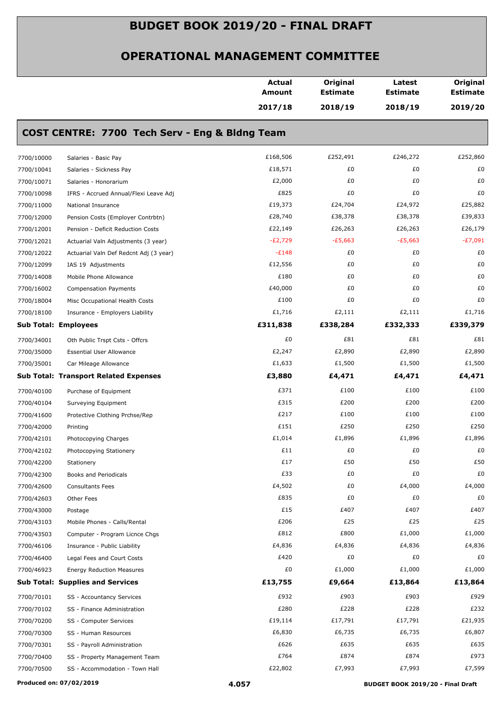#### **OPERATIONAL MANAGEMENT COMMITTEE**

|                             |                                                | <b>Actual</b><br>Amount | Original<br><b>Estimate</b> | Latest<br><b>Estimate</b> | Original<br><b>Estimate</b> |
|-----------------------------|------------------------------------------------|-------------------------|-----------------------------|---------------------------|-----------------------------|
|                             |                                                | 2017/18                 | 2018/19                     | 2018/19                   | 2019/20                     |
|                             | COST CENTRE: 7700 Tech Serv - Eng & Bldng Team |                         |                             |                           |                             |
| 7700/10000                  | Salaries - Basic Pay                           | £168,506                | £252,491                    | £246,272                  | £252,860                    |
| 7700/10041                  | Salaries - Sickness Pay                        | £18,571                 | £0                          | £0                        | £0                          |
| 7700/10071                  | Salaries - Honorarium                          | £2,000                  | £0                          | £0                        | £0                          |
| 7700/10098                  | IFRS - Accrued Annual/Flexi Leave Adj          | £825                    | £0                          | £0                        | £0                          |
| 7700/11000                  | National Insurance                             | £19,373                 | £24,704                     | £24,972                   | £25,882                     |
| 7700/12000                  | Pension Costs (Employer Contrbtn)              | £28,740                 | £38,378                     | £38,378                   | £39,833                     |
| 7700/12001                  | Pension - Deficit Reduction Costs              | £22,149                 | £26,263                     | £26,263                   | £26,179                     |
| 7700/12021                  | Actuarial Valn Adjustments (3 year)            | $-E2,729$               | $-E5,663$                   | $-E5,663$                 | -£7,091                     |
| 7700/12022                  | Actuarial Valn Def Redcnt Adj (3 year)         | $-E148$                 | £0                          | £0                        | £0                          |
| 7700/12099                  | IAS 19 Adjustments                             | £12,556                 | £0                          | £0                        | £0                          |
| 7700/14008                  | Mobile Phone Allowance                         | £180                    | £0                          | £0                        | £0                          |
| 7700/16002                  | <b>Compensation Payments</b>                   | £40,000                 | £0                          | £0                        | £0                          |
| 7700/18004                  | Misc Occupational Health Costs                 | £100                    | £0                          | £0                        | £0                          |
| 7700/18100                  | Insurance - Employers Liability                | £1,716                  | £2,111                      | £2,111                    | £1,716                      |
| <b>Sub Total: Employees</b> |                                                | £311,838                | £338,284                    | £332,333                  | £339,379                    |
| 7700/34001                  | Oth Public Trspt Csts - Offcrs                 | £0                      | £81                         | £81                       | £81                         |
| 7700/35000                  | <b>Essential User Allowance</b>                | £2,247                  | £2,890                      | £2,890                    | £2,890                      |
| 7700/35001                  | Car Mileage Allowance                          | £1,633                  | £1,500                      | £1,500                    | £1,500                      |
|                             | <b>Sub Total: Transport Related Expenses</b>   | £3,880                  | £4,471                      | £4,471                    | £4,471                      |
|                             |                                                | £371                    | £100                        | £100                      | £100                        |
| 7700/40100                  | Purchase of Equipment                          | £315                    | £200                        | £200                      | £200                        |
| 7700/40104                  | Surveying Equipment                            | £217                    | £100                        | £100                      | £100                        |
| 7700/41600                  | Protective Clothing Prchse/Rep                 | £151                    | £250                        | £250                      | £250                        |
| 7700/42000                  | Printing                                       | £1,014                  | £1,896                      | £1,896                    | £1,896                      |
| 7700/42101                  | Photocopying Charges                           | £11                     | £0                          | £0                        | £0                          |
| 7700/42102                  | Photocopying Stationery                        | £17                     | £50                         | £50                       | £50                         |
| 7700/42200                  | Stationery                                     | £33                     | £0                          | £0                        | £0                          |
| 7700/42300                  | Books and Periodicals                          |                         |                             |                           |                             |
| 7700/42600                  | <b>Consultants Fees</b>                        | £4,502<br>£835          | £0<br>£0                    | £4,000                    | £4,000                      |
| 7700/42603                  | Other Fees                                     | £15                     | £407                        | £0<br>£407                | £0<br>£407                  |
| 7700/43000                  | Postage                                        | £206                    | £25                         | £25                       | £25                         |
| 7700/43103                  | Mobile Phones - Calls/Rental                   | £812                    | £800                        | £1,000                    |                             |
| 7700/43503                  | Computer - Program Licnce Chgs                 |                         |                             |                           | £1,000                      |
| 7700/46106                  | Insurance - Public Liability                   | £4,836                  | £4,836                      | £4,836                    | £4,836                      |
| 7700/46400                  | Legal Fees and Court Costs                     | £420<br>£0              | £0                          | £0                        | £0                          |
| 7700/46923                  | <b>Energy Reduction Measures</b>               |                         | £1,000                      | £1,000                    | £1,000                      |
|                             | <b>Sub Total: Supplies and Services</b>        | £13,755                 | £9,664                      | £13,864                   | £13,864                     |
| 7700/70101                  | SS - Accountancy Services                      | £932                    | £903                        | £903                      | £929                        |
| 7700/70102                  | SS - Finance Administration                    | £280                    | £228                        | £228                      | £232                        |
| 7700/70200                  | SS - Computer Services                         | £19,114                 | £17,791                     | £17,791                   | £21,935                     |
| 7700/70300                  | SS - Human Resources                           | £6,830                  | £6,735                      | £6,735                    | £6,807                      |
| 7700/70301                  | SS - Payroll Administration                    | £626                    | £635                        | £635                      | £635                        |
| 7700/70400                  | SS - Property Management Team                  | £764                    | £874                        | £874                      | £973                        |
| 7700/70500                  | SS - Accommodation - Town Hall                 | £22,802                 | £7,993                      | £7,993                    | £7,599                      |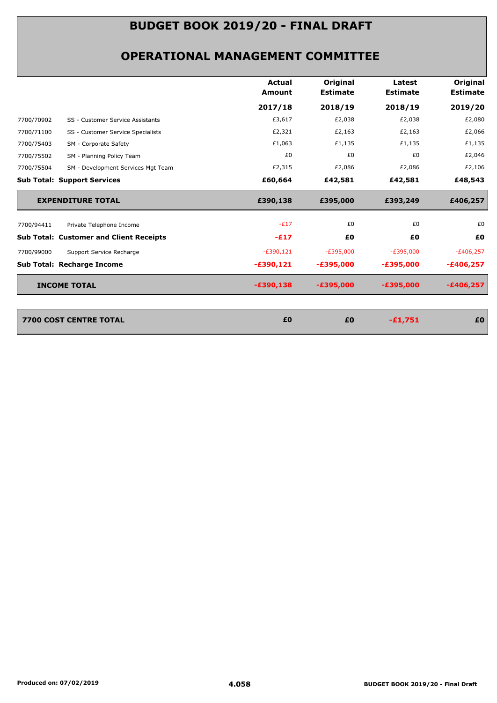#### **OPERATIONAL MANAGEMENT COMMITTEE**

|                                                | Actual<br>Amount | Original<br><b>Estimate</b> | Latest<br><b>Estimate</b> | Original<br><b>Estimate</b> |
|------------------------------------------------|------------------|-----------------------------|---------------------------|-----------------------------|
|                                                | 2017/18          | 2018/19                     | 2018/19                   | 2019/20                     |
| SS - Customer Service Assistants               | £3,617           | £2,038                      | £2,038                    | £2,080                      |
| SS - Customer Service Specialists              | £2,321           | £2,163                      | £2,163                    | £2,066                      |
| SM - Corporate Safety                          | £1,063           | £1,135                      | £1,135                    | £1,135                      |
| SM - Planning Policy Team                      | £0               | £0                          | £0                        | £2,046                      |
| SM - Development Services Mgt Team             | £2,315           | £2,086                      | £2,086                    | £2,106                      |
| <b>Sub Total: Support Services</b>             | £60,664          | £42,581                     | £42,581                   | £48,543                     |
| <b>EXPENDITURE TOTAL</b>                       | £390,138         | £395,000                    | £393,249                  | £406,257                    |
| Private Telephone Income                       | $-E17$           | £0                          | £0                        | £0                          |
| <b>Sub Total: Customer and Client Receipts</b> | $-E17$           | £0                          | £0                        | £0                          |
| Support Service Recharge                       | $-E390,121$      | $-E395,000$                 | $-E395,000$               | $-£406,257$                 |
| <b>Sub Total: Recharge Income</b>              | -£390,121        | $-£395,000$                 | $-£395,000$               | -£406,257                   |
| <b>INCOME TOTAL</b>                            | $-£390,138$      | $-£395,000$                 | $-£395,000$               | -£406,257                   |
|                                                |                  |                             |                           |                             |

| 7700 COST CENTRE TOTAL | £0 | £0 | -£1,751 | £0 |
|------------------------|----|----|---------|----|
|                        |    |    |         |    |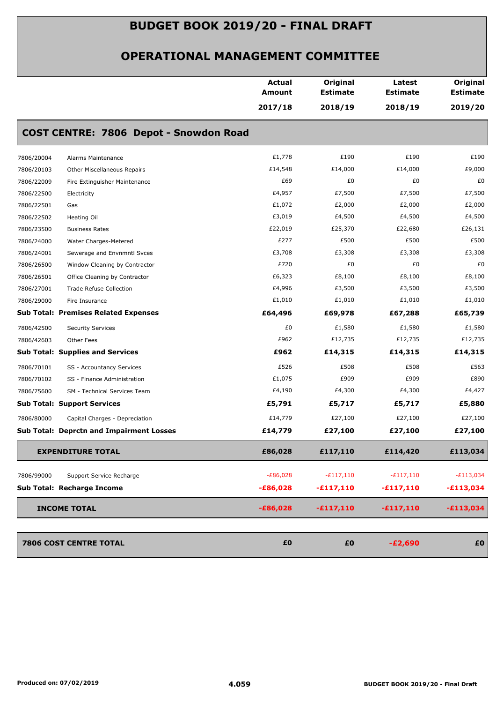#### **OPERATIONAL MANAGEMENT COMMITTEE**

|            |                                                 | <b>Actual</b><br>Amount | Original<br><b>Estimate</b> | Latest<br><b>Estimate</b> | Original<br><b>Estimate</b> |
|------------|-------------------------------------------------|-------------------------|-----------------------------|---------------------------|-----------------------------|
|            |                                                 | 2017/18                 | 2018/19                     | 2018/19                   | 2019/20                     |
|            | COST CENTRE: 7806 Depot - Snowdon Road          |                         |                             |                           |                             |
| 7806/20004 | Alarms Maintenance                              | £1,778                  | £190                        | £190                      | £190                        |
| 7806/20103 | Other Miscellaneous Repairs                     | £14,548                 | £14,000                     | £14,000                   | £9,000                      |
| 7806/22009 | Fire Extinguisher Maintenance                   | £69                     | £0                          | £0                        | £0                          |
| 7806/22500 | Electricity                                     | £4,957                  | £7,500                      | £7,500                    | £7,500                      |
| 7806/22501 | Gas                                             | £1,072                  | £2,000                      | £2,000                    | £2,000                      |
| 7806/22502 | Heating Oil                                     | £3,019                  | £4,500                      | £4,500                    | £4,500                      |
| 7806/23500 | <b>Business Rates</b>                           | £22,019                 | £25,370                     | £22,680                   | £26,131                     |
| 7806/24000 | Water Charges-Metered                           | £277                    | £500                        | £500                      | £500                        |
| 7806/24001 | Sewerage and Envnmntl Svces                     | £3,708                  | £3,308                      | £3,308                    | £3,308                      |
| 7806/26500 | Window Cleaning by Contractor                   | £720                    | £0                          | £0                        | £0                          |
| 7806/26501 | Office Cleaning by Contractor                   | £6,323                  | £8,100                      | £8,100                    | £8,100                      |
| 7806/27001 | <b>Trade Refuse Collection</b>                  | £4,996                  | £3,500                      | £3,500                    | £3,500                      |
| 7806/29000 | Fire Insurance                                  | £1,010                  | £1,010                      | £1,010                    | £1,010                      |
|            | <b>Sub Total: Premises Related Expenses</b>     | £64,496                 | £69,978                     | £67,288                   | £65,739                     |
| 7806/42500 | <b>Security Services</b>                        | £0                      | £1,580                      | £1,580                    | £1,580                      |
| 7806/42603 | Other Fees                                      | £962                    | £12,735                     | £12,735                   | £12,735                     |
|            | <b>Sub Total: Supplies and Services</b>         | £962                    | £14,315                     | £14,315                   | £14,315                     |
| 7806/70101 | SS - Accountancy Services                       | £526                    | £508                        | £508                      | £563                        |
| 7806/70102 | SS - Finance Administration                     | £1,075                  | £909                        | £909                      | £890                        |
| 7806/75600 | SM - Technical Services Team                    | £4,190                  | £4,300                      | £4,300                    | £4,427                      |
|            | <b>Sub Total: Support Services</b>              | £5,791                  | £5,717                      | £5,717                    | £5,880                      |
| 7806/80000 | Capital Charges - Depreciation                  | £14,779                 | £27,100                     | £27,100                   | £27,100                     |
|            | <b>Sub Total: Deprctn and Impairment Losses</b> | £14,779                 | £27,100                     | £27,100                   | £27,100                     |
|            | <b>EXPENDITURE TOTAL</b>                        | £86,028                 | £117,110                    | £114,420                  | £113,034                    |
|            |                                                 | $-E86,028$              | $-E117,110$                 | $-E117,110$               |                             |
| 7806/99000 | Support Service Recharge                        |                         |                             |                           | $-E113,034$                 |
|            | Sub Total: Recharge Income                      | $-£86,028$              | $-£117,110$                 | $-£117,110$               | $-£113,034$                 |
|            | <b>INCOME TOTAL</b>                             | $-£86,028$              | $-£117,110$                 | $-£117,110$               | $-£113,034$                 |
|            | 7806 COST CENTRE TOTAL                          | £0                      | £0                          | $-E2,690$                 | £0                          |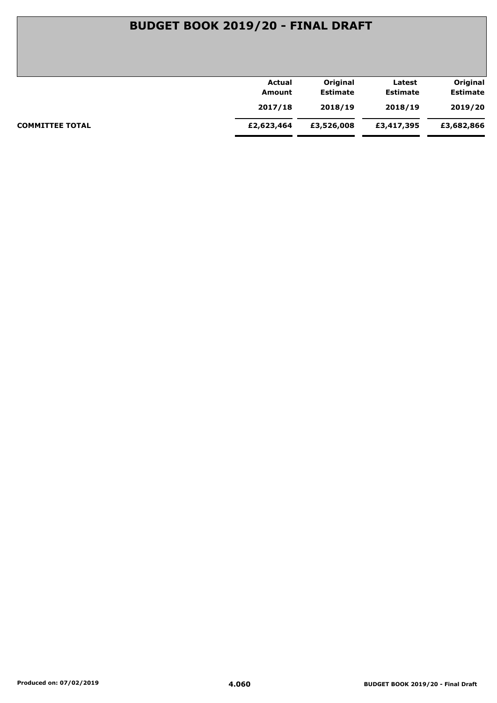| Actual     | Original        | Latest          | Original        |
|------------|-----------------|-----------------|-----------------|
| Amount     | <b>Estimate</b> | <b>Estimate</b> | <b>Estimate</b> |
| 2017/18    | 2018/19         | 2018/19         | 2019/20         |
| £2,623,464 | £3,526,008      | £3,417,395      | £3,682,866      |
|            |                 |                 |                 |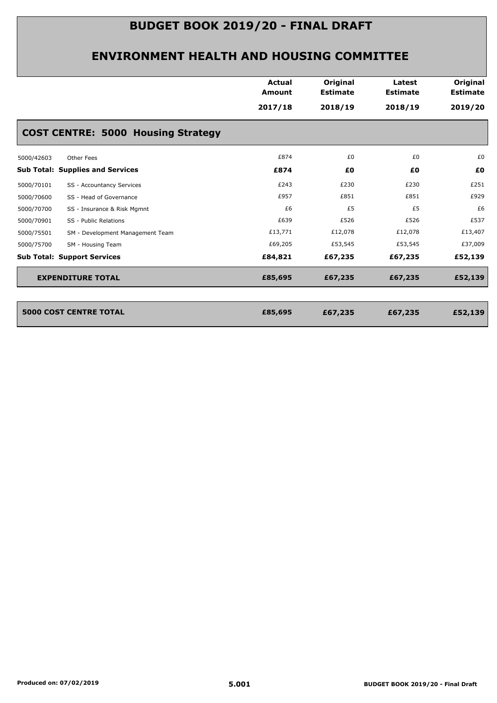|                                                | <b>Actual</b><br><b>Amount</b> | Original<br><b>Estimate</b> | Latest<br><b>Estimate</b> | Original<br><b>Estimate</b> |
|------------------------------------------------|--------------------------------|-----------------------------|---------------------------|-----------------------------|
|                                                | 2017/18                        | 2018/19                     | 2018/19                   | 2019/20                     |
| <b>COST CENTRE: 5000 Housing Strategy</b>      |                                |                             |                           |                             |
| 5000/42603<br>Other Fees                       | £874                           | £0                          | £0                        | £0                          |
| <b>Sub Total: Supplies and Services</b>        | £874                           | £0                          | £0                        | £0                          |
| 5000/70101<br>SS - Accountancy Services        | £243                           | £230                        | £230                      | £251                        |
| SS - Head of Governance<br>5000/70600          | £957                           | £851                        | £851                      | £929                        |
| 5000/70700<br>SS - Insurance & Risk Mgmnt      | £6                             | £5                          | £5                        | £6                          |
| 5000/70901<br>SS - Public Relations            | £639                           | £526                        | £526                      | £537                        |
| 5000/75501<br>SM - Development Management Team | £13,771                        | £12,078                     | £12,078                   | £13,407                     |
| 5000/75700<br>SM - Housing Team                | £69,205                        | £53,545                     | £53,545                   | £37,009                     |
| <b>Sub Total: Support Services</b>             | £84,821                        | £67,235                     | £67,235                   | £52,139                     |
| <b>EXPENDITURE TOTAL</b>                       | £85,695                        | £67,235                     | £67,235                   | £52,139                     |
|                                                |                                |                             |                           |                             |
| <b>5000 COST CENTRE TOTAL</b>                  | £85,695                        | £67,235                     | £67,235                   | £52,139                     |
|                                                |                                |                             |                           |                             |
|                                                |                                |                             |                           |                             |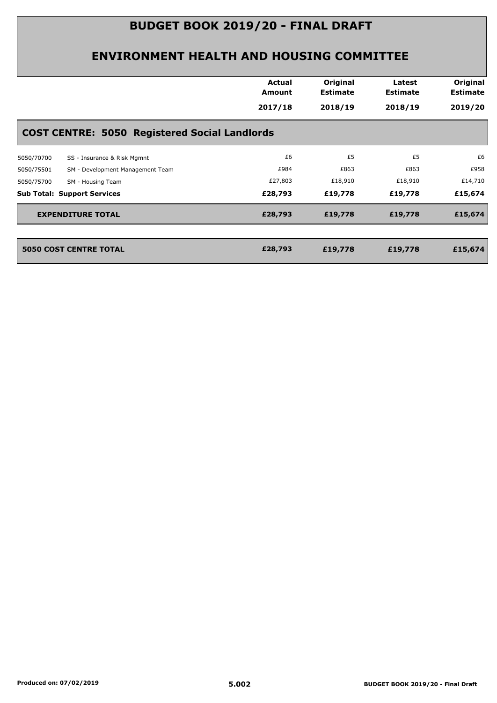|                                                      | Actual<br>Amount | Original<br><b>Estimate</b> | Latest<br><b>Estimate</b> | Original<br><b>Estimate</b> |  |  |  |  |
|------------------------------------------------------|------------------|-----------------------------|---------------------------|-----------------------------|--|--|--|--|
|                                                      | 2017/18          | 2018/19                     | 2018/19                   | 2019/20                     |  |  |  |  |
| <b>COST CENTRE: 5050 Registered Social Landlords</b> |                  |                             |                           |                             |  |  |  |  |
| SS - Insurance & Risk Mgmnt<br>5050/70700            | £6               | £5                          | £5                        | £6                          |  |  |  |  |
| SM - Development Management Team<br>5050/75501       | £984             | £863                        | £863                      | £958                        |  |  |  |  |
| 5050/75700<br>SM - Housing Team                      | £27,803          | £18,910                     | £18,910                   | £14,710                     |  |  |  |  |
| <b>Sub Total: Support Services</b>                   | £28,793          | £19,778                     | £19,778                   | £15,674                     |  |  |  |  |
| <b>EXPENDITURE TOTAL</b>                             | £28,793          | £19,778                     | £19,778                   | £15,674                     |  |  |  |  |
| <b>5050 COST CENTRE TOTAL</b>                        | £28,793          | £19,778                     | £19,778                   | £15,674                     |  |  |  |  |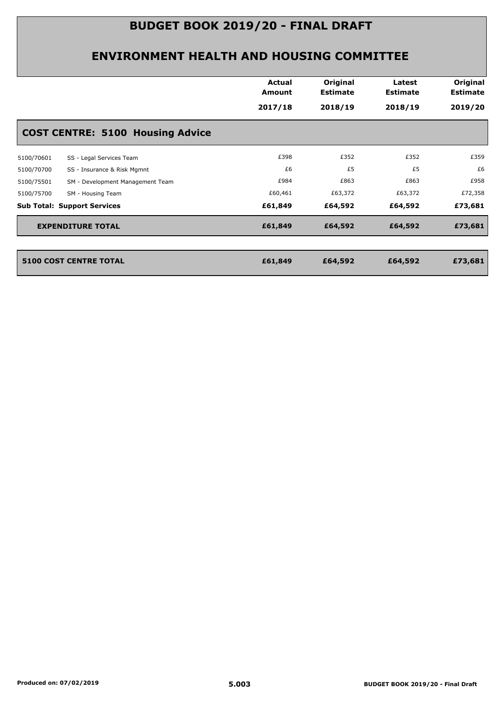|            |                                         | <b>Actual</b><br>Amount<br>2017/18 | Original<br><b>Estimate</b><br>2018/19 | Latest<br><b>Estimate</b><br>2018/19 | Original<br><b>Estimate</b><br>2019/20 |
|------------|-----------------------------------------|------------------------------------|----------------------------------------|--------------------------------------|----------------------------------------|
|            | <b>COST CENTRE: 5100 Housing Advice</b> |                                    |                                        |                                      |                                        |
| 5100/70601 | SS - Legal Services Team                | £398                               | £352                                   | £352                                 | £359                                   |
| 5100/70700 | SS - Insurance & Risk Mgmnt             | £6                                 | £5                                     | £5                                   | £6                                     |
| 5100/75501 | SM - Development Management Team        | £984                               | £863                                   | £863                                 | £958                                   |
| 5100/75700 | SM - Housing Team                       | £60,461                            | £63,372                                | £63,372                              | £72,358                                |
|            | <b>Sub Total: Support Services</b>      | £61,849                            | £64,592                                | £64,592                              | £73,681                                |
|            | <b>EXPENDITURE TOTAL</b>                | £61,849                            | £64,592                                | £64,592                              | £73,681                                |
|            | <b>5100 COST CENTRE TOTAL</b>           | £61,849                            | £64,592                                | £64,592                              | £73,681                                |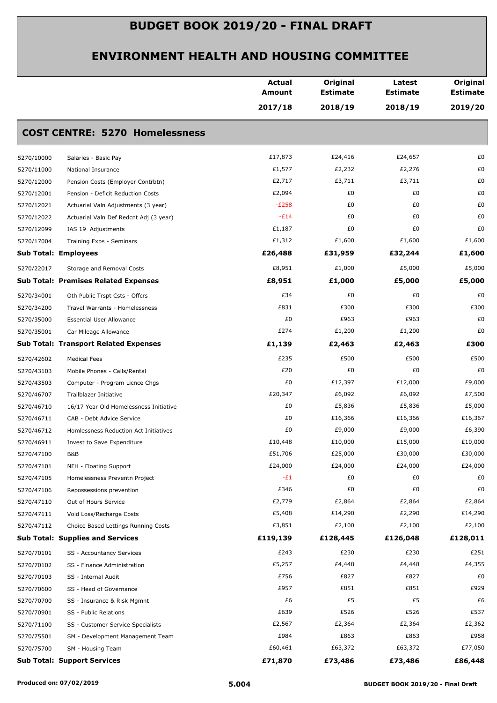|                                                      | <b>Actual</b><br><b>Amount</b> | Original<br><b>Estimate</b> | Latest<br><b>Estimate</b> | Original<br><b>Estimate</b> |
|------------------------------------------------------|--------------------------------|-----------------------------|---------------------------|-----------------------------|
|                                                      | 2017/18                        | 2018/19                     | 2018/19                   | 2019/20                     |
| <b>COST CENTRE: 5270 Homelessness</b>                |                                |                             |                           |                             |
| 5270/10000<br>Salaries - Basic Pay                   | £17,873                        | £24,416                     | £24,657                   | £0                          |
| 5270/11000<br>National Insurance                     | £1,577                         | £2,232                      | £2,276                    | £0                          |
| 5270/12000<br>Pension Costs (Employer Contrbtn)      | £2,717                         | £3,711                      | £3,711                    | £0                          |
| 5270/12001<br>Pension - Deficit Reduction Costs      | £2,094                         | £0                          | £0                        | £0                          |
| 5270/12021<br>Actuarial Valn Adjustments (3 year)    | $-E258$                        | £0                          | £0                        | £0                          |
| 5270/12022<br>Actuarial Valn Def Redcnt Adj (3 year) | $-E14$                         | £0                          | £0                        | £0                          |
| 5270/12099<br>IAS 19 Adjustments                     | £1,187                         | £0                          | £0                        | £0                          |
| 5270/17004<br>Training Exps - Seminars               | £1,312                         | £1,600                      | £1,600                    | £1,600                      |
| <b>Sub Total: Employees</b>                          | £26,488                        | £31,959                     | £32,244                   | £1,600                      |
| 5270/22017<br>Storage and Removal Costs              | £8,951                         | £1,000                      | £5,000                    | £5,000                      |
| <b>Sub Total: Premises Related Expenses</b>          | £8,951                         | £1,000                      | £5,000                    | £5,000                      |
| 5270/34001<br>Oth Public Trspt Csts - Offcrs         | £34                            | £0                          | £0                        | £0                          |
| 5270/34200<br>Travel Warrants - Homelessness         | £831                           | £300                        | £300                      | £300                        |
| 5270/35000<br><b>Essential User Allowance</b>        | £0                             | £963                        | £963                      | £0                          |
| 5270/35001<br>Car Mileage Allowance                  | £274                           | £1,200                      | £1,200                    | £0                          |
| <b>Sub Total: Transport Related Expenses</b>         | £1,139                         | £2,463                      | £2,463                    | £300                        |
| 5270/42602<br><b>Medical Fees</b>                    | £235                           | £500                        | £500                      | £500                        |
| 5270/43103<br>Mobile Phones - Calls/Rental           | £20                            | £0                          | £0                        | £0                          |
| 5270/43503<br>Computer - Program Licnce Chgs         | £0                             | £12,397                     | £12,000                   | £9,000                      |
| 5270/46707<br>Trailblazer Initiative                 | £20,347                        | £6,092                      | £6,092                    | £7,500                      |
| 5270/46710<br>16/17 Year Old Homelessness Initiative | £0                             | £5,836                      | £5,836                    | £5,000                      |
| 5270/46711<br>CAB - Debt Advice Service              | £0                             | £16,366                     | £16,366                   | £16,367                     |
| 5270/46712<br>Homlessness Reduction Act Initiatives  | £0                             | £9,000                      | £9,000                    | £6,390                      |
| 5270/46911<br>Invest to Save Expenditure             | £10,448                        | £10,000                     | £15,000                   | £10,000                     |
| 5270/47100<br>B&B                                    | £51,706                        | £25,000                     | £30,000                   | £30,000                     |
| 5270/47101<br>NFH - Floating Support                 | £24,000                        | £24,000                     | £24,000                   | £24,000                     |
| 5270/47105<br>Homelessness Preventn Project          | $-E1$                          | £0                          | £0                        | £0                          |
| 5270/47106<br>Repossessions prevention               | £346                           | £0                          | £0                        | £0                          |
| 5270/47110<br>Out of Hours Service                   | £2,779                         | £2,864                      | £2,864                    | £2,864                      |
| 5270/47111<br>Void Loss/Recharge Costs               | £5,408                         | £14,290                     | £2,290                    | £14,290                     |
| 5270/47112<br>Choice Based Lettings Running Costs    | £3,851                         | £2,100                      | £2,100                    | £2,100                      |
| <b>Sub Total: Supplies and Services</b>              | £119,139                       | £128,445                    | £126,048                  | £128,011                    |
| 5270/70101<br>SS - Accountancy Services              | £243                           | £230                        | £230                      | £251                        |
| 5270/70102<br>SS - Finance Administration            | £5,257                         | £4,448                      | £4,448                    | £4,355                      |
| 5270/70103<br>SS - Internal Audit                    | £756                           | £827                        | £827                      | £0                          |
| 5270/70600<br>SS - Head of Governance                | £957                           | £851                        | £851                      | £929                        |
| 5270/70700<br>SS - Insurance & Risk Mgmnt            | £6                             | £5                          | £5                        | £6                          |
| 5270/70901<br>SS - Public Relations                  | £639                           | £526                        | £526                      | £537                        |
| 5270/71100<br>SS - Customer Service Specialists      | £2,567                         | £2,364                      | £2,364                    | £2,362                      |
| 5270/75501<br>SM - Development Management Team       | £984                           | £863                        | £863                      | £958                        |
| 5270/75700<br>SM - Housing Team                      | £60,461                        | £63,372                     | £63,372                   | £77,050                     |
| <b>Sub Total: Support Services</b>                   | £71,870                        | £73,486                     | £73,486                   | £86,448                     |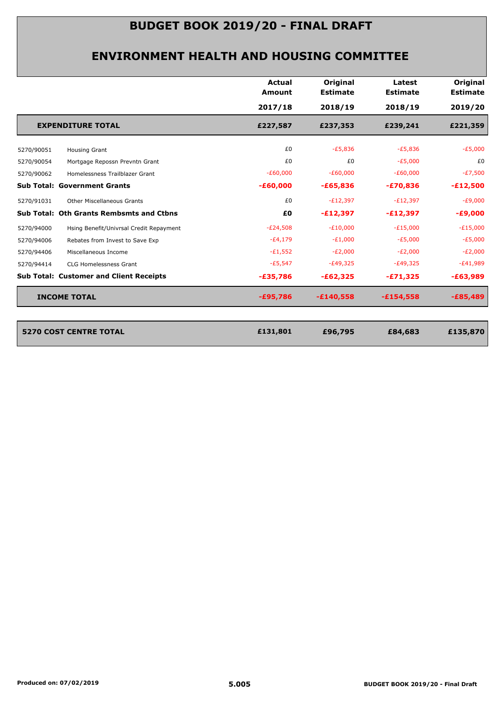| 2017/18<br>£227,587<br>£0<br>£0<br>$-E60,000$<br>$-£60,000$<br>£0 | 2018/19<br>£237,353<br>$-E5,836$<br>£0<br>$-E60,000$<br>$-£65,836$ | 2018/19<br>£239,241<br>$-E5,836$<br>$-E5,000$<br>$-E60,000$<br>$-£70,836$ | 2019/20<br>£221,359<br>$-E5,000$<br>£0<br>$-E7,500$<br>$-£12,500$ |
|-------------------------------------------------------------------|--------------------------------------------------------------------|---------------------------------------------------------------------------|-------------------------------------------------------------------|
|                                                                   |                                                                    |                                                                           |                                                                   |
|                                                                   |                                                                    |                                                                           |                                                                   |
|                                                                   |                                                                    |                                                                           |                                                                   |
|                                                                   |                                                                    |                                                                           |                                                                   |
|                                                                   |                                                                    |                                                                           |                                                                   |
|                                                                   |                                                                    |                                                                           |                                                                   |
|                                                                   | $-E12,397$                                                         | $-E12,397$                                                                | $-E9,000$                                                         |
| £Ο                                                                | $-£12,397$                                                         | $-E12,397$                                                                | $-£9,000$                                                         |
| $-E24,508$                                                        | $-E10,000$                                                         | $-E15,000$                                                                | $-E15,000$                                                        |
| $-E4,179$                                                         | $-E1,000$                                                          | $-E5,000$                                                                 | $-E5,000$                                                         |
| $-E1,552$                                                         | $-E2,000$                                                          | $-E2,000$                                                                 | $-E2,000$                                                         |
| $-E5,547$                                                         | $-E49,325$                                                         | $-E49,325$                                                                | $-E41,989$                                                        |
| $-£35,786$                                                        | $-£62,325$                                                         | $-£71,325$                                                                | $-£63,989$                                                        |
| $-£95,786$                                                        | $-£140,558$                                                        | $-£154,558$                                                               | $-£85,489$                                                        |
|                                                                   |                                                                    |                                                                           |                                                                   |
| £131,801                                                          | £96,795                                                            | £84,683                                                                   | £135,870                                                          |
|                                                                   |                                                                    |                                                                           |                                                                   |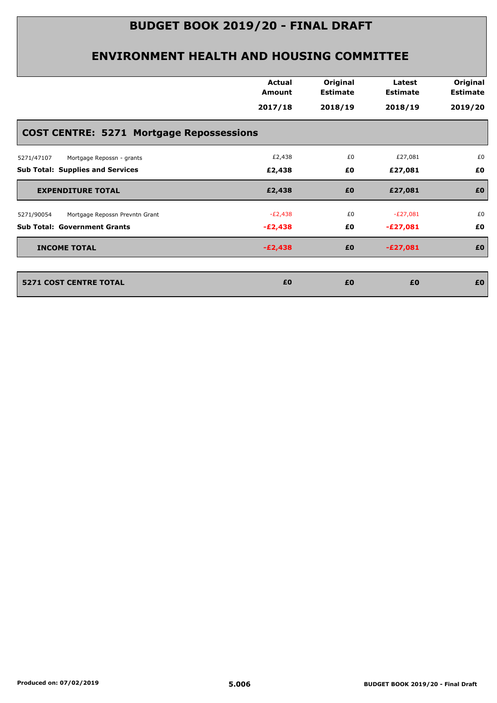|                                                 | <b>Actual</b><br>Amount | Original<br><b>Estimate</b> | Latest<br><b>Estimate</b> | Original<br><b>Estimate</b> |
|-------------------------------------------------|-------------------------|-----------------------------|---------------------------|-----------------------------|
|                                                 | 2017/18                 | 2018/19                     | 2018/19                   | 2019/20                     |
| <b>COST CENTRE: 5271 Mortgage Repossessions</b> |                         |                             |                           |                             |
| 5271/47107<br>Mortgage Repossn - grants         | £2,438                  | £0                          | £27,081                   | £0                          |
| <b>Sub Total: Supplies and Services</b>         | £2,438                  | £0                          | £27,081                   | £0                          |
| <b>EXPENDITURE TOTAL</b>                        | £2,438                  | £0                          | £27,081                   | £0                          |
| Mortgage Repossn Prevntn Grant<br>5271/90054    | $-E2,438$               | £0                          | $-E27,081$                | £0                          |
| <b>Sub Total: Government Grants</b>             | $-E2,438$               | £0                          | -£27,081                  | £0                          |
| <b>INCOME TOTAL</b>                             | $-E2,438$               | £0                          | $-E27,081$                | £0                          |
| <b>5271 COST CENTRE TOTAL</b>                   | £0                      | £0                          | £0                        | £0                          |
|                                                 |                         |                             |                           |                             |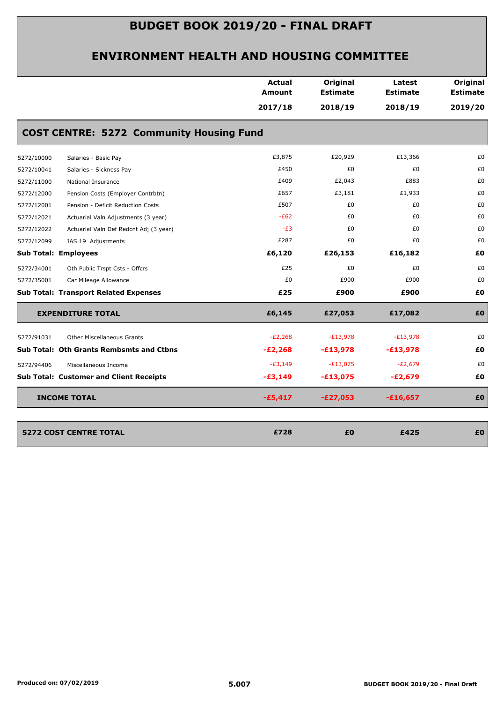|            |                                                 | <b>Actual</b><br><b>Amount</b> | Original<br><b>Estimate</b> | Latest<br><b>Estimate</b> | Original<br><b>Estimate</b> |
|------------|-------------------------------------------------|--------------------------------|-----------------------------|---------------------------|-----------------------------|
|            |                                                 | 2017/18                        | 2018/19                     | 2018/19                   | 2019/20                     |
|            | <b>COST CENTRE: 5272 Community Housing Fund</b> |                                |                             |                           |                             |
| 5272/10000 | Salaries - Basic Pay                            | £3,875                         | £20,929                     | £13,366                   | £0                          |
| 5272/10041 | Salaries - Sickness Pay                         | £450                           | £0                          | £0                        | £0                          |
| 5272/11000 | National Insurance                              | £409                           | £2,043                      | £883                      | £0                          |
| 5272/12000 | Pension Costs (Employer Contrbtn)               | £657                           | £3,181                      | £1,933                    | £0                          |
| 5272/12001 | Pension - Deficit Reduction Costs               | £507                           | £0                          | £0                        | £0                          |
| 5272/12021 | Actuarial Valn Adjustments (3 year)             | $-E62$                         | £0                          | £0                        | £0                          |
| 5272/12022 | Actuarial Valn Def Redcnt Adj (3 year)          | $-E3$                          | £0                          | £0                        | £0                          |
| 5272/12099 | IAS 19 Adjustments                              | £287                           | £0                          | £0                        | £0                          |
|            | <b>Sub Total: Employees</b>                     | £6,120                         | £26,153                     | £16,182                   | £0                          |
| 5272/34001 | Oth Public Trspt Csts - Offcrs                  | £25                            | £0                          | £0                        | £0                          |
| 5272/35001 | Car Mileage Allowance                           | £0                             | £900                        | £900                      | £0                          |
|            | <b>Sub Total: Transport Related Expenses</b>    | £25                            | £900                        | £900                      | £0                          |
|            | <b>EXPENDITURE TOTAL</b>                        | £6,145                         | £27,053                     | £17,082                   | £Ο                          |
| 5272/91031 | <b>Other Miscellaneous Grants</b>               | $-E2,268$                      | $-E13,978$                  | $-E13,978$                | £0                          |
|            | <b>Sub Total: Oth Grants Rembsmts and Ctbns</b> | $-E2,268$                      | $-£13,978$                  | $-£13,978$                | £0                          |
| 5272/94406 | Miscellaneous Income                            | $-E3,149$                      | $-E13,075$                  | $-E2,679$                 | £0                          |
|            | <b>Sub Total: Customer and Client Receipts</b>  | $-£3,149$                      | $-£13,075$                  | $-E2,679$                 | £0                          |
|            | <b>INCOME TOTAL</b>                             | $-£5,417$                      | $-E27,053$                  | $-£16,657$                | £O                          |
|            |                                                 |                                |                             |                           |                             |
|            | <b>5272 COST CENTRE TOTAL</b>                   | £728                           | £0                          | £425                      | £0                          |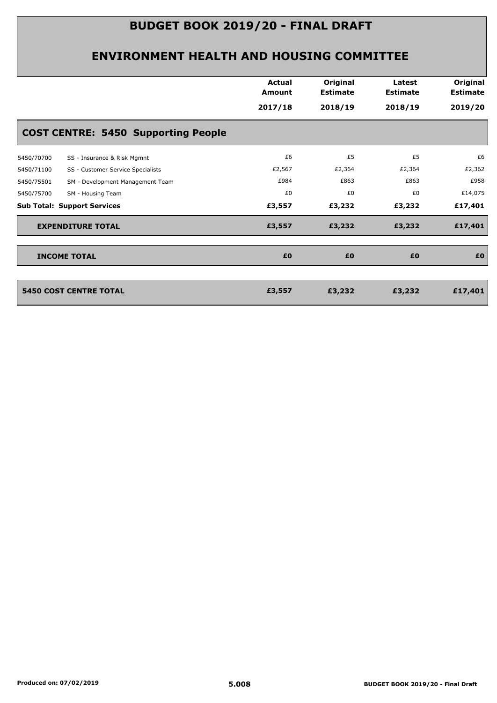|                                                 | <b>Actual</b><br>Amount<br>2017/18 | Original<br><b>Estimate</b><br>2018/19 | Latest<br><b>Estimate</b><br>2018/19 | Original<br><b>Estimate</b><br>2019/20 |
|-------------------------------------------------|------------------------------------|----------------------------------------|--------------------------------------|----------------------------------------|
| <b>COST CENTRE: 5450 Supporting People</b>      |                                    |                                        |                                      |                                        |
| 5450/70700<br>SS - Insurance & Risk Mgmnt       | £6                                 | £5                                     | £5                                   | £6                                     |
| 5450/71100<br>SS - Customer Service Specialists | £2,567                             | £2,364                                 | £2,364                               | £2,362                                 |
| SM - Development Management Team<br>5450/75501  | £984                               | £863                                   | £863                                 | £958                                   |
| SM - Housing Team<br>5450/75700                 | £0                                 | £0                                     | £0                                   | £14,075                                |
| <b>Sub Total: Support Services</b>              | £3,557                             | £3,232                                 | £3,232                               | £17,401                                |
| <b>EXPENDITURE TOTAL</b>                        | £3,557                             | £3,232                                 | £3,232                               | £17,401                                |
| <b>INCOME TOTAL</b>                             | £0                                 | £0                                     | £0                                   | £0                                     |
| <b>5450 COST CENTRE TOTAL</b>                   | £3,557                             | £3,232                                 | £3,232                               | £17,401                                |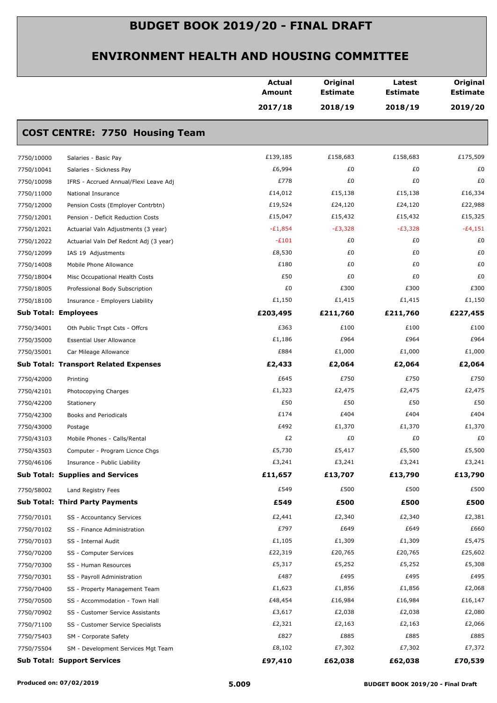|            |                                              | <b>Actual</b><br><b>Amount</b> | Original<br><b>Estimate</b> | Latest<br><b>Estimate</b> | Original<br><b>Estimate</b> |
|------------|----------------------------------------------|--------------------------------|-----------------------------|---------------------------|-----------------------------|
|            |                                              | 2017/18                        | 2018/19                     | 2018/19                   | 2019/20                     |
|            | <b>COST CENTRE: 7750 Housing Team</b>        |                                |                             |                           |                             |
| 7750/10000 | Salaries - Basic Pay                         | £139,185                       | £158,683                    | £158,683                  | £175,509                    |
| 7750/10041 | Salaries - Sickness Pay                      | £6,994                         | £0                          | £0                        | £0                          |
| 7750/10098 | IFRS - Accrued Annual/Flexi Leave Adj        | £778                           | £0                          | £0                        | £0                          |
| 7750/11000 | National Insurance                           | £14,012                        | £15,138                     | £15,138                   | £16,334                     |
| 7750/12000 | Pension Costs (Employer Contrbtn)            | £19,524                        | £24,120                     | £24,120                   | £22,988                     |
| 7750/12001 | Pension - Deficit Reduction Costs            | £15,047                        | £15,432                     | £15,432                   | £15,325                     |
| 7750/12021 | Actuarial Valn Adjustments (3 year)          | $-E1,854$                      | $-E3,328$                   | $-E3,328$                 | $-E4,151$                   |
| 7750/12022 | Actuarial Valn Def Redcnt Adj (3 year)       | $-E101$                        | £0                          | £0                        | £0                          |
| 7750/12099 | IAS 19 Adjustments                           | £8,530                         | £0                          | £0                        | £0                          |
| 7750/14008 | Mobile Phone Allowance                       | £180                           | £0                          | £0                        | £0                          |
| 7750/18004 | Misc Occupational Health Costs               | £50                            | £0                          | £0                        | £0                          |
| 7750/18005 | Professional Body Subscription               | £0                             | £300                        | £300                      | £300                        |
| 7750/18100 | Insurance - Employers Liability              | £1,150                         | £1,415                      | £1,415                    | £1,150                      |
|            | <b>Sub Total: Employees</b>                  | £203,495                       | £211,760                    | £211,760                  | £227,455                    |
| 7750/34001 | Oth Public Trspt Csts - Offcrs               | £363                           | £100                        | £100                      | £100                        |
| 7750/35000 | <b>Essential User Allowance</b>              | £1,186                         | £964                        | £964                      | £964                        |
| 7750/35001 | Car Mileage Allowance                        | £884                           | £1,000                      | £1,000                    | £1,000                      |
|            | <b>Sub Total: Transport Related Expenses</b> | £2,433                         | £2,064                      | £2,064                    | £2,064                      |
| 7750/42000 | Printing                                     | £645                           | £750                        | £750                      | £750                        |
| 7750/42101 | Photocopying Charges                         | £1,323                         | £2,475                      | £2,475                    | £2,475                      |
| 7750/42200 | Stationery                                   | £50                            | £50                         | £50                       | £50                         |
| 7750/42300 | Books and Periodicals                        | £174                           | £404                        | £404                      | £404                        |
| 7750/43000 | Postage                                      | £492                           | £1,370                      | £1,370                    | £1,370                      |
| 7750/43103 | Mobile Phones - Calls/Rental                 | £2                             | £0                          | £0                        | £0                          |
| 7750/43503 | Computer - Program Licnce Chgs               | £5,730                         | £5,417                      | £5,500                    | £5,500                      |
| 7750/46106 | Insurance - Public Liability                 | £3,241                         | £3,241                      | £3,241                    | £3,241                      |
|            | <b>Sub Total: Supplies and Services</b>      | £11,657                        | £13,707                     | £13,790                   | £13,790                     |
| 7750/58002 | Land Registry Fees                           | £549                           | £500                        | £500                      | £500                        |
|            | <b>Sub Total: Third Party Payments</b>       | £549                           | £500                        | £500                      | £500                        |
| 7750/70101 | SS - Accountancy Services                    | £2,441                         | £2,340                      | £2,340                    | £2,381                      |
| 7750/70102 | SS - Finance Administration                  | £797                           | £649                        | £649                      | £660                        |
| 7750/70103 | SS - Internal Audit                          | £1,105                         | £1,309                      | £1,309                    | £5,475                      |
| 7750/70200 | SS - Computer Services                       | £22,319                        | £20,765                     | £20,765                   | £25,602                     |
| 7750/70300 | SS - Human Resources                         | £5,317                         | £5,252                      | £5,252                    | £5,308                      |
| 7750/70301 | SS - Payroll Administration                  | £487                           | £495                        | £495                      | £495                        |
| 7750/70400 | SS - Property Management Team                | £1,623                         | £1,856                      | £1,856                    | £2,068                      |
| 7750/70500 | SS - Accommodation - Town Hall               | £48,454                        | £16,984                     | £16,984                   | £16,147                     |
| 7750/70902 | SS - Customer Service Assistants             | £3,617                         | £2,038                      | £2,038                    | £2,080                      |
| 7750/71100 | SS - Customer Service Specialists            | £2,321                         | £2,163                      | £2,163                    | £2,066                      |
| 7750/75403 | SM - Corporate Safety                        | £827                           | £885                        | £885                      | £885                        |
| 7750/75504 | SM - Development Services Mgt Team           | £8,102                         | £7,302                      | £7,302                    | £7,372                      |
|            | <b>Sub Total: Support Services</b>           | £97,410                        | £62,038                     | £62,038                   | £70,539                     |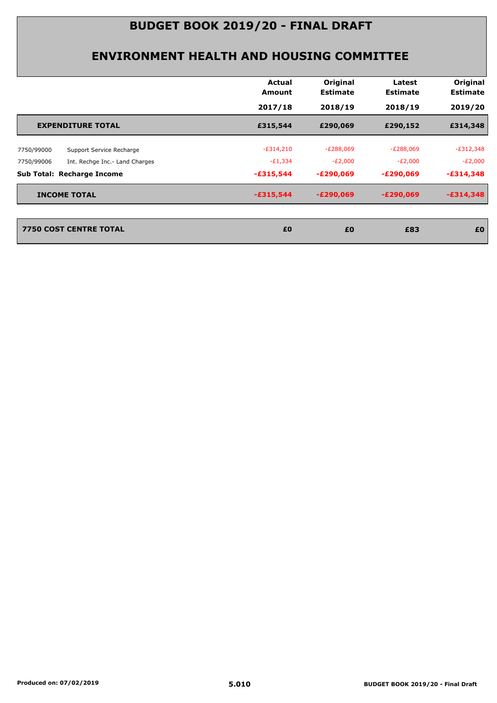|                                              | Actual<br>Amount | Original<br><b>Estimate</b> | Latest<br><b>Estimate</b> | Original<br><b>Estimate</b> |
|----------------------------------------------|------------------|-----------------------------|---------------------------|-----------------------------|
|                                              | 2017/18          | 2018/19                     | 2018/19                   | 2019/20                     |
| <b>EXPENDITURE TOTAL</b>                     | £315,544         | £290,069                    | £290,152                  | £314,348                    |
| Support Service Recharge<br>7750/99000       | $-E314,210$      | $-E288,069$                 | $-E288,069$               | $-E312,348$                 |
| 7750/99006<br>Int. Rechge Inc.- Land Charges | $-E1,334$        | $-E2,000$                   | $-E2,000$                 | $-E2,000$                   |
| <b>Sub Total: Recharge Income</b>            | $-£315,544$      | $-E290,069$                 | $-E290,069$               | $-£314,348$                 |
| <b>INCOME TOTAL</b>                          | $-£315,544$      | $-E290,069$                 | $-E290,069$               | $-£314,348$                 |
| 7750 COST CENTRE TOTAL                       | £0               | £0                          | £83                       | £0                          |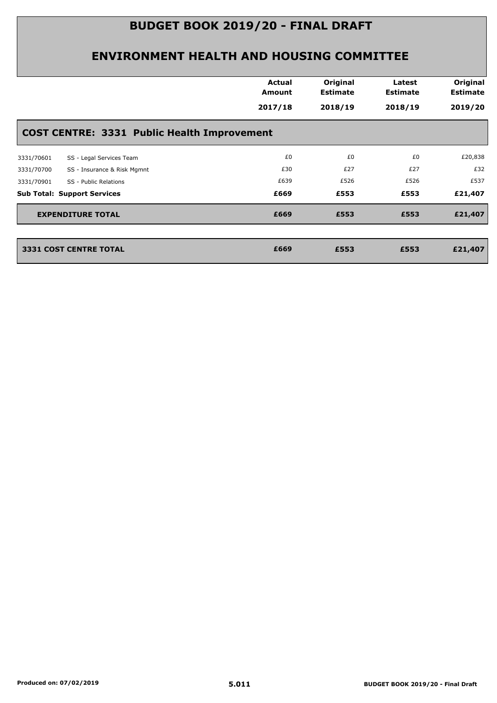|                                                    | <b>Actual</b><br>Amount | Original<br><b>Estimate</b> | Latest<br><b>Estimate</b> | Original<br><b>Estimate</b> |
|----------------------------------------------------|-------------------------|-----------------------------|---------------------------|-----------------------------|
|                                                    | 2017/18                 | 2018/19                     | 2018/19                   | 2019/20                     |
| <b>COST CENTRE: 3331 Public Health Improvement</b> |                         |                             |                           |                             |
| SS - Legal Services Team<br>3331/70601             | £0                      | £0                          | £0                        | £20,838                     |
| SS - Insurance & Risk Mgmnt<br>3331/70700          | £30                     | £27                         | £27                       | £32                         |
| SS - Public Relations<br>3331/70901                | £639                    | £526                        | £526                      | £537                        |
| <b>Sub Total: Support Services</b>                 | £669                    | £553                        | £553                      | £21,407                     |
| <b>EXPENDITURE TOTAL</b>                           | £669                    | £553                        | £553                      | £21,407                     |
|                                                    |                         |                             |                           |                             |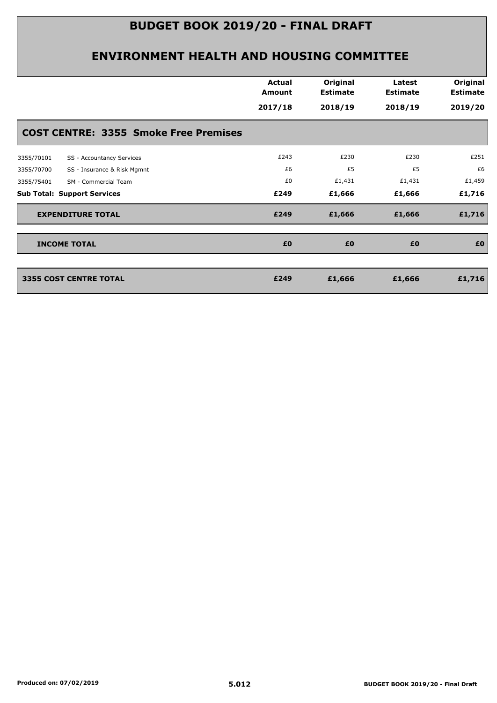|                                              | <b>Actual</b><br><b>Amount</b> | Original<br><b>Estimate</b> | Latest<br><b>Estimate</b> | Original<br><b>Estimate</b> |
|----------------------------------------------|--------------------------------|-----------------------------|---------------------------|-----------------------------|
|                                              | 2017/18                        | 2018/19                     | 2018/19                   | 2019/20                     |
| <b>COST CENTRE: 3355 Smoke Free Premises</b> |                                |                             |                           |                             |
| SS - Accountancy Services<br>3355/70101      | £243                           | £230                        | £230                      | £251                        |
| SS - Insurance & Risk Mgmnt<br>3355/70700    | £6                             | £5                          | £5                        | £6                          |
| SM - Commercial Team<br>3355/75401           | £0                             | £1,431                      | £1,431                    | £1,459                      |
| <b>Sub Total: Support Services</b>           | £249                           | £1,666                      | £1,666                    | £1,716                      |
| <b>EXPENDITURE TOTAL</b>                     | £249                           | £1,666                      | £1,666                    | £1,716                      |
| <b>INCOME TOTAL</b>                          | £0                             | £0                          | £0                        | £0                          |
| 3355 COST CENTRE TOTAL                       | £249                           | £1,666                      | £1,666                    | £1,716                      |
|                                              |                                |                             |                           |                             |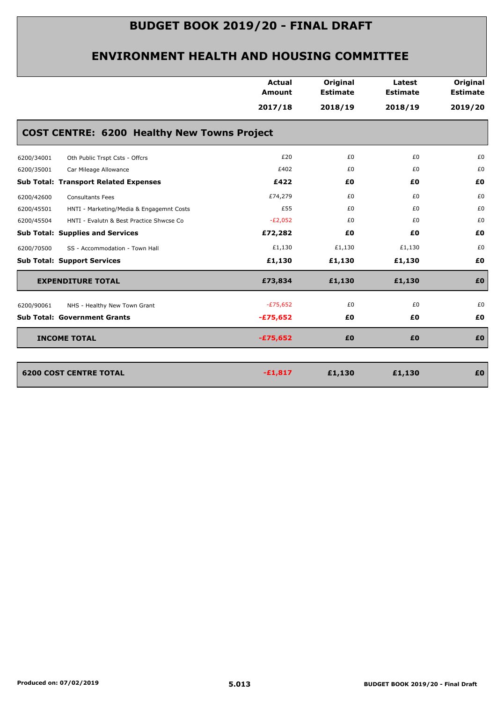|                                              |                                                    | <b>Actual</b><br><b>Amount</b> | Original<br><b>Estimate</b> | Latest<br><b>Estimate</b> | Original<br><b>Estimate</b> |
|----------------------------------------------|----------------------------------------------------|--------------------------------|-----------------------------|---------------------------|-----------------------------|
|                                              |                                                    | 2017/18                        | 2018/19                     | 2018/19                   | 2019/20                     |
|                                              | <b>COST CENTRE: 6200 Healthy New Towns Project</b> |                                |                             |                           |                             |
| 6200/34001                                   | Oth Public Trspt Csts - Offcrs                     | £20                            | £0                          | £0                        | £0                          |
| 6200/35001<br>Car Mileage Allowance          |                                                    | £402                           | £0                          | £0                        | £0                          |
| <b>Sub Total: Transport Related Expenses</b> |                                                    | £422                           | £0                          | £0                        | £0                          |
| 6200/42600<br><b>Consultants Fees</b>        |                                                    | £74,279                        | £0                          | £0                        | £0                          |
| 6200/45501                                   | HNTI - Marketing/Media & Engagemnt Costs           | £55                            | £0                          | £0                        | £0                          |
| 6200/45504                                   | HNTI - Evalutn & Best Practice Shwcse Co           | $-E2,052$                      | £0                          | £0                        | £0                          |
| <b>Sub Total: Supplies and Services</b>      |                                                    | £72,282                        | £0                          | £0                        | £0                          |
| 6200/70500                                   | SS - Accommodation - Town Hall                     | £1,130                         | £1,130                      | £1,130                    | £0                          |
| <b>Sub Total: Support Services</b>           |                                                    | £1,130                         | £1,130                      | £1,130                    | £0                          |
| <b>EXPENDITURE TOTAL</b>                     |                                                    | £73,834                        | £1,130                      | £1,130                    | £0                          |
| 6200/90061                                   | NHS - Healthy New Town Grant                       | $-E75,652$                     | £0                          | £0                        | £0                          |
| <b>Sub Total: Government Grants</b>          |                                                    | $-£75,652$                     | £Ο                          | £Ο                        | £0                          |
| <b>INCOME TOTAL</b>                          |                                                    | $-£75,652$                     | £0                          | £0                        | £0                          |
|                                              |                                                    |                                |                             |                           |                             |
| <b>6200 COST CENTRE TOTAL</b>                |                                                    | $-£1,817$                      | £1,130                      | £1,130                    | £0                          |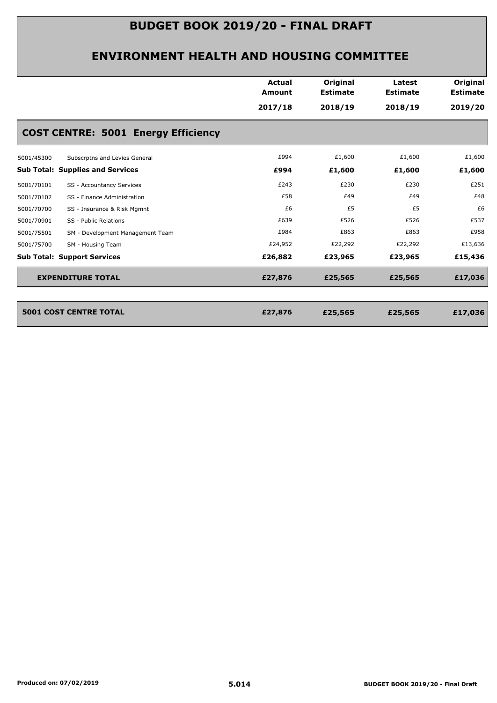|            |                                            | <b>Actual</b><br><b>Amount</b> | Original<br><b>Estimate</b> | Latest<br><b>Estimate</b> | Original<br><b>Estimate</b> |
|------------|--------------------------------------------|--------------------------------|-----------------------------|---------------------------|-----------------------------|
|            |                                            | 2017/18                        | 2018/19                     | 2018/19                   | 2019/20                     |
|            | <b>COST CENTRE: 5001 Energy Efficiency</b> |                                |                             |                           |                             |
| 5001/45300 | Subscrptns and Levies General              | £994                           | £1,600                      | £1,600                    | £1,600                      |
|            | <b>Sub Total: Supplies and Services</b>    | £994                           | £1,600                      | £1,600                    | £1,600                      |
| 5001/70101 | SS - Accountancy Services                  | £243                           | £230                        | £230                      | £251                        |
| 5001/70102 | SS - Finance Administration                | £58                            | £49                         | £49                       | £48                         |
| 5001/70700 | SS - Insurance & Risk Mgmnt                | £6                             | £5                          | £5                        | £6                          |
| 5001/70901 | SS - Public Relations                      | £639                           | £526                        | £526                      | £537                        |
| 5001/75501 | SM - Development Management Team           | £984                           | £863                        | £863                      | £958                        |
| 5001/75700 | SM - Housing Team                          | £24,952                        | £22,292                     | £22,292                   | £13,636                     |
|            | <b>Sub Total: Support Services</b>         | £26,882                        | £23,965                     | £23,965                   | £15,436                     |
|            | <b>EXPENDITURE TOTAL</b>                   | £27,876                        | £25,565                     | £25,565                   | £17,036                     |
|            |                                            |                                |                             |                           |                             |
|            |                                            |                                |                             |                           |                             |

| 5001 COST CENTRE TOTAL | £27,876 | £25,565 | £25,565 | £17,036 |
|------------------------|---------|---------|---------|---------|
|                        |         |         |         |         |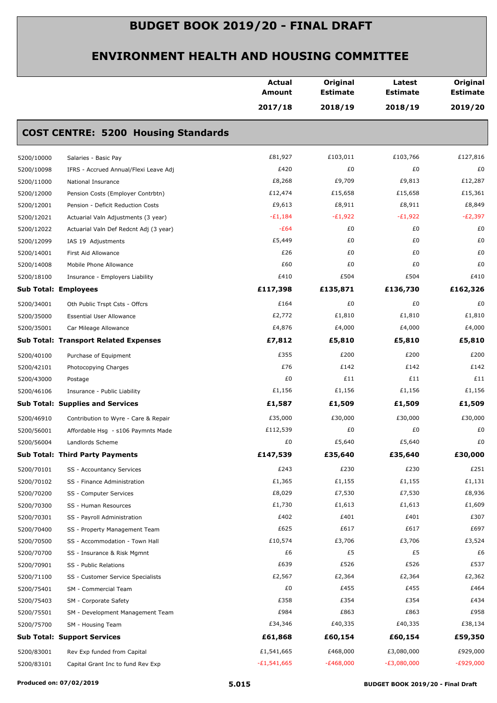|                      |                                              | Actual<br><b>Amount</b> | Original<br><b>Estimate</b> | Latest<br><b>Estimate</b> | Original<br><b>Estimate</b> |
|----------------------|----------------------------------------------|-------------------------|-----------------------------|---------------------------|-----------------------------|
|                      |                                              | 2017/18                 | 2018/19                     | 2018/19                   | 2019/20                     |
|                      | <b>COST CENTRE: 5200 Housing Standards</b>   |                         |                             |                           |                             |
| 5200/10000           | Salaries - Basic Pay                         | £81,927                 | £103,011                    | £103,766                  | £127,816                    |
| 5200/10098           | IFRS - Accrued Annual/Flexi Leave Adj        | £420                    | £0                          | £0                        | £0                          |
| 5200/11000           | National Insurance                           | £8,268                  | £9,709                      | £9,813                    | £12,287                     |
| 5200/12000           | Pension Costs (Employer Contrbtn)            | £12,474                 | £15,658                     | £15,658                   | £15,361                     |
| 5200/12001           | Pension - Deficit Reduction Costs            | £9,613                  | £8,911                      | £8,911                    | £8,849                      |
| 5200/12021           | Actuarial Valn Adjustments (3 year)          | $-E1,184$               | $-E1,922$                   | $-E1,922$                 | $-E2,397$                   |
| 5200/12022           | Actuarial Valn Def Redcnt Adj (3 year)       | $-E64$                  | £0                          | £0                        | £0                          |
| 5200/12099           | IAS 19 Adjustments                           | £5,449                  | £0                          | £0                        | £0                          |
| 5200/14001           | First Aid Allowance                          | £26                     | £0                          | £0                        | £0                          |
| 5200/14008           | Mobile Phone Allowance                       | £60                     | £0                          | £0                        | £0                          |
| 5200/18100           | Insurance - Employers Liability              | £410                    | £504                        | £504                      | £410                        |
| Sub Total: Employees |                                              | £117,398                | £135,871                    | £136,730                  | £162,326                    |
| 5200/34001           | Oth Public Trspt Csts - Offcrs               | £164                    | £0                          | £0                        | £0                          |
| 5200/35000           | <b>Essential User Allowance</b>              | £2,772                  | £1,810                      | £1,810                    | £1,810                      |
| 5200/35001           | Car Mileage Allowance                        | £4,876                  | £4,000                      | £4,000                    | £4,000                      |
|                      | <b>Sub Total: Transport Related Expenses</b> | £7,812                  | £5,810                      | £5,810                    | £5,810                      |
| 5200/40100           | Purchase of Equipment                        | £355                    | £200                        | £200                      | £200                        |
| 5200/42101           | Photocopying Charges                         | £76                     | £142                        | £142                      | £142                        |
| 5200/43000           | Postage                                      | £0                      | £11                         | £11                       | £11                         |
| 5200/46106           | Insurance - Public Liability                 | £1,156                  | £1,156                      | £1,156                    | £1,156                      |
|                      | <b>Sub Total: Supplies and Services</b>      | £1,587                  | £1,509                      | £1,509                    | £1,509                      |
| 5200/46910           | Contribution to Wyre - Care & Repair         | £35,000                 | £30,000                     | £30,000                   | £30,000                     |
| 5200/56001           | Affordable Hsg - s106 Paymnts Made           | £112,539                | £0                          | £0                        | £0                          |
| 5200/56004           | Landlords Scheme                             | £0                      | £5,640                      | £5,640                    | £0                          |
|                      | <b>Sub Total: Third Party Payments</b>       | £147,539                | £35,640                     | £35,640                   | £30,000                     |
| 5200/70101           | SS - Accountancy Services                    | £243                    | £230                        | £230                      | £251                        |
| 5200/70102           | SS - Finance Administration                  | £1,365                  | £1,155                      | £1,155                    | £1,131                      |
| 5200/70200           | SS - Computer Services                       | £8,029                  | £7,530                      | £7,530                    | £8,936                      |
| 5200/70300           | SS - Human Resources                         | £1,730                  | £1,613                      | £1,613                    | £1,609                      |
| 5200/70301           | SS - Payroll Administration                  | £402                    | £401                        | £401                      | £307                        |
| 5200/70400           | SS - Property Management Team                | £625                    | £617                        | £617                      | £697                        |
| 5200/70500           | SS - Accommodation - Town Hall               | £10,574                 | £3,706                      | £3,706                    | £3,524                      |
| 5200/70700           | SS - Insurance & Risk Mgmnt                  | £6                      | £5                          | £5                        | £6                          |
| 5200/70901           | SS - Public Relations                        | £639                    | £526                        | £526                      | £537                        |
| 5200/71100           | SS - Customer Service Specialists            | £2,567                  | £2,364                      | £2,364                    | £2,362                      |
| 5200/75401           | SM - Commercial Team                         | £0                      | £455                        | £455                      | £464                        |
| 5200/75403           | SM - Corporate Safety                        | £358                    | £354                        | £354                      | £434                        |
| 5200/75501           | SM - Development Management Team             | £984                    | £863                        | £863                      | £958                        |
| 5200/75700           | SM - Housing Team                            | £34,346                 | £40,335                     | £40,335                   | £38,134                     |
|                      | <b>Sub Total: Support Services</b>           | £61,868                 | £60,154                     | £60,154                   | £59,350                     |
| 5200/83001           | Rev Exp funded from Capital                  | £1,541,665              | £468,000                    | £3,080,000                | £929,000                    |
| 5200/83101           | Capital Grant Inc to fund Rev Exp            | $-£1,541,665$           | $-E468,000$                 | $-E3,080,000$             | $-E929,000$                 |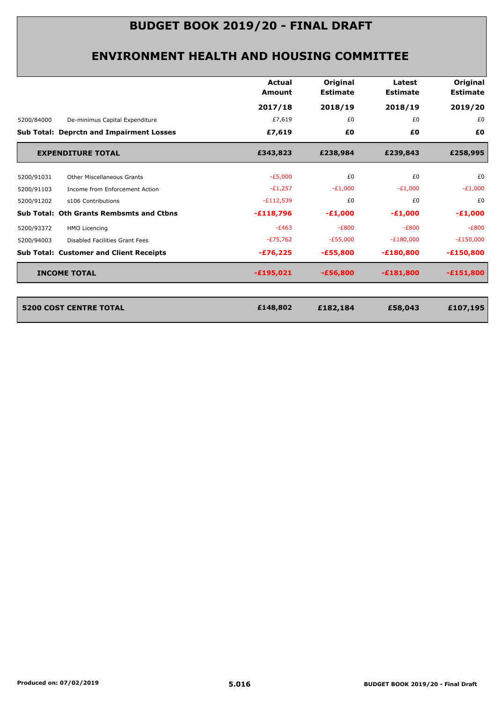|            |                                                 | Actual<br>Amount | Original<br><b>Estimate</b> | Latest<br><b>Estimate</b> | Original<br><b>Estimate</b> |
|------------|-------------------------------------------------|------------------|-----------------------------|---------------------------|-----------------------------|
|            |                                                 | 2017/18          | 2018/19                     | 2018/19                   | 2019/20                     |
| 5200/84000 | De-minimus Capital Expenditure                  | £7,619           | £0                          | £0                        | £0                          |
|            | <b>Sub Total: Deprctn and Impairment Losses</b> | £7,619           | £0                          | £0                        | £0                          |
|            | <b>EXPENDITURE TOTAL</b>                        | £343,823         | £238,984                    | £239,843                  | £258,995                    |
| 5200/91031 | <b>Other Miscellaneous Grants</b>               | $-E5,000$        | £0                          | £0                        | £0                          |
| 5200/91103 | Income from Enforcement Action                  | $-E1,257$        | $-E1,000$                   | $-E1,000$                 | $-E1,000$                   |
| 5200/91202 | s106 Contributions                              | $-E112,539$      | £0                          | £0                        | £0                          |
|            | <b>Sub Total: Oth Grants Rembsmts and Ctbns</b> | $-£118,796$      | $-E1,000$                   | $-E1,000$                 | $-£1,000$                   |
| 5200/93372 | <b>HMO Licencing</b>                            | $-E463$          | $-E800$                     | $-E800$                   | $-E800$                     |
| 5200/94003 | Disabled Facilities Grant Fees                  | $-E75,762$       | $-E55,000$                  | $-E180,000$               | $-E150,000$                 |
|            | <b>Sub Total: Customer and Client Receipts</b>  | $-£76,225$       | $-£55,800$                  | $-£180,800$               | $-£150,800$                 |
|            | <b>INCOME TOTAL</b>                             | $-£195,021$      | $-£56,800$                  | $-£181,800$               | $-£151,800$                 |

| 5200 COST CENTRE TOTAL | £148,802 | £182,184 | £58,043 | £107,195 |
|------------------------|----------|----------|---------|----------|
|                        |          |          |         |          |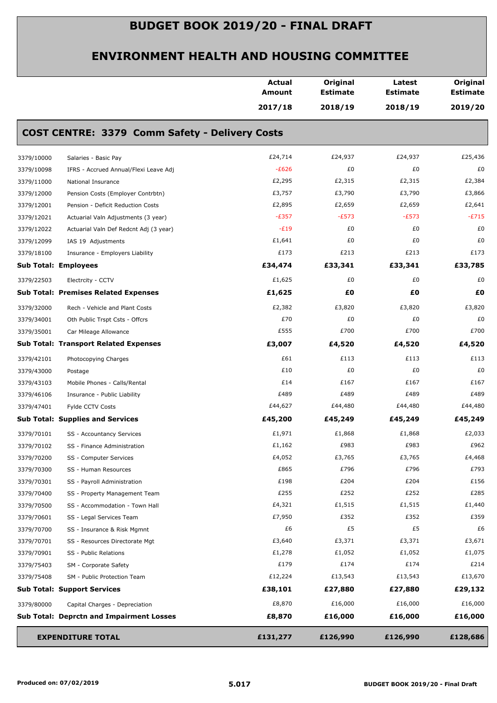|                                                      | <b>Actual</b><br><b>Amount</b> | Original<br><b>Estimate</b> | Latest<br><b>Estimate</b> | Original<br><b>Estimate</b> |
|------------------------------------------------------|--------------------------------|-----------------------------|---------------------------|-----------------------------|
|                                                      | 2017/18                        | 2018/19                     | 2018/19                   | 2019/20                     |
| COST CENTRE: 3379 Comm Safety - Delivery Costs       |                                |                             |                           |                             |
| 3379/10000<br>Salaries - Basic Pay                   | £24,714                        | £24,937                     | £24,937                   | £25,436                     |
| 3379/10098<br>IFRS - Accrued Annual/Flexi Leave Adj  | $-E626$                        | £0                          | £0                        | £0                          |
| 3379/11000<br>National Insurance                     | £2,295                         | £2,315                      | £2,315                    | £2,384                      |
| 3379/12000<br>Pension Costs (Employer Contrbtn)      | £3,757                         | £3,790                      | £3,790                    | £3,866                      |
| 3379/12001<br>Pension - Deficit Reduction Costs      | £2,895                         | £2,659                      | £2,659                    | £2,641                      |
| 3379/12021<br>Actuarial Valn Adjustments (3 year)    | $-E357$                        | $-E573$                     | $-E573$                   | $-E715$                     |
| 3379/12022<br>Actuarial Valn Def Redcnt Adj (3 year) | $-E19$                         | £0                          | £0                        | £0                          |
| 3379/12099<br>IAS 19 Adjustments                     | £1,641                         | £0                          | £0                        | £0                          |
| 3379/18100<br>Insurance - Employers Liability        | £173                           | £213                        | £213                      | £173                        |
| <b>Sub Total: Employees</b>                          | £34,474                        | £33,341                     | £33,341                   | £33,785                     |
| 3379/22503<br>Electrcity - CCTV                      | £1,625                         | £0                          | £0                        | £0                          |
| <b>Sub Total: Premises Related Expenses</b>          | £1,625                         | £O                          | £0                        | £0                          |
| 3379/32000<br>Rech - Vehicle and Plant Costs         | £2,382                         | £3,820                      | £3,820                    | £3,820                      |
| 3379/34001<br>Oth Public Trspt Csts - Offcrs         | £70                            | £0                          | £0                        | £0                          |
| 3379/35001<br>Car Mileage Allowance                  | £555                           | £700                        | £700                      | £700                        |
| <b>Sub Total: Transport Related Expenses</b>         | £3,007                         | £4,520                      | £4,520                    | £4,520                      |
| 3379/42101<br>Photocopying Charges                   | £61                            | £113                        | £113                      | £113                        |
| 3379/43000<br>Postage                                | £10                            | £0                          | £0                        | £0                          |
| 3379/43103<br>Mobile Phones - Calls/Rental           | £14                            | £167                        | £167                      | £167                        |
| 3379/46106<br>Insurance - Public Liability           | £489                           | £489                        | £489                      | £489                        |
| 3379/47401<br>Fylde CCTV Costs                       | £44,627                        | £44,480                     | £44,480                   | £44,480                     |
| <b>Sub Total: Supplies and Services</b>              | £45,200                        | £45,249                     | £45,249                   | £45,249                     |
| 3379/70101<br>SS - Accountancy Services              | £1,971                         | £1,868                      | £1,868                    | £2,033                      |
| 3379/70102<br>SS - Finance Administration            | £1,162                         | £983                        | £983                      | £962                        |
| 3379/70200<br>SS - Computer Services                 | £4,052                         | £3,765                      | £3,765                    | £4,468                      |
| 3379/70300<br>SS - Human Resources                   | £865                           | £796                        | £796                      | £793                        |
| 3379/70301<br>SS - Payroll Administration            | £198                           | £204                        | £204                      | £156                        |
| 3379/70400<br>SS - Property Management Team          | £255                           | £252                        | £252                      | £285                        |
| 3379/70500<br>SS - Accommodation - Town Hall         | £4,321                         | £1,515                      | £1,515                    | £1,440                      |
| 3379/70601<br>SS - Legal Services Team               | £7,950                         | £352                        | £352                      | £359                        |
| 3379/70700<br>SS - Insurance & Risk Mgmnt            | £6                             | £5                          | £5                        | £6                          |
| 3379/70701<br>SS - Resources Directorate Mgt         | £3,640                         | £3,371                      | £3,371                    | £3,671                      |
| 3379/70901<br>SS - Public Relations                  | £1,278                         | £1,052                      | £1,052                    | £1,075                      |
| 3379/75403<br>SM - Corporate Safety                  | £179                           | £174                        | £174                      | £214                        |
| 3379/75408<br>SM - Public Protection Team            | £12,224                        | £13,543                     | £13,543                   | £13,670                     |
| <b>Sub Total: Support Services</b>                   | £38,101                        | £27,880                     | £27,880                   | £29,132                     |
| 3379/80000<br>Capital Charges - Depreciation         | £8,870                         | £16,000                     | £16,000                   | £16,000                     |
| <b>Sub Total: Deprctn and Impairment Losses</b>      | £8,870                         | £16,000                     | £16,000                   | £16,000                     |
| <b>EXPENDITURE TOTAL</b>                             |                                |                             |                           |                             |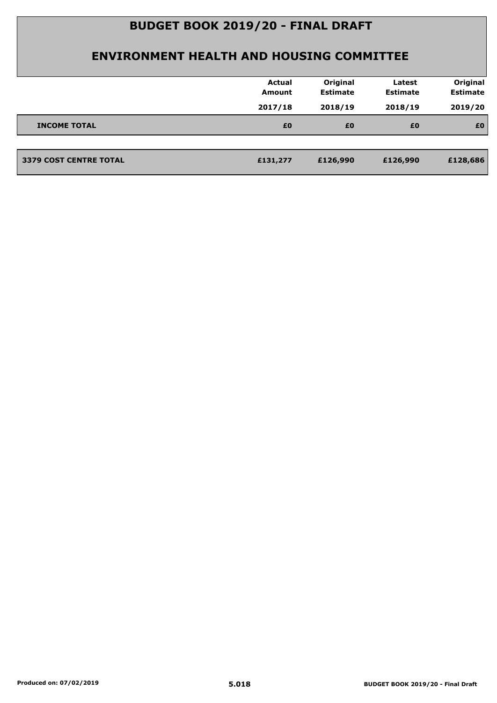|                               | <b>Actual</b><br>Amount | Original<br><b>Estimate</b> | Latest<br><b>Estimate</b> | Original<br><b>Estimate</b> |
|-------------------------------|-------------------------|-----------------------------|---------------------------|-----------------------------|
|                               | 2017/18                 | 2018/19                     | 2018/19                   | 2019/20                     |
| <b>INCOME TOTAL</b>           | £0                      | £0                          | £0                        | £0                          |
|                               |                         |                             |                           |                             |
| <b>3379 COST CENTRE TOTAL</b> | £131,277                | £126,990                    | £126,990                  | £128,686                    |
|                               |                         |                             |                           |                             |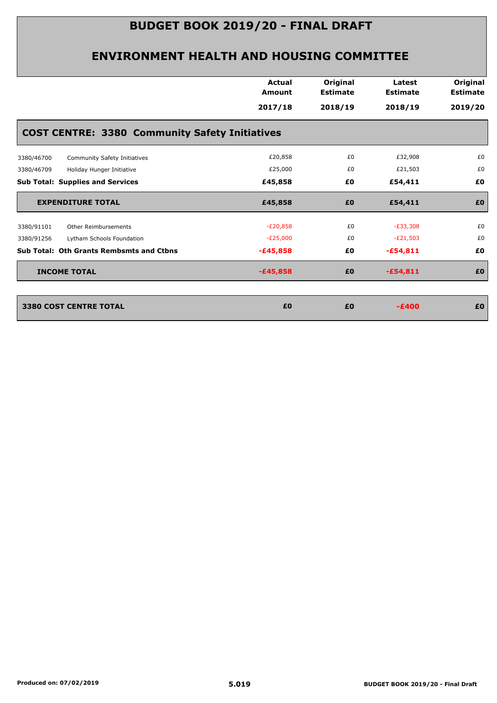|                                                       | <b>Actual</b><br><b>Amount</b> | Original<br><b>Estimate</b> | Latest<br><b>Estimate</b> | Original<br><b>Estimate</b> |
|-------------------------------------------------------|--------------------------------|-----------------------------|---------------------------|-----------------------------|
|                                                       | 2017/18                        | 2018/19                     | 2018/19                   | 2019/20                     |
| <b>COST CENTRE: 3380 Community Safety Initiatives</b> |                                |                             |                           |                             |
| Community Safety Initiatives<br>3380/46700            | £20,858                        | £0                          | £32,908                   | £0                          |
| 3380/46709<br>Holiday Hunger Initiative               | £25,000                        | £0                          | £21,503                   | £0                          |
| <b>Sub Total: Supplies and Services</b>               | £45,858                        | £0                          | £54,411                   | £0                          |
| <b>EXPENDITURE TOTAL</b>                              | £45,858                        | £0                          | £54,411                   | £0                          |
| 3380/91101<br>Other Reimbursements                    | $-E20,858$                     | £0                          | $-E33,308$                | £0                          |
| 3380/91256<br>Lytham Schools Foundation               | $-E25,000$                     | £0                          | $-E21,503$                | £0                          |
| <b>Sub Total: Oth Grants Rembsmts and Ctbns</b>       | $-£45,858$                     | £0                          | $-£54,811$                | £0                          |
| <b>INCOME TOTAL</b>                                   | $-£45,858$                     | £0                          | $-£54,811$                | £0                          |
|                                                       |                                |                             |                           |                             |
| 3380 COST CENTRE TOTAL                                | £0                             | £0                          | $-E400$                   | £0                          |
|                                                       |                                |                             |                           |                             |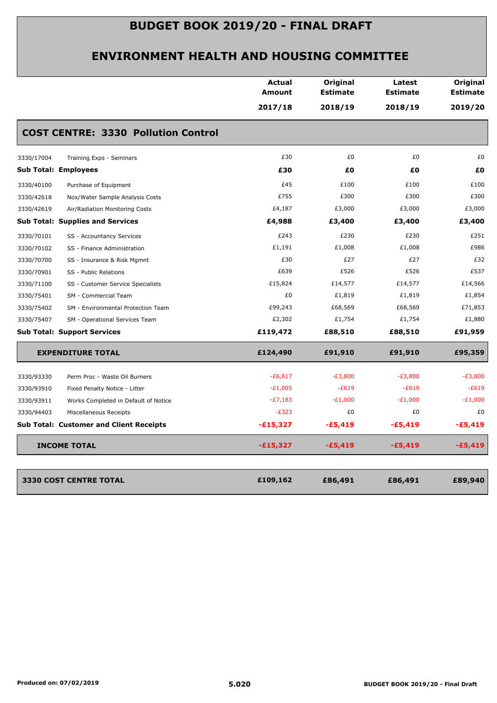|                                                    | <b>Actual</b><br><b>Amount</b> | Original<br><b>Estimate</b> | Latest<br><b>Estimate</b> | Original<br><b>Estimate</b> |
|----------------------------------------------------|--------------------------------|-----------------------------|---------------------------|-----------------------------|
|                                                    | 2017/18                        | 2018/19                     | 2018/19                   | 2019/20                     |
| <b>COST CENTRE: 3330 Pollution Control</b>         |                                |                             |                           |                             |
| 3330/17004<br>Training Exps - Seminars             | £30                            | £0                          | £0                        | £0                          |
| <b>Sub Total: Employees</b>                        | £30                            | £0                          | £Ο                        | £0                          |
| 3330/40100<br>Purchase of Equipment                | £45                            | £100                        | £100                      | £100                        |
| 3330/42618<br>Nox/Water Sample Analysis Costs      | £755                           | £300                        | £300                      | £300                        |
| 3330/42619<br>Air/Radiation Monitoring Costs       | £4,187                         | £3,000                      | £3,000                    | £3,000                      |
| <b>Sub Total: Supplies and Services</b>            | £4,988                         | £3,400                      | £3,400                    | £3,400                      |
| 3330/70101<br>SS - Accountancy Services            | £243                           | £230                        | £230                      | £251                        |
| 3330/70102<br>SS - Finance Administration          | £1,191                         | £1,008                      | £1,008                    | £986                        |
| 3330/70700<br>SS - Insurance & Risk Mgmnt          | £30                            | £27                         | £27                       | £32                         |
| 3330/70901<br>SS - Public Relations                | £639                           | £526                        | £526                      | £537                        |
| 3330/71100<br>SS - Customer Service Specialists    | £15,824                        | £14,577                     | £14,577                   | £14,566                     |
| 3330/75401<br>SM - Commercial Team                 | £0                             | £1,819                      | £1,819                    | £1,854                      |
| 3330/75402<br>SM - Environmental Protection Team   | £99,243                        | £68,569                     | £68,569                   | £71,853                     |
| 3330/75407<br>SM - Operational Services Team       | £2,302                         | £1,754                      | £1,754                    | £1,880                      |
| <b>Sub Total: Support Services</b>                 | £119,472                       | £88,510                     | £88,510                   | £91,959                     |
| <b>EXPENDITURE TOTAL</b>                           | £124,490                       | £91,910                     | £91,910                   | £95,359                     |
| 3330/93330<br>Perm Proc - Waste Oil Burners        | $-E6,817$                      | $-E3,800$                   | $-E3,800$                 | $-E3,800$                   |
| 3330/93910<br>Fixed Penalty Notice - Litter        | $-E1,005$                      | $-E619$                     | $-E619$                   | $-E619$                     |
| 3330/93911<br>Works Completed in Default of Notice | $-E7,183$                      | $-E1,000$                   | $-E1,000$                 | $-E1,000$                   |
| 3330/94403<br>Miscellaneous Receipts               | $-E323$                        | £0                          | £0                        | £0                          |
| <b>Sub Total: Customer and Client Receipts</b>     | -£15,327                       | $-£5,419$                   | $-£5,419$                 | $-£5,419$                   |
| <b>INCOME TOTAL</b>                                | $-£15,327$                     | $-£5,419$                   | $-£5,419$                 | $-£5,419$                   |
| <b>3330 COST CENTRE TOTAL</b>                      | £109,162                       | £86,491                     | £86,491                   | £89,940                     |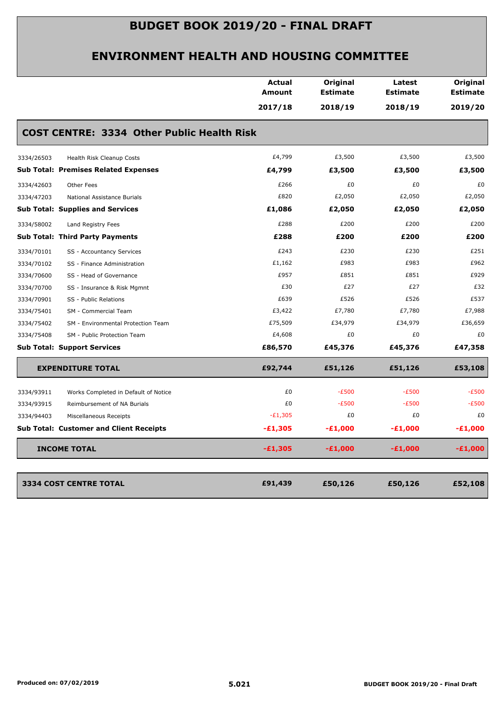|                                                    | Actual<br><b>Amount</b> | Original<br><b>Estimate</b> | Latest<br><b>Estimate</b> | Original<br><b>Estimate</b> |
|----------------------------------------------------|-------------------------|-----------------------------|---------------------------|-----------------------------|
|                                                    | 2017/18                 | 2018/19                     | 2018/19                   | 2019/20                     |
| <b>COST CENTRE: 3334 Other Public Health Risk</b>  |                         |                             |                           |                             |
| Health Risk Cleanup Costs<br>3334/26503            | £4,799                  | £3,500                      | £3,500                    | £3,500                      |
| <b>Sub Total: Premises Related Expenses</b>        | £4,799                  | £3,500                      | £3,500                    | £3,500                      |
| Other Fees<br>3334/42603                           | £266                    | £0                          | £0                        | £0                          |
| 3334/47203<br>National Assistance Burials          | £820                    | £2,050                      | £2,050                    | £2,050                      |
| <b>Sub Total: Supplies and Services</b>            | £1,086                  | £2,050                      | £2,050                    | £2,050                      |
| 3334/58002<br>Land Registry Fees                   | £288                    | £200                        | £200                      | £200                        |
| Sub Total: Third Party Payments                    | £288                    | £200                        | £200                      | £200                        |
| 3334/70101<br>SS - Accountancy Services            | £243                    | £230                        | £230                      | £251                        |
| 3334/70102<br>SS - Finance Administration          | £1,162                  | £983                        | £983                      | £962                        |
| 3334/70600<br>SS - Head of Governance              | £957                    | £851                        | £851                      | £929                        |
| 3334/70700<br>SS - Insurance & Risk Mgmnt          | £30                     | £27                         | £27                       | £32                         |
| 3334/70901<br>SS - Public Relations                | £639                    | £526                        | £526                      | £537                        |
| 3334/75401<br>SM - Commercial Team                 | £3,422                  | £7,780                      | £7,780                    | £7,988                      |
| 3334/75402<br>SM - Environmental Protection Team   | £75,509                 | £34,979                     | £34,979                   | £36,659                     |
| 3334/75408<br>SM - Public Protection Team          | £4,608                  | £0                          | £0                        | £0                          |
| <b>Sub Total: Support Services</b>                 | £86,570                 | £45,376                     | £45,376                   | £47,358                     |
| <b>EXPENDITURE TOTAL</b>                           | £92,744                 | £51,126                     | £51,126                   | £53,108                     |
| 3334/93911<br>Works Completed in Default of Notice | £0                      | $-E500$                     | $-E500$                   | $-E500$                     |
| 3334/93915<br>Reimbursement of NA Burials          | £0                      | $-E500$                     | $-E500$                   | $-E500$                     |
| 3334/94403<br>Miscellaneous Receipts               | $-E1,305$               | £0                          | £0                        | £0                          |
| <b>Sub Total: Customer and Client Receipts</b>     | $-£1,305$               | $-£1,000$                   | $-£1,000$                 | $-E1,000$                   |
| <b>INCOME TOTAL</b>                                | $-£1,305$               | $-£1,000$                   | $-£1,000$                 | $-£1,000$                   |
|                                                    |                         |                             |                           |                             |
|                                                    |                         |                             |                           |                             |
| 3334 COST CENTRE TOTAL                             | £91,439                 | £50,126                     | £50,126                   | £52,108                     |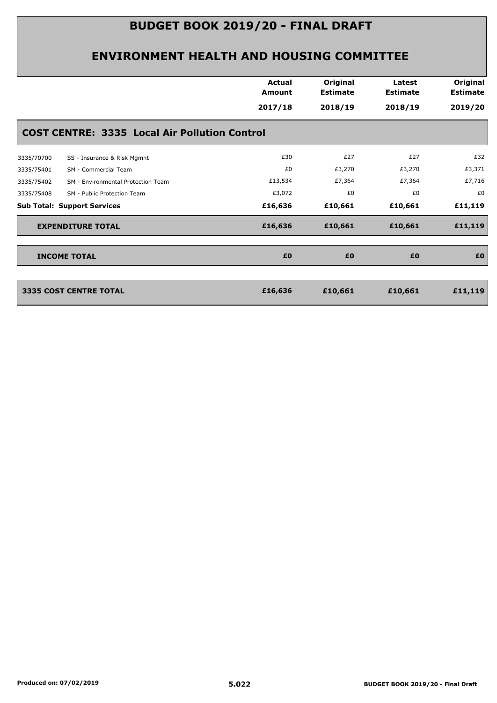|                                                      | <b>Actual</b><br>Amount<br>2017/18 | Original<br><b>Estimate</b><br>2018/19 | Latest<br><b>Estimate</b><br>2018/19 | Original<br><b>Estimate</b><br>2019/20 |
|------------------------------------------------------|------------------------------------|----------------------------------------|--------------------------------------|----------------------------------------|
| <b>COST CENTRE: 3335 Local Air Pollution Control</b> |                                    |                                        |                                      |                                        |
| 3335/70700<br>SS - Insurance & Risk Mgmnt            | £30                                | £27                                    | £27                                  | £32                                    |
| SM - Commercial Team<br>3335/75401                   | £0                                 | £3,270                                 | £3,270                               | £3,371                                 |
| 3335/75402<br>SM - Environmental Protection Team     | £13,534                            | £7,364                                 | £7,364                               | £7,716                                 |
| 3335/75408<br>SM - Public Protection Team            | £3,072                             | £0                                     | £0                                   | £0                                     |
| <b>Sub Total: Support Services</b>                   | £16,636                            | £10,661                                | £10,661                              | £11,119                                |
| <b>EXPENDITURE TOTAL</b>                             | £16,636                            | £10,661                                | £10,661                              | £11,119                                |
| <b>INCOME TOTAL</b>                                  | £0                                 | £0                                     | £0                                   | £0                                     |
| <b>3335 COST CENTRE TOTAL</b>                        | £16,636                            | £10,661                                | £10,661                              | £11,119                                |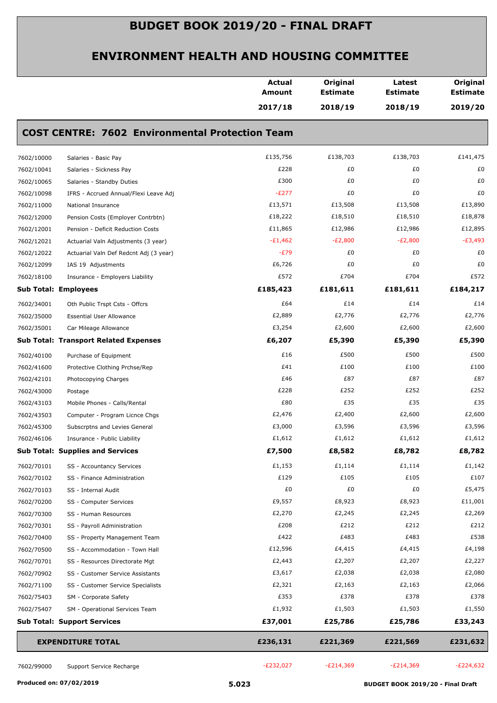|                                                        |                                         | <b>Actual</b><br><b>Amount</b> | Original<br><b>Estimate</b> | Latest<br><b>Estimate</b> | Original<br><b>Estimate</b> |  |  |  |
|--------------------------------------------------------|-----------------------------------------|--------------------------------|-----------------------------|---------------------------|-----------------------------|--|--|--|
|                                                        |                                         | 2017/18                        | 2018/19                     | 2018/19                   | 2019/20                     |  |  |  |
| <b>COST CENTRE: 7602 Environmental Protection Team</b> |                                         |                                |                             |                           |                             |  |  |  |
| 7602/10000                                             | Salaries - Basic Pay                    | £135,756                       | £138,703                    | £138,703                  | £141,475                    |  |  |  |
| 7602/10041                                             | Salaries - Sickness Pay                 | £228                           | £0                          | £0                        | £0                          |  |  |  |
| 7602/10065                                             | Salaries - Standby Duties               | £300                           | £0                          | £0                        | £0                          |  |  |  |
| 7602/10098                                             | IFRS - Accrued Annual/Flexi Leave Adj   | $-E277$                        | £0                          | £0                        | £0                          |  |  |  |
| 7602/11000                                             | National Insurance                      | £13,571                        | £13,508                     | £13,508                   | £13,890                     |  |  |  |
| 7602/12000                                             | Pension Costs (Employer Contrbtn)       | £18,222                        | £18,510                     | £18,510                   | £18,878                     |  |  |  |
| 7602/12001                                             | Pension - Deficit Reduction Costs       | £11,865                        | £12,986                     | £12,986                   | £12,895                     |  |  |  |
| 7602/12021                                             | Actuarial Valn Adjustments (3 year)     | $-E1,462$                      | $-E2,800$                   | $-E2,800$                 | $-E3,493$                   |  |  |  |
| 7602/12022                                             | Actuarial Valn Def Redcnt Adj (3 year)  | $-E79$                         | £0                          | £0                        | £0                          |  |  |  |
| 7602/12099                                             | IAS 19 Adjustments                      | £6,726                         | £0                          | £0                        | £0                          |  |  |  |
| 7602/18100                                             | Insurance - Employers Liability         | £572                           | £704                        | £704                      | £572                        |  |  |  |
|                                                        | <b>Sub Total: Employees</b>             | £185,423                       | £181,611                    | £181,611                  | £184,217                    |  |  |  |
| 7602/34001                                             | Oth Public Trspt Csts - Offcrs          | £64                            | £14                         | £14                       | £14                         |  |  |  |
| 7602/35000                                             | <b>Essential User Allowance</b>         | £2,889                         | £2,776                      | £2,776                    | £2,776                      |  |  |  |
| 7602/35001                                             | Car Mileage Allowance                   | £3,254                         | £2,600                      | £2,600                    | £2,600                      |  |  |  |
|                                                        | Sub Total: Transport Related Expenses   | £6,207                         | £5,390                      | £5,390                    | £5,390                      |  |  |  |
| 7602/40100                                             | Purchase of Equipment                   | £16                            | £500                        | £500                      | £500                        |  |  |  |
| 7602/41600                                             | Protective Clothing Prchse/Rep          | £41                            | £100                        | £100                      | £100                        |  |  |  |
| 7602/42101                                             | Photocopying Charges                    | £46                            | £87                         | £87                       | £87                         |  |  |  |
| 7602/43000                                             | Postage                                 | £228                           | £252                        | £252                      | £252                        |  |  |  |
| 7602/43103                                             | Mobile Phones - Calls/Rental            | £80                            | £35                         | £35                       | £35                         |  |  |  |
| 7602/43503                                             | Computer - Program Licnce Chgs          | £2,476                         | £2,400                      | £2,600                    | £2,600                      |  |  |  |
| 7602/45300                                             | Subscrptns and Levies General           | £3,000                         | £3,596                      | £3,596                    | £3,596                      |  |  |  |
| 7602/46106                                             | Insurance - Public Liability            | £1,612                         | £1,612                      | £1,612                    | £1,612                      |  |  |  |
|                                                        | <b>Sub Total: Supplies and Services</b> | £7,500                         | £8,582                      | £8,782                    | £8,782                      |  |  |  |
| 7602/70101                                             | SS - Accountancy Services               | £1,153                         | £1,114                      | £1,114                    | £1,142                      |  |  |  |
| 7602/70102                                             | SS - Finance Administration             | £129                           | £105                        | £105                      | £107                        |  |  |  |
| 7602/70103                                             | SS - Internal Audit                     | £0                             | £0                          | £0                        | £5,475                      |  |  |  |
| 7602/70200                                             | SS - Computer Services                  | £9,557                         | £8,923                      | £8,923                    | £11,001                     |  |  |  |
| 7602/70300                                             | SS - Human Resources                    | £2,270                         | £2,245                      | £2,245                    | £2,269                      |  |  |  |
| 7602/70301                                             | SS - Payroll Administration             | £208                           | £212                        | £212                      | £212                        |  |  |  |
| 7602/70400                                             | SS - Property Management Team           | £422                           | £483                        | £483                      | £538                        |  |  |  |
| 7602/70500                                             | SS - Accommodation - Town Hall          | £12,596                        | £4,415                      | £4,415                    | £4,198                      |  |  |  |
| 7602/70701                                             | SS - Resources Directorate Mgt          | £2,443                         | £2,207                      | £2,207                    | £2,227                      |  |  |  |
| 7602/70902                                             | SS - Customer Service Assistants        | £3,617                         | £2,038                      | £2,038                    | £2,080                      |  |  |  |
| 7602/71100                                             | SS - Customer Service Specialists       | £2,321                         | £2,163                      | £2,163                    | £2,066                      |  |  |  |
| 7602/75403                                             | SM - Corporate Safety                   | £353                           | £378                        | £378                      | £378                        |  |  |  |
| 7602/75407                                             | SM - Operational Services Team          | £1,932                         | £1,503                      | £1,503                    | £1,550                      |  |  |  |
|                                                        | <b>Sub Total: Support Services</b>      | £37,001                        | £25,786                     | £25,786                   | £33,243                     |  |  |  |
|                                                        | <b>EXPENDITURE TOTAL</b>                | £236,131                       | £221,369                    | £221,569                  | £231,632                    |  |  |  |
| 7602/99000                                             | Support Service Recharge                | $-E232,027$                    | $-E214,369$                 | $-E214,369$               | $-E224,632$                 |  |  |  |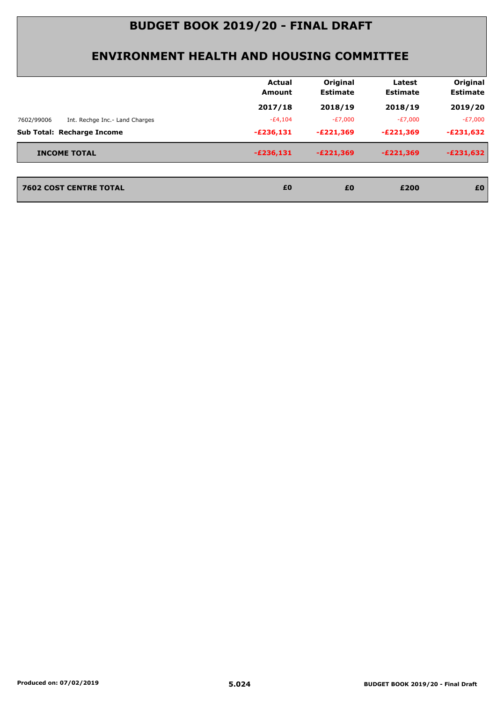| 2017/18<br>2018/19<br>2018/19<br>$-E4,104$<br>$-E7,000$<br>-£7,000<br>Int. Rechge Inc.- Land Charges<br>7602/99006<br><b>Sub Total: Recharge Income</b><br>$-E221,369$<br>$-E236,131$<br>-£221,369<br><b>INCOME TOTAL</b><br>$-E236,131$<br>$-E221,369$<br>$-E221,369$ |                               | Actual<br>Amount | Original<br><b>Estimate</b> | Latest<br><b>Estimate</b> | Original<br><b>Estimate</b> |
|------------------------------------------------------------------------------------------------------------------------------------------------------------------------------------------------------------------------------------------------------------------------|-------------------------------|------------------|-----------------------------|---------------------------|-----------------------------|
|                                                                                                                                                                                                                                                                        |                               |                  |                             |                           | 2019/20                     |
|                                                                                                                                                                                                                                                                        |                               |                  |                             |                           | -£7,000                     |
|                                                                                                                                                                                                                                                                        |                               |                  |                             |                           | $-E231,632$                 |
|                                                                                                                                                                                                                                                                        |                               |                  |                             |                           | $-E231,632$                 |
|                                                                                                                                                                                                                                                                        | <b>7602 COST CENTRE TOTAL</b> | £0               | £0                          | £200                      | £0                          |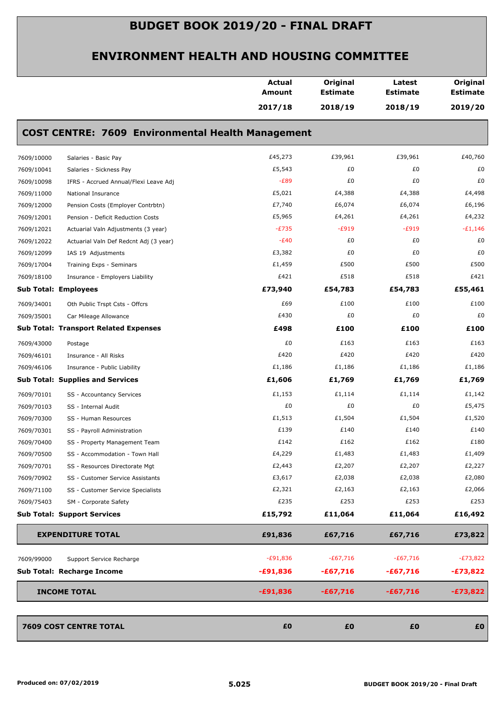|            |                                                          | <b>Actual</b><br><b>Amount</b> | Original<br><b>Estimate</b> | Latest<br><b>Estimate</b> | Original<br><b>Estimate</b> |
|------------|----------------------------------------------------------|--------------------------------|-----------------------------|---------------------------|-----------------------------|
|            |                                                          | 2017/18                        | 2018/19                     | 2018/19                   | 2019/20                     |
|            | <b>COST CENTRE: 7609 Environmental Health Management</b> |                                |                             |                           |                             |
| 7609/10000 | Salaries - Basic Pay                                     | £45,273                        | £39,961                     | £39,961                   | £40,760                     |
| 7609/10041 | Salaries - Sickness Pay                                  | £5,543                         | £0                          | £0                        | £0                          |
| 7609/10098 | IFRS - Accrued Annual/Flexi Leave Adj                    | $-E89$                         | £0                          | £0                        | £0                          |
| 7609/11000 | National Insurance                                       | £5,021                         | £4,388                      | £4,388                    | £4,498                      |
| 7609/12000 | Pension Costs (Employer Contrbtn)                        | £7,740                         | £6,074                      | £6,074                    | £6,196                      |
| 7609/12001 | Pension - Deficit Reduction Costs                        | £5,965                         | £4,261                      | £4,261                    | £4,232                      |
| 7609/12021 | Actuarial Valn Adjustments (3 year)                      | $-E735$                        | $-E919$                     | $-E919$                   | $-E1,146$                   |
| 7609/12022 | Actuarial Valn Def Redcnt Adj (3 year)                   | $-E40$                         | £0                          | £0                        | £0                          |
| 7609/12099 | IAS 19 Adjustments                                       | £3,382                         | £0                          | £0                        | £0                          |
| 7609/17004 | Training Exps - Seminars                                 | £1,459                         | £500                        | £500                      | £500                        |
| 7609/18100 | Insurance - Employers Liability                          | £421                           | £518                        | £518                      | £421                        |
|            | <b>Sub Total: Employees</b>                              | £73,940                        | £54,783                     | £54,783                   | £55,461                     |
| 7609/34001 | Oth Public Trspt Csts - Offcrs                           | £69                            | £100                        | £100                      | £100                        |
| 7609/35001 | Car Mileage Allowance                                    | £430                           | £0                          | £0                        | £0                          |
|            | <b>Sub Total: Transport Related Expenses</b>             | £498                           | £100                        | £100                      | £100                        |
| 7609/43000 | Postage                                                  | £0                             | £163                        | £163                      | £163                        |
| 7609/46101 | Insurance - All Risks                                    | £420                           | £420                        | £420                      | £420                        |
| 7609/46106 | Insurance - Public Liability                             | £1,186                         | £1,186                      | £1,186                    | £1,186                      |
|            | <b>Sub Total: Supplies and Services</b>                  | £1,606                         | £1,769                      | £1,769                    | £1,769                      |
| 7609/70101 | SS - Accountancy Services                                | £1,153                         | £1,114                      | £1,114                    | £1,142                      |
| 7609/70103 | SS - Internal Audit                                      | £0                             | £0                          | £0                        | £5,475                      |
| 7609/70300 | SS - Human Resources                                     | £1,513                         | £1,504                      | £1,504                    | £1,520                      |
| 7609/70301 | SS - Payroll Administration                              | £139                           | £140                        | £140                      | £140                        |
| 7609/70400 | SS - Property Management Team                            | £142                           | £162                        | £162                      | £180                        |
| 7609/70500 | SS - Accommodation - Town Hall                           | £4,229                         | £1,483                      | £1,483                    | £1,409                      |
| 7609/70701 | SS - Resources Directorate Mgt                           | £2,443                         | £2,207                      | £2,207                    | £2,227                      |
| 7609/70902 | SS - Customer Service Assistants                         | £3,617                         | £2,038                      | £2,038                    | £2,080                      |
| 7609/71100 | SS - Customer Service Specialists                        | £2,321                         | £2,163                      | £2,163                    | £2,066                      |
| 7609/75403 | SM - Corporate Safety                                    | £235                           | £253                        | £253                      | £253                        |
|            | <b>Sub Total: Support Services</b>                       | £15,792                        | £11,064                     | £11,064                   | £16,492                     |
|            | <b>EXPENDITURE TOTAL</b>                                 | £91,836                        | £67,716                     | £67,716                   | £73,822                     |
| 7609/99000 | Support Service Recharge                                 | $-£91,836$                     | $-£67,716$                  | $-£67,716$                | $-E73,822$                  |
|            | Sub Total: Recharge Income                               | $-£91,836$                     | $-£67,716$                  | $-£67,716$                | $-£73,822$                  |
|            |                                                          |                                |                             |                           |                             |
|            | <b>INCOME TOTAL</b>                                      | $-£91,836$                     | $-£67,716$                  | $-£67,716$                | $-£73,822$                  |
|            | <b>7609 COST CENTRE TOTAL</b>                            | £0                             | £0                          | £0                        | £0                          |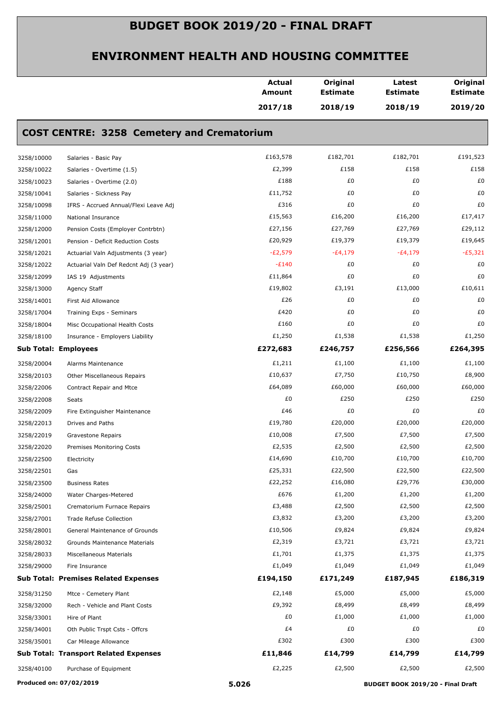|            |                                                   | <b>Actual</b><br><b>Amount</b> | Original<br><b>Estimate</b> | Latest<br><b>Estimate</b> | Original<br><b>Estimate</b> |
|------------|---------------------------------------------------|--------------------------------|-----------------------------|---------------------------|-----------------------------|
|            |                                                   | 2017/18                        | 2018/19                     | 2018/19                   | 2019/20                     |
|            | <b>COST CENTRE: 3258 Cemetery and Crematorium</b> |                                |                             |                           |                             |
| 3258/10000 | Salaries - Basic Pay                              | £163,578                       | £182,701                    | £182,701                  | £191,523                    |
| 3258/10022 | Salaries - Overtime (1.5)                         | £2,399                         | £158                        | £158                      | £158                        |
| 3258/10023 | Salaries - Overtime (2.0)                         | £188                           | £0                          | £0                        | £0                          |
| 3258/10041 | Salaries - Sickness Pay                           | £11,752                        | £0                          | £0                        | £0                          |
| 3258/10098 | IFRS - Accrued Annual/Flexi Leave Adj             | £316                           | £0                          | £0                        | £0                          |
| 3258/11000 | National Insurance                                | £15,563                        | £16,200                     | £16,200                   | £17,417                     |
| 3258/12000 | Pension Costs (Employer Contrbtn)                 | £27,156                        | £27,769                     | £27,769                   | £29,112                     |
| 3258/12001 | Pension - Deficit Reduction Costs                 | £20,929                        | £19,379                     | £19,379                   | £19,645                     |
| 3258/12021 | Actuarial Valn Adjustments (3 year)               | $-E2,579$                      | $-E4,179$                   | $-E4,179$                 | $-E5,321$                   |
| 3258/12022 | Actuarial Valn Def Redcnt Adj (3 year)            | $-E140$                        | £0                          | £0                        | £0                          |
| 3258/12099 | IAS 19 Adjustments                                | £11,864                        | £0                          | £0                        | £0                          |
| 3258/13000 | Agency Staff                                      | £19,802                        | £3,191                      | £13,000                   | £10,611                     |
| 3258/14001 | First Aid Allowance                               | £26                            | £0                          | £0                        | £0                          |
| 3258/17004 | Training Exps - Seminars                          | £420                           | £0                          | £0                        | £0                          |
| 3258/18004 | Misc Occupational Health Costs                    | £160                           | £0                          | £0                        | £0                          |
| 3258/18100 | Insurance - Employers Liability                   | £1,250                         | £1,538                      | £1,538                    | £1,250                      |
|            | <b>Sub Total: Employees</b>                       | £272,683                       | £246,757                    | £256,566                  | £264,395                    |
| 3258/20004 | Alarms Maintenance                                | £1,211                         | £1,100                      | £1,100                    | £1,100                      |
| 3258/20103 | Other Miscellaneous Repairs                       | £10,637                        | £7,750                      | £10,750                   | £8,900                      |
| 3258/22006 | Contract Repair and Mtce                          | £64,089                        | £60,000                     | £60,000                   | £60,000                     |
| 3258/22008 | Seats                                             | £0                             | £250                        | £250                      | £250                        |
| 3258/22009 | Fire Extinguisher Maintenance                     | £46                            | £0                          | £0                        | £0                          |
| 3258/22013 | Drives and Paths                                  | £19,780                        | £20,000                     | £20,000                   | £20,000                     |
| 3258/22019 | Gravestone Repairs                                | £10,008                        | £7,500                      | £7,500                    | £7,500                      |
| 3258/22020 | Premises Monitoring Costs                         | £2,535                         | £2,500                      | £2,500                    | £2,500                      |
| 3258/22500 | Electricity                                       | £14,690                        | £10,700                     | £10,700                   | £10,700                     |
| 3258/22501 | Gas                                               | £25,331                        | £22,500                     | £22,500                   | £22,500                     |
| 3258/23500 | <b>Business Rates</b>                             | £22,252                        | £16,080                     | £29,776                   | £30,000                     |
| 3258/24000 | Water Charges-Metered                             | £676                           | £1,200                      | £1,200                    | £1,200                      |
| 3258/25001 | Crematorium Furnace Repairs                       | £3,488                         | £2,500                      | £2,500                    | £2,500                      |
| 3258/27001 | <b>Trade Refuse Collection</b>                    | £3,832                         | £3,200                      | £3,200                    | £3,200                      |
| 3258/28001 | General Maintenance of Grounds                    | £10,506                        | £9,824                      | £9,824                    | £9,824                      |
| 3258/28032 | Grounds Maintenance Materials                     | £2,319                         | £3,721                      | £3,721                    | £3,721                      |
| 3258/28033 | Miscellaneous Materials                           | £1,701                         | £1,375                      | £1,375                    | £1,375                      |
| 3258/29000 | Fire Insurance                                    | £1,049                         | £1,049                      | £1,049                    | £1,049                      |
|            | <b>Sub Total: Premises Related Expenses</b>       | £194,150                       | £171,249                    | £187,945                  | £186,319                    |
| 3258/31250 | Mtce - Cemetery Plant                             | £2,148                         | £5,000                      | £5,000                    | £5,000                      |
| 3258/32000 | Rech - Vehicle and Plant Costs                    | £9,392                         | £8,499                      | £8,499                    | £8,499                      |
| 3258/33001 | Hire of Plant                                     | £0                             | £1,000                      | £1,000                    | £1,000                      |
| 3258/34001 | Oth Public Trspt Csts - Offcrs                    | £4                             | £0                          | £0                        | £0                          |
| 3258/35001 | Car Mileage Allowance                             | £302                           | £300                        | £300                      | £300                        |
|            | <b>Sub Total: Transport Related Expenses</b>      | £11,846                        | £14,799                     | £14,799                   | £14,799                     |
| 3258/40100 | Purchase of Equipment                             | £2,225                         | £2,500                      | £2,500                    | £2,500                      |
|            |                                                   |                                |                             |                           |                             |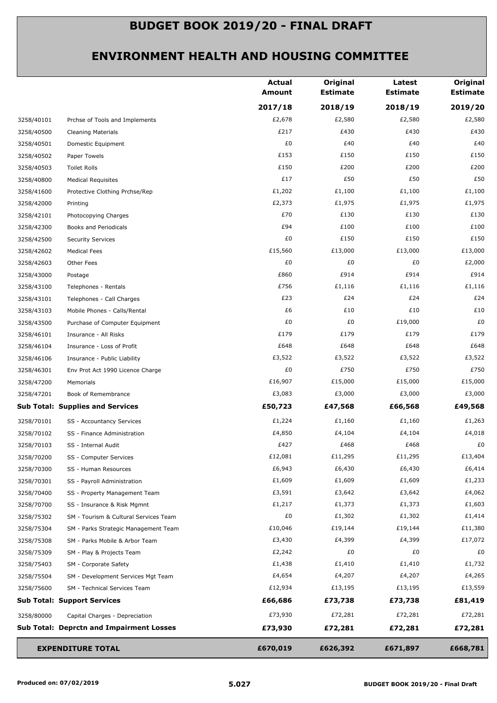|            |                                                 | <b>Actual</b><br><b>Amount</b> | Original<br><b>Estimate</b> | Latest<br><b>Estimate</b> | Original<br><b>Estimate</b> |
|------------|-------------------------------------------------|--------------------------------|-----------------------------|---------------------------|-----------------------------|
|            |                                                 | 2017/18                        | 2018/19                     | 2018/19                   | 2019/20                     |
| 3258/40101 | Prchse of Tools and Implements                  | £2,678                         | £2,580                      | £2,580                    | £2,580                      |
| 3258/40500 | <b>Cleaning Materials</b>                       | £217                           | £430                        | £430                      | £430                        |
| 3258/40501 | Domestic Equipment                              | £0                             | £40                         | £40                       | £40                         |
| 3258/40502 | Paper Towels                                    | £153                           | £150                        | £150                      | £150                        |
| 3258/40503 | Toilet Rolls                                    | £150                           | £200                        | £200                      | £200                        |
| 3258/40800 | <b>Medical Requisites</b>                       | £17                            | £50                         | £50                       | £50                         |
| 3258/41600 | Protective Clothing Prchse/Rep                  | £1,202                         | £1,100                      | £1,100                    | £1,100                      |
| 3258/42000 | Printing                                        | £2,373                         | £1,975                      | £1,975                    | £1,975                      |
| 3258/42101 | Photocopying Charges                            | £70                            | £130                        | £130                      | £130                        |
| 3258/42300 | Books and Periodicals                           | £94                            | £100                        | £100                      | £100                        |
| 3258/42500 | <b>Security Services</b>                        | £0                             | £150                        | £150                      | £150                        |
| 3258/42602 | <b>Medical Fees</b>                             | £15,560                        | £13,000                     | £13,000                   | £13,000                     |
| 3258/42603 | Other Fees                                      | £0                             | £0                          | £0                        | £2,000                      |
| 3258/43000 | Postage                                         | £860                           | £914                        | £914                      | £914                        |
| 3258/43100 | Telephones - Rentals                            | £756                           | £1,116                      | £1,116                    | £1,116                      |
| 3258/43101 | Telephones - Call Charges                       | £23                            | £24                         | £24                       | £24                         |
| 3258/43103 | Mobile Phones - Calls/Rental                    | £6                             | £10                         | £10                       | £10                         |
| 3258/43500 | Purchase of Computer Equipment                  | £0                             | £0                          | £19,000                   | £0                          |
| 3258/46101 | Insurance - All Risks                           | £179                           | £179                        | £179                      | £179                        |
| 3258/46104 | Insurance - Loss of Profit                      | £648                           | £648                        | £648                      | £648                        |
| 3258/46106 | Insurance - Public Liability                    | £3,522                         | £3,522                      | £3,522                    | £3,522                      |
| 3258/46301 | Env Prot Act 1990 Licence Charge                | £0                             | £750                        | £750                      | £750                        |
| 3258/47200 | Memorials                                       | £16,907                        | £15,000                     | £15,000                   | £15,000                     |
| 3258/47201 | Book of Remembrance                             | £3,083                         | £3,000                      | £3,000                    | £3,000                      |
|            | <b>Sub Total: Supplies and Services</b>         | £50,723                        | £47,568                     | £66,568                   | £49,568                     |
| 3258/70101 | SS - Accountancy Services                       | £1,224                         | £1,160                      | £1,160                    | £1,263                      |
| 3258/70102 | SS - Finance Administration                     | £4,850                         | £4,104                      | £4,104                    | £4,018                      |
| 3258/70103 | SS - Internal Audit                             | £427                           | £468                        | £468                      | £0                          |
| 3258/70200 | SS - Computer Services                          | £12,081                        | £11,295                     | £11,295                   | £13,404                     |
| 3258/70300 | SS - Human Resources                            | £6,943                         | £6,430                      | £6,430                    | £6,414                      |
| 3258/70301 | SS - Payroll Administration                     | £1,609                         | £1,609                      | £1,609                    | £1,233                      |
| 3258/70400 | SS - Property Management Team                   | £3,591                         | £3,642                      | £3,642                    | £4,062                      |
| 3258/70700 | SS - Insurance & Risk Mgmnt                     | £1,217                         | £1,373                      | £1,373                    | £1,603                      |
| 3258/75302 | SM - Tourism & Cultural Services Team           | £0                             | £1,302                      | £1,302                    | £1,414                      |
| 3258/75304 | SM - Parks Strategic Management Team            | £10,046                        | £19,144                     | £19,144                   | £11,380                     |
| 3258/75308 | SM - Parks Mobile & Arbor Team                  | £3,430                         | £4,399                      | £4,399                    | £17,072                     |
| 3258/75309 | SM - Play & Projects Team                       | £2,242                         | £0                          | £0                        | £0                          |
| 3258/75403 | SM - Corporate Safety                           | £1,438                         | £1,410                      | £1,410                    | £1,732                      |
| 3258/75504 | SM - Development Services Mgt Team              | £4,654                         | £4,207                      | £4,207                    | £4,265                      |
| 3258/75600 | SM - Technical Services Team                    | £12,934                        | £13,195                     | £13,195                   | £13,559                     |
|            | <b>Sub Total: Support Services</b>              | £66,686                        | £73,738                     | £73,738                   | £81,419                     |
| 3258/80000 | Capital Charges - Depreciation                  | £73,930                        | £72,281                     | £72,281                   | £72,281                     |
|            | <b>Sub Total: Deprctn and Impairment Losses</b> | £73,930                        | £72,281                     | £72,281                   | £72,281                     |
|            | <b>EXPENDITURE TOTAL</b>                        | £670,019                       | £626,392                    | £671,897                  | £668,781                    |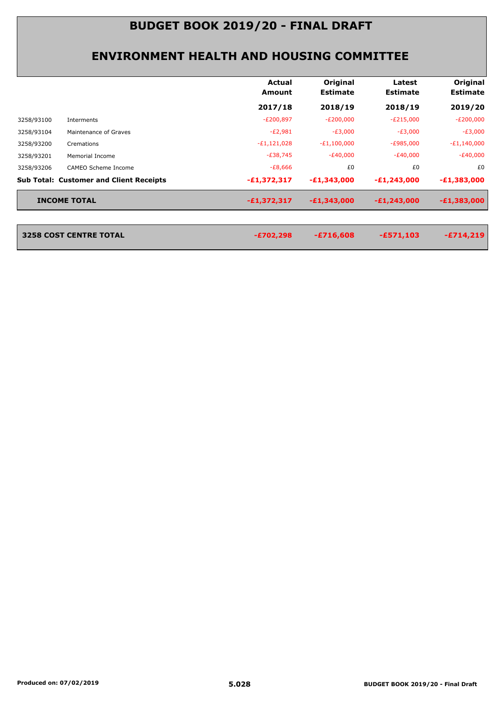|            |                                                | Actual<br>Amount | Original<br><b>Estimate</b> | Latest<br><b>Estimate</b> | Original<br><b>Estimate</b> |
|------------|------------------------------------------------|------------------|-----------------------------|---------------------------|-----------------------------|
|            |                                                | 2017/18          | 2018/19                     | 2018/19                   | 2019/20                     |
| 3258/93100 | Interments                                     | $-E200,897$      | $-E200,000$                 | $-E215,000$               | $-E200,000$                 |
| 3258/93104 | Maintenance of Graves                          | $-E2,981$        | $-E3,000$                   | $-E3,000$                 | $-E3,000$                   |
| 3258/93200 | Cremations                                     | $-E1,121,028$    | $-E1,100,000$               | $-E985,000$               | $-E1,140,000$               |
| 3258/93201 | <b>Memorial Income</b>                         | $-E38,745$       | $-E40,000$                  | $-E40,000$                | $-E40,000$                  |
| 3258/93206 | CAMEO Scheme Income                            | $-E8,666$        | £0                          | £0                        | £0                          |
|            | <b>Sub Total: Customer and Client Receipts</b> | $-E1,372,317$    | $-E1,343,000$               | $-E1,243,000$             | $-E1,383,000$               |
|            | <b>INCOME TOTAL</b>                            | $-£1,372,317$    | $-E1,343,000$               | $-E1,243,000$             | $-E1,383,000$               |

| 3258 COST CENTRE TOTAL | -£702,298 | $-£716,608$ | $-E571,103$ | $-E714,219$ |
|------------------------|-----------|-------------|-------------|-------------|
|                        |           |             |             |             |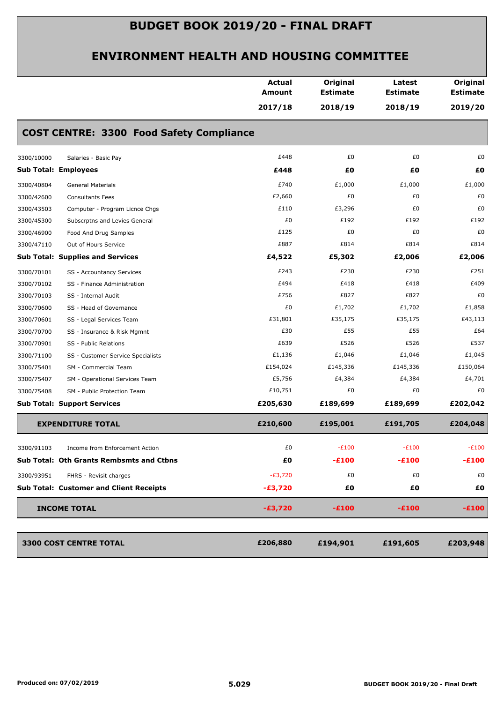|                             |                                                 | <b>Actual</b><br><b>Amount</b> | Original<br><b>Estimate</b> | Latest<br><b>Estimate</b> | Original<br><b>Estimate</b> |
|-----------------------------|-------------------------------------------------|--------------------------------|-----------------------------|---------------------------|-----------------------------|
|                             |                                                 | 2017/18                        | 2018/19                     | 2018/19                   | 2019/20                     |
|                             | <b>COST CENTRE: 3300 Food Safety Compliance</b> |                                |                             |                           |                             |
| 3300/10000                  | Salaries - Basic Pay                            | £448                           | £0                          | £0                        | £0                          |
| <b>Sub Total: Employees</b> |                                                 | £448                           | £0                          | £Ο                        | £0                          |
| 3300/40804                  | <b>General Materials</b>                        | £740                           | £1,000                      | £1,000                    | £1,000                      |
| 3300/42600                  | <b>Consultants Fees</b>                         | £2,660                         | £0                          | £0                        | £0                          |
| 3300/43503                  | Computer - Program Licnce Chgs                  | £110                           | £3,296                      | £0                        | £0                          |
| 3300/45300                  | Subscrptns and Levies General                   | £0                             | £192                        | £192                      | £192                        |
| 3300/46900                  | Food And Drug Samples                           | £125                           | £0                          | £0                        | £0                          |
| 3300/47110                  | Out of Hours Service                            | £887                           | £814                        | £814                      | £814                        |
|                             | <b>Sub Total: Supplies and Services</b>         | £4,522                         | £5,302                      | £2,006                    | £2,006                      |
| 3300/70101                  | SS - Accountancy Services                       | £243                           | £230                        | £230                      | £251                        |
| 3300/70102                  | SS - Finance Administration                     | £494                           | £418                        | £418                      | £409                        |
| 3300/70103                  | SS - Internal Audit                             | £756                           | £827                        | £827                      | £0                          |
| 3300/70600                  | SS - Head of Governance                         | £0                             | £1,702                      | £1,702                    | £1,858                      |
| 3300/70601                  | SS - Legal Services Team                        | £31,801                        | £35,175                     | £35,175                   | £43,113                     |
| 3300/70700                  | SS - Insurance & Risk Mgmnt                     | £30                            | £55                         | £55                       | £64                         |
| 3300/70901                  | SS - Public Relations                           | £639                           | £526                        | £526                      | £537                        |
| 3300/71100                  | SS - Customer Service Specialists               | £1,136                         | £1,046                      | £1,046                    | £1,045                      |
| 3300/75401                  | SM - Commercial Team                            | £154,024                       | £145,336                    | £145,336                  | £150,064                    |
| 3300/75407                  | SM - Operational Services Team                  | £5,756                         | £4,384                      | £4,384                    | £4,701                      |
| 3300/75408                  | SM - Public Protection Team                     | £10,751                        | £0                          | £0                        | £0                          |
|                             | <b>Sub Total: Support Services</b>              | £205,630                       | £189,699                    | £189,699                  | £202,042                    |
|                             | <b>EXPENDITURE TOTAL</b>                        | £210,600                       | £195,001                    | £191,705                  | £204,048                    |
| 3300/91103                  | Income from Enforcement Action                  | £0                             | $-E100$                     | $-E100$                   | $-E100$                     |
|                             | Sub Total: Oth Grants Rembsmts and Ctbns        | £Ο                             | $-E100$                     | $-£100$                   | $-E100$                     |
| 3300/93951                  | FHRS - Revisit charges                          | $-E3,720$                      | £0                          | £0                        | £0                          |
|                             | <b>Sub Total: Customer and Client Receipts</b>  | $-£3,720$                      | £Ο                          | £0                        | £0                          |
| <b>INCOME TOTAL</b>         |                                                 | $-£3,720$                      | $-£100$                     | $-£100$                   | $-£100$                     |
|                             | 3300 COST CENTRE TOTAL                          | £206,880                       | £194,901                    | £191,605                  | £203,948                    |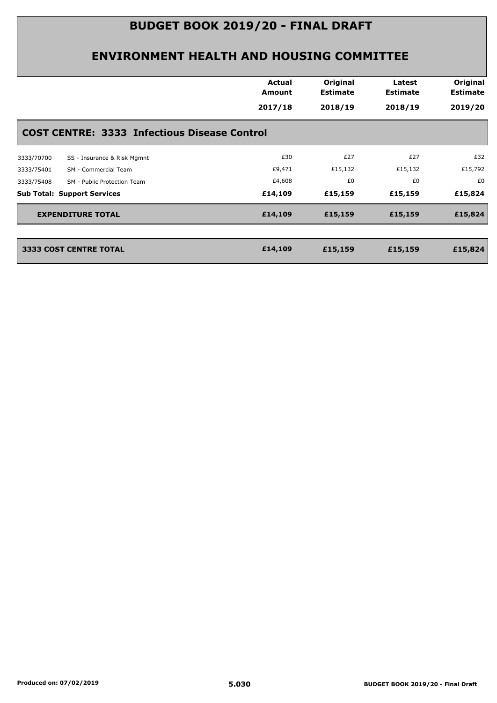|                                                     | <b>Actual</b><br>Amount | Original<br><b>Estimate</b> | Latest<br><b>Estimate</b> | Original<br><b>Estimate</b> |
|-----------------------------------------------------|-------------------------|-----------------------------|---------------------------|-----------------------------|
|                                                     | 2017/18                 | 2018/19                     | 2018/19                   | 2019/20                     |
| <b>COST CENTRE: 3333 Infectious Disease Control</b> |                         |                             |                           |                             |
| SS - Insurance & Risk Mgmnt<br>3333/70700           | £30                     | £27                         | £27                       | £32                         |
| SM - Commercial Team<br>3333/75401                  | £9,471                  | £15,132                     | £15,132                   | £15,792                     |
| 3333/75408<br>SM - Public Protection Team           | £4,608                  | £0                          | £0                        | £0                          |
| <b>Sub Total: Support Services</b>                  | £14,109                 | £15,159                     | £15,159                   | £15,824                     |
| <b>EXPENDITURE TOTAL</b>                            | £14,109                 | £15,159                     | £15,159                   | £15,824                     |
| <b>3333 COST CENTRE TOTAL</b>                       | £14,109                 | £15,159                     | £15,159                   | £15,824                     |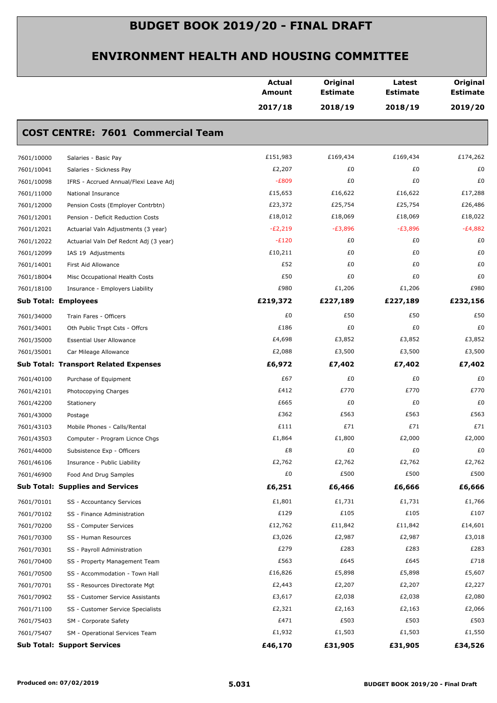|            |                                              | <b>Actual</b><br><b>Amount</b> | Original<br><b>Estimate</b> | Latest<br><b>Estimate</b> | Original<br><b>Estimate</b> |
|------------|----------------------------------------------|--------------------------------|-----------------------------|---------------------------|-----------------------------|
|            |                                              | 2017/18                        | 2018/19                     | 2018/19                   | 2019/20                     |
|            | <b>COST CENTRE: 7601 Commercial Team</b>     |                                |                             |                           |                             |
| 7601/10000 | Salaries - Basic Pay                         | £151,983                       | £169,434                    | £169,434                  | £174,262                    |
| 7601/10041 | Salaries - Sickness Pay                      | £2,207                         | £0                          | £0                        | £0                          |
| 7601/10098 | IFRS - Accrued Annual/Flexi Leave Adj        | $-E809$                        | £0                          | £0                        | £0                          |
| 7601/11000 | National Insurance                           | £15,653                        | £16,622                     | £16,622                   | £17,288                     |
| 7601/12000 | Pension Costs (Employer Contrbtn)            | £23,372                        | £25,754                     | £25,754                   | £26,486                     |
| 7601/12001 | Pension - Deficit Reduction Costs            | £18,012                        | £18,069                     | £18,069                   | £18,022                     |
| 7601/12021 | Actuarial Valn Adjustments (3 year)          | $-E2,219$                      | $-E3,896$                   | $-E3,896$                 | $-E4,882$                   |
| 7601/12022 | Actuarial Valn Def Redcnt Adj (3 year)       | $-E120$                        | £0                          | £0                        | £0                          |
| 7601/12099 | IAS 19 Adjustments                           | £10,211                        | £0                          | £0                        | £0                          |
| 7601/14001 | First Aid Allowance                          | £52                            | £0                          | £0                        | £0                          |
| 7601/18004 | Misc Occupational Health Costs               | £50                            | £0                          | £0                        | £0                          |
| 7601/18100 | Insurance - Employers Liability              | £980                           | £1,206                      | £1,206                    | £980                        |
|            | <b>Sub Total: Employees</b>                  | £219,372                       | £227,189                    | £227,189                  | £232,156                    |
| 7601/34000 | Train Fares - Officers                       | £0                             | £50                         | £50                       | £50                         |
| 7601/34001 | Oth Public Trspt Csts - Offcrs               | £186                           | £0                          | £0                        | £0                          |
| 7601/35000 | <b>Essential User Allowance</b>              | £4,698                         | £3,852                      | £3,852                    | £3,852                      |
| 7601/35001 | Car Mileage Allowance                        | £2,088                         | £3,500                      | £3,500                    | £3,500                      |
|            | <b>Sub Total: Transport Related Expenses</b> | £6,972                         | £7,402                      | £7,402                    | £7,402                      |
| 7601/40100 | Purchase of Equipment                        | £67                            | £0                          | £0                        | £0                          |
| 7601/42101 | Photocopying Charges                         | £412                           | £770                        | £770                      | £770                        |
| 7601/42200 | Stationery                                   | £665                           | £0                          | £0                        | £0                          |
| 7601/43000 | Postage                                      | £362                           | £563                        | £563                      | £563                        |
| 7601/43103 | Mobile Phones - Calls/Rental                 | £111                           | £71                         | £71                       | £71                         |
| 7601/43503 | Computer - Program Licnce Chgs               | £1,864                         | £1,800                      | £2,000                    | £2,000                      |
| 7601/44000 | Subsistence Exp - Officers                   | £8                             | £0                          | £0                        | £0                          |
| 7601/46106 | Insurance - Public Liability                 | £2,762                         | £2,762                      | £2,762                    | £2,762                      |
| 7601/46900 | Food And Drug Samples                        | £0                             | £500                        | £500                      | £500                        |
|            | <b>Sub Total: Supplies and Services</b>      | £6,251                         | £6,466                      | £6,666                    | £6,666                      |
| 7601/70101 | SS - Accountancy Services                    | £1,801                         | £1,731                      | £1,731                    | £1,766                      |
| 7601/70102 | SS - Finance Administration                  | £129                           | £105                        | £105                      | £107                        |
| 7601/70200 | SS - Computer Services                       | £12,762                        | £11,842                     | £11,842                   | £14,601                     |
| 7601/70300 | SS - Human Resources                         | £3,026                         | £2,987                      | £2,987                    | £3,018                      |
| 7601/70301 | SS - Payroll Administration                  | £279                           | £283                        | £283                      | £283                        |
| 7601/70400 | SS - Property Management Team                | £563                           | £645                        | £645                      | £718                        |
| 7601/70500 | SS - Accommodation - Town Hall               | £16,826                        | £5,898                      | £5,898                    | £5,607                      |
| 7601/70701 | SS - Resources Directorate Mgt               | £2,443                         | £2,207                      | £2,207                    | £2,227                      |
| 7601/70902 | SS - Customer Service Assistants             | £3,617                         | £2,038                      | £2,038                    | £2,080                      |
| 7601/71100 | SS - Customer Service Specialists            | £2,321                         | £2,163                      | £2,163                    | £2,066                      |
| 7601/75403 | SM - Corporate Safety                        | £471                           | £503                        | £503                      | £503                        |
| 7601/75407 | SM - Operational Services Team               | £1,932                         | £1,503                      | £1,503                    | £1,550                      |
|            | <b>Sub Total: Support Services</b>           | £46,170                        | £31,905                     | £31,905                   | £34,526                     |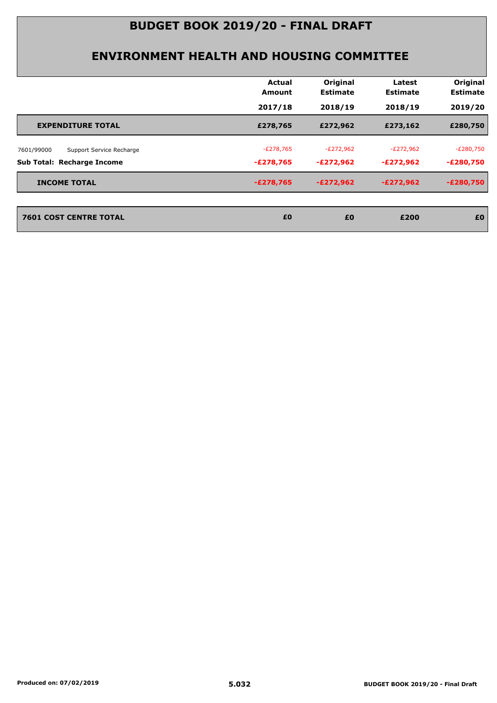| 2017/18<br>2018/19<br>2018/19<br>£278,765<br>£272,962<br>£273,162<br><b>EXPENDITURE TOTAL</b><br>$-E272,962$<br>$-E278,765$<br>$-E272,962$<br>Support Service Recharge<br>$-E272,962$<br>-£278,765<br>-£272,962<br>$-E278,765$<br>$-E272,962$<br>$-E272,962$<br><b>INCOME TOTAL</b> | Actual<br><b>Amount</b> | Original<br><b>Estimate</b> | Latest<br><b>Estimate</b> | Original<br><b>Estimate</b> |
|-------------------------------------------------------------------------------------------------------------------------------------------------------------------------------------------------------------------------------------------------------------------------------------|-------------------------|-----------------------------|---------------------------|-----------------------------|
| 7601/99000                                                                                                                                                                                                                                                                          |                         |                             |                           | 2019/20                     |
|                                                                                                                                                                                                                                                                                     |                         |                             |                           | £280,750                    |
| <b>Sub Total: Recharge Income</b>                                                                                                                                                                                                                                                   |                         |                             |                           | $-E280,750$                 |
|                                                                                                                                                                                                                                                                                     |                         |                             |                           | $-E280,750$                 |
|                                                                                                                                                                                                                                                                                     |                         |                             |                           | $-E280,750$                 |
| <b>7601 COST CENTRE TOTAL</b><br>£0<br>£0<br>£200                                                                                                                                                                                                                                   |                         |                             |                           | £0                          |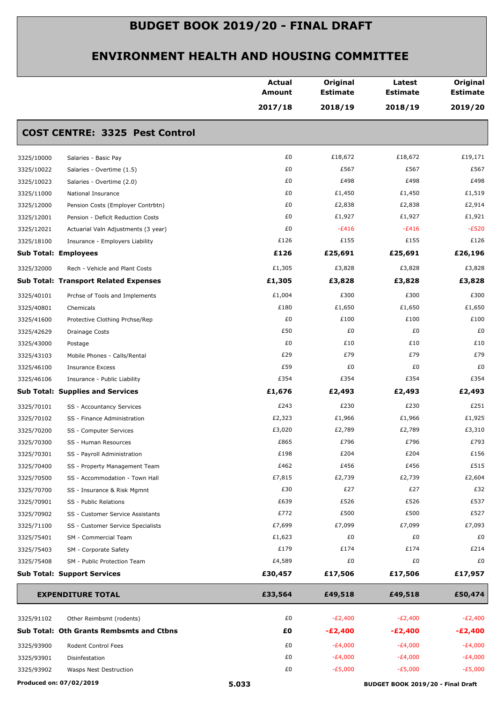|                             |                                                 | <b>Actual</b><br><b>Amount</b> | Original<br><b>Estimate</b> | Latest<br><b>Estimate</b> | Original<br><b>Estimate</b> |
|-----------------------------|-------------------------------------------------|--------------------------------|-----------------------------|---------------------------|-----------------------------|
|                             |                                                 | 2017/18                        | 2018/19                     | 2018/19                   | 2019/20                     |
|                             | <b>COST CENTRE: 3325 Pest Control</b>           |                                |                             |                           |                             |
| 3325/10000                  | Salaries - Basic Pay                            | £0                             | £18,672                     | £18,672                   | £19,171                     |
| 3325/10022                  | Salaries - Overtime (1.5)                       | £0                             | £567                        | £567                      | £567                        |
| 3325/10023                  | Salaries - Overtime (2.0)                       | £0                             | £498                        | £498                      | £498                        |
| 3325/11000                  | National Insurance                              | £0                             | £1,450                      | £1,450                    | £1,519                      |
| 3325/12000                  | Pension Costs (Employer Contrbtn)               | £0                             | £2,838                      | £2,838                    | £2,914                      |
| 3325/12001                  | Pension - Deficit Reduction Costs               | £0                             | £1,927                      | £1,927                    | £1,921                      |
| 3325/12021                  | Actuarial Valn Adjustments (3 year)             | £0                             | $-E416$                     | $-E416$                   | $-E520$                     |
| 3325/18100                  | Insurance - Employers Liability                 | £126                           | £155                        | £155                      | £126                        |
| <b>Sub Total: Employees</b> |                                                 | £126                           | £25,691                     | £25,691                   | £26,196                     |
| 3325/32000                  | Rech - Vehicle and Plant Costs                  | £1,305                         | £3,828                      | £3,828                    | £3,828                      |
|                             | <b>Sub Total: Transport Related Expenses</b>    | £1,305                         | £3,828                      | £3,828                    | £3,828                      |
| 3325/40101                  | Prchse of Tools and Implements                  | £1,004                         | £300                        | £300                      | £300                        |
| 3325/40801                  | Chemicals                                       | £180                           | £1,650                      | £1,650                    | £1,650                      |
| 3325/41600                  | Protective Clothing Prchse/Rep                  | £0                             | £100                        | £100                      | £100                        |
| 3325/42629                  | <b>Drainage Costs</b>                           | £50                            | £0                          | £0                        | £0                          |
| 3325/43000                  | Postage                                         | £0                             | £10                         | £10                       | £10                         |
| 3325/43103                  | Mobile Phones - Calls/Rental                    | £29                            | £79                         | £79                       | £79                         |
| 3325/46100                  | <b>Insurance Excess</b>                         | £59                            | £0                          | £0                        | £0                          |
| 3325/46106                  | Insurance - Public Liability                    | £354                           | £354                        | £354                      | £354                        |
|                             | <b>Sub Total: Supplies and Services</b>         | £1,676                         | £2,493                      | £2,493                    | £2,493                      |
| 3325/70101                  | SS - Accountancy Services                       | £243                           | £230                        | £230                      | £251                        |
| 3325/70102                  | SS - Finance Administration                     | £2,323                         | £1,966                      | £1,966                    | £1,925                      |
| 3325/70200                  | SS - Computer Services                          | £3,020                         | £2,789                      | £2,789                    | £3,310                      |
| 3325/70300                  | SS - Human Resources                            | £865                           | £796                        | £796                      | £793                        |
| 3325/70301                  | SS - Payroll Administration                     | £198                           | £204                        | £204                      | £156                        |
| 3325/70400                  | SS - Property Management Team                   | £462                           | £456                        | £456                      | £515                        |
| 3325/70500                  | SS - Accommodation - Town Hall                  | £7,815                         | £2,739                      | £2,739                    | £2,604                      |
| 3325/70700                  | SS - Insurance & Risk Mgmnt                     | £30                            | £27                         | £27                       | £32                         |
| 3325/70901                  | SS - Public Relations                           | £639                           | £526                        | £526                      | £537                        |
| 3325/70902                  | SS - Customer Service Assistants                | £772                           | £500                        | £500                      | £527                        |
| 3325/71100                  | SS - Customer Service Specialists               | £7,699                         | £7,099                      | £7,099                    | £7,093                      |
| 3325/75401                  | SM - Commercial Team                            | £1,623                         | £0                          | £0                        | £0                          |
| 3325/75403                  | SM - Corporate Safety                           | £179                           | £174                        | £174                      | £214                        |
| 3325/75408                  | SM - Public Protection Team                     | £4,589                         | £0                          | £0                        | £0                          |
|                             | <b>Sub Total: Support Services</b>              | £30,457                        | £17,506                     | £17,506                   | £17,957                     |
|                             | <b>EXPENDITURE TOTAL</b>                        | £33,564                        | £49,518                     | £49,518                   | £50,474                     |
| 3325/91102                  | Other Reimbsmt (rodents)                        | £0                             | $-E2,400$                   | $-E2,400$                 | $-E2,400$                   |
|                             | <b>Sub Total: Oth Grants Rembsmts and Ctbns</b> | £0                             | $-E2,400$                   | $-E2,400$                 | $-E2,400$                   |
| 3325/93900                  | Rodent Control Fees                             | £0                             | $-E4,000$                   | $-E4,000$                 | $-E4,000$                   |
| 3325/93901                  | Disinfestation                                  | £0                             | $-E4,000$                   | $-E4,000$                 | $-E4,000$                   |
| 3325/93902                  | Wasps Nest Destruction                          | £0                             | $-E5,000$                   | $-E5,000$                 | $-E5,000$                   |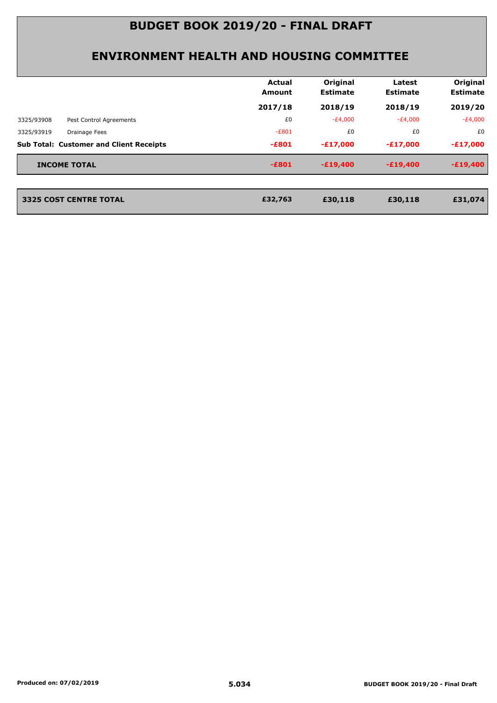#### **ENVIRONMENT HEALTH AND HOUSING COMMITTEE**

|            |                                                | <b>Actual</b><br>Amount | Original<br><b>Estimate</b> | Latest<br><b>Estimate</b> | Original<br><b>Estimate</b> |
|------------|------------------------------------------------|-------------------------|-----------------------------|---------------------------|-----------------------------|
|            |                                                | 2017/18                 | 2018/19                     | 2018/19                   | 2019/20                     |
| 3325/93908 | Pest Control Agreements                        | £0                      | $-E4,000$                   | $-E4,000$                 | -£4,000                     |
| 3325/93919 | Drainage Fees                                  | $-E801$                 | £0                          | £0                        | £0                          |
|            | <b>Sub Total: Customer and Client Receipts</b> | $-E801$                 | $-E17,000$                  | $-E17,000$                | $-£17,000$                  |
|            | <b>INCOME TOTAL</b>                            | $-E801$                 | $-E19,400$                  | $-E19,400$                | $-E19,400$                  |

**3325 COST CENTRE TOTAL £30,118 £30,118 £31,074**

**2325 COST CENTRE TOTAL**<br>**232,763**<br>**232,763**<br>**232,763**<br>**252,763**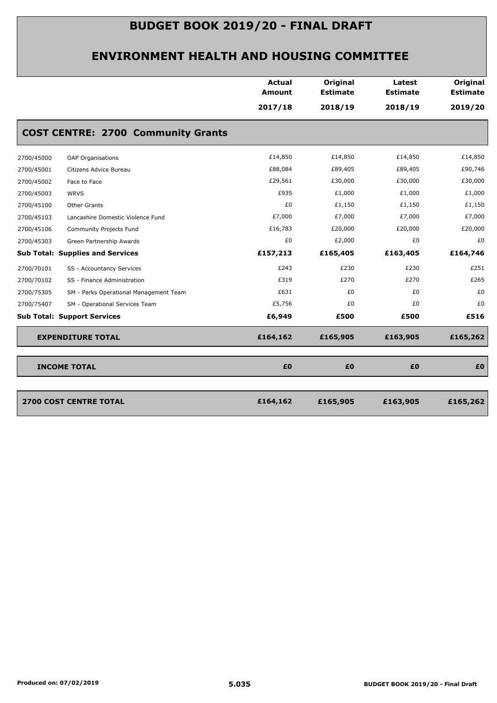|            |                                           | <b>Actual</b><br>Amount | Original<br><b>Estimate</b> | Latest<br><b>Estimate</b> | Original<br><b>Estimate</b> |
|------------|-------------------------------------------|-------------------------|-----------------------------|---------------------------|-----------------------------|
|            |                                           | 2017/18                 | 2018/19                     | 2018/19                   | 2019/20                     |
|            | <b>COST CENTRE: 2700 Community Grants</b> |                         |                             |                           |                             |
| 2700/45000 | OAP Organisations                         | £14,850                 | £14,850                     | £14,850                   | £14,850                     |
| 2700/45001 | Citizens Advice Bureau                    | £88,084                 | £89,405                     | £89,405                   | £90,746                     |
| 2700/45002 | Face to Face                              | £29,561                 | £30,000                     | £30,000                   | £30,000                     |
| 2700/45003 | <b>WRVS</b>                               | £935                    | £1,000                      | £1,000                    | £1,000                      |
| 2700/45100 | Other Grants                              | £0                      | £1,150                      | £1,150                    | £1,150                      |
| 2700/45103 | Lancashire Domestic Violence Fund         | £7,000                  | £7,000                      | £7,000                    | £7,000                      |
| 2700/45106 | Community Projects Fund                   | £16,783                 | £20,000                     | £20,000                   | £20,000                     |
| 2700/45303 | Green Partnership Awards                  | £0                      | £2,000                      | £0                        | £0                          |
|            | <b>Sub Total: Supplies and Services</b>   | £157,213                | £165,405                    | £163,405                  | £164,746                    |
| 2700/70101 | SS - Accountancy Services                 | £243                    | £230                        | £230                      | £251                        |
| 2700/70102 | SS - Finance Administration               | £319                    | £270                        | £270                      | £265                        |
| 2700/75305 | SM - Parks Operational Management Team    | £631                    | £0                          | £0                        | £0                          |
| 2700/75407 | SM - Operational Services Team            | £5,756                  | £0                          | £0                        | £0                          |
|            | <b>Sub Total: Support Services</b>        | £6,949                  | £500                        | £500                      | £516                        |
|            | <b>EXPENDITURE TOTAL</b>                  | £164,162                | £165,905                    | £163,905                  | £165,262                    |
|            | <b>INCOME TOTAL</b>                       | £0                      | £0                          | £0                        | £0                          |

| 2700 COST CENTRE TOTAL | £164,162 | £165,905 | £163,905 | £165,262 |
|------------------------|----------|----------|----------|----------|
|                        |          |          |          |          |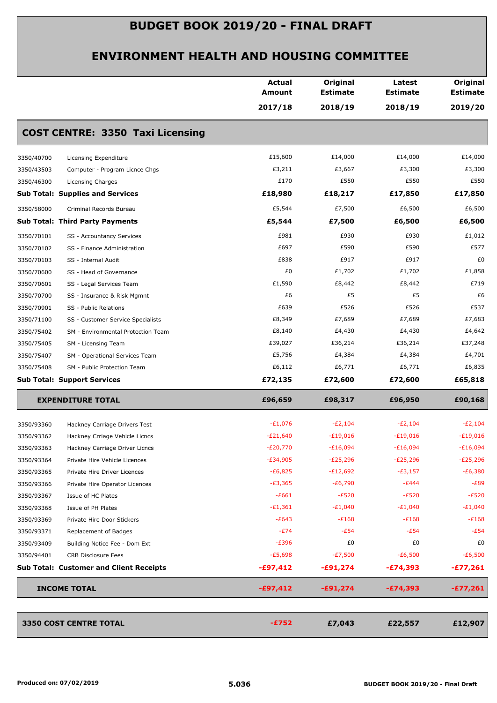|            |                                                | <b>Actual</b><br><b>Amount</b> | Original<br><b>Estimate</b> | Latest<br><b>Estimate</b> | Original<br><b>Estimate</b> |
|------------|------------------------------------------------|--------------------------------|-----------------------------|---------------------------|-----------------------------|
|            |                                                | 2017/18                        | 2018/19                     | 2018/19                   | 2019/20                     |
|            | <b>COST CENTRE: 3350 Taxi Licensing</b>        |                                |                             |                           |                             |
| 3350/40700 | Licensing Expenditure                          | £15,600                        | £14,000                     | £14,000                   | £14,000                     |
| 3350/43503 | Computer - Program Licnce Chgs                 | £3,211                         | £3,667                      | £3,300                    | £3,300                      |
| 3350/46300 | Licensing Charges                              | £170                           | £550                        | £550                      | £550                        |
|            | <b>Sub Total: Supplies and Services</b>        | £18,980                        | £18,217                     | £17,850                   | £17,850                     |
| 3350/58000 | Criminal Records Bureau                        | £5,544                         | £7,500                      | £6,500                    | £6,500                      |
|            | <b>Sub Total: Third Party Payments</b>         | £5,544                         | £7,500                      | £6,500                    | £6,500                      |
| 3350/70101 | SS - Accountancy Services                      | £981                           | £930                        | £930                      | £1,012                      |
| 3350/70102 | SS - Finance Administration                    | £697                           | £590                        | £590                      | £577                        |
| 3350/70103 | SS - Internal Audit                            | £838                           | £917                        | £917                      | £0                          |
| 3350/70600 | SS - Head of Governance                        | £0                             | £1,702                      | £1,702                    | £1,858                      |
| 3350/70601 | SS - Legal Services Team                       | £1,590                         | £8,442                      | £8,442                    | £719                        |
| 3350/70700 | SS - Insurance & Risk Mgmnt                    | £6                             | £5                          | £5                        | £6                          |
| 3350/70901 | SS - Public Relations                          | £639                           | £526                        | £526                      | £537                        |
| 3350/71100 | SS - Customer Service Specialists              | £8,349                         | £7,689                      | £7,689                    | £7,683                      |
| 3350/75402 | SM - Environmental Protection Team             | £8,140                         | £4,430                      | £4,430                    | £4,642                      |
| 3350/75405 | SM - Licensing Team                            | £39,027                        | £36,214                     | £36,214                   | £37,248                     |
| 3350/75407 | SM - Operational Services Team                 | £5,756                         | £4,384                      | £4,384                    | £4,701                      |
| 3350/75408 | SM - Public Protection Team                    | £6,112                         | £6,771                      | £6,771                    | £6,835                      |
|            | <b>Sub Total: Support Services</b>             | £72,135                        | £72,600                     | £72,600                   | £65,818                     |
|            | <b>EXPENDITURE TOTAL</b>                       | £96,659                        | £98,317                     | £96,950                   | £90,168                     |
| 3350/93360 | Hackney Carriage Drivers Test                  | $-E1,076$                      | $-E2,104$                   | $-E2,104$                 | $-E2,104$                   |
| 3350/93362 | Hackney Crriage Vehicle Licncs                 | $-E21,640$                     | $-E19,016$                  | $-£19,016$                | $-£19,016$                  |
| 3350/93363 | Hackney Carriage Driver Licncs                 | $-E20,770$                     | $-E16,094$                  | $-E16,094$                | $-E16,094$                  |
| 3350/93364 | Private Hire Vehicle Licences                  | $-E34,905$                     | $-E25,296$                  | $-E25,296$                | $-E25,296$                  |
| 3350/93365 | Private Hire Driver Licences                   | $-E6,825$                      | $-E12,692$                  | $-E3,157$                 | $-E6,380$                   |
| 3350/93366 | Private Hire Operator Licences                 | $-E3,365$                      | $-E6,790$                   | $-E444$                   | -£89                        |
| 3350/93367 | Issue of HC Plates                             | $-E661$                        | $-E520$                     | $-E520$                   | $-E520$                     |
| 3350/93368 | Issue of PH Plates                             | $-£1,361$                      | $-E1,040$                   | $-E1,040$                 | $-E1,040$                   |
| 3350/93369 | Private Hire Door Stickers                     | $-E643$                        | $-E168$                     | $-E168$                   | $-E168$                     |
| 3350/93371 | Replacement of Badges                          | $-E74$                         | $-E54$                      | $-E54$                    | $-E54$                      |
| 3350/93409 | Building Notice Fee - Dom Ext                  | $-E396$                        | £0                          | £0                        | £0                          |
| 3350/94401 | <b>CRB Disclosure Fees</b>                     | $-£5,698$                      | $-E7,500$                   | $-E6,500$                 | $-E6,500$                   |
|            | <b>Sub Total: Customer and Client Receipts</b> | $-£97,412$                     | $-£91,274$                  | -£74,393                  | $-£77,261$                  |
|            | <b>INCOME TOTAL</b>                            | $-£97,412$                     | $-£91,274$                  | $-£74,393$                | $-£77,261$                  |
|            |                                                |                                |                             |                           |                             |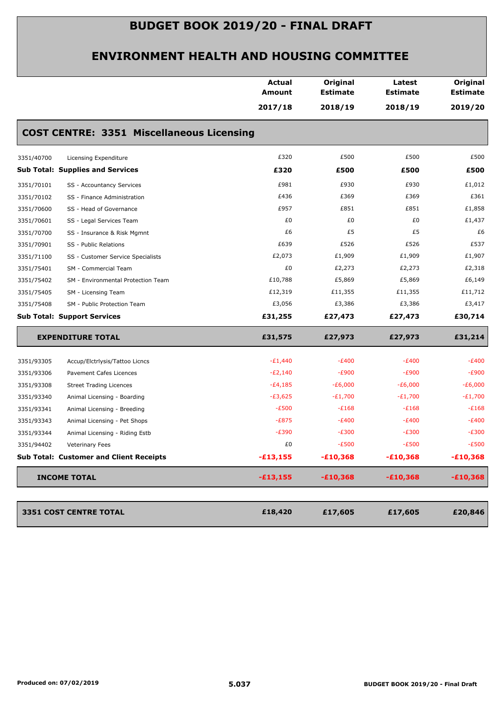|                                                  |  | <b>Actual</b><br><b>Amount</b><br>2017/18 | Original<br><b>Estimate</b><br>2018/19 | Latest<br><b>Estimate</b><br>2018/19 | Original<br><b>Estimate</b><br>2019/20 |  |  |  |
|--------------------------------------------------|--|-------------------------------------------|----------------------------------------|--------------------------------------|----------------------------------------|--|--|--|
| <b>COST CENTRE: 3351 Miscellaneous Licensing</b> |  |                                           |                                        |                                      |                                        |  |  |  |
| 3351/40700<br>Licensing Expenditure              |  | £320                                      | £500                                   | £500                                 | £500                                   |  |  |  |
| <b>Sub Total: Supplies and Services</b>          |  | £320                                      | £500                                   | £500                                 | £500                                   |  |  |  |
| 3351/70101<br>SS - Accountancy Services          |  | £981                                      | £930                                   | £930                                 | £1,012                                 |  |  |  |
| 3351/70102<br>SS - Finance Administration        |  | £436                                      | £369                                   | £369                                 | £361                                   |  |  |  |
| 3351/70600<br>SS - Head of Governance            |  | £957                                      | £851                                   | £851                                 | £1,858                                 |  |  |  |
| 3351/70601<br>SS - Legal Services Team           |  | £0                                        | £0                                     | £0                                   | £1,437                                 |  |  |  |
| 3351/70700<br>SS - Insurance & Risk Mgmnt        |  | £6                                        | £5                                     | £5                                   | £6                                     |  |  |  |
| 3351/70901<br>SS - Public Relations              |  | £639                                      | £526                                   | £526                                 | £537                                   |  |  |  |
| 3351/71100<br>SS - Customer Service Specialists  |  | £2,073                                    | £1,909                                 | £1,909                               | £1,907                                 |  |  |  |
| 3351/75401<br>SM - Commercial Team               |  | £0                                        | £2,273                                 | £2,273                               | £2,318                                 |  |  |  |
| 3351/75402<br>SM - Environmental Protection Team |  | £10,788                                   | £5,869                                 | £5,869                               | £6,149                                 |  |  |  |
| 3351/75405<br>SM - Licensing Team                |  | £12,319                                   | £11,355                                | £11,355                              | £11,712                                |  |  |  |
| 3351/75408<br>SM - Public Protection Team        |  | £3,056                                    | £3,386                                 | £3,386                               | £3,417                                 |  |  |  |
| <b>Sub Total: Support Services</b>               |  | £31,255                                   | £27,473                                | £27,473                              | £30,714                                |  |  |  |
| <b>EXPENDITURE TOTAL</b>                         |  | £31,575                                   | £27,973                                | £27,973                              | £31,214                                |  |  |  |
| 3351/93305<br>Accup/Elctrlysis/Tattoo Licncs     |  | $-E1,440$                                 | $-E400$                                | $-E400$                              | $-E400$                                |  |  |  |
| 3351/93306<br>Pavement Cafes Licences            |  | $-E2,140$                                 | $-E900$                                | $-E900$                              | $-E900$                                |  |  |  |
| 3351/93308<br><b>Street Trading Licences</b>     |  | $-E4,185$                                 | $-E6,000$                              | $-E6,000$                            | $-E6,000$                              |  |  |  |
| 3351/93340<br>Animal Licensing - Boarding        |  | $-£3,625$                                 | $-E1,700$                              | $-E1,700$                            | $-E1,700$                              |  |  |  |
| 3351/93341<br>Animal Licensing - Breeding        |  | $-E500$                                   | $-E168$                                | $-E168$                              | $-E168$                                |  |  |  |
| 3351/93343<br>Animal Licensing - Pet Shops       |  | $-E875$                                   | $-E400$                                | $-E400$                              | $-E400$                                |  |  |  |
| 3351/93344<br>Animal Licensing - Riding Estb     |  | $-E390$                                   | $-E300$                                | $-E300$                              | $-E300$                                |  |  |  |
| 3351/94402<br><b>Veterinary Fees</b>             |  | £0                                        | $-E500$                                | $-E500$                              | $-E500$                                |  |  |  |
| <b>Sub Total: Customer and Client Receipts</b>   |  | $-£13,155$                                | $-£10,368$                             | $-£10,368$                           | $-£10,368$                             |  |  |  |
| <b>INCOME TOTAL</b>                              |  | $-£13,155$                                | $-£10,368$                             | $-£10,368$                           | $-£10,368$                             |  |  |  |
| 3351 COST CENTRE TOTAL                           |  | £18,420                                   | £17,605                                | £17,605                              | £20,846                                |  |  |  |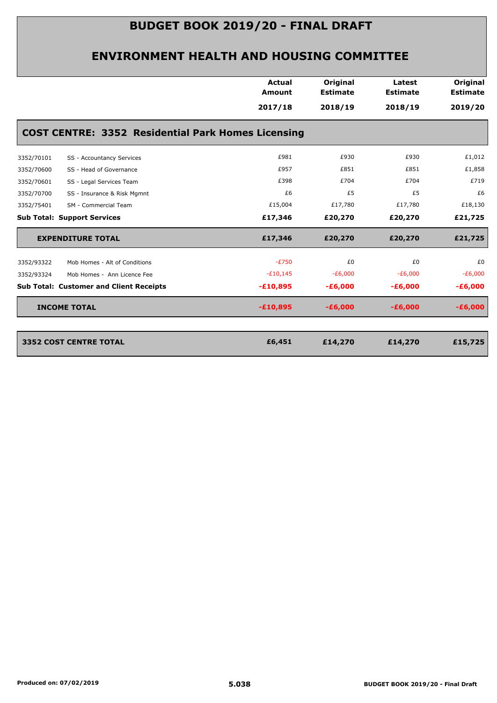|            |                                                           | Actual<br><b>Amount</b> | Original<br><b>Estimate</b> | Latest<br><b>Estimate</b> | Original<br><b>Estimate</b> |
|------------|-----------------------------------------------------------|-------------------------|-----------------------------|---------------------------|-----------------------------|
|            |                                                           | 2017/18                 | 2018/19                     | 2018/19                   | 2019/20                     |
|            | <b>COST CENTRE: 3352 Residential Park Homes Licensing</b> |                         |                             |                           |                             |
| 3352/70101 | SS - Accountancy Services                                 | £981                    | £930                        | £930                      | £1,012                      |
| 3352/70600 | SS - Head of Governance                                   | £957                    | £851                        | £851                      | £1,858                      |
| 3352/70601 | SS - Legal Services Team                                  | £398                    | £704                        | £704                      | £719                        |
| 3352/70700 | SS - Insurance & Risk Mgmnt                               | £6                      | £5                          | £5                        | £6                          |
| 3352/75401 | SM - Commercial Team                                      | £15,004                 | £17,780                     | £17,780                   | £18,130                     |
|            | <b>Sub Total: Support Services</b>                        | £17,346                 | £20,270                     | £20,270                   | £21,725                     |
|            | <b>EXPENDITURE TOTAL</b>                                  | £17,346                 | £20,270                     | £20,270                   | £21,725                     |
| 3352/93322 | Mob Homes - Alt of Conditions                             | $-E750$                 | £0                          | £0                        | £0                          |
| 3352/93324 | Mob Homes - Ann Licence Fee                               | $-E10,145$              | $-E6,000$                   | $-E6,000$                 | $-E6,000$                   |
|            | <b>Sub Total: Customer and Client Receipts</b>            | $-£10,895$              | $-£6,000$                   | $-£6,000$                 | $-£6,000$                   |
|            | <b>INCOME TOTAL</b>                                       | $-£10,895$              | $-£6,000$                   | $-£6,000$                 | $-E6,000$                   |
|            |                                                           |                         |                             |                           |                             |
|            | <b>3352 COST CENTRE TOTAL</b>                             | £6,451                  | £14,270                     | £14,270                   | £15,725                     |
|            |                                                           |                         |                             |                           |                             |
|            |                                                           |                         |                             |                           |                             |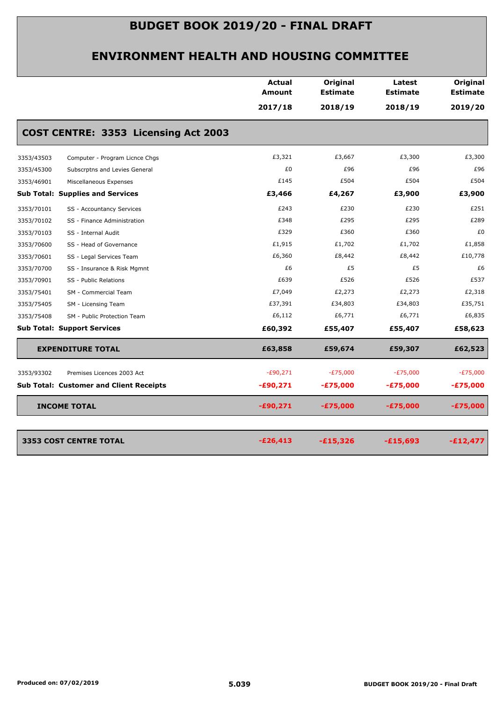|            |                                                | Actual<br>Amount | Original<br><b>Estimate</b> | Latest<br><b>Estimate</b> | Original<br><b>Estimate</b> |
|------------|------------------------------------------------|------------------|-----------------------------|---------------------------|-----------------------------|
|            |                                                | 2017/18          | 2018/19                     | 2018/19                   | 2019/20                     |
|            | COST CENTRE: 3353 Licensing Act 2003           |                  |                             |                           |                             |
| 3353/43503 | Computer - Program Licnce Chgs                 | £3,321           | £3,667                      | £3,300                    | £3,300                      |
| 3353/45300 | Subscrptns and Levies General                  | £0               | £96                         | £96                       | £96                         |
| 3353/46901 | Miscellaneous Expenses                         | £145             | £504                        | £504                      | £504                        |
|            | <b>Sub Total: Supplies and Services</b>        | £3,466           | £4,267                      | £3,900                    | £3,900                      |
| 3353/70101 | SS - Accountancy Services                      | £243             | £230                        | £230                      | £251                        |
| 3353/70102 | SS - Finance Administration                    | £348             | £295                        | £295                      | £289                        |
| 3353/70103 | SS - Internal Audit                            | £329             | £360                        | £360                      | £0                          |
| 3353/70600 | SS - Head of Governance                        | £1,915           | £1,702                      | £1,702                    | £1,858                      |
| 3353/70601 | SS - Legal Services Team                       | £6,360           | £8,442                      | £8,442                    | £10,778                     |
| 3353/70700 | SS - Insurance & Risk Mgmnt                    | £6               | £5                          | £5                        | £6                          |
| 3353/70901 | SS - Public Relations                          | £639             | £526                        | £526                      | £537                        |
| 3353/75401 | SM - Commercial Team                           | £7,049           | £2,273                      | £2,273                    | £2,318                      |
| 3353/75405 | SM - Licensing Team                            | £37,391          | £34,803                     | £34,803                   | £35,751                     |
| 3353/75408 | SM - Public Protection Team                    | £6,112           | £6,771                      | £6,771                    | £6,835                      |
|            | <b>Sub Total: Support Services</b>             | £60,392          | £55,407                     | £55,407                   | £58,623                     |
|            | <b>EXPENDITURE TOTAL</b>                       | £63,858          | £59,674                     | £59,307                   | £62,523                     |
| 3353/93302 | Premises Licences 2003 Act                     | $-£90,271$       | $-E75,000$                  | $-E75,000$                | $-E75,000$                  |
|            | <b>Sub Total: Customer and Client Receipts</b> | $-£90,271$       | $-£75,000$                  | $-£75,000$                | $-£75,000$                  |
|            | <b>INCOME TOTAL</b>                            | $-£90,271$       | $-£75,000$                  | $-£75,000$                | $-£75,000$                  |
|            | 3353 COST CENTRE TOTAL                         | $-£26,413$       | $-£15,326$                  | $-£15,693$                | $-£12,477$                  |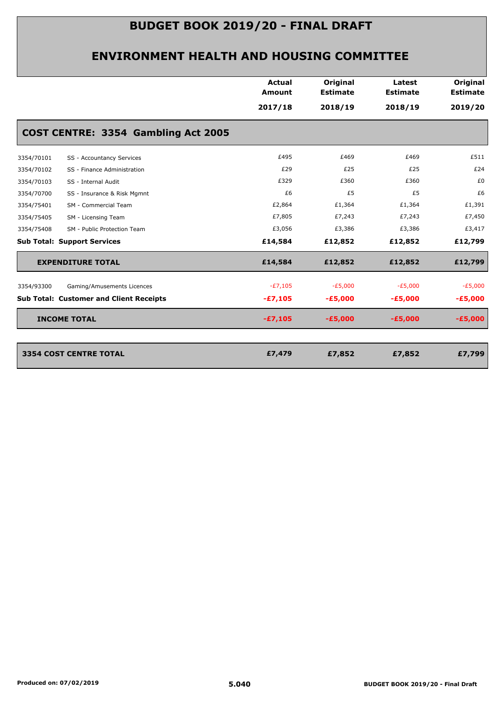|                                                | <b>Actual</b><br><b>Amount</b> | Original<br><b>Estimate</b> | Latest<br><b>Estimate</b> | Original<br><b>Estimate</b> |
|------------------------------------------------|--------------------------------|-----------------------------|---------------------------|-----------------------------|
|                                                | 2017/18                        | 2018/19                     | 2018/19                   | 2019/20                     |
| COST CENTRE: 3354 Gambling Act 2005            |                                |                             |                           |                             |
| 3354/70101<br>SS - Accountancy Services        | £495                           | £469                        | £469                      | £511                        |
| 3354/70102<br>SS - Finance Administration      | £29                            | £25                         | £25                       | £24                         |
| 3354/70103<br>SS - Internal Audit              | £329                           | £360                        | £360                      | £0                          |
| 3354/70700<br>SS - Insurance & Risk Mgmnt      | £6                             | £5                          | £5                        | £6                          |
| 3354/75401<br>SM - Commercial Team             | £2,864                         | £1,364                      | £1,364                    | £1,391                      |
| 3354/75405<br>SM - Licensing Team              | £7,805                         | £7,243                      | £7,243                    | £7,450                      |
| 3354/75408<br>SM - Public Protection Team      | £3,056                         | £3,386                      | £3,386                    | £3,417                      |
| <b>Sub Total: Support Services</b>             | £14,584                        | £12,852                     | £12,852                   | £12,799                     |
| <b>EXPENDITURE TOTAL</b>                       | £14,584                        | £12,852                     | £12,852                   | £12,799                     |
| Gaming/Amusements Licences<br>3354/93300       | $-E7,105$                      | $-E5,000$                   | $-E5,000$                 | $-E5,000$                   |
| <b>Sub Total: Customer and Client Receipts</b> | $-£7,105$                      | $-£5,000$                   | $-E5,000$                 | $-£5,000$                   |
| <b>INCOME TOTAL</b>                            | $-£7,105$                      | $-£5,000$                   | $-£5,000$                 | $-£5,000$                   |
| <b>3354 COST CENTRE TOTAL</b>                  | £7,479                         | £7,852                      | £7,852                    | £7,799                      |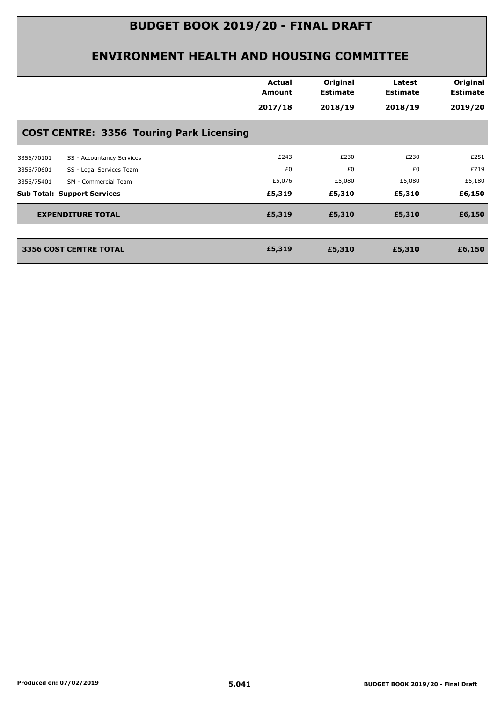|            |                                                 | Actual<br>Amount | Original<br><b>Estimate</b> | Latest<br><b>Estimate</b> | Original<br><b>Estimate</b> |
|------------|-------------------------------------------------|------------------|-----------------------------|---------------------------|-----------------------------|
|            |                                                 | 2017/18          | 2018/19                     | 2018/19                   | 2019/20                     |
|            | <b>COST CENTRE: 3356 Touring Park Licensing</b> |                  |                             |                           |                             |
| 3356/70101 | SS - Accountancy Services                       | £243             | £230                        | £230                      | £251                        |
| 3356/70601 | SS - Legal Services Team                        | £0               | £0                          | £0                        | £719                        |
| 3356/75401 | SM - Commercial Team                            | £5,076           | £5,080                      | £5,080                    | £5,180                      |
|            | <b>Sub Total: Support Services</b>              | £5,319           | £5,310                      | £5,310                    | £6,150                      |
|            | <b>EXPENDITURE TOTAL</b>                        | £5,319           | £5,310                      | £5,310                    | £6,150                      |
|            | <b>3356 COST CENTRE TOTAL</b>                   | £5,319           | £5,310                      | £5,310                    | £6,150                      |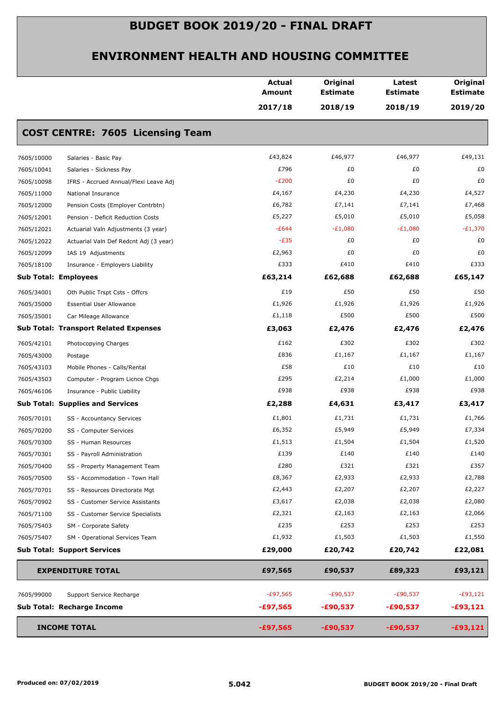|            |                                              | Actual<br><b>Amount</b> | Original<br><b>Estimate</b> | Latest<br><b>Estimate</b> | Original<br><b>Estimate</b> |
|------------|----------------------------------------------|-------------------------|-----------------------------|---------------------------|-----------------------------|
|            |                                              | 2017/18                 | 2018/19                     | 2018/19                   | 2019/20                     |
|            | <b>COST CENTRE: 7605 Licensing Team</b>      |                         |                             |                           |                             |
| 7605/10000 | Salaries - Basic Pay                         | £43,824                 | £46,977                     | £46,977                   | £49,131                     |
| 7605/10041 | Salaries - Sickness Pay                      | £796                    | £0                          | £0                        | £0                          |
| 7605/10098 | IFRS - Accrued Annual/Flexi Leave Adj        | $-E200$                 | £0                          | £0                        | £0                          |
| 7605/11000 | National Insurance                           | £4,167                  | £4,230                      | £4,230                    | £4,527                      |
| 7605/12000 | Pension Costs (Employer Contrbtn)            | £6,782                  | £7,141                      | £7,141                    | £7,468                      |
| 7605/12001 | Pension - Deficit Reduction Costs            | £5,227                  | £5,010                      | £5,010                    | £5,058                      |
| 7605/12021 | Actuarial Valn Adjustments (3 year)          | $-E644$                 | $-E1,080$                   | $-E1,080$                 | $-E1,370$                   |
| 7605/12022 | Actuarial Valn Def Redcnt Adj (3 year)       | $-E35$                  | £0                          | £0                        | £0                          |
| 7605/12099 | IAS 19 Adjustments                           | £2,963                  | £0                          | £0                        | £0                          |
| 7605/18100 | Insurance - Employers Liability              | £333                    | £410                        | £410                      | £333                        |
|            | <b>Sub Total: Employees</b>                  | £63,214                 | £62,688                     | £62,688                   | £65,147                     |
| 7605/34001 | Oth Public Trspt Csts - Offcrs               | £19                     | £50                         | £50                       | £50                         |
| 7605/35000 | <b>Essential User Allowance</b>              | £1,926                  | £1,926                      | £1,926                    | £1,926                      |
| 7605/35001 | Car Mileage Allowance                        | £1,118                  | £500                        | £500                      | £500                        |
|            | <b>Sub Total: Transport Related Expenses</b> | £3,063                  | £2,476                      | £2,476                    | £2,476                      |
| 7605/42101 | Photocopying Charges                         | £162                    | £302                        | £302                      | £302                        |
| 7605/43000 | Postage                                      | £836                    | £1,167                      | £1,167                    | £1,167                      |
| 7605/43103 | Mobile Phones - Calls/Rental                 | £58                     | £10                         | £10                       | £10                         |
| 7605/43503 | Computer - Program Licnce Chgs               | £295                    | £2,214                      | £1,000                    | £1,000                      |
| 7605/46106 | Insurance - Public Liability                 | £938                    | £938                        | £938                      | £938                        |
|            | <b>Sub Total: Supplies and Services</b>      | £2,288                  | £4,631                      | £3,417                    | £3,417                      |
| 7605/70101 | SS - Accountancy Services                    | £1,801                  | £1,731                      | £1,731                    | £1,766                      |
| 7605/70200 | SS - Computer Services                       | £6,352                  | £5,949                      | £5,949                    | £7,334                      |
| 7605/70300 | SS - Human Resources                         | £1,513                  | £1,504                      | £1,504                    | £1,520                      |
| 7605/70301 | SS - Payroll Administration                  | £139                    | £140                        | £140                      | £140                        |
| 7605/70400 | SS - Property Management Team                | £280                    | £321                        | £321                      | £357                        |
| 7605/70500 | SS - Accommodation - Town Hall               | £8,367                  | £2,933                      | £2,933                    | £2,788                      |
| 7605/70701 | SS - Resources Directorate Mgt               | £2,443                  | £2,207                      | £2,207                    | £2,227                      |
| 7605/70902 | SS - Customer Service Assistants             | £3,617                  | £2,038                      | £2,038                    | £2,080                      |
| 7605/71100 | SS - Customer Service Specialists            | £2,321                  | £2,163                      | £2,163                    | £2,066                      |
| 7605/75403 | SM - Corporate Safety                        | £235                    | £253                        | £253                      | £253                        |
| 7605/75407 | SM - Operational Services Team               | £1,932                  | £1,503                      | £1,503                    | £1,550                      |
|            | <b>Sub Total: Support Services</b>           | £29,000                 | £20,742                     | £20,742                   | £22,081                     |
|            | <b>EXPENDITURE TOTAL</b>                     | £97,565                 | £90,537                     | £89,323                   | £93,121                     |
| 7605/99000 | Support Service Recharge                     | $-£97,565$              | $-£90,537$                  | $-£90,537$                | $-E93,121$                  |
|            | Sub Total: Recharge Income                   | $-£97,565$              | $-£90,537$                  | -£90,537                  | $-£93,121$                  |
|            | <b>INCOME TOTAL</b>                          | $-£97,565$              | $-£90,537$                  | $-£90,537$                | $-£93,121$                  |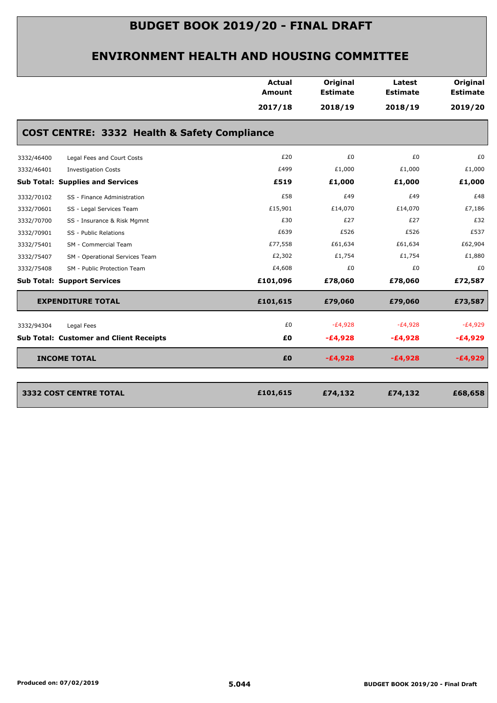|            |                                                | <b>Actual</b><br><b>Amount</b> | Original<br><b>Estimate</b> | Latest<br><b>Estimate</b> | Original<br><b>Estimate</b> |
|------------|------------------------------------------------|--------------------------------|-----------------------------|---------------------------|-----------------------------|
|            |                                                | 2017/18                        | 2018/19                     | 2018/19                   | 2019/20                     |
|            | COST CENTRE: 3332 Health & Safety Compliance   |                                |                             |                           |                             |
| 3332/46400 | Legal Fees and Court Costs                     | £20                            | £0                          | £0                        | £0                          |
| 3332/46401 | <b>Investigation Costs</b>                     | £499                           | £1,000                      | £1,000                    | £1,000                      |
|            | <b>Sub Total: Supplies and Services</b>        | £519                           | £1,000                      | £1,000                    | £1,000                      |
| 3332/70102 | SS - Finance Administration                    | £58                            | £49                         | £49                       | £48                         |
| 3332/70601 | SS - Legal Services Team                       | £15,901                        | £14,070                     | £14,070                   | £7,186                      |
| 3332/70700 | SS - Insurance & Risk Mgmnt                    | £30                            | £27                         | £27                       | £32                         |
| 3332/70901 | SS - Public Relations                          | £639                           | £526                        | £526                      | £537                        |
| 3332/75401 | SM - Commercial Team                           | £77,558                        | £61,634                     | £61,634                   | £62,904                     |
| 3332/75407 | SM - Operational Services Team                 | £2,302                         | £1,754                      | £1,754                    | £1,880                      |
| 3332/75408 | SM - Public Protection Team                    | £4,608                         | £0                          | £0                        | £0                          |
|            | <b>Sub Total: Support Services</b>             | £101,096                       | £78,060                     | £78,060                   | £72,587                     |
|            | <b>EXPENDITURE TOTAL</b>                       | £101,615                       | £79,060                     | £79,060                   | £73,587                     |
| 3332/94304 | Legal Fees                                     | £0                             | $-E4,928$                   | $-E4,928$                 | $-E4,929$                   |
|            | <b>Sub Total: Customer and Client Receipts</b> | £0                             | $-E4,928$                   | $-E4,928$                 | $-E4,929$                   |
|            | <b>INCOME TOTAL</b>                            | £0                             | $-£4,928$                   | $-£4,928$                 | $-£4,929$                   |
|            | <b>3332 COST CENTRE TOTAL</b>                  | £101,615                       | £74,132                     | £74,132                   | £68,658                     |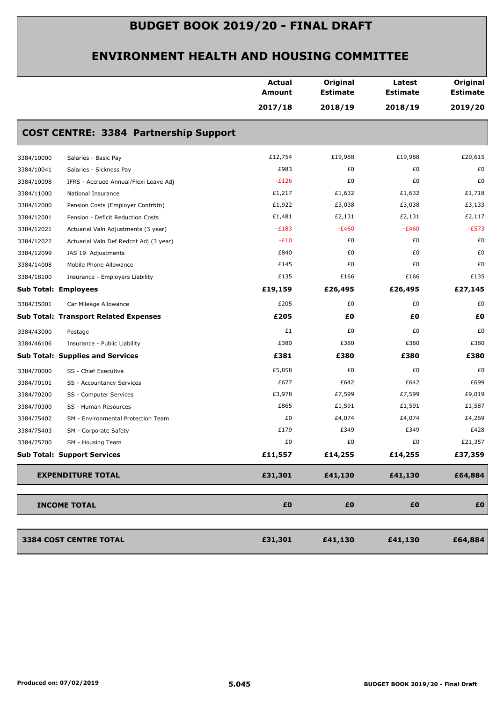|                             |                                              | <b>Actual</b><br>Amount | Original<br><b>Estimate</b> | Latest<br><b>Estimate</b> | Original<br><b>Estimate</b> |
|-----------------------------|----------------------------------------------|-------------------------|-----------------------------|---------------------------|-----------------------------|
|                             |                                              | 2017/18                 | 2018/19                     | 2018/19                   | 2019/20                     |
|                             | <b>COST CENTRE: 3384 Partnership Support</b> |                         |                             |                           |                             |
| 3384/10000                  | Salaries - Basic Pay                         | £12,754                 | £19,988                     | £19,988                   | £20,615                     |
| 3384/10041                  | Salaries - Sickness Pay                      | £983                    | £0                          | £0                        | £0                          |
| 3384/10098                  | IFRS - Accrued Annual/Flexi Leave Adj        | $-E126$                 | £0                          | £0                        | £0                          |
| 3384/11000                  | National Insurance                           | £1,217                  | £1,632                      | £1,632                    | £1,718                      |
| 3384/12000                  | Pension Costs (Employer Contrbtn)            | £1,922                  | £3,038                      | £3,038                    | £3,133                      |
| 3384/12001                  | Pension - Deficit Reduction Costs            | £1,481                  | £2,131                      | £2,131                    | £2,117                      |
| 3384/12021                  | Actuarial Valn Adjustments (3 year)          | $-E183$                 | $-E460$                     | $-E460$                   | $-E573$                     |
| 3384/12022                  | Actuarial Valn Def Redcnt Adj (3 year)       | $-E10$                  | £0                          | £0                        | £0                          |
| 3384/12099                  | IAS 19 Adjustments                           | £840                    | £0                          | £0                        | £0                          |
| 3384/14008                  | Mobile Phone Allowance                       | £145                    | £0                          | £0                        | £0                          |
| 3384/18100                  | Insurance - Employers Liability              | £135                    | £166                        | £166                      | £135                        |
| <b>Sub Total: Employees</b> |                                              | £19,159                 | £26,495                     | £26,495                   | £27,145                     |
| 3384/35001                  | Car Mileage Allowance                        | £205                    | £0                          | £0                        | £0                          |
|                             | <b>Sub Total: Transport Related Expenses</b> | £205                    | £0                          | £0                        | £0                          |
| 3384/43000                  | Postage                                      | £1                      | £0                          | £0                        | £0                          |
| 3384/46106                  | Insurance - Public Liability                 | £380                    | £380                        | £380                      | £380                        |
|                             | <b>Sub Total: Supplies and Services</b>      | £381                    | £380                        | £380                      | £380                        |
| 3384/70000                  | SS - Chief Executive                         | £5,858                  | £0                          | £0                        | £0                          |
| 3384/70101                  | SS - Accountancy Services                    | £677                    | £642                        | £642                      | £699                        |
| 3384/70200                  | SS - Computer Services                       | £3,978                  | £7,599                      | £7,599                    | £9,019                      |
| 3384/70300                  | SS - Human Resources                         | £865                    | £1,591                      | £1,591                    | £1,587                      |
| 3384/75402                  | SM - Environmental Protection Team           | £0                      | £4,074                      | £4,074                    | £4,269                      |
| 3384/75403                  | SM - Corporate Safety                        | £179                    | £349                        | £349                      | £428                        |
| 3384/75700                  | SM - Housing Team                            | £0                      | £0                          | £0                        | £21,357                     |
|                             | <b>Sub Total: Support Services</b>           | £11,557                 | £14,255                     | £14,255                   | £37,359                     |
|                             | <b>EXPENDITURE TOTAL</b>                     | £31,301                 | £41,130                     | £41,130                   | £64,884                     |
|                             | <b>INCOME TOTAL</b>                          | £0                      | £0                          | £0                        | £O                          |
|                             |                                              |                         |                             |                           |                             |
|                             | 3384 COST CENTRE TOTAL                       | £31,301                 | £41,130                     | £41,130                   | £64,884                     |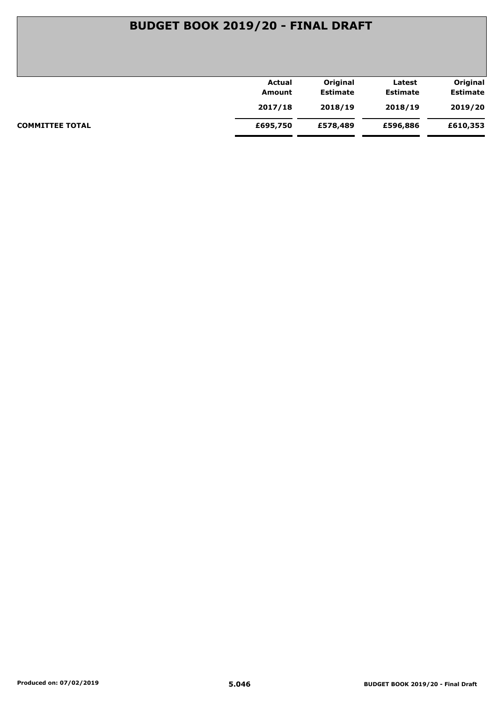| Actual   | Original        | Latest          | Original        |
|----------|-----------------|-----------------|-----------------|
| Amount   | <b>Estimate</b> | <b>Estimate</b> | <b>Estimate</b> |
| 2017/18  | 2018/19         | 2018/19         | 2019/20         |
| £695,750 | £578,489        | £596,886        | £610,353        |
|          |                 |                 |                 |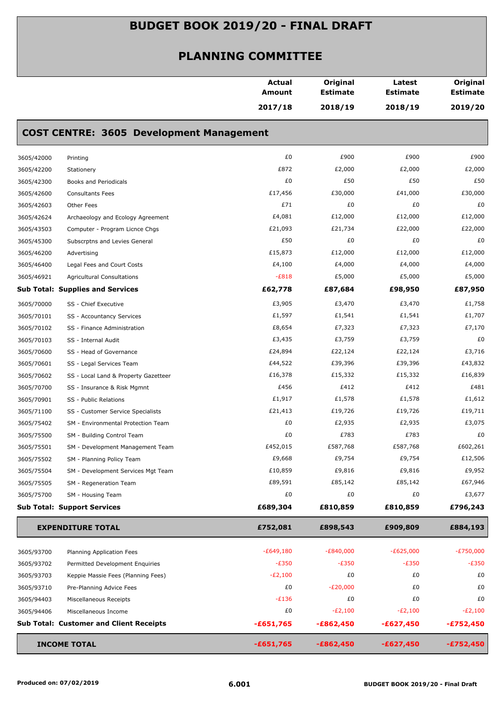| 2017/18<br>2018/19<br>2018/19                                                               | 2019/20     |
|---------------------------------------------------------------------------------------------|-------------|
| <b>COST CENTRE: 3605 Development Management</b>                                             |             |
| £0<br>£900<br>£900<br>3605/42000<br>Printing                                                | £900        |
| £872<br>£2,000<br>£2,000<br>3605/42200<br>Stationery                                        | £2,000      |
| £0<br>£50<br>£50<br>3605/42300<br>Books and Periodicals                                     | £50         |
| £17,456<br>£30,000<br>£41,000<br>3605/42600<br><b>Consultants Fees</b>                      | £30,000     |
| £71<br>£0<br>£0<br>3605/42603<br>Other Fees                                                 | £0          |
| £4,081<br>£12,000<br>£12,000<br>3605/42624<br>Archaeology and Ecology Agreement             | £12,000     |
| £22,000<br>£21,093<br>£21,734<br>Computer - Program Licnce Chgs<br>3605/43503               | £22,000     |
| £50<br>£0<br>£0<br>3605/45300<br>Subscrptns and Levies General                              | £0          |
| £15,873<br>£12,000<br>£12,000<br>3605/46200<br>Advertising                                  | £12,000     |
| £4,100<br>£4,000<br>£4,000<br>3605/46400<br>Legal Fees and Court Costs                      | £4,000      |
| $-E818$<br>£5,000<br>£5,000<br>3605/46921<br><b>Agricultural Consultations</b>              | £5,000      |
| £62,778<br><b>Sub Total: Supplies and Services</b><br>£87,684<br>£98,950                    | £87,950     |
| £3,905<br>£3,470<br>£3,470<br>3605/70000<br>SS - Chief Executive                            | £1,758      |
| £1,597<br>£1,541<br>£1,541<br>3605/70101<br>SS - Accountancy Services                       | £1,707      |
| £8,654<br>£7,323<br>£7,323<br>3605/70102<br>SS - Finance Administration                     | £7,170      |
| £3,435<br>£3,759<br>£3,759<br>3605/70103<br>SS - Internal Audit                             | £0          |
| £24,894<br>£22,124<br>£22,124<br>3605/70600<br>SS - Head of Governance                      | £3,716      |
| £44,522<br>£39,396<br>£39,396<br>3605/70601<br>SS - Legal Services Team                     | £43,832     |
| £16,378<br>£15,332<br>£15,332<br>3605/70602<br>SS - Local Land & Property Gazetteer         | £16,839     |
| £456<br>£412<br>£412<br>3605/70700<br>SS - Insurance & Risk Mgmnt                           | £481        |
| £1,917<br>£1,578<br>£1,578<br>3605/70901<br>SS - Public Relations                           | £1,612      |
| £21,413<br>£19,726<br>£19,726<br>3605/71100<br>SS - Customer Service Specialists            | £19,711     |
| £0<br>£2,935<br>£2,935<br>3605/75402<br>SM - Environmental Protection Team                  | £3,075      |
| £783<br>£0<br>£783<br>3605/75500<br>SM - Building Control Team                              | £0          |
| £452,015<br>£587,768<br>£587,768<br>3605/75501<br>SM - Development Management Team          | £602,261    |
| £9,668<br>£9,754<br>£9,754<br>3605/75502<br>SM - Planning Policy Team                       | £12,506     |
| £10,859<br>£9,816<br>£9,816<br>3605/75504<br>SM - Development Services Mgt Team             | £9,952      |
| £89,591<br>£85,142<br>£85,142<br>3605/75505<br>SM - Regeneration Team                       | £67,946     |
| £0<br>£0<br>£0<br>3605/75700<br>SM - Housing Team                                           | £3,677      |
| <b>Sub Total: Support Services</b><br>£689,304<br>£810,859<br>£810,859                      | £796,243    |
| £752,081<br>£898,543<br>£909,809<br><b>EXPENDITURE TOTAL</b>                                | £884,193    |
| $-E649,180$<br>$-E840,000$<br>$-E625,000$<br>3605/93700<br>Planning Application Fees        | $-E750,000$ |
| $-E350$<br>$-E350$<br>$-E350$<br>3605/93702<br>Permitted Development Enquiries              | $-E350$     |
| $-E2,100$<br>£0<br>£0<br>3605/93703<br>Keppie Massie Fees (Planning Fees)                   | £0          |
| £0<br>$-E20,000$<br>£0<br>3605/93710<br>Pre-Planning Advice Fees                            | £0          |
| £0<br>$-E136$<br>£0<br>3605/94403<br>Miscellaneous Receipts                                 | £0          |
| £0<br>$-E2,100$<br>$-E2,100$<br>3605/94406<br>Miscellaneous Income                          | $-E2,100$   |
| <b>Sub Total: Customer and Client Receipts</b><br>$-£651,765$<br>$-£862,450$<br>$-£627,450$ | $-£752,450$ |
| <b>INCOME TOTAL</b><br>$-£651,765$<br>$-£862,450$<br>$-£627,450$                            | $-£752,450$ |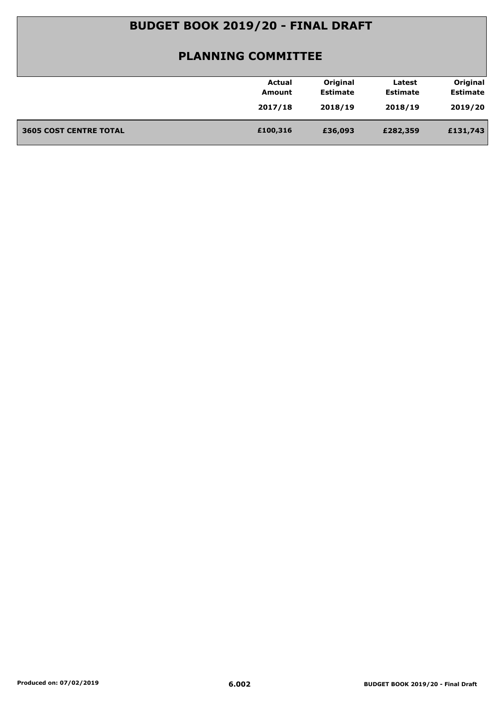|                               | Actual   | Original        | Latest          | Original        |
|-------------------------------|----------|-----------------|-----------------|-----------------|
|                               | Amount   | <b>Estimate</b> | <b>Estimate</b> | <b>Estimate</b> |
|                               | 2017/18  | 2018/19         | 2018/19         | 2019/20         |
|                               |          |                 |                 |                 |
| <b>3605 COST CENTRE TOTAL</b> | £100,316 | £36,093         | £282,359        | £131,743        |
|                               |          |                 |                 |                 |
|                               |          |                 |                 |                 |
|                               |          |                 |                 |                 |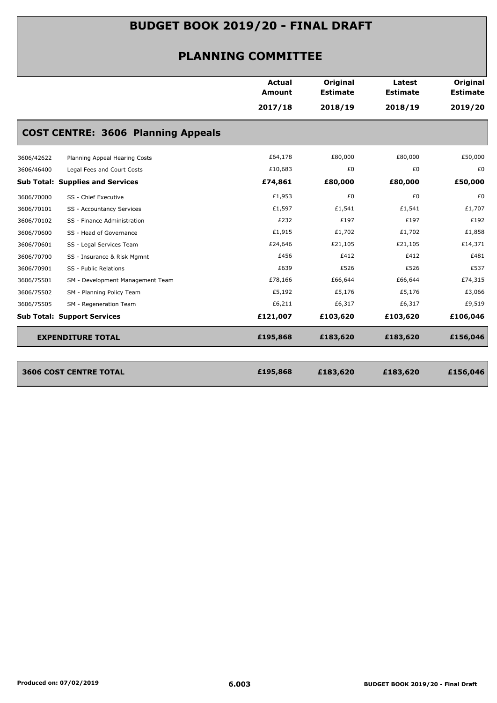|            |                                           | <b>Actual</b><br><b>Amount</b> | Original<br><b>Estimate</b> | Latest<br><b>Estimate</b> | Original<br><b>Estimate</b> |
|------------|-------------------------------------------|--------------------------------|-----------------------------|---------------------------|-----------------------------|
|            |                                           | 2017/18                        | 2018/19                     | 2018/19                   | 2019/20                     |
|            | <b>COST CENTRE: 3606 Planning Appeals</b> |                                |                             |                           |                             |
| 3606/42622 | Planning Appeal Hearing Costs             | £64,178                        | £80,000                     | £80,000                   | £50,000                     |
| 3606/46400 | Legal Fees and Court Costs                | £10,683                        | £0                          | £0                        | £0                          |
|            | <b>Sub Total: Supplies and Services</b>   | £74,861                        | £80,000                     | £80,000                   | £50,000                     |
| 3606/70000 | SS - Chief Executive                      | £1,953                         | £0                          | £0                        | £0                          |
| 3606/70101 | SS - Accountancy Services                 | £1,597                         | £1,541                      | £1,541                    | £1,707                      |
| 3606/70102 | SS - Finance Administration               | £232                           | £197                        | £197                      | £192                        |
| 3606/70600 | SS - Head of Governance                   | £1,915                         | £1,702                      | £1,702                    | £1,858                      |
| 3606/70601 | SS - Legal Services Team                  | £24,646                        | £21,105                     | £21,105                   | £14,371                     |
| 3606/70700 | SS - Insurance & Risk Mgmnt               | £456                           | £412                        | £412                      | £481                        |
| 3606/70901 | SS - Public Relations                     | £639                           | £526                        | £526                      | £537                        |
| 3606/75501 | SM - Development Management Team          | £78,166                        | £66,644                     | £66,644                   | £74,315                     |
| 3606/75502 | SM - Planning Policy Team                 | £5,192                         | £5,176                      | £5,176                    | £3,066                      |
| 3606/75505 | SM - Regeneration Team                    | £6,211                         | £6,317                      | £6,317                    | £9,519                      |
|            | <b>Sub Total: Support Services</b>        | £121,007                       | £103,620                    | £103,620                  | £106,046                    |
|            | <b>EXPENDITURE TOTAL</b>                  | £195,868                       | £183,620                    | £183,620                  | £156,046                    |
|            |                                           |                                |                             |                           |                             |
|            | <b>3606 COST CENTRE TOTAL</b>             | £195,868                       | £183,620                    | £183,620                  | £156,046                    |
|            |                                           |                                |                             |                           |                             |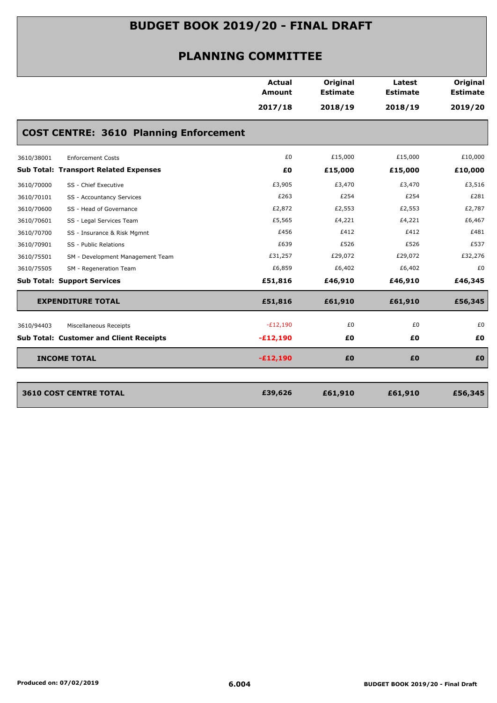|                                                | <b>Actual</b><br><b>Amount</b> | Original<br><b>Estimate</b> | Latest<br><b>Estimate</b> | Original<br><b>Estimate</b> |
|------------------------------------------------|--------------------------------|-----------------------------|---------------------------|-----------------------------|
|                                                | 2017/18                        | 2018/19                     | 2018/19                   | 2019/20                     |
| <b>COST CENTRE: 3610 Planning Enforcement</b>  |                                |                             |                           |                             |
| 3610/38001<br><b>Enforcement Costs</b>         | £0                             | £15,000                     | £15,000                   | £10,000                     |
| <b>Sub Total: Transport Related Expenses</b>   | £0                             | £15,000                     | £15,000                   | £10,000                     |
| SS - Chief Executive<br>3610/70000             | £3,905                         | £3,470                      | £3,470                    | £3,516                      |
| 3610/70101<br>SS - Accountancy Services        | £263                           | £254                        | £254                      | £281                        |
| SS - Head of Governance<br>3610/70600          | £2,872                         | £2,553                      | £2,553                    | £2,787                      |
| 3610/70601<br>SS - Legal Services Team         | £5,565                         | £4,221                      | £4,221                    | £6,467                      |
| 3610/70700<br>SS - Insurance & Risk Mgmnt      | £456                           | £412                        | £412                      | £481                        |
| 3610/70901<br>SS - Public Relations            | £639                           | £526                        | £526                      | £537                        |
| SM - Development Management Team<br>3610/75501 | £31,257                        | £29,072                     | £29,072                   | £32,276                     |
| 3610/75505<br>SM - Regeneration Team           | £6,859                         | £6,402                      | £6,402                    | £0                          |
| <b>Sub Total: Support Services</b>             | £51,816                        | £46,910                     | £46,910                   | £46,345                     |
| <b>EXPENDITURE TOTAL</b>                       | £51,816                        | £61,910                     | £61,910                   | £56,345                     |
| 3610/94403<br>Miscellaneous Receipts           | $-E12,190$                     | £0                          | £0                        | £0                          |
| <b>Sub Total: Customer and Client Receipts</b> | $-E12,190$                     | £0                          | £0                        | £0                          |
| <b>INCOME TOTAL</b>                            | $-£12,190$                     | £0                          | £0                        | £0                          |
| <b>3610 COST CENTRE TOTAL</b>                  | £39,626                        | £61,910                     | £61,910                   | £56,345                     |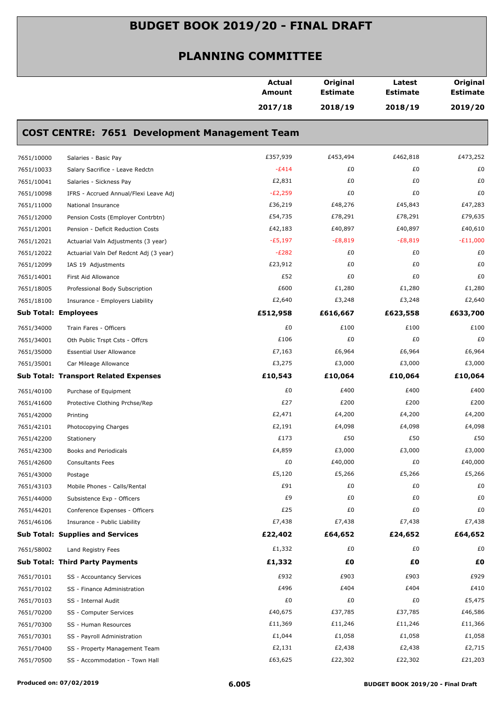|            |                                                      | Actual<br>Amount | Original<br><b>Estimate</b> | Latest<br><b>Estimate</b> | Original<br><b>Estimate</b> |
|------------|------------------------------------------------------|------------------|-----------------------------|---------------------------|-----------------------------|
|            |                                                      | 2017/18          | 2018/19                     | 2018/19                   | 2019/20                     |
|            | <b>COST CENTRE: 7651 Development Management Team</b> |                  |                             |                           |                             |
| 7651/10000 | Salaries - Basic Pay                                 | £357,939         | £453,494                    | £462,818                  | £473,252                    |
| 7651/10033 | Salary Sacrifice - Leave Redctn                      | $-E414$          | £0                          | £0                        | £0                          |
| 7651/10041 | Salaries - Sickness Pay                              | £2,831           | £0                          | £0                        | £0                          |
| 7651/10098 | IFRS - Accrued Annual/Flexi Leave Adj                | $-E2,259$        | £0                          | £0                        | £0                          |
| 7651/11000 | National Insurance                                   | £36,219          | £48,276                     | £45,843                   | £47,283                     |
| 7651/12000 | Pension Costs (Employer Contrbtn)                    | £54,735          | £78,291                     | £78,291                   | £79,635                     |
| 7651/12001 | Pension - Deficit Reduction Costs                    | £42,183          | £40,897                     | £40,897                   | £40,610                     |
| 7651/12021 | Actuarial Valn Adjustments (3 year)                  | $-E5,197$        | $-E8,819$                   | $-E8,819$                 | $-E11,000$                  |
| 7651/12022 | Actuarial Valn Def Redcnt Adj (3 year)               | $-E282$          | £0                          | £0                        | £0                          |
| 7651/12099 | IAS 19 Adjustments                                   | £23,912          | £0                          | £0                        | £0                          |
| 7651/14001 | First Aid Allowance                                  | £52              | £0                          | £0                        | £0                          |
| 7651/18005 | Professional Body Subscription                       | £600             | £1,280                      | £1,280                    | £1,280                      |
| 7651/18100 | Insurance - Employers Liability                      | £2,640           | £3,248                      | £3,248                    | £2,640                      |
|            | <b>Sub Total: Employees</b>                          | £512,958         | £616,667                    | £623,558                  | £633,700                    |
| 7651/34000 | Train Fares - Officers                               | £0               | £100                        | £100                      | £100                        |
| 7651/34001 | Oth Public Trspt Csts - Offcrs                       | £106             | £0                          | £0                        | £0                          |
| 7651/35000 | <b>Essential User Allowance</b>                      | £7,163           | £6,964                      | £6,964                    | £6,964                      |
| 7651/35001 | Car Mileage Allowance                                | £3,275           | £3,000                      | £3,000                    | £3,000                      |
|            | <b>Sub Total: Transport Related Expenses</b>         | £10,543          | £10,064                     | £10,064                   | £10,064                     |
| 7651/40100 | Purchase of Equipment                                | £0               | £400                        | £400                      | £400                        |
| 7651/41600 | Protective Clothing Prchse/Rep                       | £27              | £200                        | £200                      | £200                        |
| 7651/42000 | Printing                                             | £2,471           | £4,200                      | £4,200                    | £4,200                      |
| 7651/42101 | Photocopying Charges                                 | £2,191           | £4,098                      | £4,098                    | £4,098                      |
| 7651/42200 | Stationery                                           | £173             | £50                         | £50                       | £50                         |
| 7651/42300 | Books and Periodicals                                | £4,859           | £3,000                      | £3,000                    | £3,000                      |
| 7651/42600 | <b>Consultants Fees</b>                              | £0               | £40,000                     | £0                        | £40,000                     |
| 7651/43000 | Postage                                              | £5,120           | £5,266                      | £5,266                    | £5,266                      |
| 7651/43103 | Mobile Phones - Calls/Rental                         | £91              | £0                          | £0                        | £0                          |
| 7651/44000 | Subsistence Exp - Officers                           | £9               | £0                          | £0                        | £0                          |
| 7651/44201 | Conference Expenses - Officers                       | £25              | £0                          | £0                        | £0                          |
| 7651/46106 | Insurance - Public Liability                         | £7,438           | £7,438                      | £7,438                    | £7,438                      |
|            | <b>Sub Total: Supplies and Services</b>              | £22,402          | £64,652                     | £24,652                   | £64,652                     |
| 7651/58002 | Land Registry Fees                                   | £1,332           | £0                          | £0                        | £0                          |
|            | <b>Sub Total: Third Party Payments</b>               | £1,332           | £0                          | £Ο                        | £0                          |
| 7651/70101 | SS - Accountancy Services                            | £932             | £903                        | £903                      | £929                        |
| 7651/70102 | SS - Finance Administration                          | £496             | £404                        | £404                      | £410                        |
| 7651/70103 | SS - Internal Audit                                  | £0               | £0                          | £0                        | £5,475                      |
| 7651/70200 | SS - Computer Services                               | £40,675          | £37,785                     | £37,785                   | £46,586                     |
| 7651/70300 | SS - Human Resources                                 | £11,369          | £11,246                     | £11,246                   | £11,366                     |
| 7651/70301 | SS - Payroll Administration                          | £1,044           | £1,058                      | £1,058                    | £1,058                      |
| 7651/70400 | SS - Property Management Team                        | £2,131           | £2,438                      | £2,438                    | £2,715                      |
| 7651/70500 | SS - Accommodation - Town Hall                       | £63,625          | £22,302                     | £22,302                   | £21,203                     |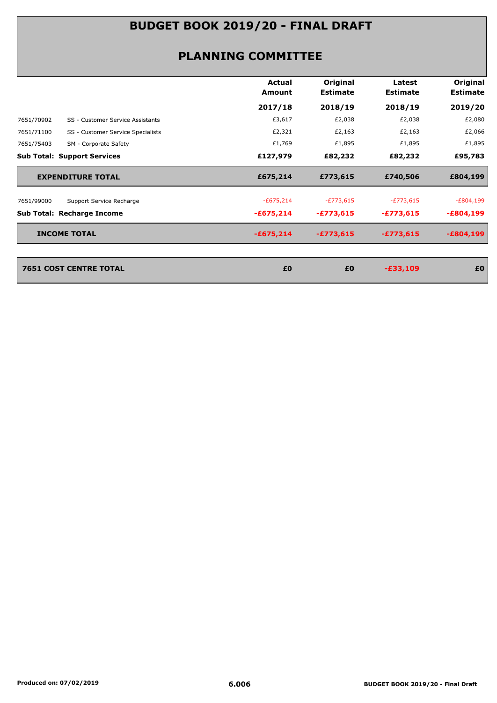#### **PLANNING COMMITTEE**

|                                                 | Actual<br>Amount | Original<br><b>Estimate</b> | Latest<br><b>Estimate</b> | Original<br><b>Estimate</b> |
|-------------------------------------------------|------------------|-----------------------------|---------------------------|-----------------------------|
|                                                 | 2017/18          | 2018/19                     | 2018/19                   | 2019/20                     |
| 7651/70902<br>SS - Customer Service Assistants  | £3,617           | £2,038                      | £2,038                    | £2,080                      |
| 7651/71100<br>SS - Customer Service Specialists | £2,321           | £2,163                      | £2,163                    | £2,066                      |
| 7651/75403<br>SM - Corporate Safety             | £1,769           | £1,895                      | £1,895                    | £1,895                      |
| <b>Sub Total: Support Services</b>              | £127,979         | £82,232                     | £82,232                   | £95,783                     |
| <b>EXPENDITURE TOTAL</b>                        | £675,214         | £773,615                    | £740,506                  | £804,199                    |
| 7651/99000<br>Support Service Recharge          | $-£675,214$      | $-E773,615$                 | $-E773,615$               | $-E804,199$                 |
| <b>Sub Total: Recharge Income</b>               | $-£675,214$      | $-£773,615$                 | $-£773,615$               | $-£804,199$                 |
| <b>INCOME TOTAL</b>                             | $-£675,214$      | $-£773,615$                 | $-£773,615$               | $-E804,199$                 |
|                                                 |                  |                             |                           |                             |
| <b>7651 COST CENTRE TOTAL</b>                   | £0               | £0                          | $-£33,109$                | £0                          |
|                                                 |                  |                             |                           |                             |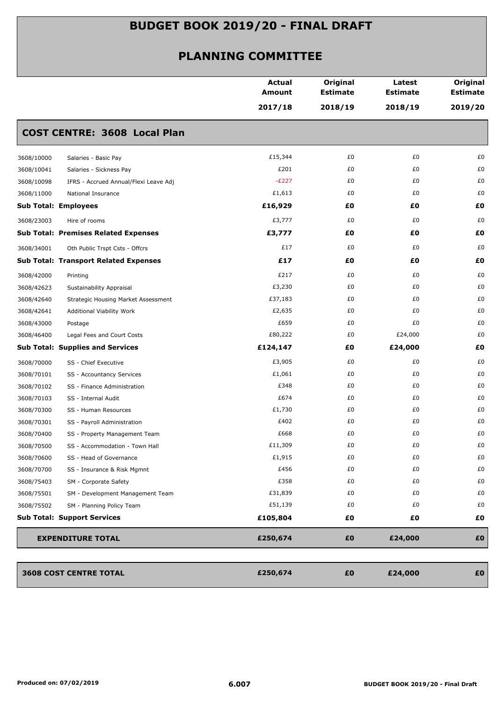|            |                                              | <b>Actual</b><br>Amount | Original<br><b>Estimate</b><br>2018/19 | Latest<br><b>Estimate</b><br>2018/19 | Original<br><b>Estimate</b><br>2019/20 |
|------------|----------------------------------------------|-------------------------|----------------------------------------|--------------------------------------|----------------------------------------|
|            |                                              | 2017/18                 |                                        |                                      |                                        |
|            | <b>COST CENTRE: 3608 Local Plan</b>          |                         |                                        |                                      |                                        |
| 3608/10000 | Salaries - Basic Pay                         | £15,344                 | £0                                     | £0                                   | £0                                     |
| 3608/10041 | Salaries - Sickness Pay                      | £201                    | £0                                     | £0                                   | £0                                     |
| 3608/10098 | IFRS - Accrued Annual/Flexi Leave Adj        | $-E227$                 | £0                                     | £0                                   | £0                                     |
| 3608/11000 | National Insurance                           | £1,613                  | £0                                     | £0                                   | £0                                     |
|            | <b>Sub Total: Employees</b>                  | £16,929                 | £0                                     | £0                                   | £0                                     |
| 3608/23003 | Hire of rooms                                | £3,777                  | £0                                     | £0                                   | £0                                     |
|            | <b>Sub Total: Premises Related Expenses</b>  | £3,777                  | £0                                     | £0                                   | £0                                     |
| 3608/34001 | Oth Public Trspt Csts - Offcrs               | £17                     | £0                                     | £0                                   | £0                                     |
|            | <b>Sub Total: Transport Related Expenses</b> | £17                     | £0                                     | £Ο                                   | £0                                     |
| 3608/42000 | Printing                                     | £217                    | £0                                     | £0                                   | £0                                     |
| 3608/42623 | Sustainability Appraisal                     | £3,230                  | £0                                     | £0                                   | £0                                     |
| 3608/42640 | <b>Strategic Housing Market Assessment</b>   | £37,183                 | £0                                     | £0                                   | £0                                     |
| 3608/42641 | Additional Viability Work                    | £2,635                  | £0                                     | £0                                   | £0                                     |
| 3608/43000 | Postage                                      | £659                    | £0                                     | £0                                   | £0                                     |
| 3608/46400 | Legal Fees and Court Costs                   | £80,222                 | £0                                     | £24,000                              | £0                                     |
|            | <b>Sub Total: Supplies and Services</b>      | £124,147                | £0                                     | £24,000                              | £0                                     |
| 3608/70000 | SS - Chief Executive                         | £3,905                  | £0                                     | £0                                   | £0                                     |
| 3608/70101 | SS - Accountancy Services                    | £1,061                  | £0                                     | £0                                   | £0                                     |
| 3608/70102 | SS - Finance Administration                  | £348                    | £0                                     | £0                                   | £0                                     |
| 3608/70103 | SS - Internal Audit                          | £674                    | £0                                     | £0                                   | £0                                     |
| 3608/70300 | SS - Human Resources                         | £1,730                  | £0                                     | £0                                   | £0                                     |
| 3608/70301 | SS - Payroll Administration                  | £402                    | £0                                     | £0                                   | £0                                     |
| 3608/70400 | SS - Property Management Team                | £668                    | £0                                     | £0                                   | £0                                     |
| 3608/70500 | SS - Accommodation - Town Hall               | £11,309                 | £0                                     | £0                                   | £0                                     |
| 3608/70600 | SS - Head of Governance                      | £1,915                  | £0                                     | £0                                   | £0                                     |
| 3608/70700 | SS - Insurance & Risk Mgmnt                  | £456                    | £0                                     | £0                                   | £0                                     |
| 3608/75403 | SM - Corporate Safety                        | £358                    | £0                                     | £0                                   | £0                                     |
| 3608/75501 | SM - Development Management Team             | £31,839                 | £0                                     | £0                                   | £0                                     |
| 3608/75502 | SM - Planning Policy Team                    | £51,139                 | £0                                     | £0                                   | £0                                     |
|            | <b>Sub Total: Support Services</b>           | £105,804                | £0                                     | £0                                   | £0                                     |
|            | <b>EXPENDITURE TOTAL</b>                     | £250,674                | £0                                     | £24,000                              | £0                                     |
|            | <b>3608 COST CENTRE TOTAL</b>                | £250,674                | £0                                     | £24,000                              | £0                                     |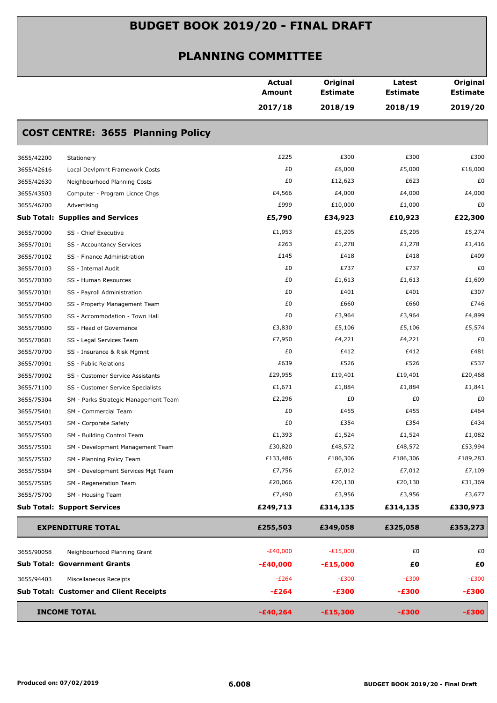|            |                                                | Actual<br><b>Amount</b> | Original<br><b>Estimate</b> | Latest<br><b>Estimate</b><br>2018/19 | Original<br><b>Estimate</b><br>2019/20 |
|------------|------------------------------------------------|-------------------------|-----------------------------|--------------------------------------|----------------------------------------|
|            |                                                | 2017/18                 | 2018/19                     |                                      |                                        |
|            | <b>COST CENTRE: 3655 Planning Policy</b>       |                         |                             |                                      |                                        |
| 3655/42200 | Stationery                                     | £225                    | £300                        | £300                                 | £300                                   |
| 3655/42616 | Local Devlpmnt Framework Costs                 | £0                      | £8,000                      | £5,000                               | £18,000                                |
| 3655/42630 | Neighbourhood Planning Costs                   | £0                      | £12,623                     | £623                                 | £0                                     |
| 3655/43503 | Computer - Program Licnce Chgs                 | £4,566                  | £4,000                      | £4,000                               | £4,000                                 |
| 3655/46200 | Advertising                                    | £999                    | £10,000                     | £1,000                               | £0                                     |
|            | <b>Sub Total: Supplies and Services</b>        | £5,790                  | £34,923                     | £10,923                              | £22,300                                |
| 3655/70000 | SS - Chief Executive                           | £1,953                  | £5,205                      | £5,205                               | £5,274                                 |
| 3655/70101 | SS - Accountancy Services                      | £263                    | £1,278                      | £1,278                               | £1,416                                 |
| 3655/70102 | SS - Finance Administration                    | £145                    | £418                        | £418                                 | £409                                   |
| 3655/70103 | SS - Internal Audit                            | £0                      | £737                        | £737                                 | £0                                     |
| 3655/70300 | SS - Human Resources                           | £0                      | £1,613                      | £1,613                               | £1,609                                 |
| 3655/70301 | SS - Payroll Administration                    | £0                      | £401                        | £401                                 | £307                                   |
| 3655/70400 | SS - Property Management Team                  | £0                      | £660                        | £660                                 | £746                                   |
| 3655/70500 | SS - Accommodation - Town Hall                 | £0                      | £3,964                      | £3,964                               | £4,899                                 |
| 3655/70600 | SS - Head of Governance                        | £3,830                  | £5,106                      | £5,106                               | £5,574                                 |
| 3655/70601 | SS - Legal Services Team                       | £7,950                  | £4,221                      | £4,221                               | £0                                     |
| 3655/70700 | SS - Insurance & Risk Mgmnt                    | £0                      | £412                        | £412                                 | £481                                   |
| 3655/70901 | SS - Public Relations                          | £639                    | £526                        | £526                                 | £537                                   |
| 3655/70902 | SS - Customer Service Assistants               | £29,955                 | £19,401                     | £19,401                              | £20,468                                |
| 3655/71100 | SS - Customer Service Specialists              | £1,671                  | £1,884                      | £1,884                               | £1,841                                 |
| 3655/75304 | SM - Parks Strategic Management Team           | £2,296                  | £0                          | £0                                   | £0                                     |
| 3655/75401 | SM - Commercial Team                           | £0                      | £455                        | £455                                 | £464                                   |
| 3655/75403 | SM - Corporate Safety                          | £0                      | £354                        | £354                                 | £434                                   |
| 3655/75500 | SM - Building Control Team                     | £1,393                  | £1,524                      | £1,524                               | £1,082                                 |
| 3655/75501 | SM - Development Management Team               | £30,820                 | £48,572                     | £48,572                              | £53,994                                |
| 3655/75502 | SM - Planning Policy Team                      | £133,486                | £186,306                    | £186,306                             | £189,283                               |
| 3655/75504 | SM - Development Services Mgt Team             | £7,756                  | £7,012                      | £7,012                               | £7,109                                 |
| 3655/75505 | SM - Regeneration Team                         | £20,066                 | £20,130                     | £20,130                              | £31,369                                |
| 3655/75700 | SM - Housing Team                              | £7,490                  | £3,956                      | £3,956                               | £3,677                                 |
|            | <b>Sub Total: Support Services</b>             | £249,713                | £314,135                    | £314,135                             | £330,973                               |
|            | <b>EXPENDITURE TOTAL</b>                       | £255,503                | £349,058                    | £325,058                             | £353,273                               |
| 3655/90058 | Neighbourhood Planning Grant                   | $-E40,000$              | $-E15,000$                  | £0                                   | £0                                     |
|            | <b>Sub Total: Government Grants</b>            | $-£40,000$              | $-£15,000$                  | £0                                   | £Ο                                     |
| 3655/94403 | Miscellaneous Receipts                         | $-E264$                 | $-E300$                     | $-E300$                              | $-E300$                                |
|            | <b>Sub Total: Customer and Client Receipts</b> | $-E264$                 | $-£300$                     | $-£300$                              | $-£300$                                |
|            | <b>INCOME TOTAL</b>                            | $-£40,264$              | $-£15,300$                  | $-£300$                              | $-£300$                                |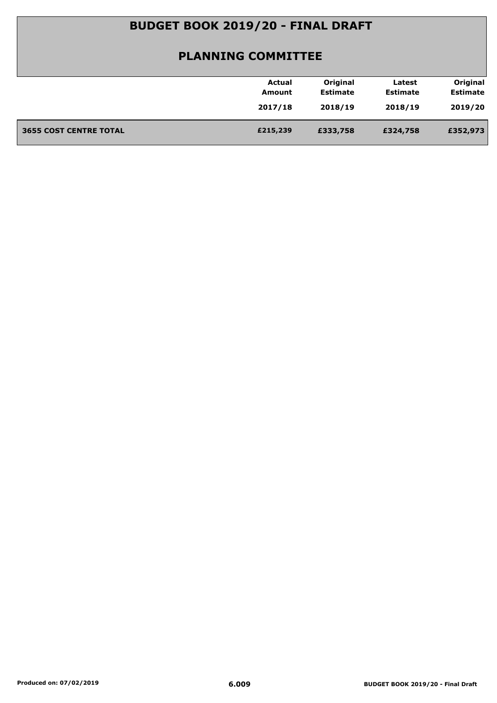|                               | Actual   | Original        | Latest          | Original        |
|-------------------------------|----------|-----------------|-----------------|-----------------|
|                               | Amount   | <b>Estimate</b> | <b>Estimate</b> | <b>Estimate</b> |
|                               | 2017/18  | 2018/19         | 2018/19         | 2019/20         |
| <b>3655 COST CENTRE TOTAL</b> | £215,239 | £333,758        | £324,758        | £352,973        |
|                               |          |                 |                 |                 |
|                               |          |                 |                 |                 |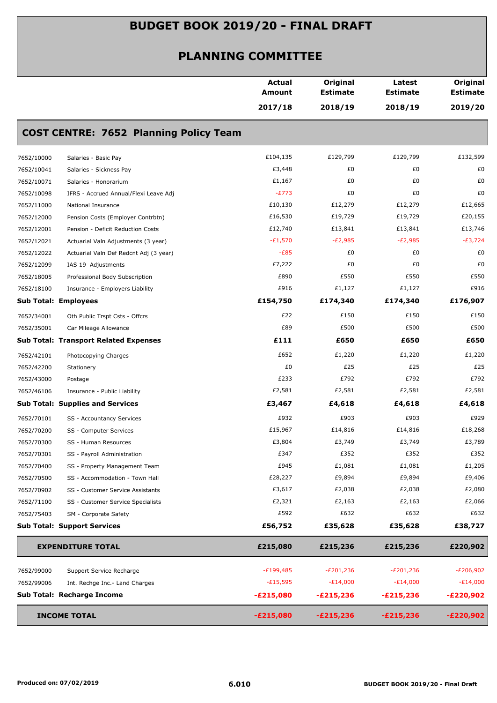|            |                                               | <b>Actual</b><br><b>Amount</b> | Original<br><b>Estimate</b> | Latest<br><b>Estimate</b> | Original<br><b>Estimate</b> |
|------------|-----------------------------------------------|--------------------------------|-----------------------------|---------------------------|-----------------------------|
|            |                                               | 2017/18                        | 2018/19                     | 2018/19                   | 2019/20                     |
|            | <b>COST CENTRE: 7652 Planning Policy Team</b> |                                |                             |                           |                             |
| 7652/10000 | Salaries - Basic Pay                          | £104,135                       | £129,799                    | £129,799                  | £132,599                    |
| 7652/10041 | Salaries - Sickness Pay                       | £3,448                         | £0                          | £0                        | £0                          |
| 7652/10071 | Salaries - Honorarium                         | £1,167                         | £0                          | £0                        | £0                          |
| 7652/10098 | IFRS - Accrued Annual/Flexi Leave Adj         | $-E773$                        | £0                          | £0                        | £0                          |
| 7652/11000 | National Insurance                            | £10,130                        | £12,279                     | £12,279                   | £12,665                     |
| 7652/12000 | Pension Costs (Employer Contrbtn)             | £16,530                        | £19,729                     | £19,729                   | £20,155                     |
| 7652/12001 | Pension - Deficit Reduction Costs             | £12,740                        | £13,841                     | £13,841                   | £13,746                     |
| 7652/12021 | Actuarial Valn Adjustments (3 year)           | $-E1,570$                      | $-E2,985$                   | $-E2,985$                 | $-E3,724$                   |
| 7652/12022 | Actuarial Valn Def Redcnt Adj (3 year)        | $-E85$                         | £0                          | £0                        | £0                          |
| 7652/12099 | IAS 19 Adjustments                            | £7,222                         | £0                          | £0                        | £0                          |
| 7652/18005 | Professional Body Subscription                | £890                           | £550                        | £550                      | £550                        |
| 7652/18100 | Insurance - Employers Liability               | £916                           | £1,127                      | £1,127                    | £916                        |
|            | <b>Sub Total: Employees</b>                   | £154,750                       | £174,340                    | £174,340                  | £176,907                    |
| 7652/34001 | Oth Public Trspt Csts - Offcrs                | £22                            | £150                        | £150                      | £150                        |
| 7652/35001 | Car Mileage Allowance                         | £89                            | £500                        | £500                      | £500                        |
|            | <b>Sub Total: Transport Related Expenses</b>  | £111                           | £650                        | £650                      | £650                        |
| 7652/42101 | Photocopying Charges                          | £652                           | £1,220                      | £1,220                    | £1,220                      |
| 7652/42200 | Stationery                                    | £0                             | £25                         | £25                       | £25                         |
| 7652/43000 | Postage                                       | £233                           | £792                        | £792                      | £792                        |
| 7652/46106 | Insurance - Public Liability                  | £2,581                         | £2,581                      | £2,581                    | £2,581                      |
|            | <b>Sub Total: Supplies and Services</b>       | £3,467                         | £4,618                      | £4,618                    | £4,618                      |
| 7652/70101 | SS - Accountancy Services                     | £932                           | £903                        | £903                      | £929                        |
| 7652/70200 | SS - Computer Services                        | £15,967                        | £14,816                     | £14,816                   | £18,268                     |
| 7652/70300 | SS - Human Resources                          | £3,804                         | £3,749                      | £3,749                    | £3,789                      |
| 7652/70301 | SS - Payroll Administration                   | £347                           | £352                        | £352                      | £352                        |
| 7652/70400 | SS - Property Management Team                 | £945                           | £1,081                      | £1,081                    | £1,205                      |
| 7652/70500 | SS - Accommodation - Town Hall                | £28,227                        | £9,894                      | £9,894                    | £9,406                      |
| 7652/70902 | SS - Customer Service Assistants              | £3,617                         | £2,038                      | £2,038                    | £2,080                      |
| 7652/71100 | SS - Customer Service Specialists             | £2,321                         | £2,163                      | £2,163                    | £2,066                      |
| 7652/75403 | SM - Corporate Safety                         | £592                           | £632                        | £632                      | £632                        |
|            | <b>Sub Total: Support Services</b>            | £56,752                        | £35,628                     | £35,628                   | £38,727                     |
|            | <b>EXPENDITURE TOTAL</b>                      | £215,080                       | £215,236                    | £215,236                  | £220,902                    |
| 7652/99000 | Support Service Recharge                      | $-E199,485$                    | $-E201,236$                 | $-E201,236$               | E206,902                    |
| 7652/99006 | Int. Rechge Inc.- Land Charges                | $-E15,595$                     | $-E14,000$                  | $-E14,000$                | $-E14,000$                  |
|            | Sub Total: Recharge Income                    | $-E215,080$                    | $-E215,236$                 | $-E215,236$               | $-E220,902$                 |
|            | <b>INCOME TOTAL</b>                           | $-E215,080$                    | $-E215,236$                 | $-E215,236$               | $-E220,902$                 |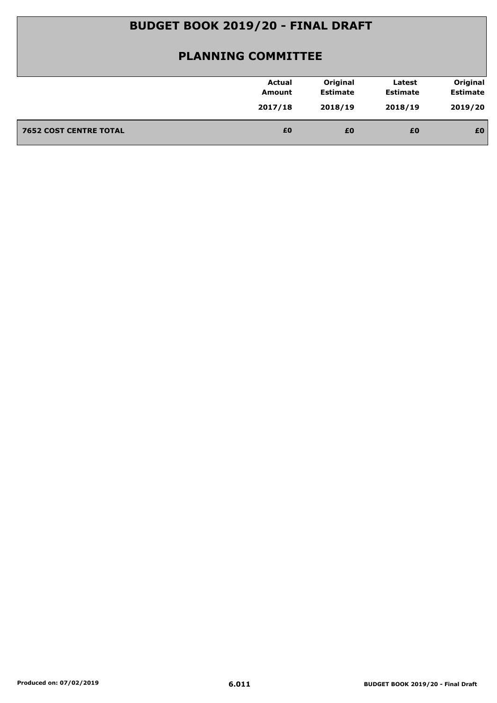| <b>Estimate</b><br><b>Estimate</b><br><b>Estimate</b><br>Amount<br>2019/20<br>2017/18<br>2018/19<br>2018/19<br>£0<br><b>7652 COST CENTRE TOTAL</b><br>£0<br>£0<br>£0 | <b>Actual</b> | Original | Latest | Original |
|----------------------------------------------------------------------------------------------------------------------------------------------------------------------|---------------|----------|--------|----------|
|                                                                                                                                                                      |               |          |        |          |
|                                                                                                                                                                      |               |          |        |          |
|                                                                                                                                                                      |               |          |        |          |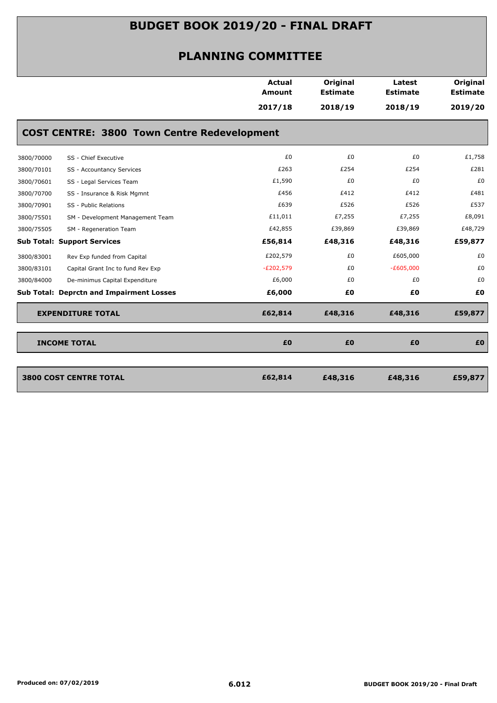|                                    |                                                    | <b>Actual</b><br>Amount | Original        | Latest          | Original        |
|------------------------------------|----------------------------------------------------|-------------------------|-----------------|-----------------|-----------------|
|                                    |                                                    |                         | <b>Estimate</b> | <b>Estimate</b> | <b>Estimate</b> |
|                                    |                                                    | 2017/18                 | 2018/19         | 2018/19         | 2019/20         |
|                                    | <b>COST CENTRE: 3800 Town Centre Redevelopment</b> |                         |                 |                 |                 |
| 3800/70000                         | SS - Chief Executive                               | £0                      | £0              | £0              | £1,758          |
| 3800/70101                         | SS - Accountancy Services                          | £263                    | £254            | £254            | £281            |
| 3800/70601                         | SS - Legal Services Team                           | £1,590                  | £0              | £0              | £0              |
| 3800/70700                         | SS - Insurance & Risk Mgmnt                        | £456                    | £412            | £412            | £481            |
| 3800/70901                         | SS - Public Relations                              | £639                    | £526            | £526            | £537            |
| 3800/75501                         | SM - Development Management Team                   | £11,011                 | £7,255          | £7,255          | £8,091          |
| 3800/75505                         | SM - Regeneration Team                             | £42,855                 | £39,869         | £39,869         | £48,729         |
| <b>Sub Total: Support Services</b> |                                                    | £56,814                 | £48,316         | £48,316         | £59,877         |
| 3800/83001                         | Rev Exp funded from Capital                        | £202,579                | £0              | £605,000        | £0              |
| 3800/83101                         | Capital Grant Inc to fund Rev Exp                  | $-E202,579$             | £0              | $-E605,000$     | £0              |
| 3800/84000                         | De-minimus Capital Expenditure                     | £6,000                  | £0              | £0              | £0              |
|                                    | <b>Sub Total: Deprctn and Impairment Losses</b>    | £6,000                  | £0              | £0              | £0              |
| <b>EXPENDITURE TOTAL</b>           |                                                    | £62,814                 | £48,316         | £48,316         | £59,877         |
| <b>INCOME TOTAL</b>                |                                                    | £0                      | £0              | £0              | £0              |
| <b>3800 COST CENTRE TOTAL</b>      |                                                    | £62,814                 | £48,316         | £48,316         | £59,877         |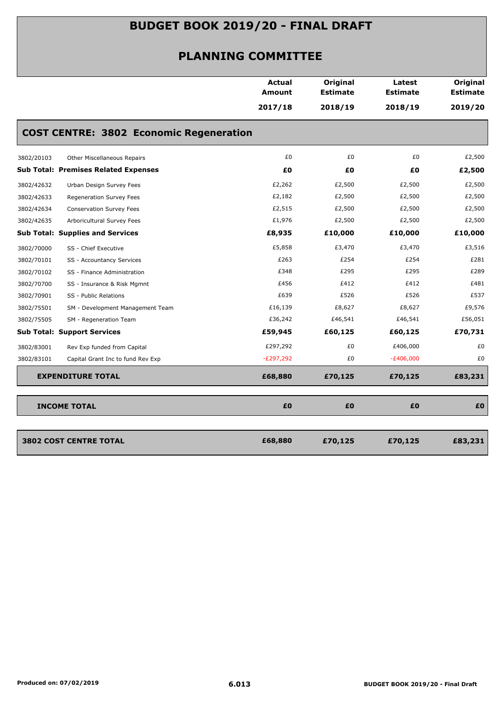|            |                                                | <b>Actual</b><br>Amount | Original<br><b>Estimate</b> | Latest<br><b>Estimate</b> | Original<br><b>Estimate</b> |
|------------|------------------------------------------------|-------------------------|-----------------------------|---------------------------|-----------------------------|
|            |                                                | 2017/18                 | 2018/19                     | 2018/19                   | 2019/20                     |
|            | <b>COST CENTRE: 3802 Economic Regeneration</b> |                         |                             |                           |                             |
| 3802/20103 | Other Miscellaneous Repairs                    | £0                      | £0                          | £0                        | £2,500                      |
|            | <b>Sub Total: Premises Related Expenses</b>    | £Ο                      | £0                          | £Ο                        | £2,500                      |
| 3802/42632 | Urban Design Survey Fees                       | £2,262                  | £2,500                      | £2,500                    | £2,500                      |
| 3802/42633 | Regeneration Survey Fees                       | £2,182                  | £2,500                      | £2,500                    | £2,500                      |
| 3802/42634 | Conservation Survey Fees                       | £2,515                  | £2,500                      | £2,500                    | £2,500                      |
| 3802/42635 | Arboricultural Survey Fees                     | £1,976                  | £2,500                      | £2,500                    | £2,500                      |
|            | <b>Sub Total: Supplies and Services</b>        | £8,935                  | £10,000                     | £10,000                   | £10,000                     |
| 3802/70000 | SS - Chief Executive                           | £5,858                  | £3,470                      | £3,470                    | £3,516                      |
| 3802/70101 | SS - Accountancy Services                      | £263                    | £254                        | £254                      | £281                        |
| 3802/70102 | SS - Finance Administration                    | £348                    | £295                        | £295                      | £289                        |
| 3802/70700 | SS - Insurance & Risk Mgmnt                    | £456                    | £412                        | £412                      | £481                        |
| 3802/70901 | SS - Public Relations                          | £639                    | £526                        | £526                      | £537                        |
| 3802/75501 | SM - Development Management Team               | £16,139                 | £8,627                      | £8,627                    | £9,576                      |
| 3802/75505 | SM - Regeneration Team                         | £36,242                 | £46,541                     | £46,541                   | £56,051                     |
|            | <b>Sub Total: Support Services</b>             | £59,945                 | £60,125                     | £60,125                   | £70,731                     |
| 3802/83001 | Rev Exp funded from Capital                    | £297,292                | £0                          | £406,000                  | £0                          |
| 3802/83101 | Capital Grant Inc to fund Rev Exp              | $-E297,292$             | £0                          | $-E406,000$               | £0                          |
|            | <b>EXPENDITURE TOTAL</b>                       | £68,880                 | £70,125                     | £70,125                   | £83,231                     |
|            | <b>INCOME TOTAL</b>                            | £0                      | £0                          | £0                        | £O                          |
|            |                                                |                         |                             |                           |                             |
|            | <b>3802 COST CENTRE TOTAL</b>                  | £68,880                 | £70,125                     | £70,125                   | £83,231                     |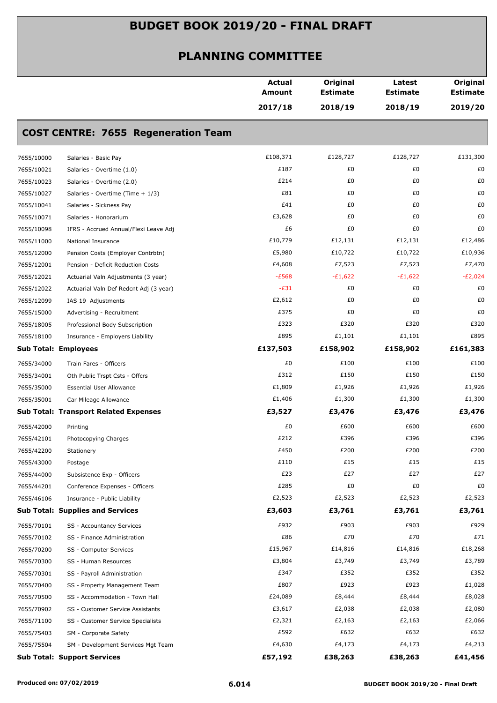|            |                                              | <b>Actual</b><br>Amount | Original<br><b>Estimate</b> | Latest<br><b>Estimate</b> | Original<br><b>Estimate</b> |
|------------|----------------------------------------------|-------------------------|-----------------------------|---------------------------|-----------------------------|
|            |                                              | 2017/18                 | 2018/19                     | 2018/19                   | 2019/20                     |
|            | <b>COST CENTRE: 7655 Regeneration Team</b>   |                         |                             |                           |                             |
| 7655/10000 | Salaries - Basic Pay                         | £108,371                | £128,727                    | £128,727                  | £131,300                    |
| 7655/10021 | Salaries - Overtime (1.0)                    | £187                    | £0                          | £0                        | £0                          |
| 7655/10023 | Salaries - Overtime (2.0)                    | £214                    | £0                          | £0                        | £0                          |
| 7655/10027 | Salaries - Overtime (Time + 1/3)             | £81                     | £0                          | £0                        | £0                          |
| 7655/10041 | Salaries - Sickness Pay                      | £41                     | £0                          | £0                        | £0                          |
| 7655/10071 | Salaries - Honorarium                        | £3,628                  | £0                          | £0                        | £0                          |
| 7655/10098 | IFRS - Accrued Annual/Flexi Leave Adj        | £6                      | £0                          | £0                        | £0                          |
| 7655/11000 | National Insurance                           | £10,779                 | £12,131                     | £12,131                   | £12,486                     |
| 7655/12000 | Pension Costs (Employer Contrbtn)            | £5,980                  | £10,722                     | £10,722                   | £10,936                     |
| 7655/12001 | Pension - Deficit Reduction Costs            | £4,608                  | £7,523                      | £7,523                    | £7,470                      |
| 7655/12021 | Actuarial Valn Adjustments (3 year)          | $-E568$                 | $-E1,622$                   | $-E1,622$                 | $-E2,024$                   |
| 7655/12022 | Actuarial Valn Def Redcnt Adj (3 year)       | $-E31$                  | £0                          | £0                        | £0                          |
| 7655/12099 | IAS 19 Adjustments                           | £2,612                  | £0                          | £0                        | £0                          |
| 7655/15000 | Advertising - Recruitment                    | £375                    | £0                          | £0                        | £0                          |
| 7655/18005 | Professional Body Subscription               | £323                    | £320                        | £320                      | £320                        |
| 7655/18100 | Insurance - Employers Liability              | £895                    | £1,101                      | £1,101                    | £895                        |
|            | <b>Sub Total: Employees</b>                  | £137,503                | £158,902                    | £158,902                  | £161,383                    |
| 7655/34000 | Train Fares - Officers                       | £0                      | £100                        | £100                      | £100                        |
| 7655/34001 | Oth Public Trspt Csts - Offcrs               | £312                    | £150                        | £150                      | £150                        |
| 7655/35000 | <b>Essential User Allowance</b>              | £1,809                  | £1,926                      | £1,926                    | £1,926                      |
| 7655/35001 | Car Mileage Allowance                        | £1,406                  | £1,300                      | £1,300                    | £1,300                      |
|            | <b>Sub Total: Transport Related Expenses</b> | £3,527                  | £3,476                      | £3,476                    | £3,476                      |
| 7655/42000 | Printing                                     | £0                      | £600                        | £600                      | £600                        |
| 7655/42101 | Photocopying Charges                         | £212                    | £396                        | £396                      | £396                        |
| 7655/42200 | Stationery                                   | £450                    | £200                        | £200                      | £200                        |
| 7655/43000 | Postage                                      | £110                    | £15                         | £15                       | £15                         |
| 7655/44000 | Subsistence Exp - Officers                   | £23                     | £27                         | £27                       | £27                         |
| 7655/44201 | Conference Expenses - Officers               | £285                    | £0                          | £0                        | £0                          |
| 7655/46106 | Insurance - Public Liability                 | £2,523                  | £2,523                      | £2,523                    | £2,523                      |
|            | <b>Sub Total: Supplies and Services</b>      | £3,603                  | £3,761                      | £3,761                    | £3,761                      |
| 7655/70101 | SS - Accountancy Services                    | £932                    | £903                        | £903                      | £929                        |
| 7655/70102 | SS - Finance Administration                  | £86                     | £70                         | £70                       | £71                         |
| 7655/70200 | SS - Computer Services                       | £15,967                 | £14,816                     | £14,816                   | £18,268                     |
| 7655/70300 | SS - Human Resources                         | £3,804                  | £3,749                      | £3,749                    | £3,789                      |
| 7655/70301 | SS - Payroll Administration                  | £347                    | £352                        | £352                      | £352                        |
| 7655/70400 | SS - Property Management Team                | £807                    | £923                        | £923                      | £1,028                      |
| 7655/70500 | SS - Accommodation - Town Hall               | £24,089                 | £8,444                      | £8,444                    | £8,028                      |
| 7655/70902 | SS - Customer Service Assistants             | £3,617                  | £2,038                      | £2,038                    | £2,080                      |
| 7655/71100 | SS - Customer Service Specialists            | £2,321                  | £2,163                      | £2,163                    | £2,066                      |
| 7655/75403 | SM - Corporate Safety                        | £592                    | £632                        | £632                      | £632                        |
| 7655/75504 | SM - Development Services Mgt Team           | £4,630                  | £4,173                      | £4,173                    | £4,213                      |
|            | <b>Sub Total: Support Services</b>           | £57,192                 | £38,263                     | £38,263                   | £41,456                     |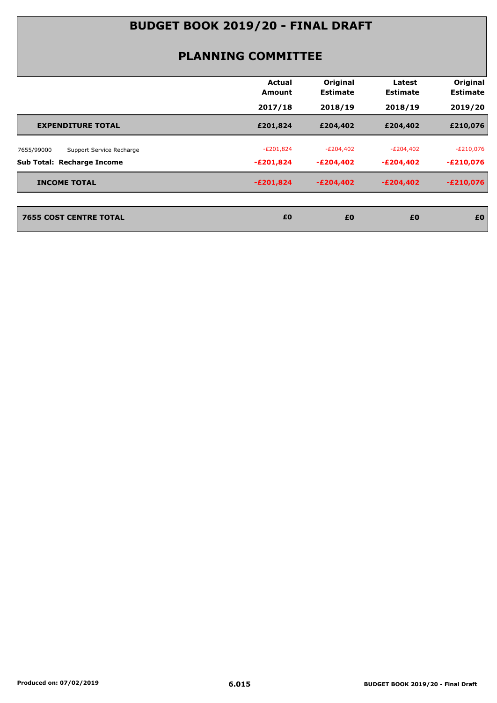|                                        | Actual<br>Amount | Original<br><b>Estimate</b> | Latest<br><b>Estimate</b> | Original<br><b>Estimate</b> |
|----------------------------------------|------------------|-----------------------------|---------------------------|-----------------------------|
|                                        | 2017/18          | 2018/19                     | 2018/19                   | 2019/20                     |
| <b>EXPENDITURE TOTAL</b>               | £201,824         | £204,402                    | £204,402                  | £210,076                    |
| Support Service Recharge<br>7655/99000 | $-E201,824$      | $-E204,402$                 | $-E204,402$               | $-E210,076$                 |
| <b>Sub Total: Recharge Income</b>      | $-E201,824$      | $-E204,402$                 | -£204,402                 | $-E210,076$                 |
| <b>INCOME TOTAL</b>                    | $-E201,824$      | $-E204,402$                 | -£204,402                 | $-E210,076$                 |
| <b>7655 COST CENTRE TOTAL</b>          | £0               | £0                          | £0                        | £0                          |
|                                        |                  |                             |                           |                             |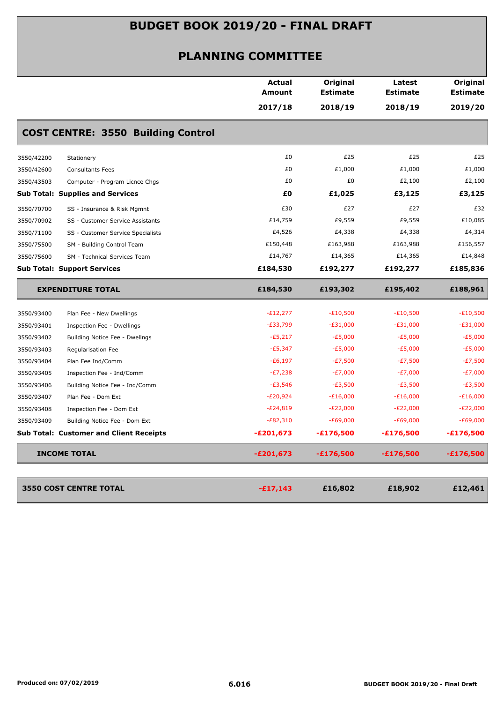|                                                 | <b>Actual</b><br>Amount | Original<br><b>Estimate</b> | Latest<br><b>Estimate</b> | Original<br><b>Estimate</b> |
|-------------------------------------------------|-------------------------|-----------------------------|---------------------------|-----------------------------|
|                                                 | 2017/18                 | 2018/19                     | 2018/19                   | 2019/20                     |
| <b>COST CENTRE: 3550 Building Control</b>       |                         |                             |                           |                             |
| 3550/42200<br>Stationery                        | £0                      | £25                         | £25                       | £25                         |
| 3550/42600<br><b>Consultants Fees</b>           | £0                      | £1,000                      | £1,000                    | £1,000                      |
| 3550/43503<br>Computer - Program Licnce Chgs    | £0                      | £0                          | £2,100                    | £2,100                      |
| <b>Sub Total: Supplies and Services</b>         | £0                      | £1,025                      | £3,125                    | £3,125                      |
| 3550/70700<br>SS - Insurance & Risk Mgmnt       | £30                     | £27                         | £27                       | £32                         |
| 3550/70902<br>SS - Customer Service Assistants  | £14,759                 | £9,559                      | £9,559                    | £10,085                     |
| 3550/71100<br>SS - Customer Service Specialists | £4,526                  | £4,338                      | £4,338                    | £4,314                      |
| 3550/75500<br>SM - Building Control Team        | £150,448                | £163,988                    | £163,988                  | £156,557                    |
| SM - Technical Services Team<br>3550/75600      | £14,767                 | £14,365                     | £14,365                   | £14,848                     |
| <b>Sub Total: Support Services</b>              | £184,530                | £192,277                    | £192,277                  | £185,836                    |
| <b>EXPENDITURE TOTAL</b>                        | £184,530                | £193,302                    | £195,402                  | £188,961                    |
| 3550/93400<br>Plan Fee - New Dwellings          | $-E12,277$              | $-E10,500$                  | $-E10,500$                | $-E10,500$                  |
| 3550/93401<br>Inspection Fee - Dwellings        | $-E33,799$              | $-E31,000$                  | $-E31,000$                | $-E31,000$                  |
| 3550/93402<br>Building Notice Fee - Dwellngs    | $-E5,217$               | $-E5,000$                   | $-E5,000$                 | -£5,000                     |
| 3550/93403<br>Regularisation Fee                | $-E5,347$               | $-E5,000$                   | $-E5,000$                 | $-E5,000$                   |
| 3550/93404<br>Plan Fee Ind/Comm                 | $-E6,197$               | $-E7,500$                   | $-E7,500$                 | -£7,500                     |
| 3550/93405<br>Inspection Fee - Ind/Comm         | $-E7,238$               | $-E7,000$                   | $-E7,000$                 | -£7,000                     |
| 3550/93406<br>Building Notice Fee - Ind/Comm    | $-E3,546$               | $-E3,500$                   | $-E3,500$                 | $-E3,500$                   |
| 3550/93407<br>Plan Fee - Dom Ext                | $-E20,924$              | $-E16,000$                  | $-E16,000$                | $-E16,000$                  |
| 3550/93408<br>Inspection Fee - Dom Ext          | $-E24,819$              | $-E22,000$                  | $-E22,000$                | $-E22,000$                  |
| 3550/93409<br>Building Notice Fee - Dom Ext     | $-E82,310$              | $-E69,000$                  | $-E69,000$                | $-E69,000$                  |
| <b>Sub Total: Customer and Client Receipts</b>  | $-E201,673$             | $-£176,500$                 | $-£176,500$               | $-£176,500$                 |
| <b>INCOME TOTAL</b>                             | $-E201,673$             | $-£176,500$                 | $-£176,500$               | $-£176,500$                 |
|                                                 |                         |                             |                           |                             |
| <b>3550 COST CENTRE TOTAL</b>                   | $-£17,143$              | £16,802                     | £18,902                   | £12,461                     |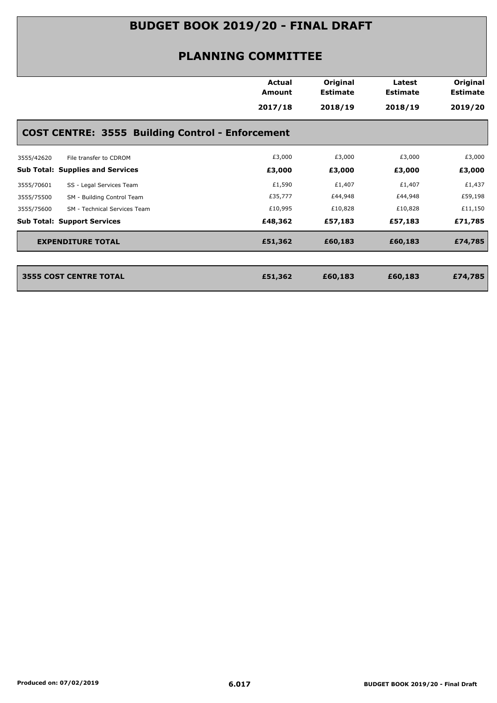|                                                         | <b>Actual</b><br>Amount<br>2017/18 | Original<br><b>Estimate</b><br>2018/19 | Latest<br><b>Estimate</b><br>2018/19 | Original<br><b>Estimate</b><br>2019/20 |
|---------------------------------------------------------|------------------------------------|----------------------------------------|--------------------------------------|----------------------------------------|
| <b>COST CENTRE: 3555 Building Control - Enforcement</b> |                                    |                                        |                                      |                                        |
| 3555/42620<br>File transfer to CDROM                    | £3,000                             | £3,000                                 | £3,000                               | £3,000                                 |
| <b>Sub Total: Supplies and Services</b>                 | £3,000                             | £3,000                                 | £3,000                               | £3,000                                 |
| 3555/70601<br>SS - Legal Services Team                  | £1,590                             | £1,407                                 | £1,407                               | £1,437                                 |
| 3555/75500<br>SM - Building Control Team                | £35,777                            | £44,948                                | £44,948                              | £59,198                                |
| 3555/75600<br>SM - Technical Services Team              | £10,995                            | £10,828                                | £10,828                              | £11,150                                |
| <b>Sub Total: Support Services</b>                      | £48,362                            | £57,183                                | £57,183                              | £71,785                                |
| <b>EXPENDITURE TOTAL</b>                                | £51,362                            | £60,183                                | £60,183                              | £74,785                                |
| <b>3555 COST CENTRE TOTAL</b>                           | £51,362                            | £60,183                                | £60,183                              | £74,785                                |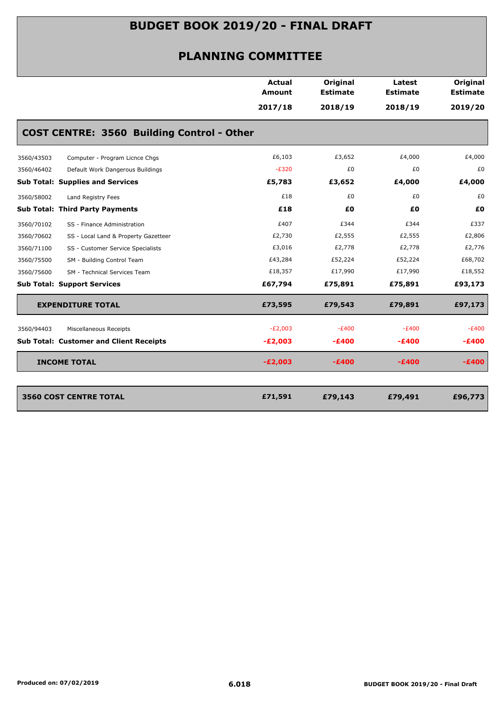|                                         |                                                   | <b>Actual</b><br><b>Amount</b> | Original<br><b>Estimate</b> | Latest<br><b>Estimate</b> | Original<br><b>Estimate</b> |
|-----------------------------------------|---------------------------------------------------|--------------------------------|-----------------------------|---------------------------|-----------------------------|
|                                         |                                                   | 2017/18                        | 2018/19                     | 2018/19                   | 2019/20                     |
|                                         | <b>COST CENTRE: 3560 Building Control - Other</b> |                                |                             |                           |                             |
| 3560/43503                              | Computer - Program Licnce Chgs                    | £6,103                         | £3,652                      | £4,000                    | £4,000                      |
| 3560/46402                              | Default Work Dangerous Buildings                  | $-E320$                        | £0                          | £0                        | £0                          |
| <b>Sub Total: Supplies and Services</b> |                                                   | £5,783                         | £3,652                      | £4,000                    | £4,000                      |
| 3560/58002                              | Land Registry Fees                                | £18                            | £0                          | £0                        | £0                          |
| <b>Sub Total: Third Party Payments</b>  |                                                   | £18                            | £0                          | £0                        | £0                          |
| 3560/70102                              | SS - Finance Administration                       | £407                           | £344                        | £344                      | £337                        |
| 3560/70602                              | SS - Local Land & Property Gazetteer              | £2,730                         | £2,555                      | £2,555                    | £2,806                      |
| 3560/71100                              | SS - Customer Service Specialists                 | £3,016                         | £2,778                      | £2,778                    | £2,776                      |
| 3560/75500                              | SM - Building Control Team                        | £43,284                        | £52,224                     | £52,224                   | £68,702                     |
| 3560/75600                              | SM - Technical Services Team                      | £18,357                        | £17,990                     | £17,990                   | £18,552                     |
| <b>Sub Total: Support Services</b>      |                                                   | £67,794                        | £75,891                     | £75,891                   | £93,173                     |
| <b>EXPENDITURE TOTAL</b>                |                                                   | £73,595                        | £79,543                     | £79,891                   | £97,173                     |
| 3560/94403                              | Miscellaneous Receipts                            | $-E2,003$                      | $-E400$                     | $-E400$                   | $-E400$                     |
|                                         | <b>Sub Total: Customer and Client Receipts</b>    | $-E2,003$                      | $-£400$                     | $-E400$                   | $-£400$                     |
| <b>INCOME TOTAL</b>                     |                                                   | $-E2,003$                      | $-£400$                     | $-E400$                   | $-E400$                     |
|                                         |                                                   |                                |                             |                           |                             |
| <b>3560 COST CENTRE TOTAL</b>           |                                                   | £71,591                        | £79,143                     | £79,491                   | £96,773                     |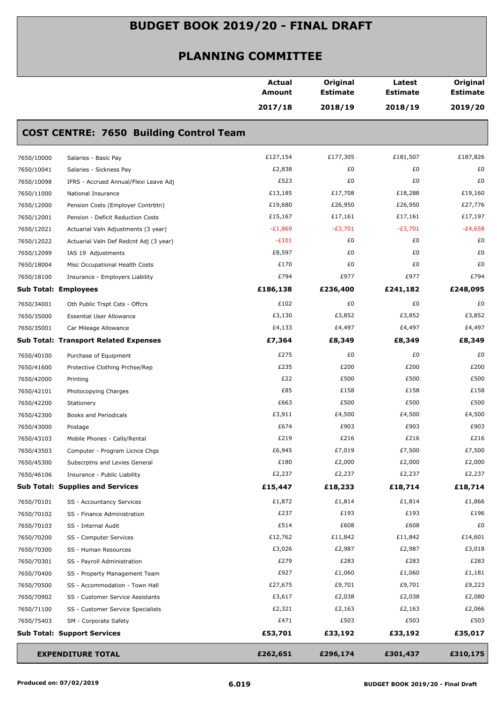|            |                                                | <b>Actual</b><br><b>Amount</b> | Original<br><b>Estimate</b> | Latest<br><b>Estimate</b> | Original<br><b>Estimate</b> |
|------------|------------------------------------------------|--------------------------------|-----------------------------|---------------------------|-----------------------------|
|            |                                                | 2017/18                        | 2018/19                     | 2018/19                   | 2019/20                     |
|            | <b>COST CENTRE: 7650 Building Control Team</b> |                                |                             |                           |                             |
| 7650/10000 | Salaries - Basic Pay                           | £127,154                       | £177,305                    | £181,507                  | £187,826                    |
| 7650/10041 | Salaries - Sickness Pay                        | £2,838                         | £0                          | £0                        | £0                          |
| 7650/10098 | IFRS - Accrued Annual/Flexi Leave Adj          | £523                           | £0                          | £0                        | £0                          |
| 7650/11000 | National Insurance                             | £13,185                        | £17,708                     | £18,288                   | £19,160                     |
| 7650/12000 | Pension Costs (Employer Contrbtn)              | £19,680                        | £26,950                     | £26,950                   | £27,776                     |
| 7650/12001 | Pension - Deficit Reduction Costs              | £15,167                        | £17,161                     | £17,161                   | £17,197                     |
| 7650/12021 | Actuarial Valn Adjustments (3 year)            | $-E1,869$                      | $-E3,701$                   | $-E3,701$                 | $-E4,658$                   |
| 7650/12022 | Actuarial Valn Def Redcnt Adj (3 year)         | $-E101$                        | £0                          | £0                        | £0                          |
| 7650/12099 | IAS 19 Adjustments                             | £8,597                         | £0                          | £0                        | £0                          |
| 7650/18004 | Misc Occupational Health Costs                 | £170                           | £0                          | £0                        | £0                          |
| 7650/18100 | Insurance - Employers Liability                | £794                           | £977                        | £977                      | £794                        |
|            | <b>Sub Total: Employees</b>                    | £186,138                       | £236,400                    | £241,182                  | £248,095                    |
| 7650/34001 | Oth Public Trspt Csts - Offcrs                 | £102                           | £0                          | £0                        | £0                          |
| 7650/35000 | <b>Essential User Allowance</b>                | £3,130                         | £3,852                      | £3,852                    | £3,852                      |
| 7650/35001 | Car Mileage Allowance                          | £4,133                         | £4,497                      | £4,497                    | £4,497                      |
|            | <b>Sub Total: Transport Related Expenses</b>   | £7,364                         | £8,349                      | £8,349                    | £8,349                      |
| 7650/40100 | Purchase of Equipment                          | £275                           | £0                          | £0                        | £0                          |
| 7650/41600 | Protective Clothing Prchse/Rep                 | £235                           | £200                        | £200                      | £200                        |
| 7650/42000 | Printing                                       | £22                            | £500                        | £500                      | £500                        |
| 7650/42101 | Photocopying Charges                           | £85                            | £158                        | £158                      | £158                        |
| 7650/42200 | Stationery                                     | £663                           | £500                        | £500                      | £500                        |
| 7650/42300 | Books and Periodicals                          | £3,911                         | £4,500                      | £4,500                    | £4,500                      |
| 7650/43000 | Postage                                        | £674                           | £903                        | £903                      | £903                        |
| 7650/43103 | Mobile Phones - Calls/Rental                   | £219                           | £216                        | £216                      | £216                        |
| 7650/43503 | Computer - Program Licnce Chgs                 | £6,945                         | £7,019                      | £7,500                    | £7,500                      |
| 7650/45300 | Subscrptns and Levies General                  | £180                           | £2,000                      | £2,000                    | £2,000                      |
| 7650/46106 | Insurance - Public Liability                   | £2,237                         | £2,237                      | £2,237                    | £2,237                      |
|            | <b>Sub Total: Supplies and Services</b>        | £15,447                        | £18,233                     | £18,714                   | £18,714                     |
| 7650/70101 | SS - Accountancy Services                      | £1,872                         | £1,814                      | £1,814                    | £1,866                      |
| 7650/70102 | SS - Finance Administration                    | £237                           | £193                        | £193                      | £196                        |
| 7650/70103 | SS - Internal Audit                            | £514                           | £608                        | £608                      | £0                          |
| 7650/70200 | SS - Computer Services                         | £12,762                        | £11,842                     | £11,842                   | £14,601                     |
| 7650/70300 | SS - Human Resources                           | £3,026                         | £2,987                      | £2,987                    | £3,018                      |
| 7650/70301 | SS - Payroll Administration                    | £279                           | £283                        | £283                      | £283                        |
| 7650/70400 | SS - Property Management Team                  | £927                           | £1,060                      | £1,060                    | £1,181                      |
| 7650/70500 | SS - Accommodation - Town Hall                 | £27,675                        | £9,701                      | £9,701                    | £9,223                      |
| 7650/70902 | SS - Customer Service Assistants               | £3,617                         | £2,038                      | £2,038                    | £2,080                      |
| 7650/71100 | SS - Customer Service Specialists              | £2,321                         | £2,163                      | £2,163                    | £2,066                      |
| 7650/75403 | SM - Corporate Safety                          | £471                           | £503                        | £503                      | £503                        |
|            | <b>Sub Total: Support Services</b>             | £53,701                        | £33,192                     | £33,192                   | £35,017                     |
|            | <b>EXPENDITURE TOTAL</b>                       | £262,651                       | £296,174                    | £301,437                  | £310,175                    |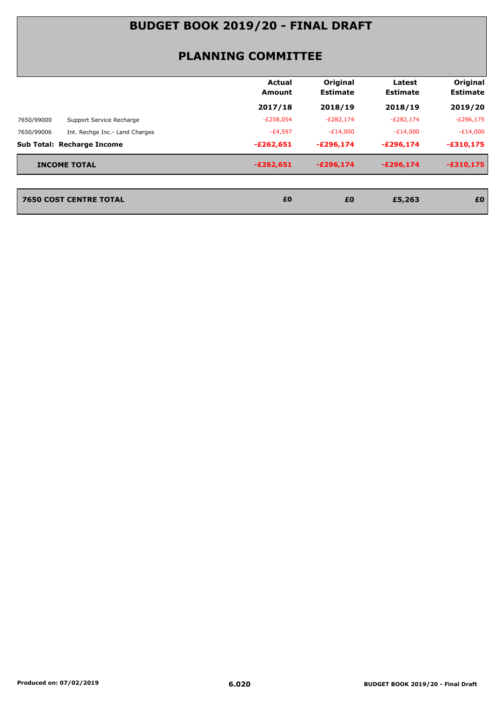#### **PLANNING COMMITTEE**

|                                              | Actual<br><b>Amount</b> | Original<br><b>Estimate</b> | Latest<br><b>Estimate</b> | Original<br><b>Estimate</b> |
|----------------------------------------------|-------------------------|-----------------------------|---------------------------|-----------------------------|
|                                              | 2017/18                 | 2018/19                     | 2018/19                   | 2019/20                     |
| 7650/99000<br>Support Service Recharge       | $-E258,054$             | $-E282,174$                 | $-E282,174$               | $-E296,175$                 |
| 7650/99006<br>Int. Rechge Inc.- Land Charges | -£4,597                 | -£14,000                    | $-E14,000$                | $-E14,000$                  |
| <b>Sub Total: Recharge Income</b>            | $-£262,651$             | $-E296,174$                 | $-E296.174$               | $-£310,175$                 |
| <b>INCOME TOTAL</b>                          | $-E262,651$             | $-E296,174$                 | $-E296.174$               | $-£310,175$                 |

**7650 COST CENTRE TOTAL £0 £5,263 £0**

**2650 COST CENTRE TOTAL 60**<br>**EQ**<br>**EQ**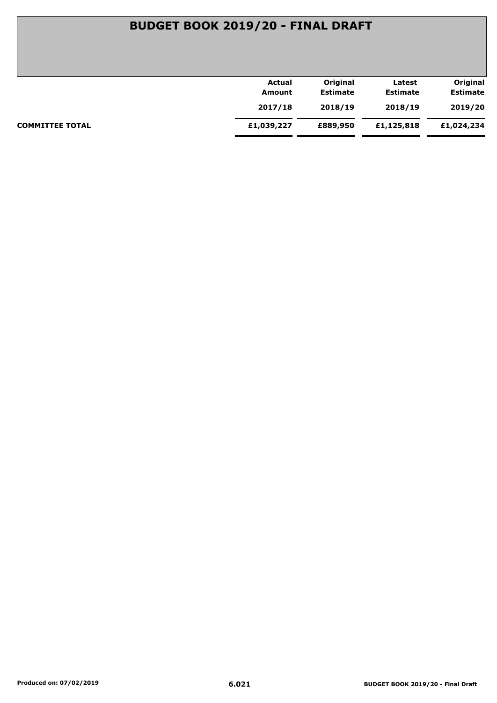|                        | <b>Actual</b> | Original        | Latest          | Original        |
|------------------------|---------------|-----------------|-----------------|-----------------|
|                        | Amount        | <b>Estimate</b> | <b>Estimate</b> | <b>Estimate</b> |
|                        | 2017/18       | 2018/19         | 2018/19         | 2019/20         |
| <b>COMMITTEE TOTAL</b> | £1,039,227    | £889,950        | £1,125,818      | £1,024,234      |
|                        |               |                 |                 |                 |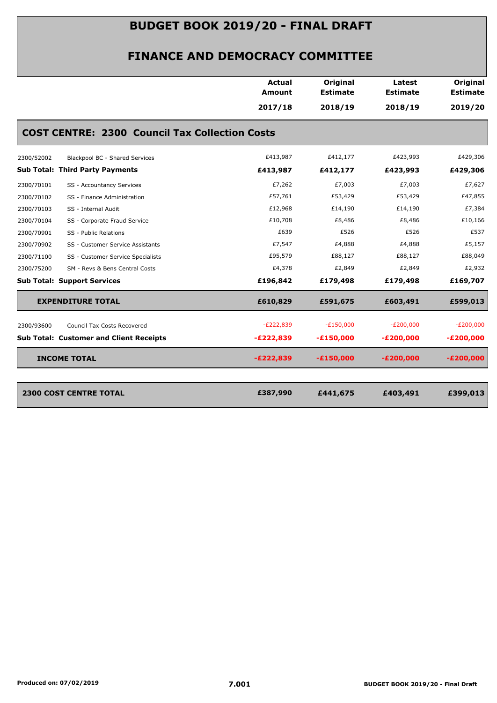#### **FINANCE AND DEMOCRACY COMMITTEE**

|                                                       | <b>Actual</b><br><b>Amount</b> | Original<br><b>Estimate</b> | Latest<br><b>Estimate</b> | Original<br><b>Estimate</b> |
|-------------------------------------------------------|--------------------------------|-----------------------------|---------------------------|-----------------------------|
|                                                       | 2017/18                        | 2018/19                     | 2018/19                   | 2019/20                     |
| <b>COST CENTRE: 2300 Council Tax Collection Costs</b> |                                |                             |                           |                             |
| 2300/52002<br>Blackpool BC - Shared Services          | £413,987                       | £412,177                    | £423,993                  | £429,306                    |
| <b>Sub Total: Third Party Payments</b>                | £413,987                       | £412,177                    | £423,993                  | £429,306                    |
| 2300/70101<br>SS - Accountancy Services               | £7,262                         | £7,003                      | £7,003                    | £7,627                      |
| 2300/70102<br>SS - Finance Administration             | £57,761                        | £53,429                     | £53,429                   | £47,855                     |
| 2300/70103<br>SS - Internal Audit                     | £12,968                        | £14,190                     | £14,190                   | £7,384                      |
| 2300/70104<br>SS - Corporate Fraud Service            | £10,708                        | £8,486                      | £8,486                    | £10,166                     |
| 2300/70901<br>SS - Public Relations                   | £639                           | £526                        | £526                      | £537                        |
| 2300/70902<br>SS - Customer Service Assistants        | £7,547                         | £4,888                      | £4,888                    | £5,157                      |
| 2300/71100<br>SS - Customer Service Specialists       | £95,579                        | £88,127                     | £88,127                   | £88,049                     |
| 2300/75200<br>SM - Revs & Bens Central Costs          | £4,378                         | £2,849                      | £2,849                    | £2,932                      |
| <b>Sub Total: Support Services</b>                    | £196,842                       | £179,498                    | £179,498                  | £169,707                    |
| <b>EXPENDITURE TOTAL</b>                              | £610,829                       | £591,675                    | £603,491                  | £599,013                    |
| 2300/93600<br>Council Tax Costs Recovered             | $-E222,839$                    | $-E150,000$                 | $-E200,000$               | $-E200,000$                 |
| <b>Sub Total: Customer and Client Receipts</b>        | $-E222,839$                    | $-£150,000$                 | $-E200,000$               | $-E200,000$                 |
| <b>INCOME TOTAL</b>                                   | $-E222,839$                    | $-£150,000$                 | $-E200,000$               | $-E200,000$                 |
| <b>2300 COST CENTRE TOTAL</b>                         | £387,990                       | £441,675                    | £403,491                  | £399,013                    |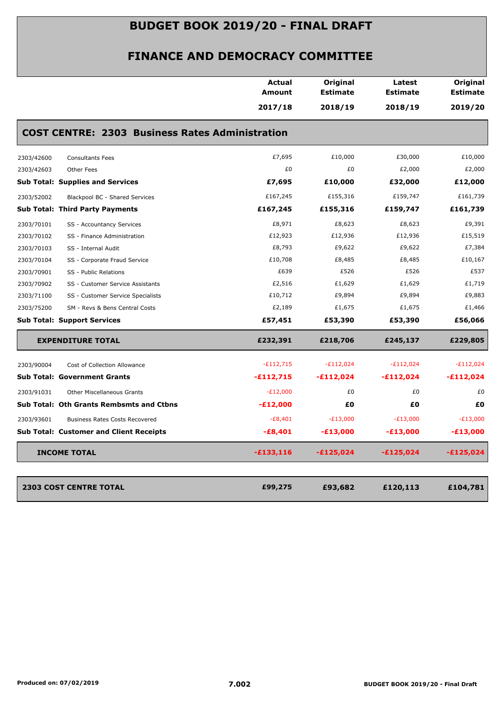|                                                        | <b>Actual</b><br>Amount | Original<br><b>Estimate</b> | Latest<br><b>Estimate</b> | Original<br><b>Estimate</b> |
|--------------------------------------------------------|-------------------------|-----------------------------|---------------------------|-----------------------------|
|                                                        | 2017/18                 | 2018/19                     | 2018/19                   | 2019/20                     |
| <b>COST CENTRE: 2303 Business Rates Administration</b> |                         |                             |                           |                             |
| 2303/42600<br><b>Consultants Fees</b>                  | £7,695                  | £10,000                     | £30,000                   | £10,000                     |
| 2303/42603<br>Other Fees                               | £0                      | £0                          | £2,000                    | £2,000                      |
| <b>Sub Total: Supplies and Services</b>                | £7,695                  | £10,000                     | £32,000                   | £12,000                     |
| 2303/52002<br>Blackpool BC - Shared Services           | £167,245                | £155,316                    | £159,747                  | £161,739                    |
| <b>Sub Total: Third Party Payments</b>                 | £167,245                | £155,316                    | £159,747                  | £161,739                    |
| 2303/70101<br>SS - Accountancy Services                | £8,971                  | £8,623                      | £8,623                    | £9,391                      |
| 2303/70102<br>SS - Finance Administration              | £12,923                 | £12,936                     | £12,936                   | £15,519                     |
| 2303/70103<br>SS - Internal Audit                      | £8,793                  | £9,622                      | £9,622                    | £7,384                      |
| 2303/70104<br>SS - Corporate Fraud Service             | £10,708                 | £8,485                      | £8,485                    | £10,167                     |
| 2303/70901<br>SS - Public Relations                    | £639                    | £526                        | £526                      | £537                        |
| 2303/70902<br>SS - Customer Service Assistants         | £2,516                  | £1,629                      | £1,629                    | £1,719                      |
| 2303/71100<br>SS - Customer Service Specialists        | £10,712                 | £9,894                      | £9,894                    | £9,883                      |
| 2303/75200<br>SM - Revs & Bens Central Costs           | £2,189                  | £1,675                      | £1,675                    | £1,466                      |
| <b>Sub Total: Support Services</b>                     | £57,451                 | £53,390                     | £53,390                   | £56,066                     |
| <b>EXPENDITURE TOTAL</b>                               | £232,391                | £218,706                    | £245,137                  | £229,805                    |
| 2303/90004<br>Cost of Collection Allowance             | $-£112,715$             | $-E112,024$                 | $-E112,024$               | $-E112,024$                 |
| <b>Sub Total: Government Grants</b>                    | $-£112,715$             | $-£112,024$                 | $-£112,024$               | $-£112,024$                 |
| 2303/91031<br>Other Miscellaneous Grants               | $-E12,000$              | £0                          | £0                        | £0                          |
| <b>Sub Total: Oth Grants Rembsmts and Ctbns</b>        | $-E12,000$              | £Ο                          | £Ο                        | £Ο                          |
| 2303/93601<br><b>Business Rates Costs Recovered</b>    | $-E8,401$               | $-E13,000$                  | $-E13,000$                | $-E13,000$                  |
| <b>Sub Total: Customer and Client Receipts</b>         | $-E8,401$               | $-£13,000$                  | $-£13,000$                | $-£13,000$                  |
| <b>INCOME TOTAL</b>                                    | $-£133,116$             | $-£125,024$                 | $-£125,024$               | $-£125,024$                 |
|                                                        |                         |                             |                           |                             |
| <b>2303 COST CENTRE TOTAL</b>                          | £99,275                 | £93,682                     | £120,113                  | £104,781                    |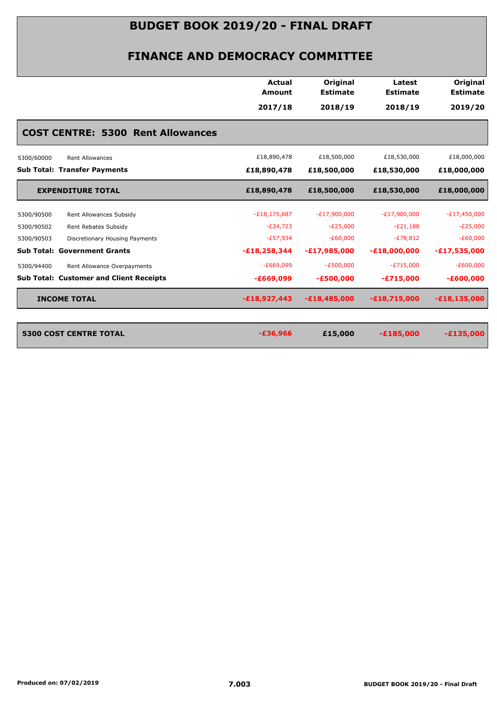|                                                | Actual<br><b>Amount</b> | Original<br><b>Estimate</b> | Latest<br><b>Estimate</b> | <b>Original</b><br><b>Estimate</b> |  |  |
|------------------------------------------------|-------------------------|-----------------------------|---------------------------|------------------------------------|--|--|
|                                                | 2017/18                 | 2018/19                     | 2018/19                   | 2019/20                            |  |  |
| <b>COST CENTRE: 5300 Rent Allowances</b>       |                         |                             |                           |                                    |  |  |
| <b>Rent Allowances</b><br>5300/60000           | £18,890,478             | £18,500,000                 | £18,530,000               | £18,000,000                        |  |  |
| <b>Sub Total: Transfer Payments</b>            | £18,890,478             | £18,500,000                 | £18,530,000               | £18,000,000                        |  |  |
| <b>EXPENDITURE TOTAL</b>                       | £18,890,478             | £18,500,000                 | £18,530,000               | £18,000,000                        |  |  |
| Rent Allowances Subsidy<br>5300/90500          | $-E18, 175, 687$        | $-E17,900,000$              | $-E17,900,000$            | $-E17,450,000$                     |  |  |
| 5300/90502<br>Rent Rebates Subsidy             | $-E24,723$              | $-E25,000$                  | $-E21,188$                | $-E25,000$                         |  |  |
| 5300/90503<br>Discretionary Housing Payments   | $-E57,934$              | $-E60,000$                  | $-E78,812$                | $-E60,000$                         |  |  |
| <b>Sub Total: Government Grants</b>            | $-E18,258,344$          | $-E17,985,000$              | $-E18,000,000$            | $-E17,535,000$                     |  |  |
| 5300/94400<br>Rent Allowance Overpayments      | $-E669,099$             | $-E500,000$                 | $-E715,000$               | $-E600,000$                        |  |  |
| <b>Sub Total: Customer and Client Receipts</b> | $-£669,099$             | $-£500,000$                 | $-E715,000$               | $-£600,000$                        |  |  |
| <b>INCOME TOTAL</b>                            | $-E18,927,443$          | $-£18,485,000$              | $-E18,715,000$            | $-£18,135,000$                     |  |  |
| <b>5300 COST CENTRE TOTAL</b>                  | $-£36,966$              | £15,000                     | $-£185,000$               | $-£135,000$                        |  |  |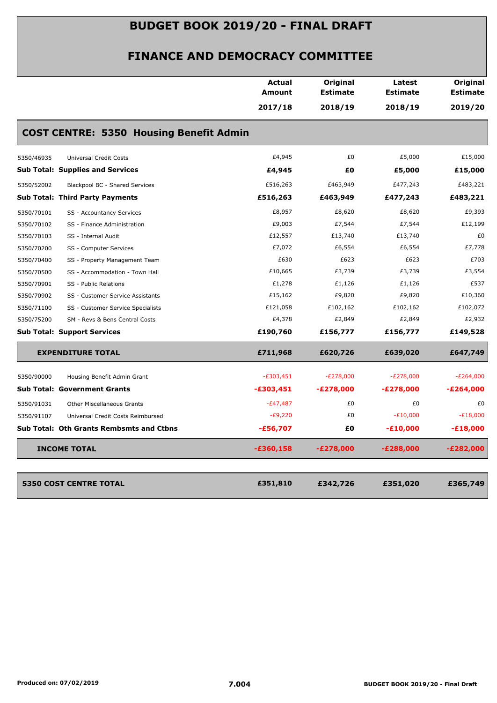|                                                 | <b>Amount</b> | <b>Estimate</b> | <b>Estimate</b>  |                            |
|-------------------------------------------------|---------------|-----------------|------------------|----------------------------|
|                                                 | 2017/18       | 2018/19         | 2018/19          | <b>Estimate</b><br>2019/20 |
| <b>COST CENTRE: 5350 Housing Benefit Admin</b>  |               |                 |                  |                            |
| <b>Universal Credit Costs</b><br>5350/46935     | £4,945        | £0              | £5,000           | £15,000                    |
| <b>Sub Total: Supplies and Services</b>         | £4,945        | £0              | £5,000           | £15,000                    |
| 5350/52002<br>Blackpool BC - Shared Services    | £516,263      | £463,949        | £477,243         | £483,221                   |
| <b>Sub Total: Third Party Payments</b>          | £516,263      | £463,949        | £477,243         | £483,221                   |
| 5350/70101<br>SS - Accountancy Services         | £8,957        | £8,620          | £8,620           | £9,393                     |
| 5350/70102<br>SS - Finance Administration       | £9,003        | £7,544          | £7,544           | £12,199                    |
| 5350/70103<br>SS - Internal Audit               | £12,557       | £13,740         | £13,740          | £0                         |
| 5350/70200<br>SS - Computer Services            | £7,072        | £6,554          | £6,554           | £7,778                     |
| 5350/70400<br>SS - Property Management Team     | £630          | £623            | £623             | £703                       |
| 5350/70500<br>SS - Accommodation - Town Hall    | £10,665       | £3,739          | £3,739           | £3,554                     |
| 5350/70901<br>SS - Public Relations             | £1,278        | £1,126          | £1,126           | £537                       |
| 5350/70902<br>SS - Customer Service Assistants  | £15,162       | £9,820          | £9,820           | £10,360                    |
| 5350/71100<br>SS - Customer Service Specialists | £121,058      | £102,162        | £102,162         | £102,072                   |
| 5350/75200<br>SM - Revs & Bens Central Costs    | £4,378        | £2,849          | £2,849           | £2,932                     |
| <b>Sub Total: Support Services</b>              | £190,760      | £156,777        | £156,777         | £149,528                   |
| <b>EXPENDITURE TOTAL</b>                        | £711,968      | £620,726        | £639,020         | £647,749                   |
| 5350/90000<br>Housing Benefit Admin Grant       | $-E303,451$   | $-E278,000$     | $-E278,000$      | $-E264,000$                |
| <b>Sub Total: Government Grants</b>             | $-£303,451$   | $-E278,000$     | $-E278,000$      | $-E264,000$                |
| 5350/91031<br>Other Miscellaneous Grants        | $-E47,487$    | £0              | £0               | £0                         |
| 5350/91107<br>Universal Credit Costs Reimbursed | $-E9,220$     | £0              | $-E10,000$       | $-E18,000$                 |
| <b>Sub Total: Oth Grants Rembsmts and Ctbns</b> | $-£56,707$    | £0              | $-£10,000$       | $-£18,000$                 |
| <b>INCOME TOTAL</b>                             | -£360,158     | -£278,000       | <b>-£288,000</b> | $-E282,000$                |
| <b>5350 COST CENTRE TOTAL</b>                   | £351,810      | £342,726        | £351,020         | £365,749                   |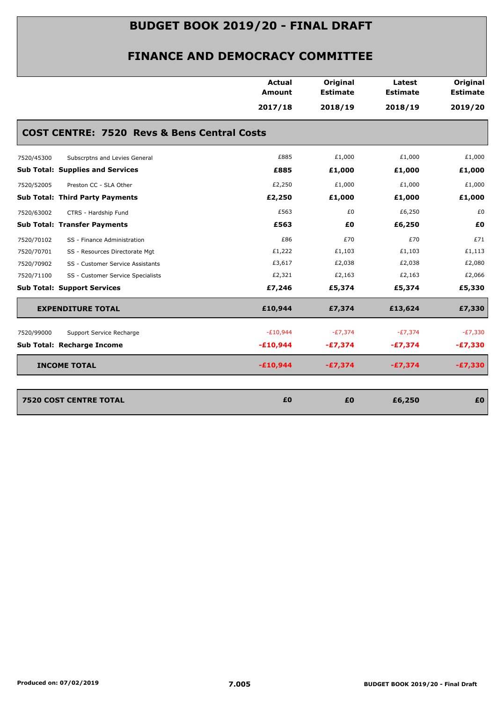|                                                        | <b>Actual</b> | Original        | Latest          | Original        |
|--------------------------------------------------------|---------------|-----------------|-----------------|-----------------|
|                                                        | <b>Amount</b> | <b>Estimate</b> | <b>Estimate</b> | <b>Estimate</b> |
|                                                        | 2017/18       | 2018/19         | 2018/19         | 2019/20         |
| <b>COST CENTRE: 7520 Revs &amp; Bens Central Costs</b> |               |                 |                 |                 |
| Subscrptns and Levies General<br>7520/45300            | £885          | £1,000          | £1,000          | £1,000          |
| <b>Sub Total: Supplies and Services</b>                | £885          | £1,000          | £1,000          | £1,000          |
| 7520/52005<br>Preston CC - SLA Other                   | £2,250        | £1,000          | £1,000          | £1,000          |
| <b>Sub Total: Third Party Payments</b>                 | £2,250        | £1,000          | £1,000          | £1,000          |
| 7520/63002<br>CTRS - Hardship Fund                     | £563          | £0              | £6,250          | £0              |
| <b>Sub Total: Transfer Payments</b>                    | £563          | £0              | £6,250          | £0              |
| 7520/70102<br>SS - Finance Administration              | £86           | £70             | £70             | £71             |
| 7520/70701<br>SS - Resources Directorate Mgt           | £1,222        | £1,103          | £1,103          | £1,113          |
| 7520/70902<br>SS - Customer Service Assistants         | £3,617        | £2,038          | £2,038          | £2,080          |
| 7520/71100<br>SS - Customer Service Specialists        | £2,321        | £2,163          | £2,163          | £2,066          |
| <b>Sub Total: Support Services</b>                     | £7,246        | £5,374          | £5,374          | £5,330          |
| <b>EXPENDITURE TOTAL</b>                               | £10,944       | £7,374          | £13,624         | £7,330          |
| 7520/99000<br>Support Service Recharge                 | $-E10,944$    | $-E7,374$       | $-E7,374$       | $-E7,330$       |
| Sub Total: Recharge Income                             | $-£10,944$    | $-£7,374$       | $-£7,374$       | $-E7,330$       |
| <b>INCOME TOTAL</b>                                    | $-£10,944$    | $-£7,374$       | $-£7,374$       | $-£7,330$       |
| <b>7520 COST CENTRE TOTAL</b>                          | £0            | £0              | £6,250          | £0              |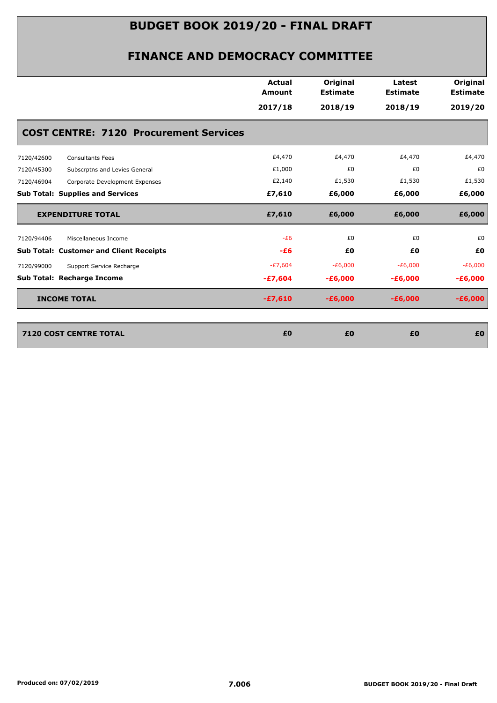|                                                | Actual<br>Amount | Original<br><b>Estimate</b> | Latest<br><b>Estimate</b> | Original<br><b>Estimate</b> |
|------------------------------------------------|------------------|-----------------------------|---------------------------|-----------------------------|
|                                                | 2017/18          | 2018/19                     | 2018/19                   | 2019/20                     |
| <b>COST CENTRE: 7120 Procurement Services</b>  |                  |                             |                           |                             |
| 7120/42600<br><b>Consultants Fees</b>          | £4,470           | £4,470                      | £4,470                    | £4,470                      |
| Subscrptns and Levies General<br>7120/45300    | £1,000           | £0                          | £0                        | £0                          |
| 7120/46904<br>Corporate Development Expenses   | £2,140           | £1,530                      | £1,530                    | £1,530                      |
| <b>Sub Total: Supplies and Services</b>        | £7,610           | £6,000                      | £6,000                    | £6,000                      |
| <b>EXPENDITURE TOTAL</b>                       | £7,610           | £6,000                      | £6,000                    | £6,000                      |
| 7120/94406<br>Miscellaneous Income             | $-E6$            | £0                          | £0                        | £0                          |
| <b>Sub Total: Customer and Client Receipts</b> | $-E6$            | £0                          | £0                        | £0                          |
| Support Service Recharge<br>7120/99000         | $-E7,604$        | $-E6,000$                   | $-E6,000$                 | $-E6,000$                   |
| Sub Total: Recharge Income                     | $-£7,604$        | $-£6,000$                   | $-£6,000$                 | $-£6,000$                   |
| <b>INCOME TOTAL</b>                            | $-£7,610$        | $-£6,000$                   | $-£6,000$                 | $-£6,000$                   |
| <b>7120 COST CENTRE TOTAL</b>                  | £0               | £0                          | £0                        | £0                          |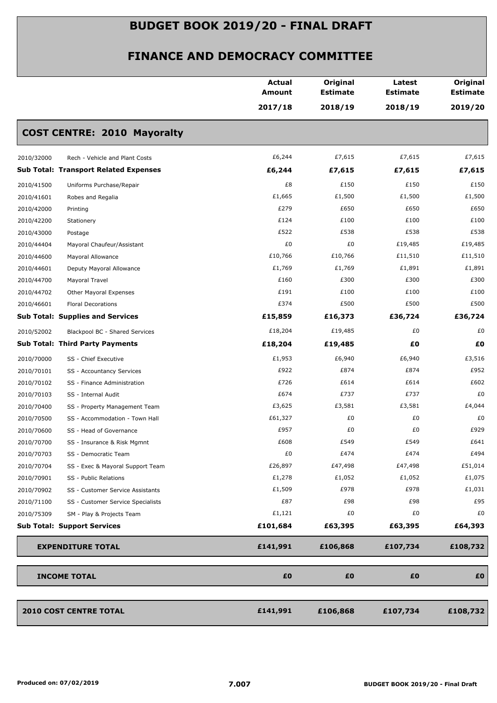|                                                 | <b>Actual</b><br><b>Amount</b> | Original<br><b>Estimate</b> | Latest<br><b>Estimate</b> | Original<br><b>Estimate</b> |
|-------------------------------------------------|--------------------------------|-----------------------------|---------------------------|-----------------------------|
|                                                 | 2017/18                        | 2018/19                     | 2018/19                   | 2019/20                     |
| <b>COST CENTRE: 2010 Mayoralty</b>              |                                |                             |                           |                             |
| 2010/32000<br>Rech - Vehicle and Plant Costs    | £6,244                         | £7,615                      | £7,615                    | £7,615                      |
| <b>Sub Total: Transport Related Expenses</b>    | £6,244                         | £7,615                      | £7,615                    | £7,615                      |
| 2010/41500<br>Uniforms Purchase/Repair          | £8                             | £150                        | £150                      | £150                        |
| 2010/41601<br>Robes and Regalia                 | £1,665                         | £1,500                      | £1,500                    | £1,500                      |
| 2010/42000<br>Printing                          | £279                           | £650                        | £650                      | £650                        |
| 2010/42200<br>Stationery                        | £124                           | £100                        | £100                      | £100                        |
| 2010/43000<br>Postage                           | £522                           | £538                        | £538                      | £538                        |
| 2010/44404<br>Mayoral Chaufeur/Assistant        | £0                             | £0                          | £19,485                   | £19,485                     |
| 2010/44600<br>Mayoral Allowance                 | £10,766                        | £10,766                     | £11,510                   | £11,510                     |
| 2010/44601<br>Deputy Mayoral Allowance          | £1,769                         | £1,769                      | £1,891                    | £1,891                      |
| 2010/44700<br>Mayoral Travel                    | £160                           | £300                        | £300                      | £300                        |
| 2010/44702<br>Other Mayoral Expenses            | £191                           | £100                        | £100                      | £100                        |
| 2010/46601<br><b>Floral Decorations</b>         | £374                           | £500                        | £500                      | £500                        |
| <b>Sub Total: Supplies and Services</b>         | £15,859                        | £16,373                     | £36,724                   | £36,724                     |
| 2010/52002<br>Blackpool BC - Shared Services    | £18,204                        | £19,485                     | £0                        | £0                          |
| <b>Sub Total: Third Party Payments</b>          | £18,204                        | £19,485                     | £0                        | £0                          |
| 2010/70000<br>SS - Chief Executive              | £1,953                         | £6,940                      | £6,940                    | £3,516                      |
| 2010/70101<br>SS - Accountancy Services         | £922                           | £874                        | £874                      | £952                        |
| 2010/70102<br>SS - Finance Administration       | £726                           | £614                        | £614                      | £602                        |
| 2010/70103<br>SS - Internal Audit               | £674                           | £737                        | £737                      | £0                          |
| 2010/70400<br>SS - Property Management Team     | £3,625                         | £3,581                      | £3,581                    | £4,044                      |
| 2010/70500<br>SS - Accommodation - Town Hall    | £61,327                        | £0                          | £0                        | £0                          |
| 2010/70600<br>SS - Head of Governance           | £957                           | £0                          | £0                        | £929                        |
| 2010/70700<br>SS - Insurance & Risk Mgmnt       | £608                           | £549                        | £549                      | £641                        |
| 2010/70703<br>SS - Democratic Team              | £0                             | £474                        | £474                      | £494                        |
| 2010/70704<br>SS - Exec & Mayoral Support Team  | £26,897                        | £47,498                     | £47,498                   | £51,014                     |
| 2010/70901<br>SS - Public Relations             | £1,278                         | £1,052                      | £1,052                    | £1,075                      |
| 2010/70902<br>SS - Customer Service Assistants  | £1,509                         | £978                        | £978                      | £1,031                      |
| 2010/71100<br>SS - Customer Service Specialists | £87                            | £98                         | £98                       | £95                         |
| 2010/75309<br>SM - Play & Projects Team         | £1,121                         | £0                          | £0                        | £0                          |
| <b>Sub Total: Support Services</b>              | £101,684                       | £63,395                     | £63,395                   | £64,393                     |
| <b>EXPENDITURE TOTAL</b>                        | £141,991                       | £106,868                    | £107,734                  | £108,732                    |
| <b>INCOME TOTAL</b>                             | £0                             | £0                          | £0                        | £Ο                          |
|                                                 |                                |                             |                           |                             |
| <b>2010 COST CENTRE TOTAL</b>                   | £141,991                       | £106,868                    | £107,734                  | £108,732                    |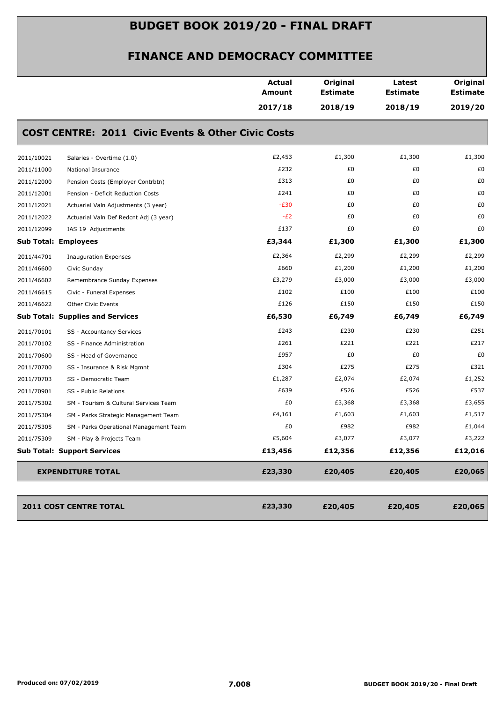| <b>COST CENTRE: 2011 Civic Events &amp; Other Civic Costs</b> | 2017/18 | 2018/19 | 2018/19 | 2019/20 |
|---------------------------------------------------------------|---------|---------|---------|---------|
|                                                               |         |         |         |         |
|                                                               |         |         |         |         |
| 2011/10021<br>Salaries - Overtime (1.0)                       | £2,453  | £1,300  | £1,300  | £1,300  |
| 2011/11000<br>National Insurance                              | £232    | £0      | £0      | £0      |
| 2011/12000<br>Pension Costs (Employer Contrbtn)               | £313    | £0      | £0      | £0      |
| 2011/12001<br>Pension - Deficit Reduction Costs               | £241    | £0      | £0      | £0      |
| 2011/12021<br>Actuarial Valn Adjustments (3 year)             | $-E30$  | £0      | £0      | £0      |
| 2011/12022<br>Actuarial Valn Def Redcnt Adj (3 year)          | $-E2$   | £0      | £0      | £0      |
| 2011/12099<br>IAS 19 Adjustments                              | £137    | £0      | £0      | £0      |
| <b>Sub Total: Employees</b>                                   | £3,344  | £1,300  | £1,300  | £1,300  |
| 2011/44701<br><b>Inauguration Expenses</b>                    | £2,364  | £2,299  | £2,299  | £2,299  |
| 2011/46600<br>Civic Sunday                                    | £660    | £1,200  | £1,200  | £1,200  |
| 2011/46602<br>Remembrance Sunday Expenses                     | £3,279  | £3,000  | £3,000  | £3,000  |
| 2011/46615<br>Civic - Funeral Expenses                        | £102    | £100    | £100    | £100    |
| 2011/46622<br><b>Other Civic Events</b>                       | £126    | £150    | £150    | £150    |
| <b>Sub Total: Supplies and Services</b>                       | £6,530  | £6,749  | £6,749  | £6,749  |
| 2011/70101<br>SS - Accountancy Services                       | £243    | £230    | £230    | £251    |
| 2011/70102<br>SS - Finance Administration                     | £261    | £221    | £221    | £217    |
| 2011/70600<br>SS - Head of Governance                         | £957    | £0      | £0      | £0      |
| 2011/70700<br>SS - Insurance & Risk Mgmnt                     | £304    | £275    | £275    | £321    |
| 2011/70703<br>SS - Democratic Team                            | £1,287  | £2,074  | £2,074  | £1,252  |
| 2011/70901<br>SS - Public Relations                           | £639    | £526    | £526    | £537    |
| 2011/75302<br>SM - Tourism & Cultural Services Team           | £0      | £3,368  | £3,368  | £3,655  |
| 2011/75304<br>SM - Parks Strategic Management Team            | £4,161  | £1,603  | £1,603  | £1,517  |
| 2011/75305<br>SM - Parks Operational Management Team          | £0      | £982    | £982    | £1,044  |
| 2011/75309<br>SM - Play & Projects Team                       | £5,604  | £3,077  | £3,077  | £3,222  |
| <b>Sub Total: Support Services</b>                            | £13,456 | £12,356 | £12,356 | £12,016 |
| <b>EXPENDITURE TOTAL</b>                                      | £23,330 | £20,405 | £20,405 | £20,065 |
| 2011 COST CENTRE TOTAL                                        | £23,330 | £20,405 | £20,405 | £20,065 |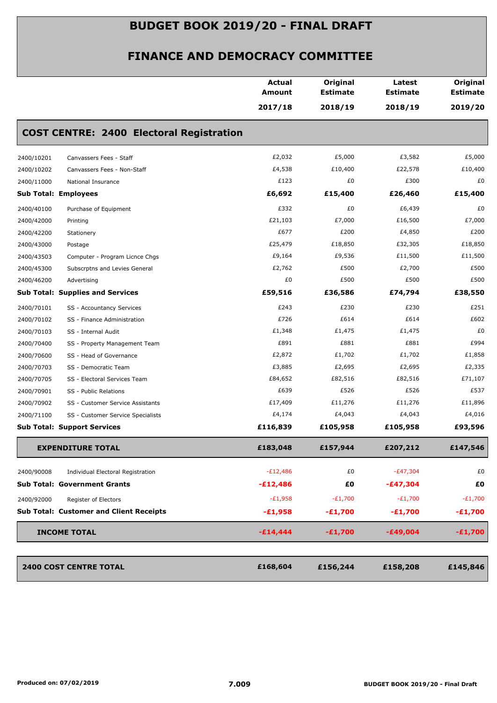|            |                                                 | Actual<br>Amount | Original<br><b>Estimate</b> | Latest<br><b>Estimate</b> | Original<br><b>Estimate</b> |
|------------|-------------------------------------------------|------------------|-----------------------------|---------------------------|-----------------------------|
|            |                                                 | 2017/18          | 2018/19                     | 2018/19                   | 2019/20                     |
|            | <b>COST CENTRE: 2400 Electoral Registration</b> |                  |                             |                           |                             |
| 2400/10201 | Canvassers Fees - Staff                         | £2,032           | £5,000                      | £3,582                    | £5,000                      |
| 2400/10202 | Canvassers Fees - Non-Staff                     | £4,538           | £10,400                     | £22,578                   | £10,400                     |
| 2400/11000 | National Insurance                              | £123             | £0                          | £300                      | £0                          |
|            | <b>Sub Total: Employees</b>                     | £6,692           | £15,400                     | £26,460                   | £15,400                     |
| 2400/40100 | Purchase of Equipment                           | £332             | £0                          | £6,439                    | £0                          |
| 2400/42000 | Printing                                        | £21,103          | £7,000                      | £16,500                   | £7,000                      |
| 2400/42200 | Stationery                                      | £677             | £200                        | £4,850                    | £200                        |
| 2400/43000 | Postage                                         | £25,479          | £18,850                     | £32,305                   | £18,850                     |
| 2400/43503 | Computer - Program Licnce Chgs                  | £9,164           | £9,536                      | £11,500                   | £11,500                     |
| 2400/45300 | Subscrptns and Levies General                   | £2,762           | £500                        | £2,700                    | £500                        |
| 2400/46200 | Advertising                                     | £0               | £500                        | £500                      | £500                        |
|            | <b>Sub Total: Supplies and Services</b>         | £59,516          | £36,586                     | £74,794                   | £38,550                     |
| 2400/70101 | SS - Accountancy Services                       | £243             | £230                        | £230                      | £251                        |
| 2400/70102 | SS - Finance Administration                     | £726             | £614                        | £614                      | £602                        |
| 2400/70103 | SS - Internal Audit                             | £1,348           | £1,475                      | £1,475                    | £0                          |
| 2400/70400 | SS - Property Management Team                   | £891             | £881                        | £881                      | £994                        |
| 2400/70600 | SS - Head of Governance                         | £2,872           | £1,702                      | £1,702                    | £1,858                      |
| 2400/70703 | SS - Democratic Team                            | £3,885           | £2,695                      | £2,695                    | £2,335                      |
| 2400/70705 | SS - Electoral Services Team                    | £84,652          | £82,516                     | £82,516                   | £71,107                     |
| 2400/70901 | SS - Public Relations                           | £639             | £526                        | £526                      | £537                        |
| 2400/70902 | SS - Customer Service Assistants                | £17,409          | £11,276                     | £11,276                   | £11,896                     |
| 2400/71100 | SS - Customer Service Specialists               | £4,174           | £4,043                      | £4,043                    | £4,016                      |
|            | <b>Sub Total: Support Services</b>              | £116,839         | £105,958                    | £105,958                  | £93,596                     |
|            | <b>EXPENDITURE TOTAL</b>                        | £183,048         | £157,944                    | £207,212                  | £147,546                    |
| 2400/90008 | Individual Electoral Registration               | $-E12,486$       | £0                          | $-E47,304$                | £0                          |
|            | <b>Sub Total: Government Grants</b>             | $-£12,486$       | £Ο                          | $-£47,304$                | £0                          |
| 2400/92000 | Register of Electors                            | $-E1,958$        | $-E1,700$                   | $-E1,700$                 | $-E1,700$                   |
|            | <b>Sub Total: Customer and Client Receipts</b>  | $-£1,958$        |                             | $-E1,700$                 | $-E1,700$                   |
|            |                                                 |                  | $-E1,700$                   |                           |                             |
|            | <b>INCOME TOTAL</b>                             | $-£14,444$       | $-E1,700$                   | $-£49,004$                | $-£1,700$                   |
|            | <b>2400 COST CENTRE TOTAL</b>                   | £168,604         | £156,244                    | £158,208                  | £145,846                    |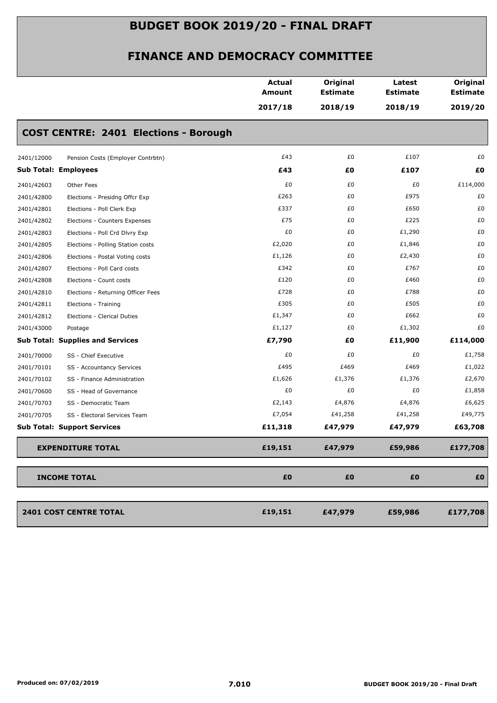|                                                  | <b>Actual</b><br><b>Amount</b><br>2017/18 | Original<br><b>Estimate</b><br>2018/19 | Latest<br><b>Estimate</b><br>2018/19 | Original<br><b>Estimate</b><br>2019/20 |
|--------------------------------------------------|-------------------------------------------|----------------------------------------|--------------------------------------|----------------------------------------|
| <b>COST CENTRE: 2401 Elections - Borough</b>     |                                           |                                        |                                      |                                        |
| 2401/12000<br>Pension Costs (Employer Contrbtn)  | £43                                       | £0                                     | £107                                 | £0                                     |
| <b>Sub Total: Employees</b>                      | £43                                       | £0                                     | £107                                 | £Ο                                     |
| 2401/42603<br>Other Fees                         | £0                                        | £0                                     | £0                                   | £114,000                               |
| 2401/42800<br>Elections - Presidng Offcr Exp     | £263                                      | £0                                     | £975                                 | £0                                     |
| 2401/42801<br>Elections - Poll Clerk Exp         | £337                                      | £0                                     | £650                                 | £0                                     |
| 2401/42802<br>Elections - Counters Expenses      | £75                                       | £0                                     | £225                                 | £0                                     |
| 2401/42803<br>Elections - Poll Crd Dlvry Exp     | £0                                        | £0                                     | £1,290                               | £0                                     |
| 2401/42805<br>Elections - Polling Station costs  | £2,020                                    | £0                                     | £1,846                               | £0                                     |
| 2401/42806<br>Elections - Postal Voting costs    | £1,126                                    | £0                                     | £2,430                               | £0                                     |
| Elections - Poll Card costs<br>2401/42807        | £342                                      | £0                                     | £767                                 | £0                                     |
| 2401/42808<br>Elections - Count costs            | £120                                      | £0                                     | £460                                 | £0                                     |
| 2401/42810<br>Elections - Returning Officer Fees | £728                                      | £0                                     | £788                                 | £0                                     |
| 2401/42811<br>Elections - Training               | £305                                      | £0                                     | £505                                 | £0                                     |
| 2401/42812<br>Elections - Clerical Duties        | £1,347                                    | £0                                     | £662                                 | £0                                     |
| 2401/43000<br>Postage                            | £1,127                                    | £0                                     | £1,302                               | £0                                     |
| <b>Sub Total: Supplies and Services</b>          | £7,790                                    | £0                                     | £11,900                              | £114,000                               |
| 2401/70000<br>SS - Chief Executive               | £0                                        | £0                                     | £0                                   | £1,758                                 |
| 2401/70101<br>SS - Accountancy Services          | £495                                      | £469                                   | £469                                 | £1,022                                 |
| 2401/70102<br>SS - Finance Administration        | £1,626                                    | £1,376                                 | £1,376                               | £2,670                                 |
| 2401/70600<br>SS - Head of Governance            | £0                                        | £0                                     | £0                                   | £1,858                                 |
| SS - Democratic Team<br>2401/70703               | £2,143                                    | £4,876                                 | £4,876                               | £6,625                                 |
| 2401/70705<br>SS - Electoral Services Team       | £7,054                                    | £41,258                                | £41,258                              | £49,775                                |
| <b>Sub Total: Support Services</b>               | £11,318                                   | £47,979                                | £47,979                              | £63,708                                |
| <b>EXPENDITURE TOTAL</b>                         | £19,151                                   | £47,979                                | £59,986                              | £177,708                               |
| <b>INCOME TOTAL</b>                              | £0                                        | £0                                     | £0                                   | £0                                     |
| <b>2401 COST CENTRE TOTAL</b>                    | £19,151                                   | £47,979                                | £59,986                              | £177,708                               |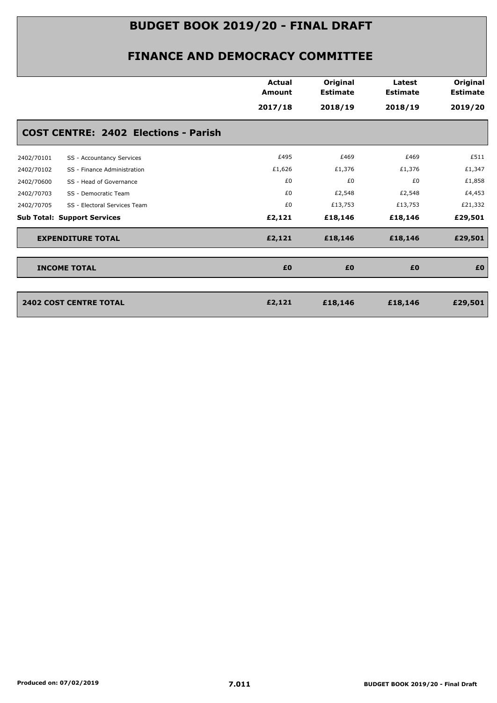|            |                                             | <b>Actual</b><br><b>Amount</b> | Original<br><b>Estimate</b> | Latest<br><b>Estimate</b> | Original<br><b>Estimate</b> |
|------------|---------------------------------------------|--------------------------------|-----------------------------|---------------------------|-----------------------------|
|            |                                             | 2017/18                        | 2018/19                     | 2018/19                   | 2019/20                     |
|            | <b>COST CENTRE: 2402 Elections - Parish</b> |                                |                             |                           |                             |
| 2402/70101 | SS - Accountancy Services                   | £495                           | £469                        | £469                      | £511                        |
| 2402/70102 | SS - Finance Administration                 | £1,626                         | £1,376                      | £1,376                    | £1,347                      |
| 2402/70600 | SS - Head of Governance                     | £0                             | £0                          | £0                        | £1,858                      |
| 2402/70703 | SS - Democratic Team                        | £0                             | £2,548                      | £2,548                    | £4,453                      |
| 2402/70705 | SS - Electoral Services Team                | £0                             | £13,753                     | £13,753                   | £21,332                     |
|            | <b>Sub Total: Support Services</b>          | £2,121                         | £18,146                     | £18,146                   | £29,501                     |
|            | <b>EXPENDITURE TOTAL</b>                    | £2,121                         | £18,146                     | £18,146                   | £29,501                     |
|            | <b>INCOME TOTAL</b>                         | £0                             | £0                          | £0                        | £0                          |
|            |                                             |                                |                             |                           |                             |
|            | <b>2402 COST CENTRE TOTAL</b>               | £2,121                         | £18,146                     | £18,146                   | £29,501                     |
|            |                                             |                                |                             |                           |                             |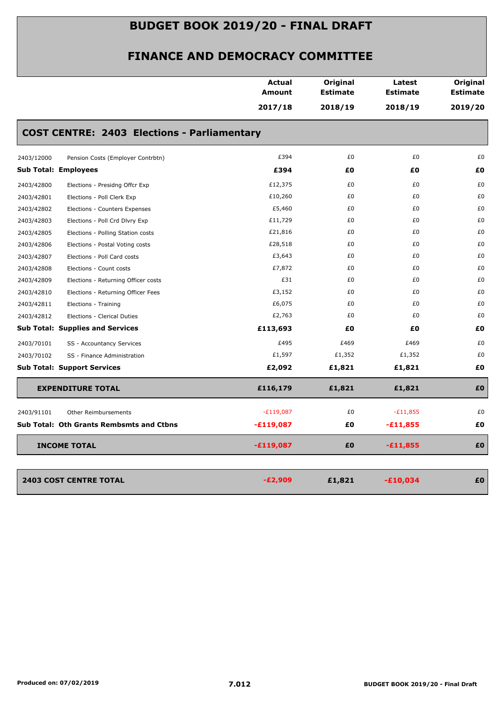|                                                 |                                                    | <b>Actual</b><br><b>Amount</b> | Original<br><b>Estimate</b> | Latest<br><b>Estimate</b> | Original<br><b>Estimate</b> |
|-------------------------------------------------|----------------------------------------------------|--------------------------------|-----------------------------|---------------------------|-----------------------------|
|                                                 |                                                    | 2017/18                        | 2018/19                     | 2018/19                   | 2019/20                     |
|                                                 | <b>COST CENTRE: 2403 Elections - Parliamentary</b> |                                |                             |                           |                             |
| 2403/12000                                      | Pension Costs (Employer Contrbtn)                  | £394                           | £0                          | £0                        | £0                          |
| <b>Sub Total: Employees</b>                     |                                                    | £394                           | £0                          | £Ο                        | £0                          |
| 2403/42800                                      | Elections - Presidng Offcr Exp                     | £12,375                        | £0                          | £0                        | £0                          |
| 2403/42801                                      | Elections - Poll Clerk Exp                         | £10,260                        | £0                          | £0                        | £0                          |
| 2403/42802                                      | Elections - Counters Expenses                      | £5,460                         | £0                          | £0                        | £0                          |
| 2403/42803                                      | Elections - Poll Crd Dlvry Exp                     | £11,729                        | £0                          | £0                        | £0                          |
| 2403/42805                                      | Elections - Polling Station costs                  | £21,816                        | £0                          | £0                        | £0                          |
| 2403/42806                                      | Elections - Postal Voting costs                    | £28,518                        | £0                          | £0                        | £0                          |
| 2403/42807                                      | Elections - Poll Card costs                        | £3,643                         | £0                          | £0                        | £0                          |
| 2403/42808                                      | Elections - Count costs                            | £7,872                         | £0                          | £0                        | £0                          |
| 2403/42809                                      | Elections - Returning Officer costs                | £31                            | £0                          | £0                        | £0                          |
| 2403/42810                                      | Elections - Returning Officer Fees                 | £3,152                         | £0                          | £0                        | £0                          |
| 2403/42811<br>Elections - Training              |                                                    | £6,075                         | £0                          | £0                        | £0                          |
| 2403/42812                                      | Elections - Clerical Duties                        | £2,763                         | £0                          | £0                        | £0                          |
| <b>Sub Total: Supplies and Services</b>         |                                                    | £113,693                       | £0                          | £0                        | £0                          |
| 2403/70101                                      | SS - Accountancy Services                          | £495                           | £469                        | £469                      | £0                          |
| 2403/70102                                      | SS - Finance Administration                        | £1,597                         | £1,352                      | £1,352                    | £0                          |
| <b>Sub Total: Support Services</b>              |                                                    | £2,092                         | £1,821                      | £1,821                    | £0                          |
| <b>EXPENDITURE TOTAL</b>                        |                                                    | £116,179                       | £1,821                      | £1,821                    | £0                          |
| 2403/91101                                      | <b>Other Reimbursements</b>                        | $-E119,087$                    | £0                          | $-E11,855$                | £0                          |
| <b>Sub Total: Oth Grants Rembsmts and Ctbns</b> |                                                    | $-£119,087$                    | £0                          | $-£11,855$                | £0                          |
| <b>INCOME TOTAL</b>                             |                                                    | $-£119,087$                    | £0                          | $-£11,855$                | £0                          |
|                                                 |                                                    |                                |                             |                           |                             |
| <b>2403 COST CENTRE TOTAL</b>                   |                                                    | $-E2,909$                      | £1,821                      | $-£10,034$                | £0                          |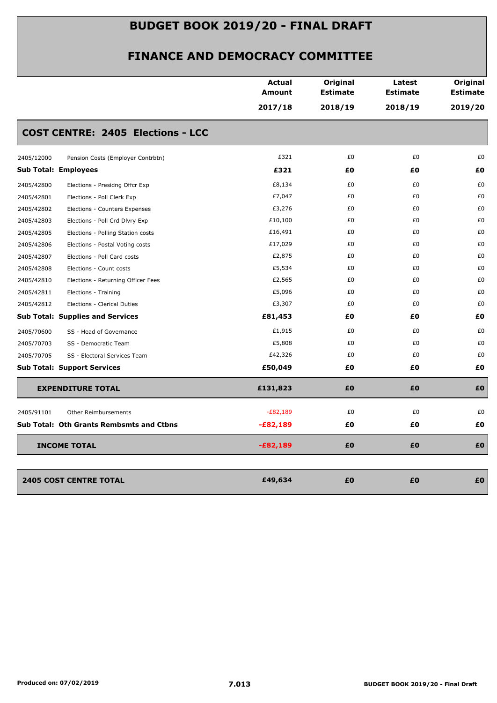|                                                  | <b>Actual</b><br>Amount | Original<br><b>Estimate</b> | Latest<br><b>Estimate</b> | Original<br><b>Estimate</b> |
|--------------------------------------------------|-------------------------|-----------------------------|---------------------------|-----------------------------|
|                                                  | 2017/18                 | 2018/19                     | 2018/19                   | 2019/20                     |
| <b>COST CENTRE: 2405 Elections - LCC</b>         |                         |                             |                           |                             |
| 2405/12000<br>Pension Costs (Employer Contrbtn)  | £321                    | £0                          | £0                        | £0                          |
| <b>Sub Total: Employees</b>                      | £321                    | £0                          | £Ο                        | £0                          |
| 2405/42800<br>Elections - Presidng Offcr Exp     | £8,134                  | £0                          | £0                        | £0                          |
| 2405/42801<br>Elections - Poll Clerk Exp         | £7,047                  | £0                          | £0                        | £0                          |
| 2405/42802<br>Elections - Counters Expenses      | £3,276                  | £0                          | £0                        | £0                          |
| 2405/42803<br>Elections - Poll Crd Dlvry Exp     | £10,100                 | £0                          | £0                        | £0                          |
| 2405/42805<br>Elections - Polling Station costs  | £16,491                 | £0                          | £0                        | £0                          |
| 2405/42806<br>Elections - Postal Voting costs    | £17,029                 | £0                          | £0                        | £0                          |
| 2405/42807<br>Elections - Poll Card costs        | £2,875                  | £0                          | £0                        | £0                          |
| 2405/42808<br>Elections - Count costs            | £5,534                  | £0                          | £0                        | £0                          |
| 2405/42810<br>Elections - Returning Officer Fees | £2,565                  | £0                          | £0                        | £0                          |
| 2405/42811<br>Elections - Training               | £5,096                  | £0                          | £0                        | £0                          |
| 2405/42812<br>Elections - Clerical Duties        | £3,307                  | £0                          | £0                        | £0                          |
| <b>Sub Total: Supplies and Services</b>          | £81,453                 | £0                          | £Ο                        | £0                          |
| 2405/70600<br>SS - Head of Governance            | £1,915                  | £0                          | £0                        | £0                          |
| 2405/70703<br>SS - Democratic Team               | £5,808                  | £0                          | £0                        | £0                          |
| 2405/70705<br>SS - Electoral Services Team       | £42,326                 | £0                          | £0                        | £0                          |
| <b>Sub Total: Support Services</b>               | £50,049                 | £0                          | £Ο                        | £Ο                          |
| <b>EXPENDITURE TOTAL</b>                         | £131,823                | £0                          | £0                        | £0                          |
| 2405/91101<br><b>Other Reimbursements</b>        | $-E82,189$              | £0                          | £0                        | £0                          |
| <b>Sub Total: Oth Grants Rembsmts and Ctbns</b>  | $-£82,189$              | £0                          | £0                        | £Ο                          |
| <b>INCOME TOTAL</b>                              | $-£82,189$              | £0                          | £0                        | £0                          |
|                                                  |                         |                             |                           |                             |
| <b>2405 COST CENTRE TOTAL</b>                    | £49,634                 | £0                          | £0                        | £0                          |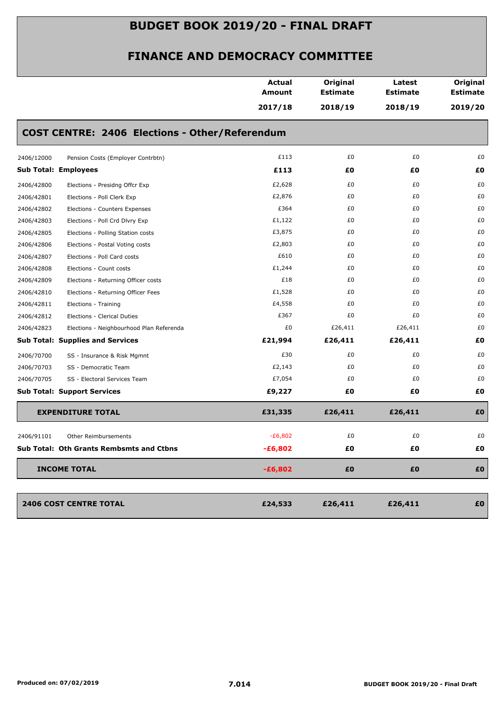|            |                                                       | <b>Actual</b><br>Amount<br>2017/18 | Original<br><b>Estimate</b><br>2018/19 | Latest<br><b>Estimate</b><br>2018/19 | Original<br><b>Estimate</b><br>2019/20 |
|------------|-------------------------------------------------------|------------------------------------|----------------------------------------|--------------------------------------|----------------------------------------|
|            | <b>COST CENTRE: 2406 Elections - Other/Referendum</b> |                                    |                                        |                                      |                                        |
| 2406/12000 | Pension Costs (Employer Contrbtn)                     | £113                               | £0                                     | £0                                   | £0                                     |
|            | <b>Sub Total: Employees</b>                           | £113                               | £0                                     | £Ο                                   | £0                                     |
| 2406/42800 | Elections - Presidng Offcr Exp                        | £2,628                             | £0                                     | £0                                   | £0                                     |
| 2406/42801 | Elections - Poll Clerk Exp                            | £2,876                             | £0                                     | £0                                   | £0                                     |
| 2406/42802 | Elections - Counters Expenses                         | £364                               | £0                                     | £0                                   | £0                                     |
| 2406/42803 | Elections - Poll Crd Dlvry Exp                        | £1,122                             | £0                                     | £0                                   | £0                                     |
| 2406/42805 | Elections - Polling Station costs                     | £3,875                             | £0                                     | £0                                   | £0                                     |
| 2406/42806 | Elections - Postal Voting costs                       | £2,803                             | £0                                     | £0                                   | £0                                     |
| 2406/42807 | Elections - Poll Card costs                           | £610                               | £0                                     | £0                                   | £0                                     |
| 2406/42808 | Elections - Count costs                               | £1,244                             | £0                                     | £0                                   | £0                                     |
| 2406/42809 | Elections - Returning Officer costs                   | £18                                | £0                                     | £0                                   | £0                                     |
| 2406/42810 | Elections - Returning Officer Fees                    | £1,528                             | £0                                     | £0                                   | £0                                     |
| 2406/42811 | Elections - Training                                  | £4,558                             | £0                                     | £0                                   | £0                                     |
| 2406/42812 | Elections - Clerical Duties                           | £367                               | £0                                     | £0                                   | £0                                     |
| 2406/42823 | Elections - Neighbourhood Plan Referenda              | £0                                 | £26,411                                | £26,411                              | £0                                     |
|            | <b>Sub Total: Supplies and Services</b>               | £21,994                            | £26,411                                | £26,411                              | £0                                     |
| 2406/70700 | SS - Insurance & Risk Mgmnt                           | £30                                | £0                                     | £0                                   | £0                                     |
| 2406/70703 | SS - Democratic Team                                  | £2,143                             | £0                                     | £0                                   | £0                                     |
| 2406/70705 | SS - Electoral Services Team                          | £7,054                             | £0                                     | £0                                   | £0                                     |
|            | <b>Sub Total: Support Services</b>                    | £9,227                             | £0                                     | £0                                   | £0                                     |
|            | <b>EXPENDITURE TOTAL</b>                              | £31,335                            | £26,411                                | £26,411                              | £0                                     |
| 2406/91101 | Other Reimbursements                                  | $-E6,802$                          | £0                                     | £0                                   | £0                                     |
|            | Sub Total: Oth Grants Rembsmts and Ctbns              | $-£6,802$                          | £Ο                                     | £Ο                                   | £Ο                                     |
|            | <b>INCOME TOTAL</b>                                   | $-£6,802$                          | £0                                     | £0                                   | £0                                     |
|            | <b>2406 COST CENTRE TOTAL</b>                         | £24,533                            | £26,411                                | £26,411                              | £0                                     |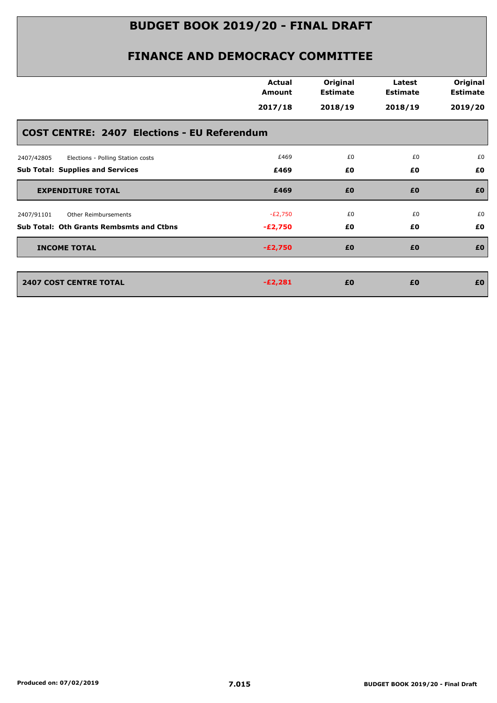|                                                    | <b>Actual</b><br>Amount | Original<br><b>Estimate</b> | Latest<br><b>Estimate</b> | Original<br><b>Estimate</b> |
|----------------------------------------------------|-------------------------|-----------------------------|---------------------------|-----------------------------|
|                                                    | 2017/18                 | 2018/19                     | 2018/19                   | 2019/20                     |
| <b>COST CENTRE: 2407 Elections - EU Referendum</b> |                         |                             |                           |                             |
| 2407/42805<br>Elections - Polling Station costs    | £469                    | £0                          | £0                        | £0                          |
| <b>Sub Total: Supplies and Services</b>            | £469                    | £0                          | £0                        | £0                          |
| <b>EXPENDITURE TOTAL</b>                           | £469                    | £0                          | £0                        | £0                          |
| Other Reimbursements<br>2407/91101                 | $-E2,750$               | £0                          | £0                        | £0                          |
| <b>Sub Total: Oth Grants Rembsmts and Ctbns</b>    | $-E2,750$               | £0                          | £0                        | £0                          |
| <b>INCOME TOTAL</b>                                | $-E2,750$               | £0                          | £0                        | £0                          |
| <b>2407 COST CENTRE TOTAL</b>                      | $-E2,281$               | £0                          | £0                        | £0                          |
|                                                    |                         |                             |                           |                             |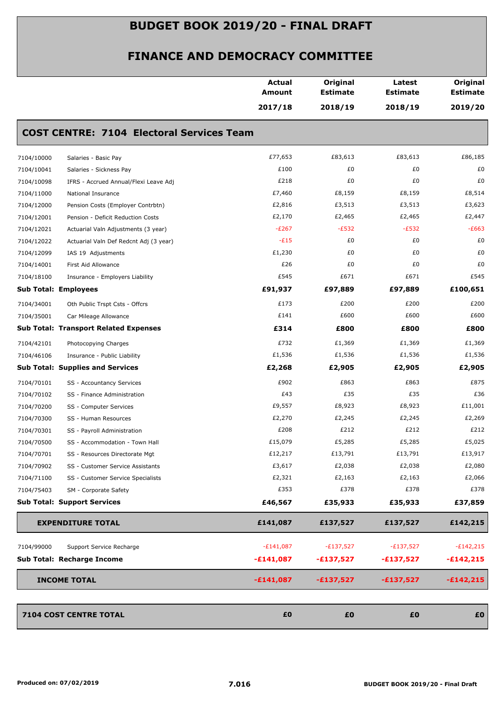|                                                      | <b>Actual</b><br><b>Amount</b> | Original<br><b>Estimate</b> | Latest<br><b>Estimate</b> | Original<br><b>Estimate</b> |
|------------------------------------------------------|--------------------------------|-----------------------------|---------------------------|-----------------------------|
|                                                      | 2017/18                        | 2018/19                     | 2018/19                   | 2019/20                     |
| <b>COST CENTRE: 7104 Electoral Services Team</b>     |                                |                             |                           |                             |
| 7104/10000<br>Salaries - Basic Pay                   | £77,653                        | £83,613                     | £83,613                   | £86,185                     |
| 7104/10041<br>Salaries - Sickness Pay                | £100                           | £0                          | £0                        | £0                          |
| 7104/10098<br>IFRS - Accrued Annual/Flexi Leave Adj  | £218                           | £0                          | £0                        | £0                          |
| 7104/11000<br>National Insurance                     | £7,460                         | £8,159                      | £8,159                    | £8,514                      |
| 7104/12000<br>Pension Costs (Employer Contrbtn)      | £2,816                         | £3,513                      | £3,513                    | £3,623                      |
| 7104/12001<br>Pension - Deficit Reduction Costs      | £2,170                         | £2,465                      | £2,465                    | £2,447                      |
| 7104/12021<br>Actuarial Valn Adjustments (3 year)    | $-E267$                        | $-E532$                     | $-E532$                   | $-E663$                     |
| 7104/12022<br>Actuarial Valn Def Redcnt Adj (3 year) | $-E15$                         | £0                          | £0                        | £0                          |
| 7104/12099<br>IAS 19 Adjustments                     | £1,230                         | £0                          | £0                        | £0                          |
| 7104/14001<br>First Aid Allowance                    | £26                            | £0                          | £0                        | £0                          |
| 7104/18100<br>Insurance - Employers Liability        | £545                           | £671                        | £671                      | £545                        |
| <b>Sub Total: Employees</b>                          | £91,937                        | £97,889                     | £97,889                   | £100,651                    |
| 7104/34001<br>Oth Public Trspt Csts - Offcrs         | £173                           | £200                        | £200                      | £200                        |
| 7104/35001<br>Car Mileage Allowance                  | £141                           | £600                        | £600                      | £600                        |
| <b>Sub Total: Transport Related Expenses</b>         | £314                           | £800                        | £800                      | £800                        |
| 7104/42101<br>Photocopying Charges                   | £732                           | £1,369                      | £1,369                    | £1,369                      |
| 7104/46106<br>Insurance - Public Liability           | £1,536                         | £1,536                      | £1,536                    | £1,536                      |
| <b>Sub Total: Supplies and Services</b>              | £2,268                         | £2,905                      | £2,905                    | £2,905                      |
| 7104/70101<br>SS - Accountancy Services              | £902                           | £863                        | £863                      | £875                        |
| 7104/70102<br>SS - Finance Administration            | £43                            | £35                         | £35                       | £36                         |
| 7104/70200<br>SS - Computer Services                 | £9,557                         | £8,923                      | £8,923                    | £11,001                     |
| 7104/70300<br>SS - Human Resources                   | £2,270                         | £2,245                      | £2,245                    | £2,269                      |
| 7104/70301<br>SS - Payroll Administration            | £208                           | £212                        | £212                      | £212                        |
| 7104/70500<br>SS - Accommodation - Town Hall         | £15,079                        | £5,285                      | £5,285                    | £5,025                      |
| 7104/70701<br>SS - Resources Directorate Mgt         | £12,217                        | £13,791                     | £13,791                   | £13,917                     |
| 7104/70902<br>SS - Customer Service Assistants       | £3,617                         | £2,038                      | £2,038                    | £2,080                      |
| 7104/71100<br>SS - Customer Service Specialists      | £2,321                         | £2,163                      | £2,163                    | £2,066                      |
| 7104/75403<br>SM - Corporate Safety                  | £353                           | £378                        | £378                      | £378                        |
| <b>Sub Total: Support Services</b>                   | £46,567                        | £35,933                     | £35,933                   | £37,859                     |
| <b>EXPENDITURE TOTAL</b>                             | £141,087                       | £137,527                    | £137,527                  | £142,215                    |
| Support Service Recharge<br>7104/99000               | $-E141,087$                    | $-E137,527$                 | $-E137,527$               | $-E142,215$                 |
| Sub Total: Recharge Income                           | $-£141,087$                    | $-£137,527$                 | $-£137,527$               | $-£142,215$                 |
| <b>INCOME TOTAL</b>                                  | $-£141,087$                    | $-£137,527$                 | $-£137,527$               | $-£142,215$                 |
| 7104 COST CENTRE TOTAL                               | £0                             | £0                          | £0                        | £0                          |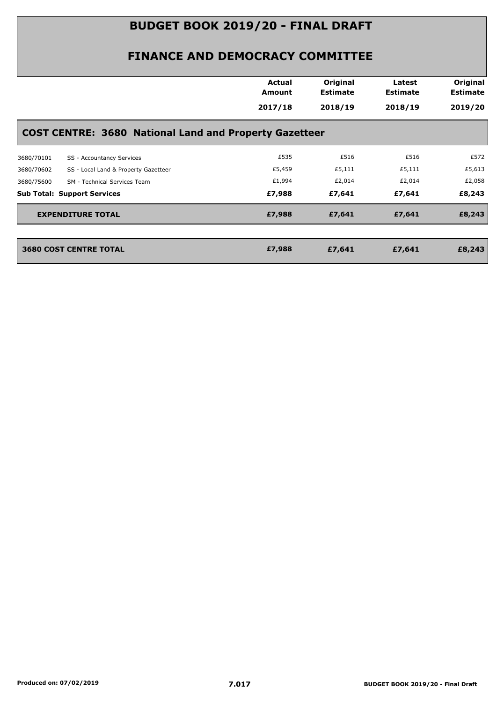|            |                                                               | <b>Actual</b><br>Amount | Original<br><b>Estimate</b> | Latest<br><b>Estimate</b> | Original<br><b>Estimate</b> |
|------------|---------------------------------------------------------------|-------------------------|-----------------------------|---------------------------|-----------------------------|
|            |                                                               | 2017/18                 | 2018/19                     | 2018/19                   | 2019/20                     |
|            | <b>COST CENTRE: 3680 National Land and Property Gazetteer</b> |                         |                             |                           |                             |
| 3680/70101 | SS - Accountancy Services                                     | £535                    | £516                        | £516                      | £572                        |
| 3680/70602 | SS - Local Land & Property Gazetteer                          | £5,459                  | £5,111                      | £5,111                    | £5,613                      |
| 3680/75600 | SM - Technical Services Team                                  | £1,994                  | £2,014                      | £2,014                    | £2,058                      |
|            | <b>Sub Total: Support Services</b>                            | £7,988                  | £7,641                      | £7,641                    | £8,243                      |
|            | <b>EXPENDITURE TOTAL</b>                                      | £7,988                  | £7,641                      | £7,641                    | £8,243                      |
|            | <b>3680 COST CENTRE TOTAL</b>                                 | £7,988                  | £7,641                      | £7,641                    | £8,243                      |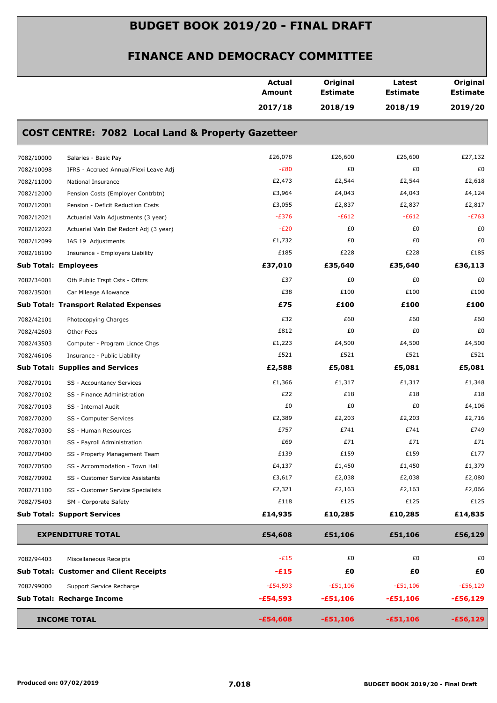|            |                                                              | <b>Actual</b><br>Amount | Original<br><b>Estimate</b> | Latest<br><b>Estimate</b> | Original<br><b>Estimate</b> |
|------------|--------------------------------------------------------------|-------------------------|-----------------------------|---------------------------|-----------------------------|
|            |                                                              | 2017/18                 | 2018/19                     | 2018/19                   | 2019/20                     |
|            | <b>COST CENTRE: 7082 Local Land &amp; Property Gazetteer</b> |                         |                             |                           |                             |
| 7082/10000 | Salaries - Basic Pay                                         | £26,078                 | £26,600                     | £26,600                   | £27,132                     |
| 7082/10098 | IFRS - Accrued Annual/Flexi Leave Adj                        | $-E80$                  | £0                          | £0                        | £0                          |
| 7082/11000 | National Insurance                                           | £2,473                  | £2,544                      | £2,544                    | £2,618                      |
| 7082/12000 | Pension Costs (Employer Contrbtn)                            | £3,964                  | £4,043                      | £4,043                    | £4,124                      |
| 7082/12001 | Pension - Deficit Reduction Costs                            | £3,055                  | £2,837                      | £2,837                    | £2,817                      |
| 7082/12021 | Actuarial Valn Adjustments (3 year)                          | $-E376$                 | $-E612$                     | $-E612$                   | $-E763$                     |
| 7082/12022 | Actuarial Valn Def Redcnt Adj (3 year)                       | $-E20$                  | £0                          | £0                        | £0                          |
| 7082/12099 | IAS 19 Adjustments                                           | £1,732                  | £0                          | £0                        | £0                          |
| 7082/18100 | Insurance - Employers Liability                              | £185                    | £228                        | £228                      | £185                        |
|            | <b>Sub Total: Employees</b>                                  | £37,010                 | £35,640                     | £35,640                   | £36,113                     |
| 7082/34001 | Oth Public Trspt Csts - Offcrs                               | £37                     | £0                          | £0                        | £0                          |
| 7082/35001 | Car Mileage Allowance                                        | £38                     | £100                        | £100                      | £100                        |
|            | <b>Sub Total: Transport Related Expenses</b>                 | £75                     | £100                        | £100                      | £100                        |
| 7082/42101 | Photocopying Charges                                         | £32                     | £60                         | £60                       | £60                         |
| 7082/42603 | Other Fees                                                   | £812                    | £0                          | £0                        | £0                          |
| 7082/43503 | Computer - Program Licnce Chgs                               | £1,223                  | £4,500                      | £4,500                    | £4,500                      |
| 7082/46106 | Insurance - Public Liability                                 | £521                    | £521                        | £521                      | £521                        |
|            | <b>Sub Total: Supplies and Services</b>                      | £2,588                  | £5,081                      | £5,081                    | £5,081                      |
| 7082/70101 | SS - Accountancy Services                                    | £1,366                  | £1,317                      | £1,317                    | £1,348                      |
| 7082/70102 | SS - Finance Administration                                  | £22                     | £18                         | £18                       | £18                         |
| 7082/70103 | SS - Internal Audit                                          | £0                      | £0                          | £0                        | £4,106                      |
| 7082/70200 | SS - Computer Services                                       | £2,389                  | £2,203                      | £2,203                    | £2,716                      |
| 7082/70300 | SS - Human Resources                                         | £757                    | £741                        | £741                      | £749                        |
| 7082/70301 | SS - Payroll Administration                                  | £69                     | £71                         | £71                       | £71                         |
| 7082/70400 | SS - Property Management Team                                | £139                    | £159                        | £159                      | £177                        |
| 7082/70500 | SS - Accommodation - Town Hall                               | £4,137                  | £1,450                      | £1,450                    | £1,379                      |
| 7082/70902 | SS - Customer Service Assistants                             | £3,617                  | £2,038                      | £2,038                    | £2,080                      |
| 7082/71100 | SS - Customer Service Specialists                            | £2,321                  | £2,163                      | £2,163                    | £2,066                      |
| 7082/75403 | SM - Corporate Safety                                        | £118                    | £125                        | £125                      | £125                        |
|            | <b>Sub Total: Support Services</b>                           | £14,935                 | £10,285                     | £10,285                   | £14,835                     |
|            | <b>EXPENDITURE TOTAL</b>                                     | £54,608                 | £51,106                     | £51,106                   | £56,129                     |
| 7082/94403 | Miscellaneous Receipts                                       | $-E15$                  | £0                          | £0                        | £0                          |
|            | <b>Sub Total: Customer and Client Receipts</b>               | $-E15$                  | £0                          | £0                        | £0                          |
| 7082/99000 | Support Service Recharge                                     | $-E54,593$              | $-£51,106$                  | $-E51,106$                | $-E56,129$                  |
|            | Sub Total: Recharge Income                                   | $-£54,593$              | $-£51,106$                  | $-£51,106$                | $-£56,129$                  |
|            |                                                              |                         |                             |                           |                             |
|            | <b>INCOME TOTAL</b>                                          | $-£54,608$              | $-£51,106$                  | $-£51,106$                | $-£56,129$                  |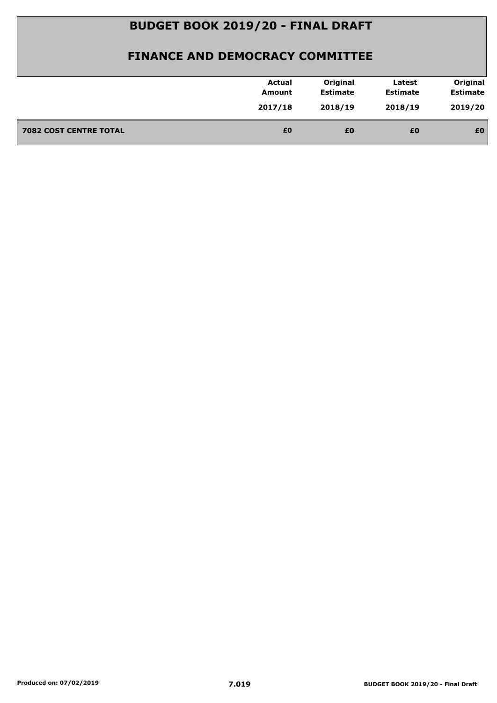|                               | <b>Actual</b><br>Amount | Original<br><b>Estimate</b> | Latest<br><b>Estimate</b> | Original<br><b>Estimate</b> |
|-------------------------------|-------------------------|-----------------------------|---------------------------|-----------------------------|
|                               | 2017/18                 | 2018/19                     | 2018/19                   | 2019/20                     |
| <b>7082 COST CENTRE TOTAL</b> | £0                      | £0                          | £0                        | £0                          |
|                               |                         |                             |                           |                             |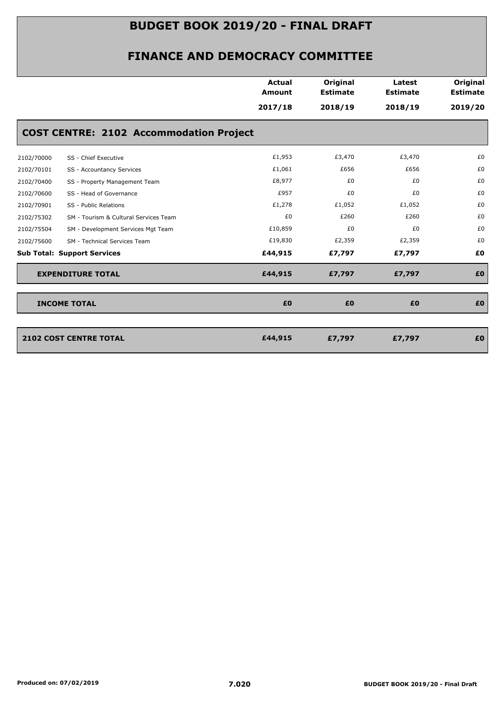|            |                                                | <b>Actual</b><br><b>Amount</b> | Original<br><b>Estimate</b> | Latest<br><b>Estimate</b> | Original<br><b>Estimate</b> |
|------------|------------------------------------------------|--------------------------------|-----------------------------|---------------------------|-----------------------------|
|            |                                                | 2017/18                        | 2018/19                     | 2018/19                   | 2019/20                     |
|            | <b>COST CENTRE: 2102 Accommodation Project</b> |                                |                             |                           |                             |
| 2102/70000 | SS - Chief Executive                           | £1,953                         | £3,470                      | £3,470                    | £0                          |
| 2102/70101 | SS - Accountancy Services                      | £1,061                         | £656                        | £656                      | £0                          |
| 2102/70400 | SS - Property Management Team                  | £8,977                         | £0                          | £0                        | £0                          |
| 2102/70600 | SS - Head of Governance                        | £957                           | £0                          | £0                        | £0                          |
| 2102/70901 | SS - Public Relations                          | £1,278                         | £1,052                      | £1,052                    | £0                          |
| 2102/75302 | SM - Tourism & Cultural Services Team          | £0                             | £260                        | £260                      | £0                          |
| 2102/75504 | SM - Development Services Mgt Team             | £10,859                        | £0                          | £0                        | £0                          |
| 2102/75600 | SM - Technical Services Team                   | £19,830                        | £2,359                      | £2,359                    | £0                          |
|            | <b>Sub Total: Support Services</b>             | £44,915                        | £7,797                      | £7,797                    | £0                          |
|            | <b>EXPENDITURE TOTAL</b>                       | £44,915                        | £7,797                      | £7,797                    | £0                          |
|            | <b>INCOME TOTAL</b>                            | £0                             | £0                          | £0                        | £0                          |
|            |                                                |                                |                             |                           |                             |
|            | 2102 COST CENTRE TOTAL                         | £44,915                        | £7,797                      | £7,797                    | £0                          |
|            |                                                |                                |                             |                           |                             |
|            |                                                |                                |                             |                           |                             |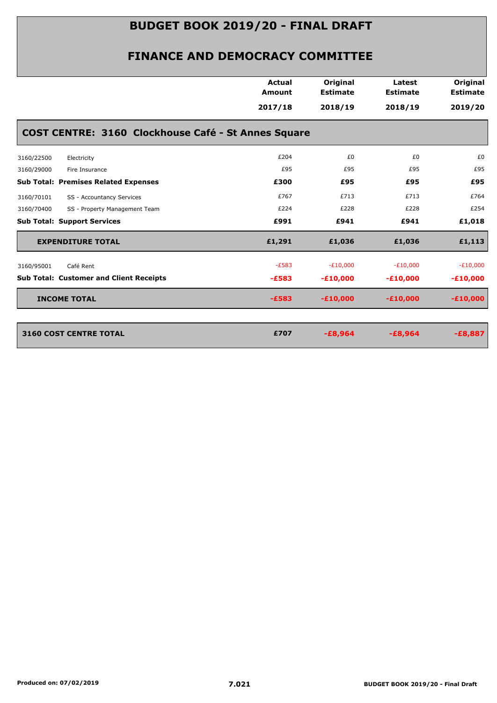|                                                     | <b>Actual</b><br><b>Amount</b> | Original<br><b>Estimate</b> | Latest<br><b>Estimate</b> | Original<br><b>Estimate</b> |
|-----------------------------------------------------|--------------------------------|-----------------------------|---------------------------|-----------------------------|
|                                                     | 2017/18                        | 2018/19                     | 2018/19                   | 2019/20                     |
| COST CENTRE: 3160 Clockhouse Café - St Annes Square |                                |                             |                           |                             |
| 3160/22500<br>Electricity                           | £204                           | £0                          | £0                        | £0                          |
| 3160/29000<br>Fire Insurance                        | £95                            | £95                         | £95                       | £95                         |
| <b>Sub Total: Premises Related Expenses</b>         | £300                           | £95                         | £95                       | £95                         |
| 3160/70101<br>SS - Accountancy Services             | £767                           | £713                        | £713                      | £764                        |
| 3160/70400<br>SS - Property Management Team         | £224                           | £228                        | £228                      | £254                        |
| <b>Sub Total: Support Services</b>                  | £991                           | £941                        | £941                      | £1,018                      |
| <b>EXPENDITURE TOTAL</b>                            | £1,291                         | £1,036                      | £1,036                    | £1,113                      |
| Café Rent<br>3160/95001                             | $-E583$                        | $-E10,000$                  | $-E10,000$                | $-E10,000$                  |
| <b>Sub Total: Customer and Client Receipts</b>      | $-E583$                        | $-£10,000$                  | $-£10,000$                | $-£10,000$                  |
| <b>INCOME TOTAL</b>                                 | $-E583$                        | $-£10,000$                  | $-£10,000$                | $-£10,000$                  |
|                                                     |                                |                             |                           |                             |
| <b>3160 COST CENTRE TOTAL</b>                       | £707                           | $-£8,964$                   | $-E8,964$                 | $-£8,887$                   |
|                                                     |                                |                             |                           |                             |
|                                                     |                                |                             |                           |                             |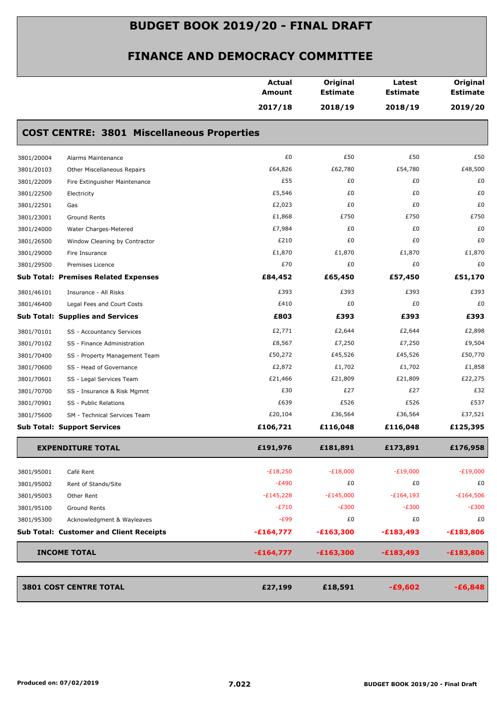|            |                                                   | <b>Actual</b><br>Amount | Original<br><b>Estimate</b> | Latest<br><b>Estimate</b> | Original<br><b>Estimate</b> |
|------------|---------------------------------------------------|-------------------------|-----------------------------|---------------------------|-----------------------------|
|            |                                                   | 2017/18                 | 2018/19                     | 2018/19                   | 2019/20                     |
|            | <b>COST CENTRE: 3801 Miscellaneous Properties</b> |                         |                             |                           |                             |
| 3801/20004 | Alarms Maintenance                                | £0                      | £50                         | £50                       | £50                         |
| 3801/20103 | Other Miscellaneous Repairs                       | £64,826                 | £62,780                     | £54,780                   | £48,500                     |
| 3801/22009 | Fire Extinguisher Maintenance                     | £55                     | £0                          | £0                        | £0                          |
| 3801/22500 | Electricity                                       | £5,546                  | £0                          | £0                        | £0                          |
| 3801/22501 | Gas                                               | £2,023                  | £0                          | £0                        | £0                          |
| 3801/23001 | Ground Rents                                      | £1,868                  | £750                        | £750                      | £750                        |
| 3801/24000 | Water Charges-Metered                             | £7,984                  | £0                          | £0                        | £0                          |
| 3801/26500 | Window Cleaning by Contractor                     | £210                    | £0                          | £0                        | £0                          |
| 3801/29000 | Fire Insurance                                    | £1,870                  | £1,870                      | £1,870                    | £1,870                      |
| 3801/29500 | Premises Licence                                  | £70                     | £0                          | £0                        | £0                          |
|            | <b>Sub Total: Premises Related Expenses</b>       | £84,452                 | £65,450                     | £57,450                   | £51,170                     |
| 3801/46101 | Insurance - All Risks                             | £393                    | £393                        | £393                      | £393                        |
| 3801/46400 | Legal Fees and Court Costs                        | £410                    | £0                          | £0                        | £0                          |
|            | <b>Sub Total: Supplies and Services</b>           | £803                    | £393                        | £393                      | £393                        |
| 3801/70101 | SS - Accountancy Services                         | £2,771                  | £2,644                      | £2,644                    | £2,898                      |
| 3801/70102 | SS - Finance Administration                       | £8,567                  | £7,250                      | £7,250                    | £9,504                      |
| 3801/70400 | SS - Property Management Team                     | £50,272                 | £45,526                     | £45,526                   | £50,770                     |
| 3801/70600 | SS - Head of Governance                           | £2,872                  | £1,702                      | £1,702                    | £1,858                      |
| 3801/70601 | SS - Legal Services Team                          | £21,466                 | £21,809                     | £21,809                   | £22,275                     |
| 3801/70700 | SS - Insurance & Risk Mgmnt                       | £30                     | £27                         | £27                       | £32                         |
| 3801/70901 | SS - Public Relations                             | £639                    | £526                        | £526                      | £537                        |
| 3801/75600 | SM - Technical Services Team                      | £20,104                 | £36,564                     | £36,564                   | £37,521                     |
|            | <b>Sub Total: Support Services</b>                | £106,721                | £116,048                    | £116,048                  | £125,395                    |
|            | <b>EXPENDITURE TOTAL</b>                          | £191,976                | £181,891                    | £173,891                  | £176,958                    |
| 3801/95001 | Café Rent                                         | $-E18,250$              | $-E18,000$                  | $-E19,000$                | $-E19,000$                  |
| 3801/95002 | Rent of Stands/Site                               | $-E490$                 | £0                          | £0                        | £0                          |
| 3801/95003 | Other Rent                                        | $-E145,228$             | $-E145,000$                 | $-E164,193$               | $-£164,506$                 |
| 3801/95100 | Ground Rents                                      | $-E710$                 | $-E300$                     | $-E300$                   | $-E300$                     |
| 3801/95300 | Acknowledgment & Wayleaves                        | $-E99$                  | £0                          | £0                        | £0                          |
|            | <b>Sub Total: Customer and Client Receipts</b>    | $-£164,777$             | $-£163,300$                 | $-£183,493$               | $-£183,806$                 |
|            | <b>INCOME TOTAL</b>                               | $-£164,777$             | $-£163,300$                 | $-£183,493$               | $-£183,806$                 |
|            | <b>3801 COST CENTRE TOTAL</b>                     | £27,199                 | £18,591                     | $-£9,602$                 | $-£6,848$                   |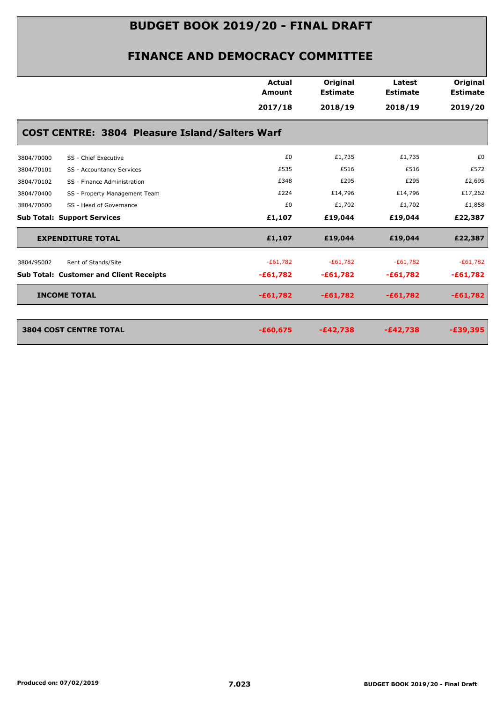|                                                | Actual<br>Amount                                      | Original<br><b>Estimate</b> | Latest<br><b>Estimate</b> | Original<br><b>Estimate</b> |
|------------------------------------------------|-------------------------------------------------------|-----------------------------|---------------------------|-----------------------------|
|                                                | 2017/18                                               | 2018/19                     | 2018/19                   | 2019/20                     |
|                                                | <b>COST CENTRE: 3804 Pleasure Island/Salters Warf</b> |                             |                           |                             |
| SS - Chief Executive<br>3804/70000             | £0                                                    | £1,735                      | £1,735                    | £0                          |
| 3804/70101<br>SS - Accountancy Services        | £535                                                  | £516                        | £516                      | £572                        |
| 3804/70102<br>SS - Finance Administration      | £348                                                  | £295                        | £295                      | £2,695                      |
| SS - Property Management Team<br>3804/70400    | £224                                                  | £14,796                     | £14,796                   | £17,262                     |
| 3804/70600<br>SS - Head of Governance          | £0                                                    | £1,702                      | £1,702                    | £1,858                      |
| <b>Sub Total: Support Services</b>             | £1,107                                                | £19,044                     | £19,044                   | £22,387                     |
| <b>EXPENDITURE TOTAL</b>                       | £1,107                                                | £19,044                     | £19,044                   | £22,387                     |
| 3804/95002<br>Rent of Stands/Site              | $-E61,782$                                            | $-E61,782$                  | $-E61,782$                | $-£61,782$                  |
| <b>Sub Total: Customer and Client Receipts</b> | $-£61,782$                                            | $-£61,782$                  | $-£61,782$                | $-£61,782$                  |
| <b>INCOME TOTAL</b>                            | $-£61,782$                                            | $-£61,782$                  | $-£61,782$                | $-£61,782$                  |
|                                                |                                                       |                             |                           |                             |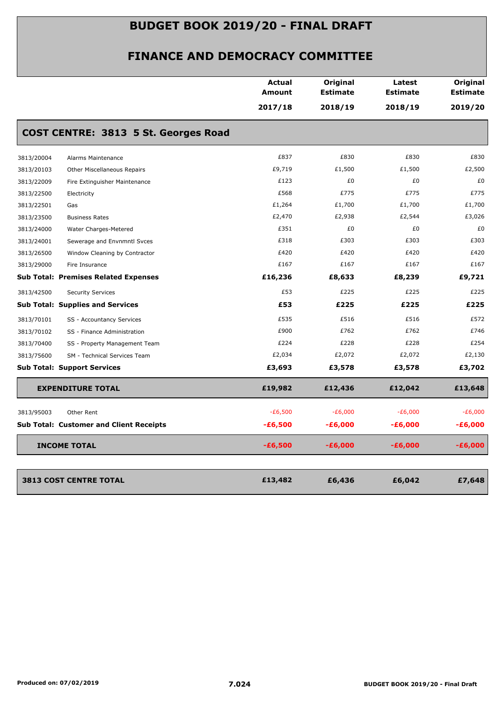|            |                                                | <b>Actual</b><br>Amount | Original<br><b>Estimate</b> | Latest<br><b>Estimate</b> | Original<br><b>Estimate</b> |
|------------|------------------------------------------------|-------------------------|-----------------------------|---------------------------|-----------------------------|
|            |                                                | 2017/18                 | 2018/19                     | 2018/19                   | 2019/20                     |
|            | COST CENTRE: 3813 5 St. Georges Road           |                         |                             |                           |                             |
| 3813/20004 | Alarms Maintenance                             | £837                    | £830                        | £830                      | £830                        |
| 3813/20103 | <b>Other Miscellaneous Repairs</b>             | £9,719                  | £1,500                      | £1,500                    | £2,500                      |
| 3813/22009 | Fire Extinguisher Maintenance                  | £123                    | £0                          | £0                        | £0                          |
| 3813/22500 | Electricity                                    | £568                    | £775                        | £775                      | £775                        |
| 3813/22501 | Gas                                            | £1,264                  | £1,700                      | £1,700                    | £1,700                      |
| 3813/23500 | <b>Business Rates</b>                          | £2,470                  | £2,938                      | £2,544                    | £3,026                      |
| 3813/24000 | Water Charges-Metered                          | £351                    | £0                          | £0                        | £0                          |
| 3813/24001 | Sewerage and Envnmntl Svces                    | £318                    | £303                        | £303                      | £303                        |
| 3813/26500 | Window Cleaning by Contractor                  | £420                    | £420                        | £420                      | £420                        |
| 3813/29000 | Fire Insurance                                 | £167                    | £167                        | £167                      | £167                        |
|            | <b>Sub Total: Premises Related Expenses</b>    | £16,236                 | £8,633                      | £8,239                    | £9,721                      |
| 3813/42500 | <b>Security Services</b>                       | £53                     | £225                        | £225                      | £225                        |
|            | <b>Sub Total: Supplies and Services</b>        | £53                     | £225                        | £225                      | £225                        |
| 3813/70101 | SS - Accountancy Services                      | £535                    | £516                        | £516                      | £572                        |
| 3813/70102 | SS - Finance Administration                    | £900                    | £762                        | £762                      | £746                        |
| 3813/70400 | SS - Property Management Team                  | £224                    | £228                        | £228                      | £254                        |
| 3813/75600 | SM - Technical Services Team                   | £2,034                  | £2,072                      | £2,072                    | £2,130                      |
|            | <b>Sub Total: Support Services</b>             | £3,693                  | £3,578                      | £3,578                    | £3,702                      |
|            | <b>EXPENDITURE TOTAL</b>                       | £19,982                 | £12,436                     | £12,042                   | £13,648                     |
| 3813/95003 | Other Rent                                     | $-E6,500$               | $-E6,000$                   | $-E6,000$                 | $-E6,000$                   |
|            | <b>Sub Total: Customer and Client Receipts</b> | $-£6,500$               | -£6,000                     | $-£6,000$                 | $-£6,000$                   |
|            | <b>INCOME TOTAL</b>                            | $-£6,500$               | $-£6,000$                   | $-£6,000$                 | $-£6,000$                   |
|            |                                                |                         |                             |                           |                             |
|            | <b>3813 COST CENTRE TOTAL</b>                  | £13,482                 | £6,436                      | £6,042                    | £7,648                      |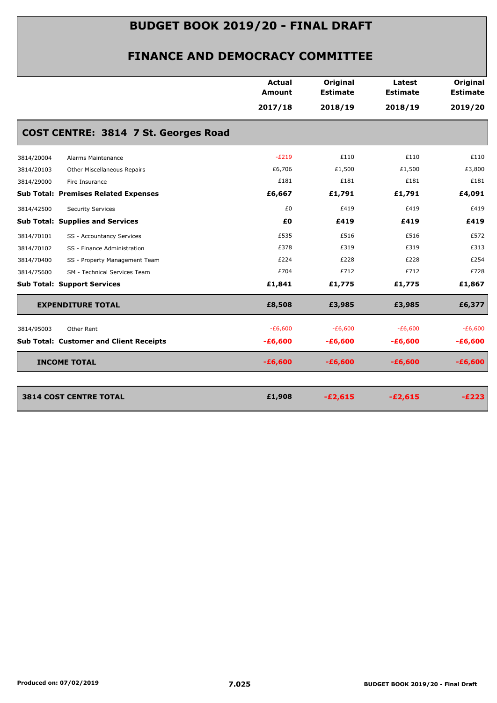|            |                                                | <b>Actual</b><br>Amount | Original<br><b>Estimate</b> | Latest<br><b>Estimate</b> | Original<br><b>Estimate</b> |
|------------|------------------------------------------------|-------------------------|-----------------------------|---------------------------|-----------------------------|
|            |                                                | 2017/18                 | 2018/19                     | 2018/19                   | 2019/20                     |
|            | COST CENTRE: 3814 7 St. Georges Road           |                         |                             |                           |                             |
| 3814/20004 | Alarms Maintenance                             | $-E219$                 | £110                        | £110                      | £110                        |
| 3814/20103 | Other Miscellaneous Repairs                    | £6,706                  | £1,500                      | £1,500                    | £3,800                      |
| 3814/29000 | Fire Insurance                                 | £181                    | £181                        | £181                      | £181                        |
|            | <b>Sub Total: Premises Related Expenses</b>    | £6,667                  | £1,791                      | £1,791                    | £4,091                      |
| 3814/42500 | <b>Security Services</b>                       | £0                      | £419                        | £419                      | £419                        |
|            | <b>Sub Total: Supplies and Services</b>        | £0                      | £419                        | £419                      | £419                        |
| 3814/70101 | SS - Accountancy Services                      | £535                    | £516                        | £516                      | £572                        |
| 3814/70102 | SS - Finance Administration                    | £378                    | £319                        | £319                      | £313                        |
| 3814/70400 | SS - Property Management Team                  | £224                    | £228                        | £228                      | £254                        |
| 3814/75600 | SM - Technical Services Team                   | £704                    | £712                        | £712                      | £728                        |
|            | <b>Sub Total: Support Services</b>             | £1,841                  | £1,775                      | £1,775                    | £1,867                      |
|            | <b>EXPENDITURE TOTAL</b>                       | £8,508                  | £3,985                      | £3,985                    | £6,377                      |
| 3814/95003 | Other Rent                                     | $-E6,600$               | $-E6,600$                   | $-E6,600$                 | $-E6,600$                   |
|            | <b>Sub Total: Customer and Client Receipts</b> | $-£6,600$               | $-£6,600$                   | $-£6,600$                 | $-£6,600$                   |
|            | <b>INCOME TOTAL</b>                            | $-£6,600$               | $-£6,600$                   | $-£6,600$                 | $-£6,600$                   |
|            |                                                |                         |                             |                           |                             |
|            | <b>3814 COST CENTRE TOTAL</b>                  | £1,908                  | $-E2,615$                   | $-E2,615$                 | $-E223$                     |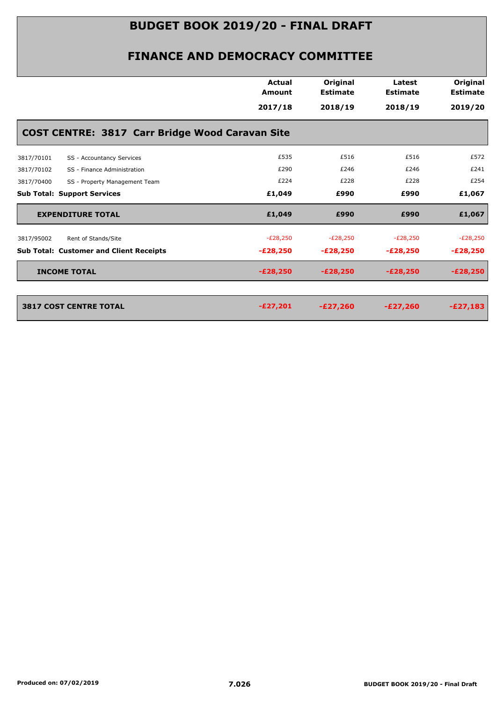|            |                                                        | <b>Actual</b><br>Amount | Original<br><b>Estimate</b> | Latest<br><b>Estimate</b> | Original<br><b>Estimate</b> |
|------------|--------------------------------------------------------|-------------------------|-----------------------------|---------------------------|-----------------------------|
|            |                                                        | 2017/18                 | 2018/19                     | 2018/19                   | 2019/20                     |
|            | <b>COST CENTRE: 3817 Carr Bridge Wood Caravan Site</b> |                         |                             |                           |                             |
| 3817/70101 | SS - Accountancy Services                              | £535                    | £516                        | £516                      | £572                        |
| 3817/70102 | SS - Finance Administration                            | £290                    | £246                        | £246                      | £241                        |
| 3817/70400 | SS - Property Management Team                          | £224                    | £228                        | £228                      | £254                        |
|            | <b>Sub Total: Support Services</b>                     | £1,049                  | £990                        | £990                      | £1,067                      |
|            | <b>EXPENDITURE TOTAL</b>                               | £1,049                  | £990                        | £990                      | £1,067                      |
| 3817/95002 | Rent of Stands/Site                                    | $-E28,250$              | $-E28,250$                  | $-E28,250$                | $-E28,250$                  |
|            | <b>Sub Total: Customer and Client Receipts</b>         | $-E28,250$              | $-E28,250$                  | $-E28,250$                | $-E28,250$                  |
|            | <b>INCOME TOTAL</b>                                    | $-E28,250$              | $-E28,250$                  | $-E28,250$                | $-E28,250$                  |
|            |                                                        |                         |                             |                           |                             |
|            | <b>3817 COST CENTRE TOTAL</b>                          | $-E27,201$              | $-E27,260$                  | $-E27,260$                | $-E27,183$                  |
|            |                                                        |                         |                             |                           |                             |
|            |                                                        |                         |                             |                           |                             |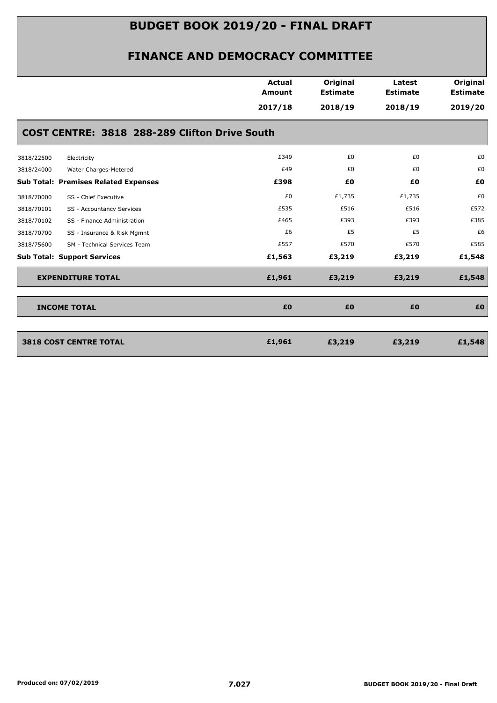|            |                                               | <b>Actual</b><br><b>Amount</b><br>2017/18 | Original<br><b>Estimate</b><br>2018/19 | Latest<br><b>Estimate</b><br>2018/19 | Original<br><b>Estimate</b><br>2019/20 |
|------------|-----------------------------------------------|-------------------------------------------|----------------------------------------|--------------------------------------|----------------------------------------|
|            | COST CENTRE: 3818 288-289 Clifton Drive South |                                           |                                        |                                      |                                        |
| 3818/22500 | Electricity                                   | £349                                      | £0                                     | £0                                   | £0                                     |
| 3818/24000 | Water Charges-Metered                         | £49                                       | £0                                     | £0                                   | £0                                     |
|            | <b>Sub Total: Premises Related Expenses</b>   | £398                                      | £0                                     | £0                                   | £0                                     |
| 3818/70000 | SS - Chief Executive                          | £0                                        | £1,735                                 | £1,735                               | £0                                     |
| 3818/70101 | SS - Accountancy Services                     | £535                                      | £516                                   | £516                                 | £572                                   |
| 3818/70102 | SS - Finance Administration                   | £465                                      | £393                                   | £393                                 | £385                                   |
| 3818/70700 | SS - Insurance & Risk Mgmnt                   | £6                                        | £5                                     | £5                                   | £6                                     |
| 3818/75600 | SM - Technical Services Team                  | £557                                      | £570                                   | £570                                 | £585                                   |
|            | <b>Sub Total: Support Services</b>            | £1,563                                    | £3,219                                 | £3,219                               | £1,548                                 |
|            | <b>EXPENDITURE TOTAL</b>                      | £1,961                                    | £3,219                                 | £3,219                               | £1,548                                 |
|            | <b>INCOME TOTAL</b>                           | £0                                        | £0                                     | £0                                   | £0                                     |
|            | <b>3818 COST CENTRE TOTAL</b>                 | £1,961                                    | £3,219                                 | £3,219                               | £1,548                                 |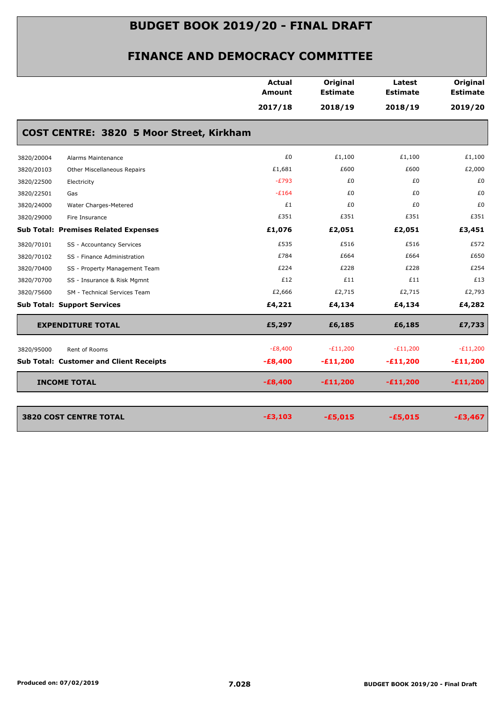|            |                                                | <b>Actual</b><br>Amount | Original<br><b>Estimate</b> | Latest<br><b>Estimate</b> | Original<br><b>Estimate</b> |
|------------|------------------------------------------------|-------------------------|-----------------------------|---------------------------|-----------------------------|
|            |                                                | 2017/18                 | 2018/19                     | 2018/19                   | 2019/20                     |
|            | COST CENTRE: 3820 5 Moor Street, Kirkham       |                         |                             |                           |                             |
| 3820/20004 | Alarms Maintenance                             | £0                      | £1,100                      | £1,100                    | £1,100                      |
| 3820/20103 | Other Miscellaneous Repairs                    | £1,681                  | £600                        | £600                      | £2,000                      |
| 3820/22500 | Electricity                                    | $-E793$                 | £0                          | £0                        | £0                          |
| 3820/22501 | Gas                                            | $-E164$                 | £0                          | £0                        | £0                          |
| 3820/24000 | Water Charges-Metered                          | £1                      | £0                          | £0                        | £0                          |
| 3820/29000 | Fire Insurance                                 | £351                    | £351                        | £351                      | £351                        |
|            | <b>Sub Total: Premises Related Expenses</b>    | £1,076                  | £2,051                      | £2,051                    | £3,451                      |
| 3820/70101 | SS - Accountancy Services                      | £535                    | £516                        | £516                      | £572                        |
| 3820/70102 | SS - Finance Administration                    | £784                    | £664                        | £664                      | £650                        |
| 3820/70400 | SS - Property Management Team                  | £224                    | £228                        | £228                      | £254                        |
| 3820/70700 | SS - Insurance & Risk Mgmnt                    | £12                     | £11                         | £11                       | £13                         |
| 3820/75600 | SM - Technical Services Team                   | £2,666                  | £2,715                      | £2,715                    | £2,793                      |
|            | <b>Sub Total: Support Services</b>             | £4,221                  | £4,134                      | £4,134                    | £4,282                      |
|            | <b>EXPENDITURE TOTAL</b>                       | £5,297                  | £6,185                      | £6,185                    | £7,733                      |
| 3820/95000 | Rent of Rooms                                  | $-E8,400$               | $-E11,200$                  | $-E11,200$                | $-E11,200$                  |
|            | <b>Sub Total: Customer and Client Receipts</b> | $-E8,400$               | $-£11,200$                  | $-£11,200$                | $-£11,200$                  |
|            | <b>INCOME TOTAL</b>                            | $-E8,400$               | $-£11,200$                  | $-£11,200$                | $-£11,200$                  |
|            | <b>3820 COST CENTRE TOTAL</b>                  | $-£3,103$               | $-£5,015$                   | $-£5,015$                 | $-£3,467$                   |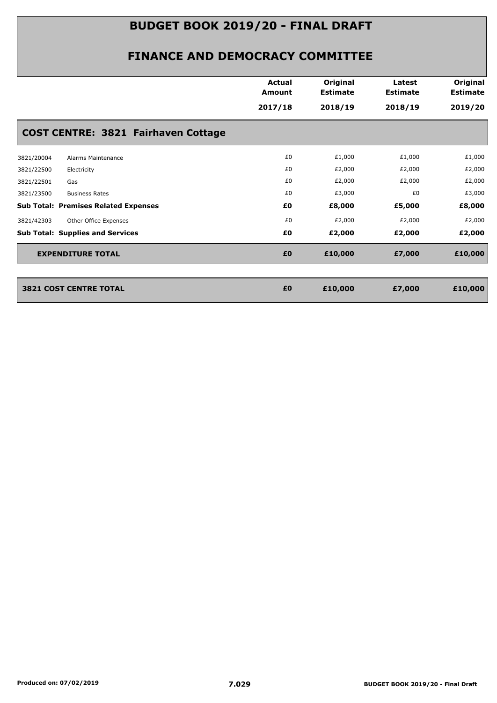|                                             | <b>Actual</b><br><b>Amount</b> | Original<br><b>Estimate</b> | Latest<br><b>Estimate</b> | Original<br><b>Estimate</b> |
|---------------------------------------------|--------------------------------|-----------------------------|---------------------------|-----------------------------|
|                                             | 2017/18                        | 2018/19                     | 2018/19                   | 2019/20                     |
| COST CENTRE: 3821 Fairhaven Cottage         |                                |                             |                           |                             |
| 3821/20004<br>Alarms Maintenance            | £0                             | £1,000                      | £1,000                    | £1,000                      |
| 3821/22500<br>Electricity                   | £0                             | £2,000                      | £2,000                    | £2,000                      |
| 3821/22501<br>Gas                           | £0                             | £2,000                      | £2,000                    | £2,000                      |
| 3821/23500<br><b>Business Rates</b>         | £0                             | £3,000                      | £0                        | £3,000                      |
| <b>Sub Total: Premises Related Expenses</b> | £Ο                             | £8,000                      | £5,000                    | £8,000                      |
| Other Office Expenses<br>3821/42303         | £0                             | £2,000                      | £2,000                    | £2,000                      |
| <b>Sub Total: Supplies and Services</b>     | £Ο                             | £2,000                      | £2,000                    | £2,000                      |
| <b>EXPENDITURE TOTAL</b>                    | £0                             | £10,000                     | £7,000                    | £10,000                     |
|                                             |                                |                             |                           |                             |
| <b>3821 COST CENTRE TOTAL</b>               | £0                             | £10,000                     | £7,000                    | £10,000                     |
|                                             |                                |                             |                           |                             |
|                                             |                                |                             |                           |                             |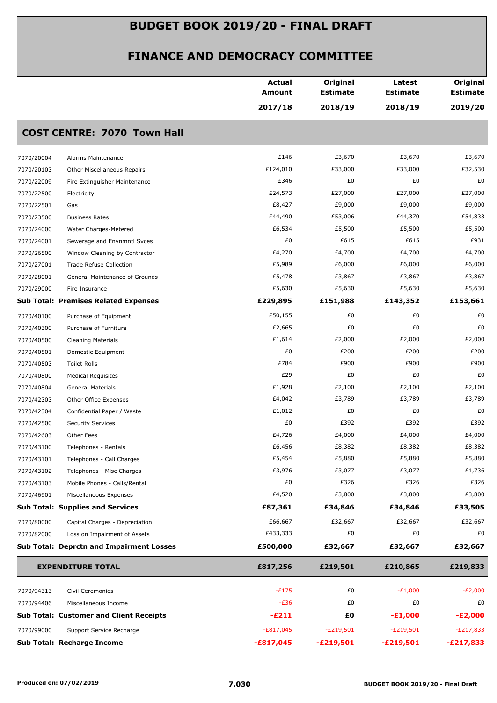|                          |                                                        | <b>Actual</b><br>Amount | Original<br><b>Estimate</b> | Latest<br><b>Estimate</b> | Original<br><b>Estimate</b> |
|--------------------------|--------------------------------------------------------|-------------------------|-----------------------------|---------------------------|-----------------------------|
|                          |                                                        | 2017/18                 | 2018/19                     | 2018/19                   | 2019/20                     |
|                          | <b>COST CENTRE: 7070 Town Hall</b>                     |                         |                             |                           |                             |
| 7070/20004               | Alarms Maintenance                                     | £146                    | £3,670                      | £3,670                    | £3,670                      |
| 7070/20103               | Other Miscellaneous Repairs                            | £124,010                | £33,000                     | £33,000                   | £32,530                     |
| 7070/22009               | Fire Extinguisher Maintenance                          | £346                    | £0                          | £0                        | £0                          |
| 7070/22500               | Electricity                                            | £24,573                 | £27,000                     | £27,000                   | £27,000                     |
| 7070/22501               | Gas                                                    | £8,427                  | £9,000                      | £9,000                    | £9,000                      |
| 7070/23500               | <b>Business Rates</b>                                  | £44,490                 | £53,006                     | £44,370                   | £54,833                     |
| 7070/24000               | Water Charges-Metered                                  | £6,534                  | £5,500                      | £5,500                    | £5,500                      |
| 7070/24001               | Sewerage and Envnmntl Svces                            | £0                      | £615                        | £615                      | £931                        |
| 7070/26500               | Window Cleaning by Contractor                          | £4,270                  | £4,700                      | £4,700                    | £4,700                      |
| 7070/27001               | <b>Trade Refuse Collection</b>                         | £5,989                  | £6,000                      | £6,000                    | £6,000                      |
| 7070/28001               | General Maintenance of Grounds                         | £5,478                  | £3,867                      | £3,867                    | £3,867                      |
| 7070/29000               | Fire Insurance                                         | £5,630                  | £5,630                      | £5,630                    | £5,630                      |
|                          | <b>Sub Total: Premises Related Expenses</b>            | £229,895                | £151,988                    | £143,352                  | £153,661                    |
| 7070/40100               | Purchase of Equipment                                  | £50,155                 | £0                          | £0                        | £0                          |
| 7070/40300               | Purchase of Furniture                                  | £2,665                  | £0                          | £0                        | £0                          |
| 7070/40500               | <b>Cleaning Materials</b>                              | £1,614                  | £2,000                      | £2,000                    | £2,000                      |
| 7070/40501               | Domestic Equipment                                     | £0                      | £200                        | £200                      | £200                        |
| 7070/40503               | Toilet Rolls                                           | £784                    | £900                        | £900                      | £900                        |
| 7070/40800               | <b>Medical Requisites</b>                              | £29                     | £0                          | £0                        | £0                          |
| 7070/40804               | General Materials                                      | £1,928                  | £2,100                      | £2,100                    | £2,100                      |
| 7070/42303               | Other Office Expenses                                  | £4,042                  | £3,789                      | £3,789                    | £3,789                      |
| 7070/42304               | Confidential Paper / Waste                             | £1,012                  | £0                          | £0                        | £0                          |
| 7070/42500               | <b>Security Services</b>                               | £0                      | £392                        | £392                      | £392                        |
| 7070/42603               | Other Fees                                             | £4,726                  | £4,000                      | £4,000                    | £4,000                      |
| 7070/43100               | Telephones - Rentals                                   | £6,456                  | £8,382                      | £8,382                    | £8,382                      |
| 7070/43101               | Telephones - Call Charges                              | £5,454                  | £5,880                      | £5,880                    | £5,880                      |
| 7070/43102               | Telephones - Misc Charges                              | £3,976<br>£0            | £3,077<br>£326              | £3,077<br>£326            | £1,736<br>£326              |
| 7070/43103<br>7070/46901 | Mobile Phones - Calls/Rental<br>Miscellaneous Expenses | £4,520                  | £3,800                      | £3,800                    | £3,800                      |
|                          | <b>Sub Total: Supplies and Services</b>                | £87,361                 | £34,846                     | £34,846                   | £33,505                     |
| 7070/80000               | Capital Charges - Depreciation                         | £66,667                 | £32,667                     | £32,667                   | £32,667                     |
| 7070/82000               | Loss on Impairment of Assets                           | £433,333                | £0                          | £0                        | £0                          |
|                          | <b>Sub Total: Deprctn and Impairment Losses</b>        | £500,000                | £32,667                     | £32,667                   | £32,667                     |
|                          |                                                        |                         |                             |                           |                             |
|                          | <b>EXPENDITURE TOTAL</b>                               | £817,256                | £219,501                    | £210,865                  | £219,833                    |
| 7070/94313               | Civil Ceremonies                                       | $-E175$                 | £0                          | $-E1,000$                 | $-E2,000$                   |
| 7070/94406               | Miscellaneous Income                                   | $-E36$                  | £0                          | £0                        | £0                          |
|                          | <b>Sub Total: Customer and Client Receipts</b>         | $-E211$                 | £0                          | $-E1,000$                 | $-E2,000$                   |
| 7070/99000               | Support Service Recharge                               | $-E817,045$             | $-E219,501$                 | $-E219,501$               | $-E217,833$                 |
|                          | <b>Sub Total: Recharge Income</b>                      | $-£817,045$             | $-£219,501$                 | -£219,501                 | $-E217,833$                 |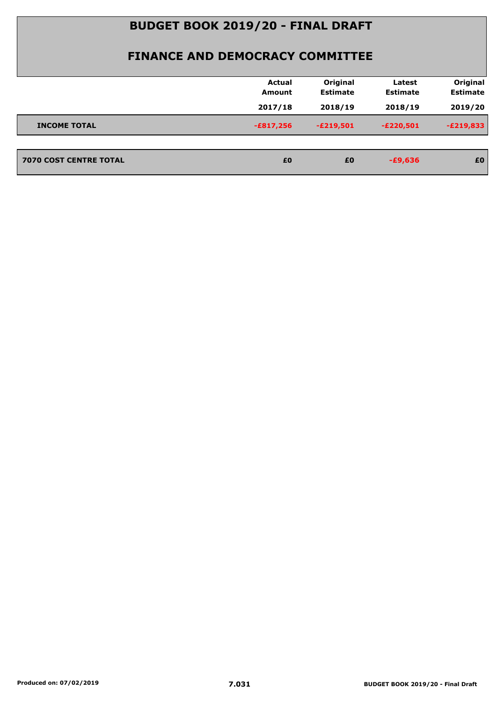|                               | <b>Actual</b><br><b>Amount</b> | Original<br><b>Estimate</b> | Latest<br><b>Estimate</b> | Original<br><b>Estimate</b> |
|-------------------------------|--------------------------------|-----------------------------|---------------------------|-----------------------------|
|                               | 2017/18                        | 2018/19                     | 2018/19                   | 2019/20                     |
| <b>INCOME TOTAL</b>           | $-£817,256$                    | $-E219,501$                 | $-E220,501$               | $-E219,833$                 |
| <b>7070 COST CENTRE TOTAL</b> | £0                             | £0                          | $-£9,636$                 | £0                          |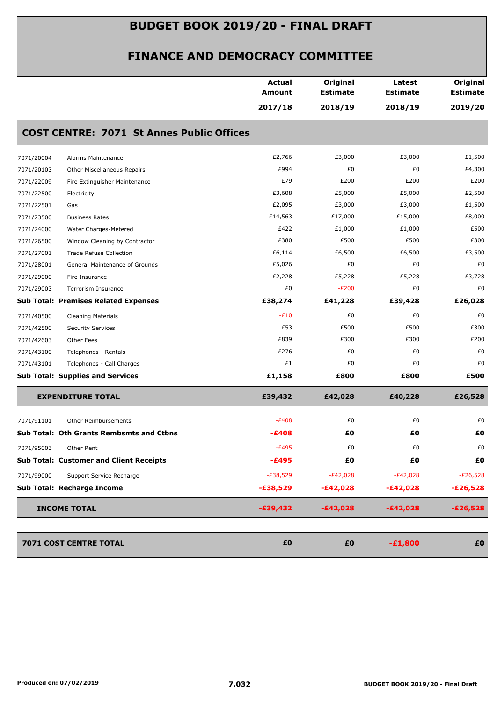|            |                                                  | <b>Actual</b><br>Amount | Original<br><b>Estimate</b> | Latest<br><b>Estimate</b> | Original<br><b>Estimate</b> |
|------------|--------------------------------------------------|-------------------------|-----------------------------|---------------------------|-----------------------------|
|            |                                                  | 2017/18                 | 2018/19                     | 2018/19                   | 2019/20                     |
|            | <b>COST CENTRE: 7071 St Annes Public Offices</b> |                         |                             |                           |                             |
| 7071/20004 | Alarms Maintenance                               | £2,766                  | £3,000                      | £3,000                    | £1,500                      |
| 7071/20103 | Other Miscellaneous Repairs                      | £994                    | £0                          | £0                        | £4,300                      |
| 7071/22009 | Fire Extinguisher Maintenance                    | £79                     | £200                        | £200                      | £200                        |
| 7071/22500 | Electricity                                      | £3,608                  | £5,000                      | £5,000                    | £2,500                      |
| 7071/22501 | Gas                                              | £2,095                  | £3,000                      | £3,000                    | £1,500                      |
| 7071/23500 | <b>Business Rates</b>                            | £14,563                 | £17,000                     | £15,000                   | £8,000                      |
| 7071/24000 | Water Charges-Metered                            | £422                    | £1,000                      | £1,000                    | £500                        |
| 7071/26500 | Window Cleaning by Contractor                    | £380                    | £500                        | £500                      | £300                        |
| 7071/27001 | Trade Refuse Collection                          | £6,114                  | £6,500                      | £6,500                    | £3,500                      |
| 7071/28001 | General Maintenance of Grounds                   | £5,026                  | £0                          | £0                        | £0                          |
| 7071/29000 | Fire Insurance                                   | £2,228                  | £5,228                      | £5,228                    | £3,728                      |
| 7071/29003 | Terrorism Insurance                              | £0                      | $-E200$                     | £0                        | £0                          |
|            | <b>Sub Total: Premises Related Expenses</b>      | £38,274                 | £41,228                     | £39,428                   | £26,028                     |
| 7071/40500 | <b>Cleaning Materials</b>                        | $-E10$                  | £0                          | £0                        | £0                          |
| 7071/42500 | <b>Security Services</b>                         | £53                     | £500                        | £500                      | £300                        |
| 7071/42603 | Other Fees                                       | £839                    | £300                        | £300                      | £200                        |
| 7071/43100 | Telephones - Rentals                             | £276                    | £0                          | £0                        | £0                          |
| 7071/43101 | Telephones - Call Charges                        | £1                      | £0                          | £0                        | £0                          |
|            | <b>Sub Total: Supplies and Services</b>          | £1,158                  | £800                        | £800                      | £500                        |
|            | <b>EXPENDITURE TOTAL</b>                         | £39,432                 | £42,028                     | £40,228                   | £26,528                     |
| 7071/91101 | Other Reimbursements                             | $-E408$                 | £0                          | £0                        | £0                          |
|            | Sub Total: Oth Grants Rembsmts and Ctbns         | -£408                   | £0                          | £Ο                        | £Ο                          |
| 7071/95003 | Other Rent                                       | $-E495$                 | £0                          | £0                        | £0                          |
|            | <b>Sub Total: Customer and Client Receipts</b>   | -£495                   | £0                          | £Ο                        | £Ο                          |
| 7071/99000 | Support Service Recharge                         | $-£38,529$              | $-E42,028$                  | $-E42,028$                | $-E26,528$                  |
|            | Sub Total: Recharge Income                       | $-£38,529$              | $-E42,028$                  | $-E42,028$                | $-E26,528$                  |
|            | <b>INCOME TOTAL</b>                              | $-£39,432$              | $-E42,028$                  | $-E42,028$                | $-E26,528$                  |
|            |                                                  |                         |                             |                           |                             |
|            | 7071 COST CENTRE TOTAL                           | £0                      | £0                          | $-£1,800$                 | £0                          |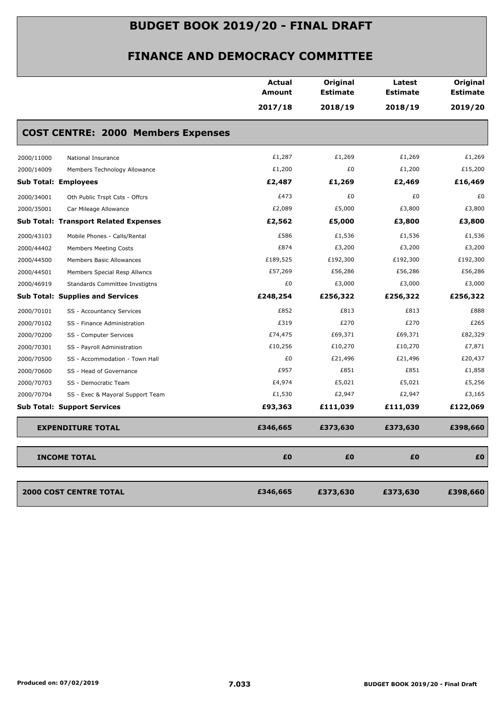|                                                | <b>Actual</b><br>Amount | Original<br><b>Estimate</b> | Latest<br><b>Estimate</b> | Original<br><b>Estimate</b> |
|------------------------------------------------|-------------------------|-----------------------------|---------------------------|-----------------------------|
|                                                | 2017/18                 | 2018/19                     | 2018/19                   | 2019/20                     |
| <b>COST CENTRE: 2000 Members Expenses</b>      |                         |                             |                           |                             |
| 2000/11000<br>National Insurance               | £1,287                  | £1,269                      | £1,269                    | £1,269                      |
| 2000/14009<br>Members Technology Allowance     | £1,200                  | £0                          | £1,200                    | £15,200                     |
| <b>Sub Total: Employees</b>                    | £2,487                  | £1,269                      | £2,469                    | £16,469                     |
| 2000/34001<br>Oth Public Trspt Csts - Offcrs   | £473                    | £0                          | £0                        | £0                          |
| 2000/35001<br>Car Mileage Allowance            | £2,089                  | £5,000                      | £3,800                    | £3,800                      |
| <b>Sub Total: Transport Related Expenses</b>   | £2,562                  | £5,000                      | £3,800                    | £3,800                      |
| 2000/43103<br>Mobile Phones - Calls/Rental     | £586                    | £1,536                      | £1,536                    | £1,536                      |
| 2000/44402<br><b>Members Meeting Costs</b>     | £874                    | £3,200                      | £3,200                    | £3,200                      |
| 2000/44500<br>Members Basic Allowances         | £189,525                | £192,300                    | £192,300                  | £192,300                    |
| Members Special Resp Allwncs<br>2000/44501     | £57,269                 | £56,286                     | £56,286                   | £56,286                     |
| 2000/46919<br>Standards Committee Invstigtns   | £0                      | £3,000                      | £3,000                    | £3,000                      |
| <b>Sub Total: Supplies and Services</b>        | £248,254                | £256,322                    | £256,322                  | £256,322                    |
| 2000/70101<br>SS - Accountancy Services        | £852                    | £813                        | £813                      | £888                        |
| 2000/70102<br>SS - Finance Administration      | £319                    | £270                        | £270                      | £265                        |
| 2000/70200<br>SS - Computer Services           | £74,475                 | £69,371                     | £69,371                   | £82,329                     |
| 2000/70301<br>SS - Payroll Administration      | £10,256                 | £10,270                     | £10,270                   | £7,871                      |
| 2000/70500<br>SS - Accommodation - Town Hall   | £0                      | £21,496                     | £21,496                   | £20,437                     |
| 2000/70600<br>SS - Head of Governance          | £957                    | £851                        | £851                      | £1,858                      |
| 2000/70703<br>SS - Democratic Team             | £4,974                  | £5,021                      | £5,021                    | £5,256                      |
| 2000/70704<br>SS - Exec & Mayoral Support Team | £1,530                  | £2,947                      | £2,947                    | £3,165                      |
| <b>Sub Total: Support Services</b>             | £93,363                 | £111,039                    | £111,039                  | £122,069                    |
| <b>EXPENDITURE TOTAL</b>                       | £346,665                | £373,630                    | £373,630                  | £398,660                    |
| <b>INCOME TOTAL</b>                            | £0                      | £0                          | £0                        | £0                          |
| <b>2000 COST CENTRE TOTAL</b>                  | £346,665                | £373,630                    | £373,630                  | £398,660                    |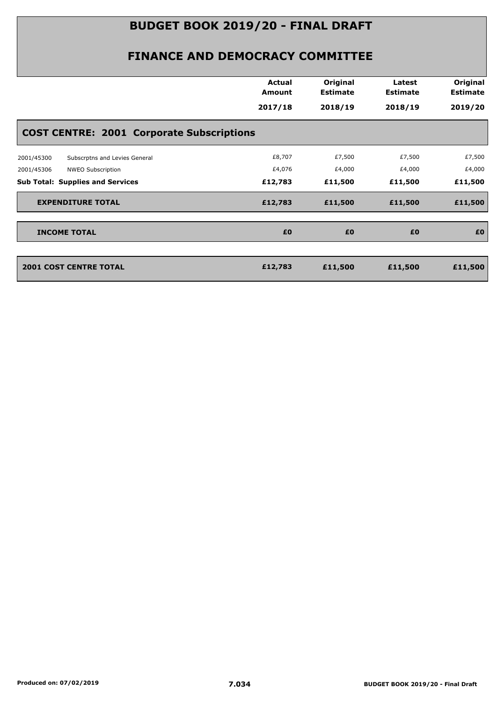| Original<br>Original<br><b>Actual</b><br>Latest<br><b>Estimate</b><br><b>Estimate</b><br><b>Estimate</b><br>Amount |        |
|--------------------------------------------------------------------------------------------------------------------|--------|
| 2018/19<br>2017/18<br>2018/19<br>2019/20                                                                           |        |
| <b>COST CENTRE: 2001 Corporate Subscriptions</b>                                                                   |        |
| £8,707<br>£7,500<br>£7,500<br>2001/45300<br>Subscrptns and Levies General                                          | £7,500 |
| £4,076<br>£4,000<br>£4,000<br>NWEO Subscription<br>2001/45306                                                      | £4,000 |
| <b>Sub Total: Supplies and Services</b><br>£12,783<br>£11,500<br>£11,500<br>£11,500                                |        |
| £11,500<br><b>EXPENDITURE TOTAL</b><br>£12,783<br>£11,500<br>£11,500                                               |        |
| £0<br>£0<br>£0<br><b>INCOME TOTAL</b>                                                                              | £0     |
|                                                                                                                    |        |
| <b>2001 COST CENTRE TOTAL</b><br>£11,500<br>£12,783<br>£11,500<br>£11,500                                          |        |
|                                                                                                                    |        |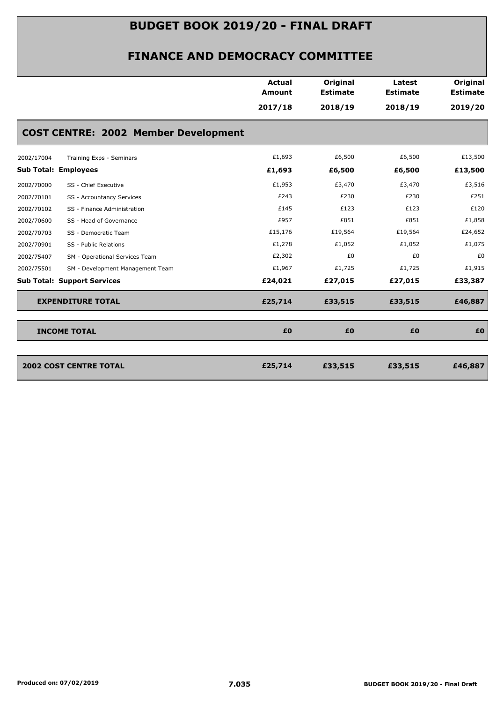| <b>Actual</b><br>Original<br>Latest<br><b>Estimate</b><br><b>Estimate</b><br>Amount<br>2017/18<br>2018/19<br>2018/19<br><b>COST CENTRE: 2002 Member Development</b><br>£1,693<br>£6,500<br>£6,500<br>2002/17004<br>Training Exps - Seminars<br>£1,693<br>£6,500<br><b>Sub Total: Employees</b><br>£6,500<br>£1,953<br>£3,470<br>£3,470<br>2002/70000<br>SS - Chief Executive<br>£230<br>£243<br>£230<br>2002/70101<br>SS - Accountancy Services<br>£145<br>£123<br>£123<br>2002/70102<br>SS - Finance Administration<br>£957<br>£851<br>£851<br>2002/70600<br>SS - Head of Governance<br>£19,564<br>£15,176<br>£19,564<br>2002/70703<br>SS - Democratic Team<br>£1,278<br>£1,052<br>£1,052<br>2002/70901<br>SS - Public Relations | Original<br><b>Estimate</b> |
|-----------------------------------------------------------------------------------------------------------------------------------------------------------------------------------------------------------------------------------------------------------------------------------------------------------------------------------------------------------------------------------------------------------------------------------------------------------------------------------------------------------------------------------------------------------------------------------------------------------------------------------------------------------------------------------------------------------------------------------|-----------------------------|
|                                                                                                                                                                                                                                                                                                                                                                                                                                                                                                                                                                                                                                                                                                                                   | 2019/20                     |
|                                                                                                                                                                                                                                                                                                                                                                                                                                                                                                                                                                                                                                                                                                                                   |                             |
|                                                                                                                                                                                                                                                                                                                                                                                                                                                                                                                                                                                                                                                                                                                                   |                             |
|                                                                                                                                                                                                                                                                                                                                                                                                                                                                                                                                                                                                                                                                                                                                   | £13,500                     |
|                                                                                                                                                                                                                                                                                                                                                                                                                                                                                                                                                                                                                                                                                                                                   | £13,500                     |
|                                                                                                                                                                                                                                                                                                                                                                                                                                                                                                                                                                                                                                                                                                                                   | £3,516                      |
|                                                                                                                                                                                                                                                                                                                                                                                                                                                                                                                                                                                                                                                                                                                                   | £251                        |
|                                                                                                                                                                                                                                                                                                                                                                                                                                                                                                                                                                                                                                                                                                                                   | £120                        |
|                                                                                                                                                                                                                                                                                                                                                                                                                                                                                                                                                                                                                                                                                                                                   | £1,858                      |
|                                                                                                                                                                                                                                                                                                                                                                                                                                                                                                                                                                                                                                                                                                                                   | £24,652                     |
|                                                                                                                                                                                                                                                                                                                                                                                                                                                                                                                                                                                                                                                                                                                                   | £1,075                      |
| £0<br>£2,302<br>£0<br>SM - Operational Services Team<br>2002/75407                                                                                                                                                                                                                                                                                                                                                                                                                                                                                                                                                                                                                                                                | £0                          |
| £1,725<br>£1,967<br>£1,725<br>2002/75501<br>SM - Development Management Team                                                                                                                                                                                                                                                                                                                                                                                                                                                                                                                                                                                                                                                      | £1,915                      |
| <b>Sub Total: Support Services</b><br>£24,021<br>£27,015<br>£27,015                                                                                                                                                                                                                                                                                                                                                                                                                                                                                                                                                                                                                                                               | £33,387                     |
| <b>EXPENDITURE TOTAL</b><br>£25,714<br>£33,515<br>£33,515                                                                                                                                                                                                                                                                                                                                                                                                                                                                                                                                                                                                                                                                         | £46,887                     |
| <b>INCOME TOTAL</b><br>£0<br>£0<br>£0                                                                                                                                                                                                                                                                                                                                                                                                                                                                                                                                                                                                                                                                                             | £0                          |
|                                                                                                                                                                                                                                                                                                                                                                                                                                                                                                                                                                                                                                                                                                                                   |                             |
| £25,714<br><b>2002 COST CENTRE TOTAL</b><br>£33,515<br>£33,515                                                                                                                                                                                                                                                                                                                                                                                                                                                                                                                                                                                                                                                                    |                             |
|                                                                                                                                                                                                                                                                                                                                                                                                                                                                                                                                                                                                                                                                                                                                   | £46,887                     |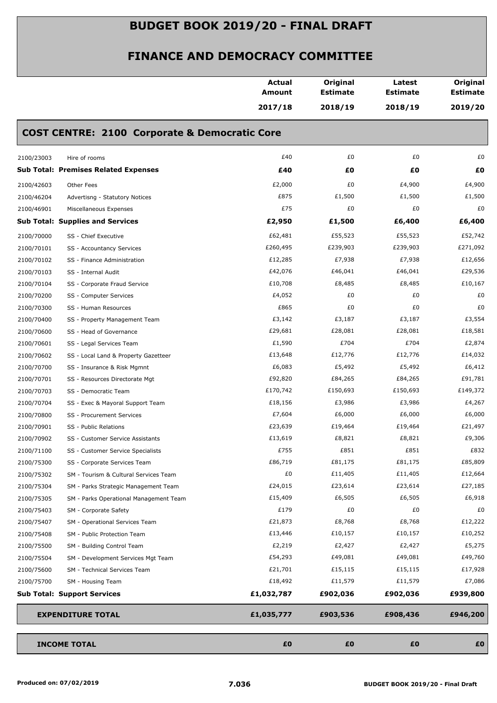|            |                                                          | <b>Actual</b><br>Amount | Original<br><b>Estimate</b> | Latest<br><b>Estimate</b> | Original<br><b>Estimate</b> |
|------------|----------------------------------------------------------|-------------------------|-----------------------------|---------------------------|-----------------------------|
|            |                                                          | 2017/18                 | 2018/19                     | 2018/19                   | 2019/20                     |
|            | <b>COST CENTRE: 2100 Corporate &amp; Democratic Core</b> |                         |                             |                           |                             |
| 2100/23003 | Hire of rooms                                            | £40                     | £0                          | £0                        | £0                          |
|            | <b>Sub Total: Premises Related Expenses</b>              | £40                     | £0                          | £Ο                        | £0                          |
| 2100/42603 | Other Fees                                               | £2,000                  | £0                          | £4,900                    | £4,900                      |
| 2100/46204 | Advertisng - Statutory Notices                           | £875                    | £1,500                      | £1,500                    | £1,500                      |
| 2100/46901 | Miscellaneous Expenses                                   | £75                     | £0                          | £0                        | £0                          |
|            | <b>Sub Total: Supplies and Services</b>                  | £2,950                  | £1,500                      | £6,400                    | £6,400                      |
| 2100/70000 | SS - Chief Executive                                     | £62,481                 | £55,523                     | £55,523                   | £52,742                     |
| 2100/70101 | SS - Accountancy Services                                | £260,495                | £239,903                    | £239,903                  | £271,092                    |
| 2100/70102 | SS - Finance Administration                              | £12,285                 | £7,938                      | £7,938                    | £12,656                     |
| 2100/70103 | SS - Internal Audit                                      | £42,076                 | £46,041                     | £46,041                   | £29,536                     |
| 2100/70104 | SS - Corporate Fraud Service                             | £10,708                 | £8,485                      | £8,485                    | £10,167                     |
| 2100/70200 | SS - Computer Services                                   | £4,052                  | £0                          | £0                        | £0                          |
| 2100/70300 | SS - Human Resources                                     | £865                    | £0                          | £0                        | £0                          |
| 2100/70400 | SS - Property Management Team                            | £3,142                  | £3,187                      | £3,187                    | £3,554                      |
| 2100/70600 | SS - Head of Governance                                  | £29,681                 | £28,081                     | £28,081                   | £18,581                     |
| 2100/70601 | SS - Legal Services Team                                 | £1,590                  | £704                        | £704                      | £2,874                      |
| 2100/70602 | SS - Local Land & Property Gazetteer                     | £13,648                 | £12,776                     | £12,776                   | £14,032                     |
| 2100/70700 | SS - Insurance & Risk Mgmnt                              | £6,083                  | £5,492                      | £5,492                    | £6,412                      |
| 2100/70701 | SS - Resources Directorate Mgt                           | £92,820                 | £84,265                     | £84,265                   | £91,781                     |
| 2100/70703 | SS - Democratic Team                                     | £170,742                | £150,693                    | £150,693                  | £149,372                    |
| 2100/70704 | SS - Exec & Mayoral Support Team                         | £18,156                 | £3,986                      | £3,986                    | £4,267                      |
| 2100/70800 | SS - Procurement Services                                | £7,604                  | £6,000                      | £6,000                    | £6,000                      |
| 2100/70901 | SS - Public Relations                                    | £23,639                 | £19,464                     | £19,464                   | £21,497                     |
| 2100/70902 | SS - Customer Service Assistants                         | £13,619                 | £8,821                      | £8,821                    | £9,306                      |
| 2100/71100 | SS - Customer Service Specialists                        | £755                    | £851                        | £851                      | £832                        |
| 2100/75300 | SS - Corporate Services Team                             | £86,719                 | £81,175                     | £81,175                   | £85,809                     |
| 2100/75302 | SM - Tourism & Cultural Services Team                    | £0                      | £11,405                     | £11,405                   | £12,664                     |
| 2100/75304 | SM - Parks Strategic Management Team                     | £24,015                 | £23,614                     | £23,614                   | £27,185                     |
| 2100/75305 | SM - Parks Operational Management Team                   | £15,409                 | £6,505                      | £6,505                    | £6,918                      |
| 2100/75403 | SM - Corporate Safety                                    | £179                    | £0                          | £0                        | £0                          |
| 2100/75407 | SM - Operational Services Team                           | £21,873                 | £8,768                      | £8,768                    | £12,222                     |
| 2100/75408 | SM - Public Protection Team                              | £13,446                 | £10,157                     | £10,157                   | £10,252                     |
| 2100/75500 | SM - Building Control Team                               | £2,219                  | £2,427                      | £2,427                    | £5,275                      |
| 2100/75504 | SM - Development Services Mgt Team                       | £54,293                 | £49,081                     | £49,081                   | £49,760                     |
| 2100/75600 | SM - Technical Services Team                             | £21,701                 | £15,115                     | £15,115                   | £17,928                     |
| 2100/75700 | SM - Housing Team                                        | £18,492                 | £11,579                     | £11,579                   | £7,086                      |
|            | <b>Sub Total: Support Services</b>                       | £1,032,787              | £902,036                    | £902,036                  | £939,800                    |
|            | <b>EXPENDITURE TOTAL</b>                                 | £1,035,777              | £903,536                    | £908,436                  | £946,200                    |
|            |                                                          |                         |                             |                           |                             |
|            | <b>INCOME TOTAL</b>                                      | £0                      | £0                          | £0                        | £0                          |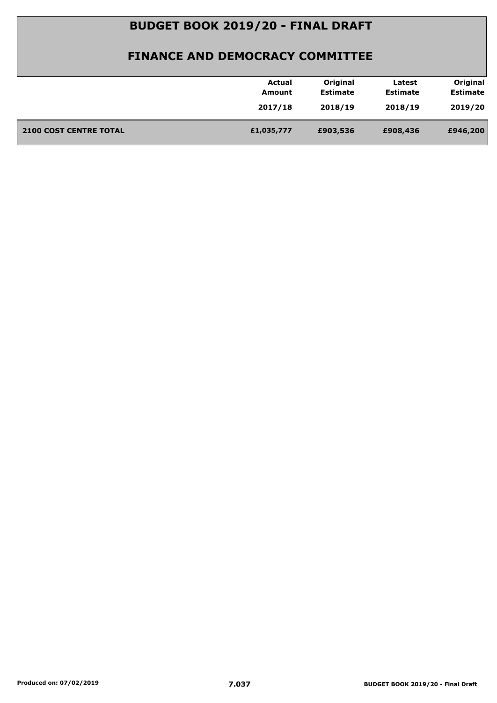| Original<br>Original<br><b>Actual</b><br>Latest<br><b>Estimate</b><br><b>Estimate</b><br><b>Estimate</b><br><b>Amount</b><br>2018/19<br>2019/20<br>2017/18<br>2018/19<br><b>2100 COST CENTRE TOTAL</b><br>£1,035,777<br>£946,200<br>£903,536<br>£908,436 |  |
|----------------------------------------------------------------------------------------------------------------------------------------------------------------------------------------------------------------------------------------------------------|--|
|                                                                                                                                                                                                                                                          |  |
|                                                                                                                                                                                                                                                          |  |
|                                                                                                                                                                                                                                                          |  |
|                                                                                                                                                                                                                                                          |  |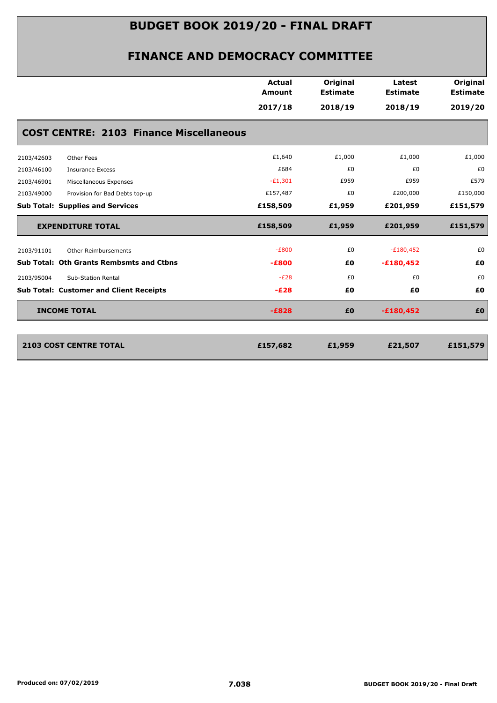|                                                 | Actual<br>Amount | Original<br><b>Estimate</b> | Latest<br><b>Estimate</b> | Original<br><b>Estimate</b> |
|-------------------------------------------------|------------------|-----------------------------|---------------------------|-----------------------------|
|                                                 | 2017/18          | 2018/19                     | 2018/19                   | 2019/20                     |
| <b>COST CENTRE: 2103 Finance Miscellaneous</b>  |                  |                             |                           |                             |
| 2103/42603<br>Other Fees                        | £1,640           | £1,000                      | £1,000                    | £1,000                      |
| 2103/46100<br><b>Insurance Excess</b>           | £684             | £0                          | £0                        | £0                          |
| 2103/46901<br>Miscellaneous Expenses            | $-E1,301$        | £959                        | £959                      | £579                        |
| 2103/49000<br>Provision for Bad Debts top-up    | £157,487         | £0                          | £200,000                  | £150,000                    |
| <b>Sub Total: Supplies and Services</b>         | £158,509         | £1,959                      | £201,959                  | £151,579                    |
| <b>EXPENDITURE TOTAL</b>                        | £158,509         | £1,959                      | £201,959                  | £151,579                    |
| 2103/91101<br><b>Other Reimbursements</b>       | $-E800$          | £0                          | $-E180,452$               | £0                          |
| <b>Sub Total: Oth Grants Rembsmts and Ctbns</b> | $-E800$          | £0                          | $-£180,452$               | £0                          |
| 2103/95004<br>Sub-Station Rental                | $-E28$           | £0                          | £0                        | £0                          |
| <b>Sub Total: Customer and Client Receipts</b>  | $-E28$           | £0                          | £0                        | £0                          |
| <b>INCOME TOTAL</b>                             | $-E828$          | £0                          | $-£180,452$               | £O                          |
|                                                 |                  |                             |                           |                             |
| <b>2103 COST CENTRE TOTAL</b>                   | £157,682         | £1,959                      | £21,507                   | £151,579                    |
|                                                 |                  |                             |                           |                             |
|                                                 |                  |                             |                           |                             |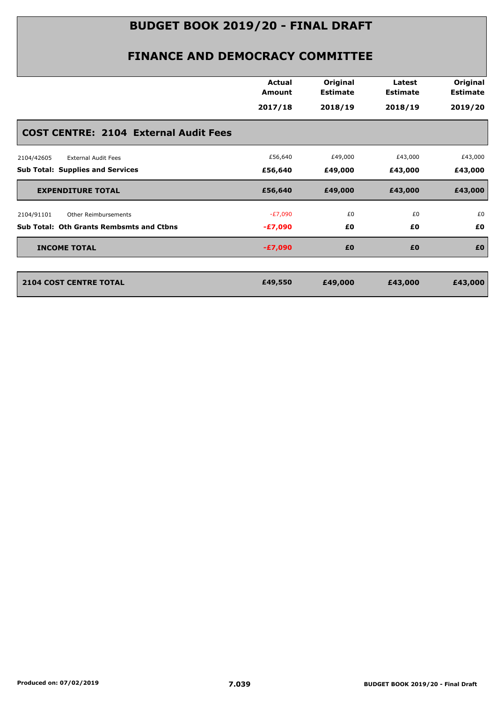|                                                 | <b>Actual</b><br>Amount | Original<br><b>Estimate</b> | Latest<br><b>Estimate</b> | Original<br><b>Estimate</b> |
|-------------------------------------------------|-------------------------|-----------------------------|---------------------------|-----------------------------|
|                                                 | 2017/18                 | 2018/19                     | 2018/19                   | 2019/20                     |
| <b>COST CENTRE: 2104 External Audit Fees</b>    |                         |                             |                           |                             |
| <b>External Audit Fees</b><br>2104/42605        | £56,640                 | £49,000                     | £43,000                   | £43,000                     |
| <b>Sub Total: Supplies and Services</b>         | £56,640                 | £49,000                     | £43,000                   | £43,000                     |
| <b>EXPENDITURE TOTAL</b>                        | £56,640                 | £49,000                     | £43,000                   | £43,000                     |
| 2104/91101<br><b>Other Reimbursements</b>       | -£7,090                 | £0                          | £0                        | £0                          |
| <b>Sub Total: Oth Grants Rembsmts and Ctbns</b> | $-E7,090$               | £0                          | £0                        | £0                          |
| <b>INCOME TOTAL</b>                             | $-E7,090$               | £0                          | £0                        | £0                          |
| <b>2104 COST CENTRE TOTAL</b>                   | £49,550                 | £49,000                     | £43,000                   | £43,000                     |
|                                                 |                         |                             |                           |                             |
|                                                 |                         |                             |                           |                             |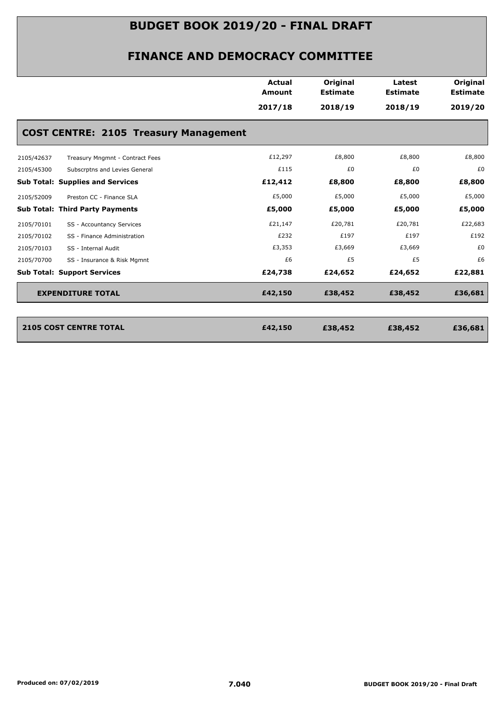| <b>Actual</b><br>Amount | Original<br><b>Estimate</b>                  | Latest<br><b>Estimate</b> | Original<br><b>Estimate</b> |
|-------------------------|----------------------------------------------|---------------------------|-----------------------------|
|                         |                                              |                           |                             |
| 2017/18                 | 2018/19                                      | 2018/19                   | 2019/20                     |
|                         |                                              |                           |                             |
| £12,297                 | £8,800                                       | £8,800                    | £8,800                      |
| £115                    | £0                                           | £0                        | £0                          |
| £12,412                 | £8,800                                       | £8,800                    | £8,800                      |
| £5,000                  | £5,000                                       | £5,000                    | £5,000                      |
| £5,000                  | £5,000                                       | £5,000                    | £5,000                      |
| £21,147                 | £20,781                                      | £20,781                   | £22,683                     |
| £232                    | £197                                         | £197                      | £192                        |
| £3,353                  | £3,669                                       | £3,669                    | £0                          |
| £6                      | £5                                           | £5                        | £6                          |
| £24,738                 | £24,652                                      | £24,652                   | £22,881                     |
| £42,150                 | £38,452                                      | £38,452                   | £36,681                     |
|                         |                                              |                           |                             |
| £42,150                 | £38,452                                      | £38,452                   | £36,681                     |
|                         | <b>COST CENTRE: 2105 Treasury Management</b> |                           |                             |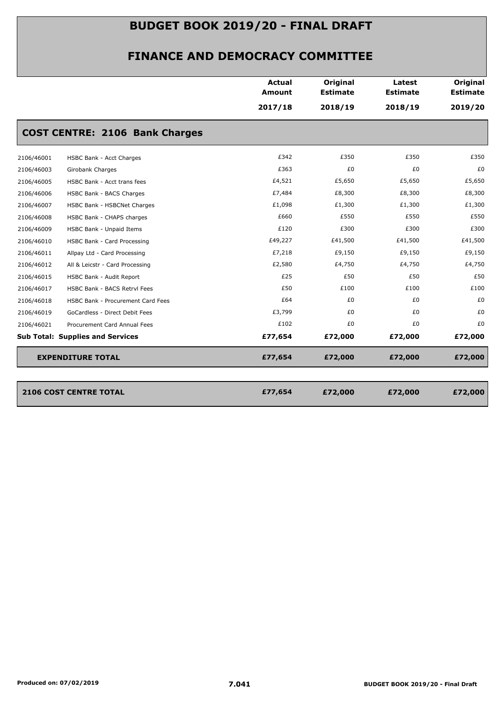|            |                                         | <b>Actual</b><br>Amount | Original<br><b>Estimate</b> | Latest<br><b>Estimate</b> | Original<br><b>Estimate</b> |
|------------|-----------------------------------------|-------------------------|-----------------------------|---------------------------|-----------------------------|
|            |                                         | 2017/18                 | 2018/19                     | 2018/19                   | 2019/20                     |
|            | <b>COST CENTRE: 2106 Bank Charges</b>   |                         |                             |                           |                             |
| 2106/46001 | HSBC Bank - Acct Charges                | £342                    | £350                        | £350                      | £350                        |
| 2106/46003 | Girobank Charges                        | £363                    | £0                          | £0                        | £0                          |
| 2106/46005 | HSBC Bank - Acct trans fees             | £4,521                  | £5,650                      | £5,650                    | £5,650                      |
| 2106/46006 | HSBC Bank - BACS Charges                | £7,484                  | £8,300                      | £8,300                    | £8,300                      |
| 2106/46007 | HSBC Bank - HSBCNet Charges             | £1,098                  | £1,300                      | £1,300                    | £1,300                      |
| 2106/46008 | HSBC Bank - CHAPS charges               | £660                    | £550                        | £550                      | £550                        |
| 2106/46009 | HSBC Bank - Unpaid Items                | £120                    | £300                        | £300                      | £300                        |
| 2106/46010 | HSBC Bank - Card Processing             | £49,227                 | £41,500                     | £41,500                   | £41,500                     |
| 2106/46011 | Allpay Ltd - Card Processing            | £7,218                  | £9,150                      | £9,150                    | £9,150                      |
| 2106/46012 | All & Leicstr - Card Processing         | £2,580                  | £4,750                      | £4,750                    | £4,750                      |
| 2106/46015 | HSBC Bank - Audit Report                | £25                     | £50                         | £50                       | £50                         |
| 2106/46017 | HSBC Bank - BACS Retrvl Fees            | £50                     | £100                        | £100                      | £100                        |
| 2106/46018 | HSBC Bank - Procurement Card Fees       | £64                     | £0                          | £0                        | £0                          |
| 2106/46019 | GoCardless - Direct Debit Fees          | £3,799                  | £0                          | £0                        | £0                          |
| 2106/46021 | Procurement Card Annual Fees            | £102                    | £0                          | £0                        | £0                          |
|            | <b>Sub Total: Supplies and Services</b> | £77,654                 | £72,000                     | £72,000                   | £72,000                     |
|            | <b>EXPENDITURE TOTAL</b>                | £77,654                 | £72,000                     | £72,000                   | £72,000                     |
|            | <b>2106 COST CENTRE TOTAL</b>           | £77,654                 | £72,000                     | £72,000                   | £72,000                     |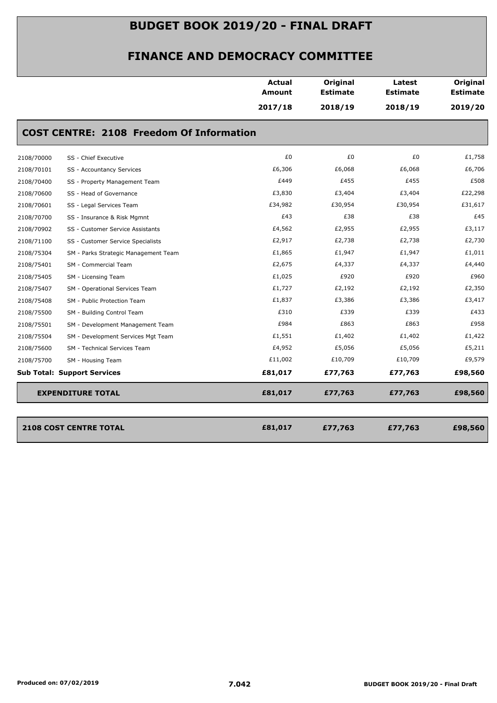|            |                                                 | <b>Actual</b><br><b>Amount</b> | Original<br><b>Estimate</b> | Latest<br><b>Estimate</b> | Original<br><b>Estimate</b> |
|------------|-------------------------------------------------|--------------------------------|-----------------------------|---------------------------|-----------------------------|
|            |                                                 | 2017/18                        | 2018/19                     | 2018/19                   | 2019/20                     |
|            | <b>COST CENTRE: 2108 Freedom Of Information</b> |                                |                             |                           |                             |
| 2108/70000 | SS - Chief Executive                            | £0                             | £0                          | £0                        | £1,758                      |
| 2108/70101 | SS - Accountancy Services                       | £6,306                         | £6,068                      | £6,068                    | £6,706                      |
| 2108/70400 | SS - Property Management Team                   | £449                           | £455                        | £455                      | £508                        |
| 2108/70600 | SS - Head of Governance                         | £3,830                         | £3,404                      | £3,404                    | £22,298                     |
| 2108/70601 | SS - Legal Services Team                        | £34,982                        | £30,954                     | £30,954                   | £31,617                     |
| 2108/70700 | SS - Insurance & Risk Mgmnt                     | £43                            | £38                         | £38                       | £45                         |
| 2108/70902 | SS - Customer Service Assistants                | £4,562                         | £2,955                      | £2,955                    | £3,117                      |
| 2108/71100 | SS - Customer Service Specialists               | £2,917                         | £2,738                      | £2,738                    | £2,730                      |
| 2108/75304 | SM - Parks Strategic Management Team            | £1,865                         | £1,947                      | £1,947                    | £1,011                      |
| 2108/75401 | SM - Commercial Team                            | £2,675                         | £4,337                      | £4,337                    | £4,440                      |
| 2108/75405 | SM - Licensing Team                             | £1,025                         | £920                        | £920                      | £960                        |
| 2108/75407 | SM - Operational Services Team                  | £1,727                         | £2,192                      | £2,192                    | £2,350                      |
| 2108/75408 | SM - Public Protection Team                     | £1,837                         | £3,386                      | £3,386                    | £3,417                      |
| 2108/75500 | SM - Building Control Team                      | £310                           | £339                        | £339                      | £433                        |
| 2108/75501 | SM - Development Management Team                | £984                           | £863                        | £863                      | £958                        |
| 2108/75504 | SM - Development Services Mgt Team              | £1,551                         | £1,402                      | £1,402                    | £1,422                      |
| 2108/75600 | SM - Technical Services Team                    | £4,952                         | £5,056                      | £5,056                    | £5,211                      |
| 2108/75700 | SM - Housing Team                               | £11,002                        | £10,709                     | £10,709                   | £9,579                      |
|            | <b>Sub Total: Support Services</b>              | £81,017                        | £77,763                     | £77,763                   | £98,560                     |
|            | <b>EXPENDITURE TOTAL</b>                        | £81,017                        | £77,763                     | £77,763                   | £98,560                     |

| <b>2108 COST CENTRE TOTAL</b> | £81,017 | £77,763 | £77,763 | £98,560 |
|-------------------------------|---------|---------|---------|---------|
|                               |         |         |         |         |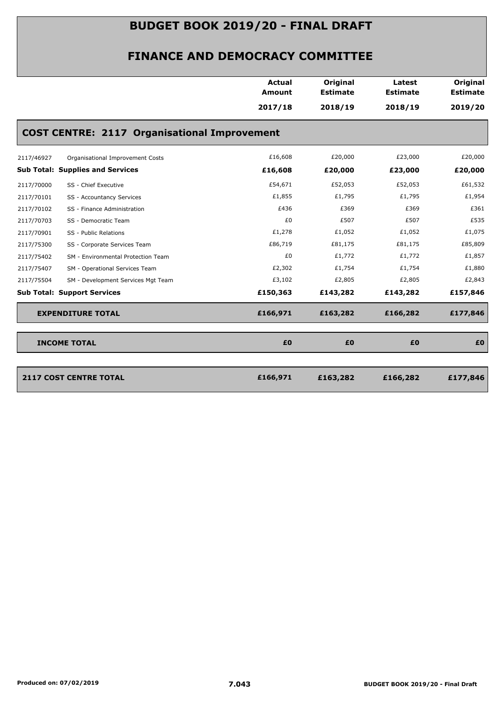| 2017/18<br>2018/19<br>2018/19<br>2019/20<br><b>COST CENTRE: 2117 Organisational Improvement</b><br>£16,608<br>£20,000<br>£23,000<br>£20,000<br>2117/46927<br>Organisational Improvement Costs<br><b>Sub Total: Supplies and Services</b><br>£16,608<br>£20,000<br>£23,000<br>£20,000<br>£54,671<br>£52,053<br>£52,053<br>£61,532<br>2117/70000<br>SS - Chief Executive<br>£1,855<br>£1,795<br>£1,795<br>£1,954<br>2117/70101<br>SS - Accountancy Services<br>£436<br>£369<br>£369<br>£361<br>SS - Finance Administration |
|--------------------------------------------------------------------------------------------------------------------------------------------------------------------------------------------------------------------------------------------------------------------------------------------------------------------------------------------------------------------------------------------------------------------------------------------------------------------------------------------------------------------------|
|                                                                                                                                                                                                                                                                                                                                                                                                                                                                                                                          |
|                                                                                                                                                                                                                                                                                                                                                                                                                                                                                                                          |
|                                                                                                                                                                                                                                                                                                                                                                                                                                                                                                                          |
|                                                                                                                                                                                                                                                                                                                                                                                                                                                                                                                          |
|                                                                                                                                                                                                                                                                                                                                                                                                                                                                                                                          |
|                                                                                                                                                                                                                                                                                                                                                                                                                                                                                                                          |
| 2117/70102                                                                                                                                                                                                                                                                                                                                                                                                                                                                                                               |
| £0<br>£507<br>£507<br>£535<br>2117/70703<br>SS - Democratic Team                                                                                                                                                                                                                                                                                                                                                                                                                                                         |
| £1,278<br>£1,052<br>£1,052<br>£1,075<br>2117/70901<br>SS - Public Relations                                                                                                                                                                                                                                                                                                                                                                                                                                              |
| £86,719<br>£81,175<br>£81,175<br>£85,809<br>2117/75300<br>SS - Corporate Services Team                                                                                                                                                                                                                                                                                                                                                                                                                                   |
| £0<br>£1,772<br>£1,772<br>£1,857<br>2117/75402<br>SM - Environmental Protection Team                                                                                                                                                                                                                                                                                                                                                                                                                                     |
| £2,302<br>£1,754<br>£1,754<br>£1,880<br>2117/75407<br>SM - Operational Services Team                                                                                                                                                                                                                                                                                                                                                                                                                                     |
| £3,102<br>£2,805<br>£2,843<br>£2,805<br>2117/75504<br>SM - Development Services Mgt Team                                                                                                                                                                                                                                                                                                                                                                                                                                 |
| <b>Sub Total: Support Services</b><br>£150,363<br>£143,282<br>£143,282<br>£157,846                                                                                                                                                                                                                                                                                                                                                                                                                                       |
| £166,971<br>£177,846<br><b>EXPENDITURE TOTAL</b><br>£163,282<br>£166,282                                                                                                                                                                                                                                                                                                                                                                                                                                                 |
| <b>INCOME TOTAL</b><br>£0<br>£0<br>£0<br>£0                                                                                                                                                                                                                                                                                                                                                                                                                                                                              |
|                                                                                                                                                                                                                                                                                                                                                                                                                                                                                                                          |
| <b>2117 COST CENTRE TOTAL</b><br>£166,971<br>£177,846<br>£163,282<br>£166,282                                                                                                                                                                                                                                                                                                                                                                                                                                            |
|                                                                                                                                                                                                                                                                                                                                                                                                                                                                                                                          |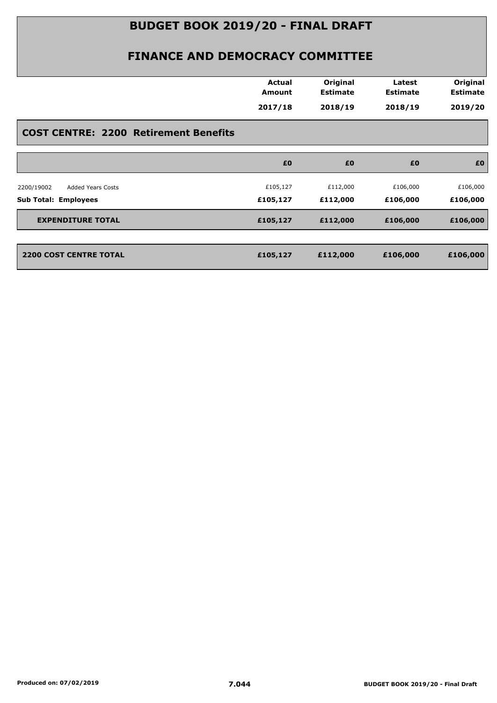| Amount<br>2017/18 | <b>Estimate</b> | <b>Estimate</b> | <b>Estimate</b> |
|-------------------|-----------------|-----------------|-----------------|
|                   | 2018/19         | 2018/19         | 2019/20         |
|                   |                 |                 |                 |
| £0                | £0              | £0              | £0              |
| £105,127          | £112,000        | £106,000        | £106,000        |
| £105,127          | £112,000        | £106,000        | £106,000        |
| £105,127          | £112,000        | £106,000        | £106,000        |
| £105,127          | £112,000        | £106,000        | £106,000        |
|                   |                 |                 |                 |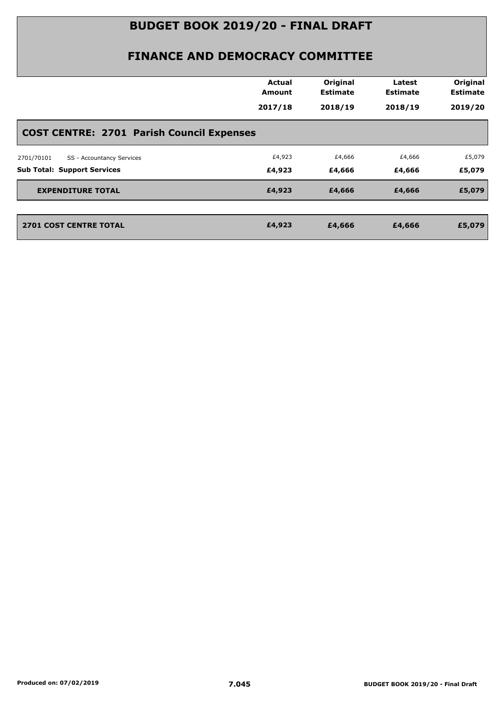|                                                  | <b>Actual</b><br><b>Amount</b> | Original<br><b>Estimate</b> | Latest<br><b>Estimate</b> | Original<br><b>Estimate</b> |
|--------------------------------------------------|--------------------------------|-----------------------------|---------------------------|-----------------------------|
|                                                  | 2017/18                        | 2018/19                     | 2018/19                   | 2019/20                     |
| <b>COST CENTRE: 2701 Parish Council Expenses</b> |                                |                             |                           |                             |
| SS - Accountancy Services<br>2701/70101          | £4,923                         | £4,666                      | £4,666                    | £5,079                      |
| <b>Sub Total: Support Services</b>               | £4,923                         | £4,666                      | £4,666                    | £5,079                      |
| <b>EXPENDITURE TOTAL</b>                         | £4,923                         | £4,666                      | £4,666                    | £5,079                      |
| <b>2701 COST CENTRE TOTAL</b>                    | £4,923                         | £4,666                      | £4,666                    | £5,079                      |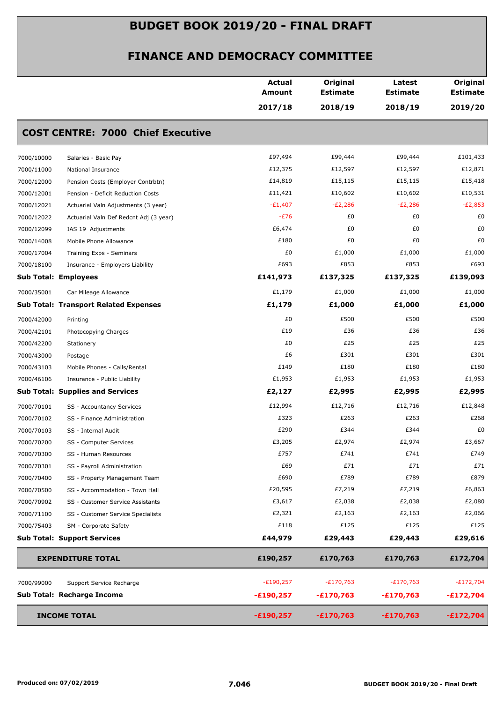|            |                                              | <b>Actual</b><br>Amount | Original<br><b>Estimate</b> | Latest<br><b>Estimate</b> | Original<br><b>Estimate</b> |
|------------|----------------------------------------------|-------------------------|-----------------------------|---------------------------|-----------------------------|
|            |                                              | 2017/18                 | 2018/19                     | 2018/19                   | 2019/20                     |
|            | <b>COST CENTRE: 7000 Chief Executive</b>     |                         |                             |                           |                             |
| 7000/10000 | Salaries - Basic Pay                         | £97,494                 | £99,444                     | £99,444                   | £101,433                    |
| 7000/11000 | National Insurance                           | £12,375                 | £12,597                     | £12,597                   | £12,871                     |
| 7000/12000 | Pension Costs (Employer Contrbtn)            | £14,819                 | £15,115                     | £15,115                   | £15,418                     |
| 7000/12001 | Pension - Deficit Reduction Costs            | £11,421                 | £10,602                     | £10,602                   | £10,531                     |
| 7000/12021 | Actuarial Valn Adjustments (3 year)          | $-E1,407$               | $-E2,286$                   | $-E2,286$                 | $-E2,853$                   |
| 7000/12022 | Actuarial Valn Def Redcnt Adj (3 year)       | $-E76$                  | £0                          | £0                        | £0                          |
| 7000/12099 | IAS 19 Adjustments                           | £6,474                  | £0                          | £0                        | £0                          |
| 7000/14008 | Mobile Phone Allowance                       | £180                    | £0                          | £0                        | £0                          |
| 7000/17004 | Training Exps - Seminars                     | £0                      | £1,000                      | £1,000                    | £1,000                      |
| 7000/18100 | Insurance - Employers Liability              | £693                    | £853                        | £853                      | £693                        |
|            | <b>Sub Total: Employees</b>                  | £141,973                | £137,325                    | £137,325                  | £139,093                    |
| 7000/35001 | Car Mileage Allowance                        | £1,179                  | £1,000                      | £1,000                    | £1,000                      |
|            | <b>Sub Total: Transport Related Expenses</b> | £1,179                  | £1,000                      | £1,000                    | £1,000                      |
| 7000/42000 | Printing                                     | £0                      | £500                        | £500                      | £500                        |
| 7000/42101 | Photocopying Charges                         | £19                     | £36                         | £36                       | £36                         |
| 7000/42200 | Stationery                                   | £0                      | £25                         | £25                       | £25                         |
| 7000/43000 | Postage                                      | £6                      | £301                        | £301                      | £301                        |
| 7000/43103 | Mobile Phones - Calls/Rental                 | £149                    | £180                        | £180                      | £180                        |
| 7000/46106 | Insurance - Public Liability                 | £1,953                  | £1,953                      | £1,953                    | £1,953                      |
|            | <b>Sub Total: Supplies and Services</b>      | £2,127                  | £2,995                      | £2,995                    | £2,995                      |
| 7000/70101 | SS - Accountancy Services                    | £12,994                 | £12,716                     | £12,716                   | £12,848                     |
| 7000/70102 | SS - Finance Administration                  | £323                    | £263                        | £263                      | £268                        |
| 7000/70103 | SS - Internal Audit                          | £290                    | £344                        | £344                      | £0                          |
| 7000/70200 | SS - Computer Services                       | £3,205                  | £2,974                      | £2,974                    | £3,667                      |
| 7000/70300 | SS - Human Resources                         | £757                    | £741                        | £741                      | £749                        |
| 7000/70301 | SS - Payroll Administration                  | £69                     | £71                         | £71                       | £71                         |
| 7000/70400 | SS - Property Management Team                | £690                    | £789                        | £789                      | £879                        |
| 7000/70500 | SS - Accommodation - Town Hall               | £20,595                 | £7,219                      | £7,219                    | £6,863                      |
| 7000/70902 | SS - Customer Service Assistants             | £3,617                  | £2,038                      | £2,038                    | £2,080                      |
| 7000/71100 | SS - Customer Service Specialists            | £2,321                  | £2,163                      | £2,163                    | £2,066                      |
| 7000/75403 | SM - Corporate Safety                        | £118                    | £125                        | £125                      | £125                        |
|            | <b>Sub Total: Support Services</b>           | £44,979                 | £29,443                     | £29,443                   | £29,616                     |
|            | <b>EXPENDITURE TOTAL</b>                     | £190,257                | £170,763                    | £170,763                  | £172,704                    |
| 7000/99000 | Support Service Recharge                     | $-E190,257$             | $-E170,763$                 | $-E170,763$               | $-E172,704$                 |
|            | <b>Sub Total: Recharge Income</b>            | -£190,257               | $-£170,763$                 | $-£170,763$               | $-£172,704$                 |
|            | <b>INCOME TOTAL</b>                          | $-£190,257$             | $-£170,763$                 | $-£170,763$               | $-£172,704$                 |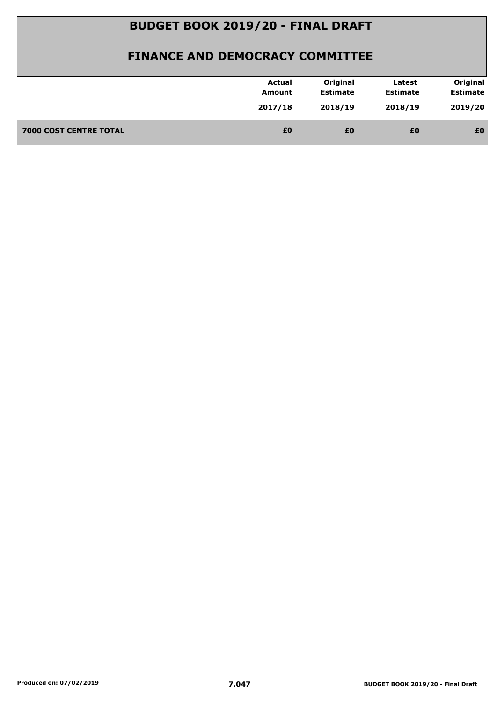|                               | <b>Actual</b>     | Original                   | Latest                     | Original                   |
|-------------------------------|-------------------|----------------------------|----------------------------|----------------------------|
|                               | Amount<br>2017/18 | <b>Estimate</b><br>2018/19 | <b>Estimate</b><br>2018/19 | <b>Estimate</b><br>2019/20 |
| <b>7000 COST CENTRE TOTAL</b> | £0                | £0                         | £0                         | £0                         |
|                               |                   |                            |                            |                            |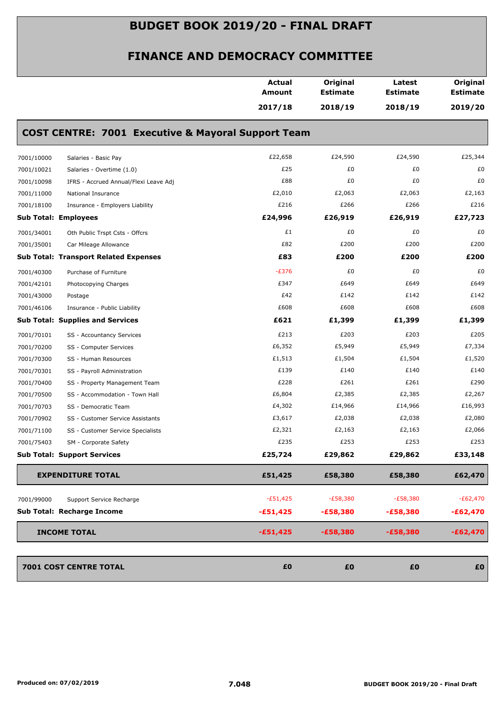|            |                                                               | <b>Actual</b><br><b>Amount</b> | Original<br><b>Estimate</b> | Latest<br><b>Estimate</b> | Original<br><b>Estimate</b> |
|------------|---------------------------------------------------------------|--------------------------------|-----------------------------|---------------------------|-----------------------------|
|            |                                                               | 2017/18                        | 2018/19                     | 2018/19                   | 2019/20                     |
|            | <b>COST CENTRE: 7001 Executive &amp; Mayoral Support Team</b> |                                |                             |                           |                             |
| 7001/10000 | Salaries - Basic Pay                                          | £22,658                        | £24,590                     | £24,590                   | £25,344                     |
| 7001/10021 | Salaries - Overtime (1.0)                                     | £25                            | £0                          | £0                        | £0                          |
| 7001/10098 | IFRS - Accrued Annual/Flexi Leave Adj                         | £88                            | £0                          | £0                        | £0                          |
| 7001/11000 | National Insurance                                            | £2,010                         | £2,063                      | £2,063                    | £2,163                      |
| 7001/18100 | Insurance - Employers Liability                               | £216                           | £266                        | £266                      | £216                        |
|            | <b>Sub Total: Employees</b>                                   | £24,996                        | £26,919                     | £26,919                   | £27,723                     |
| 7001/34001 | Oth Public Trspt Csts - Offcrs                                | £1                             | £0                          | £0                        | £0                          |
| 7001/35001 | Car Mileage Allowance                                         | £82                            | £200                        | £200                      | £200                        |
|            | <b>Sub Total: Transport Related Expenses</b>                  | £83                            | £200                        | £200                      | £200                        |
| 7001/40300 | Purchase of Furniture                                         | $-E376$                        | £0                          | £0                        | £0                          |
| 7001/42101 | Photocopying Charges                                          | £347                           | £649                        | £649                      | £649                        |
| 7001/43000 | Postage                                                       | £42                            | £142                        | £142                      | £142                        |
| 7001/46106 | Insurance - Public Liability                                  | £608                           | £608                        | £608                      | £608                        |
|            | <b>Sub Total: Supplies and Services</b>                       | £621                           | £1,399                      | £1,399                    | £1,399                      |
| 7001/70101 | SS - Accountancy Services                                     | £213                           | £203                        | £203                      | £205                        |
| 7001/70200 | SS - Computer Services                                        | £6,352                         | £5,949                      | £5,949                    | £7,334                      |
| 7001/70300 | SS - Human Resources                                          | £1,513                         | £1,504                      | £1,504                    | £1,520                      |
| 7001/70301 | SS - Payroll Administration                                   | £139                           | £140                        | £140                      | £140                        |
| 7001/70400 | SS - Property Management Team                                 | £228                           | £261                        | £261                      | £290                        |
| 7001/70500 | SS - Accommodation - Town Hall                                | £6,804                         | £2,385                      | £2,385                    | £2,267                      |
| 7001/70703 | SS - Democratic Team                                          | £4,302                         | £14,966                     | £14,966                   | £16,993                     |
| 7001/70902 | SS - Customer Service Assistants                              | £3,617                         | £2,038                      | £2,038                    | £2,080                      |
| 7001/71100 | SS - Customer Service Specialists                             | £2,321                         | £2,163                      | £2,163                    | £2,066                      |
| 7001/75403 | SM - Corporate Safety                                         | £235                           | £253                        | £253                      | £253                        |
|            | <b>Sub Total: Support Services</b>                            | £25,724                        | £29,862                     | £29,862                   | £33,148                     |
|            | <b>EXPENDITURE TOTAL</b>                                      | £51,425                        | £58,380                     | £58,380                   | £62,470                     |
| 7001/99000 | Support Service Recharge                                      | $-£51,425$                     | $-E58,380$                  | $-E58,380$                | $-E62,470$                  |
|            | Sub Total: Recharge Income                                    | $-£51,425$                     | $-£58,380$                  | $-£58,380$                | $-£62,470$                  |
|            | <b>INCOME TOTAL</b>                                           | $-£51,425$                     | $-£58,380$                  | $-£58,380$                | $-£62,470$                  |
|            | 7001 COST CENTRE TOTAL                                        | £0                             | £0                          | £0                        | £0                          |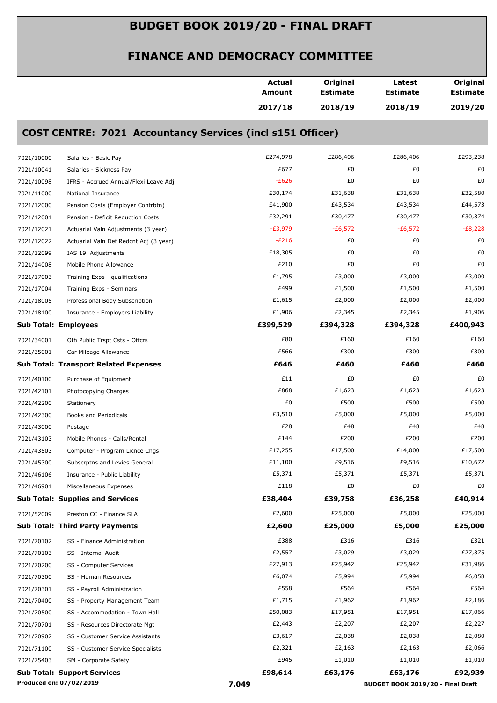|            |                                                                   | <b>Actual</b><br>Amount | Original<br><b>Estimate</b> | Latest<br><b>Estimate</b>         | Original<br><b>Estimate</b> |
|------------|-------------------------------------------------------------------|-------------------------|-----------------------------|-----------------------------------|-----------------------------|
|            |                                                                   | 2017/18                 | 2018/19                     | 2018/19                           | 2019/20                     |
|            | <b>COST CENTRE: 7021 Accountancy Services (incl s151 Officer)</b> |                         |                             |                                   |                             |
| 7021/10000 | Salaries - Basic Pay                                              | £274,978                | £286,406                    | £286,406                          | £293,238                    |
| 7021/10041 | Salaries - Sickness Pay                                           | £677                    | £0                          | £0                                | £0                          |
| 7021/10098 | IFRS - Accrued Annual/Flexi Leave Adj                             | $-E626$                 | £0                          | £0                                | £0                          |
| 7021/11000 | National Insurance                                                | £30,174                 | £31,638                     | £31,638                           | £32,580                     |
| 7021/12000 | Pension Costs (Employer Contrbtn)                                 | £41,900                 | £43,534                     | £43,534                           | £44,573                     |
| 7021/12001 | Pension - Deficit Reduction Costs                                 | £32,291                 | £30,477                     | £30,477                           | £30,374                     |
| 7021/12021 | Actuarial Valn Adjustments (3 year)                               | $-E3,979$               | $-E6,572$                   | $-£6,572$                         | $-E8,228$                   |
| 7021/12022 | Actuarial Valn Def Redcnt Adj (3 year)                            | $-E216$                 | £0                          | £0                                | £0                          |
| 7021/12099 | IAS 19 Adjustments                                                | £18,305                 | £0                          | £0                                | £0                          |
| 7021/14008 | Mobile Phone Allowance                                            | £210                    | £0                          | £0                                | £0                          |
| 7021/17003 | Training Exps - qualifications                                    | £1,795                  | £3,000                      | £3,000                            | £3,000                      |
| 7021/17004 | Training Exps - Seminars                                          | £499                    | £1,500                      | £1,500                            | £1,500                      |
| 7021/18005 | Professional Body Subscription                                    | £1,615                  | £2,000                      | £2,000                            | £2,000                      |
| 7021/18100 | Insurance - Employers Liability                                   | £1,906                  | £2,345                      | £2,345                            | £1,906                      |
|            | <b>Sub Total: Employees</b>                                       | £399,529                | £394,328                    | £394,328                          | £400,943                    |
| 7021/34001 | Oth Public Trspt Csts - Offcrs                                    | £80                     | £160                        | £160                              | £160                        |
| 7021/35001 | Car Mileage Allowance                                             | £566                    | £300                        | £300                              | £300                        |
|            | <b>Sub Total: Transport Related Expenses</b>                      | £646                    | £460                        | £460                              | £460                        |
| 7021/40100 | Purchase of Equipment                                             | £11                     | £0                          | £0                                | £0                          |
| 7021/42101 | Photocopying Charges                                              | £868                    | £1,623                      | £1,623                            | £1,623                      |
| 7021/42200 | Stationery                                                        | £0                      | £500                        | £500                              | £500                        |
| 7021/42300 | Books and Periodicals                                             | £3,510                  | £5,000                      | £5,000                            | £5,000                      |
| 7021/43000 | Postage                                                           | £28                     | £48                         | £48                               | £48                         |
| 7021/43103 | Mobile Phones - Calls/Rental                                      | £144                    | £200                        | £200                              | £200                        |
| 7021/43503 | Computer - Program Licnce Chgs                                    | £17,255                 | £17,500                     | £14,000                           | £17,500                     |
| 7021/45300 | Subscrptns and Levies General                                     | £11,100                 | £9,516                      | £9,516                            | £10,672                     |
| 7021/46106 | Insurance - Public Liability                                      | £5,371                  | £5,371                      | £5,371                            | £5,371                      |
| 7021/46901 | Miscellaneous Expenses                                            | £118                    | £0                          | £0                                | £0                          |
|            | <b>Sub Total: Supplies and Services</b>                           | £38,404                 | £39,758                     | £36,258                           | £40,914                     |
|            |                                                                   |                         |                             |                                   |                             |
| 7021/52009 | Preston CC - Finance SLA                                          | £2,600                  | £25,000                     | £5,000                            | £25,000                     |
|            | <b>Sub Total: Third Party Payments</b>                            | £2,600                  | £25,000                     | £5,000                            | £25,000                     |
| 7021/70102 | SS - Finance Administration                                       | £388                    | £316                        | £316                              | £321                        |
| 7021/70103 | SS - Internal Audit                                               | £2,557                  | £3,029                      | £3,029                            | £27,375                     |
| 7021/70200 | SS - Computer Services                                            | £27,913                 | £25,942                     | £25,942                           | £31,986                     |
| 7021/70300 | SS - Human Resources                                              | £6,074                  | £5,994                      | £5,994                            | £6,058                      |
| 7021/70301 | SS - Payroll Administration                                       | £558                    | £564                        | £564                              | £564                        |
| 7021/70400 | SS - Property Management Team                                     | £1,715                  | £1,962                      | £1,962                            | £2,186                      |
| 7021/70500 | SS - Accommodation - Town Hall                                    | £50,083                 | £17,951                     | £17,951                           | £17,066                     |
| 7021/70701 | SS - Resources Directorate Mgt                                    | £2,443                  | £2,207                      | £2,207                            | £2,227                      |
| 7021/70902 | SS - Customer Service Assistants                                  | £3,617                  | £2,038                      | £2,038                            | £2,080                      |
| 7021/71100 | SS - Customer Service Specialists                                 | £2,321                  | £2,163                      | £2,163                            | £2,066                      |
| 7021/75403 | SM - Corporate Safety                                             | £945                    | £1,010                      | £1,010                            | £1,010                      |
|            | <b>Sub Total: Support Services</b>                                | £98,614                 | £63,176                     | £63,176                           | £92,939                     |
|            | Produced on: 07/02/2019                                           | 7.049                   |                             | BUDGET BOOK 2019/20 - Final Draft |                             |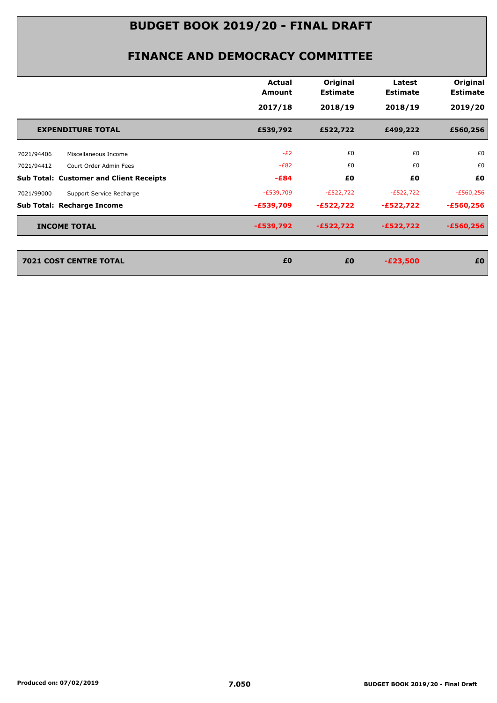|                                                | Actual<br>Amount | Original<br><b>Estimate</b> | Latest<br><b>Estimate</b> | Original<br><b>Estimate</b> |
|------------------------------------------------|------------------|-----------------------------|---------------------------|-----------------------------|
|                                                | 2017/18          | 2018/19                     | 2018/19                   | 2019/20                     |
| <b>EXPENDITURE TOTAL</b>                       | £539,792         | £522,722                    | £499,222                  | £560,256                    |
| Miscellaneous Income<br>7021/94406             | $-E2$            | £0                          | £0                        | £0                          |
| 7021/94412<br>Court Order Admin Fees           | $-E82$           | £0                          | £0                        | £0                          |
| <b>Sub Total: Customer and Client Receipts</b> | $-E84$           | £0                          | £0                        | £0                          |
| 7021/99000<br>Support Service Recharge         | $-E539,709$      | $-E522,722$                 | $-E522,722$               | $-E560,256$                 |
| <b>Sub Total: Recharge Income</b>              | $-£539,709$      | $-£522,722$                 | $-£522,722$               | $-£560,256$                 |
| <b>INCOME TOTAL</b>                            | $-£539,792$      | $-£522,722$                 | $-£522,722$               | $-£560,256$                 |
| <b>7021 COST CENTRE TOTAL</b>                  | £0               | £0                          | $-E23,500$                | £0                          |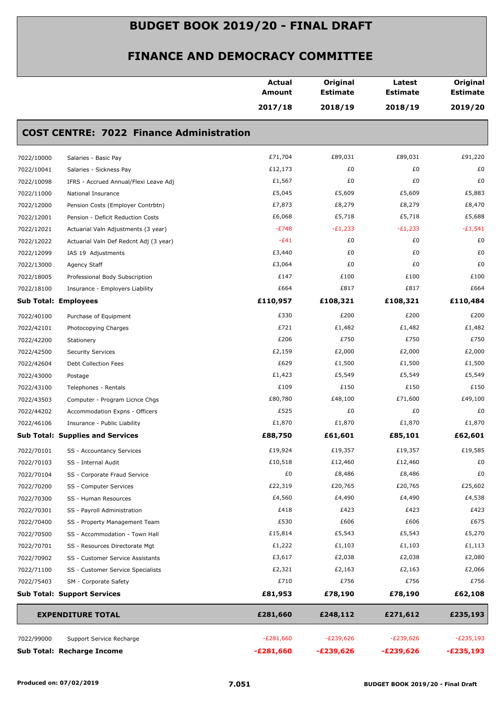|            |                                                 | <b>Actual</b><br><b>Amount</b> | Original<br><b>Estimate</b> | Latest<br><b>Estimate</b> | Original<br><b>Estimate</b> |
|------------|-------------------------------------------------|--------------------------------|-----------------------------|---------------------------|-----------------------------|
|            |                                                 | 2017/18                        | 2018/19                     | 2018/19                   | 2019/20                     |
|            | <b>COST CENTRE: 7022 Finance Administration</b> |                                |                             |                           |                             |
| 7022/10000 | Salaries - Basic Pay                            | £71,704                        | £89,031                     | £89,031                   | £91,220                     |
| 7022/10041 | Salaries - Sickness Pay                         | £12,173                        | £0                          | £0                        | £0                          |
| 7022/10098 | IFRS - Accrued Annual/Flexi Leave Adj           | £1,567                         | £0                          | £0                        | £0                          |
| 7022/11000 | National Insurance                              | £5,045                         | £5,609                      | £5,609                    | £5,883                      |
| 7022/12000 | Pension Costs (Employer Contrbtn)               | £7,873                         | £8,279                      | £8,279                    | £8,470                      |
| 7022/12001 | Pension - Deficit Reduction Costs               | £6,068                         | £5,718                      | £5,718                    | £5,688                      |
| 7022/12021 | Actuarial Valn Adjustments (3 year)             | $-E748$                        | $-E1,233$                   | $-E1,233$                 | $-E1,541$                   |
| 7022/12022 | Actuarial Valn Def Redcnt Adj (3 year)          | $-E41$                         | £0                          | £0                        | £0                          |
| 7022/12099 | IAS 19 Adjustments                              | £3,440                         | £0                          | £0                        | £0                          |
| 7022/13000 | Agency Staff                                    | £3,064                         | £0                          | £0                        | £0                          |
| 7022/18005 | Professional Body Subscription                  | £147                           | £100                        | £100                      | £100                        |
| 7022/18100 | Insurance - Employers Liability                 | £664                           | £817                        | £817                      | £664                        |
|            | <b>Sub Total: Employees</b>                     | £110,957                       | £108,321                    | £108,321                  | £110,484                    |
| 7022/40100 | Purchase of Equipment                           | £330                           | £200                        | £200                      | £200                        |
| 7022/42101 | Photocopying Charges                            | £721                           | £1,482                      | £1,482                    | £1,482                      |
| 7022/42200 | Stationery                                      | £206                           | £750                        | £750                      | £750                        |
| 7022/42500 | <b>Security Services</b>                        | £2,159                         | £2,000                      | £2,000                    | £2,000                      |
| 7022/42604 | Debt Collection Fees                            | £629                           | £1,500                      | £1,500                    | £1,500                      |
| 7022/43000 | Postage                                         | £1,423                         | £5,549                      | £5,549                    | £5,549                      |
| 7022/43100 | Telephones - Rentals                            | £109                           | £150                        | £150                      | £150                        |
| 7022/43503 | Computer - Program Licnce Chgs                  | £80,780                        | £48,100                     | £71,600                   | £49,100                     |
| 7022/44202 | Accommodation Expns - Officers                  | £525                           | £0                          | £0                        | £0                          |
| 7022/46106 | Insurance - Public Liability                    | £1,870                         | £1,870                      | £1,870                    | £1,870                      |
|            | <b>Sub Total: Supplies and Services</b>         | £88,750                        | £61,601                     | £85,101                   | £62,601                     |
| 7022/70101 | SS - Accountancy Services                       | £19,924                        | £19,357                     | £19,357                   | £19,585                     |
| 7022/70103 | SS - Internal Audit                             | £10,518                        | £12,460                     | £12,460                   | £0                          |
| 7022/70104 | SS - Corporate Fraud Service                    | £0                             | £8,486                      | £8,486                    | £0                          |
| 7022/70200 | SS - Computer Services                          | £22,319                        | £20,765                     | £20,765                   | £25,602                     |
| 7022/70300 | SS - Human Resources                            | £4,560                         | £4,490                      | £4,490                    | £4,538                      |
| 7022/70301 | SS - Payroll Administration                     | £418                           | £423                        | £423                      | £423                        |
| 7022/70400 | SS - Property Management Team                   | £530                           | £606                        | £606                      | £675                        |
| 7022/70500 | SS - Accommodation - Town Hall                  | £15,814                        | £5,543                      | £5,543                    | £5,270                      |
| 7022/70701 | SS - Resources Directorate Mgt                  | £1,222                         | £1,103                      | £1,103                    | £1,113                      |
| 7022/70902 | SS - Customer Service Assistants                | £3,617                         | £2,038                      | £2,038                    | £2,080                      |
| 7022/71100 | SS - Customer Service Specialists               | £2,321                         | £2,163                      | £2,163                    | £2,066                      |
| 7022/75403 | SM - Corporate Safety                           | £710                           | £756                        | £756                      | £756                        |
|            | <b>Sub Total: Support Services</b>              | £81,953                        | £78,190                     | £78,190                   | £62,108                     |
|            | <b>EXPENDITURE TOTAL</b>                        | £281,660                       | £248,112                    | £271,612                  | £235,193                    |
| 7022/99000 | Support Service Recharge                        | $-E281,660$                    | $-E239,626$                 | $-E239,626$               | $-E235,193$                 |
|            | Sub Total: Recharge Income                      | $-E281,660$                    | $-E239,626$                 | $-E239,626$               | $-E235,193$                 |
|            |                                                 |                                |                             |                           |                             |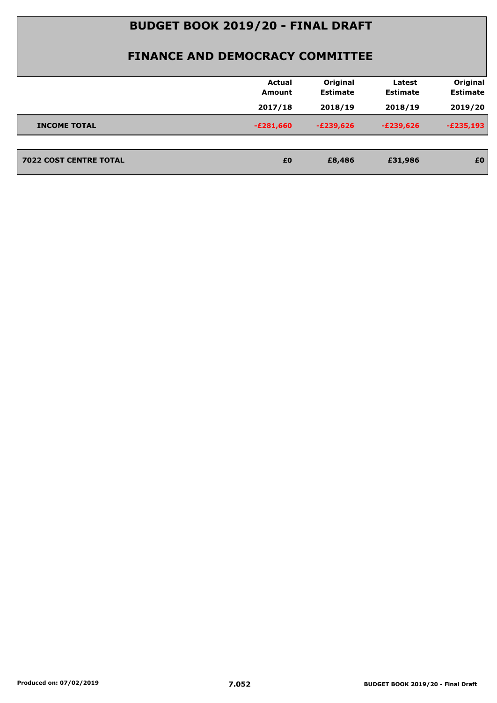|                               | <b>Actual</b><br><b>Amount</b> | Original<br><b>Estimate</b> | Latest<br><b>Estimate</b> | Original<br><b>Estimate</b> |
|-------------------------------|--------------------------------|-----------------------------|---------------------------|-----------------------------|
|                               | 2017/18                        | 2018/19                     | 2018/19                   | 2019/20                     |
| <b>INCOME TOTAL</b>           | $-E281,660$                    | $-E239,626$                 | $-E239,626$               | $-E235,193$                 |
|                               |                                |                             |                           |                             |
| <b>7022 COST CENTRE TOTAL</b> | £0                             | £8,486                      | £31,986                   | £0                          |
|                               |                                |                             |                           |                             |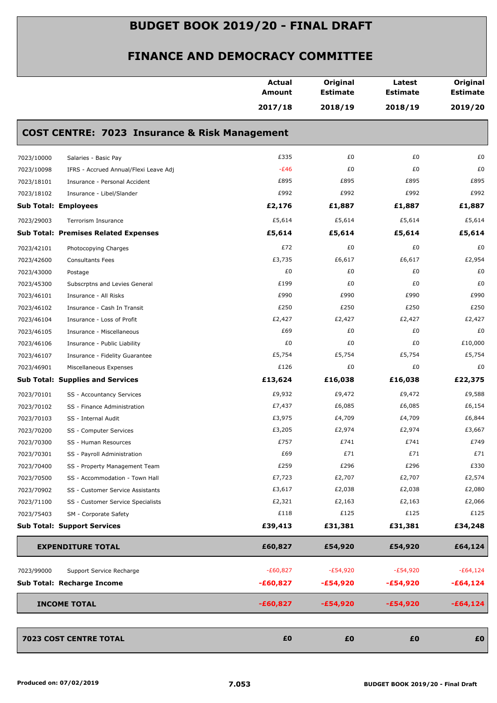|            |                                                          | <b>Actual</b><br><b>Amount</b> | Original<br><b>Estimate</b> | Latest<br><b>Estimate</b> | Original<br><b>Estimate</b> |
|------------|----------------------------------------------------------|--------------------------------|-----------------------------|---------------------------|-----------------------------|
|            |                                                          | 2017/18                        | 2018/19                     | 2018/19                   | 2019/20                     |
|            | <b>COST CENTRE: 7023 Insurance &amp; Risk Management</b> |                                |                             |                           |                             |
| 7023/10000 | Salaries - Basic Pay                                     | £335                           | £0                          | £0                        | £0                          |
| 7023/10098 | IFRS - Accrued Annual/Flexi Leave Adj                    | $-E46$                         | £0                          | £0                        | £0                          |
| 7023/18101 | Insurance - Personal Accident                            | £895                           | £895                        | £895                      | £895                        |
| 7023/18102 | Insurance - Libel/Slander                                | £992                           | £992                        | £992                      | £992                        |
|            | <b>Sub Total: Employees</b>                              | £2,176                         | £1,887                      | £1,887                    | £1,887                      |
| 7023/29003 | Terrorism Insurance                                      | £5,614                         | £5,614                      | £5,614                    | £5,614                      |
|            | <b>Sub Total: Premises Related Expenses</b>              | £5,614                         | £5,614                      | £5,614                    | £5,614                      |
| 7023/42101 | Photocopying Charges                                     | £72                            | £0                          | £0                        | £0                          |
| 7023/42600 | <b>Consultants Fees</b>                                  | £3,735                         | £6,617                      | £6,617                    | £2,954                      |
| 7023/43000 | Postage                                                  | £0                             | £0                          | £0                        | £0                          |
| 7023/45300 | Subscrptns and Levies General                            | £199                           | £0                          | £0                        | £0                          |
| 7023/46101 | Insurance - All Risks                                    | £990                           | £990                        | £990                      | £990                        |
| 7023/46102 | Insurance - Cash In Transit                              | £250                           | £250                        | £250                      | £250                        |
| 7023/46104 | Insurance - Loss of Profit                               | £2,427                         | £2,427                      | £2,427                    | £2,427                      |
| 7023/46105 | Insurance - Miscellaneous                                | £69                            | £0                          | £0                        | £0                          |
| 7023/46106 | Insurance - Public Liability                             | £0                             | £0                          | £0                        | £10,000                     |
| 7023/46107 | Insurance - Fidelity Guarantee                           | £5,754                         | £5,754                      | £5,754                    | £5,754                      |
| 7023/46901 | Miscellaneous Expenses                                   | £126                           | £0                          | £0                        | £0                          |
|            | <b>Sub Total: Supplies and Services</b>                  | £13,624                        | £16,038                     | £16,038                   | £22,375                     |
| 7023/70101 | SS - Accountancy Services                                | £9,932                         | £9,472                      | £9,472                    | £9,588                      |
| 7023/70102 | SS - Finance Administration                              | £7,437                         | £6,085                      | £6,085                    | £6,154                      |
| 7023/70103 | SS - Internal Audit                                      | £3,975                         | £4,709                      | £4,709                    | £6,844                      |
| 7023/70200 | SS - Computer Services                                   | £3,205                         | £2,974                      | £2,974                    | £3,667                      |
| 7023/70300 | SS - Human Resources                                     | £757                           | £741                        | £741                      | £749                        |
| 7023/70301 | SS - Payroll Administration                              | £69                            | £71                         | £71                       | £71                         |
| 7023/70400 | SS - Property Management Team                            | £259                           | £296                        | £296                      | £330                        |
| 7023/70500 | SS - Accommodation - Town Hall                           | £7,723                         | £2,707                      | £2,707                    | £2,574                      |
| 7023/70902 | SS - Customer Service Assistants                         | £3,617                         | £2,038                      | £2,038                    | £2,080                      |
| 7023/71100 | SS - Customer Service Specialists                        | £2,321                         | £2,163                      | £2,163                    | £2,066                      |
| 7023/75403 | SM - Corporate Safety                                    | £118                           | £125                        | £125                      | £125                        |
|            | <b>Sub Total: Support Services</b>                       | £39,413                        | £31,381                     | £31,381                   | £34,248                     |
|            | <b>EXPENDITURE TOTAL</b>                                 | £60,827                        | £54,920                     | £54,920                   | £64,124                     |
| 7023/99000 | Support Service Recharge                                 | $-E60,827$                     | $-E54,920$                  | $-E54,920$                | $-E64,124$                  |
|            | Sub Total: Recharge Income                               | $-£60,827$                     | $-£54,920$                  | $-£54,920$                | $-£64,124$                  |
|            | <b>INCOME TOTAL</b>                                      | $-£60,827$                     | $-£54,920$                  | $-£54,920$                | $-£64,124$                  |
|            |                                                          |                                |                             |                           |                             |
|            | 7023 COST CENTRE TOTAL                                   | £0                             | £0                          | £0                        | £0                          |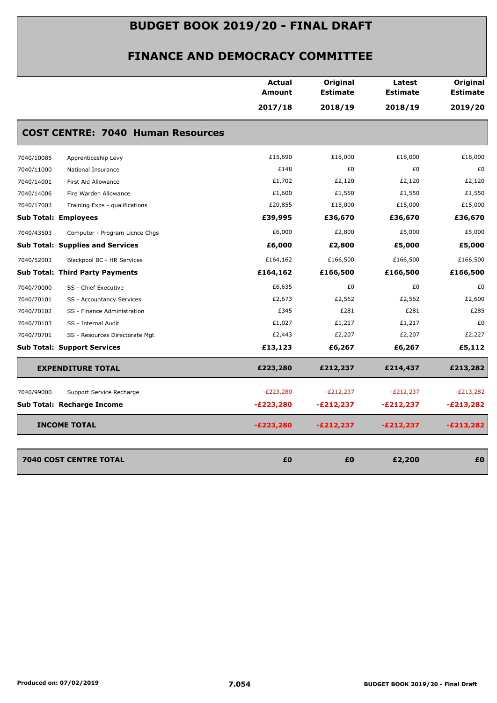|            |                                          | <b>Actual</b><br><b>Amount</b> | Original<br><b>Estimate</b> | Latest<br><b>Estimate</b> | Original<br><b>Estimate</b> |
|------------|------------------------------------------|--------------------------------|-----------------------------|---------------------------|-----------------------------|
|            |                                          | 2017/18                        | 2018/19                     | 2018/19                   | 2019/20                     |
|            | <b>COST CENTRE: 7040 Human Resources</b> |                                |                             |                           |                             |
| 7040/10085 | Apprenticeship Levy                      | £15,690                        | £18,000                     | £18,000                   | £18,000                     |
| 7040/11000 | National Insurance                       | £148                           | £0                          | £0                        | £0                          |
| 7040/14001 | First Aid Allowance                      | £1,702                         | £2,120                      | £2,120                    | £2,120                      |
| 7040/14006 | Fire Warden Allowance                    | £1,600                         | £1,550                      | £1,550                    | £1,550                      |
| 7040/17003 | Training Exps - qualifications           | £20,855                        | £15,000                     | £15,000                   | £15,000                     |
|            | <b>Sub Total: Employees</b>              | £39,995                        | £36,670                     | £36,670                   | £36,670                     |
| 7040/43503 | Computer - Program Licnce Chgs           | £6,000                         | £2,800                      | £5,000                    | £5,000                      |
|            | <b>Sub Total: Supplies and Services</b>  | £6,000                         | £2,800                      | £5,000                    | £5,000                      |
| 7040/52003 | Blackpool BC - HR Services               | £164,162                       | £166,500                    | £166,500                  | £166,500                    |
|            | <b>Sub Total: Third Party Payments</b>   | £164,162                       | £166,500                    | £166,500                  | £166,500                    |
| 7040/70000 | SS - Chief Executive                     | £6,635                         | £0                          | £0                        | £0                          |
| 7040/70101 | SS - Accountancy Services                | £2,673                         | £2,562                      | £2,562                    | £2,600                      |
| 7040/70102 | SS - Finance Administration              | £345                           | £281                        | £281                      | £285                        |
| 7040/70103 | SS - Internal Audit                      | £1,027                         | £1,217                      | £1,217                    | £0                          |
| 7040/70701 | SS - Resources Directorate Mgt           | £2,443                         | £2,207                      | £2,207                    | £2,227                      |
|            | <b>Sub Total: Support Services</b>       | £13,123                        | £6,267                      | £6,267                    | £5,112                      |
|            | <b>EXPENDITURE TOTAL</b>                 | £223,280                       | £212,237                    | £214,437                  | £213,282                    |
| 7040/99000 | Support Service Recharge                 | $-E223,280$                    | $-E212,237$                 | $-E212,237$               | $-E213,282$                 |
|            | <b>Sub Total: Recharge Income</b>        | $-E223,280$                    | $-E212,237$                 | $-E212,237$               | $-E213,282$                 |
|            | <b>INCOME TOTAL</b>                      | $-E223,280$                    | $-E212,237$                 | -£212,237                 | $-E213,282$                 |
|            |                                          |                                |                             |                           |                             |
|            | <b>7040 COST CENTRE TOTAL</b>            | £0                             | £0                          | £2,200                    | £0                          |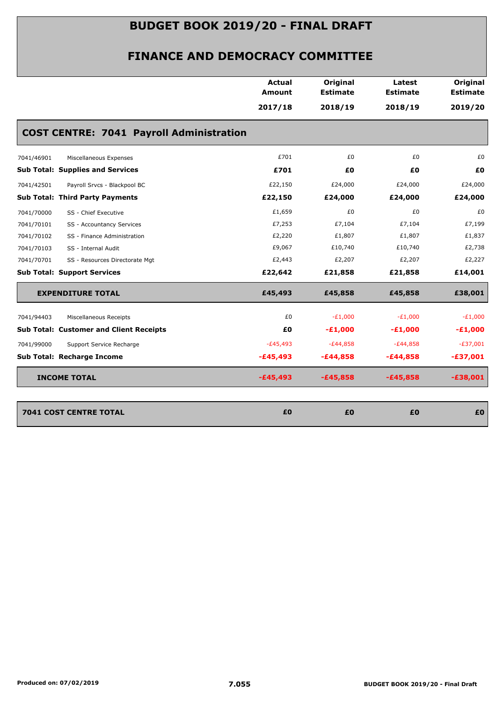|                                                 | <b>Actual</b><br><b>Amount</b> | Original<br><b>Estimate</b> | Latest<br><b>Estimate</b> | Original<br><b>Estimate</b> |
|-------------------------------------------------|--------------------------------|-----------------------------|---------------------------|-----------------------------|
|                                                 | 2017/18                        | 2018/19                     | 2018/19                   | 2019/20                     |
| <b>COST CENTRE: 7041 Payroll Administration</b> |                                |                             |                           |                             |
| 7041/46901<br>Miscellaneous Expenses            | £701                           | £0                          | £0                        | £0                          |
| <b>Sub Total: Supplies and Services</b>         | £701                           | £0                          | £Ο                        | £0                          |
| Payroll Srvcs - Blackpool BC<br>7041/42501      | £22,150                        | £24,000                     | £24,000                   | £24,000                     |
| Sub Total: Third Party Payments                 | £22,150                        | £24,000                     | £24,000                   | £24,000                     |
| 7041/70000<br>SS - Chief Executive              | £1,659                         | £0                          | £0                        | £0                          |
| 7041/70101<br>SS - Accountancy Services         | £7,253                         | £7,104                      | £7,104                    | £7,199                      |
| 7041/70102<br>SS - Finance Administration       | £2,220                         | £1,807                      | £1,807                    | £1,837                      |
| 7041/70103<br>SS - Internal Audit               | £9,067                         | £10,740                     | £10,740                   | £2,738                      |
| 7041/70701<br>SS - Resources Directorate Mgt    | £2,443                         | £2,207                      | £2,207                    | £2,227                      |
| <b>Sub Total: Support Services</b>              | £22,642                        | £21,858                     | £21,858                   | £14,001                     |
| <b>EXPENDITURE TOTAL</b>                        | £45,493                        | £45,858                     | £45,858                   | £38,001                     |
| 7041/94403<br>Miscellaneous Receipts            | £0                             | $-E1,000$                   | $-E1,000$                 | $-E1,000$                   |
| <b>Sub Total: Customer and Client Receipts</b>  | £Ο                             | $-£1,000$                   | $-E1,000$                 | $-£1,000$                   |
| 7041/99000<br>Support Service Recharge          | $-E45,493$                     | $-E44,858$                  | $-E44,858$                | $-E37,001$                  |
| Sub Total: Recharge Income                      | $-£45,493$                     | $-£44,858$                  | $-£44,858$                | $-£37,001$                  |
| <b>INCOME TOTAL</b>                             | $-£45,493$                     | $-£45,858$                  | $-£45,858$                | $-£38,001$                  |
| 7041 COST CENTRE TOTAL                          | £0                             | £0                          | £0                        | £0                          |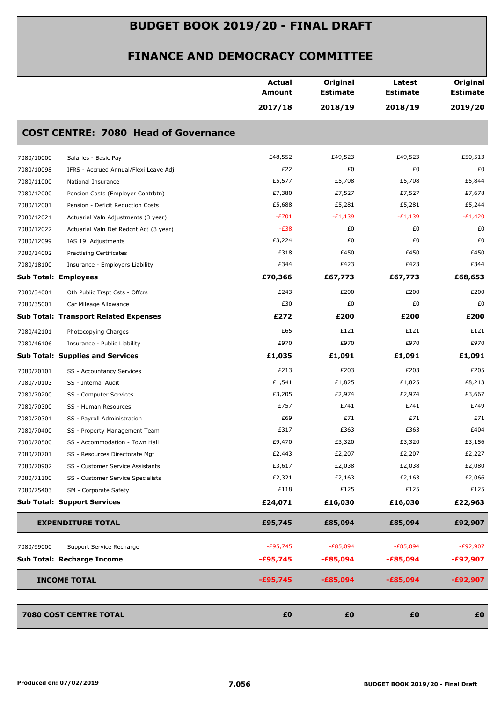|                                                      | <b>Actual</b><br>Amount | Original<br><b>Estimate</b> | Latest<br><b>Estimate</b> | Original<br><b>Estimate</b> |
|------------------------------------------------------|-------------------------|-----------------------------|---------------------------|-----------------------------|
|                                                      | 2017/18                 | 2018/19                     | 2018/19                   | 2019/20                     |
| <b>COST CENTRE: 7080 Head of Governance</b>          |                         |                             |                           |                             |
| Salaries - Basic Pay<br>7080/10000                   | £48,552                 | £49,523                     | £49,523                   | £50,513                     |
| 7080/10098<br>IFRS - Accrued Annual/Flexi Leave Adj  | £22                     | £0                          | £0                        | £0                          |
| 7080/11000<br>National Insurance                     | £5,577                  | £5,708                      | £5,708                    | £5,844                      |
| 7080/12000<br>Pension Costs (Employer Contrbtn)      | £7,380                  | £7,527                      | £7,527                    | £7,678                      |
| 7080/12001<br>Pension - Deficit Reduction Costs      | £5,688                  | £5,281                      | £5,281                    | £5,244                      |
| 7080/12021<br>Actuarial Valn Adjustments (3 year)    | $-E701$                 | $-E1,139$                   | $-E1,139$                 | $-E1,420$                   |
| 7080/12022<br>Actuarial Valn Def Redcnt Adj (3 year) | $-E38$                  | £0                          | £0                        | £0                          |
| 7080/12099<br>IAS 19 Adjustments                     | £3,224                  | £0                          | £0                        | £0                          |
| 7080/14002<br><b>Practising Certificates</b>         | £318                    | £450                        | £450                      | £450                        |
| 7080/18100<br>Insurance - Employers Liability        | £344                    | £423                        | £423                      | £344                        |
| <b>Sub Total: Employees</b>                          | £70,366                 | £67,773                     | £67,773                   | £68,653                     |
| 7080/34001<br>Oth Public Trspt Csts - Offcrs         | £243                    | £200                        | £200                      | £200                        |
| 7080/35001<br>Car Mileage Allowance                  | £30                     | £0                          | £0                        | £0                          |
| Sub Total: Transport Related Expenses                | £272                    | £200                        | £200                      | £200                        |
| 7080/42101<br>Photocopying Charges                   | £65                     | £121                        | £121                      | £121                        |
| 7080/46106<br>Insurance - Public Liability           | £970                    | £970                        | £970                      | £970                        |
| <b>Sub Total: Supplies and Services</b>              | £1,035                  | £1,091                      | £1,091                    | £1,091                      |
| 7080/70101<br>SS - Accountancy Services              | £213                    | £203                        | £203                      | £205                        |
| 7080/70103<br>SS - Internal Audit                    | £1,541                  | £1,825                      | £1,825                    | £8,213                      |
| 7080/70200<br>SS - Computer Services                 | £3,205                  | £2,974                      | £2,974                    | £3,667                      |
| 7080/70300<br>SS - Human Resources                   | £757                    | £741                        | £741                      | £749                        |
| 7080/70301<br>SS - Payroll Administration            | £69                     | £71                         | £71                       | £71                         |
| 7080/70400<br>SS - Property Management Team          | £317                    | £363                        | £363                      | £404                        |
| 7080/70500<br>SS - Accommodation - Town Hall         | £9,470                  | £3,320                      | £3,320                    | £3,156                      |
| 7080/70701<br>SS - Resources Directorate Mgt         | £2,443                  | £2,207                      | £2,207                    | £2,227                      |
| 7080/70902<br>SS - Customer Service Assistants       | £3,617                  | £2,038                      | £2,038                    | £2,080                      |
| 7080/71100<br>SS - Customer Service Specialists      | £2,321                  | £2,163                      | £2,163                    | £2,066                      |
| 7080/75403<br>SM - Corporate Safety                  | £118                    | £125                        | £125                      | £125                        |
| <b>Sub Total: Support Services</b>                   | £24,071                 | £16,030                     | £16,030                   | £22,963                     |
| <b>EXPENDITURE TOTAL</b>                             | £95,745                 | £85,094                     | £85,094                   | £92,907                     |
| 7080/99000<br>Support Service Recharge               | $-E95,745$              | $-E85,094$                  | $-E85,094$                | $-E92,907$                  |
| Sub Total: Recharge Income                           | $-£95,745$              | $-£85,094$                  | $-£85,094$                | -£92,907                    |
| <b>INCOME TOTAL</b>                                  | $-£95,745$              | $-£85,094$                  | $-£85,094$                | $-£92,907$                  |
| 7080 COST CENTRE TOTAL                               | £0                      | £0                          | £0                        | £0                          |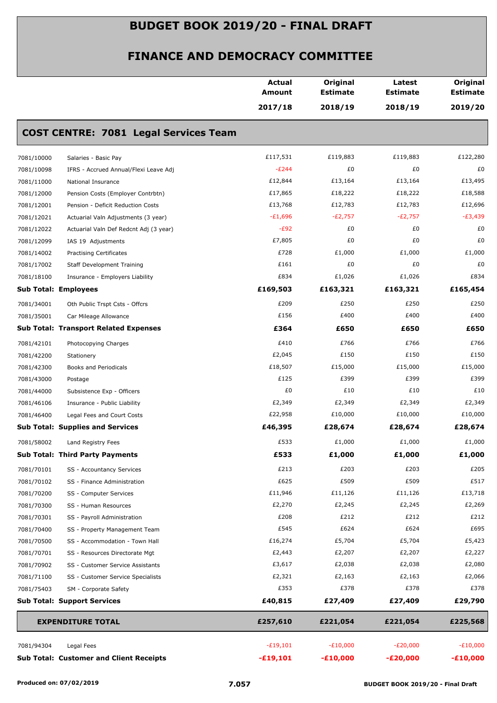|            |                                                | <b>Actual</b> | Original        | Latest          | Original        |
|------------|------------------------------------------------|---------------|-----------------|-----------------|-----------------|
|            |                                                | Amount        | <b>Estimate</b> | <b>Estimate</b> | <b>Estimate</b> |
|            |                                                | 2017/18       | 2018/19         | 2018/19         | 2019/20         |
|            | <b>COST CENTRE: 7081 Legal Services Team</b>   |               |                 |                 |                 |
| 7081/10000 | Salaries - Basic Pay                           | £117,531      | £119,883        | £119,883        | £122,280        |
| 7081/10098 | IFRS - Accrued Annual/Flexi Leave Adj          | $-E244$       | £0              | £0              | £0              |
| 7081/11000 | National Insurance                             | £12,844       | £13,164         | £13,164         | £13,495         |
| 7081/12000 | Pension Costs (Employer Contrbtn)              | £17,865       | £18,222         | £18,222         | £18,588         |
| 7081/12001 | Pension - Deficit Reduction Costs              | £13,768       | £12,783         | £12,783         | £12,696         |
| 7081/12021 | Actuarial Valn Adjustments (3 year)            | $-E1,696$     | $-E2,757$       | $-E2,757$       | $-E3,439$       |
| 7081/12022 | Actuarial Valn Def Redcnt Adj (3 year)         | $-E92$        | £0              | £0              | £0              |
| 7081/12099 | IAS 19 Adjustments                             | £7,805        | £0              | £0              | £0              |
| 7081/14002 | <b>Practising Certificates</b>                 | £728          | £1,000          | £1,000          | £1,000          |
| 7081/17002 | <b>Staff Development Training</b>              | £161          | £0              | £0              | £0              |
| 7081/18100 | Insurance - Employers Liability                | £834          | £1,026          | £1,026          | £834            |
|            | <b>Sub Total: Employees</b>                    | £169,503      | £163,321        | £163,321        | £165,454        |
| 7081/34001 | Oth Public Trspt Csts - Offcrs                 | £209          | £250            | £250            | £250            |
| 7081/35001 | Car Mileage Allowance                          | £156          | £400            | £400            | £400            |
|            | <b>Sub Total: Transport Related Expenses</b>   | £364          | £650            | £650            | £650            |
| 7081/42101 | Photocopying Charges                           | £410          | £766            | £766            | £766            |
| 7081/42200 | Stationery                                     | £2,045        | £150            | £150            | £150            |
| 7081/42300 | Books and Periodicals                          | £18,507       | £15,000         | £15,000         | £15,000         |
| 7081/43000 | Postage                                        | £125          | £399            | £399            | £399            |
| 7081/44000 | Subsistence Exp - Officers                     | £0            | £10             | £10             | £10             |
| 7081/46106 | Insurance - Public Liability                   | £2,349        | £2,349          | £2,349          | £2,349          |
| 7081/46400 | Legal Fees and Court Costs                     | £22,958       | £10,000         | £10,000         | £10,000         |
|            | <b>Sub Total: Supplies and Services</b>        | £46,395       | £28,674         | £28,674         | £28,674         |
| 7081/58002 | Land Registry Fees                             | £533          | £1,000          | £1,000          | £1,000          |
|            | <b>Sub Total: Third Party Payments</b>         | £533          | £1,000          | £1,000          | £1,000          |
| 7081/70101 | SS - Accountancy Services                      | £213          | £203            | £203            | £205            |
| 7081/70102 | SS - Finance Administration                    | £625          | £509            | £509            | £517            |
| 7081/70200 | SS - Computer Services                         | £11,946       | £11,126         | £11,126         | £13,718         |
| 7081/70300 | SS - Human Resources                           | £2,270        | £2,245          | £2,245          | £2,269          |
| 7081/70301 | SS - Payroll Administration                    | £208          | £212            | £212            | £212            |
| 7081/70400 | SS - Property Management Team                  | £545          | £624            | £624            | £695            |
| 7081/70500 | SS - Accommodation - Town Hall                 | £16,274       | £5,704          | £5,704          | £5,423          |
| 7081/70701 | SS - Resources Directorate Mgt                 | £2,443        | £2,207          | £2,207          | £2,227          |
| 7081/70902 | SS - Customer Service Assistants               | £3,617        | £2,038          | £2,038          | £2,080          |
| 7081/71100 | SS - Customer Service Specialists              | £2,321        | £2,163          | £2,163          | £2,066          |
| 7081/75403 | SM - Corporate Safety                          | £353          | £378            | £378            | £378            |
|            | <b>Sub Total: Support Services</b>             | £40,815       | £27,409         | £27,409         | £29,790         |
|            | <b>EXPENDITURE TOTAL</b>                       | £257,610      | £221,054        | £221,054        | £225,568        |
| 7081/94304 | Legal Fees                                     | $-E19,101$    | $-E10,000$      | $-E20,000$      | $-E10,000$      |
|            | <b>Sub Total: Customer and Client Receipts</b> | $-£19,101$    | $-£10,000$      | $-E20,000$      | $-£10,000$      |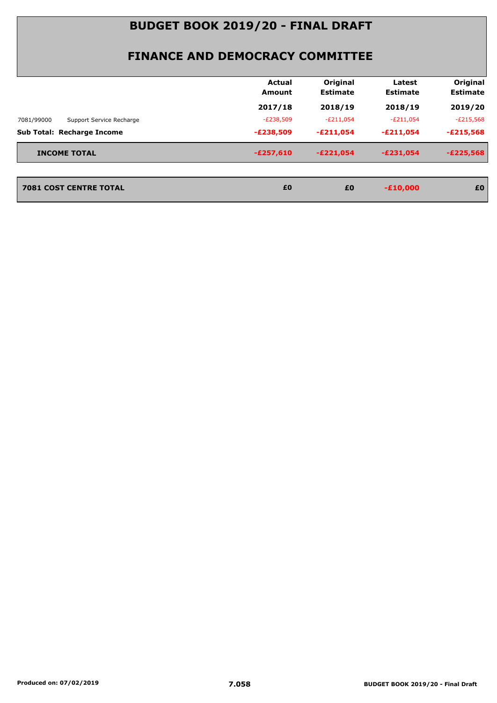#### **FINANCE AND DEMOCRACY COMMITTEE**

|                                        | Actual<br>Amount | Original<br><b>Estimate</b> | Latest<br><b>Estimate</b> | Original<br><b>Estimate</b> |
|----------------------------------------|------------------|-----------------------------|---------------------------|-----------------------------|
|                                        | 2017/18          | 2018/19                     | 2018/19                   | 2019/20                     |
| 7081/99000<br>Support Service Recharge | $-E238,509$      | $-E211,054$                 | $-E211,054$               | $-E215,568$                 |
| Sub Total: Recharge Income             | $-E238,509$      | $-E211,054$                 | $-E211,054$               | $-E215,568$                 |
| <b>INCOME TOTAL</b>                    | $-E257,610$      | $-E221,054$                 | $-E231.054$               | $-E225,568$                 |
|                                        |                  |                             |                           |                             |
| <b>7081 COST CENTRE TOTAL</b>          | £0               | £0                          | $-£10,000$                | £0                          |

*2081 COST CENTRE TOTAL EO <b>20<br>2011 EO <i>EO EO*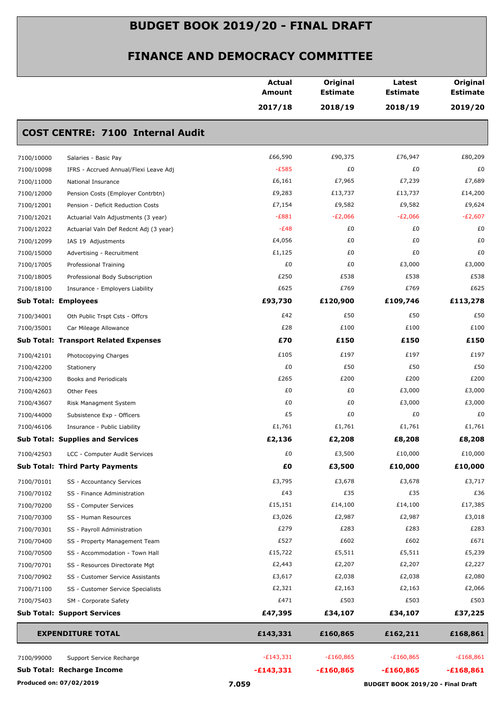|                                                      | <b>Actual</b><br><b>Amount</b> | Original<br><b>Estimate</b>       | Latest<br><b>Estimate</b> | Original<br><b>Estimate</b> |
|------------------------------------------------------|--------------------------------|-----------------------------------|---------------------------|-----------------------------|
|                                                      | 2017/18                        | 2018/19                           | 2018/19                   | 2019/20                     |
| <b>COST CENTRE: 7100 Internal Audit</b>              |                                |                                   |                           |                             |
| 7100/10000<br>Salaries - Basic Pay                   | £66,590                        | £90,375                           | £76,947                   | £80,209                     |
| 7100/10098<br>IFRS - Accrued Annual/Flexi Leave Adj  | $-E585$                        | £0                                | £0                        | £0                          |
| 7100/11000<br>National Insurance                     | £6,161                         | £7,965                            | £7,239                    | £7,689                      |
| 7100/12000<br>Pension Costs (Employer Contrbtn)      | £9,283                         | £13,737                           | £13,737                   | £14,200                     |
| 7100/12001<br>Pension - Deficit Reduction Costs      | £7,154                         | £9,582                            | £9,582                    | £9,624                      |
| 7100/12021<br>Actuarial Valn Adjustments (3 year)    | $-E881$                        | $-E2,066$                         | $-E2,066$                 | $-E2,607$                   |
| 7100/12022<br>Actuarial Valn Def Redcnt Adj (3 year) | $-E48$                         | £0                                | £0                        | £0                          |
| 7100/12099<br>IAS 19 Adjustments                     | £4,056                         | £0                                | £0                        | £0                          |
| 7100/15000<br>Advertising - Recruitment              | £1,125                         | £0                                | £0                        | £0                          |
| 7100/17005<br>Professional Training                  | £0                             | £0                                | £3,000                    | £3,000                      |
| 7100/18005<br>Professional Body Subscription         | £250                           | £538                              | £538                      | £538                        |
| 7100/18100<br>Insurance - Employers Liability        | £625                           | £769                              | £769                      | £625                        |
| <b>Sub Total: Employees</b>                          | £93,730                        | £120,900                          | £109,746                  | £113,278                    |
| 7100/34001<br>Oth Public Trspt Csts - Offcrs         | £42                            | £50                               | £50                       | £50                         |
| 7100/35001<br>Car Mileage Allowance                  | £28                            | £100                              | £100                      | £100                        |
| <b>Sub Total: Transport Related Expenses</b>         | £70                            | £150                              | £150                      | £150                        |
| 7100/42101<br>Photocopying Charges                   | £105                           | £197                              | £197                      | £197                        |
| 7100/42200<br>Stationery                             | £0                             | £50                               | £50                       | £50                         |
| 7100/42300<br>Books and Periodicals                  | £265                           | £200                              | £200                      | £200                        |
| 7100/42603<br>Other Fees                             | £0                             | £0                                | £3,000                    | £3,000                      |
| 7100/43607<br>Risk Managment System                  | £0                             | £0                                | £3,000                    | £3,000                      |
| Subsistence Exp - Officers<br>7100/44000             | £5                             | £0                                | £0                        | £0                          |
| 7100/46106<br>Insurance - Public Liability           | £1,761                         | £1,761                            | £1,761                    | £1,761                      |
| <b>Sub Total: Supplies and Services</b>              | £2,136                         | £2,208                            | £8,208                    | £8,208                      |
| 7100/42503<br>LCC - Computer Audit Services          | £0                             | £3,500                            | £10,000                   | £10,000                     |
| <b>Sub Total: Third Party Payments</b>               | £0                             | £3,500                            | £10,000                   | £10,000                     |
| 7100/70101<br>SS - Accountancy Services              | £3,795                         | £3,678                            | £3,678                    | £3,717                      |
| 7100/70102<br>SS - Finance Administration            | £43                            | £35                               | £35                       | £36                         |
| 7100/70200<br>SS - Computer Services                 | £15,151                        | £14,100                           | £14,100                   | £17,385                     |
| 7100/70300<br>SS - Human Resources                   | £3,026                         | £2,987                            | £2,987                    | £3,018                      |
| 7100/70301<br>SS - Payroll Administration            | £279                           | £283                              | £283                      | £283                        |
| 7100/70400<br>SS - Property Management Team          | £527                           | £602                              | £602                      | £671                        |
| 7100/70500<br>SS - Accommodation - Town Hall         | £15,722                        | £5,511                            | £5,511                    | £5,239                      |
| 7100/70701<br>SS - Resources Directorate Mgt         | £2,443                         | £2,207                            | £2,207                    | £2,227                      |
| 7100/70902<br>SS - Customer Service Assistants       | £3,617                         | £2,038                            | £2,038                    | £2,080                      |
| 7100/71100<br>SS - Customer Service Specialists      | £2,321                         | £2,163                            | £2,163                    | £2,066                      |
| 7100/75403<br>SM - Corporate Safety                  | £471                           | £503                              | £503                      | £503                        |
| <b>Sub Total: Support Services</b>                   | £47,395                        | £34,107                           | £34,107                   | £37,225                     |
| <b>EXPENDITURE TOTAL</b>                             | £143,331                       | £160,865                          | £162,211                  | £168,861                    |
| 7100/99000<br>Support Service Recharge               | $-E143,331$                    | $-£160,865$                       | $-£160,865$               | $-£168,861$                 |
| <b>Sub Total: Recharge Income</b>                    | $-£143,331$                    | $-£160,865$                       | $-£160,865$               | $-£168,861$                 |
| Produced on: 07/02/2019                              | 7.059                          | BUDGET BOOK 2019/20 - Final Draft |                           |                             |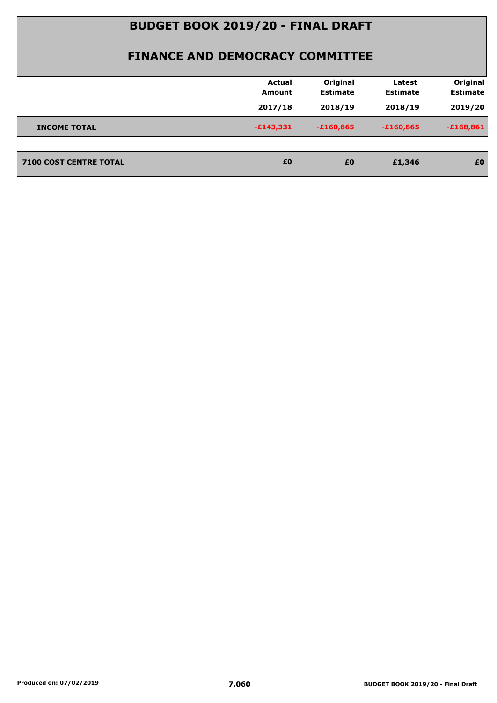|                               | <b>Actual</b><br>Amount | Original<br><b>Estimate</b> | Latest<br><b>Estimate</b> | Original<br><b>Estimate</b> |
|-------------------------------|-------------------------|-----------------------------|---------------------------|-----------------------------|
|                               |                         |                             |                           |                             |
|                               | 2017/18                 | 2018/19                     | 2018/19                   | 2019/20                     |
| <b>INCOME TOTAL</b>           | $-£143,331$             | $-£160,865$                 | $-£160,865$               | $-£168,861$                 |
|                               |                         |                             |                           |                             |
| <b>7100 COST CENTRE TOTAL</b> | £0                      | £0                          | £1,346                    | £0                          |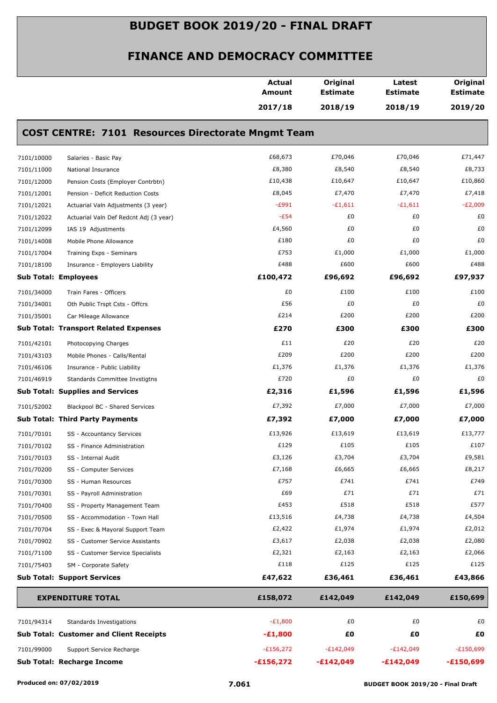|            |                                                           | <b>Actual</b><br>Amount | Original<br><b>Estimate</b> | Latest<br><b>Estimate</b> | Original<br><b>Estimate</b> |
|------------|-----------------------------------------------------------|-------------------------|-----------------------------|---------------------------|-----------------------------|
|            |                                                           | 2017/18                 | 2018/19                     | 2018/19                   | 2019/20                     |
|            | <b>COST CENTRE: 7101 Resources Directorate Mngmt Team</b> |                         |                             |                           |                             |
| 7101/10000 | Salaries - Basic Pay                                      | £68,673                 | £70,046                     | £70,046                   | £71,447                     |
| 7101/11000 | National Insurance                                        | £8,380                  | £8,540                      | £8,540                    | £8,733                      |
| 7101/12000 | Pension Costs (Employer Contrbtn)                         | £10,438                 | £10,647                     | £10,647                   | £10,860                     |
| 7101/12001 | Pension - Deficit Reduction Costs                         | £8,045                  | £7,470                      | £7,470                    | £7,418                      |
| 7101/12021 | Actuarial Valn Adjustments (3 year)                       | $-E991$                 | $-£1,611$                   | $-£1,611$                 | $-E2,009$                   |
| 7101/12022 | Actuarial Valn Def Redcnt Adj (3 year)                    | $-E54$                  | £0                          | £0                        | £0                          |
| 7101/12099 | IAS 19 Adjustments                                        | £4,560                  | £0                          | £0                        | £0                          |
| 7101/14008 | Mobile Phone Allowance                                    | £180                    | £0                          | £0                        | £0                          |
| 7101/17004 | Training Exps - Seminars                                  | £753                    | £1,000                      | £1,000                    | £1,000                      |
| 7101/18100 | Insurance - Employers Liability                           | £488                    | £600                        | £600                      | £488                        |
|            | <b>Sub Total: Employees</b>                               | £100,472                | £96,692                     | £96,692                   | £97,937                     |
| 7101/34000 | Train Fares - Officers                                    | £0                      | £100                        | £100                      | £100                        |
| 7101/34001 | Oth Public Trspt Csts - Offcrs                            | £56                     | £0                          | £0                        | £0                          |
| 7101/35001 | Car Mileage Allowance                                     | £214                    | £200                        | £200                      | £200                        |
|            | <b>Sub Total: Transport Related Expenses</b>              | £270                    | £300                        | £300                      | £300                        |
| 7101/42101 | Photocopying Charges                                      | £11                     | £20                         | £20                       | £20                         |
| 7101/43103 | Mobile Phones - Calls/Rental                              | £209                    | £200                        | £200                      | £200                        |
| 7101/46106 | Insurance - Public Liability                              | £1,376                  | £1,376                      | £1,376                    | £1,376                      |
| 7101/46919 | Standards Committee Invstigtns                            | £720                    | £0                          | £0                        | £0                          |
|            | <b>Sub Total: Supplies and Services</b>                   | £2,316                  | £1,596                      | £1,596                    | £1,596                      |
| 7101/52002 | Blackpool BC - Shared Services                            | £7,392                  | £7,000                      | £7,000                    | £7,000                      |
|            | <b>Sub Total: Third Party Payments</b>                    | £7,392                  | £7,000                      | £7,000                    | £7,000                      |
| 7101/70101 | SS - Accountancy Services                                 | £13,926                 | £13,619                     | £13,619                   | £13,777                     |
| 7101/70102 | SS - Finance Administration                               | £129                    | £105                        | £105                      | £107                        |
| 7101/70103 | SS - Internal Audit                                       | £3,126                  | £3,704                      | £3,704                    | £9,581                      |
| 7101/70200 | SS - Computer Services                                    | £7,168                  | £6,665                      | £6,665                    | £8,217                      |
| 7101/70300 | SS - Human Resources                                      | £757                    | £741                        | £741                      | £749                        |
| 7101/70301 | SS - Payroll Administration                               | £69                     | £71                         | £71                       | £71                         |
| 7101/70400 | SS - Property Management Team                             | £453                    | £518                        | £518                      | £577                        |
| 7101/70500 | SS - Accommodation - Town Hall                            | £13,516                 | £4,738                      | £4,738                    | £4,504                      |
| 7101/70704 | SS - Exec & Mayoral Support Team                          | £2,422                  | £1,974                      | £1,974                    | £2,012                      |
| 7101/70902 | SS - Customer Service Assistants                          | £3,617                  | £2,038                      | £2,038                    | £2,080                      |
| 7101/71100 | SS - Customer Service Specialists                         | £2,321                  | £2,163                      | £2,163                    | £2,066                      |
| 7101/75403 | SM - Corporate Safety                                     | £118                    | £125                        | £125                      | £125                        |
|            | <b>Sub Total: Support Services</b>                        | £47,622                 | £36,461                     | £36,461                   | £43,866                     |
|            | <b>EXPENDITURE TOTAL</b>                                  | £158,072                | £142,049                    | £142,049                  | £150,699                    |
| 7101/94314 | Standards Investigations                                  | $-E1,800$               | £0                          | £0                        | £0                          |
|            | <b>Sub Total: Customer and Client Receipts</b>            | $-£1,800$               | £Ο                          | £0                        | £0                          |
| 7101/99000 | Support Service Recharge                                  | $-£156,272$             | $-E142,049$                 | $-E142,049$               | $-E150,699$                 |
|            | <b>Sub Total: Recharge Income</b>                         | $-£156,272$             | $-£142,049$                 | $-£142,049$               | $-£150,699$                 |
|            |                                                           |                         |                             |                           |                             |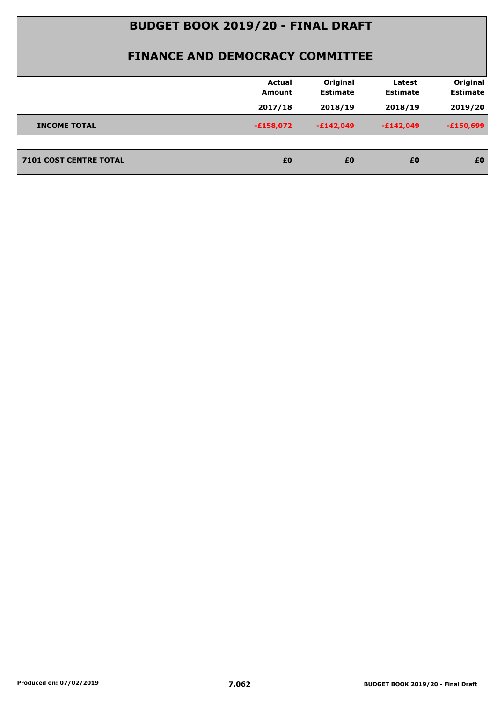|                               | <b>Actual</b><br><b>Amount</b> | Original<br><b>Estimate</b> | Latest<br><b>Estimate</b> | Original<br><b>Estimate</b> |
|-------------------------------|--------------------------------|-----------------------------|---------------------------|-----------------------------|
|                               | 2017/18                        | 2018/19                     | 2018/19                   | 2019/20                     |
| <b>INCOME TOTAL</b>           | $-£158,072$                    | $-£142,049$                 | $-E142,049$               | $-E150,699$                 |
|                               |                                |                             |                           |                             |
| <b>7101 COST CENTRE TOTAL</b> | £0                             | £0                          | £0                        | £0                          |
|                               |                                |                             |                           |                             |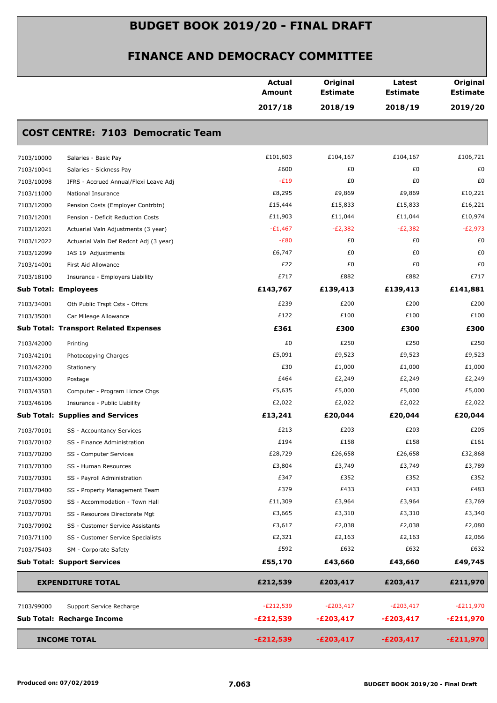|            |                                              | <b>Actual</b><br>Amount | Original<br><b>Estimate</b> | Latest<br><b>Estimate</b> | Original<br><b>Estimate</b> |
|------------|----------------------------------------------|-------------------------|-----------------------------|---------------------------|-----------------------------|
|            |                                              | 2017/18                 | 2018/19                     | 2018/19                   | 2019/20                     |
|            | <b>COST CENTRE: 7103 Democratic Team</b>     |                         |                             |                           |                             |
| 7103/10000 | Salaries - Basic Pay                         | £101,603                | £104,167                    | £104,167                  | £106,721                    |
| 7103/10041 | Salaries - Sickness Pay                      | £600                    | £0                          | £0                        | £0                          |
| 7103/10098 | IFRS - Accrued Annual/Flexi Leave Adj        | $-E19$                  | £0                          | £0                        | £0                          |
| 7103/11000 | National Insurance                           | £8,295                  | £9,869                      | £9,869                    | £10,221                     |
| 7103/12000 | Pension Costs (Employer Contrbtn)            | £15,444                 | £15,833                     | £15,833                   | £16,221                     |
| 7103/12001 | Pension - Deficit Reduction Costs            | £11,903                 | £11,044                     | £11,044                   | £10,974                     |
| 7103/12021 | Actuarial Valn Adjustments (3 year)          | $-E1,467$               | $-E2,382$                   | $-E2,382$                 | $-E2,973$                   |
| 7103/12022 | Actuarial Valn Def Redcnt Adj (3 year)       | $-E80$                  | £0                          | £0                        | £0                          |
| 7103/12099 | IAS 19 Adjustments                           | £6,747                  | £0                          | £0                        | £0                          |
| 7103/14001 | First Aid Allowance                          | £22                     | £0                          | £0                        | £0                          |
| 7103/18100 | Insurance - Employers Liability              | £717                    | £882                        | £882                      | £717                        |
|            | <b>Sub Total: Employees</b>                  | £143,767                | £139,413                    | £139,413                  | £141,881                    |
| 7103/34001 | Oth Public Trspt Csts - Offcrs               | £239                    | £200                        | £200                      | £200                        |
| 7103/35001 | Car Mileage Allowance                        | £122                    | £100                        | £100                      | £100                        |
|            | <b>Sub Total: Transport Related Expenses</b> | £361                    | £300                        | £300                      | £300                        |
| 7103/42000 | Printing                                     | £0                      | £250                        | £250                      | £250                        |
| 7103/42101 | Photocopying Charges                         | £5,091                  | £9,523                      | £9,523                    | £9,523                      |
| 7103/42200 | Stationery                                   | £30                     | £1,000                      | £1,000                    | £1,000                      |
| 7103/43000 | Postage                                      | £464                    | £2,249                      | £2,249                    | £2,249                      |
| 7103/43503 | Computer - Program Licnce Chgs               | £5,635                  | £5,000                      | £5,000                    | £5,000                      |
| 7103/46106 | Insurance - Public Liability                 | £2,022                  | £2,022                      | £2,022                    | £2,022                      |
|            | <b>Sub Total: Supplies and Services</b>      | £13,241                 | £20,044                     | £20,044                   | £20,044                     |
| 7103/70101 | SS - Accountancy Services                    | £213                    | £203                        | £203                      | £205                        |
| 7103/70102 | SS - Finance Administration                  | £194                    | £158                        | £158                      | £161                        |
| 7103/70200 | SS - Computer Services                       | £28,729                 | £26,658                     | £26,658                   | £32,868                     |
| 7103/70300 | SS - Human Resources                         | £3,804                  | £3,749                      | £3,749                    | £3,789                      |
| 7103/70301 | SS - Payroll Administration                  | £347                    | £352                        | £352                      | £352                        |
| 7103/70400 | SS - Property Management Team                | £379                    | £433                        | £433                      | £483                        |
| 7103/70500 | SS - Accommodation - Town Hall               | £11,309                 | £3,964                      | £3,964                    | £3,769                      |
| 7103/70701 | SS - Resources Directorate Mgt               | £3,665                  | £3,310                      | £3,310                    | £3,340                      |
| 7103/70902 | SS - Customer Service Assistants             | £3,617                  | £2,038                      | £2,038                    | £2,080                      |
| 7103/71100 | SS - Customer Service Specialists            | £2,321                  | £2,163                      | £2,163                    | £2,066                      |
| 7103/75403 | SM - Corporate Safety                        | £592                    | £632                        | £632                      | £632                        |
|            | <b>Sub Total: Support Services</b>           | £55,170                 | £43,660                     | £43,660                   | £49,745                     |
|            | <b>EXPENDITURE TOTAL</b>                     | £212,539                | £203,417                    | £203,417                  | £211,970                    |
|            |                                              | $-E212,539$             | $-E203,417$                 | $-E203,417$               | $-E211,970$                 |
| 7103/99000 | Support Service Recharge                     |                         |                             |                           |                             |
|            | <b>Sub Total: Recharge Income</b>            | $-£212,539$             | $-E203,417$                 | $-E203,417$               | $-E211,970$                 |
|            | <b>INCOME TOTAL</b>                          | $-E212,539$             | $-E203,417$                 | $-E203,417$               | $-E211,970$                 |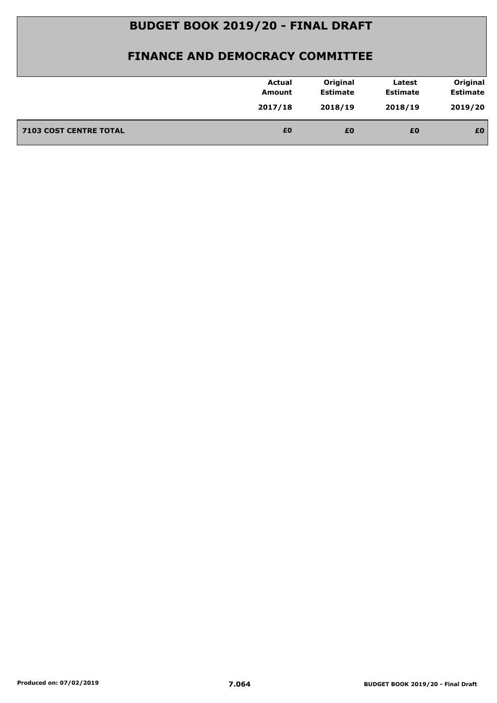|                               | <b>Actual</b><br>Amount | Original<br><b>Estimate</b> | Latest<br><b>Estimate</b> | Original<br><b>Estimate</b> |
|-------------------------------|-------------------------|-----------------------------|---------------------------|-----------------------------|
|                               | 2017/18                 | 2018/19                     | 2018/19                   | 2019/20                     |
| <b>7103 COST CENTRE TOTAL</b> | £0                      | £0                          | £0                        | £0                          |
|                               |                         |                             |                           |                             |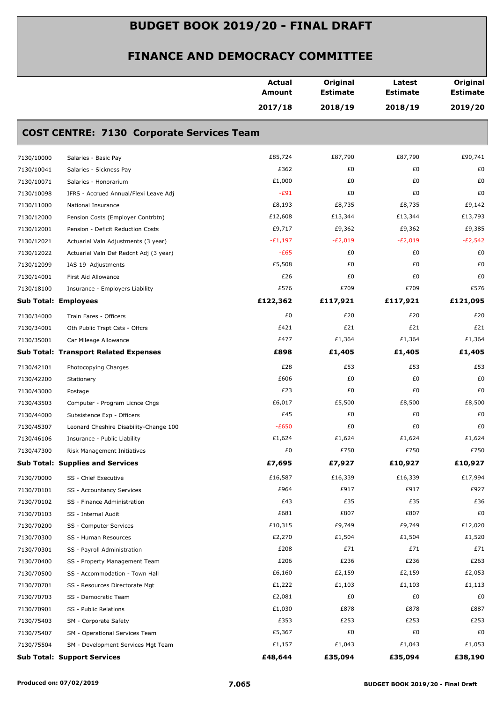|            |                                                  | <b>Actual</b><br><b>Amount</b> | Original<br><b>Estimate</b> | Latest<br><b>Estimate</b> | Original<br><b>Estimate</b> |
|------------|--------------------------------------------------|--------------------------------|-----------------------------|---------------------------|-----------------------------|
|            |                                                  | 2017/18                        | 2018/19                     | 2018/19                   | 2019/20                     |
|            | <b>COST CENTRE: 7130 Corporate Services Team</b> |                                |                             |                           |                             |
| 7130/10000 | Salaries - Basic Pay                             | £85,724                        | £87,790                     | £87,790                   | £90,741                     |
| 7130/10041 | Salaries - Sickness Pay                          | £362                           | £0                          | £0                        | £0                          |
| 7130/10071 | Salaries - Honorarium                            | £1,000                         | £0                          | £0                        | £0                          |
| 7130/10098 | IFRS - Accrued Annual/Flexi Leave Adj            | $-E91$                         | £0                          | £0                        | £0                          |
| 7130/11000 | National Insurance                               | £8,193                         | £8,735                      | £8,735                    | £9,142                      |
| 7130/12000 | Pension Costs (Employer Contrbtn)                | £12,608                        | £13,344                     | £13,344                   | £13,793                     |
| 7130/12001 | Pension - Deficit Reduction Costs                | £9,717                         | £9,362                      | £9,362                    | £9,385                      |
| 7130/12021 | Actuarial Valn Adjustments (3 year)              | $-E1,197$                      | $-E2,019$                   | $-E2,019$                 | $-E2,542$                   |
| 7130/12022 | Actuarial Valn Def Redcnt Adj (3 year)           | $-E65$                         | £0                          | £0                        | £0                          |
| 7130/12099 | IAS 19 Adjustments                               | £5,508                         | £0                          | £0                        | £0                          |
| 7130/14001 | First Aid Allowance                              | £26                            | £0                          | £0                        | £0                          |
| 7130/18100 | Insurance - Employers Liability                  | £576                           | £709                        | £709                      | £576                        |
|            | <b>Sub Total: Employees</b>                      | £122,362                       | £117,921                    | £117,921                  | £121,095                    |
| 7130/34000 | Train Fares - Officers                           | £0                             | £20                         | £20                       | £20                         |
| 7130/34001 | Oth Public Trspt Csts - Offcrs                   | £421                           | £21                         | £21                       | £21                         |
| 7130/35001 | Car Mileage Allowance                            | £477                           | £1,364                      | £1,364                    | £1,364                      |
|            | <b>Sub Total: Transport Related Expenses</b>     | £898                           | £1,405                      | £1,405                    | £1,405                      |
| 7130/42101 | Photocopying Charges                             | £28                            | £53                         | £53                       | £53                         |
| 7130/42200 | Stationery                                       | £606                           | £0                          | £0                        | £0                          |
| 7130/43000 | Postage                                          | £23                            | £0                          | £0                        | £0                          |
| 7130/43503 | Computer - Program Licnce Chgs                   | £6,017                         | £5,500                      | £8,500                    | £8,500                      |
| 7130/44000 | Subsistence Exp - Officers                       | £45                            | £0                          | £0                        | £0                          |
| 7130/45307 | Leonard Cheshire Disability-Change 100           | $-E650$                        | £0                          | £0                        | £0                          |
| 7130/46106 | Insurance - Public Liability                     | £1,624                         | £1,624                      | £1,624                    | £1,624                      |
| 7130/47300 | Risk Management Initiatives                      | £0                             | £750                        | £750                      | £750                        |
|            | <b>Sub Total: Supplies and Services</b>          | £7,695                         | £7,927                      | £10,927                   | £10,927                     |
| 7130/70000 | SS - Chief Executive                             | £16,587                        | £16,339                     | £16,339                   | £17,994                     |
| 7130/70101 | SS - Accountancy Services                        | £964                           | £917                        | £917                      | £927                        |
| 7130/70102 | SS - Finance Administration                      | £43                            | £35                         | £35                       | £36                         |
| 7130/70103 | SS - Internal Audit                              | £681                           | £807                        | £807                      | £0                          |
| 7130/70200 | SS - Computer Services                           | £10,315                        | £9,749                      | £9,749                    | £12,020                     |
| 7130/70300 | SS - Human Resources                             | £2,270                         | £1,504                      | £1,504                    | £1,520                      |
| 7130/70301 | SS - Payroll Administration                      | £208                           | £71                         | £71                       | £71                         |
| 7130/70400 | SS - Property Management Team                    | £206                           | £236                        | £236                      | £263                        |
| 7130/70500 | SS - Accommodation - Town Hall                   | £6,160                         | £2,159                      | £2,159                    | £2,053                      |
| 7130/70701 | SS - Resources Directorate Mgt                   | £1,222                         | £1,103                      | £1,103                    | £1,113                      |
| 7130/70703 | SS - Democratic Team                             | £2,081                         | £0                          | £0                        | £0                          |
| 7130/70901 | SS - Public Relations                            | £1,030                         | £878                        | £878                      | £887                        |
| 7130/75403 | SM - Corporate Safety                            | £353                           | £253                        | £253                      | £253                        |
| 7130/75407 | SM - Operational Services Team                   | £5,367                         | £0                          | £0                        | £0                          |
| 7130/75504 | SM - Development Services Mgt Team               | £1,157                         | £1,043                      | £1,043                    | £1,053                      |
|            | <b>Sub Total: Support Services</b>               | £48,644                        | £35,094                     | £35,094                   | £38,190                     |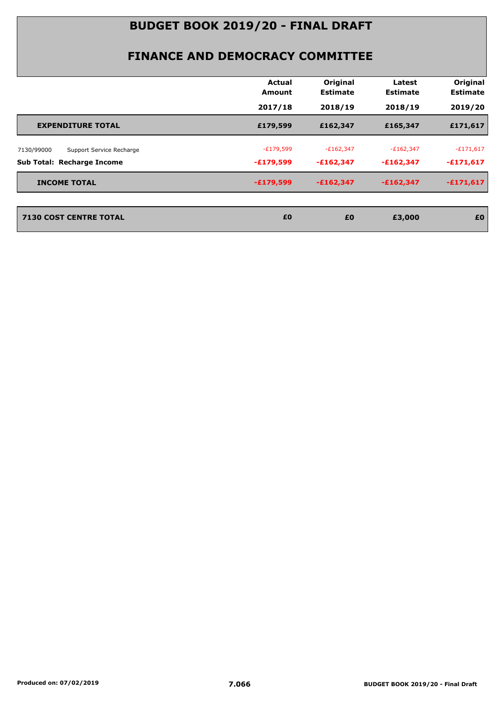| Original<br>Original<br><b>Actual</b><br>Latest<br><b>Estimate</b><br><b>Estimate</b><br><b>Estimate</b><br>Amount<br>2018/19<br>2019/20<br>2017/18<br>2018/19 |
|----------------------------------------------------------------------------------------------------------------------------------------------------------------|
|                                                                                                                                                                |
|                                                                                                                                                                |
| £179,599<br>£162,347<br>£171,617<br>£165,347<br><b>EXPENDITURE TOTAL</b>                                                                                       |
| $-E171,617$<br>$-E179,599$<br>$-E162,347$<br>$-E162,347$<br>7130/99000<br>Support Service Recharge                                                             |
| $-£171,617$<br><b>Sub Total: Recharge Income</b><br>$-£179,599$<br>$-£162,347$<br>$-£162,347$                                                                  |
| $-£171,617$<br>$-£179,599$<br>$-£162,347$<br>$-£162,347$<br><b>INCOME TOTAL</b>                                                                                |
| <b>7130 COST CENTRE TOTAL</b><br>£0<br>£0<br>£0<br>£3,000                                                                                                      |
|                                                                                                                                                                |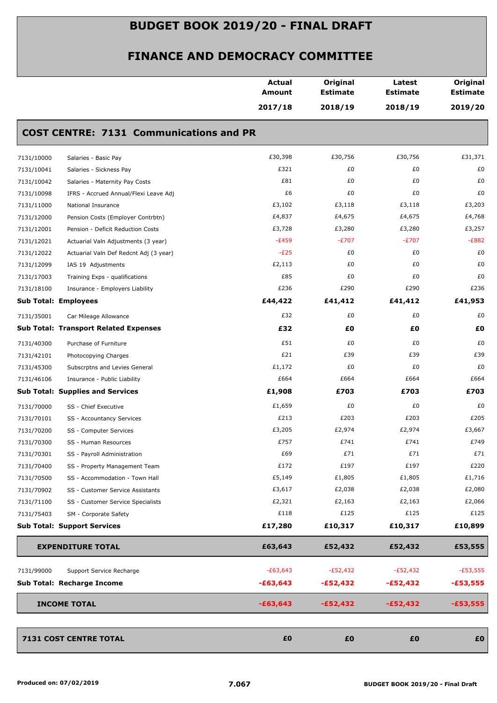|                             |                                                | <b>Actual</b><br>Amount | Original<br><b>Estimate</b> | Latest<br><b>Estimate</b> | Original<br><b>Estimate</b> |
|-----------------------------|------------------------------------------------|-------------------------|-----------------------------|---------------------------|-----------------------------|
|                             |                                                | 2017/18                 | 2018/19                     | 2018/19                   | 2019/20                     |
|                             | <b>COST CENTRE: 7131 Communications and PR</b> |                         |                             |                           |                             |
| 7131/10000                  | Salaries - Basic Pay                           | £30,398                 | £30,756                     | £30,756                   | £31,371                     |
| 7131/10041                  | Salaries - Sickness Pay                        | £321                    | £0                          | £0                        | £0                          |
| 7131/10042                  | Salaries - Maternity Pay Costs                 | £81                     | £0                          | £0                        | £0                          |
| 7131/10098                  | IFRS - Accrued Annual/Flexi Leave Adj          | £6                      | £0                          | £0                        | £0                          |
| 7131/11000                  | National Insurance                             | £3,102                  | £3,118                      | £3,118                    | £3,203                      |
| 7131/12000                  | Pension Costs (Employer Contrbtn)              | £4,837                  | £4,675                      | £4,675                    | £4,768                      |
| 7131/12001                  | Pension - Deficit Reduction Costs              | £3,728                  | £3,280                      | £3,280                    | £3,257                      |
| 7131/12021                  | Actuarial Valn Adjustments (3 year)            | $-E459$                 | $-E707$                     | $-E707$                   | $-E882$                     |
| 7131/12022                  | Actuarial Valn Def Redcnt Adj (3 year)         | $-E25$                  | £0                          | £0                        | £0                          |
| 7131/12099                  | IAS 19 Adjustments                             | £2,113                  | £0                          | £0                        | £0                          |
| 7131/17003                  | Training Exps - qualifications                 | £85                     | £0                          | £0                        | £0                          |
| 7131/18100                  | Insurance - Employers Liability                | £236                    | £290                        | £290                      | £236                        |
| <b>Sub Total: Employees</b> |                                                | £44,422                 | £41,412                     | £41,412                   | £41,953                     |
| 7131/35001                  | Car Mileage Allowance                          | £32                     | £0                          | £0                        | £0                          |
|                             | <b>Sub Total: Transport Related Expenses</b>   | £32                     | £0                          | £Ο                        | £0                          |
| 7131/40300                  | Purchase of Furniture                          | £51                     | £0                          | £0                        | £0                          |
| 7131/42101                  | Photocopying Charges                           | £21                     | £39                         | £39                       | £39                         |
| 7131/45300                  | Subscrptns and Levies General                  | £1,172                  | £0                          | £0                        | £0                          |
| 7131/46106                  | Insurance - Public Liability                   | £664                    | £664                        | £664                      | £664                        |
|                             | <b>Sub Total: Supplies and Services</b>        | £1,908                  | £703                        | £703                      | £703                        |
| 7131/70000                  | SS - Chief Executive                           | £1,659                  | £0                          | £0                        | £0                          |
| 7131/70101                  | SS - Accountancy Services                      | £213                    | £203                        | £203                      | £205                        |
| 7131/70200                  | SS - Computer Services                         | £3,205                  | £2,974                      | £2,974                    | £3,667                      |
| 7131/70300                  | SS - Human Resources                           | £757                    | £741                        | £741                      | £749                        |
| 7131/70301                  | SS - Payroll Administration                    | £69                     | £71                         | £71                       | £71                         |
| 7131/70400                  | SS - Property Management Team                  | £172                    | £197                        | £197                      | £220                        |
| 7131/70500                  | SS - Accommodation - Town Hall                 | £5,149                  | £1,805                      | £1,805                    | £1,716                      |
| 7131/70902                  | SS - Customer Service Assistants               | £3,617                  | £2,038                      | £2,038                    | £2,080                      |
| 7131/71100                  | SS - Customer Service Specialists              | £2,321                  | £2,163                      | £2,163                    | £2,066                      |
| 7131/75403                  | SM - Corporate Safety                          | £118                    | £125                        | £125                      | £125                        |
|                             | <b>Sub Total: Support Services</b>             | £17,280                 | £10,317                     | £10,317                   | £10,899                     |
|                             | <b>EXPENDITURE TOTAL</b>                       | £63,643                 | £52,432                     | £52,432                   | £53,555                     |
|                             |                                                | $-E63,643$              | $-E52,432$                  | $-E52,432$                | $-E53,555$                  |
| 7131/99000                  | Support Service Recharge                       |                         |                             |                           |                             |
|                             | Sub Total: Recharge Income                     | $-£63,643$              | $-£52,432$                  | $-£52,432$                | $-£53,555$                  |
| <b>INCOME TOTAL</b>         |                                                | $-£63,643$              | $-£52,432$                  | $-£52,432$                | $-£53,555$                  |
|                             | 7131 COST CENTRE TOTAL                         | £0                      | £0                          | £0                        | £0                          |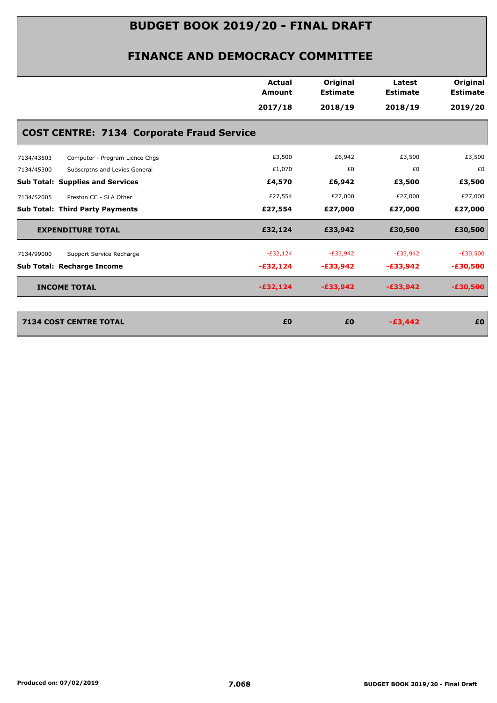|                                                  | <b>Actual</b><br><b>Amount</b> | Original<br><b>Estimate</b> | Latest<br><b>Estimate</b> | Original        |
|--------------------------------------------------|--------------------------------|-----------------------------|---------------------------|-----------------|
|                                                  |                                |                             |                           | <b>Estimate</b> |
|                                                  | 2017/18                        | 2018/19                     | 2018/19                   | 2019/20         |
| <b>COST CENTRE: 7134 Corporate Fraud Service</b> |                                |                             |                           |                 |
| Computer - Program Licnce Chgs<br>7134/43503     | £3,500                         | £6,942                      | £3,500                    | £3,500          |
| 7134/45300<br>Subscrptns and Levies General      | £1,070                         | £0                          | £0                        | £0              |
| <b>Sub Total: Supplies and Services</b>          | £4,570                         | £6,942                      | £3,500                    | £3,500          |
| 7134/52005<br>Preston CC - SLA Other             | £27,554                        | £27,000                     | £27,000                   | £27,000         |
| <b>Sub Total: Third Party Payments</b>           | £27,554                        | £27,000                     | £27,000                   | £27,000         |
| <b>EXPENDITURE TOTAL</b>                         | £32,124                        | £33,942                     | £30,500                   | £30,500         |
| Support Service Recharge<br>7134/99000           | $-E32,124$                     | $-E33,942$                  | $-E33,942$                | $-E30,500$      |
| <b>Sub Total: Recharge Income</b>                | $-£32,124$                     | $-£33,942$                  | $-£33,942$                | $-£30,500$      |
| <b>INCOME TOTAL</b>                              | $-£32,124$                     | $-£33,942$                  | $-£33,942$                | $-£30,500$      |
|                                                  | £0                             | £0                          | $-£3,442$                 | £0              |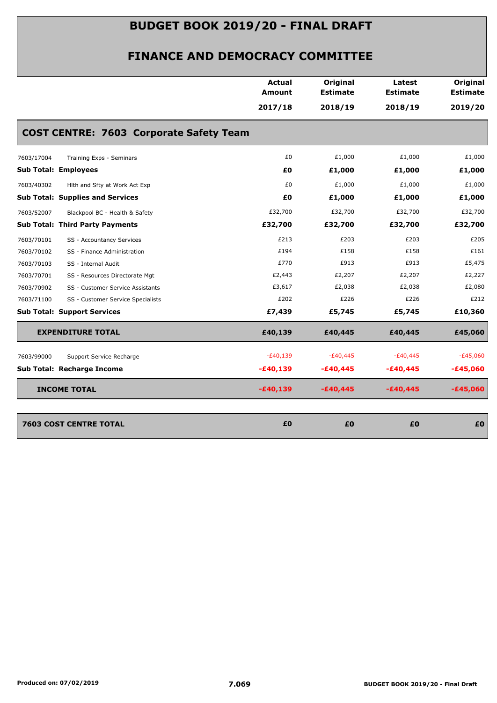|            |                                                | Actual<br>Amount | Original<br><b>Estimate</b> | Latest<br><b>Estimate</b> | Original<br><b>Estimate</b> |
|------------|------------------------------------------------|------------------|-----------------------------|---------------------------|-----------------------------|
|            |                                                | 2017/18          | 2018/19                     | 2018/19                   | 2019/20                     |
|            | <b>COST CENTRE: 7603 Corporate Safety Team</b> |                  |                             |                           |                             |
| 7603/17004 | Training Exps - Seminars                       | £0               | £1,000                      | £1,000                    | £1,000                      |
|            | <b>Sub Total: Employees</b>                    | £0               | £1,000                      | £1,000                    | £1,000                      |
| 7603/40302 | Hith and Sfty at Work Act Exp                  | £0               | £1,000                      | £1,000                    | £1,000                      |
|            | <b>Sub Total: Supplies and Services</b>        | £0               | £1,000                      | £1,000                    | £1,000                      |
| 7603/52007 | Blackpool BC - Health & Safety                 | £32,700          | £32,700                     | £32,700                   | £32,700                     |
|            | <b>Sub Total: Third Party Payments</b>         | £32,700          | £32,700                     | £32,700                   | £32,700                     |
| 7603/70101 | SS - Accountancy Services                      | £213             | £203                        | £203                      | £205                        |
| 7603/70102 | SS - Finance Administration                    | £194             | £158                        | £158                      | £161                        |
| 7603/70103 | SS - Internal Audit                            | £770             | £913                        | £913                      | £5,475                      |
| 7603/70701 | SS - Resources Directorate Mgt                 | £2,443           | £2,207                      | £2,207                    | £2,227                      |
| 7603/70902 | SS - Customer Service Assistants               | £3,617           | £2,038                      | £2,038                    | £2,080                      |
| 7603/71100 | SS - Customer Service Specialists              | £202             | £226                        | £226                      | £212                        |
|            | <b>Sub Total: Support Services</b>             | £7,439           | £5,745                      | £5,745                    | £10,360                     |
|            | <b>EXPENDITURE TOTAL</b>                       | £40,139          | £40,445                     | £40,445                   | £45,060                     |
| 7603/99000 | Support Service Recharge                       | $-E40,139$       | $-£40,445$                  | $-£40,445$                | $-E45,060$                  |
|            | Sub Total: Recharge Income                     | $-£40,139$       | $-£40,445$                  | $-£40,445$                | $-£45,060$                  |
|            | <b>INCOME TOTAL</b>                            | $-£40,139$       | $-£40,445$                  | $-£40,445$                | $-£45,060$                  |
|            | <b>7603 COST CENTRE TOTAL</b>                  | £0               | £0                          | £0                        | £0                          |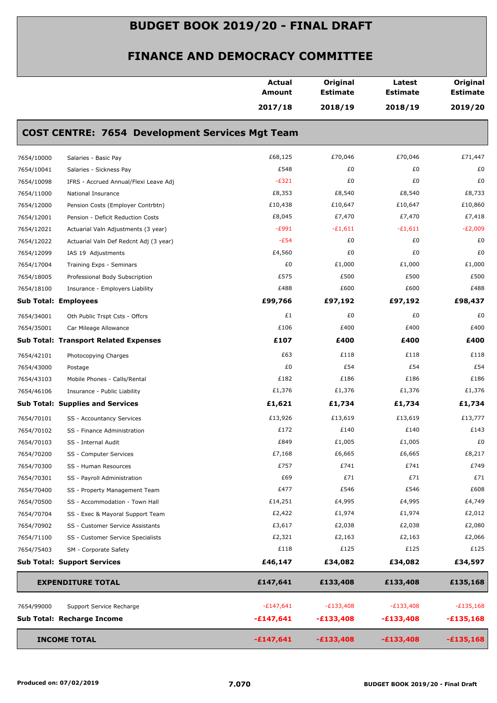|            |                                                        | <b>Actual</b><br>Amount | Original<br><b>Estimate</b> | Latest<br><b>Estimate</b> | Original<br><b>Estimate</b> |
|------------|--------------------------------------------------------|-------------------------|-----------------------------|---------------------------|-----------------------------|
|            |                                                        | 2017/18                 | 2018/19                     | 2018/19                   | 2019/20                     |
|            | <b>COST CENTRE: 7654 Development Services Mgt Team</b> |                         |                             |                           |                             |
| 7654/10000 | Salaries - Basic Pay                                   | £68,125                 | £70,046                     | £70,046                   | £71,447                     |
| 7654/10041 | Salaries - Sickness Pay                                | £548                    | £0                          | £0                        | £0                          |
| 7654/10098 | IFRS - Accrued Annual/Flexi Leave Adj                  | $-E321$                 | £0                          | £0                        | £0                          |
| 7654/11000 | National Insurance                                     | £8,353                  | £8,540                      | £8,540                    | £8,733                      |
| 7654/12000 | Pension Costs (Employer Contrbtn)                      | £10,438                 | £10,647                     | £10,647                   | £10,860                     |
| 7654/12001 | Pension - Deficit Reduction Costs                      | £8,045                  | £7,470                      | £7,470                    | £7,418                      |
| 7654/12021 | Actuarial Valn Adjustments (3 year)                    | $-E991$                 | $-£1,611$                   | $-£1,611$                 | $-E2,009$                   |
| 7654/12022 | Actuarial Valn Def Redcnt Adj (3 year)                 | $-E54$                  | £0                          | £0                        | £0                          |
| 7654/12099 | IAS 19 Adjustments                                     | £4,560                  | £0                          | £0                        | £0                          |
| 7654/17004 | Training Exps - Seminars                               | £0                      | £1,000                      | £1,000                    | £1,000                      |
| 7654/18005 | Professional Body Subscription                         | £575                    | £500                        | £500                      | £500                        |
| 7654/18100 | Insurance - Employers Liability                        | £488                    | £600                        | £600                      | £488                        |
|            | <b>Sub Total: Employees</b>                            | £99,766                 | £97,192                     | £97,192                   | £98,437                     |
| 7654/34001 | Oth Public Trspt Csts - Offcrs                         | £1                      | £0                          | £0                        | £0                          |
| 7654/35001 | Car Mileage Allowance                                  | £106                    | £400                        | £400                      | £400                        |
|            | <b>Sub Total: Transport Related Expenses</b>           | £107                    | £400                        | £400                      | £400                        |
| 7654/42101 | Photocopying Charges                                   | £63                     | £118                        | £118                      | £118                        |
| 7654/43000 | Postage                                                | £0                      | £54                         | £54                       | £54                         |
| 7654/43103 | Mobile Phones - Calls/Rental                           | £182                    | £186                        | £186                      | £186                        |
| 7654/46106 | Insurance - Public Liability                           | £1,376                  | £1,376                      | £1,376                    | £1,376                      |
|            | <b>Sub Total: Supplies and Services</b>                | £1,621                  | £1,734                      | £1,734                    | £1,734                      |
| 7654/70101 | SS - Accountancy Services                              | £13,926                 | £13,619                     | £13,619                   | £13,777                     |
| 7654/70102 | SS - Finance Administration                            | £172                    | £140                        | £140                      | £143                        |
| 7654/70103 | SS - Internal Audit                                    | £849                    | £1,005                      | £1,005                    | £0                          |
| 7654/70200 | SS - Computer Services                                 | £7,168                  | £6,665                      | £6,665                    | £8,217                      |
| 7654/70300 | SS - Human Resources                                   | £757                    | £741                        | £741                      | £749                        |
| 7654/70301 | SS - Payroll Administration                            | £69                     | £71                         | £71                       | £71                         |
| 7654/70400 | SS - Property Management Team                          | £477                    | £546                        | £546                      | £608                        |
| 7654/70500 | SS - Accommodation - Town Hall                         | £14,251                 | £4,995                      | £4,995                    | £4,749                      |
| 7654/70704 | SS - Exec & Mayoral Support Team                       | £2,422                  | £1,974                      | £1,974                    | £2,012                      |
| 7654/70902 | SS - Customer Service Assistants                       | £3,617                  | £2,038                      | £2,038                    | £2,080                      |
| 7654/71100 | SS - Customer Service Specialists                      | £2,321                  | £2,163                      | £2,163                    | £2,066                      |
| 7654/75403 | SM - Corporate Safety                                  | £118                    | £125                        | £125                      | £125                        |
|            | <b>Sub Total: Support Services</b>                     | £46,147                 | £34,082                     | £34,082                   | £34,597                     |
|            | <b>EXPENDITURE TOTAL</b>                               | £147,641                | £133,408                    | £133,408                  | £135,168                    |
| 7654/99000 | Support Service Recharge                               | $-£147,641$             | $-E133,408$                 | $-E133,408$               | $-E135,168$                 |
|            | Sub Total: Recharge Income                             | $-£147,641$             | $-£133,408$                 | $-£133,408$               | $-£135,168$                 |
|            | <b>INCOME TOTAL</b>                                    | $-£147,641$             | $-£133,408$                 | $-£133,408$               | $-£135,168$                 |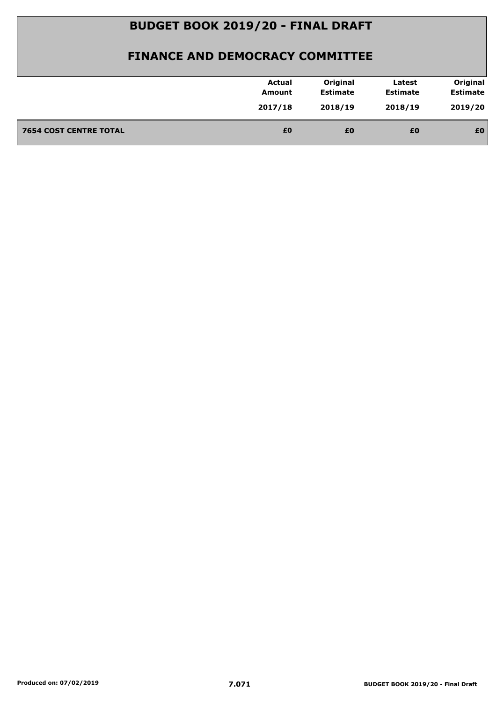| <b>Estimate</b><br><b>Estimate</b><br><b>Estimate</b><br>Amount<br>2019/20<br>2017/18<br>2018/19<br>2018/19<br>£0<br><b>7654 COST CENTRE TOTAL</b><br>£0<br>£0<br>£0 | <b>Actual</b> | Original | Latest | Original |
|----------------------------------------------------------------------------------------------------------------------------------------------------------------------|---------------|----------|--------|----------|
|                                                                                                                                                                      |               |          |        |          |
|                                                                                                                                                                      |               |          |        |          |
|                                                                                                                                                                      |               |          |        |          |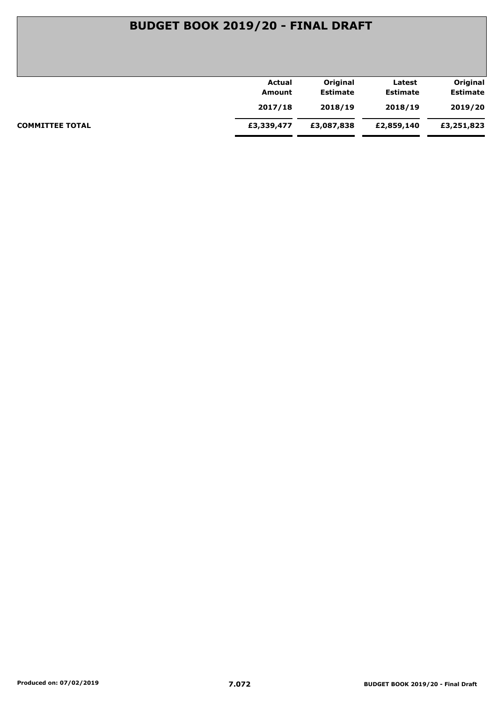| Actual     | Original        | Latest          | Original        |
|------------|-----------------|-----------------|-----------------|
| Amount     | <b>Estimate</b> | <b>Estimate</b> | <b>Estimate</b> |
| 2017/18    | 2018/19         | 2018/19         | 2019/20         |
| £3,339,477 | £3,087,838      | £2,859,140      | £3,251,823      |
|            |                 |                 |                 |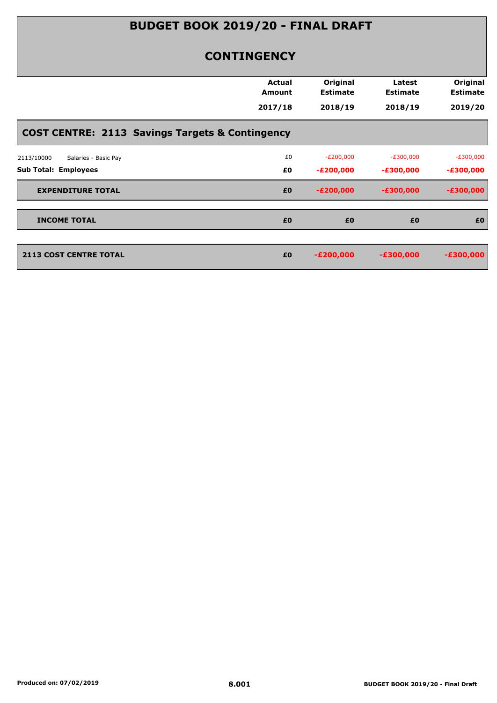#### **CONTINGENCY**

|                                                            | Actual<br><b>Amount</b> | Original<br><b>Estimate</b> | Latest<br><b>Estimate</b> | Original<br><b>Estimate</b> |
|------------------------------------------------------------|-------------------------|-----------------------------|---------------------------|-----------------------------|
|                                                            | 2017/18                 | 2018/19                     | 2018/19                   | 2019/20                     |
| <b>COST CENTRE: 2113 Savings Targets &amp; Contingency</b> |                         |                             |                           |                             |
| Salaries - Basic Pay<br>2113/10000                         | £0                      | $-E200,000$                 | $-E300,000$               | $-E300,000$                 |
| <b>Sub Total: Employees</b>                                | £0                      | $-E200,000$                 | $-£300,000$               | $-£300,000$                 |
| <b>EXPENDITURE TOTAL</b>                                   | £0                      | $-E200,000$                 | $-£300,000$               | $-£300,000$                 |
| <b>INCOME TOTAL</b>                                        | £0                      | £0                          | £0                        | £0                          |
| <b>2113 COST CENTRE TOTAL</b>                              | £0                      | $-E200,000$                 | $-£300,000$               | $-£300,000$                 |
|                                                            |                         |                             |                           |                             |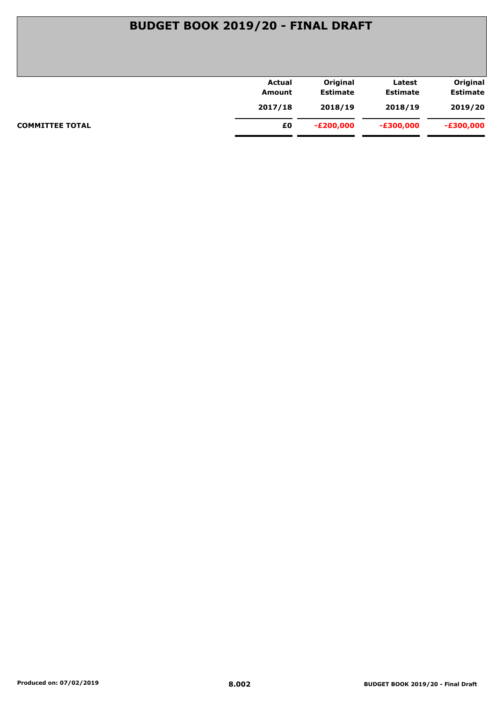## **BUDGET BOOK 2019/20 - FINAL DRAFT**

|                        | <b>Actual</b> | Original        | Latest          | Original        |
|------------------------|---------------|-----------------|-----------------|-----------------|
|                        | Amount        | <b>Estimate</b> | <b>Estimate</b> | <b>Estimate</b> |
|                        | 2017/18       | 2018/19         | 2018/19         | 2019/20         |
| <b>COMMITTEE TOTAL</b> | £0            | -£200,000       | $-E300,000$     | -£300,000       |
|                        |               |                 |                 |                 |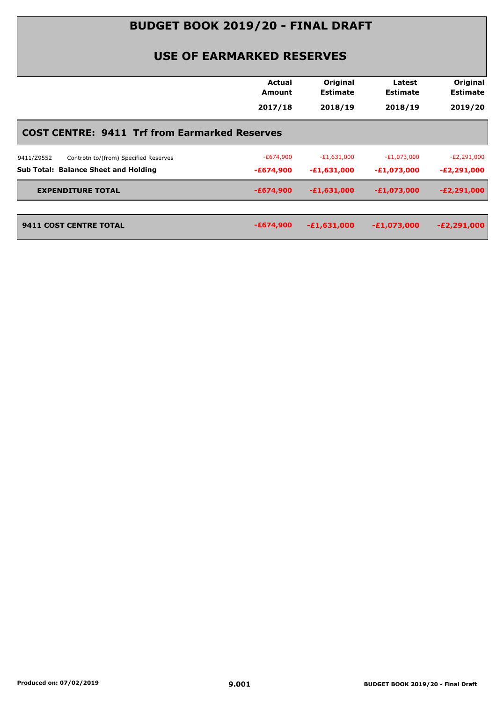## **BUDGET BOOK 2019/20 - FINAL DRAFT**

## **USE OF EARMARKED RESERVES**

|                                                      | <b>Actual</b><br><b>Amount</b> | Original<br><b>Estimate</b><br>2018/19 | Latest<br><b>Estimate</b><br>2018/19 | Original<br><b>Estimate</b><br>2019/20 |
|------------------------------------------------------|--------------------------------|----------------------------------------|--------------------------------------|----------------------------------------|
|                                                      | 2017/18                        |                                        |                                      |                                        |
| <b>COST CENTRE: 9411 Trf from Earmarked Reserves</b> |                                |                                        |                                      |                                        |
| Contrbtn to/(from) Specified Reserves<br>9411/Z9552  | $-E674,900$                    | $-E1,631,000$                          | $-E1,073,000$                        | $-E2,291,000$                          |
| <b>Sub Total: Balance Sheet and Holding</b>          | -£674,900                      | $-£1,631,000$                          | $-E1,073,000$                        | -£2,291,000                            |
| <b>EXPENDITURE TOTAL</b>                             | $-£674,900$                    | $-£1,631,000$                          | $-E1,073,000$                        | $-E2,291,000$                          |
| <b>9411 COST CENTRE TOTAL</b>                        | $-£674,900$                    | $-£1,631,000$                          | $-E1,073,000$                        | $-E2,291,000$                          |